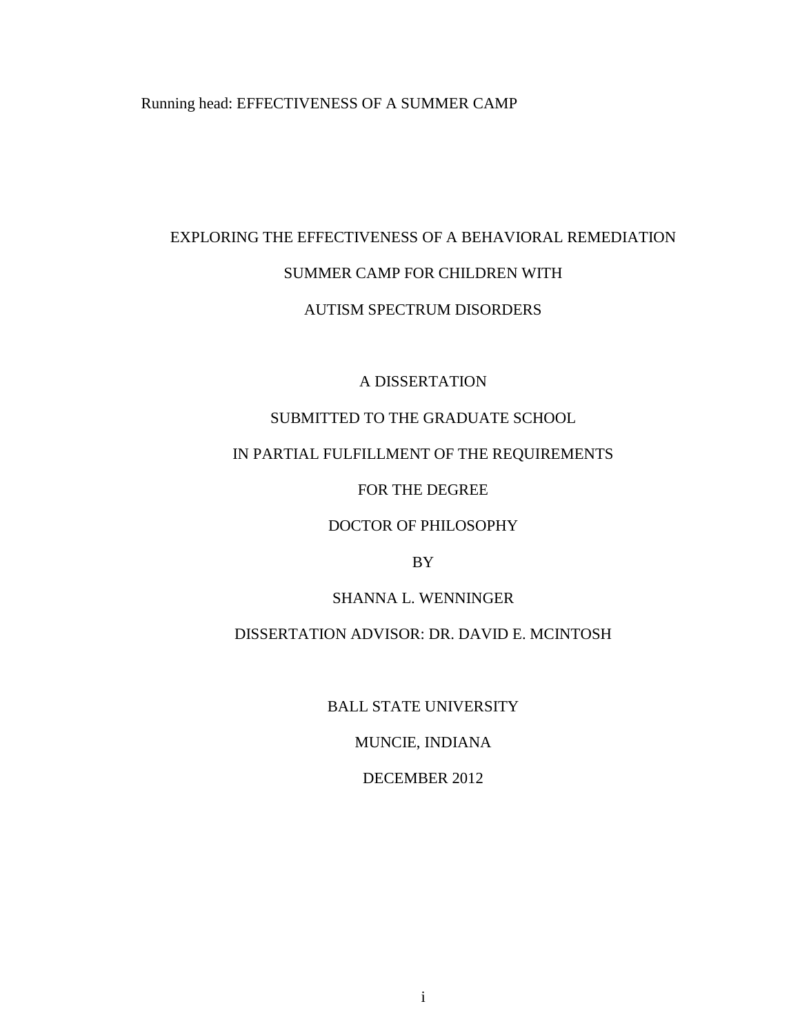Running head: EFFECTIVENESS OF A SUMMER CAMP

# EXPLORING THE EFFECTIVENESS OF A BEHAVIORAL REMEDIATION SUMMER CAMP FOR CHILDREN WITH

# AUTISM SPECTRUM DISORDERS

# A DISSERTATION

# SUBMITTED TO THE GRADUATE SCHOOL

# IN PARTIAL FULFILLMENT OF THE REQUIREMENTS

# FOR THE DEGREE

# DOCTOR OF PHILOSOPHY

# BY

# SHANNA L. WENNINGER

# DISSERTATION ADVISOR: DR. DAVID E. MCINTOSH

BALL STATE UNIVERSITY

MUNCIE, INDIANA

# DECEMBER 2012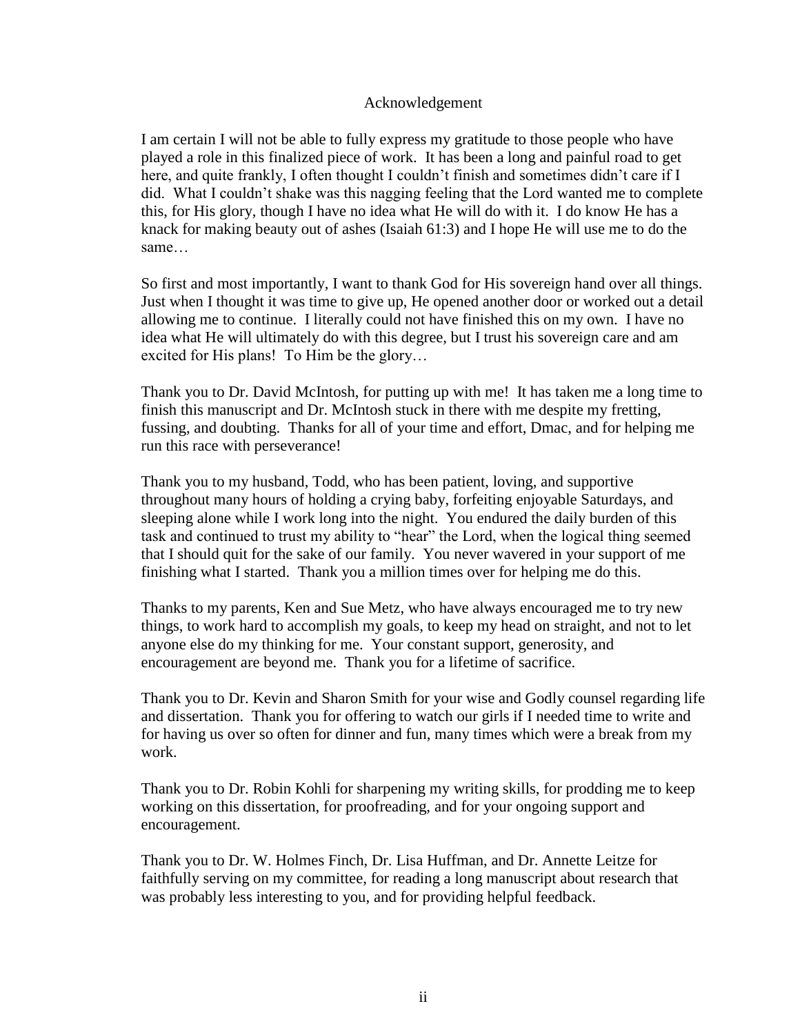#### Acknowledgement

I am certain I will not be able to fully express my gratitude to those people who have played a role in this finalized piece of work. It has been a long and painful road to get here, and quite frankly, I often thought I couldn't finish and sometimes didn't care if I did. What I couldn't shake was this nagging feeling that the Lord wanted me to complete this, for His glory, though I have no idea what He will do with it. I do know He has a knack for making beauty out of ashes (Isaiah 61:3) and I hope He will use me to do the same…

So first and most importantly, I want to thank God for His sovereign hand over all things. Just when I thought it was time to give up, He opened another door or worked out a detail allowing me to continue. I literally could not have finished this on my own. I have no idea what He will ultimately do with this degree, but I trust his sovereign care and am excited for His plans! To Him be the glory…

Thank you to Dr. David McIntosh, for putting up with me! It has taken me a long time to finish this manuscript and Dr. McIntosh stuck in there with me despite my fretting, fussing, and doubting. Thanks for all of your time and effort, Dmac, and for helping me run this race with perseverance!

Thank you to my husband, Todd, who has been patient, loving, and supportive throughout many hours of holding a crying baby, forfeiting enjoyable Saturdays, and sleeping alone while I work long into the night. You endured the daily burden of this task and continued to trust my ability to "hear" the Lord, when the logical thing seemed that I should quit for the sake of our family. You never wavered in your support of me finishing what I started. Thank you a million times over for helping me do this.

Thanks to my parents, Ken and Sue Metz, who have always encouraged me to try new things, to work hard to accomplish my goals, to keep my head on straight, and not to let anyone else do my thinking for me. Your constant support, generosity, and encouragement are beyond me. Thank you for a lifetime of sacrifice.

Thank you to Dr. Kevin and Sharon Smith for your wise and Godly counsel regarding life and dissertation. Thank you for offering to watch our girls if I needed time to write and for having us over so often for dinner and fun, many times which were a break from my work.

Thank you to Dr. Robin Kohli for sharpening my writing skills, for prodding me to keep working on this dissertation, for proofreading, and for your ongoing support and encouragement.

Thank you to Dr. W. Holmes Finch, Dr. Lisa Huffman, and Dr. Annette Leitze for faithfully serving on my committee, for reading a long manuscript about research that was probably less interesting to you, and for providing helpful feedback.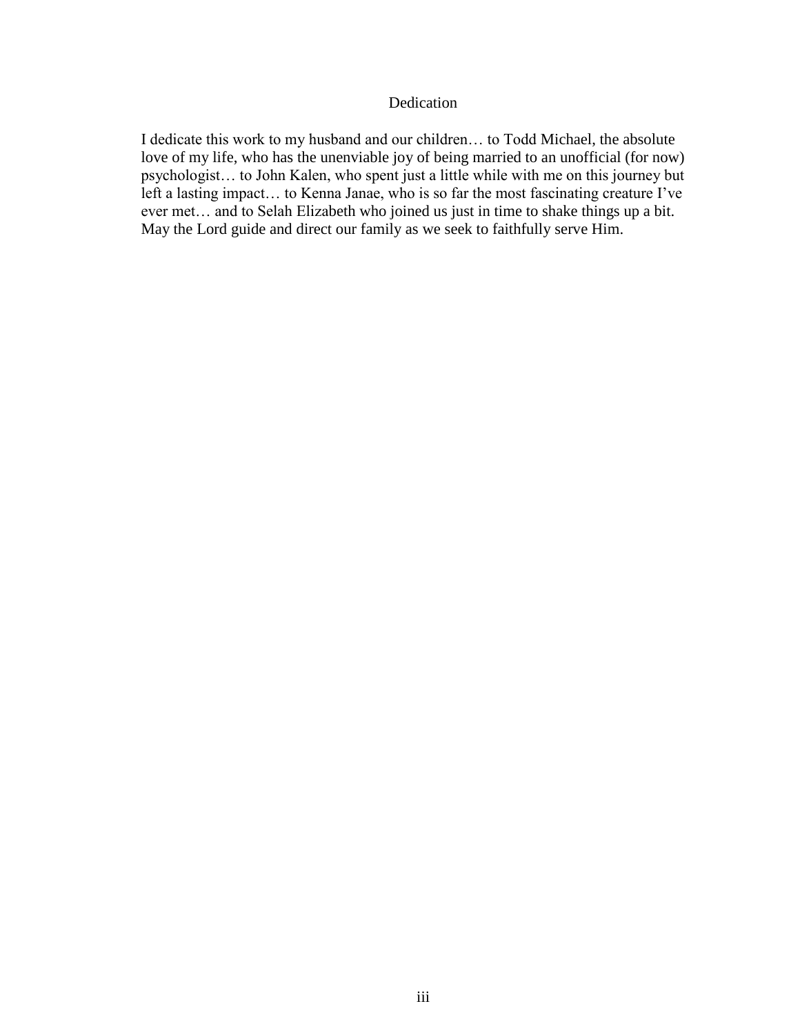#### Dedication

I dedicate this work to my husband and our children… to Todd Michael, the absolute love of my life, who has the unenviable joy of being married to an unofficial (for now) psychologist… to John Kalen, who spent just a little while with me on this journey but left a lasting impact… to Kenna Janae, who is so far the most fascinating creature I've ever met… and to Selah Elizabeth who joined us just in time to shake things up a bit. May the Lord guide and direct our family as we seek to faithfully serve Him.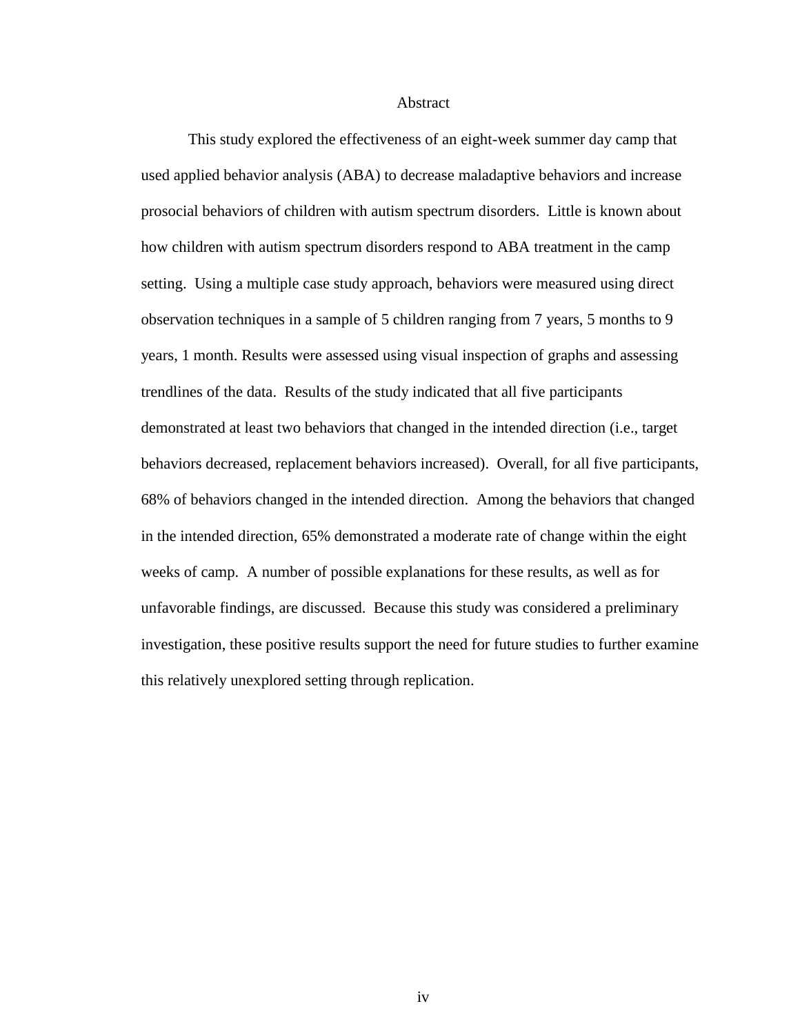Abstract

This study explored the effectiveness of an eight-week summer day camp that used applied behavior analysis (ABA) to decrease maladaptive behaviors and increase prosocial behaviors of children with autism spectrum disorders. Little is known about how children with autism spectrum disorders respond to ABA treatment in the camp setting. Using a multiple case study approach, behaviors were measured using direct observation techniques in a sample of 5 children ranging from 7 years, 5 months to 9 years, 1 month. Results were assessed using visual inspection of graphs and assessing trendlines of the data. Results of the study indicated that all five participants demonstrated at least two behaviors that changed in the intended direction (i.e., target behaviors decreased, replacement behaviors increased). Overall, for all five participants, 68% of behaviors changed in the intended direction. Among the behaviors that changed in the intended direction, 65% demonstrated a moderate rate of change within the eight weeks of camp. A number of possible explanations for these results, as well as for unfavorable findings, are discussed. Because this study was considered a preliminary investigation, these positive results support the need for future studies to further examine this relatively unexplored setting through replication.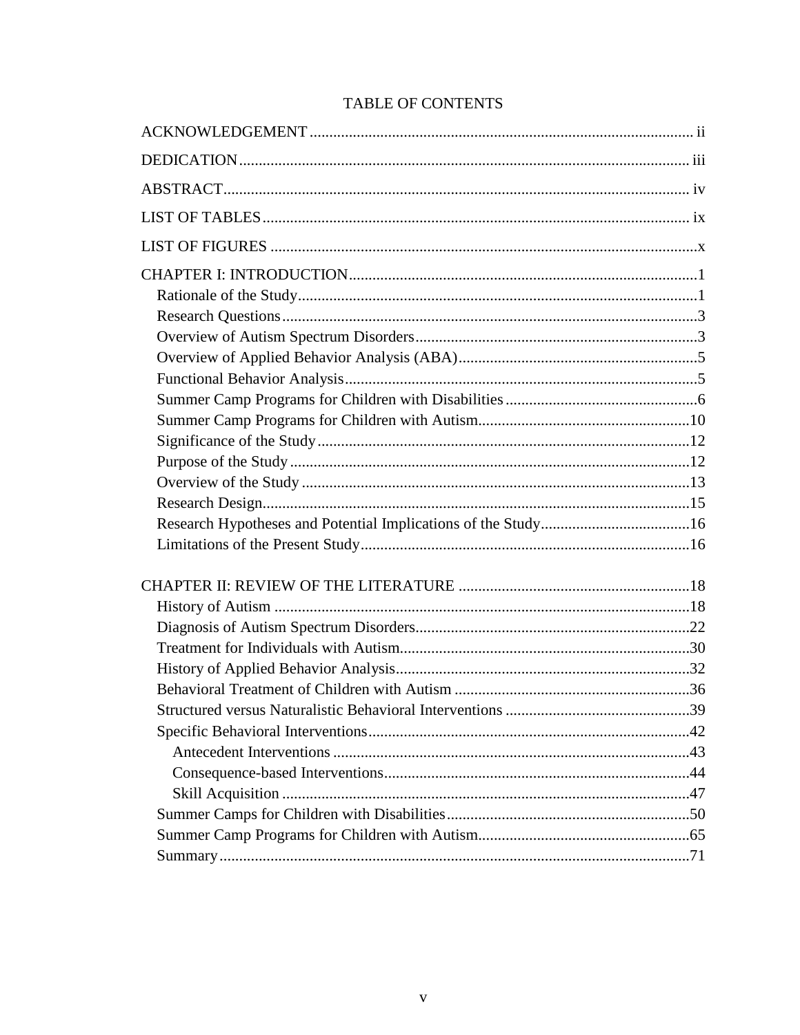| <b>TABLE OF CONTENTS</b> |
|--------------------------|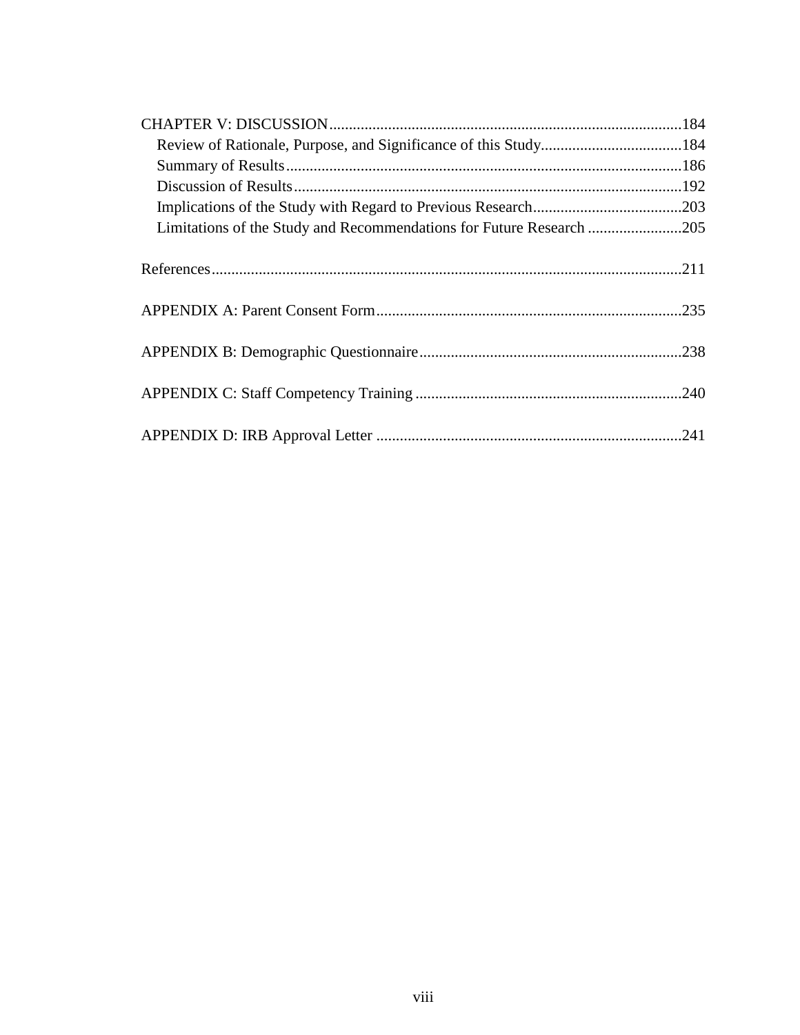| Limitations of the Study and Recommendations for Future Research 205 |  |
|----------------------------------------------------------------------|--|
|                                                                      |  |
|                                                                      |  |
|                                                                      |  |
|                                                                      |  |
|                                                                      |  |
|                                                                      |  |
|                                                                      |  |
|                                                                      |  |
|                                                                      |  |
|                                                                      |  |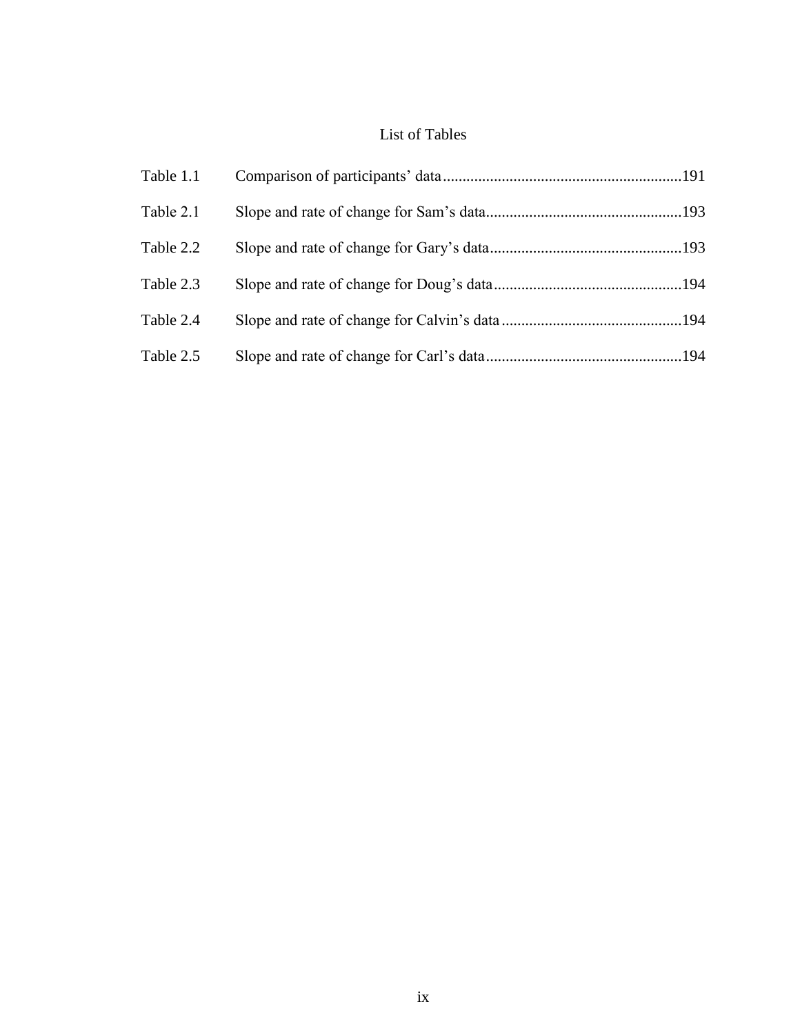# List of Tables

| Table 1.1 |  |
|-----------|--|
| Table 2.1 |  |
| Table 2.2 |  |
| Table 2.3 |  |
| Table 2.4 |  |
| Table 2.5 |  |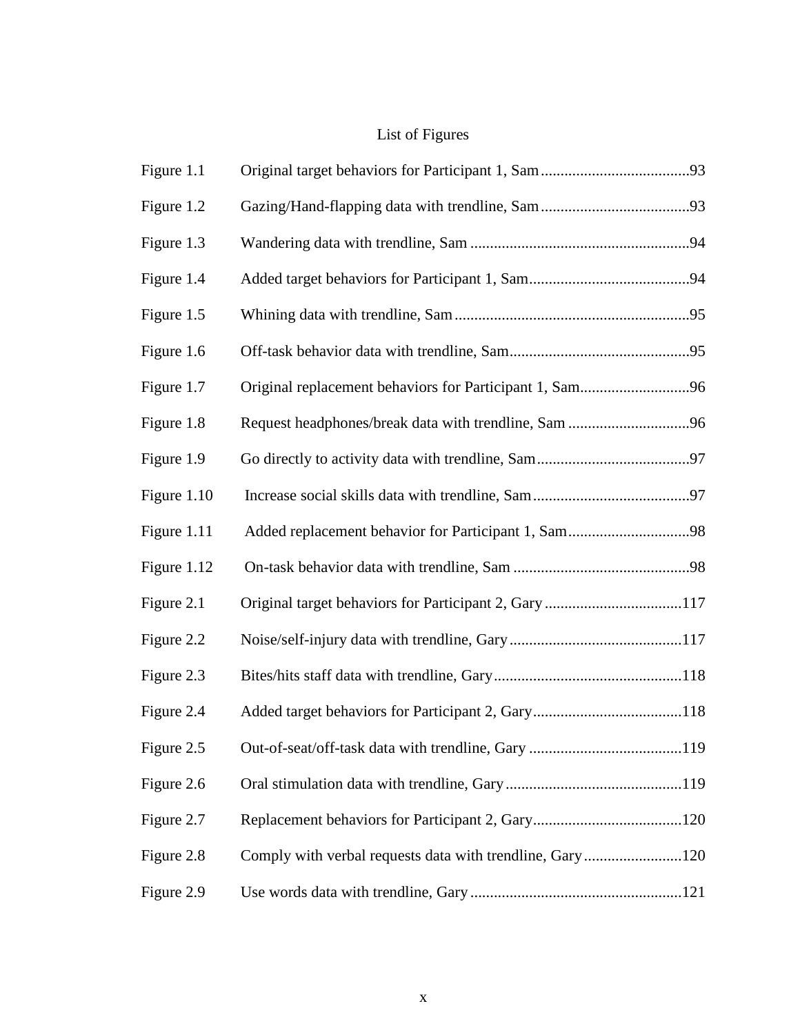# List of Figures

| Figure 1.1  |                                                          |  |
|-------------|----------------------------------------------------------|--|
| Figure 1.2  |                                                          |  |
| Figure 1.3  |                                                          |  |
| Figure 1.4  |                                                          |  |
| Figure 1.5  |                                                          |  |
| Figure 1.6  |                                                          |  |
| Figure 1.7  | Original replacement behaviors for Participant 1, Sam96  |  |
| Figure 1.8  |                                                          |  |
| Figure 1.9  |                                                          |  |
| Figure 1.10 |                                                          |  |
| Figure 1.11 | Added replacement behavior for Participant 1, Sam98      |  |
| Figure 1.12 |                                                          |  |
| Figure 2.1  | Original target behaviors for Participant 2, Gary 117    |  |
| Figure 2.2  |                                                          |  |
| Figure 2.3  |                                                          |  |
| Figure 2.4  |                                                          |  |
| Figure 2.5  |                                                          |  |
| Figure 2.6  |                                                          |  |
| Figure 2.7  |                                                          |  |
| Figure 2.8  | Comply with verbal requests data with trendline, Gary120 |  |
| Figure 2.9  |                                                          |  |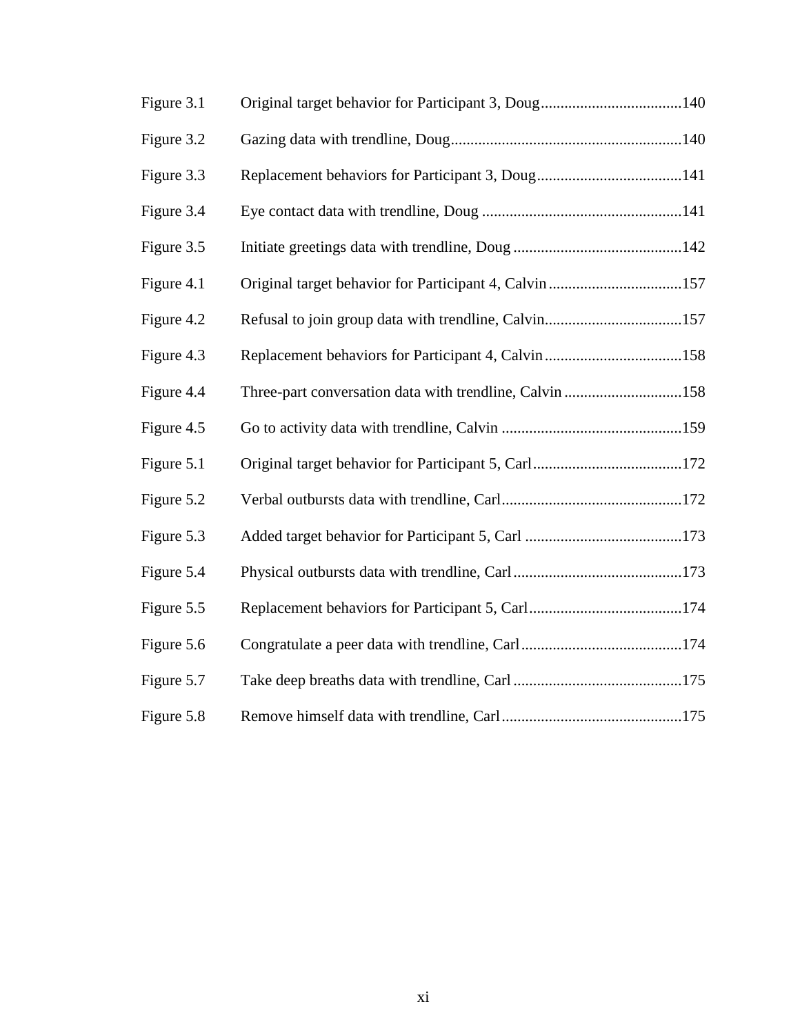| Figure 3.1 |                                                         |  |
|------------|---------------------------------------------------------|--|
| Figure 3.2 |                                                         |  |
| Figure 3.3 |                                                         |  |
| Figure 3.4 |                                                         |  |
| Figure 3.5 |                                                         |  |
| Figure 4.1 |                                                         |  |
| Figure 4.2 |                                                         |  |
| Figure 4.3 |                                                         |  |
| Figure 4.4 | Three-part conversation data with trendline, Calvin 158 |  |
| Figure 4.5 |                                                         |  |
| Figure 5.1 |                                                         |  |
| Figure 5.2 |                                                         |  |
| Figure 5.3 |                                                         |  |
| Figure 5.4 |                                                         |  |
| Figure 5.5 |                                                         |  |
| Figure 5.6 |                                                         |  |
| Figure 5.7 |                                                         |  |
| Figure 5.8 |                                                         |  |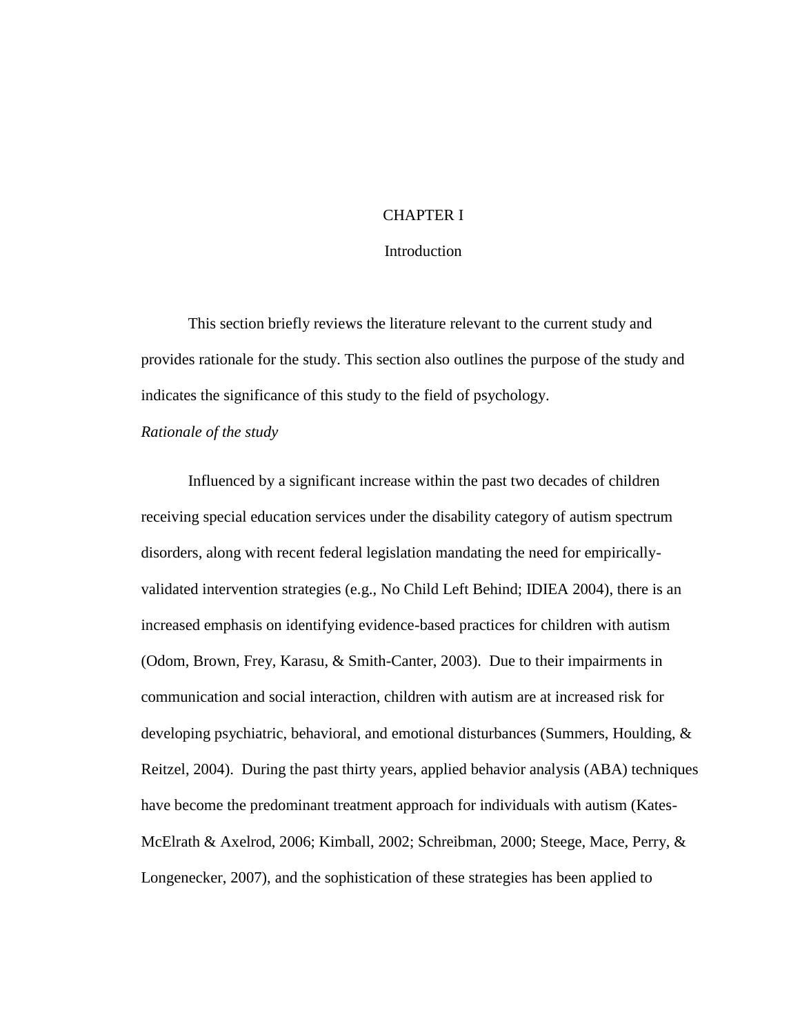# CHAPTER I

#### Introduction

This section briefly reviews the literature relevant to the current study and provides rationale for the study. This section also outlines the purpose of the study and indicates the significance of this study to the field of psychology.

#### *Rationale of the study*

Influenced by a significant increase within the past two decades of children receiving special education services under the disability category of autism spectrum disorders, along with recent federal legislation mandating the need for empiricallyvalidated intervention strategies (e.g., No Child Left Behind; IDIEA 2004), there is an increased emphasis on identifying evidence-based practices for children with autism (Odom, Brown, Frey, Karasu, & Smith-Canter, 2003). Due to their impairments in communication and social interaction, children with autism are at increased risk for developing psychiatric, behavioral, and emotional disturbances (Summers, Houlding, & Reitzel, 2004). During the past thirty years, applied behavior analysis (ABA) techniques have become the predominant treatment approach for individuals with autism (Kates-McElrath & Axelrod, 2006; Kimball, 2002; Schreibman, 2000; Steege, Mace, Perry, & Longenecker, 2007), and the sophistication of these strategies has been applied to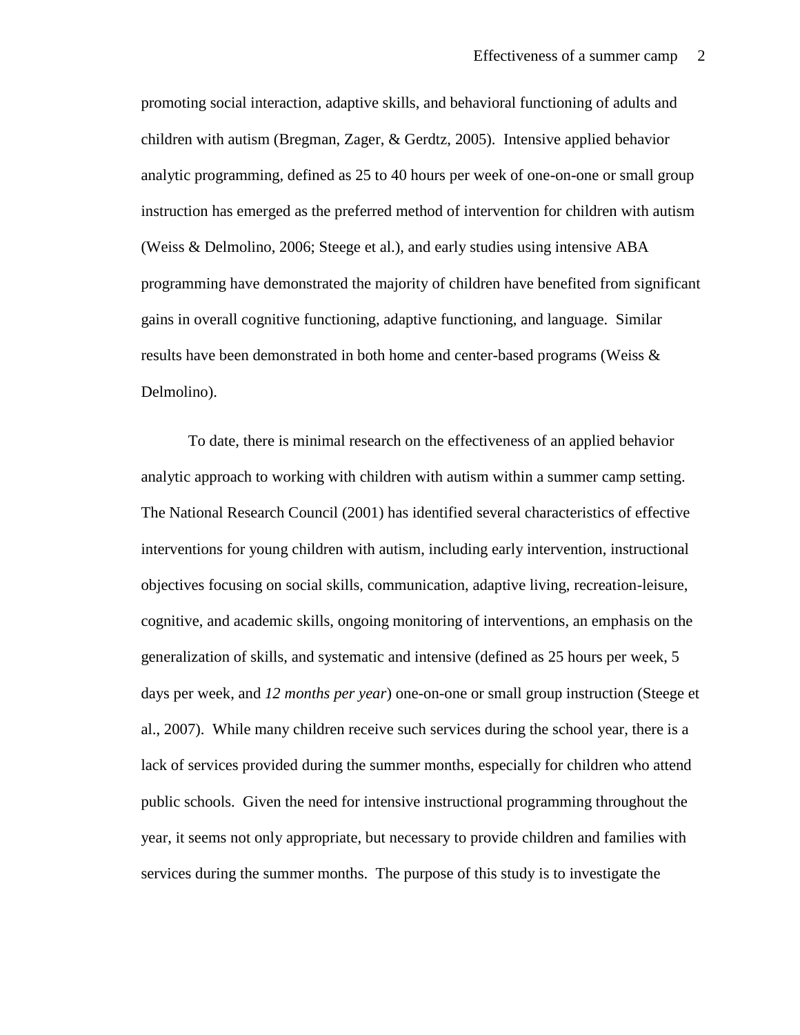promoting social interaction, adaptive skills, and behavioral functioning of adults and children with autism (Bregman, Zager, & Gerdtz, 2005). Intensive applied behavior analytic programming, defined as 25 to 40 hours per week of one-on-one or small group instruction has emerged as the preferred method of intervention for children with autism (Weiss & Delmolino, 2006; Steege et al.), and early studies using intensive ABA programming have demonstrated the majority of children have benefited from significant gains in overall cognitive functioning, adaptive functioning, and language. Similar results have been demonstrated in both home and center-based programs (Weiss & Delmolino).

To date, there is minimal research on the effectiveness of an applied behavior analytic approach to working with children with autism within a summer camp setting. The National Research Council (2001) has identified several characteristics of effective interventions for young children with autism, including early intervention, instructional objectives focusing on social skills, communication, adaptive living, recreation-leisure, cognitive, and academic skills, ongoing monitoring of interventions, an emphasis on the generalization of skills, and systematic and intensive (defined as 25 hours per week, 5 days per week, and *12 months per year*) one-on-one or small group instruction (Steege et al., 2007). While many children receive such services during the school year, there is a lack of services provided during the summer months, especially for children who attend public schools. Given the need for intensive instructional programming throughout the year, it seems not only appropriate, but necessary to provide children and families with services during the summer months. The purpose of this study is to investigate the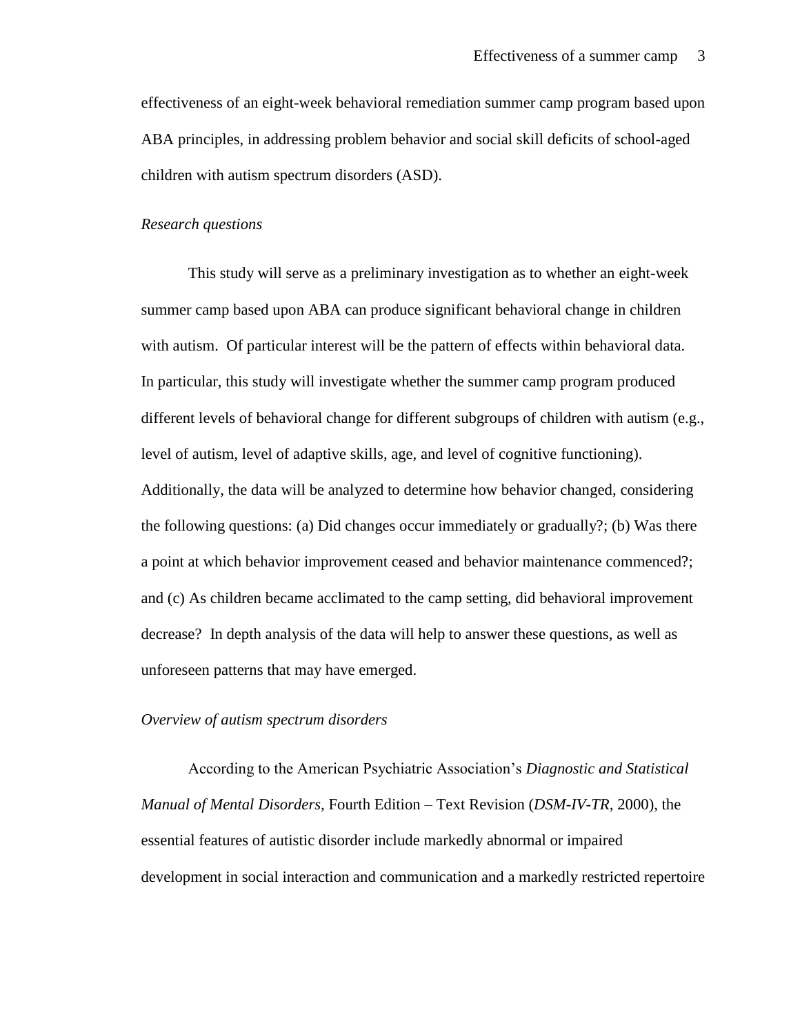effectiveness of an eight-week behavioral remediation summer camp program based upon ABA principles, in addressing problem behavior and social skill deficits of school-aged children with autism spectrum disorders (ASD).

#### *Research questions*

This study will serve as a preliminary investigation as to whether an eight-week summer camp based upon ABA can produce significant behavioral change in children with autism. Of particular interest will be the pattern of effects within behavioral data. In particular, this study will investigate whether the summer camp program produced different levels of behavioral change for different subgroups of children with autism (e.g., level of autism, level of adaptive skills, age, and level of cognitive functioning). Additionally, the data will be analyzed to determine how behavior changed, considering the following questions: (a) Did changes occur immediately or gradually?; (b) Was there a point at which behavior improvement ceased and behavior maintenance commenced?; and (c) As children became acclimated to the camp setting, did behavioral improvement decrease? In depth analysis of the data will help to answer these questions, as well as unforeseen patterns that may have emerged.

#### *Overview of autism spectrum disorders*

According to the American Psychiatric Association's *Diagnostic and Statistical Manual of Mental Disorders,* Fourth Edition – Text Revision (*DSM-IV-TR,* 2000), the essential features of autistic disorder include markedly abnormal or impaired development in social interaction and communication and a markedly restricted repertoire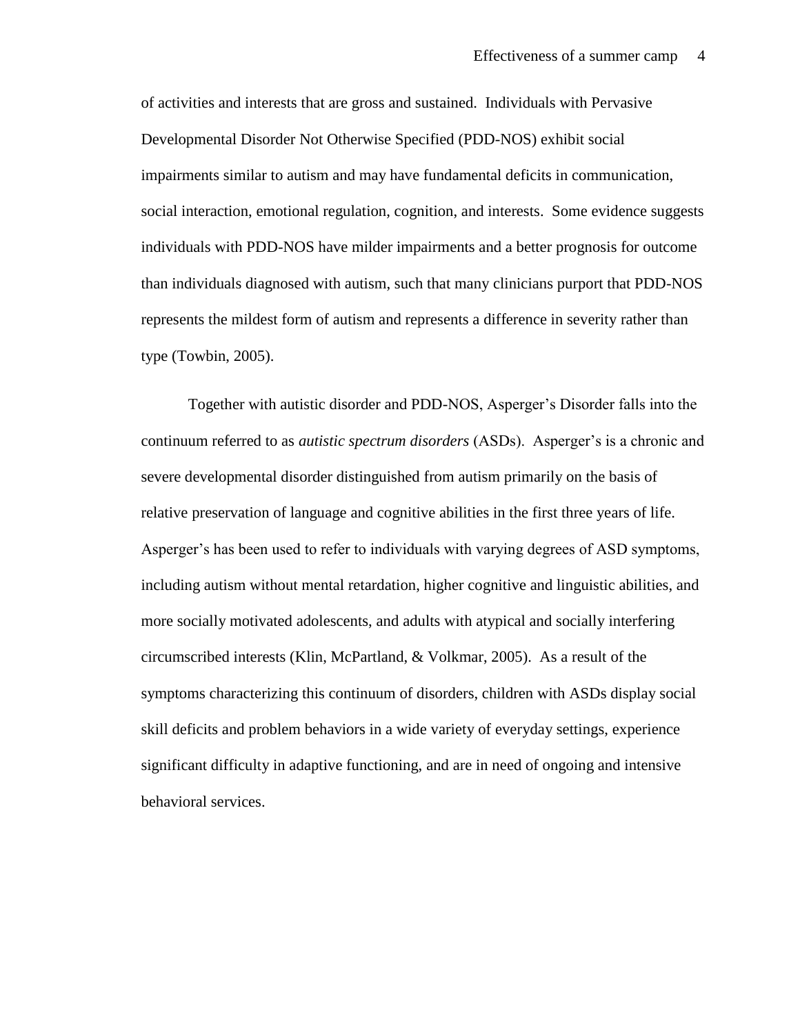of activities and interests that are gross and sustained. Individuals with Pervasive Developmental Disorder Not Otherwise Specified (PDD-NOS) exhibit social impairments similar to autism and may have fundamental deficits in communication, social interaction, emotional regulation, cognition, and interests. Some evidence suggests individuals with PDD-NOS have milder impairments and a better prognosis for outcome than individuals diagnosed with autism, such that many clinicians purport that PDD-NOS represents the mildest form of autism and represents a difference in severity rather than type (Towbin, 2005).

Together with autistic disorder and PDD-NOS, Asperger's Disorder falls into the continuum referred to as *autistic spectrum disorders* (ASDs). Asperger's is a chronic and severe developmental disorder distinguished from autism primarily on the basis of relative preservation of language and cognitive abilities in the first three years of life. Asperger's has been used to refer to individuals with varying degrees of ASD symptoms, including autism without mental retardation, higher cognitive and linguistic abilities, and more socially motivated adolescents, and adults with atypical and socially interfering circumscribed interests (Klin, McPartland, & Volkmar, 2005). As a result of the symptoms characterizing this continuum of disorders, children with ASDs display social skill deficits and problem behaviors in a wide variety of everyday settings, experience significant difficulty in adaptive functioning, and are in need of ongoing and intensive behavioral services.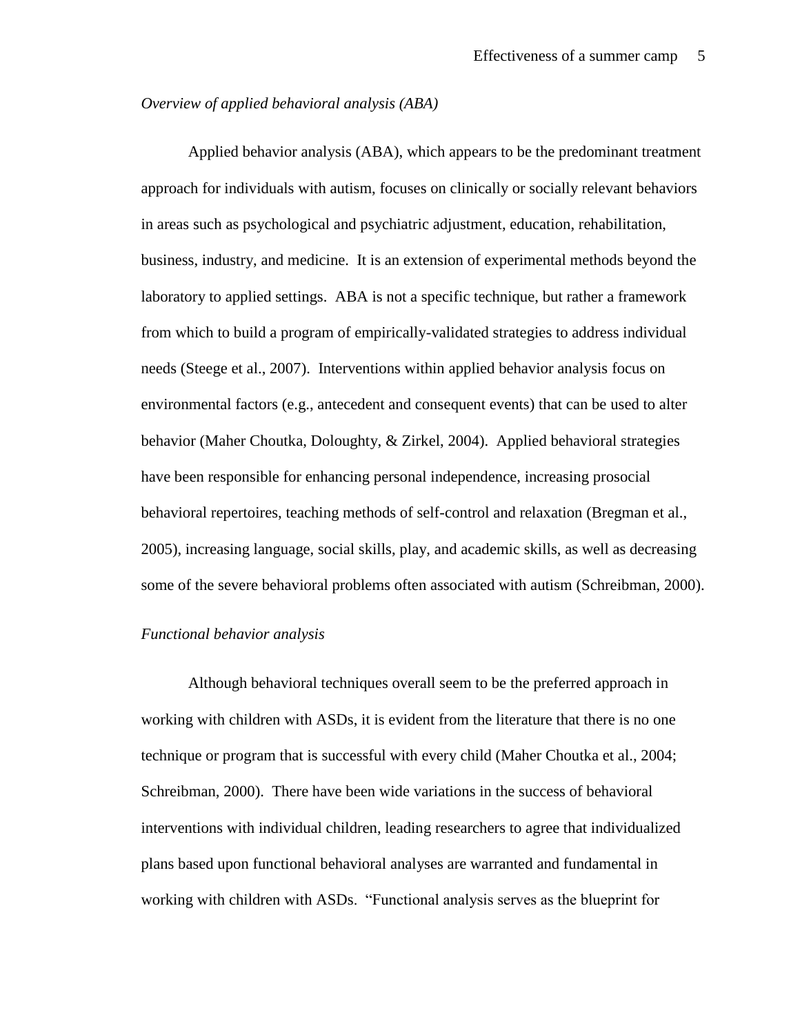#### *Overview of applied behavioral analysis (ABA)*

Applied behavior analysis (ABA), which appears to be the predominant treatment approach for individuals with autism, focuses on clinically or socially relevant behaviors in areas such as psychological and psychiatric adjustment, education, rehabilitation, business, industry, and medicine. It is an extension of experimental methods beyond the laboratory to applied settings. ABA is not a specific technique, but rather a framework from which to build a program of empirically-validated strategies to address individual needs (Steege et al., 2007). Interventions within applied behavior analysis focus on environmental factors (e.g., antecedent and consequent events) that can be used to alter behavior (Maher Choutka, Doloughty, & Zirkel, 2004). Applied behavioral strategies have been responsible for enhancing personal independence, increasing prosocial behavioral repertoires, teaching methods of self-control and relaxation (Bregman et al., 2005), increasing language, social skills, play, and academic skills, as well as decreasing some of the severe behavioral problems often associated with autism (Schreibman, 2000).

#### *Functional behavior analysis*

Although behavioral techniques overall seem to be the preferred approach in working with children with ASDs, it is evident from the literature that there is no one technique or program that is successful with every child (Maher Choutka et al., 2004; Schreibman, 2000). There have been wide variations in the success of behavioral interventions with individual children, leading researchers to agree that individualized plans based upon functional behavioral analyses are warranted and fundamental in working with children with ASDs. "Functional analysis serves as the blueprint for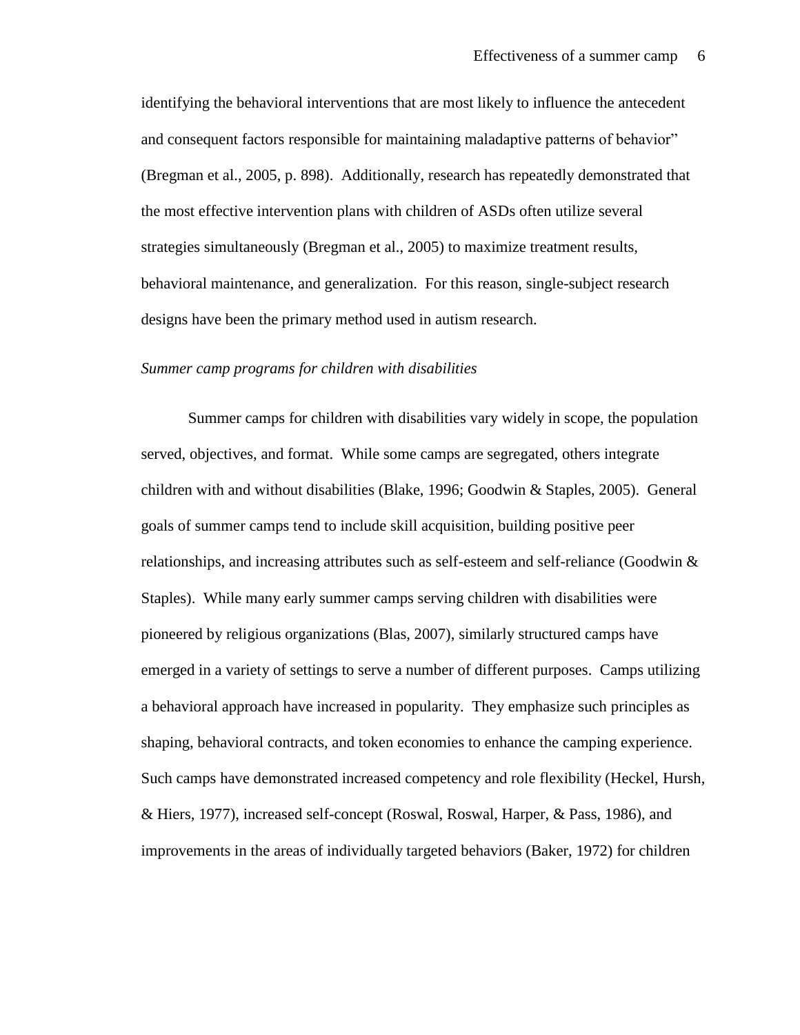identifying the behavioral interventions that are most likely to influence the antecedent and consequent factors responsible for maintaining maladaptive patterns of behavior" (Bregman et al., 2005, p. 898). Additionally, research has repeatedly demonstrated that the most effective intervention plans with children of ASDs often utilize several strategies simultaneously (Bregman et al., 2005) to maximize treatment results, behavioral maintenance, and generalization. For this reason, single-subject research designs have been the primary method used in autism research.

#### *Summer camp programs for children with disabilities*

Summer camps for children with disabilities vary widely in scope, the population served, objectives, and format. While some camps are segregated, others integrate children with and without disabilities (Blake, 1996; Goodwin & Staples, 2005). General goals of summer camps tend to include skill acquisition, building positive peer relationships, and increasing attributes such as self-esteem and self-reliance (Goodwin & Staples). While many early summer camps serving children with disabilities were pioneered by religious organizations (Blas, 2007), similarly structured camps have emerged in a variety of settings to serve a number of different purposes. Camps utilizing a behavioral approach have increased in popularity. They emphasize such principles as shaping, behavioral contracts, and token economies to enhance the camping experience. Such camps have demonstrated increased competency and role flexibility (Heckel, Hursh, & Hiers, 1977), increased self-concept (Roswal, Roswal, Harper, & Pass, 1986), and improvements in the areas of individually targeted behaviors (Baker, 1972) for children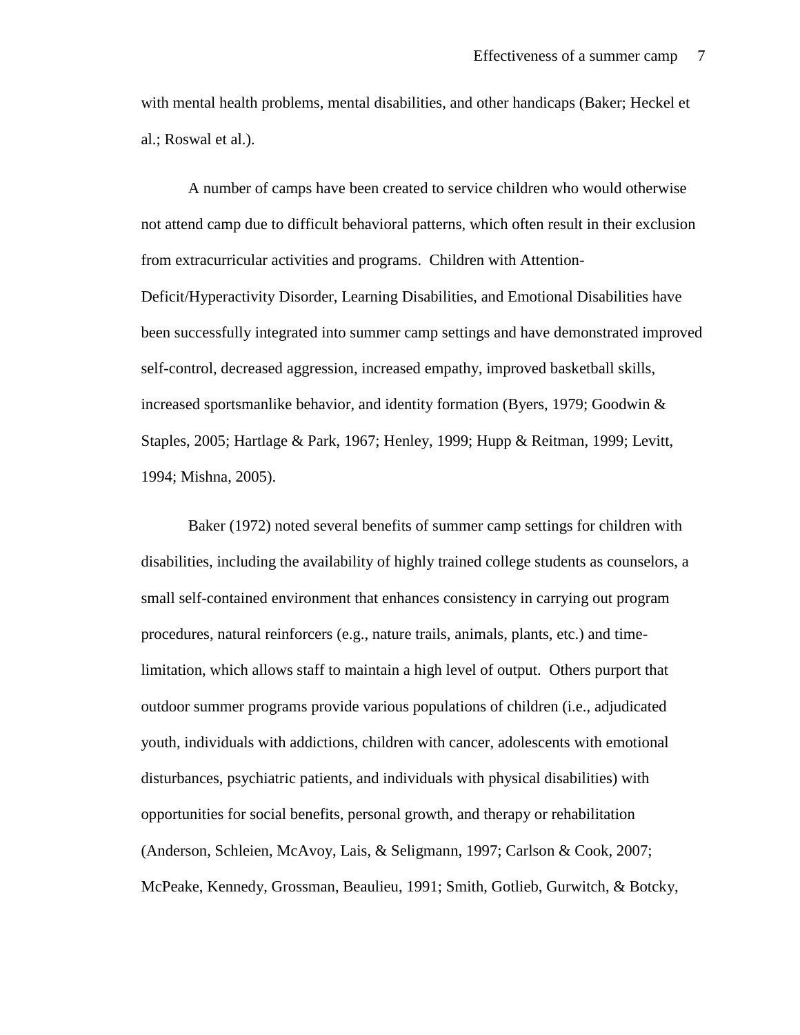with mental health problems, mental disabilities, and other handicaps (Baker; Heckel et al.; Roswal et al.).

A number of camps have been created to service children who would otherwise not attend camp due to difficult behavioral patterns, which often result in their exclusion from extracurricular activities and programs. Children with Attention-Deficit/Hyperactivity Disorder, Learning Disabilities, and Emotional Disabilities have been successfully integrated into summer camp settings and have demonstrated improved self-control, decreased aggression, increased empathy, improved basketball skills, increased sportsmanlike behavior, and identity formation (Byers, 1979; Goodwin & Staples, 2005; Hartlage & Park, 1967; Henley, 1999; Hupp & Reitman, 1999; Levitt, 1994; Mishna, 2005).

Baker (1972) noted several benefits of summer camp settings for children with disabilities, including the availability of highly trained college students as counselors, a small self-contained environment that enhances consistency in carrying out program procedures, natural reinforcers (e.g., nature trails, animals, plants, etc.) and timelimitation, which allows staff to maintain a high level of output. Others purport that outdoor summer programs provide various populations of children (i.e., adjudicated youth, individuals with addictions, children with cancer, adolescents with emotional disturbances, psychiatric patients, and individuals with physical disabilities) with opportunities for social benefits, personal growth, and therapy or rehabilitation (Anderson, Schleien, McAvoy, Lais, & Seligmann, 1997; Carlson & Cook, 2007; McPeake, Kennedy, Grossman, Beaulieu, 1991; Smith, Gotlieb, Gurwitch, & Botcky,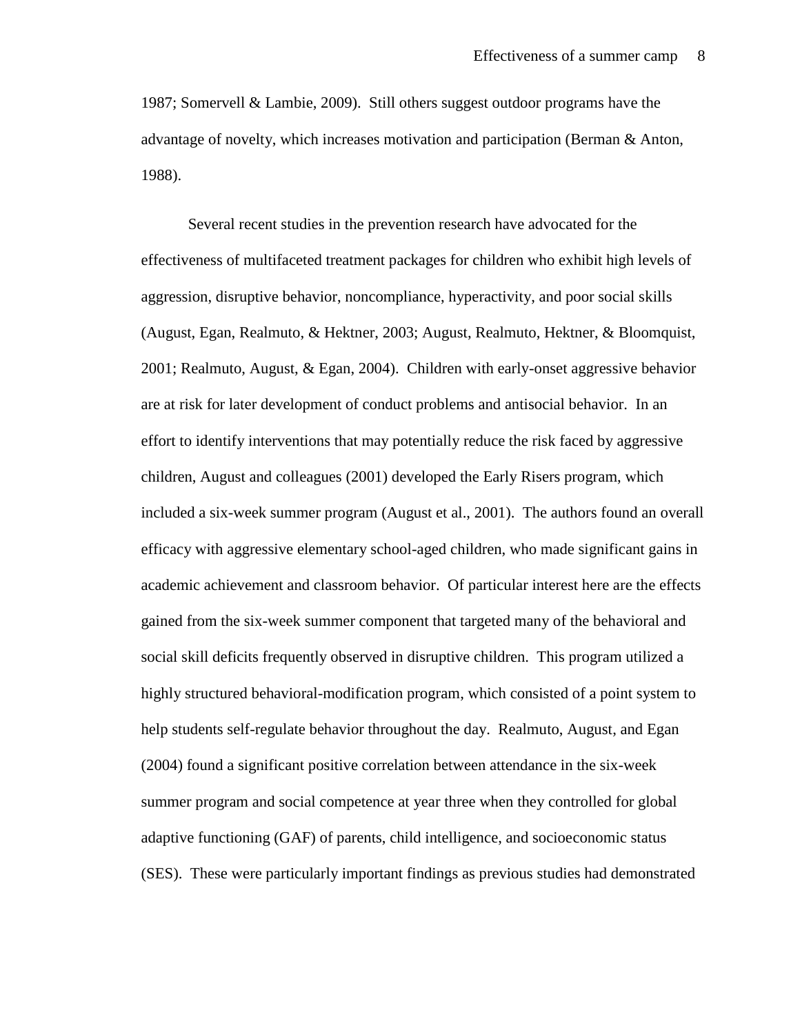1987; Somervell & Lambie, 2009). Still others suggest outdoor programs have the advantage of novelty, which increases motivation and participation (Berman & Anton, 1988).

Several recent studies in the prevention research have advocated for the effectiveness of multifaceted treatment packages for children who exhibit high levels of aggression, disruptive behavior, noncompliance, hyperactivity, and poor social skills (August, Egan, Realmuto, & Hektner, 2003; August, Realmuto, Hektner, & Bloomquist, 2001; Realmuto, August, & Egan, 2004). Children with early-onset aggressive behavior are at risk for later development of conduct problems and antisocial behavior. In an effort to identify interventions that may potentially reduce the risk faced by aggressive children, August and colleagues (2001) developed the Early Risers program, which included a six-week summer program (August et al., 2001). The authors found an overall efficacy with aggressive elementary school-aged children, who made significant gains in academic achievement and classroom behavior. Of particular interest here are the effects gained from the six-week summer component that targeted many of the behavioral and social skill deficits frequently observed in disruptive children. This program utilized a highly structured behavioral-modification program, which consisted of a point system to help students self-regulate behavior throughout the day. Realmuto, August, and Egan (2004) found a significant positive correlation between attendance in the six-week summer program and social competence at year three when they controlled for global adaptive functioning (GAF) of parents, child intelligence, and socioeconomic status (SES). These were particularly important findings as previous studies had demonstrated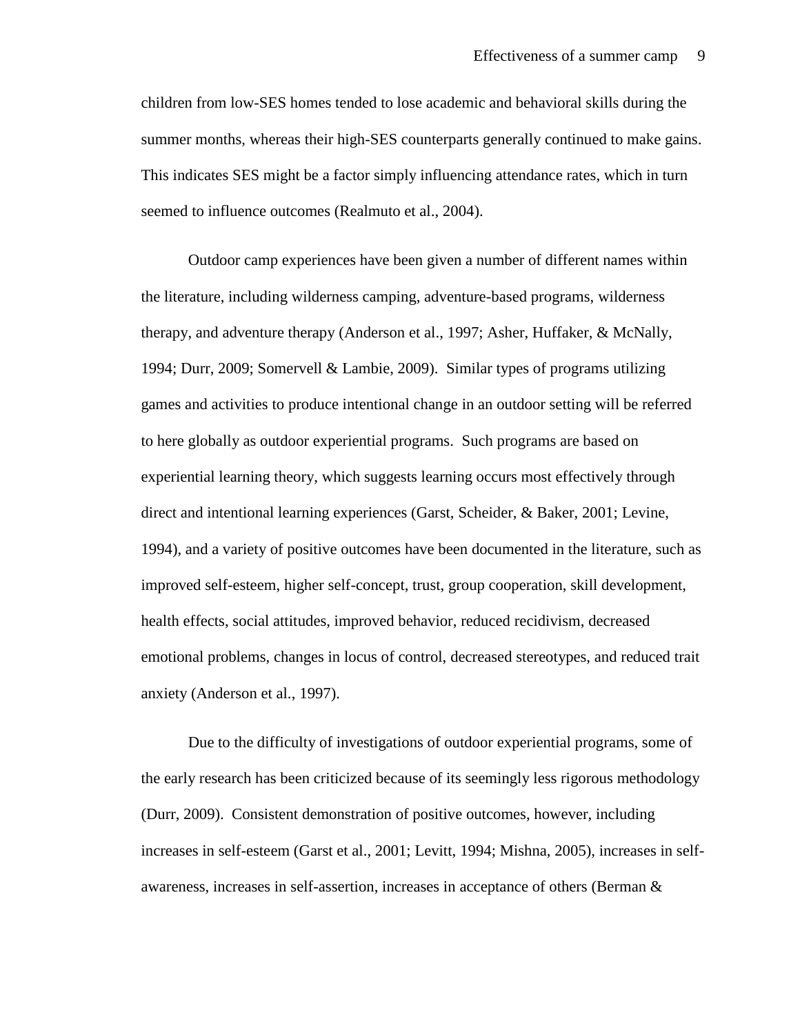children from low-SES homes tended to lose academic and behavioral skills during the summer months, whereas their high-SES counterparts generally continued to make gains. This indicates SES might be a factor simply influencing attendance rates, which in turn seemed to influence outcomes (Realmuto et al., 2004).

Outdoor camp experiences have been given a number of different names within the literature, including wilderness camping, adventure-based programs, wilderness therapy, and adventure therapy (Anderson et al., 1997; Asher, Huffaker, & McNally, 1994; Durr, 2009; Somervell & Lambie, 2009). Similar types of programs utilizing games and activities to produce intentional change in an outdoor setting will be referred to here globally as outdoor experiential programs. Such programs are based on experiential learning theory, which suggests learning occurs most effectively through direct and intentional learning experiences (Garst, Scheider, & Baker, 2001; Levine, 1994), and a variety of positive outcomes have been documented in the literature, such as improved self-esteem, higher self-concept, trust, group cooperation, skill development, health effects, social attitudes, improved behavior, reduced recidivism, decreased emotional problems, changes in locus of control, decreased stereotypes, and reduced trait anxiety (Anderson et al., 1997).

Due to the difficulty of investigations of outdoor experiential programs, some of the early research has been criticized because of its seemingly less rigorous methodology (Durr, 2009). Consistent demonstration of positive outcomes, however, including increases in self-esteem (Garst et al., 2001; Levitt, 1994; Mishna, 2005), increases in selfawareness, increases in self-assertion, increases in acceptance of others (Berman &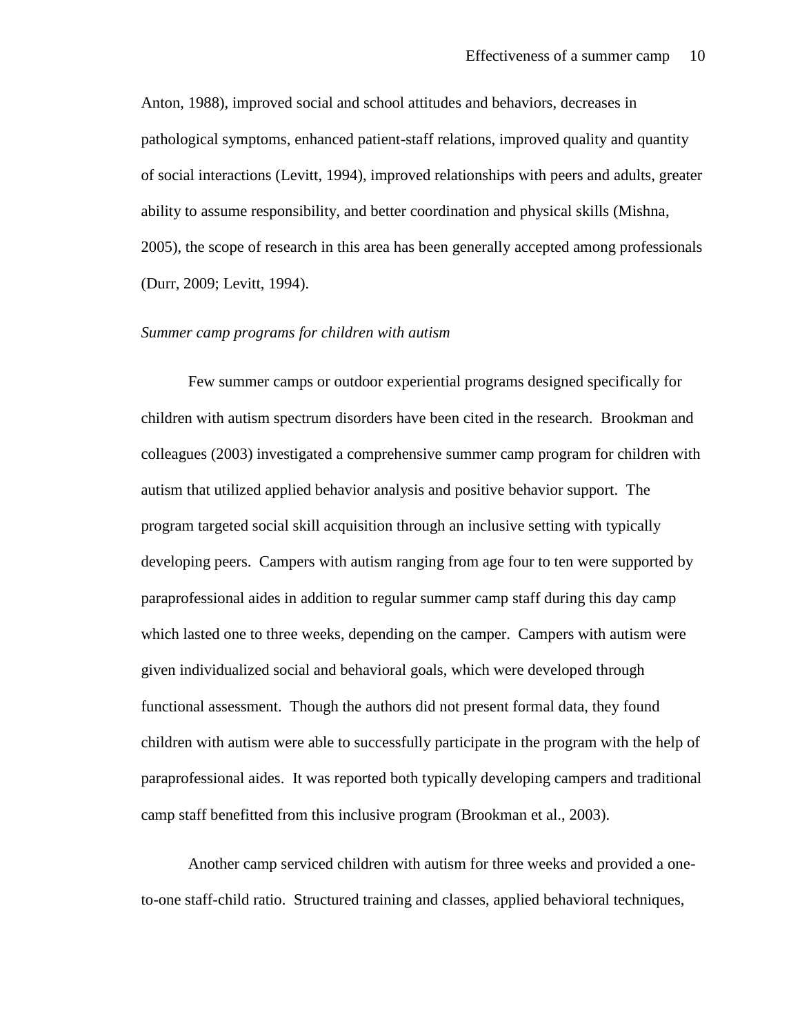Anton, 1988), improved social and school attitudes and behaviors, decreases in pathological symptoms, enhanced patient-staff relations, improved quality and quantity of social interactions (Levitt, 1994), improved relationships with peers and adults, greater ability to assume responsibility, and better coordination and physical skills (Mishna, 2005), the scope of research in this area has been generally accepted among professionals (Durr, 2009; Levitt, 1994).

#### *Summer camp programs for children with autism*

Few summer camps or outdoor experiential programs designed specifically for children with autism spectrum disorders have been cited in the research. Brookman and colleagues (2003) investigated a comprehensive summer camp program for children with autism that utilized applied behavior analysis and positive behavior support. The program targeted social skill acquisition through an inclusive setting with typically developing peers. Campers with autism ranging from age four to ten were supported by paraprofessional aides in addition to regular summer camp staff during this day camp which lasted one to three weeks, depending on the camper. Campers with autism were given individualized social and behavioral goals, which were developed through functional assessment. Though the authors did not present formal data, they found children with autism were able to successfully participate in the program with the help of paraprofessional aides. It was reported both typically developing campers and traditional camp staff benefitted from this inclusive program (Brookman et al., 2003).

Another camp serviced children with autism for three weeks and provided a oneto-one staff-child ratio. Structured training and classes, applied behavioral techniques,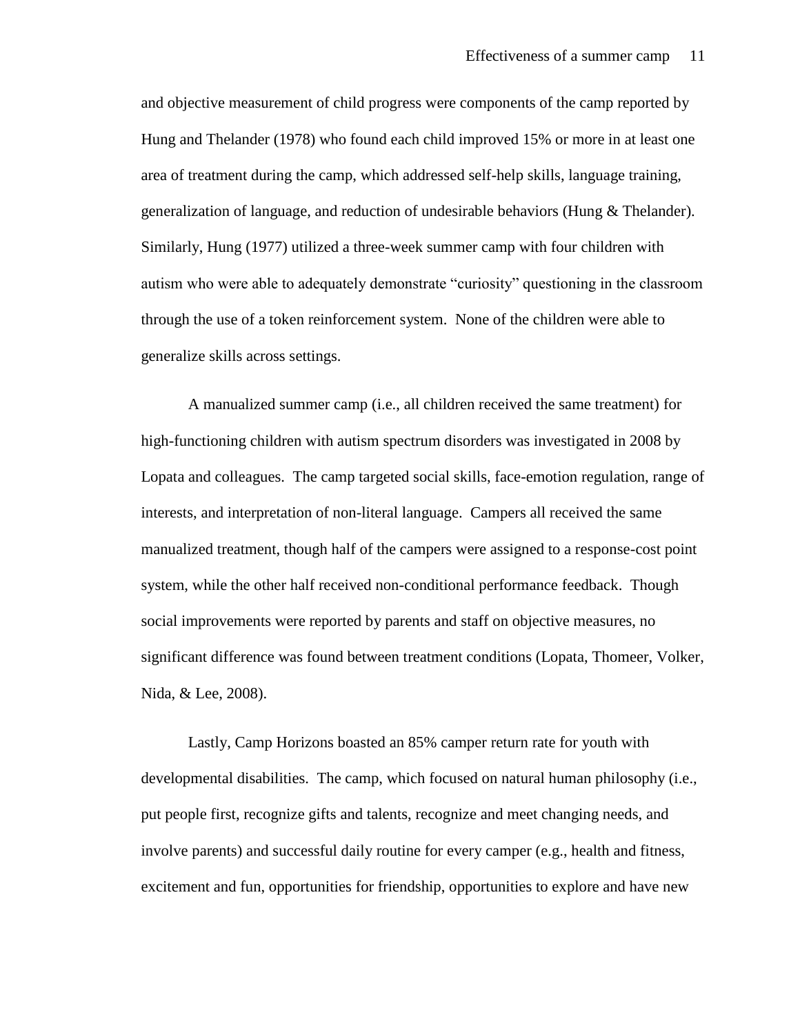and objective measurement of child progress were components of the camp reported by Hung and Thelander (1978) who found each child improved 15% or more in at least one area of treatment during the camp, which addressed self-help skills, language training, generalization of language, and reduction of undesirable behaviors (Hung & Thelander). Similarly, Hung (1977) utilized a three-week summer camp with four children with autism who were able to adequately demonstrate "curiosity" questioning in the classroom through the use of a token reinforcement system. None of the children were able to generalize skills across settings.

A manualized summer camp (i.e., all children received the same treatment) for high-functioning children with autism spectrum disorders was investigated in 2008 by Lopata and colleagues. The camp targeted social skills, face-emotion regulation, range of interests, and interpretation of non-literal language. Campers all received the same manualized treatment, though half of the campers were assigned to a response-cost point system, while the other half received non-conditional performance feedback. Though social improvements were reported by parents and staff on objective measures, no significant difference was found between treatment conditions (Lopata, Thomeer, Volker, Nida, & Lee, 2008).

Lastly, Camp Horizons boasted an 85% camper return rate for youth with developmental disabilities. The camp, which focused on natural human philosophy (i.e., put people first, recognize gifts and talents, recognize and meet changing needs, and involve parents) and successful daily routine for every camper (e.g., health and fitness, excitement and fun, opportunities for friendship, opportunities to explore and have new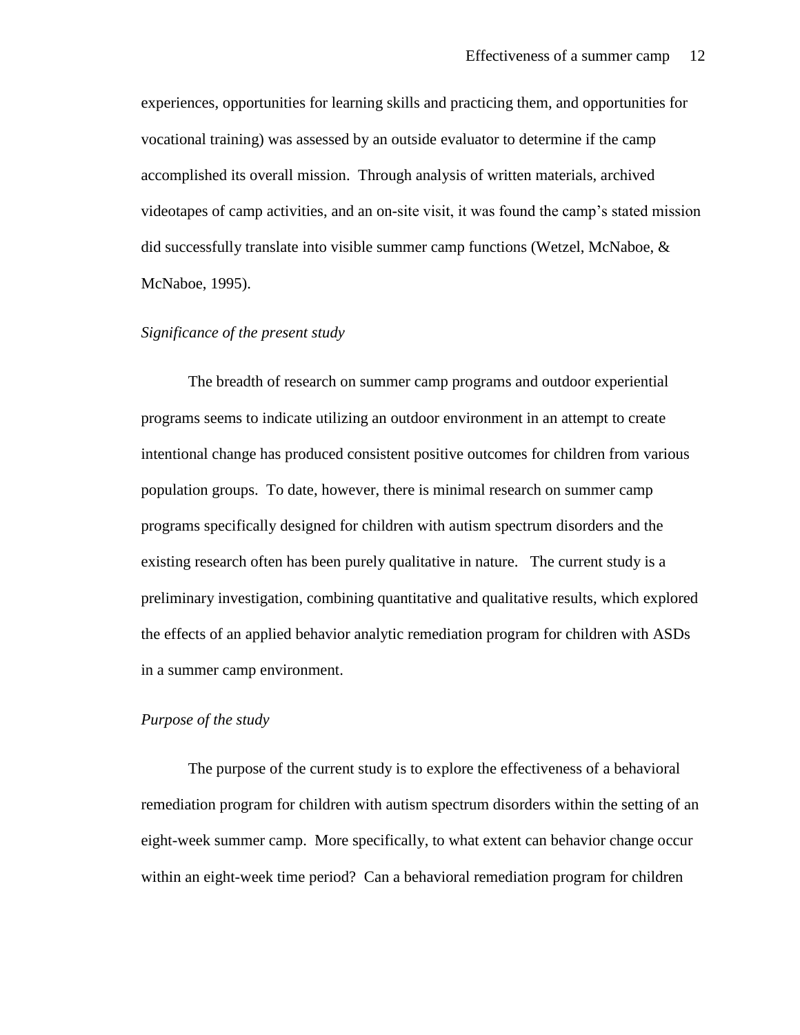experiences, opportunities for learning skills and practicing them, and opportunities for vocational training) was assessed by an outside evaluator to determine if the camp accomplished its overall mission. Through analysis of written materials, archived videotapes of camp activities, and an on-site visit, it was found the camp's stated mission did successfully translate into visible summer camp functions (Wetzel, McNaboe, & McNaboe, 1995).

# *Significance of the present study*

The breadth of research on summer camp programs and outdoor experiential programs seems to indicate utilizing an outdoor environment in an attempt to create intentional change has produced consistent positive outcomes for children from various population groups. To date, however, there is minimal research on summer camp programs specifically designed for children with autism spectrum disorders and the existing research often has been purely qualitative in nature. The current study is a preliminary investigation, combining quantitative and qualitative results, which explored the effects of an applied behavior analytic remediation program for children with ASDs in a summer camp environment.

#### *Purpose of the study*

The purpose of the current study is to explore the effectiveness of a behavioral remediation program for children with autism spectrum disorders within the setting of an eight-week summer camp. More specifically, to what extent can behavior change occur within an eight-week time period? Can a behavioral remediation program for children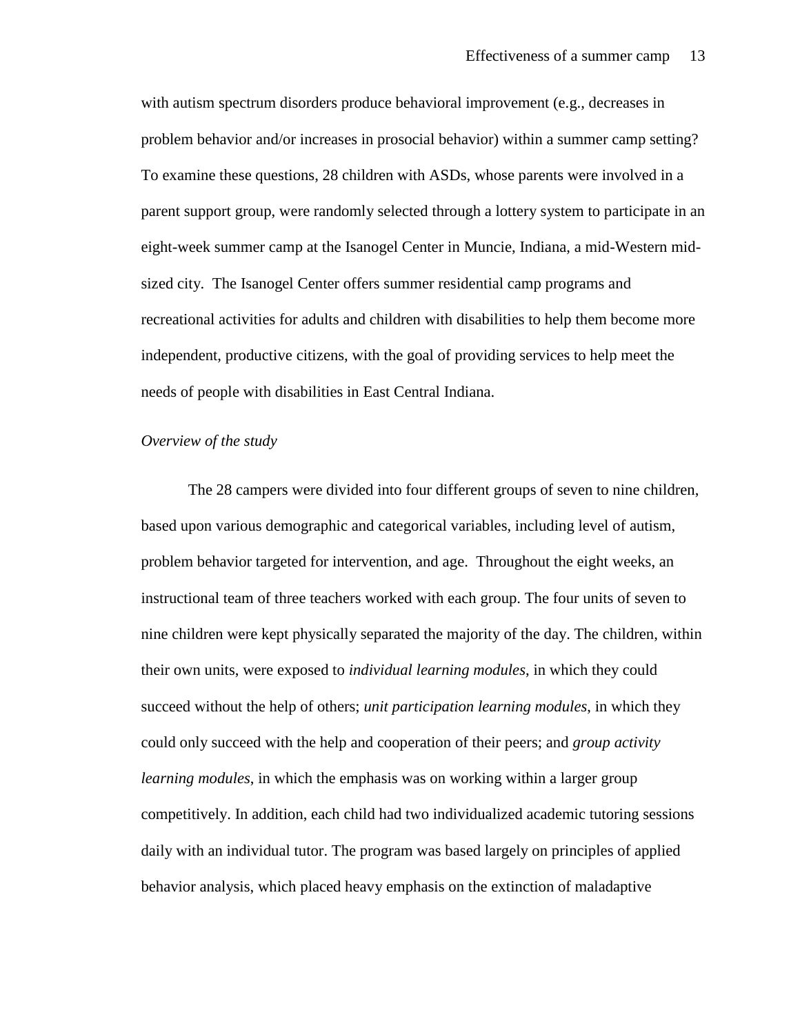with autism spectrum disorders produce behavioral improvement (e.g., decreases in problem behavior and/or increases in prosocial behavior) within a summer camp setting? To examine these questions, 28 children with ASDs, whose parents were involved in a parent support group, were randomly selected through a lottery system to participate in an eight-week summer camp at the Isanogel Center in Muncie, Indiana, a mid-Western midsized city. The Isanogel Center offers summer residential camp programs and recreational activities for adults and children with disabilities to help them become more independent, productive citizens, with the goal of providing services to help meet the needs of people with disabilities in East Central Indiana.

#### *Overview of the study*

The 28 campers were divided into four different groups of seven to nine children, based upon various demographic and categorical variables, including level of autism, problem behavior targeted for intervention, and age. Throughout the eight weeks, an instructional team of three teachers worked with each group. The four units of seven to nine children were kept physically separated the majority of the day. The children, within their own units, were exposed to *individual learning modules*, in which they could succeed without the help of others; *unit participation learning modules*, in which they could only succeed with the help and cooperation of their peers; and *group activity learning modules*, in which the emphasis was on working within a larger group competitively. In addition, each child had two individualized academic tutoring sessions daily with an individual tutor. The program was based largely on principles of applied behavior analysis, which placed heavy emphasis on the extinction of maladaptive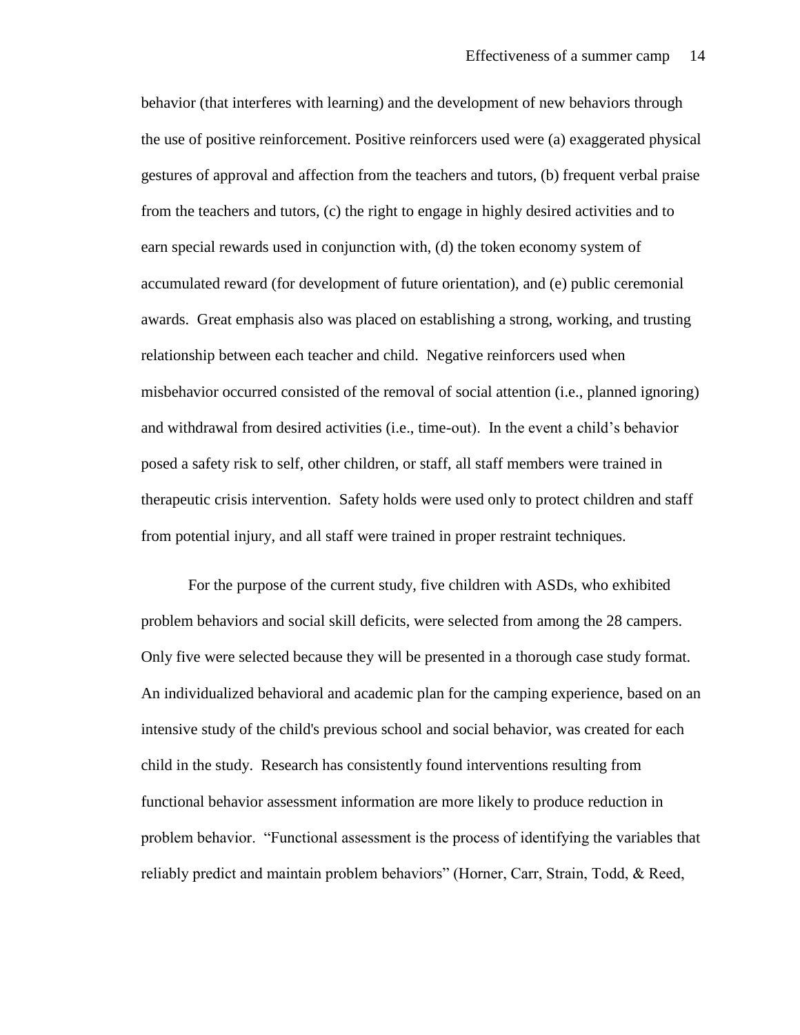behavior (that interferes with learning) and the development of new behaviors through the use of positive reinforcement. Positive reinforcers used were (a) exaggerated physical gestures of approval and affection from the teachers and tutors, (b) frequent verbal praise from the teachers and tutors, (c) the right to engage in highly desired activities and to earn special rewards used in conjunction with, (d) the token economy system of accumulated reward (for development of future orientation), and (e) public ceremonial awards. Great emphasis also was placed on establishing a strong, working, and trusting relationship between each teacher and child. Negative reinforcers used when misbehavior occurred consisted of the removal of social attention (i.e., planned ignoring) and withdrawal from desired activities (i.e., time-out). In the event a child's behavior posed a safety risk to self, other children, or staff, all staff members were trained in therapeutic crisis intervention. Safety holds were used only to protect children and staff from potential injury, and all staff were trained in proper restraint techniques.

For the purpose of the current study, five children with ASDs, who exhibited problem behaviors and social skill deficits, were selected from among the 28 campers. Only five were selected because they will be presented in a thorough case study format. An individualized behavioral and academic plan for the camping experience, based on an intensive study of the child's previous school and social behavior, was created for each child in the study. Research has consistently found interventions resulting from functional behavior assessment information are more likely to produce reduction in problem behavior. "Functional assessment is the process of identifying the variables that reliably predict and maintain problem behaviors" (Horner, Carr, Strain, Todd, & Reed,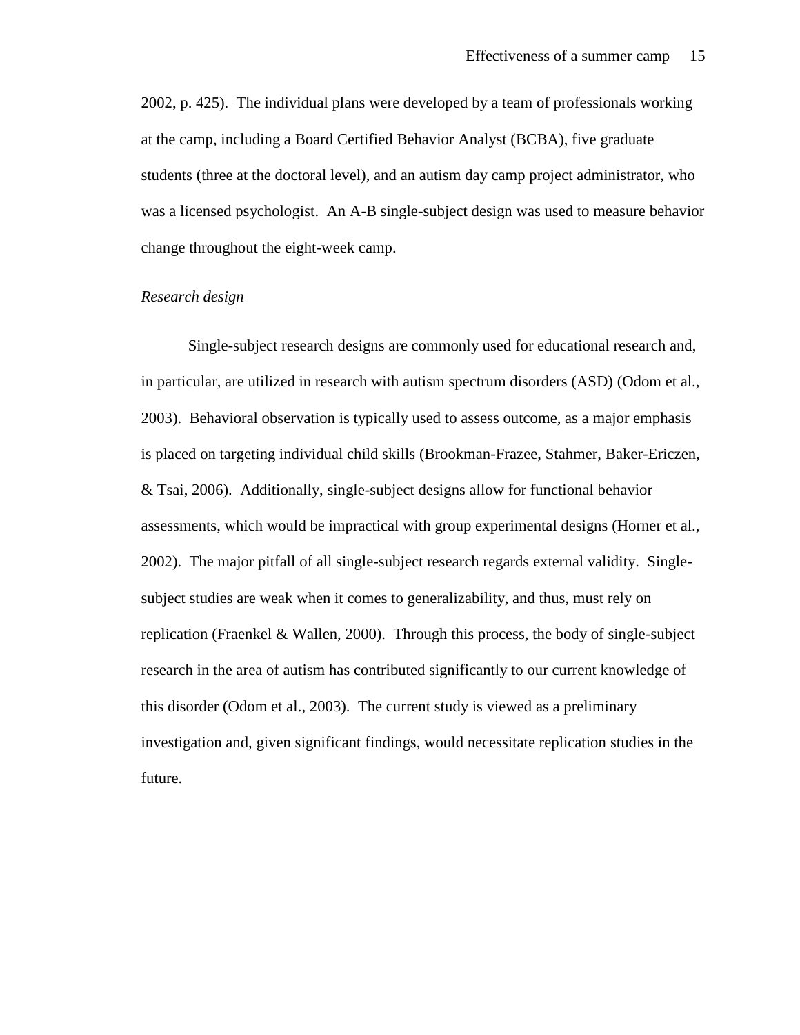2002, p. 425). The individual plans were developed by a team of professionals working at the camp, including a Board Certified Behavior Analyst (BCBA), five graduate students (three at the doctoral level), and an autism day camp project administrator, who was a licensed psychologist. An A-B single-subject design was used to measure behavior change throughout the eight-week camp.

#### *Research design*

Single-subject research designs are commonly used for educational research and, in particular, are utilized in research with autism spectrum disorders (ASD) (Odom et al., 2003). Behavioral observation is typically used to assess outcome, as a major emphasis is placed on targeting individual child skills (Brookman-Frazee, Stahmer, Baker-Ericzen, & Tsai, 2006). Additionally, single-subject designs allow for functional behavior assessments, which would be impractical with group experimental designs (Horner et al., 2002). The major pitfall of all single-subject research regards external validity. Singlesubject studies are weak when it comes to generalizability, and thus, must rely on replication (Fraenkel & Wallen, 2000). Through this process, the body of single-subject research in the area of autism has contributed significantly to our current knowledge of this disorder (Odom et al., 2003). The current study is viewed as a preliminary investigation and, given significant findings, would necessitate replication studies in the future.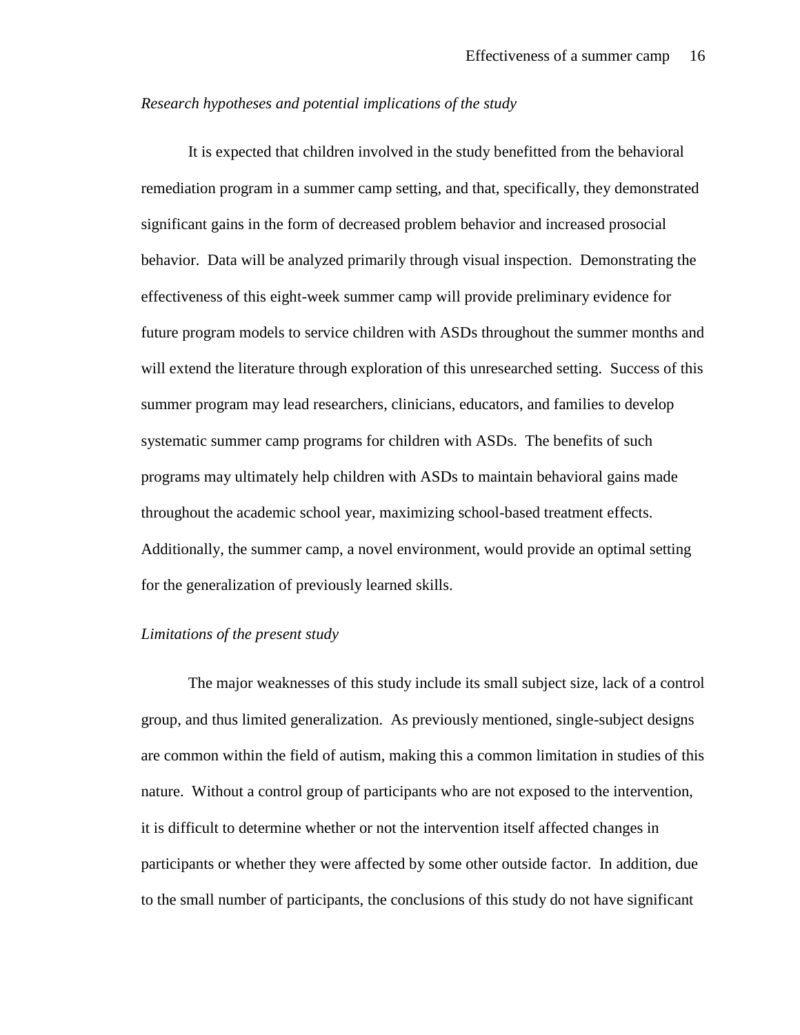#### *Research hypotheses and potential implications of the study*

It is expected that children involved in the study benefitted from the behavioral remediation program in a summer camp setting, and that, specifically, they demonstrated significant gains in the form of decreased problem behavior and increased prosocial behavior. Data will be analyzed primarily through visual inspection. Demonstrating the effectiveness of this eight-week summer camp will provide preliminary evidence for future program models to service children with ASDs throughout the summer months and will extend the literature through exploration of this unresearched setting. Success of this summer program may lead researchers, clinicians, educators, and families to develop systematic summer camp programs for children with ASDs. The benefits of such programs may ultimately help children with ASDs to maintain behavioral gains made throughout the academic school year, maximizing school-based treatment effects. Additionally, the summer camp, a novel environment, would provide an optimal setting for the generalization of previously learned skills.

#### *Limitations of the present study*

The major weaknesses of this study include its small subject size, lack of a control group, and thus limited generalization. As previously mentioned, single-subject designs are common within the field of autism, making this a common limitation in studies of this nature. Without a control group of participants who are not exposed to the intervention, it is difficult to determine whether or not the intervention itself affected changes in participants or whether they were affected by some other outside factor. In addition, due to the small number of participants, the conclusions of this study do not have significant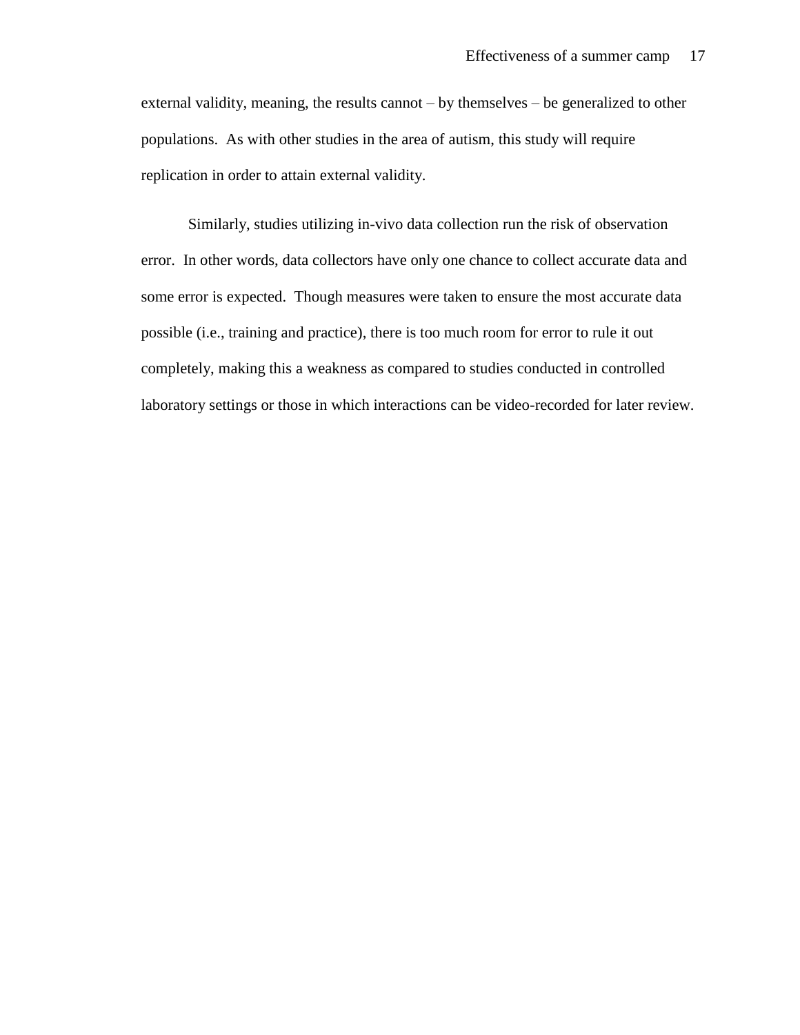external validity, meaning, the results cannot – by themselves – be generalized to other populations. As with other studies in the area of autism, this study will require replication in order to attain external validity.

Similarly, studies utilizing in-vivo data collection run the risk of observation error. In other words, data collectors have only one chance to collect accurate data and some error is expected. Though measures were taken to ensure the most accurate data possible (i.e., training and practice), there is too much room for error to rule it out completely, making this a weakness as compared to studies conducted in controlled laboratory settings or those in which interactions can be video-recorded for later review.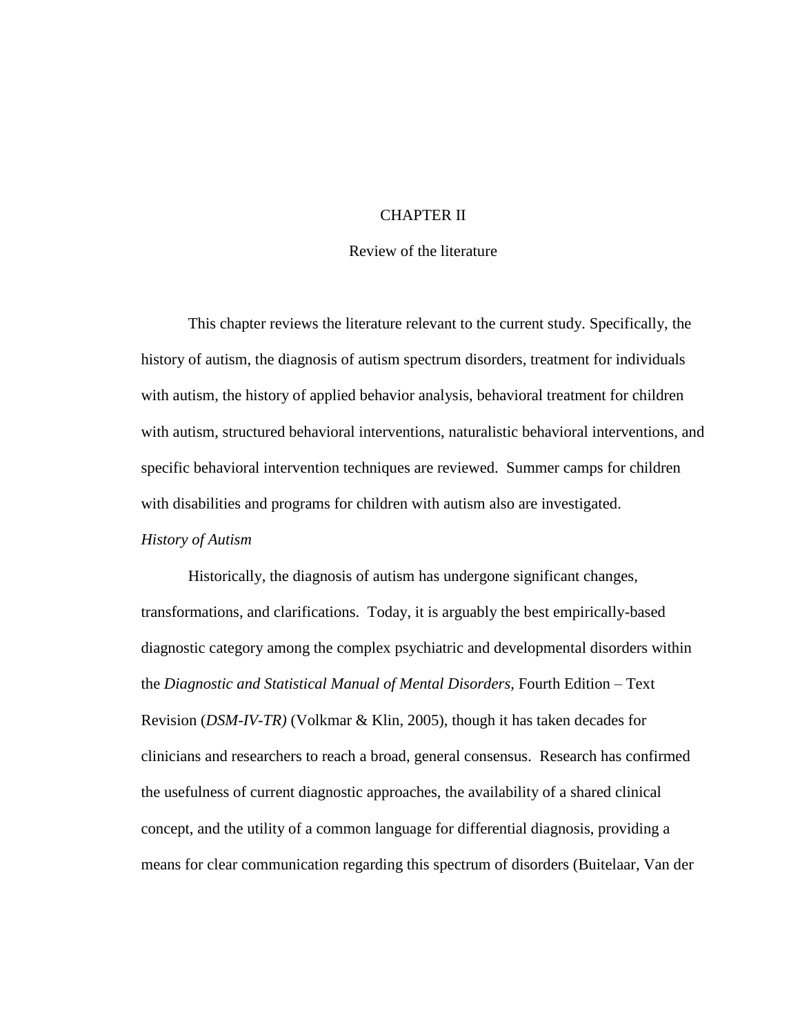# CHAPTER II

#### Review of the literature

This chapter reviews the literature relevant to the current study. Specifically, the history of autism, the diagnosis of autism spectrum disorders, treatment for individuals with autism, the history of applied behavior analysis, behavioral treatment for children with autism, structured behavioral interventions, naturalistic behavioral interventions, and specific behavioral intervention techniques are reviewed. Summer camps for children with disabilities and programs for children with autism also are investigated.

#### *History of Autism*

Historically, the diagnosis of autism has undergone significant changes, transformations, and clarifications. Today, it is arguably the best empirically-based diagnostic category among the complex psychiatric and developmental disorders within the *Diagnostic and Statistical Manual of Mental Disorders,* Fourth Edition – Text Revision (*DSM-IV-TR)* (Volkmar & Klin, 2005), though it has taken decades for clinicians and researchers to reach a broad, general consensus. Research has confirmed the usefulness of current diagnostic approaches, the availability of a shared clinical concept, and the utility of a common language for differential diagnosis, providing a means for clear communication regarding this spectrum of disorders (Buitelaar, Van der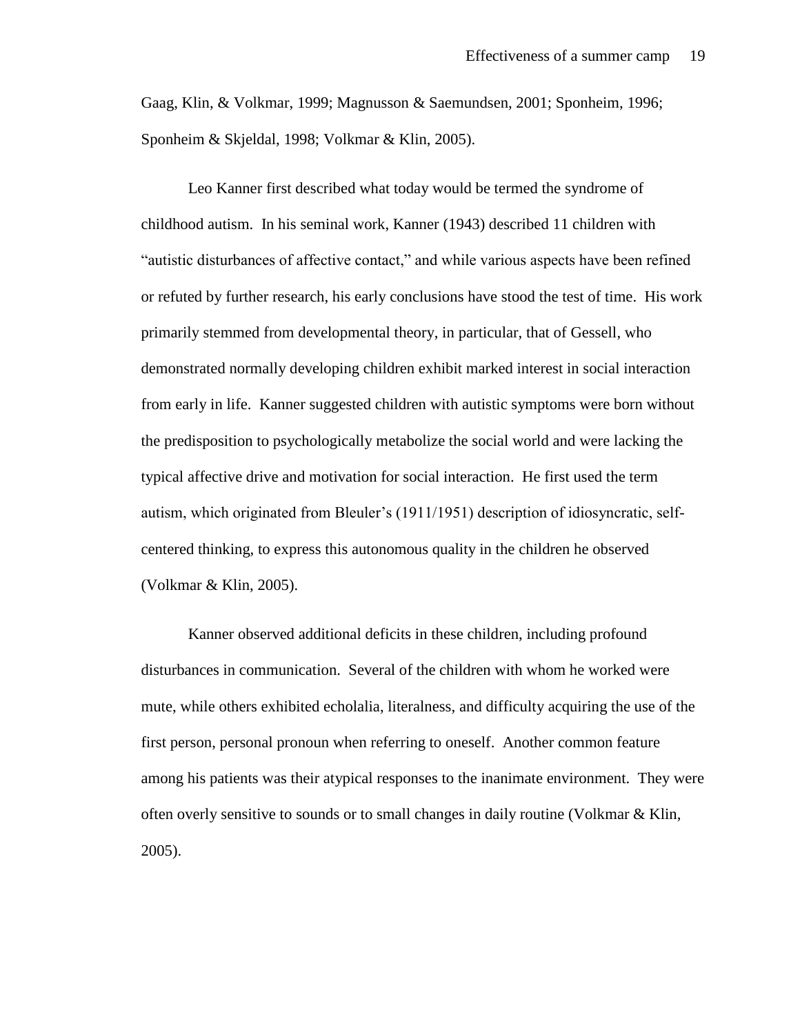Gaag, Klin, & Volkmar, 1999; Magnusson & Saemundsen, 2001; Sponheim, 1996; Sponheim & Skjeldal, 1998; Volkmar & Klin, 2005).

Leo Kanner first described what today would be termed the syndrome of childhood autism. In his seminal work, Kanner (1943) described 11 children with "autistic disturbances of affective contact," and while various aspects have been refined or refuted by further research, his early conclusions have stood the test of time. His work primarily stemmed from developmental theory, in particular, that of Gessell, who demonstrated normally developing children exhibit marked interest in social interaction from early in life. Kanner suggested children with autistic symptoms were born without the predisposition to psychologically metabolize the social world and were lacking the typical affective drive and motivation for social interaction. He first used the term autism, which originated from Bleuler's (1911/1951) description of idiosyncratic, selfcentered thinking, to express this autonomous quality in the children he observed (Volkmar & Klin, 2005).

Kanner observed additional deficits in these children, including profound disturbances in communication. Several of the children with whom he worked were mute, while others exhibited echolalia, literalness, and difficulty acquiring the use of the first person, personal pronoun when referring to oneself. Another common feature among his patients was their atypical responses to the inanimate environment. They were often overly sensitive to sounds or to small changes in daily routine (Volkmar & Klin, 2005).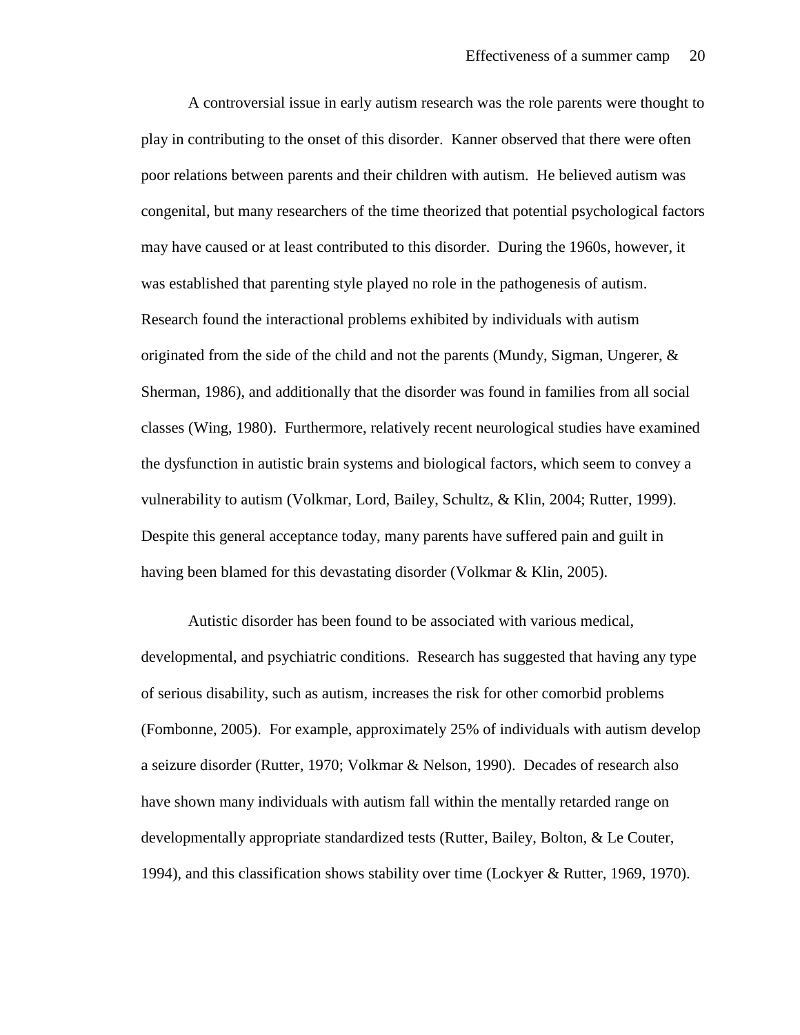A controversial issue in early autism research was the role parents were thought to play in contributing to the onset of this disorder. Kanner observed that there were often poor relations between parents and their children with autism. He believed autism was congenital, but many researchers of the time theorized that potential psychological factors may have caused or at least contributed to this disorder. During the 1960s, however, it was established that parenting style played no role in the pathogenesis of autism. Research found the interactional problems exhibited by individuals with autism originated from the side of the child and not the parents (Mundy, Sigman, Ungerer,  $\&$ Sherman, 1986), and additionally that the disorder was found in families from all social classes (Wing, 1980). Furthermore, relatively recent neurological studies have examined the dysfunction in autistic brain systems and biological factors, which seem to convey a vulnerability to autism (Volkmar, Lord, Bailey, Schultz, & Klin, 2004; Rutter, 1999). Despite this general acceptance today, many parents have suffered pain and guilt in having been blamed for this devastating disorder (Volkmar & Klin, 2005).

Autistic disorder has been found to be associated with various medical, developmental, and psychiatric conditions. Research has suggested that having any type of serious disability, such as autism, increases the risk for other comorbid problems (Fombonne, 2005). For example, approximately 25% of individuals with autism develop a seizure disorder (Rutter, 1970; Volkmar & Nelson, 1990). Decades of research also have shown many individuals with autism fall within the mentally retarded range on developmentally appropriate standardized tests (Rutter, Bailey, Bolton, & Le Couter, 1994), and this classification shows stability over time (Lockyer & Rutter, 1969, 1970).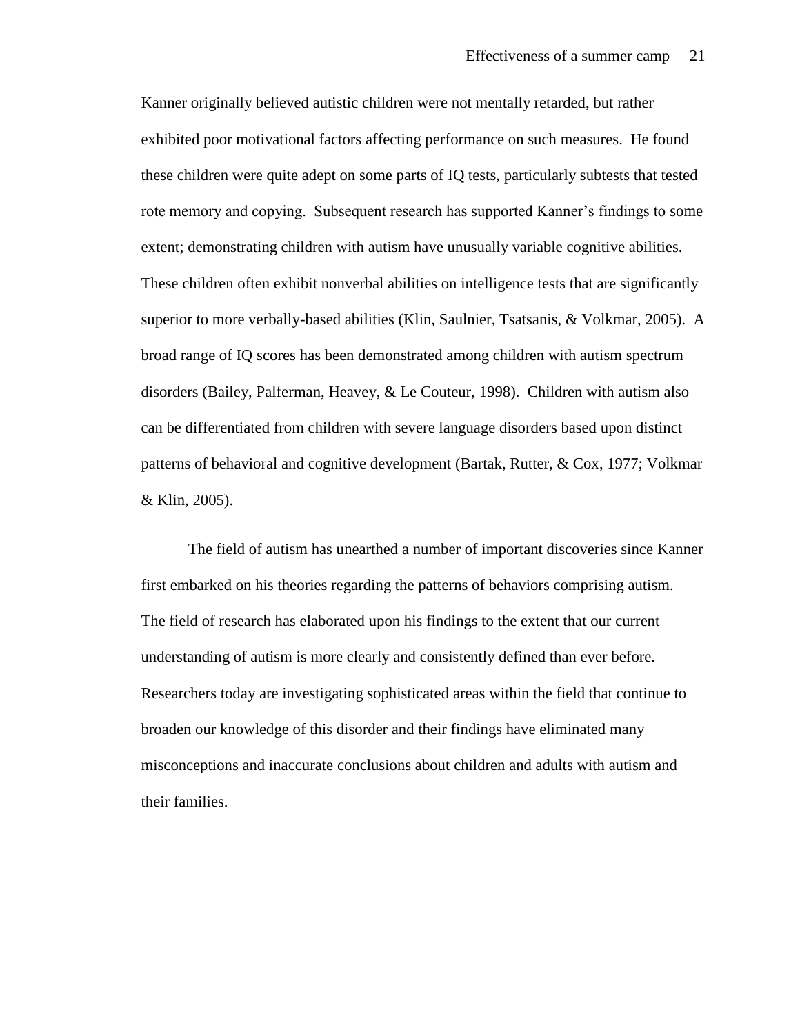Kanner originally believed autistic children were not mentally retarded, but rather exhibited poor motivational factors affecting performance on such measures. He found these children were quite adept on some parts of IQ tests, particularly subtests that tested rote memory and copying. Subsequent research has supported Kanner's findings to some extent; demonstrating children with autism have unusually variable cognitive abilities. These children often exhibit nonverbal abilities on intelligence tests that are significantly superior to more verbally-based abilities (Klin, Saulnier, Tsatsanis, & Volkmar, 2005). A broad range of IQ scores has been demonstrated among children with autism spectrum disorders (Bailey, Palferman, Heavey, & Le Couteur, 1998). Children with autism also can be differentiated from children with severe language disorders based upon distinct patterns of behavioral and cognitive development (Bartak, Rutter, & Cox, 1977; Volkmar & Klin, 2005).

The field of autism has unearthed a number of important discoveries since Kanner first embarked on his theories regarding the patterns of behaviors comprising autism. The field of research has elaborated upon his findings to the extent that our current understanding of autism is more clearly and consistently defined than ever before. Researchers today are investigating sophisticated areas within the field that continue to broaden our knowledge of this disorder and their findings have eliminated many misconceptions and inaccurate conclusions about children and adults with autism and their families.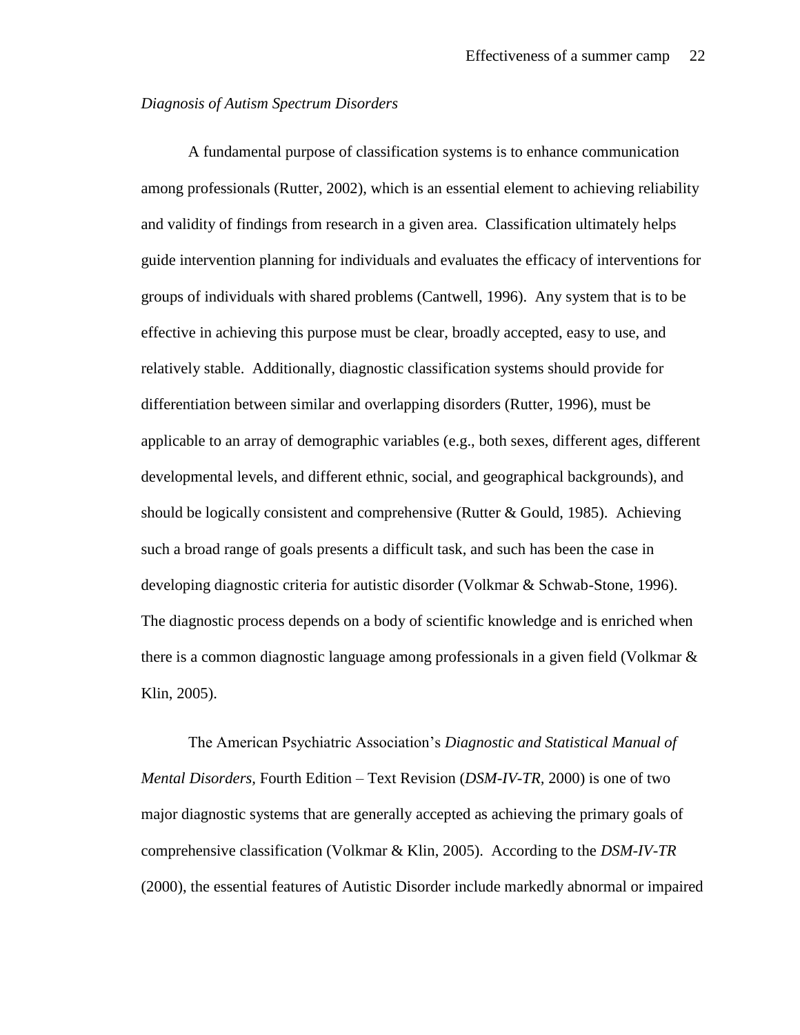#### *Diagnosis of Autism Spectrum Disorders*

A fundamental purpose of classification systems is to enhance communication among professionals (Rutter, 2002), which is an essential element to achieving reliability and validity of findings from research in a given area. Classification ultimately helps guide intervention planning for individuals and evaluates the efficacy of interventions for groups of individuals with shared problems (Cantwell, 1996). Any system that is to be effective in achieving this purpose must be clear, broadly accepted, easy to use, and relatively stable. Additionally, diagnostic classification systems should provide for differentiation between similar and overlapping disorders (Rutter, 1996), must be applicable to an array of demographic variables (e.g., both sexes, different ages, different developmental levels, and different ethnic, social, and geographical backgrounds), and should be logically consistent and comprehensive (Rutter & Gould, 1985). Achieving such a broad range of goals presents a difficult task, and such has been the case in developing diagnostic criteria for autistic disorder (Volkmar & Schwab-Stone, 1996). The diagnostic process depends on a body of scientific knowledge and is enriched when there is a common diagnostic language among professionals in a given field (Volkmar & Klin, 2005).

The American Psychiatric Association's *Diagnostic and Statistical Manual of Mental Disorders,* Fourth Edition – Text Revision (*DSM-IV-TR,* 2000) is one of two major diagnostic systems that are generally accepted as achieving the primary goals of comprehensive classification (Volkmar & Klin, 2005). According to the *DSM-IV-TR*  (2000), the essential features of Autistic Disorder include markedly abnormal or impaired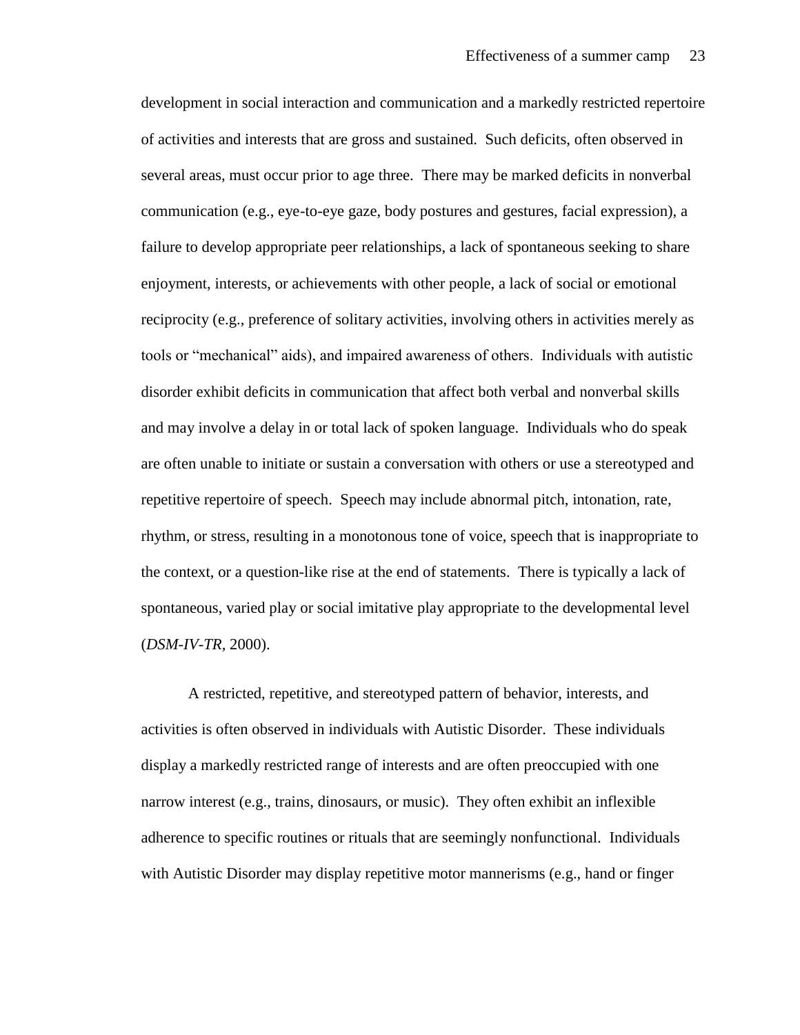development in social interaction and communication and a markedly restricted repertoire of activities and interests that are gross and sustained. Such deficits, often observed in several areas, must occur prior to age three. There may be marked deficits in nonverbal communication (e.g., eye-to-eye gaze, body postures and gestures, facial expression), a failure to develop appropriate peer relationships, a lack of spontaneous seeking to share enjoyment, interests, or achievements with other people, a lack of social or emotional reciprocity (e.g., preference of solitary activities, involving others in activities merely as tools or "mechanical" aids), and impaired awareness of others. Individuals with autistic disorder exhibit deficits in communication that affect both verbal and nonverbal skills and may involve a delay in or total lack of spoken language. Individuals who do speak are often unable to initiate or sustain a conversation with others or use a stereotyped and repetitive repertoire of speech. Speech may include abnormal pitch, intonation, rate, rhythm, or stress, resulting in a monotonous tone of voice, speech that is inappropriate to the context, or a question-like rise at the end of statements. There is typically a lack of spontaneous, varied play or social imitative play appropriate to the developmental level (*DSM-IV-TR,* 2000).

A restricted, repetitive, and stereotyped pattern of behavior, interests, and activities is often observed in individuals with Autistic Disorder. These individuals display a markedly restricted range of interests and are often preoccupied with one narrow interest (e.g., trains, dinosaurs, or music). They often exhibit an inflexible adherence to specific routines or rituals that are seemingly nonfunctional. Individuals with Autistic Disorder may display repetitive motor mannerisms (e.g., hand or finger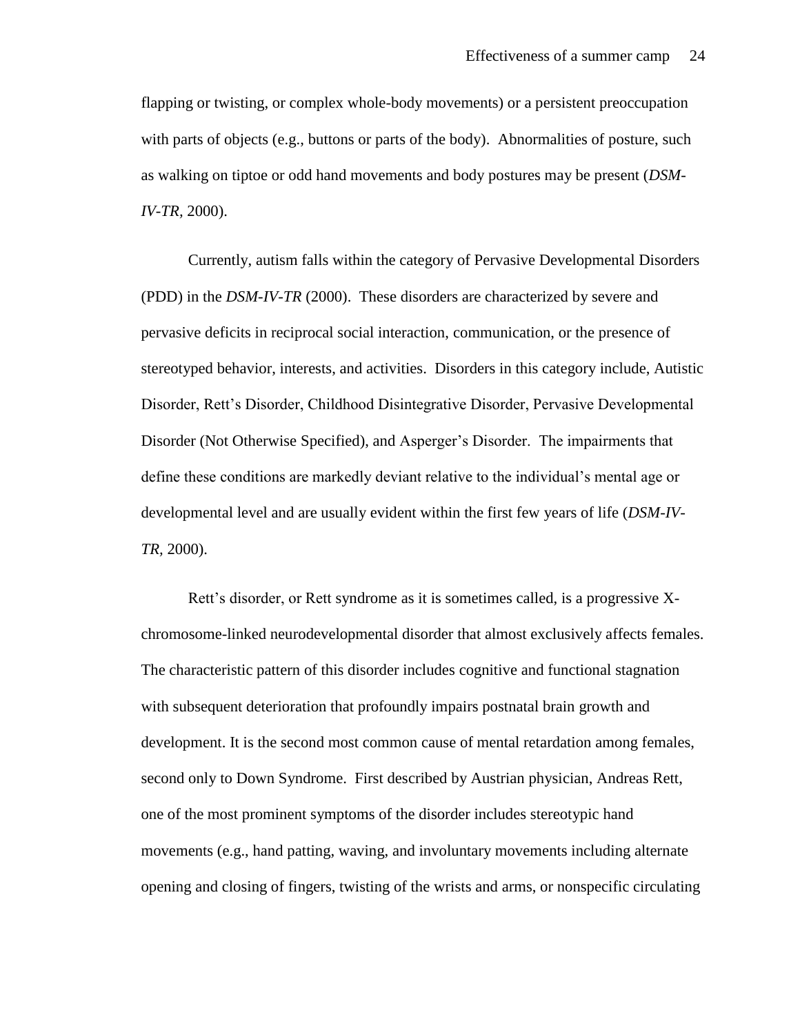flapping or twisting, or complex whole-body movements) or a persistent preoccupation with parts of objects (e.g., buttons or parts of the body). Abnormalities of posture, such as walking on tiptoe or odd hand movements and body postures may be present (*DSM-IV-TR,* 2000).

Currently, autism falls within the category of Pervasive Developmental Disorders (PDD) in the *DSM-IV-TR* (2000). These disorders are characterized by severe and pervasive deficits in reciprocal social interaction, communication, or the presence of stereotyped behavior, interests, and activities. Disorders in this category include, Autistic Disorder, Rett's Disorder, Childhood Disintegrative Disorder, Pervasive Developmental Disorder (Not Otherwise Specified), and Asperger's Disorder. The impairments that define these conditions are markedly deviant relative to the individual's mental age or developmental level and are usually evident within the first few years of life (*DSM-IV-TR,* 2000).

Rett's disorder, or Rett syndrome as it is sometimes called, is a progressive Xchromosome-linked neurodevelopmental disorder that almost exclusively affects females. The characteristic pattern of this disorder includes cognitive and functional stagnation with subsequent deterioration that profoundly impairs postnatal brain growth and development. It is the second most common cause of mental retardation among females, second only to Down Syndrome. First described by Austrian physician, Andreas Rett, one of the most prominent symptoms of the disorder includes stereotypic hand movements (e.g., hand patting, waving, and involuntary movements including alternate opening and closing of fingers, twisting of the wrists and arms, or nonspecific circulating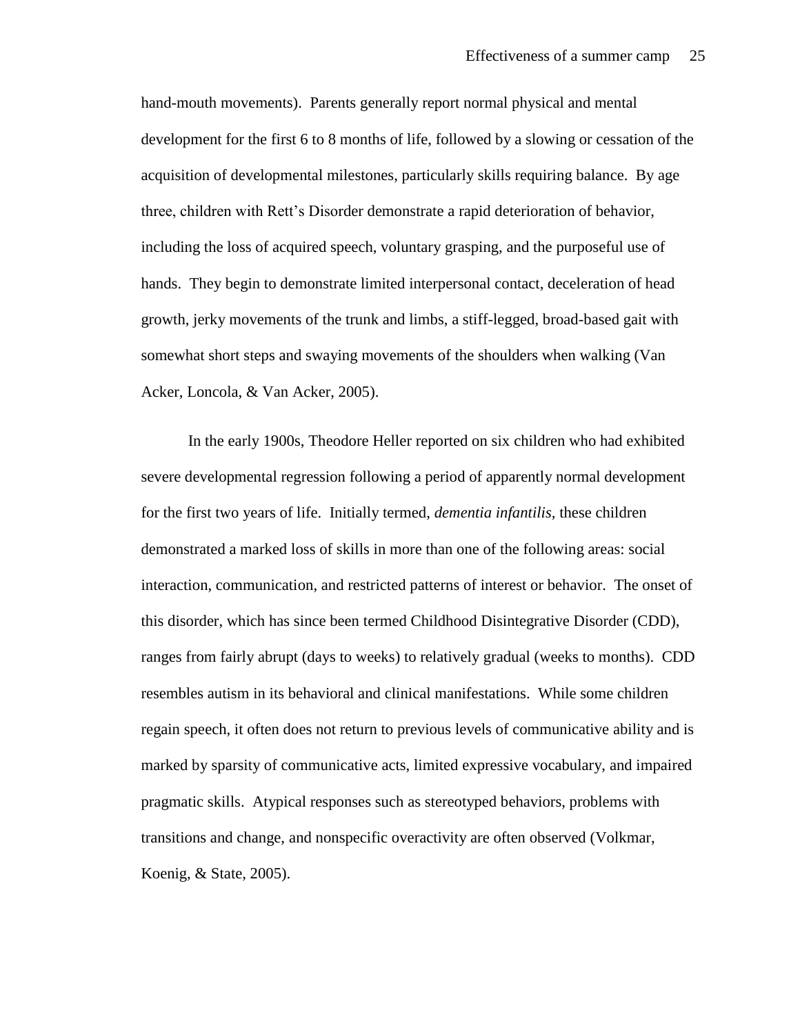hand-mouth movements). Parents generally report normal physical and mental development for the first 6 to 8 months of life, followed by a slowing or cessation of the acquisition of developmental milestones, particularly skills requiring balance. By age three, children with Rett's Disorder demonstrate a rapid deterioration of behavior, including the loss of acquired speech, voluntary grasping, and the purposeful use of hands. They begin to demonstrate limited interpersonal contact, deceleration of head growth, jerky movements of the trunk and limbs, a stiff-legged, broad-based gait with somewhat short steps and swaying movements of the shoulders when walking (Van Acker, Loncola, & Van Acker, 2005).

In the early 1900s, Theodore Heller reported on six children who had exhibited severe developmental regression following a period of apparently normal development for the first two years of life. Initially termed, *dementia infantilis,* these children demonstrated a marked loss of skills in more than one of the following areas: social interaction, communication, and restricted patterns of interest or behavior. The onset of this disorder, which has since been termed Childhood Disintegrative Disorder (CDD), ranges from fairly abrupt (days to weeks) to relatively gradual (weeks to months). CDD resembles autism in its behavioral and clinical manifestations. While some children regain speech, it often does not return to previous levels of communicative ability and is marked by sparsity of communicative acts, limited expressive vocabulary, and impaired pragmatic skills. Atypical responses such as stereotyped behaviors, problems with transitions and change, and nonspecific overactivity are often observed (Volkmar, Koenig, & State, 2005).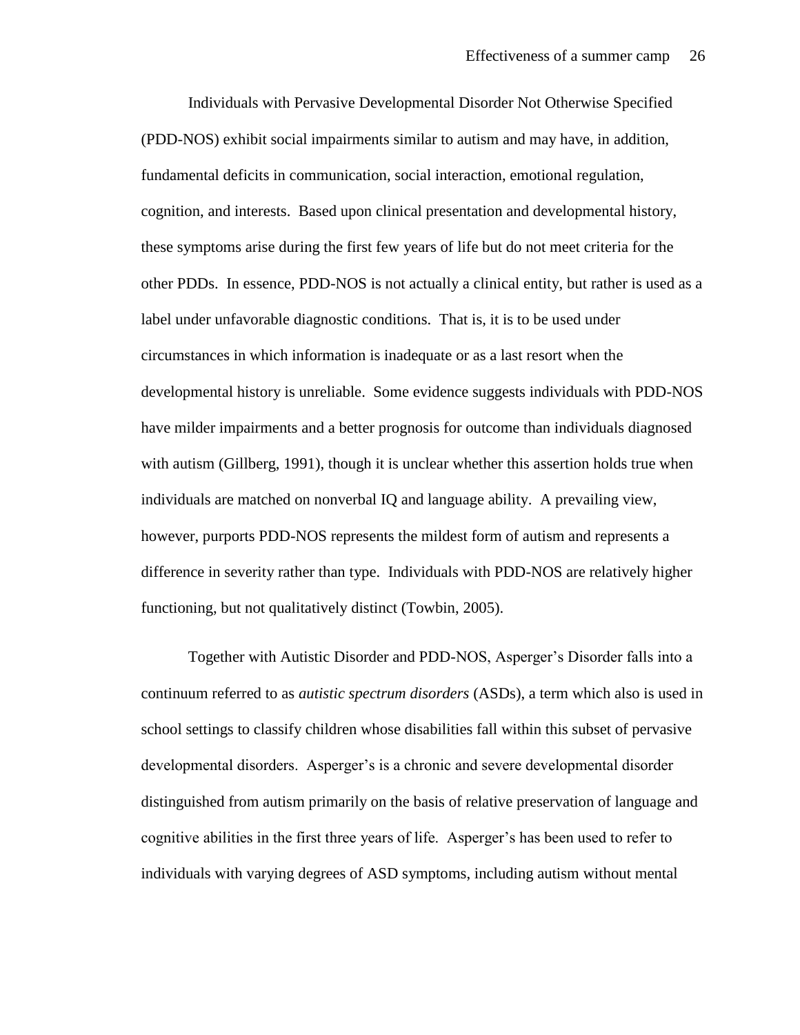Individuals with Pervasive Developmental Disorder Not Otherwise Specified (PDD-NOS) exhibit social impairments similar to autism and may have, in addition, fundamental deficits in communication, social interaction, emotional regulation, cognition, and interests. Based upon clinical presentation and developmental history, these symptoms arise during the first few years of life but do not meet criteria for the other PDDs. In essence, PDD-NOS is not actually a clinical entity, but rather is used as a label under unfavorable diagnostic conditions. That is, it is to be used under circumstances in which information is inadequate or as a last resort when the developmental history is unreliable. Some evidence suggests individuals with PDD-NOS have milder impairments and a better prognosis for outcome than individuals diagnosed with autism (Gillberg, 1991), though it is unclear whether this assertion holds true when individuals are matched on nonverbal IQ and language ability. A prevailing view, however, purports PDD-NOS represents the mildest form of autism and represents a difference in severity rather than type. Individuals with PDD-NOS are relatively higher functioning, but not qualitatively distinct (Towbin, 2005).

Together with Autistic Disorder and PDD-NOS, Asperger's Disorder falls into a continuum referred to as *autistic spectrum disorders* (ASDs), a term which also is used in school settings to classify children whose disabilities fall within this subset of pervasive developmental disorders. Asperger's is a chronic and severe developmental disorder distinguished from autism primarily on the basis of relative preservation of language and cognitive abilities in the first three years of life. Asperger's has been used to refer to individuals with varying degrees of ASD symptoms, including autism without mental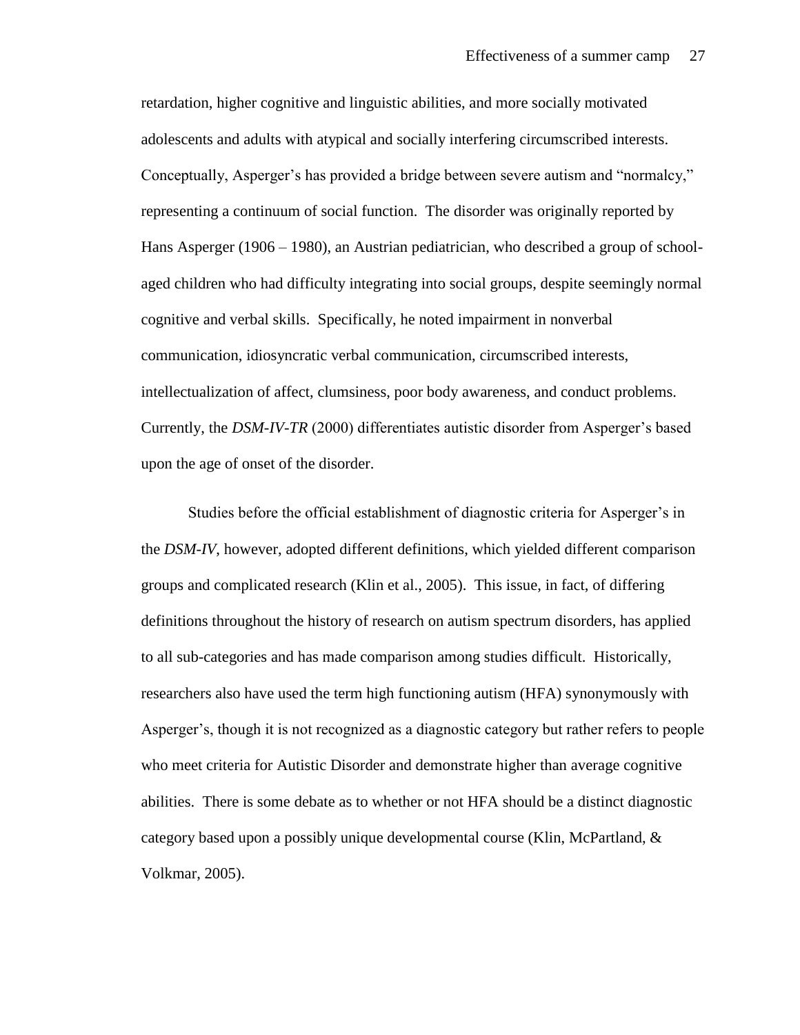retardation, higher cognitive and linguistic abilities, and more socially motivated adolescents and adults with atypical and socially interfering circumscribed interests. Conceptually, Asperger's has provided a bridge between severe autism and "normalcy," representing a continuum of social function. The disorder was originally reported by Hans Asperger (1906 – 1980), an Austrian pediatrician, who described a group of schoolaged children who had difficulty integrating into social groups, despite seemingly normal cognitive and verbal skills. Specifically, he noted impairment in nonverbal communication, idiosyncratic verbal communication, circumscribed interests, intellectualization of affect, clumsiness, poor body awareness, and conduct problems. Currently, the *DSM-IV-TR* (2000) differentiates autistic disorder from Asperger's based upon the age of onset of the disorder.

Studies before the official establishment of diagnostic criteria for Asperger's in the *DSM-IV*, however, adopted different definitions, which yielded different comparison groups and complicated research (Klin et al., 2005). This issue, in fact, of differing definitions throughout the history of research on autism spectrum disorders, has applied to all sub-categories and has made comparison among studies difficult. Historically, researchers also have used the term high functioning autism (HFA) synonymously with Asperger's, though it is not recognized as a diagnostic category but rather refers to people who meet criteria for Autistic Disorder and demonstrate higher than average cognitive abilities. There is some debate as to whether or not HFA should be a distinct diagnostic category based upon a possibly unique developmental course (Klin, McPartland, & Volkmar, 2005).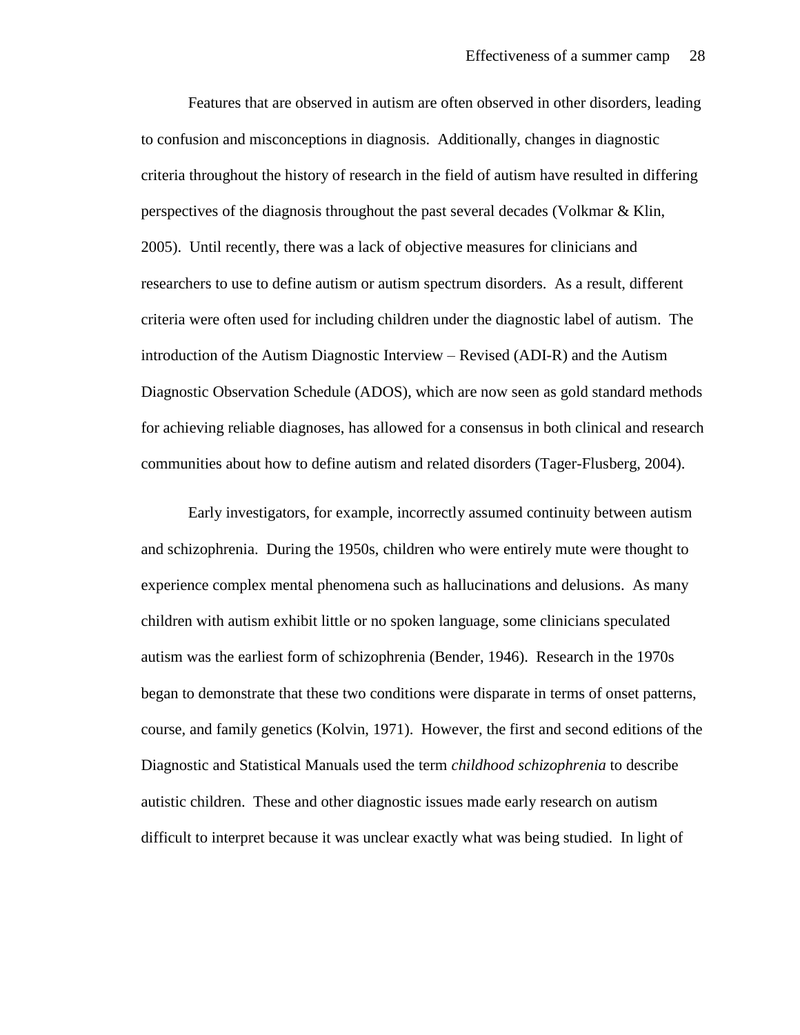Features that are observed in autism are often observed in other disorders, leading to confusion and misconceptions in diagnosis. Additionally, changes in diagnostic criteria throughout the history of research in the field of autism have resulted in differing perspectives of the diagnosis throughout the past several decades (Volkmar & Klin, 2005). Until recently, there was a lack of objective measures for clinicians and researchers to use to define autism or autism spectrum disorders. As a result, different criteria were often used for including children under the diagnostic label of autism. The introduction of the Autism Diagnostic Interview – Revised (ADI-R) and the Autism Diagnostic Observation Schedule (ADOS), which are now seen as gold standard methods for achieving reliable diagnoses, has allowed for a consensus in both clinical and research communities about how to define autism and related disorders (Tager-Flusberg, 2004).

Early investigators, for example, incorrectly assumed continuity between autism and schizophrenia. During the 1950s, children who were entirely mute were thought to experience complex mental phenomena such as hallucinations and delusions. As many children with autism exhibit little or no spoken language, some clinicians speculated autism was the earliest form of schizophrenia (Bender, 1946). Research in the 1970s began to demonstrate that these two conditions were disparate in terms of onset patterns, course, and family genetics (Kolvin, 1971). However, the first and second editions of the Diagnostic and Statistical Manuals used the term *childhood schizophrenia* to describe autistic children. These and other diagnostic issues made early research on autism difficult to interpret because it was unclear exactly what was being studied. In light of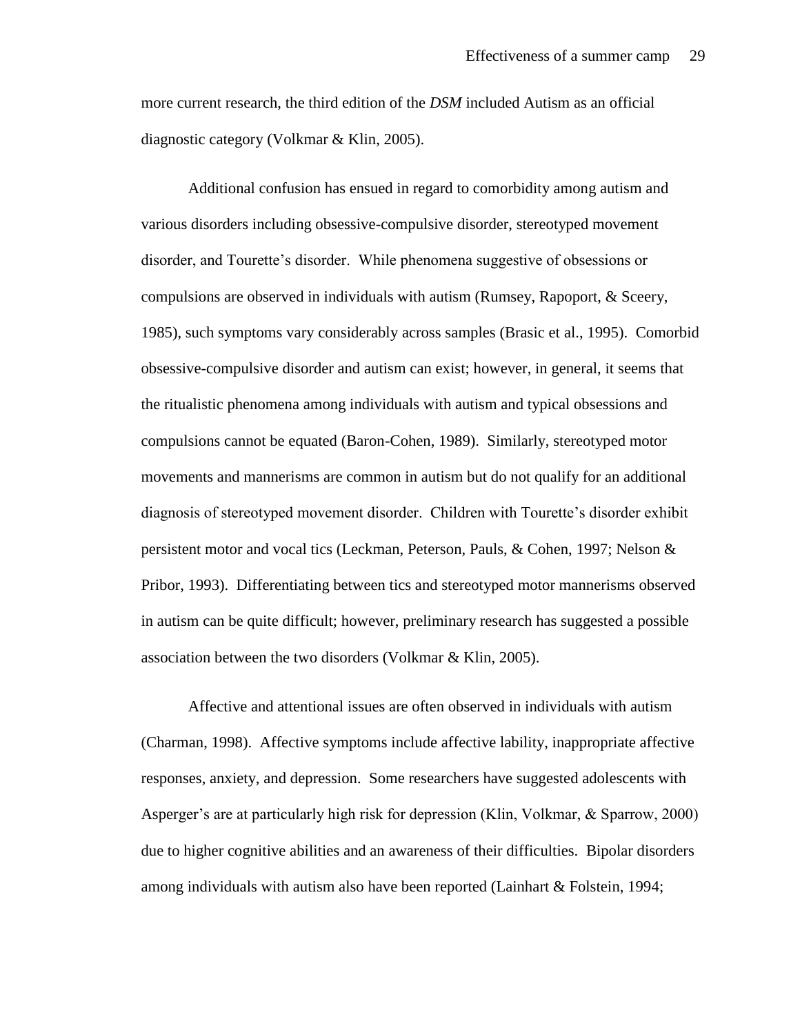more current research, the third edition of the *DSM* included Autism as an official diagnostic category (Volkmar & Klin, 2005).

Additional confusion has ensued in regard to comorbidity among autism and various disorders including obsessive-compulsive disorder, stereotyped movement disorder, and Tourette's disorder. While phenomena suggestive of obsessions or compulsions are observed in individuals with autism (Rumsey, Rapoport, & Sceery, 1985), such symptoms vary considerably across samples (Brasic et al., 1995). Comorbid obsessive-compulsive disorder and autism can exist; however, in general, it seems that the ritualistic phenomena among individuals with autism and typical obsessions and compulsions cannot be equated (Baron-Cohen, 1989). Similarly, stereotyped motor movements and mannerisms are common in autism but do not qualify for an additional diagnosis of stereotyped movement disorder. Children with Tourette's disorder exhibit persistent motor and vocal tics (Leckman, Peterson, Pauls, & Cohen, 1997; Nelson & Pribor, 1993). Differentiating between tics and stereotyped motor mannerisms observed in autism can be quite difficult; however, preliminary research has suggested a possible association between the two disorders (Volkmar & Klin, 2005).

Affective and attentional issues are often observed in individuals with autism (Charman, 1998). Affective symptoms include affective lability, inappropriate affective responses, anxiety, and depression. Some researchers have suggested adolescents with Asperger's are at particularly high risk for depression (Klin, Volkmar, & Sparrow, 2000) due to higher cognitive abilities and an awareness of their difficulties. Bipolar disorders among individuals with autism also have been reported (Lainhart & Folstein, 1994;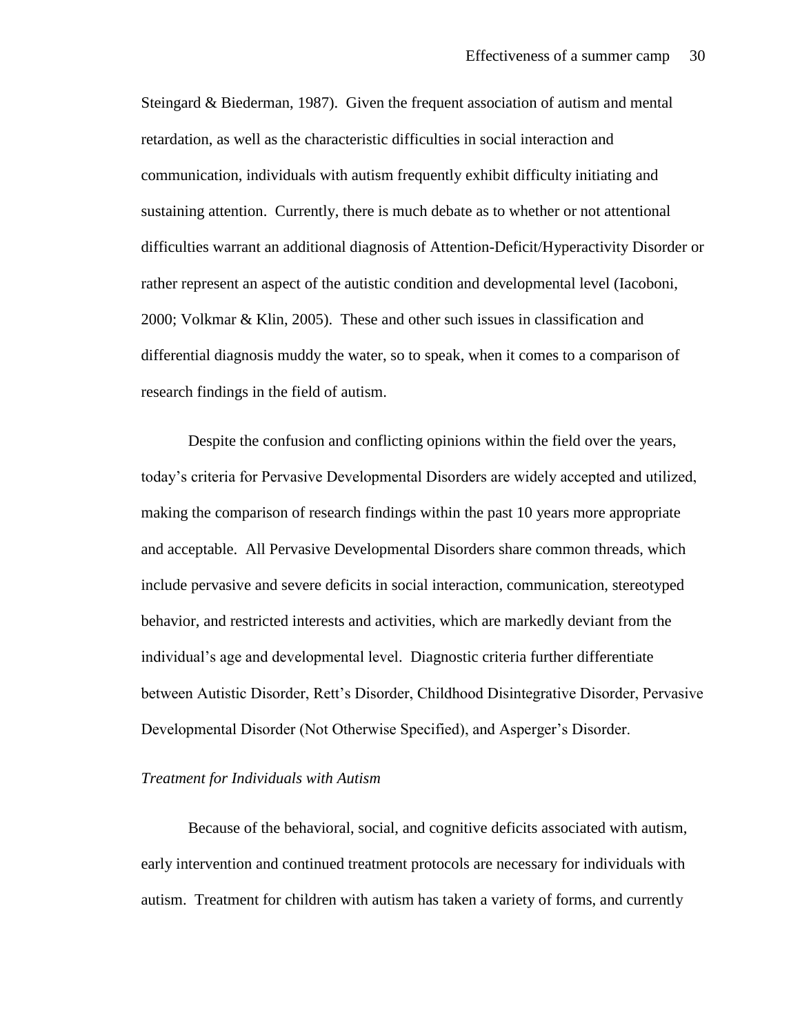Steingard & Biederman, 1987). Given the frequent association of autism and mental retardation, as well as the characteristic difficulties in social interaction and communication, individuals with autism frequently exhibit difficulty initiating and sustaining attention. Currently, there is much debate as to whether or not attentional difficulties warrant an additional diagnosis of Attention-Deficit/Hyperactivity Disorder or rather represent an aspect of the autistic condition and developmental level (Iacoboni, 2000; Volkmar & Klin, 2005). These and other such issues in classification and differential diagnosis muddy the water, so to speak, when it comes to a comparison of research findings in the field of autism.

Despite the confusion and conflicting opinions within the field over the years, today's criteria for Pervasive Developmental Disorders are widely accepted and utilized, making the comparison of research findings within the past 10 years more appropriate and acceptable. All Pervasive Developmental Disorders share common threads, which include pervasive and severe deficits in social interaction, communication, stereotyped behavior, and restricted interests and activities, which are markedly deviant from the individual's age and developmental level. Diagnostic criteria further differentiate between Autistic Disorder, Rett's Disorder, Childhood Disintegrative Disorder, Pervasive Developmental Disorder (Not Otherwise Specified), and Asperger's Disorder.

### *Treatment for Individuals with Autism*

Because of the behavioral, social, and cognitive deficits associated with autism, early intervention and continued treatment protocols are necessary for individuals with autism. Treatment for children with autism has taken a variety of forms, and currently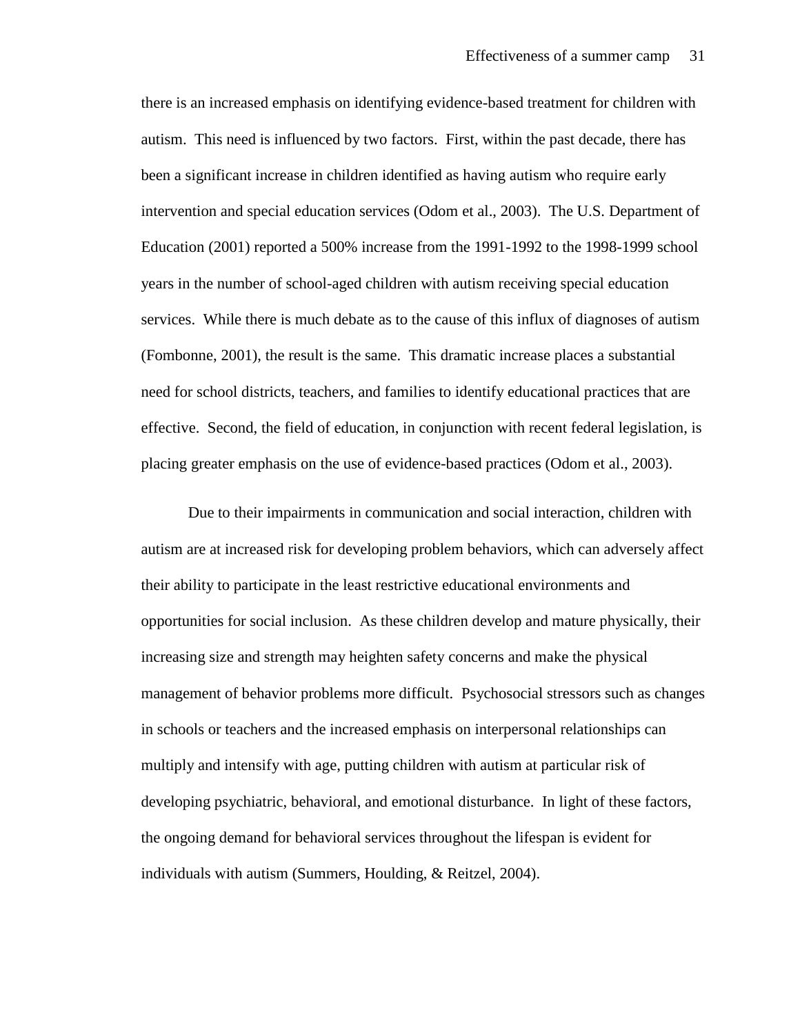there is an increased emphasis on identifying evidence-based treatment for children with autism. This need is influenced by two factors. First, within the past decade, there has been a significant increase in children identified as having autism who require early intervention and special education services (Odom et al., 2003). The U.S. Department of Education (2001) reported a 500% increase from the 1991-1992 to the 1998-1999 school years in the number of school-aged children with autism receiving special education services. While there is much debate as to the cause of this influx of diagnoses of autism (Fombonne, 2001), the result is the same. This dramatic increase places a substantial need for school districts, teachers, and families to identify educational practices that are effective. Second, the field of education, in conjunction with recent federal legislation, is placing greater emphasis on the use of evidence-based practices (Odom et al., 2003).

Due to their impairments in communication and social interaction, children with autism are at increased risk for developing problem behaviors, which can adversely affect their ability to participate in the least restrictive educational environments and opportunities for social inclusion. As these children develop and mature physically, their increasing size and strength may heighten safety concerns and make the physical management of behavior problems more difficult. Psychosocial stressors such as changes in schools or teachers and the increased emphasis on interpersonal relationships can multiply and intensify with age, putting children with autism at particular risk of developing psychiatric, behavioral, and emotional disturbance. In light of these factors, the ongoing demand for behavioral services throughout the lifespan is evident for individuals with autism (Summers, Houlding, & Reitzel, 2004).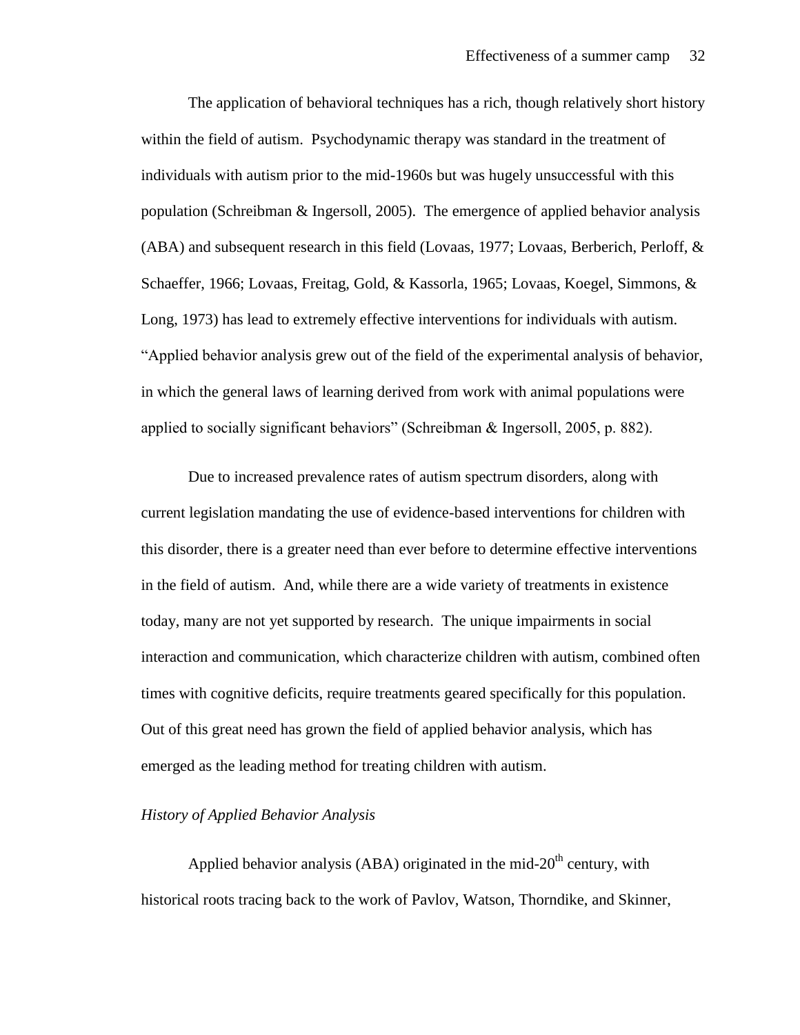The application of behavioral techniques has a rich, though relatively short history within the field of autism. Psychodynamic therapy was standard in the treatment of individuals with autism prior to the mid-1960s but was hugely unsuccessful with this population (Schreibman & Ingersoll, 2005). The emergence of applied behavior analysis (ABA) and subsequent research in this field (Lovaas, 1977; Lovaas, Berberich, Perloff, & Schaeffer, 1966; Lovaas, Freitag, Gold, & Kassorla, 1965; Lovaas, Koegel, Simmons, & Long, 1973) has lead to extremely effective interventions for individuals with autism. "Applied behavior analysis grew out of the field of the experimental analysis of behavior, in which the general laws of learning derived from work with animal populations were applied to socially significant behaviors" (Schreibman & Ingersoll, 2005, p. 882).

Due to increased prevalence rates of autism spectrum disorders, along with current legislation mandating the use of evidence-based interventions for children with this disorder, there is a greater need than ever before to determine effective interventions in the field of autism. And, while there are a wide variety of treatments in existence today, many are not yet supported by research. The unique impairments in social interaction and communication, which characterize children with autism, combined often times with cognitive deficits, require treatments geared specifically for this population. Out of this great need has grown the field of applied behavior analysis, which has emerged as the leading method for treating children with autism.

## *History of Applied Behavior Analysis*

Applied behavior analysis (ABA) originated in the mid- $20<sup>th</sup>$  century, with historical roots tracing back to the work of Pavlov, Watson, Thorndike, and Skinner,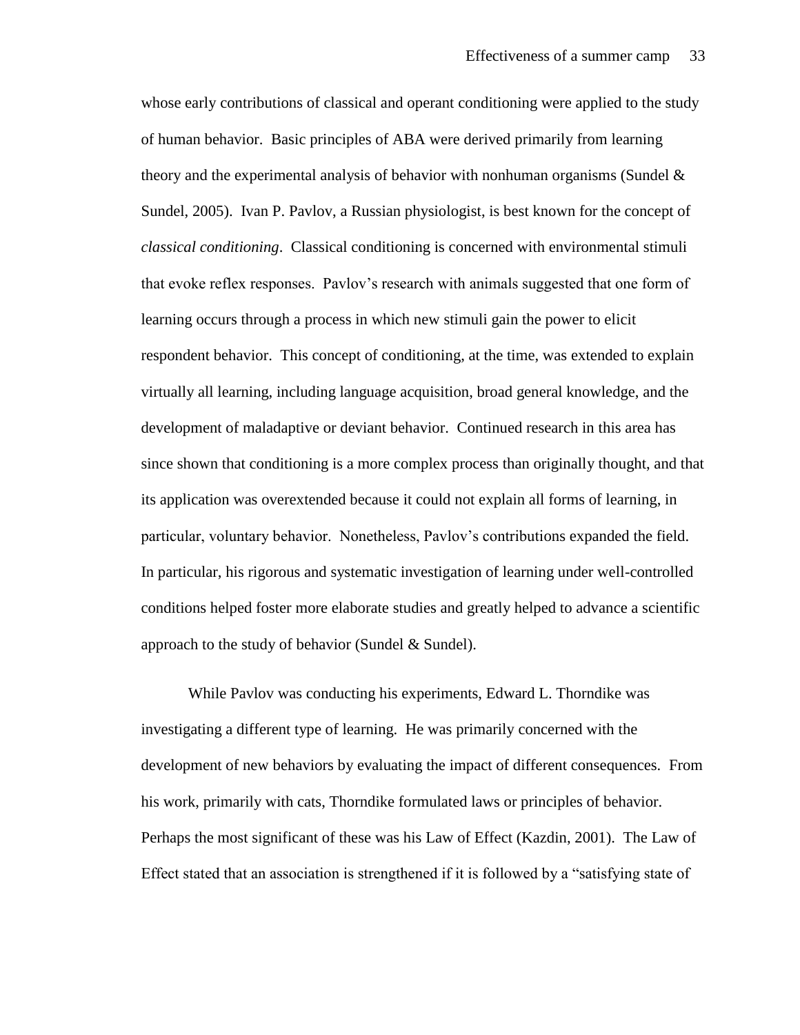whose early contributions of classical and operant conditioning were applied to the study of human behavior. Basic principles of ABA were derived primarily from learning theory and the experimental analysis of behavior with nonhuman organisms (Sundel  $\&$ Sundel, 2005). Ivan P. Pavlov, a Russian physiologist, is best known for the concept of *classical conditioning*. Classical conditioning is concerned with environmental stimuli that evoke reflex responses. Pavlov's research with animals suggested that one form of learning occurs through a process in which new stimuli gain the power to elicit respondent behavior. This concept of conditioning, at the time, was extended to explain virtually all learning, including language acquisition, broad general knowledge, and the development of maladaptive or deviant behavior. Continued research in this area has since shown that conditioning is a more complex process than originally thought, and that its application was overextended because it could not explain all forms of learning, in particular, voluntary behavior. Nonetheless, Pavlov's contributions expanded the field. In particular, his rigorous and systematic investigation of learning under well-controlled conditions helped foster more elaborate studies and greatly helped to advance a scientific approach to the study of behavior (Sundel  $&$  Sundel).

While Pavlov was conducting his experiments, Edward L. Thorndike was investigating a different type of learning. He was primarily concerned with the development of new behaviors by evaluating the impact of different consequences. From his work, primarily with cats, Thorndike formulated laws or principles of behavior. Perhaps the most significant of these was his Law of Effect (Kazdin, 2001). The Law of Effect stated that an association is strengthened if it is followed by a "satisfying state of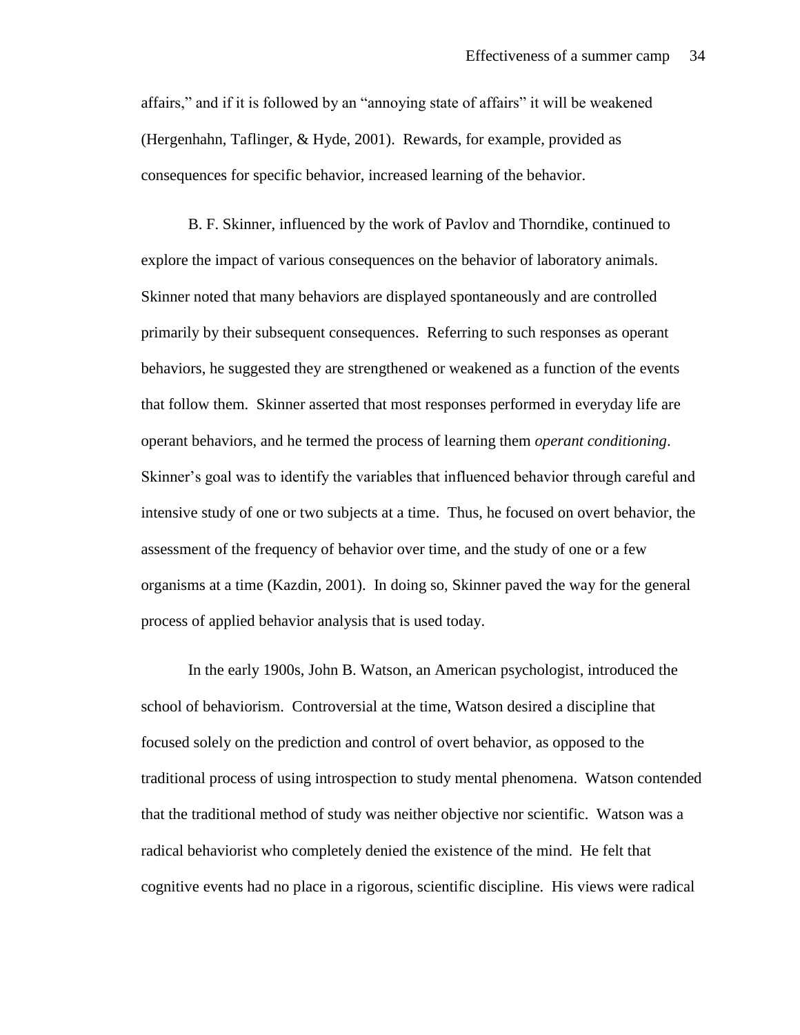affairs," and if it is followed by an "annoying state of affairs" it will be weakened (Hergenhahn, Taflinger, & Hyde, 2001). Rewards, for example, provided as consequences for specific behavior, increased learning of the behavior.

B. F. Skinner, influenced by the work of Pavlov and Thorndike, continued to explore the impact of various consequences on the behavior of laboratory animals. Skinner noted that many behaviors are displayed spontaneously and are controlled primarily by their subsequent consequences. Referring to such responses as operant behaviors, he suggested they are strengthened or weakened as a function of the events that follow them. Skinner asserted that most responses performed in everyday life are operant behaviors, and he termed the process of learning them *operant conditioning*. Skinner's goal was to identify the variables that influenced behavior through careful and intensive study of one or two subjects at a time. Thus, he focused on overt behavior, the assessment of the frequency of behavior over time, and the study of one or a few organisms at a time (Kazdin, 2001). In doing so, Skinner paved the way for the general process of applied behavior analysis that is used today.

In the early 1900s, John B. Watson, an American psychologist, introduced the school of behaviorism. Controversial at the time, Watson desired a discipline that focused solely on the prediction and control of overt behavior, as opposed to the traditional process of using introspection to study mental phenomena. Watson contended that the traditional method of study was neither objective nor scientific. Watson was a radical behaviorist who completely denied the existence of the mind. He felt that cognitive events had no place in a rigorous, scientific discipline. His views were radical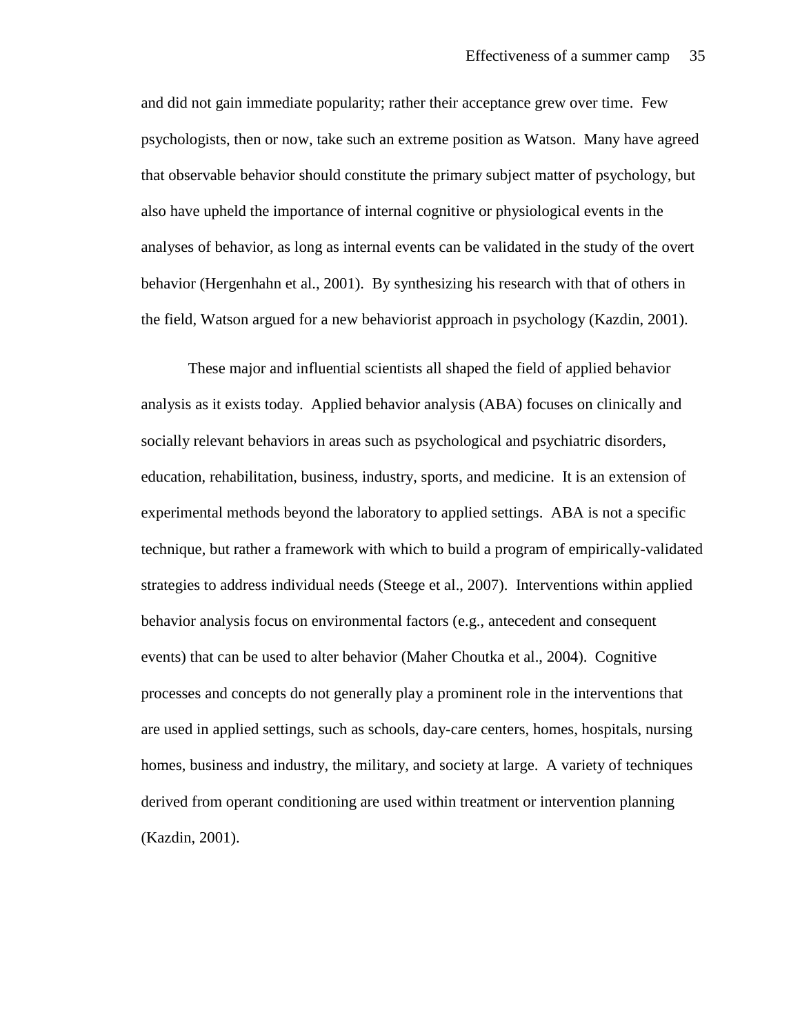and did not gain immediate popularity; rather their acceptance grew over time. Few psychologists, then or now, take such an extreme position as Watson. Many have agreed that observable behavior should constitute the primary subject matter of psychology, but also have upheld the importance of internal cognitive or physiological events in the analyses of behavior, as long as internal events can be validated in the study of the overt behavior (Hergenhahn et al., 2001). By synthesizing his research with that of others in the field, Watson argued for a new behaviorist approach in psychology (Kazdin, 2001).

These major and influential scientists all shaped the field of applied behavior analysis as it exists today. Applied behavior analysis (ABA) focuses on clinically and socially relevant behaviors in areas such as psychological and psychiatric disorders, education, rehabilitation, business, industry, sports, and medicine. It is an extension of experimental methods beyond the laboratory to applied settings. ABA is not a specific technique, but rather a framework with which to build a program of empirically-validated strategies to address individual needs (Steege et al., 2007). Interventions within applied behavior analysis focus on environmental factors (e.g., antecedent and consequent events) that can be used to alter behavior (Maher Choutka et al., 2004). Cognitive processes and concepts do not generally play a prominent role in the interventions that are used in applied settings, such as schools, day-care centers, homes, hospitals, nursing homes, business and industry, the military, and society at large. A variety of techniques derived from operant conditioning are used within treatment or intervention planning (Kazdin, 2001).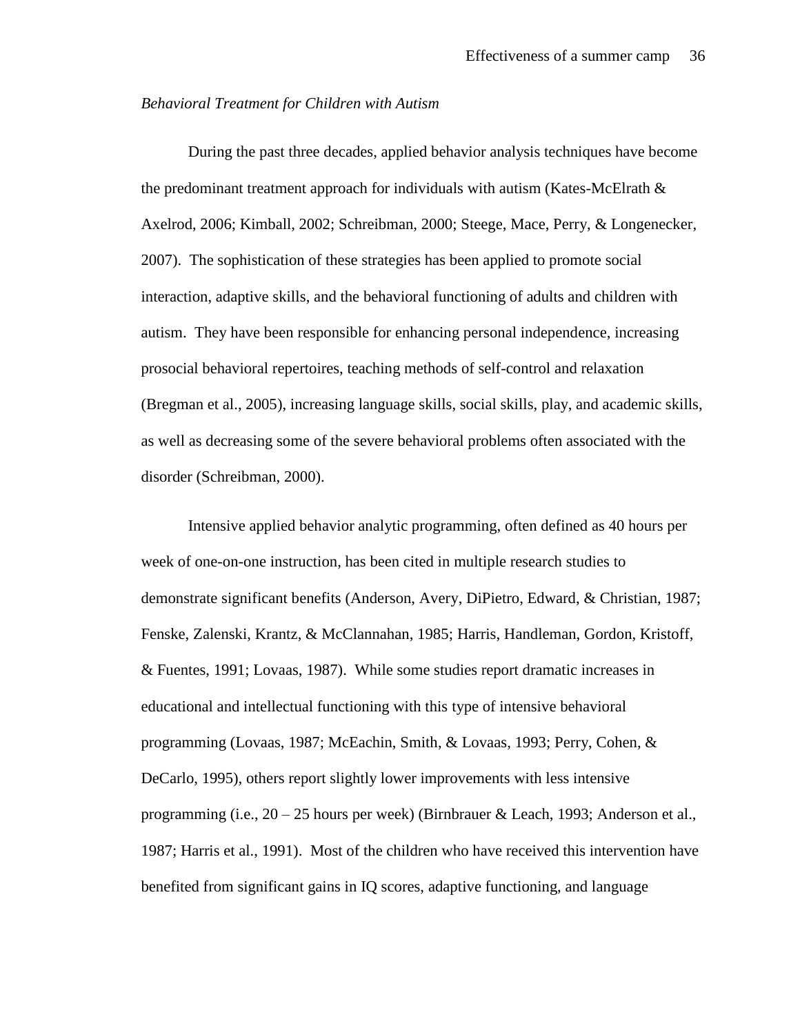#### *Behavioral Treatment for Children with Autism*

During the past three decades, applied behavior analysis techniques have become the predominant treatment approach for individuals with autism (Kates-McElrath  $\&$ Axelrod, 2006; Kimball, 2002; Schreibman, 2000; Steege, Mace, Perry, & Longenecker, 2007). The sophistication of these strategies has been applied to promote social interaction, adaptive skills, and the behavioral functioning of adults and children with autism. They have been responsible for enhancing personal independence, increasing prosocial behavioral repertoires, teaching methods of self-control and relaxation (Bregman et al., 2005), increasing language skills, social skills, play, and academic skills, as well as decreasing some of the severe behavioral problems often associated with the disorder (Schreibman, 2000).

Intensive applied behavior analytic programming, often defined as 40 hours per week of one-on-one instruction, has been cited in multiple research studies to demonstrate significant benefits (Anderson, Avery, DiPietro, Edward, & Christian, 1987; Fenske, Zalenski, Krantz, & McClannahan, 1985; Harris, Handleman, Gordon, Kristoff, & Fuentes, 1991; Lovaas, 1987). While some studies report dramatic increases in educational and intellectual functioning with this type of intensive behavioral programming (Lovaas, 1987; McEachin, Smith, & Lovaas, 1993; Perry, Cohen, & DeCarlo, 1995), others report slightly lower improvements with less intensive programming (i.e., 20 – 25 hours per week) (Birnbrauer & Leach, 1993; Anderson et al., 1987; Harris et al., 1991). Most of the children who have received this intervention have benefited from significant gains in IQ scores, adaptive functioning, and language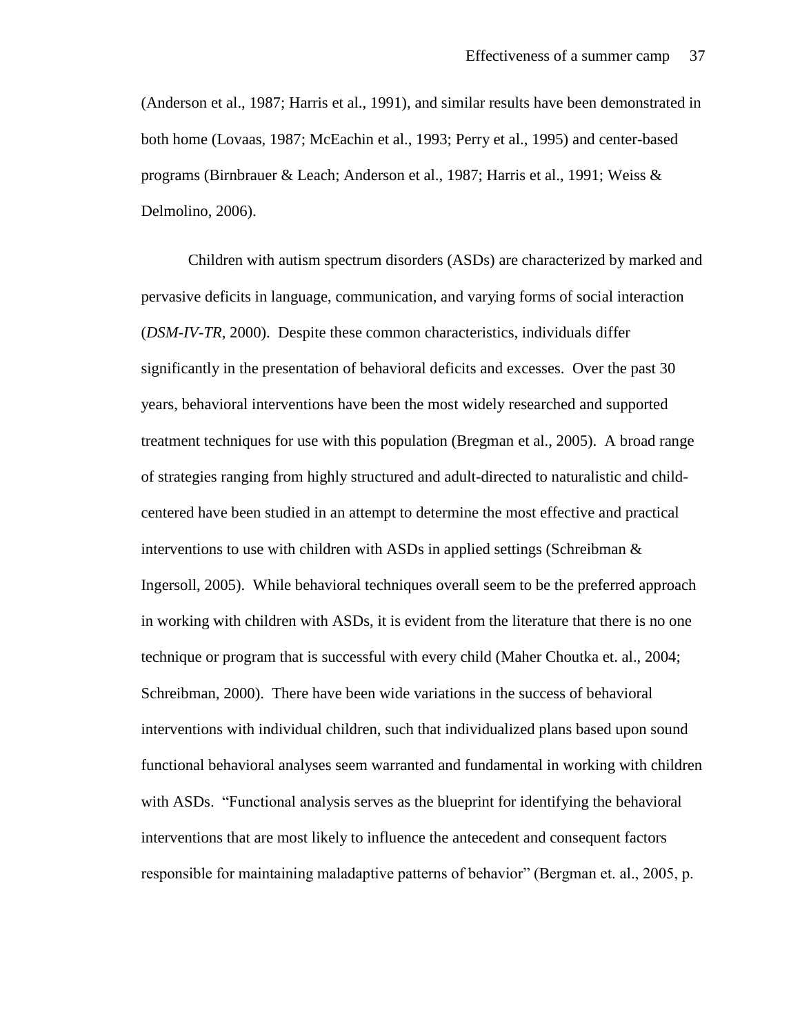(Anderson et al., 1987; Harris et al., 1991), and similar results have been demonstrated in both home (Lovaas, 1987; McEachin et al., 1993; Perry et al., 1995) and center-based programs (Birnbrauer & Leach; Anderson et al., 1987; Harris et al., 1991; Weiss & Delmolino, 2006).

Children with autism spectrum disorders (ASDs) are characterized by marked and pervasive deficits in language, communication, and varying forms of social interaction (*DSM-IV-TR,* 2000). Despite these common characteristics, individuals differ significantly in the presentation of behavioral deficits and excesses. Over the past 30 years, behavioral interventions have been the most widely researched and supported treatment techniques for use with this population (Bregman et al., 2005). A broad range of strategies ranging from highly structured and adult-directed to naturalistic and childcentered have been studied in an attempt to determine the most effective and practical interventions to use with children with ASDs in applied settings (Schreibman  $\&$ Ingersoll, 2005). While behavioral techniques overall seem to be the preferred approach in working with children with ASDs, it is evident from the literature that there is no one technique or program that is successful with every child (Maher Choutka et. al., 2004; Schreibman, 2000). There have been wide variations in the success of behavioral interventions with individual children, such that individualized plans based upon sound functional behavioral analyses seem warranted and fundamental in working with children with ASDs. "Functional analysis serves as the blueprint for identifying the behavioral interventions that are most likely to influence the antecedent and consequent factors responsible for maintaining maladaptive patterns of behavior" (Bergman et. al., 2005, p.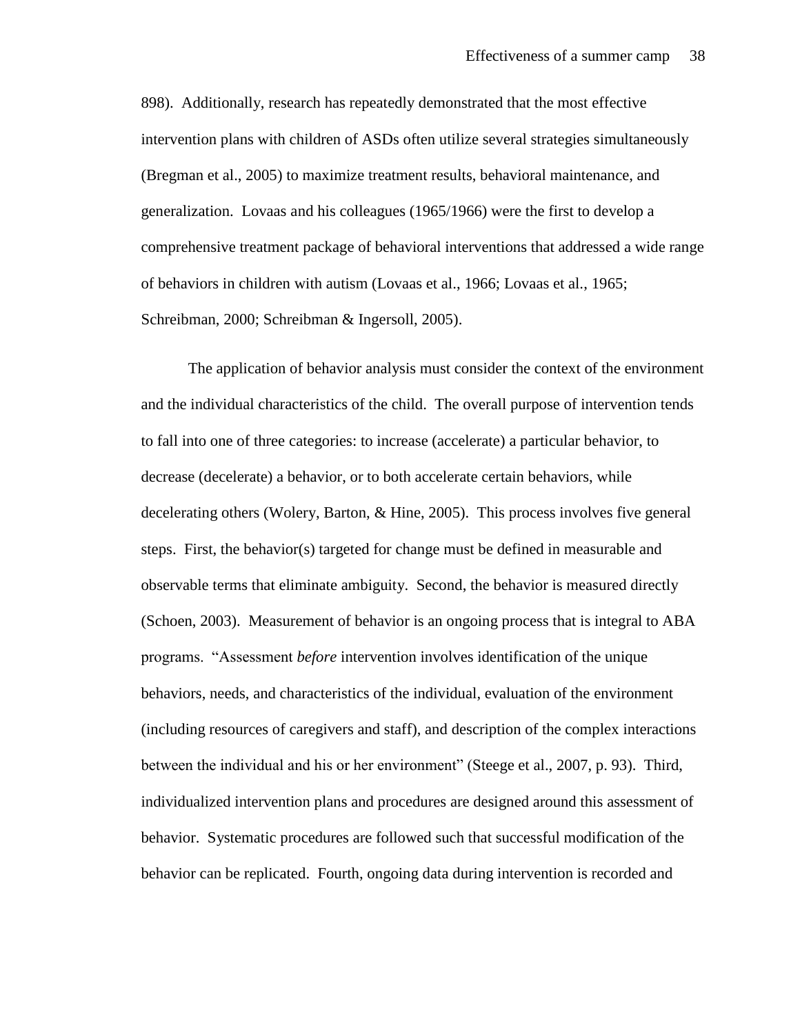898). Additionally, research has repeatedly demonstrated that the most effective intervention plans with children of ASDs often utilize several strategies simultaneously (Bregman et al., 2005) to maximize treatment results, behavioral maintenance, and generalization. Lovaas and his colleagues (1965/1966) were the first to develop a comprehensive treatment package of behavioral interventions that addressed a wide range of behaviors in children with autism (Lovaas et al., 1966; Lovaas et al., 1965; Schreibman, 2000; Schreibman & Ingersoll, 2005).

The application of behavior analysis must consider the context of the environment and the individual characteristics of the child. The overall purpose of intervention tends to fall into one of three categories: to increase (accelerate) a particular behavior, to decrease (decelerate) a behavior, or to both accelerate certain behaviors, while decelerating others (Wolery, Barton, & Hine, 2005). This process involves five general steps. First, the behavior(s) targeted for change must be defined in measurable and observable terms that eliminate ambiguity. Second, the behavior is measured directly (Schoen, 2003). Measurement of behavior is an ongoing process that is integral to ABA programs. "Assessment *before* intervention involves identification of the unique behaviors, needs, and characteristics of the individual, evaluation of the environment (including resources of caregivers and staff), and description of the complex interactions between the individual and his or her environment" (Steege et al., 2007, p. 93). Third, individualized intervention plans and procedures are designed around this assessment of behavior. Systematic procedures are followed such that successful modification of the behavior can be replicated. Fourth, ongoing data during intervention is recorded and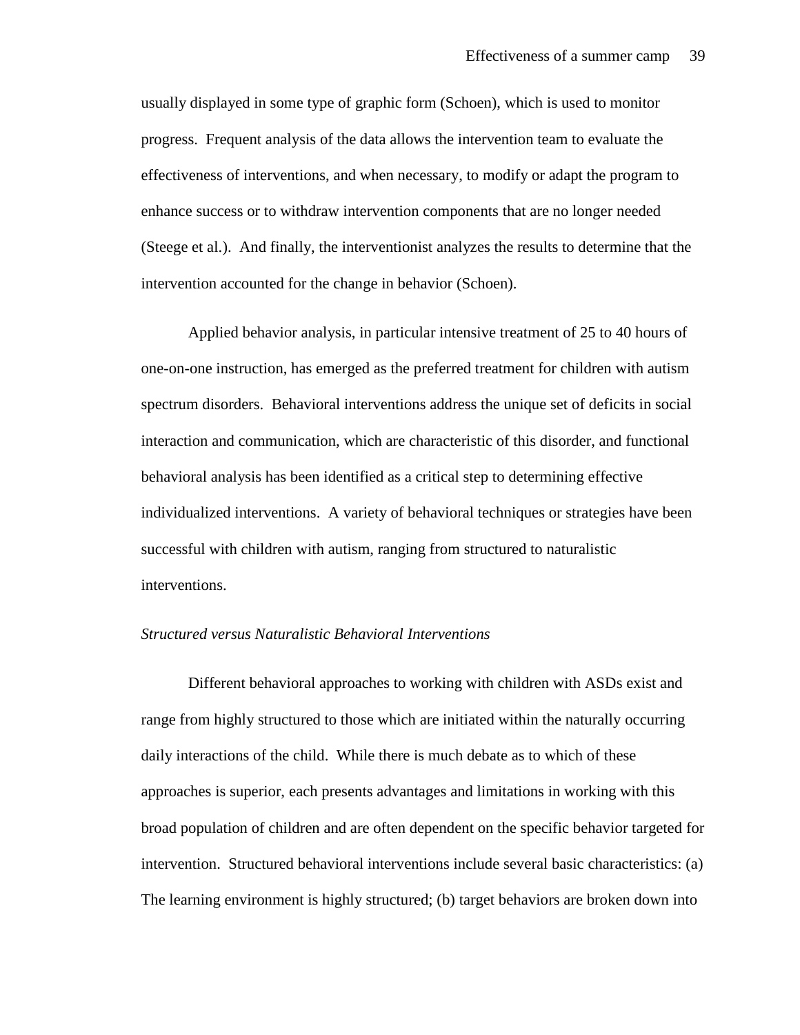usually displayed in some type of graphic form (Schoen), which is used to monitor progress. Frequent analysis of the data allows the intervention team to evaluate the effectiveness of interventions, and when necessary, to modify or adapt the program to enhance success or to withdraw intervention components that are no longer needed (Steege et al.). And finally, the interventionist analyzes the results to determine that the intervention accounted for the change in behavior (Schoen).

Applied behavior analysis, in particular intensive treatment of 25 to 40 hours of one-on-one instruction, has emerged as the preferred treatment for children with autism spectrum disorders. Behavioral interventions address the unique set of deficits in social interaction and communication, which are characteristic of this disorder, and functional behavioral analysis has been identified as a critical step to determining effective individualized interventions. A variety of behavioral techniques or strategies have been successful with children with autism, ranging from structured to naturalistic interventions.

# *Structured versus Naturalistic Behavioral Interventions*

Different behavioral approaches to working with children with ASDs exist and range from highly structured to those which are initiated within the naturally occurring daily interactions of the child. While there is much debate as to which of these approaches is superior, each presents advantages and limitations in working with this broad population of children and are often dependent on the specific behavior targeted for intervention. Structured behavioral interventions include several basic characteristics: (a) The learning environment is highly structured; (b) target behaviors are broken down into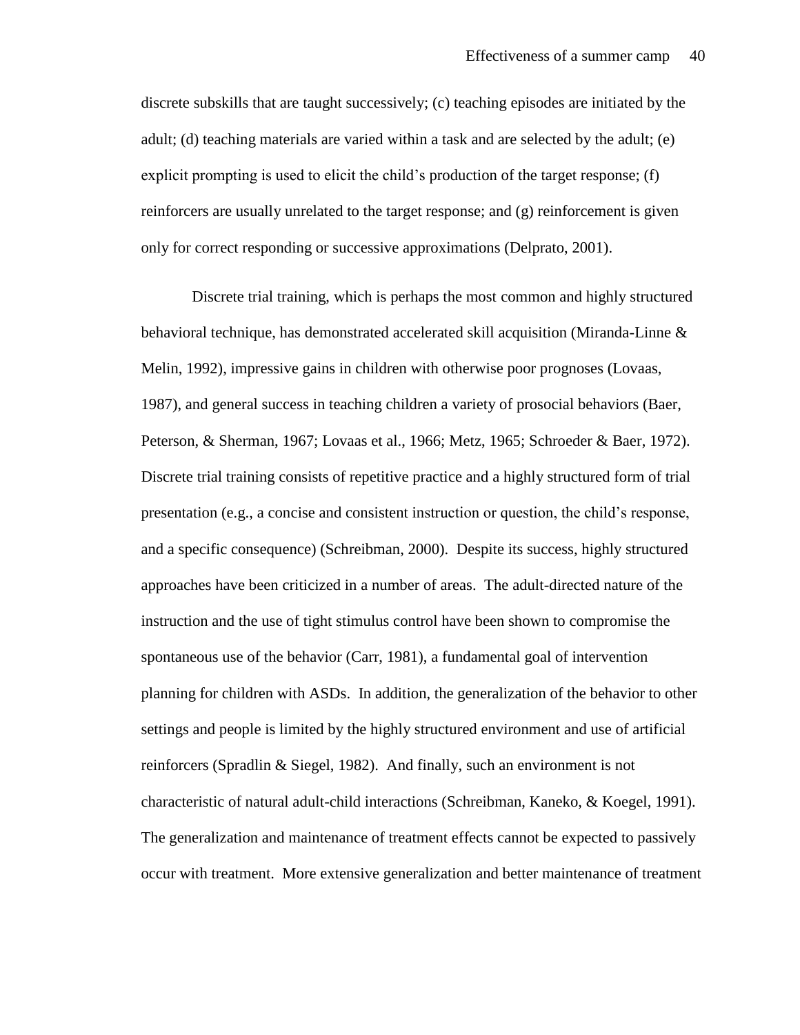discrete subskills that are taught successively; (c) teaching episodes are initiated by the adult; (d) teaching materials are varied within a task and are selected by the adult; (e) explicit prompting is used to elicit the child's production of the target response; (f) reinforcers are usually unrelated to the target response; and (g) reinforcement is given only for correct responding or successive approximations (Delprato, 2001).

Discrete trial training, which is perhaps the most common and highly structured behavioral technique, has demonstrated accelerated skill acquisition (Miranda-Linne & Melin, 1992), impressive gains in children with otherwise poor prognoses (Lovaas, 1987), and general success in teaching children a variety of prosocial behaviors (Baer, Peterson, & Sherman, 1967; Lovaas et al., 1966; Metz, 1965; Schroeder & Baer, 1972). Discrete trial training consists of repetitive practice and a highly structured form of trial presentation (e.g., a concise and consistent instruction or question, the child's response, and a specific consequence) (Schreibman, 2000). Despite its success, highly structured approaches have been criticized in a number of areas. The adult-directed nature of the instruction and the use of tight stimulus control have been shown to compromise the spontaneous use of the behavior (Carr, 1981), a fundamental goal of intervention planning for children with ASDs. In addition, the generalization of the behavior to other settings and people is limited by the highly structured environment and use of artificial reinforcers (Spradlin & Siegel, 1982). And finally, such an environment is not characteristic of natural adult-child interactions (Schreibman, Kaneko, & Koegel, 1991). The generalization and maintenance of treatment effects cannot be expected to passively occur with treatment. More extensive generalization and better maintenance of treatment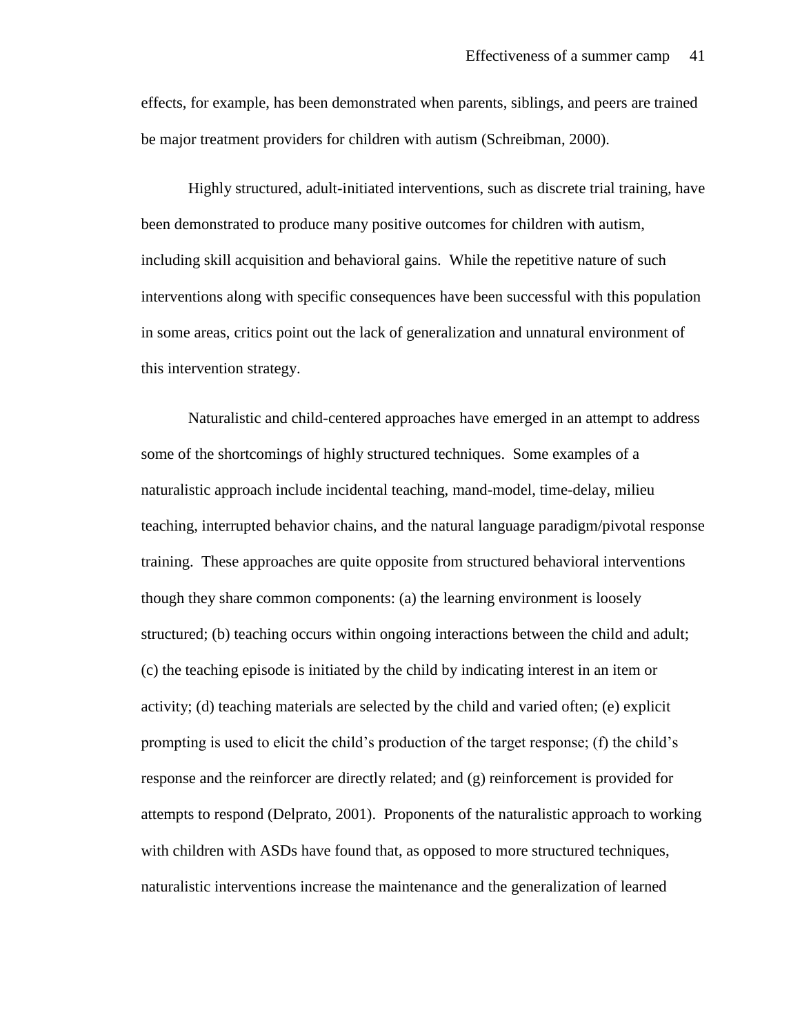effects, for example, has been demonstrated when parents, siblings, and peers are trained be major treatment providers for children with autism (Schreibman, 2000).

Highly structured, adult-initiated interventions, such as discrete trial training, have been demonstrated to produce many positive outcomes for children with autism, including skill acquisition and behavioral gains. While the repetitive nature of such interventions along with specific consequences have been successful with this population in some areas, critics point out the lack of generalization and unnatural environment of this intervention strategy.

Naturalistic and child-centered approaches have emerged in an attempt to address some of the shortcomings of highly structured techniques. Some examples of a naturalistic approach include incidental teaching, mand-model, time-delay, milieu teaching, interrupted behavior chains, and the natural language paradigm/pivotal response training. These approaches are quite opposite from structured behavioral interventions though they share common components: (a) the learning environment is loosely structured; (b) teaching occurs within ongoing interactions between the child and adult; (c) the teaching episode is initiated by the child by indicating interest in an item or activity; (d) teaching materials are selected by the child and varied often; (e) explicit prompting is used to elicit the child's production of the target response; (f) the child's response and the reinforcer are directly related; and (g) reinforcement is provided for attempts to respond (Delprato, 2001). Proponents of the naturalistic approach to working with children with ASDs have found that, as opposed to more structured techniques, naturalistic interventions increase the maintenance and the generalization of learned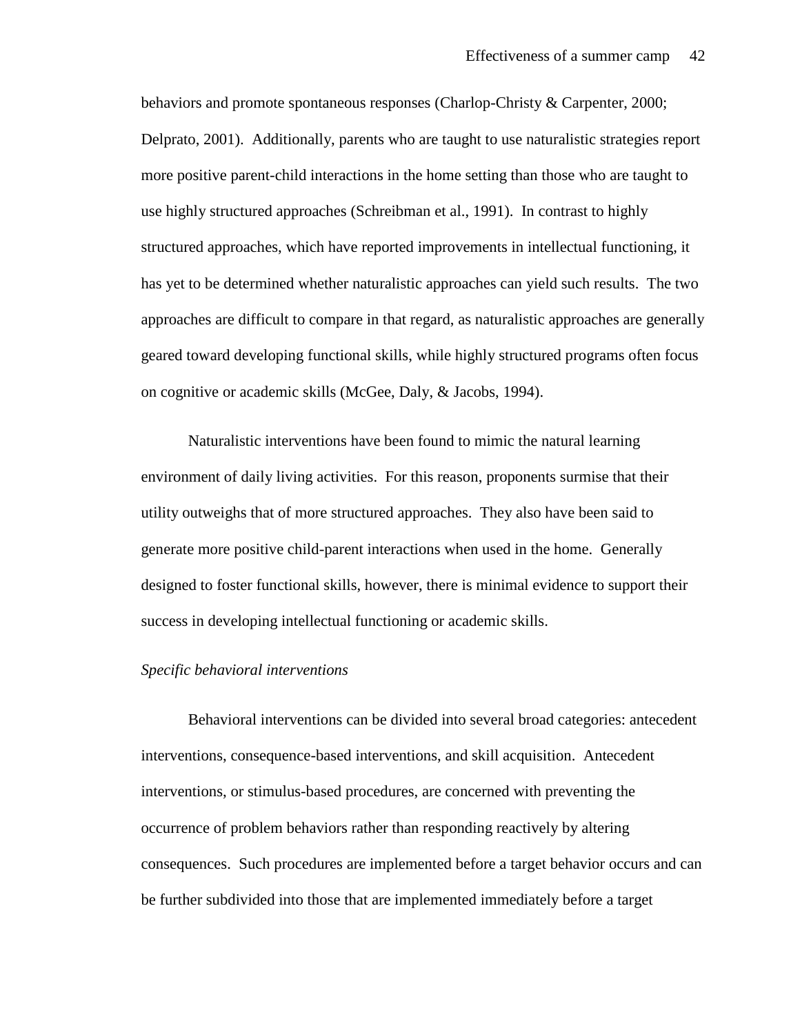behaviors and promote spontaneous responses (Charlop-Christy & Carpenter, 2000; Delprato, 2001). Additionally, parents who are taught to use naturalistic strategies report more positive parent-child interactions in the home setting than those who are taught to use highly structured approaches (Schreibman et al., 1991). In contrast to highly structured approaches, which have reported improvements in intellectual functioning, it has yet to be determined whether naturalistic approaches can yield such results. The two approaches are difficult to compare in that regard, as naturalistic approaches are generally geared toward developing functional skills, while highly structured programs often focus on cognitive or academic skills (McGee, Daly, & Jacobs, 1994).

Naturalistic interventions have been found to mimic the natural learning environment of daily living activities. For this reason, proponents surmise that their utility outweighs that of more structured approaches. They also have been said to generate more positive child-parent interactions when used in the home. Generally designed to foster functional skills, however, there is minimal evidence to support their success in developing intellectual functioning or academic skills.

### *Specific behavioral interventions*

Behavioral interventions can be divided into several broad categories: antecedent interventions, consequence-based interventions, and skill acquisition. Antecedent interventions, or stimulus-based procedures, are concerned with preventing the occurrence of problem behaviors rather than responding reactively by altering consequences. Such procedures are implemented before a target behavior occurs and can be further subdivided into those that are implemented immediately before a target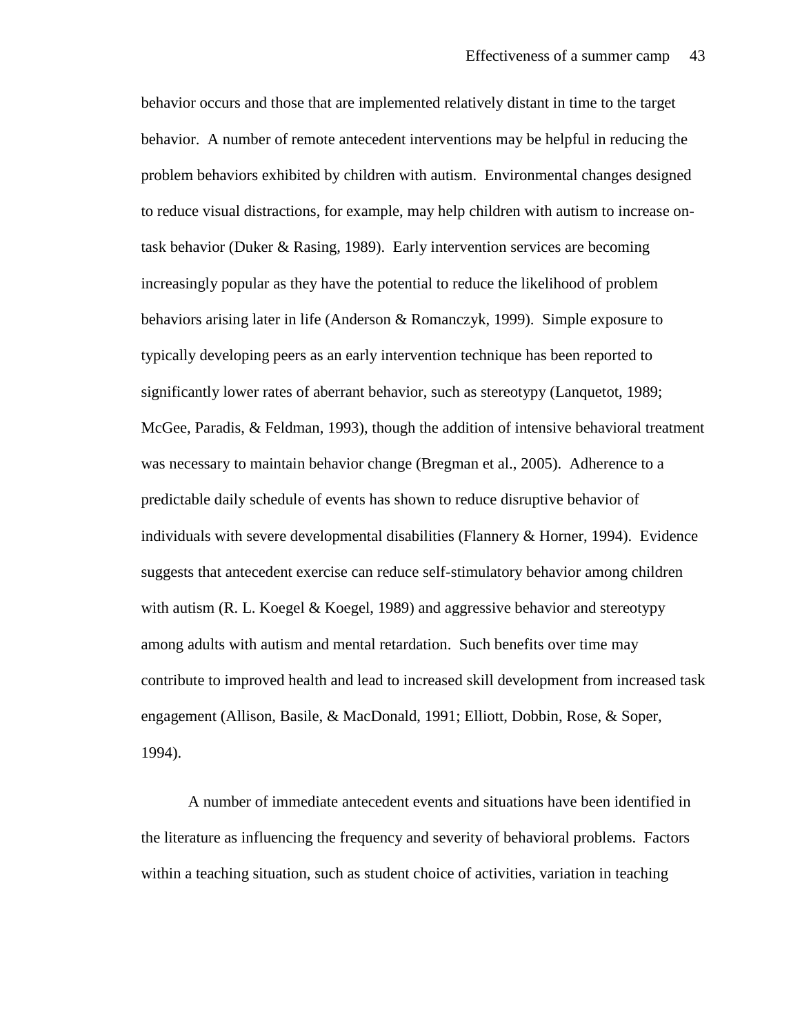behavior occurs and those that are implemented relatively distant in time to the target behavior. A number of remote antecedent interventions may be helpful in reducing the problem behaviors exhibited by children with autism. Environmental changes designed to reduce visual distractions, for example, may help children with autism to increase ontask behavior (Duker & Rasing, 1989). Early intervention services are becoming increasingly popular as they have the potential to reduce the likelihood of problem behaviors arising later in life (Anderson & Romanczyk, 1999). Simple exposure to typically developing peers as an early intervention technique has been reported to significantly lower rates of aberrant behavior, such as stereotypy (Lanquetot, 1989; McGee, Paradis, & Feldman, 1993), though the addition of intensive behavioral treatment was necessary to maintain behavior change (Bregman et al., 2005). Adherence to a predictable daily schedule of events has shown to reduce disruptive behavior of individuals with severe developmental disabilities (Flannery & Horner, 1994). Evidence suggests that antecedent exercise can reduce self-stimulatory behavior among children with autism (R. L. Koegel  $&$  Koegel, 1989) and aggressive behavior and stereotypy among adults with autism and mental retardation. Such benefits over time may contribute to improved health and lead to increased skill development from increased task engagement (Allison, Basile, & MacDonald, 1991; Elliott, Dobbin, Rose, & Soper, 1994).

A number of immediate antecedent events and situations have been identified in the literature as influencing the frequency and severity of behavioral problems. Factors within a teaching situation, such as student choice of activities, variation in teaching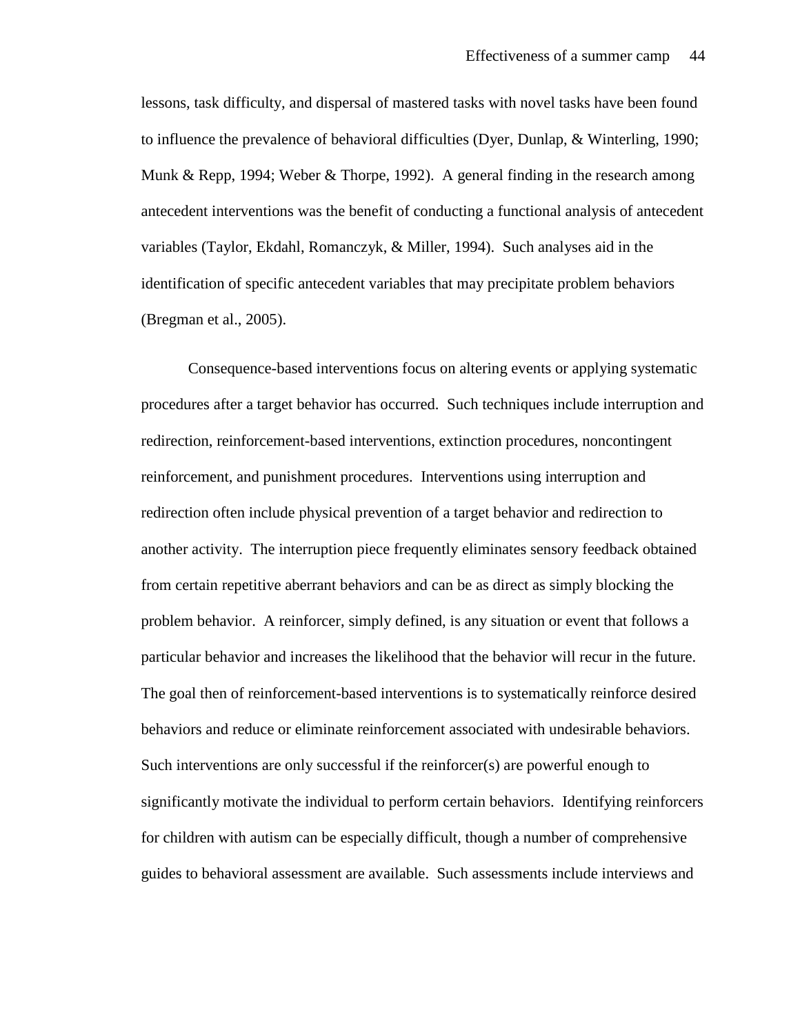lessons, task difficulty, and dispersal of mastered tasks with novel tasks have been found to influence the prevalence of behavioral difficulties (Dyer, Dunlap, & Winterling, 1990; Munk & Repp, 1994; Weber & Thorpe, 1992). A general finding in the research among antecedent interventions was the benefit of conducting a functional analysis of antecedent variables (Taylor, Ekdahl, Romanczyk, & Miller, 1994). Such analyses aid in the identification of specific antecedent variables that may precipitate problem behaviors (Bregman et al., 2005).

Consequence-based interventions focus on altering events or applying systematic procedures after a target behavior has occurred. Such techniques include interruption and redirection, reinforcement-based interventions, extinction procedures, noncontingent reinforcement, and punishment procedures. Interventions using interruption and redirection often include physical prevention of a target behavior and redirection to another activity. The interruption piece frequently eliminates sensory feedback obtained from certain repetitive aberrant behaviors and can be as direct as simply blocking the problem behavior. A reinforcer, simply defined, is any situation or event that follows a particular behavior and increases the likelihood that the behavior will recur in the future. The goal then of reinforcement-based interventions is to systematically reinforce desired behaviors and reduce or eliminate reinforcement associated with undesirable behaviors. Such interventions are only successful if the reinforcer(s) are powerful enough to significantly motivate the individual to perform certain behaviors. Identifying reinforcers for children with autism can be especially difficult, though a number of comprehensive guides to behavioral assessment are available. Such assessments include interviews and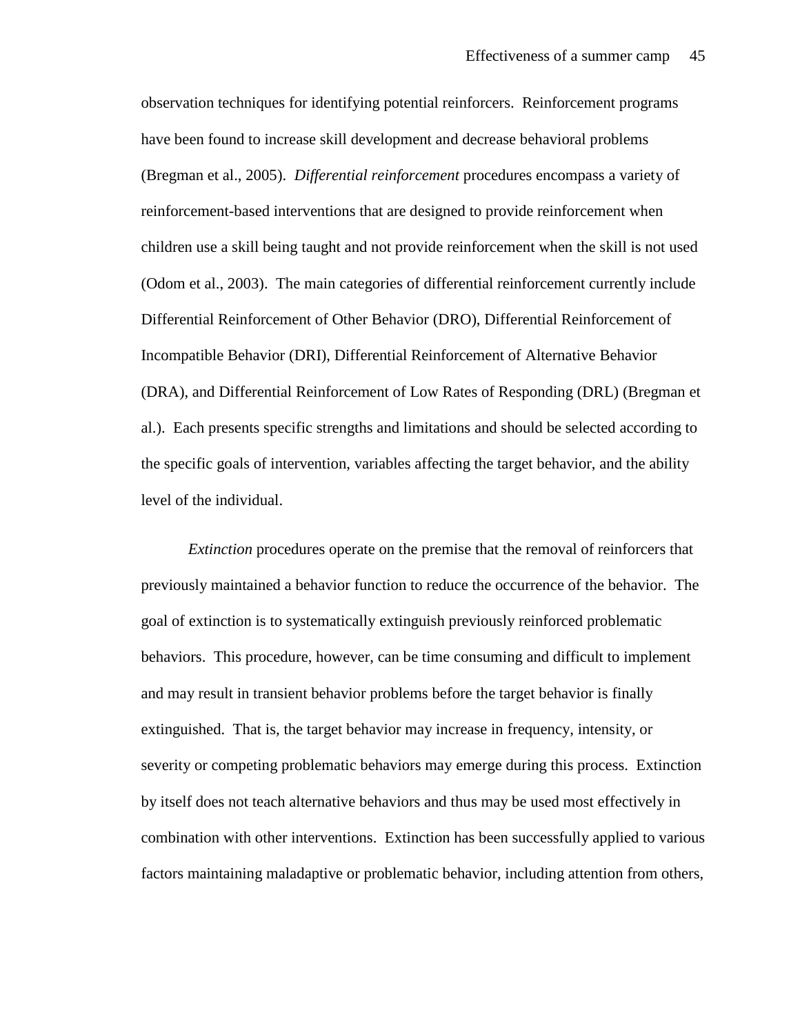observation techniques for identifying potential reinforcers. Reinforcement programs have been found to increase skill development and decrease behavioral problems (Bregman et al., 2005). *Differential reinforcement* procedures encompass a variety of reinforcement-based interventions that are designed to provide reinforcement when children use a skill being taught and not provide reinforcement when the skill is not used (Odom et al., 2003). The main categories of differential reinforcement currently include Differential Reinforcement of Other Behavior (DRO), Differential Reinforcement of Incompatible Behavior (DRI), Differential Reinforcement of Alternative Behavior (DRA), and Differential Reinforcement of Low Rates of Responding (DRL) (Bregman et al.). Each presents specific strengths and limitations and should be selected according to the specific goals of intervention, variables affecting the target behavior, and the ability level of the individual.

*Extinction* procedures operate on the premise that the removal of reinforcers that previously maintained a behavior function to reduce the occurrence of the behavior. The goal of extinction is to systematically extinguish previously reinforced problematic behaviors. This procedure, however, can be time consuming and difficult to implement and may result in transient behavior problems before the target behavior is finally extinguished. That is, the target behavior may increase in frequency, intensity, or severity or competing problematic behaviors may emerge during this process. Extinction by itself does not teach alternative behaviors and thus may be used most effectively in combination with other interventions. Extinction has been successfully applied to various factors maintaining maladaptive or problematic behavior, including attention from others,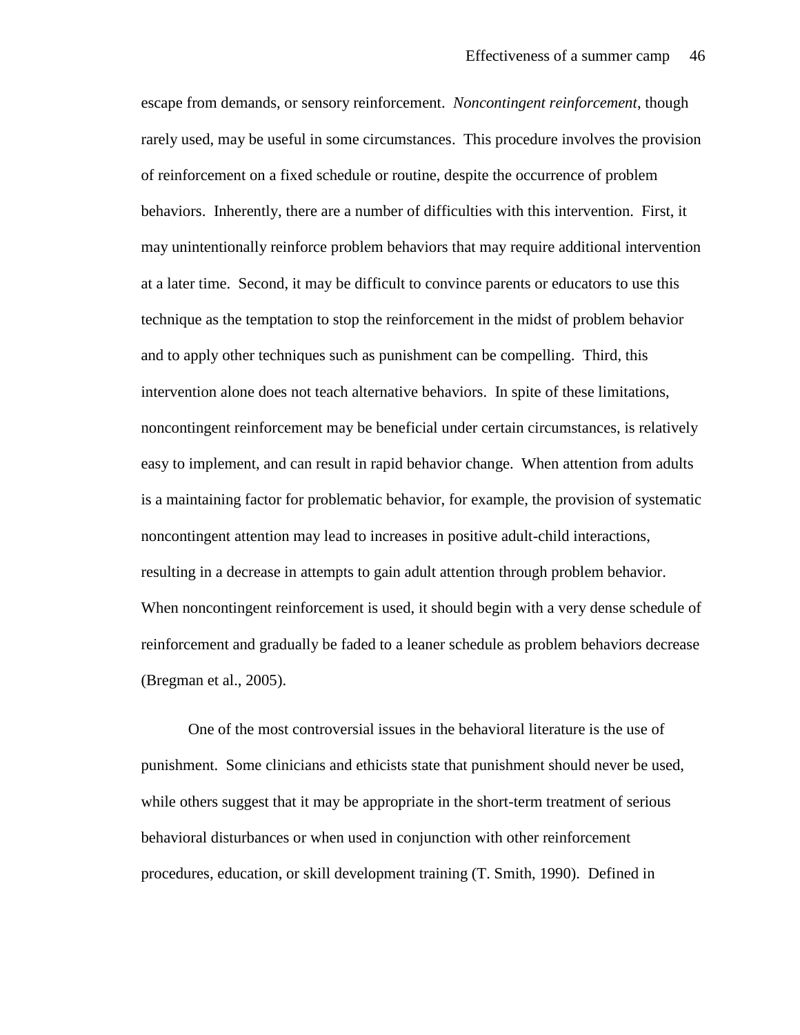escape from demands, or sensory reinforcement. *Noncontingent reinforcement*, though rarely used, may be useful in some circumstances. This procedure involves the provision of reinforcement on a fixed schedule or routine, despite the occurrence of problem behaviors. Inherently, there are a number of difficulties with this intervention. First, it may unintentionally reinforce problem behaviors that may require additional intervention at a later time. Second, it may be difficult to convince parents or educators to use this technique as the temptation to stop the reinforcement in the midst of problem behavior and to apply other techniques such as punishment can be compelling. Third, this intervention alone does not teach alternative behaviors. In spite of these limitations, noncontingent reinforcement may be beneficial under certain circumstances, is relatively easy to implement, and can result in rapid behavior change. When attention from adults is a maintaining factor for problematic behavior, for example, the provision of systematic noncontingent attention may lead to increases in positive adult-child interactions, resulting in a decrease in attempts to gain adult attention through problem behavior. When noncontingent reinforcement is used, it should begin with a very dense schedule of reinforcement and gradually be faded to a leaner schedule as problem behaviors decrease (Bregman et al., 2005).

One of the most controversial issues in the behavioral literature is the use of punishment. Some clinicians and ethicists state that punishment should never be used, while others suggest that it may be appropriate in the short-term treatment of serious behavioral disturbances or when used in conjunction with other reinforcement procedures, education, or skill development training (T. Smith, 1990). Defined in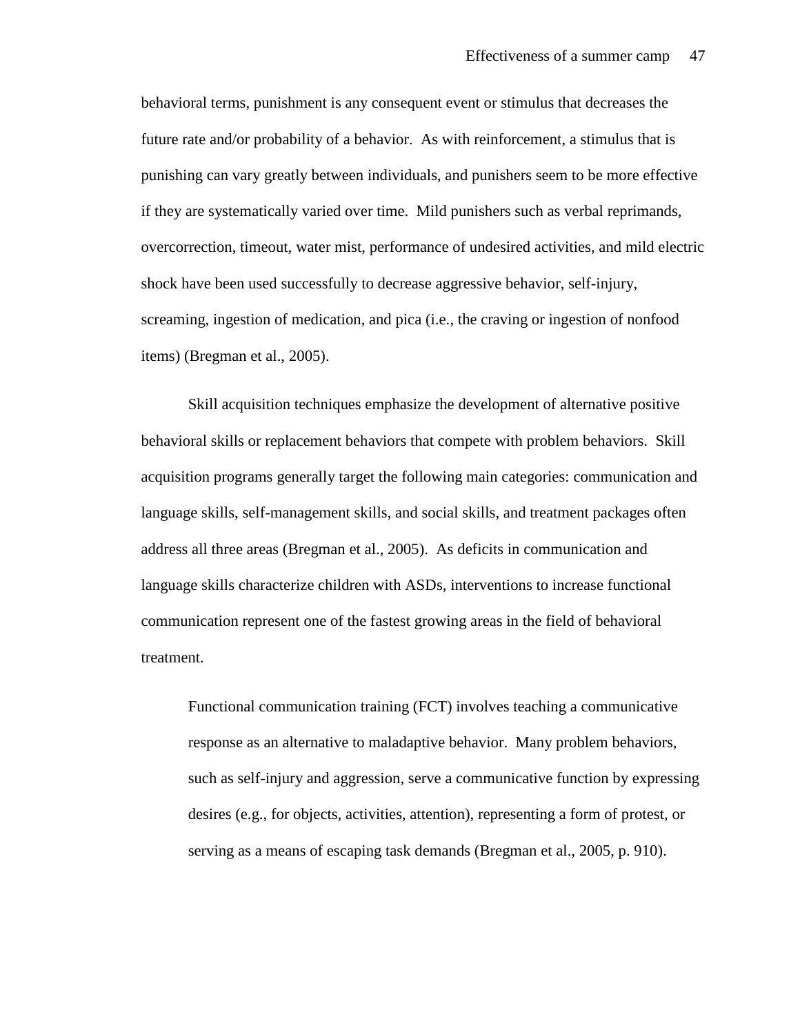behavioral terms, punishment is any consequent event or stimulus that decreases the future rate and/or probability of a behavior. As with reinforcement, a stimulus that is punishing can vary greatly between individuals, and punishers seem to be more effective if they are systematically varied over time. Mild punishers such as verbal reprimands, overcorrection, timeout, water mist, performance of undesired activities, and mild electric shock have been used successfully to decrease aggressive behavior, self-injury, screaming, ingestion of medication, and pica (i.e., the craving or ingestion of nonfood items) (Bregman et al., 2005).

Skill acquisition techniques emphasize the development of alternative positive behavioral skills or replacement behaviors that compete with problem behaviors. Skill acquisition programs generally target the following main categories: communication and language skills, self-management skills, and social skills, and treatment packages often address all three areas (Bregman et al., 2005). As deficits in communication and language skills characterize children with ASDs, interventions to increase functional communication represent one of the fastest growing areas in the field of behavioral treatment.

Functional communication training (FCT) involves teaching a communicative response as an alternative to maladaptive behavior. Many problem behaviors, such as self-injury and aggression, serve a communicative function by expressing desires (e.g., for objects, activities, attention), representing a form of protest, or serving as a means of escaping task demands (Bregman et al., 2005, p. 910).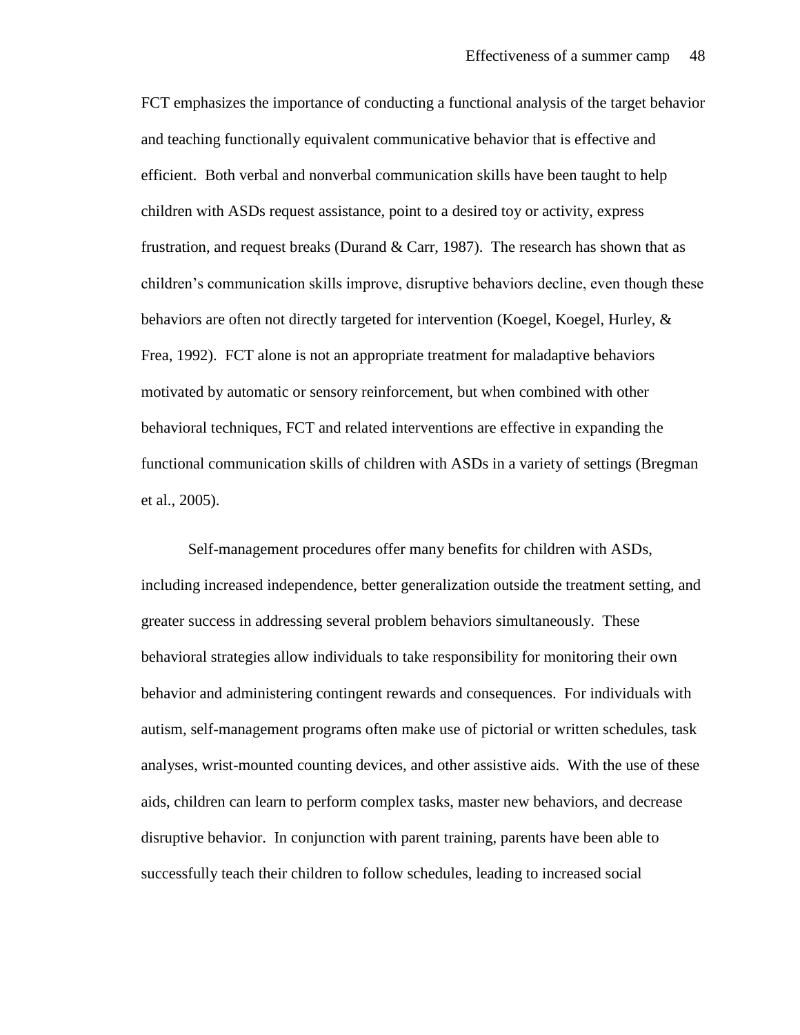FCT emphasizes the importance of conducting a functional analysis of the target behavior and teaching functionally equivalent communicative behavior that is effective and efficient. Both verbal and nonverbal communication skills have been taught to help children with ASDs request assistance, point to a desired toy or activity, express frustration, and request breaks (Durand  $& Carr, 1987$ ). The research has shown that as children's communication skills improve, disruptive behaviors decline, even though these behaviors are often not directly targeted for intervention (Koegel, Koegel, Hurley, & Frea, 1992). FCT alone is not an appropriate treatment for maladaptive behaviors motivated by automatic or sensory reinforcement, but when combined with other behavioral techniques, FCT and related interventions are effective in expanding the functional communication skills of children with ASDs in a variety of settings (Bregman et al., 2005).

Self-management procedures offer many benefits for children with ASDs, including increased independence, better generalization outside the treatment setting, and greater success in addressing several problem behaviors simultaneously. These behavioral strategies allow individuals to take responsibility for monitoring their own behavior and administering contingent rewards and consequences. For individuals with autism, self-management programs often make use of pictorial or written schedules, task analyses, wrist-mounted counting devices, and other assistive aids. With the use of these aids, children can learn to perform complex tasks, master new behaviors, and decrease disruptive behavior. In conjunction with parent training, parents have been able to successfully teach their children to follow schedules, leading to increased social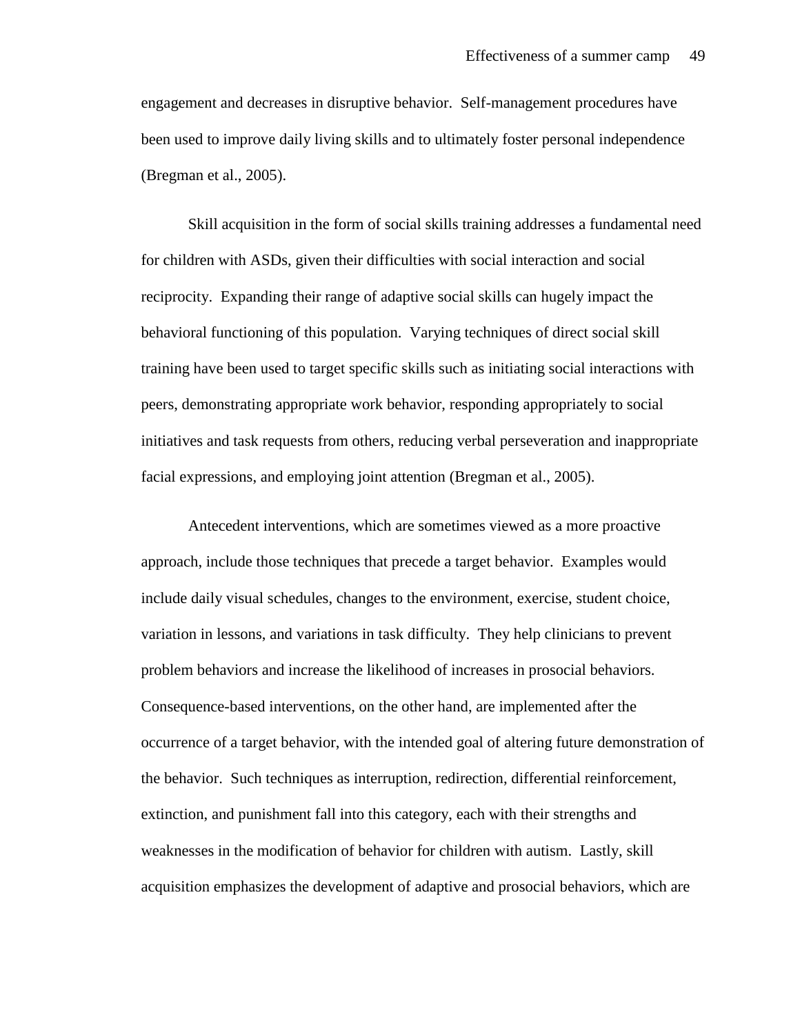engagement and decreases in disruptive behavior. Self-management procedures have been used to improve daily living skills and to ultimately foster personal independence (Bregman et al., 2005).

Skill acquisition in the form of social skills training addresses a fundamental need for children with ASDs, given their difficulties with social interaction and social reciprocity. Expanding their range of adaptive social skills can hugely impact the behavioral functioning of this population. Varying techniques of direct social skill training have been used to target specific skills such as initiating social interactions with peers, demonstrating appropriate work behavior, responding appropriately to social initiatives and task requests from others, reducing verbal perseveration and inappropriate facial expressions, and employing joint attention (Bregman et al., 2005).

Antecedent interventions, which are sometimes viewed as a more proactive approach, include those techniques that precede a target behavior. Examples would include daily visual schedules, changes to the environment, exercise, student choice, variation in lessons, and variations in task difficulty. They help clinicians to prevent problem behaviors and increase the likelihood of increases in prosocial behaviors. Consequence-based interventions, on the other hand, are implemented after the occurrence of a target behavior, with the intended goal of altering future demonstration of the behavior. Such techniques as interruption, redirection, differential reinforcement, extinction, and punishment fall into this category, each with their strengths and weaknesses in the modification of behavior for children with autism. Lastly, skill acquisition emphasizes the development of adaptive and prosocial behaviors, which are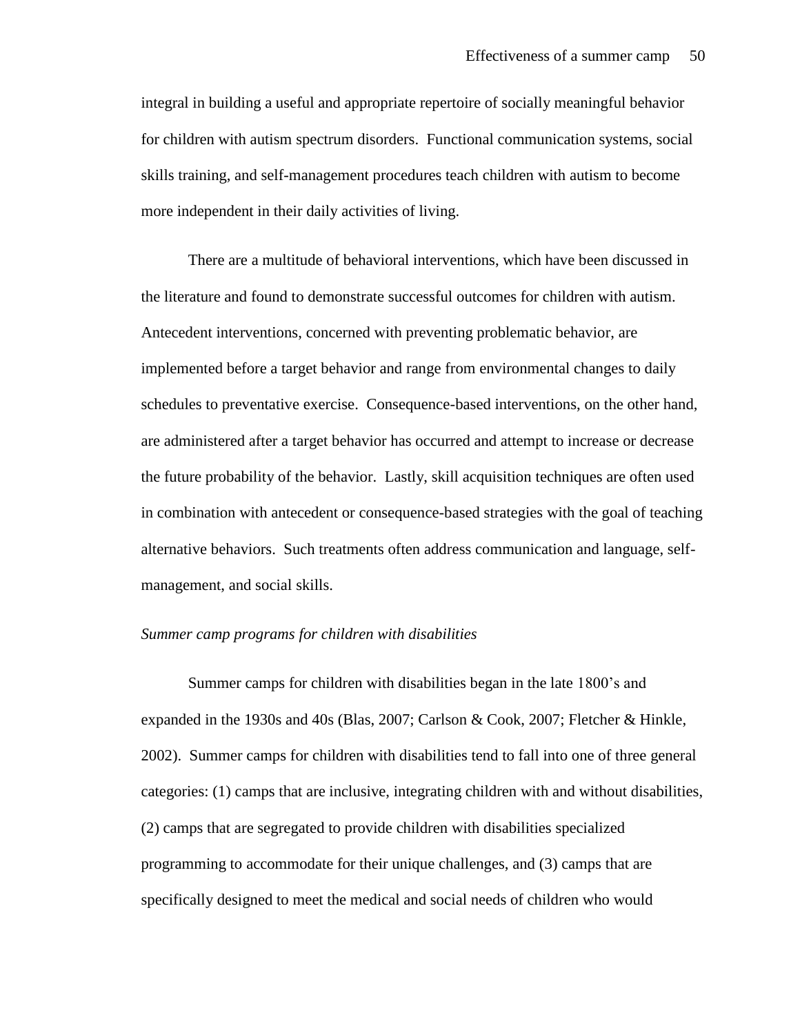integral in building a useful and appropriate repertoire of socially meaningful behavior for children with autism spectrum disorders. Functional communication systems, social skills training, and self-management procedures teach children with autism to become more independent in their daily activities of living.

There are a multitude of behavioral interventions, which have been discussed in the literature and found to demonstrate successful outcomes for children with autism. Antecedent interventions, concerned with preventing problematic behavior, are implemented before a target behavior and range from environmental changes to daily schedules to preventative exercise. Consequence-based interventions, on the other hand, are administered after a target behavior has occurred and attempt to increase or decrease the future probability of the behavior. Lastly, skill acquisition techniques are often used in combination with antecedent or consequence-based strategies with the goal of teaching alternative behaviors. Such treatments often address communication and language, selfmanagement, and social skills.

### *Summer camp programs for children with disabilities*

Summer camps for children with disabilities began in the late 1800's and expanded in the 1930s and 40s (Blas, 2007; Carlson & Cook, 2007; Fletcher & Hinkle, 2002). Summer camps for children with disabilities tend to fall into one of three general categories: (1) camps that are inclusive, integrating children with and without disabilities, (2) camps that are segregated to provide children with disabilities specialized programming to accommodate for their unique challenges, and (3) camps that are specifically designed to meet the medical and social needs of children who would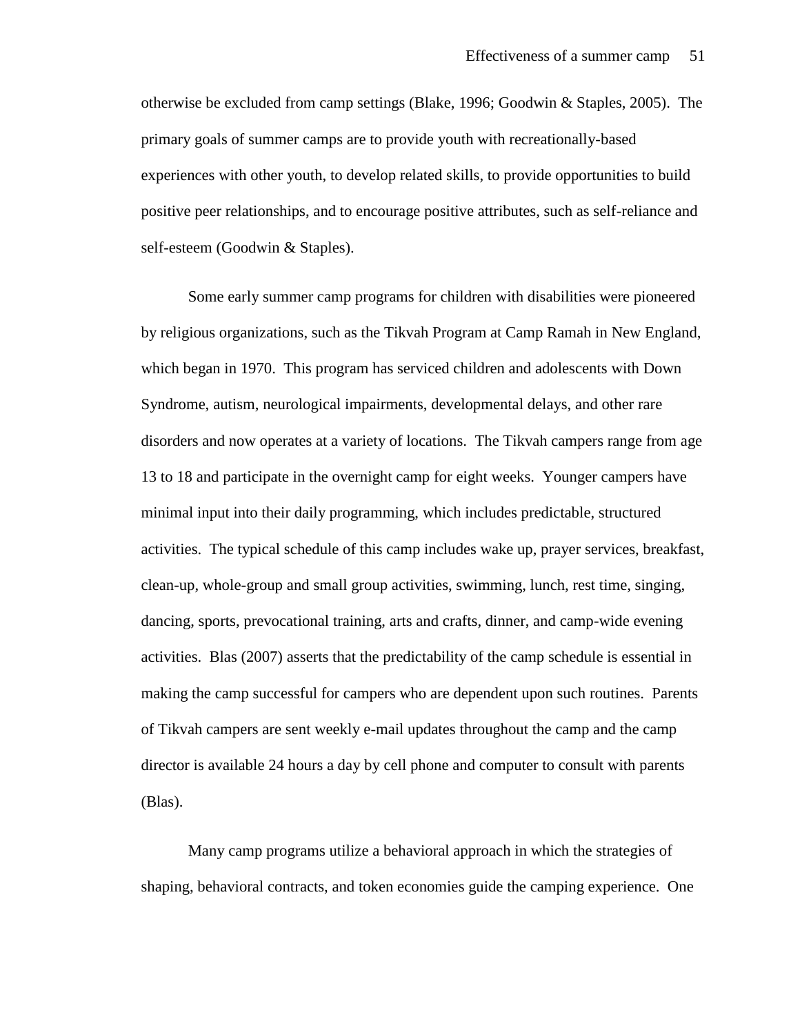otherwise be excluded from camp settings (Blake, 1996; Goodwin & Staples, 2005). The primary goals of summer camps are to provide youth with recreationally-based experiences with other youth, to develop related skills, to provide opportunities to build positive peer relationships, and to encourage positive attributes, such as self-reliance and self-esteem (Goodwin & Staples).

Some early summer camp programs for children with disabilities were pioneered by religious organizations, such as the Tikvah Program at Camp Ramah in New England, which began in 1970. This program has serviced children and adolescents with Down Syndrome, autism, neurological impairments, developmental delays, and other rare disorders and now operates at a variety of locations. The Tikvah campers range from age 13 to 18 and participate in the overnight camp for eight weeks. Younger campers have minimal input into their daily programming, which includes predictable, structured activities. The typical schedule of this camp includes wake up, prayer services, breakfast, clean-up, whole-group and small group activities, swimming, lunch, rest time, singing, dancing, sports, prevocational training, arts and crafts, dinner, and camp-wide evening activities. Blas (2007) asserts that the predictability of the camp schedule is essential in making the camp successful for campers who are dependent upon such routines. Parents of Tikvah campers are sent weekly e-mail updates throughout the camp and the camp director is available 24 hours a day by cell phone and computer to consult with parents (Blas).

Many camp programs utilize a behavioral approach in which the strategies of shaping, behavioral contracts, and token economies guide the camping experience. One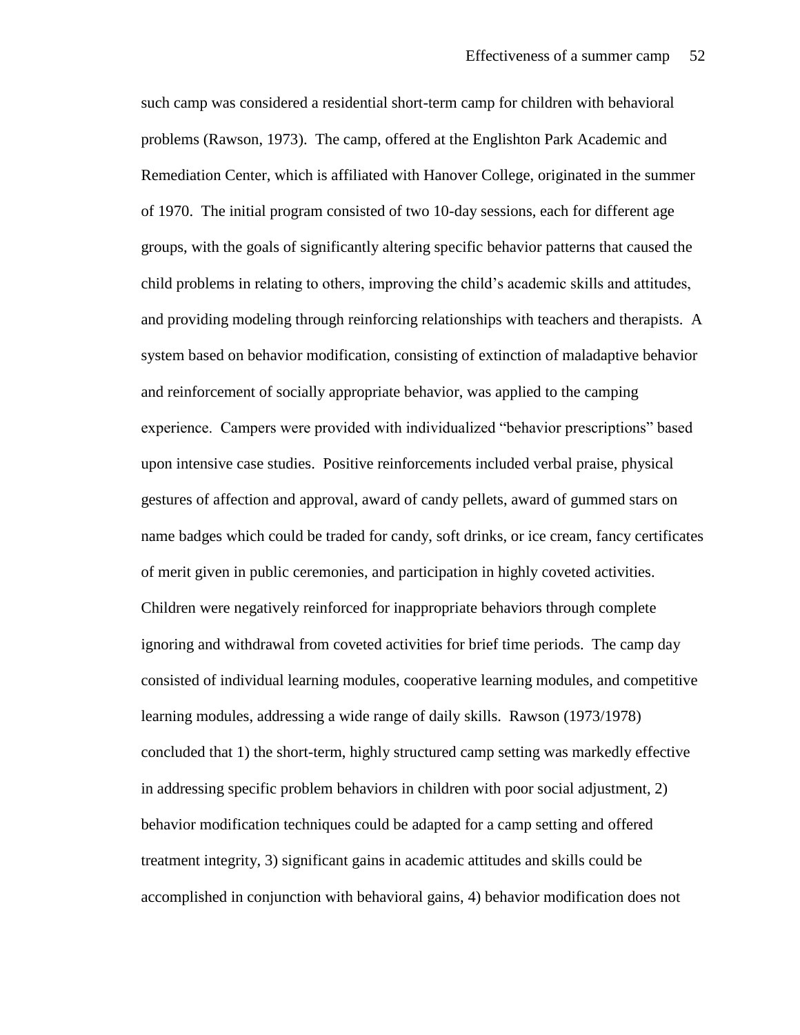such camp was considered a residential short-term camp for children with behavioral problems (Rawson, 1973). The camp, offered at the Englishton Park Academic and Remediation Center, which is affiliated with Hanover College, originated in the summer of 1970. The initial program consisted of two 10-day sessions, each for different age groups, with the goals of significantly altering specific behavior patterns that caused the child problems in relating to others, improving the child's academic skills and attitudes, and providing modeling through reinforcing relationships with teachers and therapists. A system based on behavior modification, consisting of extinction of maladaptive behavior and reinforcement of socially appropriate behavior, was applied to the camping experience. Campers were provided with individualized "behavior prescriptions" based upon intensive case studies. Positive reinforcements included verbal praise, physical gestures of affection and approval, award of candy pellets, award of gummed stars on name badges which could be traded for candy, soft drinks, or ice cream, fancy certificates of merit given in public ceremonies, and participation in highly coveted activities. Children were negatively reinforced for inappropriate behaviors through complete ignoring and withdrawal from coveted activities for brief time periods. The camp day consisted of individual learning modules, cooperative learning modules, and competitive learning modules, addressing a wide range of daily skills. Rawson (1973/1978) concluded that 1) the short-term, highly structured camp setting was markedly effective in addressing specific problem behaviors in children with poor social adjustment, 2) behavior modification techniques could be adapted for a camp setting and offered treatment integrity, 3) significant gains in academic attitudes and skills could be accomplished in conjunction with behavioral gains, 4) behavior modification does not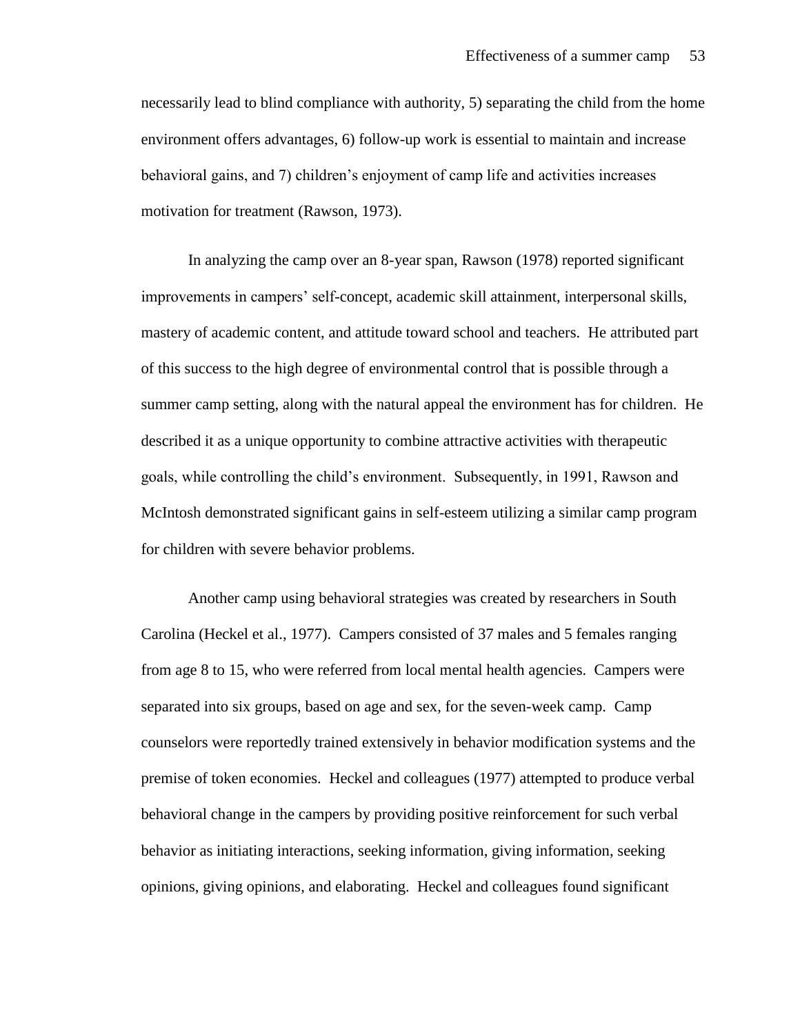necessarily lead to blind compliance with authority, 5) separating the child from the home environment offers advantages, 6) follow-up work is essential to maintain and increase behavioral gains, and 7) children's enjoyment of camp life and activities increases motivation for treatment (Rawson, 1973).

In analyzing the camp over an 8-year span, Rawson (1978) reported significant improvements in campers' self-concept, academic skill attainment, interpersonal skills, mastery of academic content, and attitude toward school and teachers. He attributed part of this success to the high degree of environmental control that is possible through a summer camp setting, along with the natural appeal the environment has for children. He described it as a unique opportunity to combine attractive activities with therapeutic goals, while controlling the child's environment. Subsequently, in 1991, Rawson and McIntosh demonstrated significant gains in self-esteem utilizing a similar camp program for children with severe behavior problems.

Another camp using behavioral strategies was created by researchers in South Carolina (Heckel et al., 1977). Campers consisted of 37 males and 5 females ranging from age 8 to 15, who were referred from local mental health agencies. Campers were separated into six groups, based on age and sex, for the seven-week camp. Camp counselors were reportedly trained extensively in behavior modification systems and the premise of token economies. Heckel and colleagues (1977) attempted to produce verbal behavioral change in the campers by providing positive reinforcement for such verbal behavior as initiating interactions, seeking information, giving information, seeking opinions, giving opinions, and elaborating. Heckel and colleagues found significant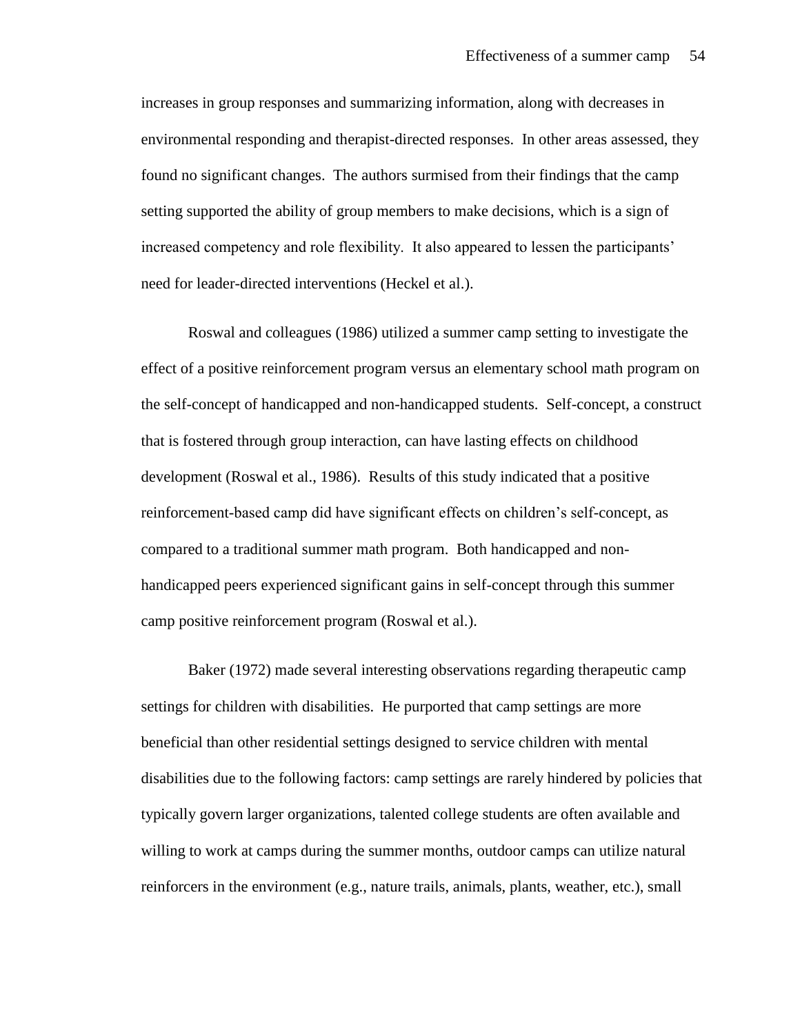increases in group responses and summarizing information, along with decreases in environmental responding and therapist-directed responses. In other areas assessed, they found no significant changes. The authors surmised from their findings that the camp setting supported the ability of group members to make decisions, which is a sign of increased competency and role flexibility. It also appeared to lessen the participants' need for leader-directed interventions (Heckel et al.).

Roswal and colleagues (1986) utilized a summer camp setting to investigate the effect of a positive reinforcement program versus an elementary school math program on the self-concept of handicapped and non-handicapped students. Self-concept, a construct that is fostered through group interaction, can have lasting effects on childhood development (Roswal et al., 1986). Results of this study indicated that a positive reinforcement-based camp did have significant effects on children's self-concept, as compared to a traditional summer math program. Both handicapped and nonhandicapped peers experienced significant gains in self-concept through this summer camp positive reinforcement program (Roswal et al.).

Baker (1972) made several interesting observations regarding therapeutic camp settings for children with disabilities. He purported that camp settings are more beneficial than other residential settings designed to service children with mental disabilities due to the following factors: camp settings are rarely hindered by policies that typically govern larger organizations, talented college students are often available and willing to work at camps during the summer months, outdoor camps can utilize natural reinforcers in the environment (e.g., nature trails, animals, plants, weather, etc.), small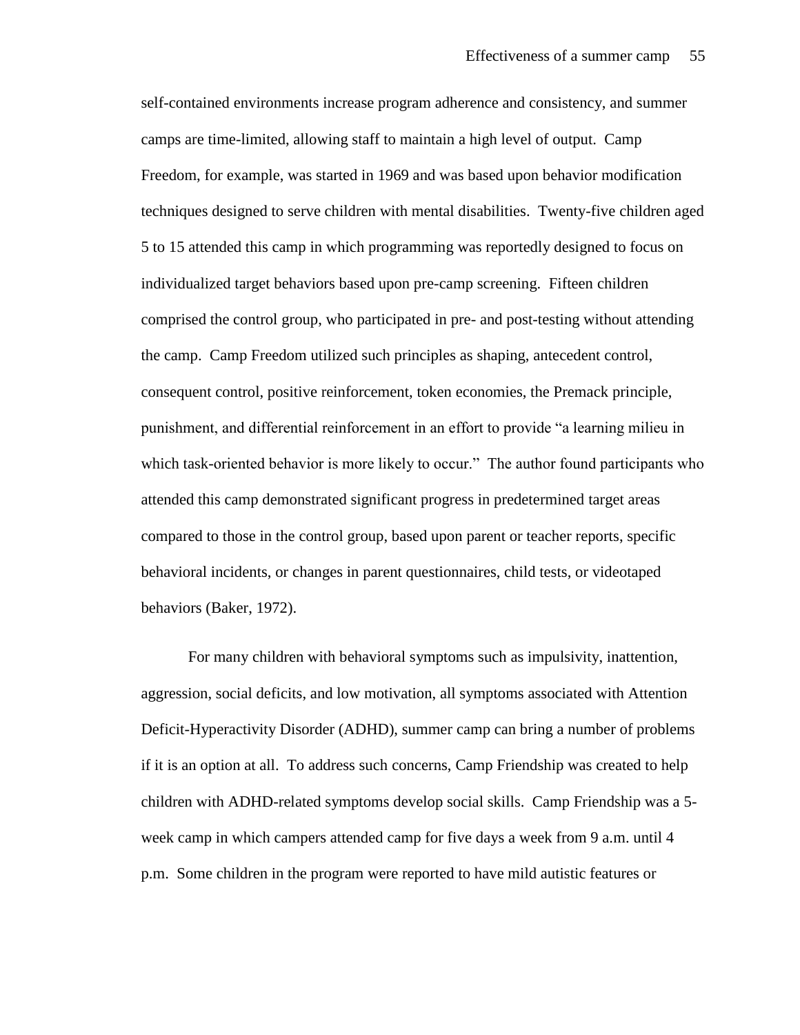self-contained environments increase program adherence and consistency, and summer camps are time-limited, allowing staff to maintain a high level of output. Camp Freedom, for example, was started in 1969 and was based upon behavior modification techniques designed to serve children with mental disabilities. Twenty-five children aged 5 to 15 attended this camp in which programming was reportedly designed to focus on individualized target behaviors based upon pre-camp screening. Fifteen children comprised the control group, who participated in pre- and post-testing without attending the camp. Camp Freedom utilized such principles as shaping, antecedent control, consequent control, positive reinforcement, token economies, the Premack principle, punishment, and differential reinforcement in an effort to provide "a learning milieu in which task-oriented behavior is more likely to occur." The author found participants who attended this camp demonstrated significant progress in predetermined target areas compared to those in the control group, based upon parent or teacher reports, specific behavioral incidents, or changes in parent questionnaires, child tests, or videotaped behaviors (Baker, 1972).

For many children with behavioral symptoms such as impulsivity, inattention, aggression, social deficits, and low motivation, all symptoms associated with Attention Deficit-Hyperactivity Disorder (ADHD), summer camp can bring a number of problems if it is an option at all. To address such concerns, Camp Friendship was created to help children with ADHD-related symptoms develop social skills. Camp Friendship was a 5 week camp in which campers attended camp for five days a week from 9 a.m. until 4 p.m. Some children in the program were reported to have mild autistic features or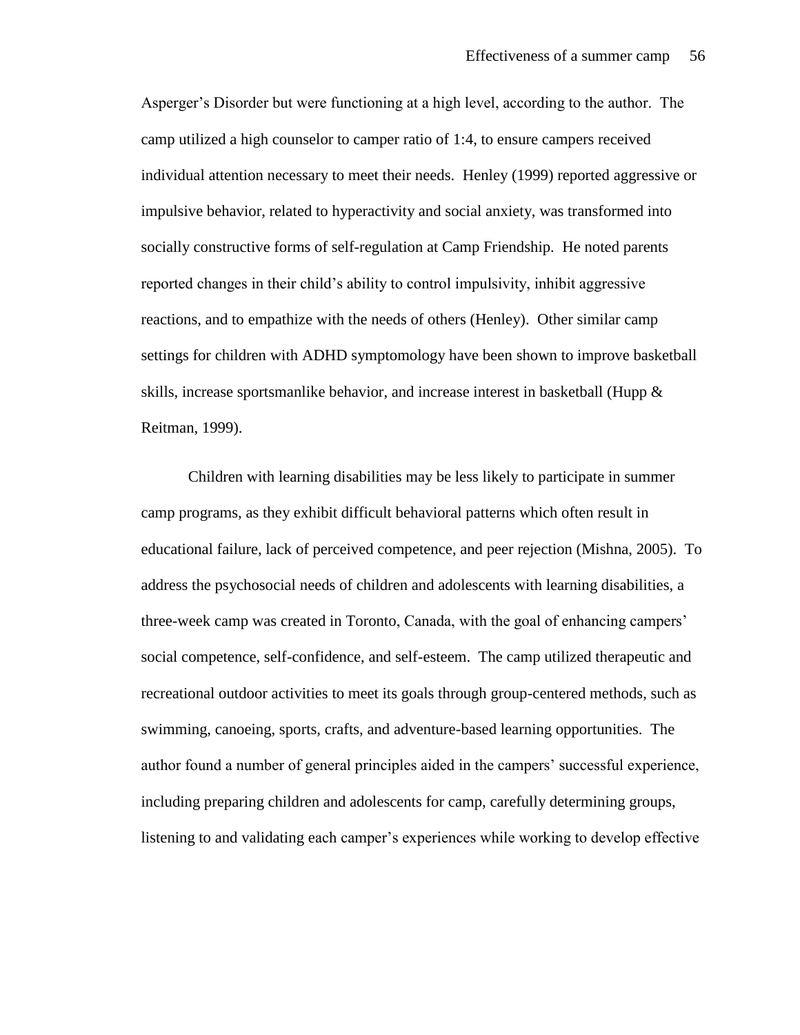Asperger's Disorder but were functioning at a high level, according to the author. The camp utilized a high counselor to camper ratio of 1:4, to ensure campers received individual attention necessary to meet their needs. Henley (1999) reported aggressive or impulsive behavior, related to hyperactivity and social anxiety, was transformed into socially constructive forms of self-regulation at Camp Friendship. He noted parents reported changes in their child's ability to control impulsivity, inhibit aggressive reactions, and to empathize with the needs of others (Henley). Other similar camp settings for children with ADHD symptomology have been shown to improve basketball skills, increase sportsmanlike behavior, and increase interest in basketball (Hupp & Reitman, 1999).

Children with learning disabilities may be less likely to participate in summer camp programs, as they exhibit difficult behavioral patterns which often result in educational failure, lack of perceived competence, and peer rejection (Mishna, 2005). To address the psychosocial needs of children and adolescents with learning disabilities, a three-week camp was created in Toronto, Canada, with the goal of enhancing campers' social competence, self-confidence, and self-esteem. The camp utilized therapeutic and recreational outdoor activities to meet its goals through group-centered methods, such as swimming, canoeing, sports, crafts, and adventure-based learning opportunities. The author found a number of general principles aided in the campers' successful experience, including preparing children and adolescents for camp, carefully determining groups, listening to and validating each camper's experiences while working to develop effective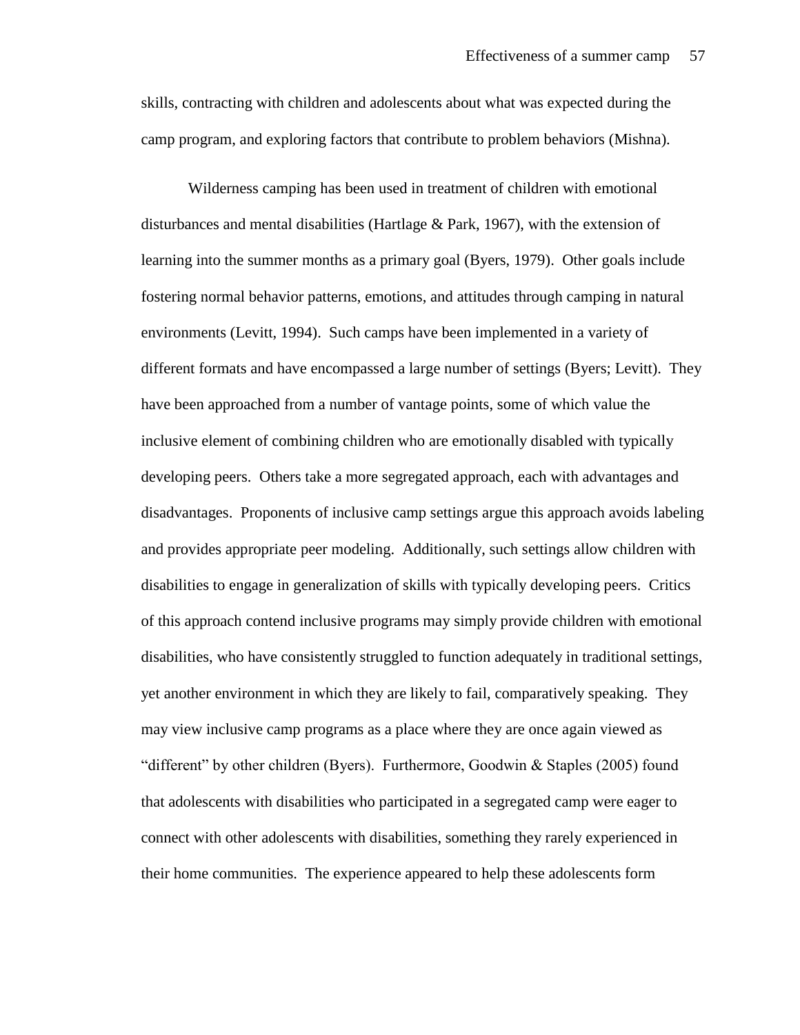skills, contracting with children and adolescents about what was expected during the camp program, and exploring factors that contribute to problem behaviors (Mishna).

Wilderness camping has been used in treatment of children with emotional disturbances and mental disabilities (Hartlage & Park, 1967), with the extension of learning into the summer months as a primary goal (Byers, 1979). Other goals include fostering normal behavior patterns, emotions, and attitudes through camping in natural environments (Levitt, 1994). Such camps have been implemented in a variety of different formats and have encompassed a large number of settings (Byers; Levitt). They have been approached from a number of vantage points, some of which value the inclusive element of combining children who are emotionally disabled with typically developing peers. Others take a more segregated approach, each with advantages and disadvantages. Proponents of inclusive camp settings argue this approach avoids labeling and provides appropriate peer modeling. Additionally, such settings allow children with disabilities to engage in generalization of skills with typically developing peers. Critics of this approach contend inclusive programs may simply provide children with emotional disabilities, who have consistently struggled to function adequately in traditional settings, yet another environment in which they are likely to fail, comparatively speaking. They may view inclusive camp programs as a place where they are once again viewed as "different" by other children (Byers). Furthermore, Goodwin & Staples (2005) found that adolescents with disabilities who participated in a segregated camp were eager to connect with other adolescents with disabilities, something they rarely experienced in their home communities. The experience appeared to help these adolescents form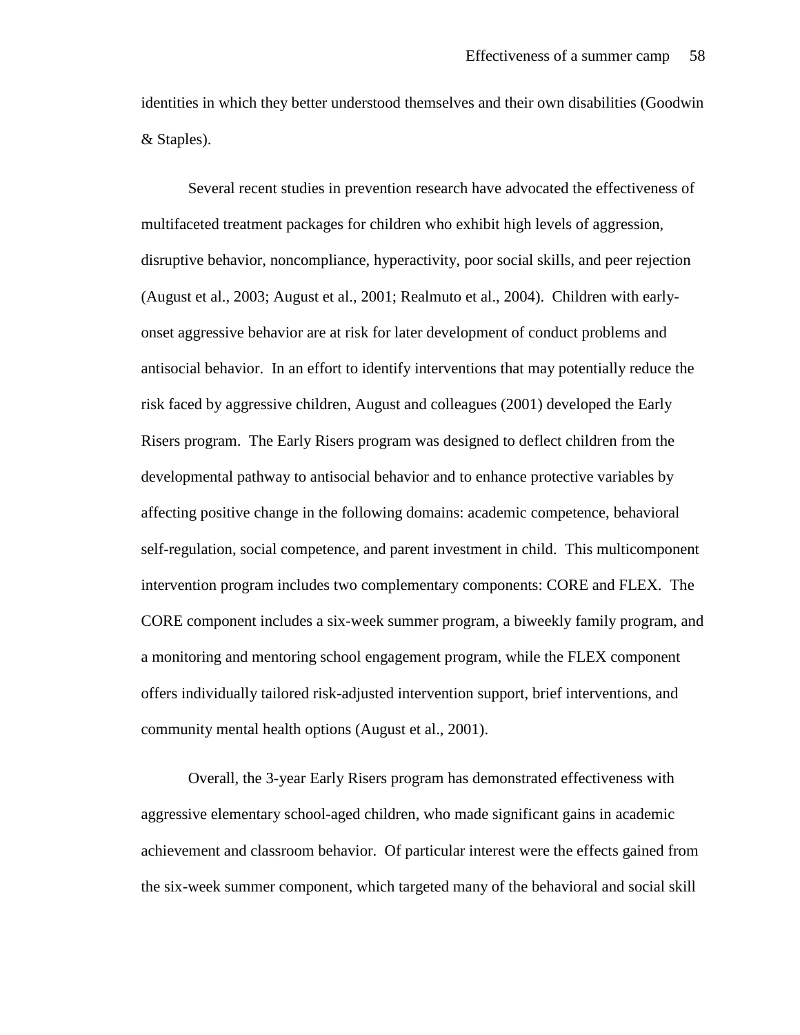identities in which they better understood themselves and their own disabilities (Goodwin & Staples).

Several recent studies in prevention research have advocated the effectiveness of multifaceted treatment packages for children who exhibit high levels of aggression, disruptive behavior, noncompliance, hyperactivity, poor social skills, and peer rejection (August et al., 2003; August et al., 2001; Realmuto et al., 2004). Children with earlyonset aggressive behavior are at risk for later development of conduct problems and antisocial behavior. In an effort to identify interventions that may potentially reduce the risk faced by aggressive children, August and colleagues (2001) developed the Early Risers program. The Early Risers program was designed to deflect children from the developmental pathway to antisocial behavior and to enhance protective variables by affecting positive change in the following domains: academic competence, behavioral self-regulation, social competence, and parent investment in child. This multicomponent intervention program includes two complementary components: CORE and FLEX. The CORE component includes a six-week summer program, a biweekly family program, and a monitoring and mentoring school engagement program, while the FLEX component offers individually tailored risk-adjusted intervention support, brief interventions, and community mental health options (August et al., 2001).

Overall, the 3-year Early Risers program has demonstrated effectiveness with aggressive elementary school-aged children, who made significant gains in academic achievement and classroom behavior. Of particular interest were the effects gained from the six-week summer component, which targeted many of the behavioral and social skill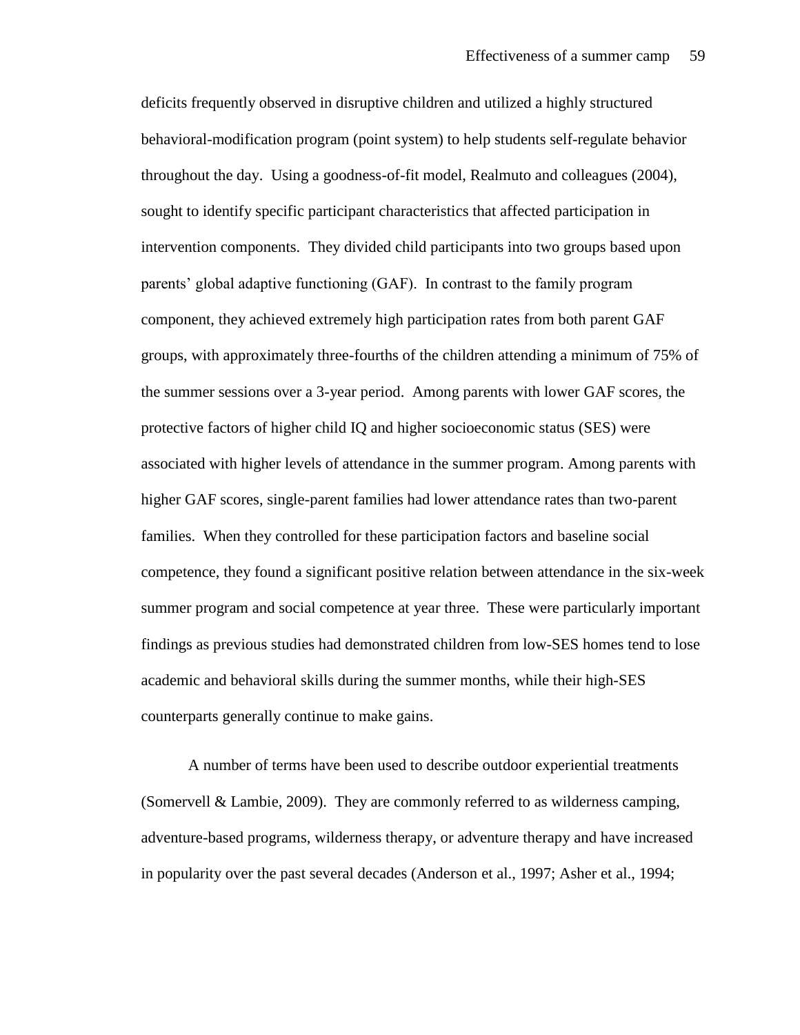deficits frequently observed in disruptive children and utilized a highly structured behavioral-modification program (point system) to help students self-regulate behavior throughout the day. Using a goodness-of-fit model, Realmuto and colleagues (2004), sought to identify specific participant characteristics that affected participation in intervention components. They divided child participants into two groups based upon parents' global adaptive functioning (GAF). In contrast to the family program component, they achieved extremely high participation rates from both parent GAF groups, with approximately three-fourths of the children attending a minimum of 75% of the summer sessions over a 3-year period. Among parents with lower GAF scores, the protective factors of higher child IQ and higher socioeconomic status (SES) were associated with higher levels of attendance in the summer program. Among parents with higher GAF scores, single-parent families had lower attendance rates than two-parent families. When they controlled for these participation factors and baseline social competence, they found a significant positive relation between attendance in the six-week summer program and social competence at year three. These were particularly important findings as previous studies had demonstrated children from low-SES homes tend to lose academic and behavioral skills during the summer months, while their high-SES counterparts generally continue to make gains.

A number of terms have been used to describe outdoor experiential treatments (Somervell & Lambie, 2009). They are commonly referred to as wilderness camping, adventure-based programs, wilderness therapy, or adventure therapy and have increased in popularity over the past several decades (Anderson et al., 1997; Asher et al., 1994;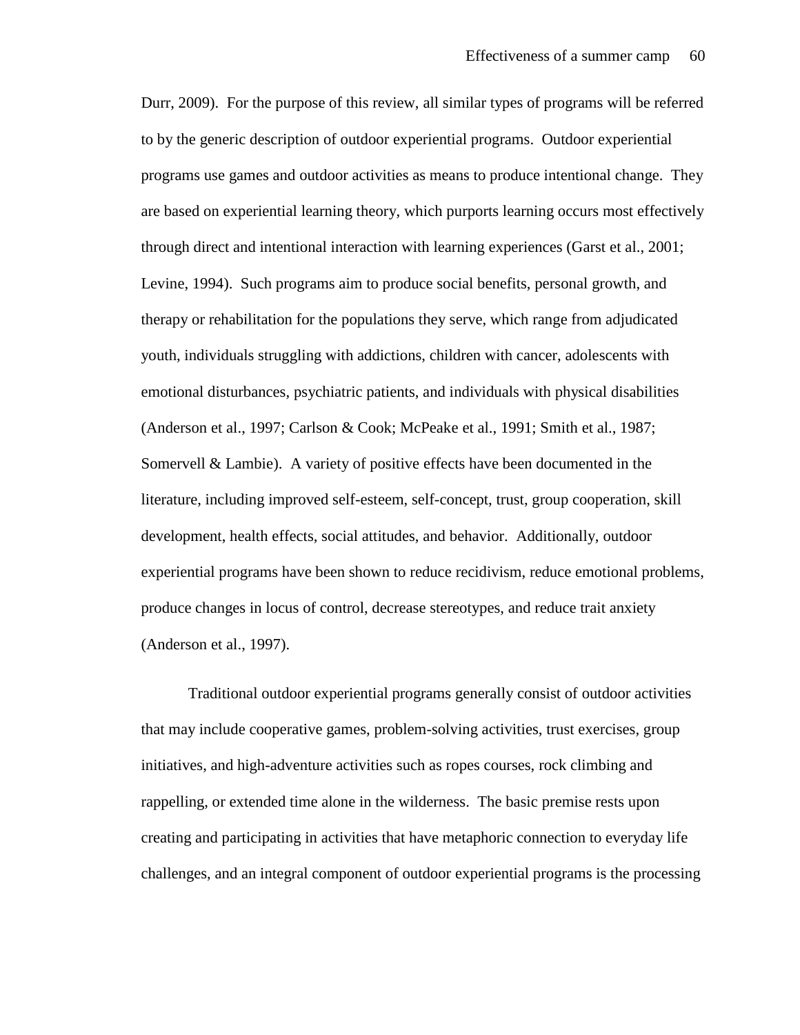Durr, 2009). For the purpose of this review, all similar types of programs will be referred to by the generic description of outdoor experiential programs. Outdoor experiential programs use games and outdoor activities as means to produce intentional change. They are based on experiential learning theory, which purports learning occurs most effectively through direct and intentional interaction with learning experiences (Garst et al., 2001; Levine, 1994). Such programs aim to produce social benefits, personal growth, and therapy or rehabilitation for the populations they serve, which range from adjudicated youth, individuals struggling with addictions, children with cancer, adolescents with emotional disturbances, psychiatric patients, and individuals with physical disabilities (Anderson et al., 1997; Carlson & Cook; McPeake et al., 1991; Smith et al., 1987; Somervell & Lambie). A variety of positive effects have been documented in the literature, including improved self-esteem, self-concept, trust, group cooperation, skill development, health effects, social attitudes, and behavior. Additionally, outdoor experiential programs have been shown to reduce recidivism, reduce emotional problems, produce changes in locus of control, decrease stereotypes, and reduce trait anxiety (Anderson et al., 1997).

Traditional outdoor experiential programs generally consist of outdoor activities that may include cooperative games, problem-solving activities, trust exercises, group initiatives, and high-adventure activities such as ropes courses, rock climbing and rappelling, or extended time alone in the wilderness. The basic premise rests upon creating and participating in activities that have metaphoric connection to everyday life challenges, and an integral component of outdoor experiential programs is the processing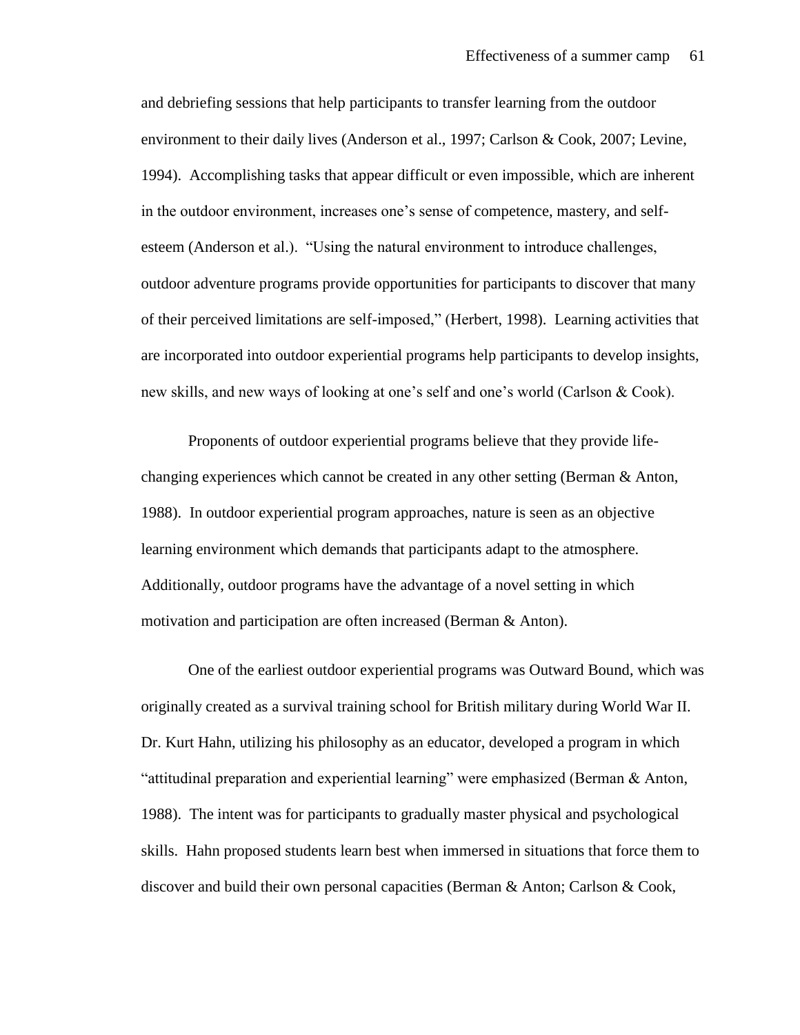and debriefing sessions that help participants to transfer learning from the outdoor environment to their daily lives (Anderson et al., 1997; Carlson & Cook, 2007; Levine, 1994). Accomplishing tasks that appear difficult or even impossible, which are inherent in the outdoor environment, increases one's sense of competence, mastery, and selfesteem (Anderson et al.). "Using the natural environment to introduce challenges, outdoor adventure programs provide opportunities for participants to discover that many of their perceived limitations are self-imposed," (Herbert, 1998). Learning activities that are incorporated into outdoor experiential programs help participants to develop insights, new skills, and new ways of looking at one's self and one's world (Carlson & Cook).

Proponents of outdoor experiential programs believe that they provide lifechanging experiences which cannot be created in any other setting (Berman & Anton, 1988). In outdoor experiential program approaches, nature is seen as an objective learning environment which demands that participants adapt to the atmosphere. Additionally, outdoor programs have the advantage of a novel setting in which motivation and participation are often increased (Berman & Anton).

One of the earliest outdoor experiential programs was Outward Bound, which was originally created as a survival training school for British military during World War II. Dr. Kurt Hahn, utilizing his philosophy as an educator, developed a program in which "attitudinal preparation and experiential learning" were emphasized (Berman & Anton, 1988). The intent was for participants to gradually master physical and psychological skills. Hahn proposed students learn best when immersed in situations that force them to discover and build their own personal capacities (Berman & Anton; Carlson & Cook,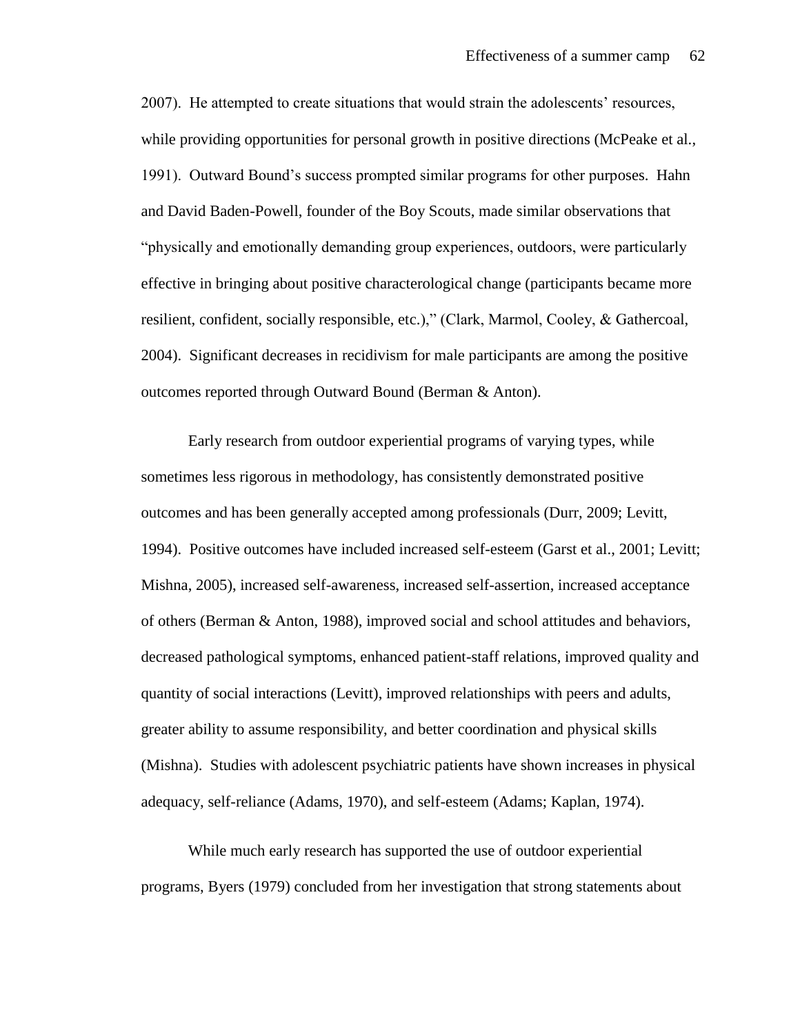2007). He attempted to create situations that would strain the adolescents' resources, while providing opportunities for personal growth in positive directions (McPeake et al., 1991). Outward Bound's success prompted similar programs for other purposes. Hahn and David Baden-Powell, founder of the Boy Scouts, made similar observations that "physically and emotionally demanding group experiences, outdoors, were particularly effective in bringing about positive characterological change (participants became more resilient, confident, socially responsible, etc.)," (Clark, Marmol, Cooley, & Gathercoal, 2004). Significant decreases in recidivism for male participants are among the positive outcomes reported through Outward Bound (Berman & Anton).

Early research from outdoor experiential programs of varying types, while sometimes less rigorous in methodology, has consistently demonstrated positive outcomes and has been generally accepted among professionals (Durr, 2009; Levitt, 1994). Positive outcomes have included increased self-esteem (Garst et al., 2001; Levitt; Mishna, 2005), increased self-awareness, increased self-assertion, increased acceptance of others (Berman & Anton, 1988), improved social and school attitudes and behaviors, decreased pathological symptoms, enhanced patient-staff relations, improved quality and quantity of social interactions (Levitt), improved relationships with peers and adults, greater ability to assume responsibility, and better coordination and physical skills (Mishna). Studies with adolescent psychiatric patients have shown increases in physical adequacy, self-reliance (Adams, 1970), and self-esteem (Adams; Kaplan, 1974).

While much early research has supported the use of outdoor experiential programs, Byers (1979) concluded from her investigation that strong statements about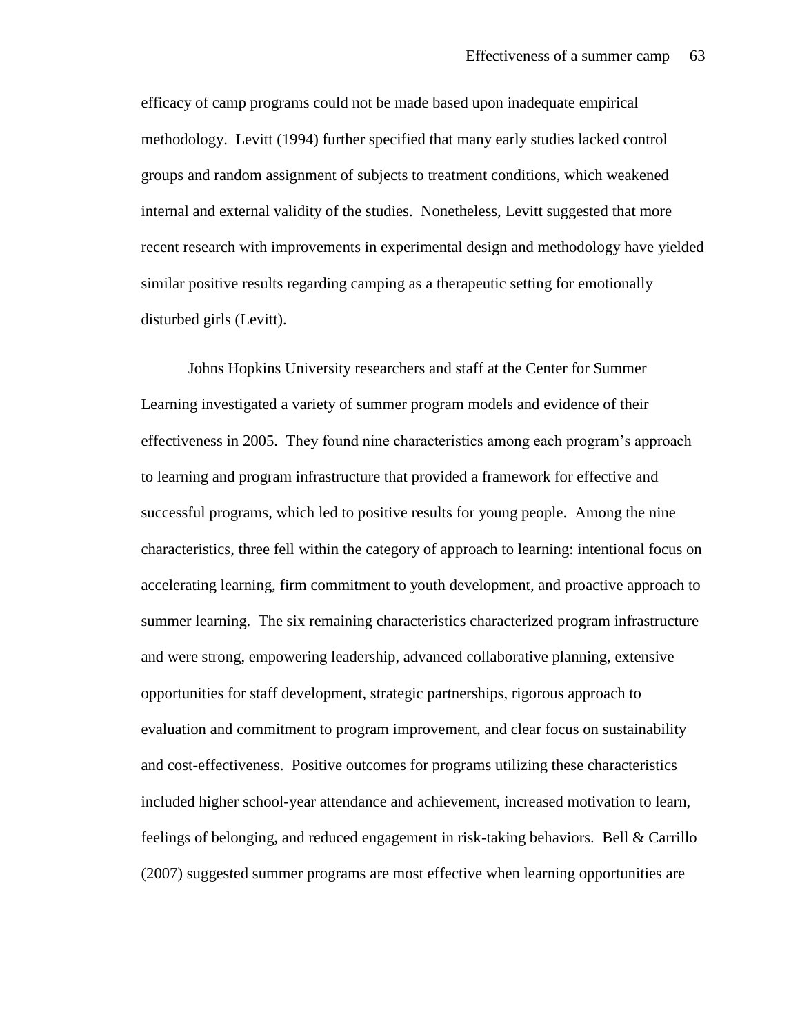efficacy of camp programs could not be made based upon inadequate empirical methodology. Levitt (1994) further specified that many early studies lacked control groups and random assignment of subjects to treatment conditions, which weakened internal and external validity of the studies. Nonetheless, Levitt suggested that more recent research with improvements in experimental design and methodology have yielded similar positive results regarding camping as a therapeutic setting for emotionally disturbed girls (Levitt).

Johns Hopkins University researchers and staff at the Center for Summer Learning investigated a variety of summer program models and evidence of their effectiveness in 2005. They found nine characteristics among each program's approach to learning and program infrastructure that provided a framework for effective and successful programs, which led to positive results for young people. Among the nine characteristics, three fell within the category of approach to learning: intentional focus on accelerating learning, firm commitment to youth development, and proactive approach to summer learning. The six remaining characteristics characterized program infrastructure and were strong, empowering leadership, advanced collaborative planning, extensive opportunities for staff development, strategic partnerships, rigorous approach to evaluation and commitment to program improvement, and clear focus on sustainability and cost-effectiveness. Positive outcomes for programs utilizing these characteristics included higher school-year attendance and achievement, increased motivation to learn, feelings of belonging, and reduced engagement in risk-taking behaviors. Bell & Carrillo (2007) suggested summer programs are most effective when learning opportunities are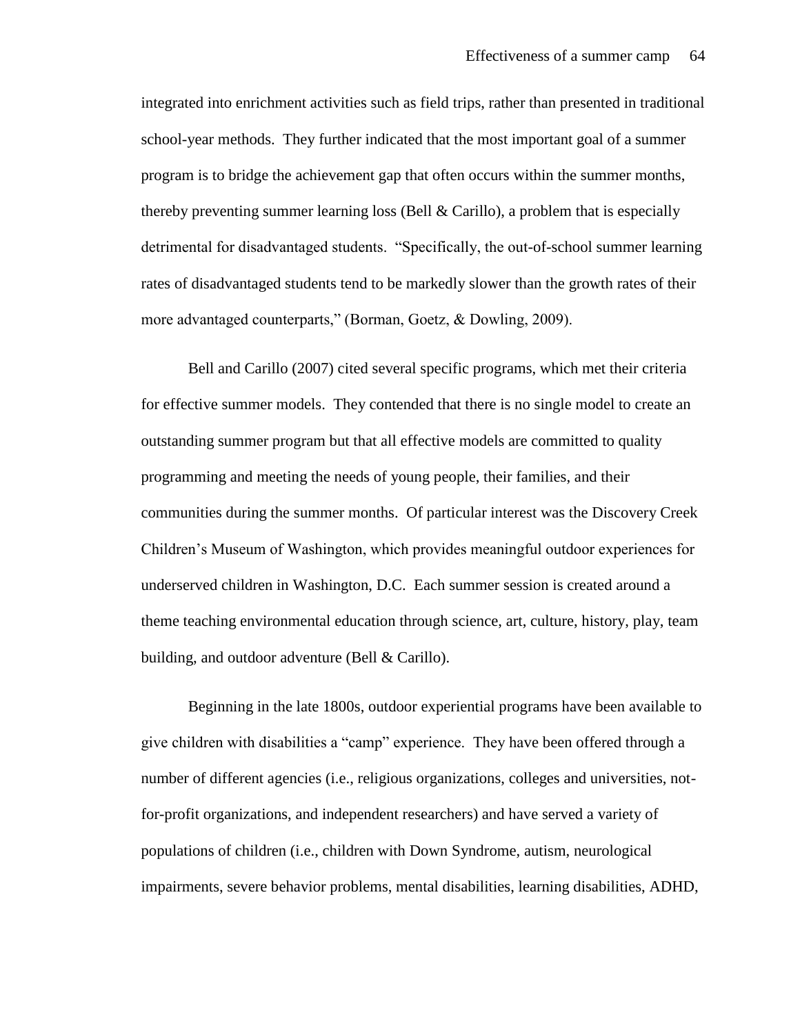integrated into enrichment activities such as field trips, rather than presented in traditional school-year methods. They further indicated that the most important goal of a summer program is to bridge the achievement gap that often occurs within the summer months, thereby preventing summer learning loss (Bell  $& Carillo$ ), a problem that is especially detrimental for disadvantaged students. "Specifically, the out-of-school summer learning rates of disadvantaged students tend to be markedly slower than the growth rates of their more advantaged counterparts," (Borman, Goetz, & Dowling, 2009).

Bell and Carillo (2007) cited several specific programs, which met their criteria for effective summer models. They contended that there is no single model to create an outstanding summer program but that all effective models are committed to quality programming and meeting the needs of young people, their families, and their communities during the summer months. Of particular interest was the Discovery Creek Children's Museum of Washington, which provides meaningful outdoor experiences for underserved children in Washington, D.C. Each summer session is created around a theme teaching environmental education through science, art, culture, history, play, team building, and outdoor adventure (Bell & Carillo).

Beginning in the late 1800s, outdoor experiential programs have been available to give children with disabilities a "camp" experience. They have been offered through a number of different agencies (i.e., religious organizations, colleges and universities, notfor-profit organizations, and independent researchers) and have served a variety of populations of children (i.e., children with Down Syndrome, autism, neurological impairments, severe behavior problems, mental disabilities, learning disabilities, ADHD,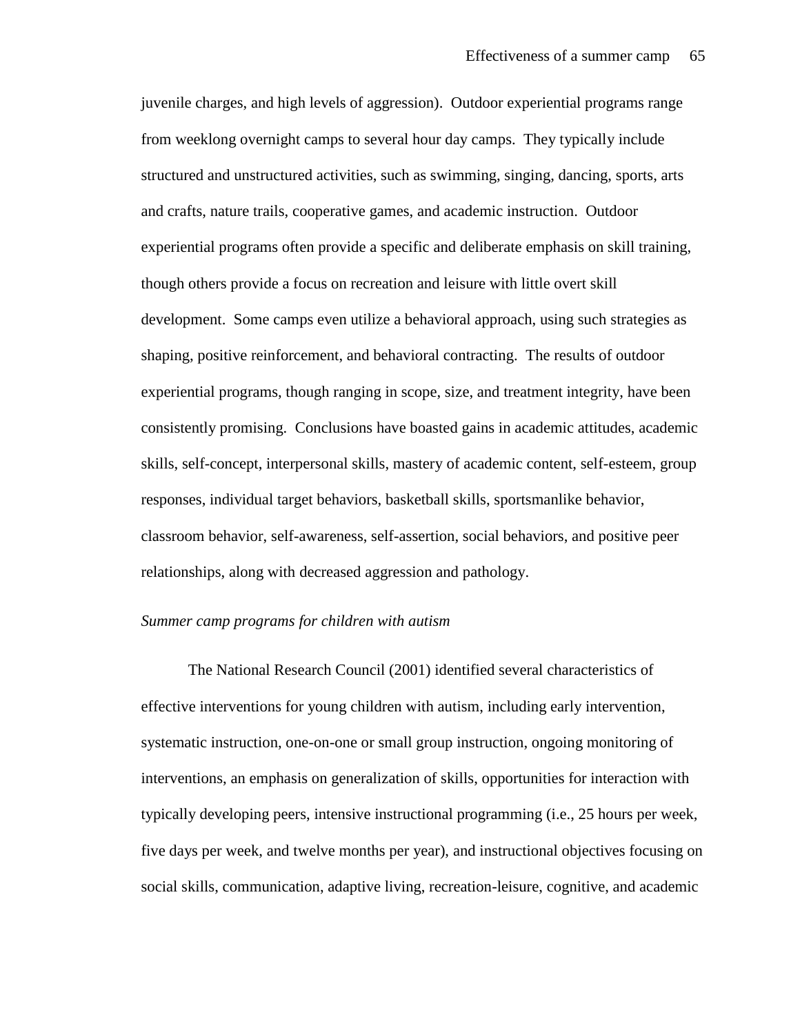juvenile charges, and high levels of aggression). Outdoor experiential programs range from weeklong overnight camps to several hour day camps. They typically include structured and unstructured activities, such as swimming, singing, dancing, sports, arts and crafts, nature trails, cooperative games, and academic instruction. Outdoor experiential programs often provide a specific and deliberate emphasis on skill training, though others provide a focus on recreation and leisure with little overt skill development. Some camps even utilize a behavioral approach, using such strategies as shaping, positive reinforcement, and behavioral contracting. The results of outdoor experiential programs, though ranging in scope, size, and treatment integrity, have been consistently promising. Conclusions have boasted gains in academic attitudes, academic skills, self-concept, interpersonal skills, mastery of academic content, self-esteem, group responses, individual target behaviors, basketball skills, sportsmanlike behavior, classroom behavior, self-awareness, self-assertion, social behaviors, and positive peer relationships, along with decreased aggression and pathology.

#### *Summer camp programs for children with autism*

The National Research Council (2001) identified several characteristics of effective interventions for young children with autism, including early intervention, systematic instruction, one-on-one or small group instruction, ongoing monitoring of interventions, an emphasis on generalization of skills, opportunities for interaction with typically developing peers, intensive instructional programming (i.e., 25 hours per week, five days per week, and twelve months per year), and instructional objectives focusing on social skills, communication, adaptive living, recreation-leisure, cognitive, and academic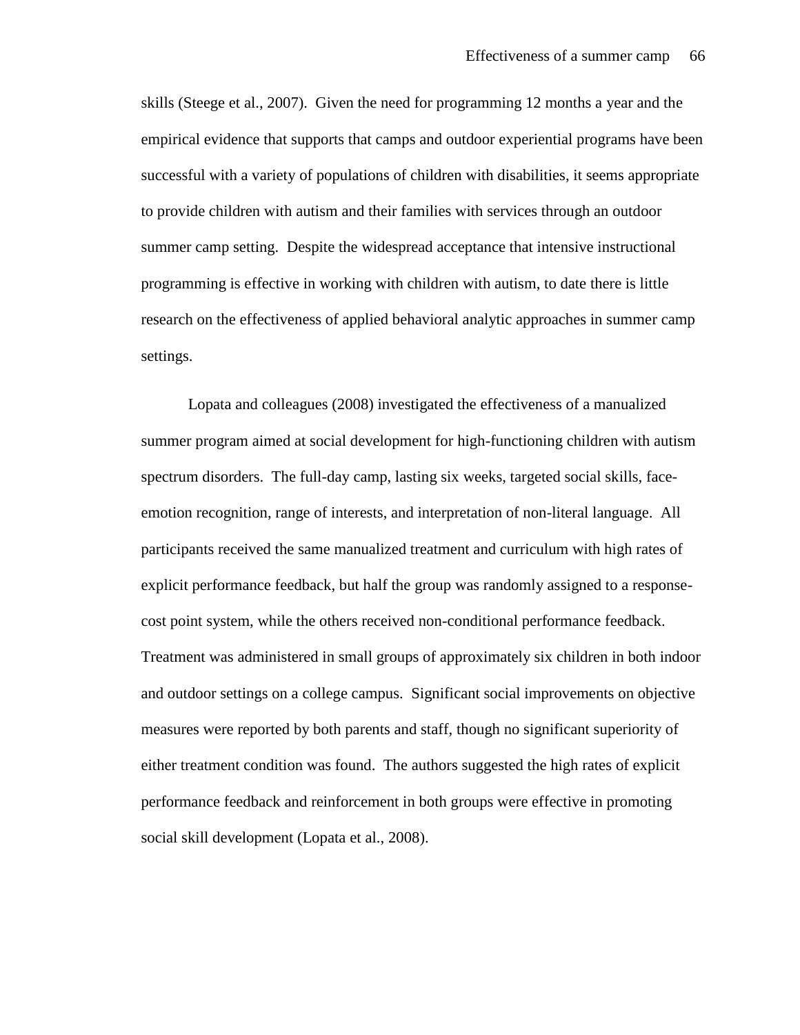skills (Steege et al., 2007). Given the need for programming 12 months a year and the empirical evidence that supports that camps and outdoor experiential programs have been successful with a variety of populations of children with disabilities, it seems appropriate to provide children with autism and their families with services through an outdoor summer camp setting. Despite the widespread acceptance that intensive instructional programming is effective in working with children with autism, to date there is little research on the effectiveness of applied behavioral analytic approaches in summer camp settings.

Lopata and colleagues (2008) investigated the effectiveness of a manualized summer program aimed at social development for high-functioning children with autism spectrum disorders. The full-day camp, lasting six weeks, targeted social skills, faceemotion recognition, range of interests, and interpretation of non-literal language. All participants received the same manualized treatment and curriculum with high rates of explicit performance feedback, but half the group was randomly assigned to a responsecost point system, while the others received non-conditional performance feedback. Treatment was administered in small groups of approximately six children in both indoor and outdoor settings on a college campus. Significant social improvements on objective measures were reported by both parents and staff, though no significant superiority of either treatment condition was found. The authors suggested the high rates of explicit performance feedback and reinforcement in both groups were effective in promoting social skill development (Lopata et al., 2008).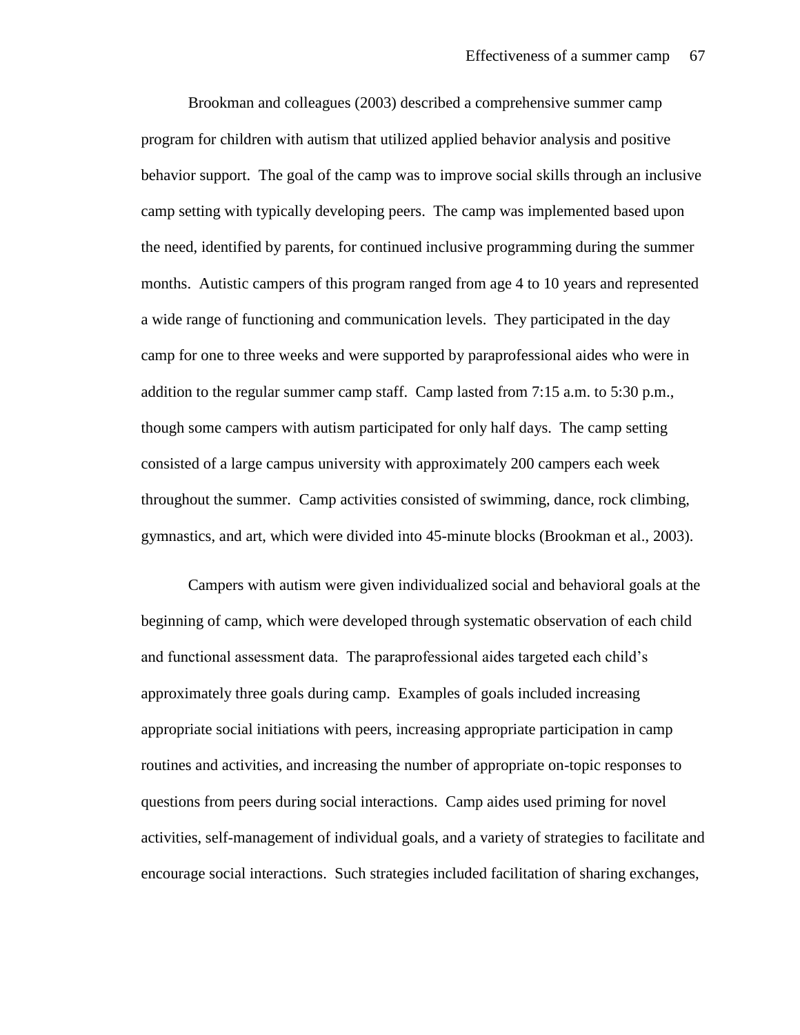Brookman and colleagues (2003) described a comprehensive summer camp program for children with autism that utilized applied behavior analysis and positive behavior support. The goal of the camp was to improve social skills through an inclusive camp setting with typically developing peers. The camp was implemented based upon the need, identified by parents, for continued inclusive programming during the summer months. Autistic campers of this program ranged from age 4 to 10 years and represented a wide range of functioning and communication levels. They participated in the day camp for one to three weeks and were supported by paraprofessional aides who were in addition to the regular summer camp staff. Camp lasted from 7:15 a.m. to 5:30 p.m., though some campers with autism participated for only half days. The camp setting consisted of a large campus university with approximately 200 campers each week throughout the summer. Camp activities consisted of swimming, dance, rock climbing, gymnastics, and art, which were divided into 45-minute blocks (Brookman et al., 2003).

Campers with autism were given individualized social and behavioral goals at the beginning of camp, which were developed through systematic observation of each child and functional assessment data. The paraprofessional aides targeted each child's approximately three goals during camp. Examples of goals included increasing appropriate social initiations with peers, increasing appropriate participation in camp routines and activities, and increasing the number of appropriate on-topic responses to questions from peers during social interactions. Camp aides used priming for novel activities, self-management of individual goals, and a variety of strategies to facilitate and encourage social interactions. Such strategies included facilitation of sharing exchanges,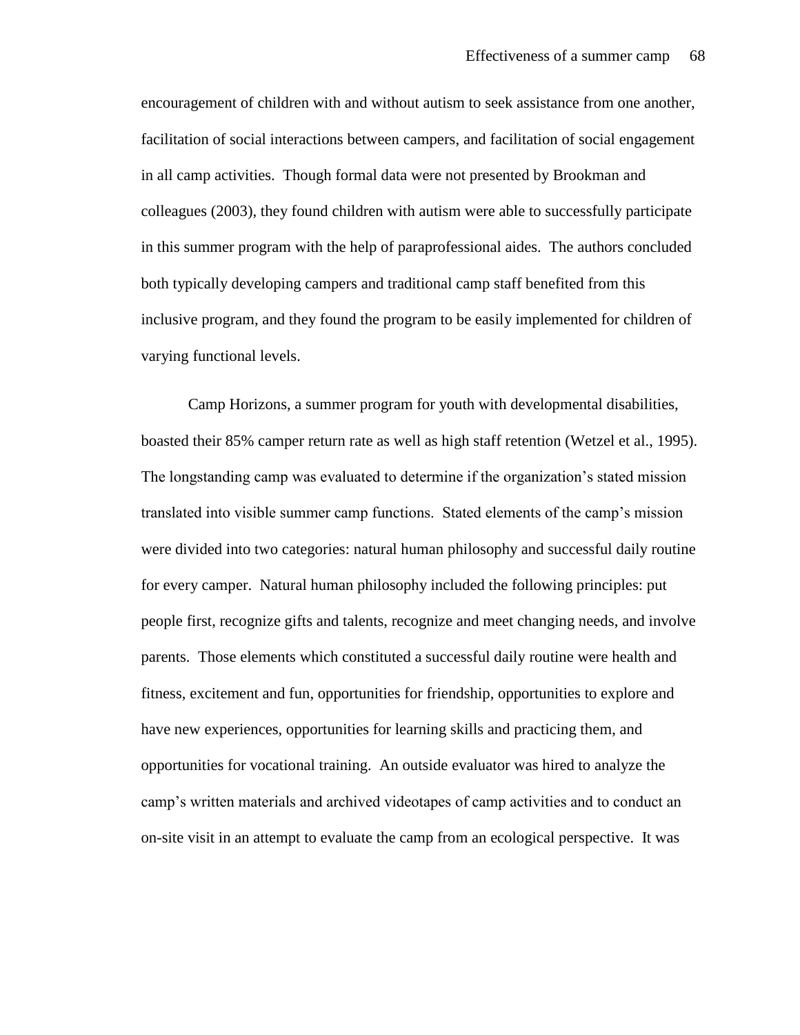encouragement of children with and without autism to seek assistance from one another, facilitation of social interactions between campers, and facilitation of social engagement in all camp activities. Though formal data were not presented by Brookman and colleagues (2003), they found children with autism were able to successfully participate in this summer program with the help of paraprofessional aides. The authors concluded both typically developing campers and traditional camp staff benefited from this inclusive program, and they found the program to be easily implemented for children of varying functional levels.

Camp Horizons, a summer program for youth with developmental disabilities, boasted their 85% camper return rate as well as high staff retention (Wetzel et al., 1995). The longstanding camp was evaluated to determine if the organization's stated mission translated into visible summer camp functions. Stated elements of the camp's mission were divided into two categories: natural human philosophy and successful daily routine for every camper. Natural human philosophy included the following principles: put people first, recognize gifts and talents, recognize and meet changing needs, and involve parents. Those elements which constituted a successful daily routine were health and fitness, excitement and fun, opportunities for friendship, opportunities to explore and have new experiences, opportunities for learning skills and practicing them, and opportunities for vocational training. An outside evaluator was hired to analyze the camp's written materials and archived videotapes of camp activities and to conduct an on-site visit in an attempt to evaluate the camp from an ecological perspective. It was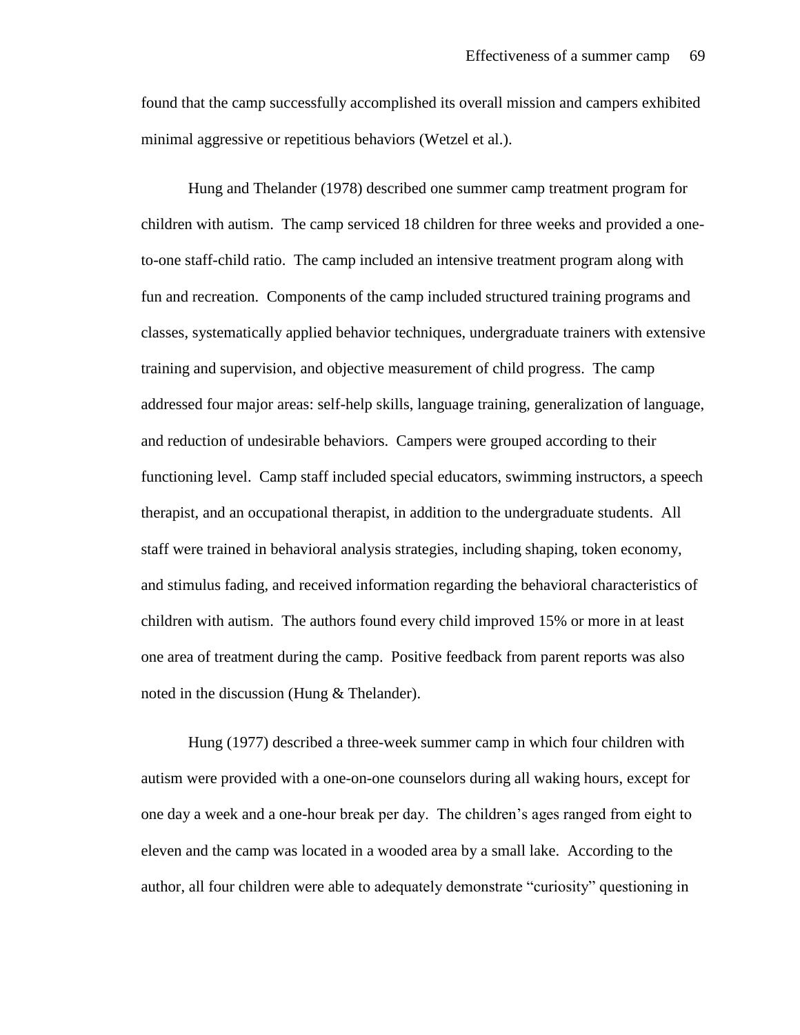found that the camp successfully accomplished its overall mission and campers exhibited minimal aggressive or repetitious behaviors (Wetzel et al.).

Hung and Thelander (1978) described one summer camp treatment program for children with autism. The camp serviced 18 children for three weeks and provided a oneto-one staff-child ratio. The camp included an intensive treatment program along with fun and recreation. Components of the camp included structured training programs and classes, systematically applied behavior techniques, undergraduate trainers with extensive training and supervision, and objective measurement of child progress. The camp addressed four major areas: self-help skills, language training, generalization of language, and reduction of undesirable behaviors. Campers were grouped according to their functioning level. Camp staff included special educators, swimming instructors, a speech therapist, and an occupational therapist, in addition to the undergraduate students. All staff were trained in behavioral analysis strategies, including shaping, token economy, and stimulus fading, and received information regarding the behavioral characteristics of children with autism. The authors found every child improved 15% or more in at least one area of treatment during the camp. Positive feedback from parent reports was also noted in the discussion (Hung & Thelander).

Hung (1977) described a three-week summer camp in which four children with autism were provided with a one-on-one counselors during all waking hours, except for one day a week and a one-hour break per day. The children's ages ranged from eight to eleven and the camp was located in a wooded area by a small lake. According to the author, all four children were able to adequately demonstrate "curiosity" questioning in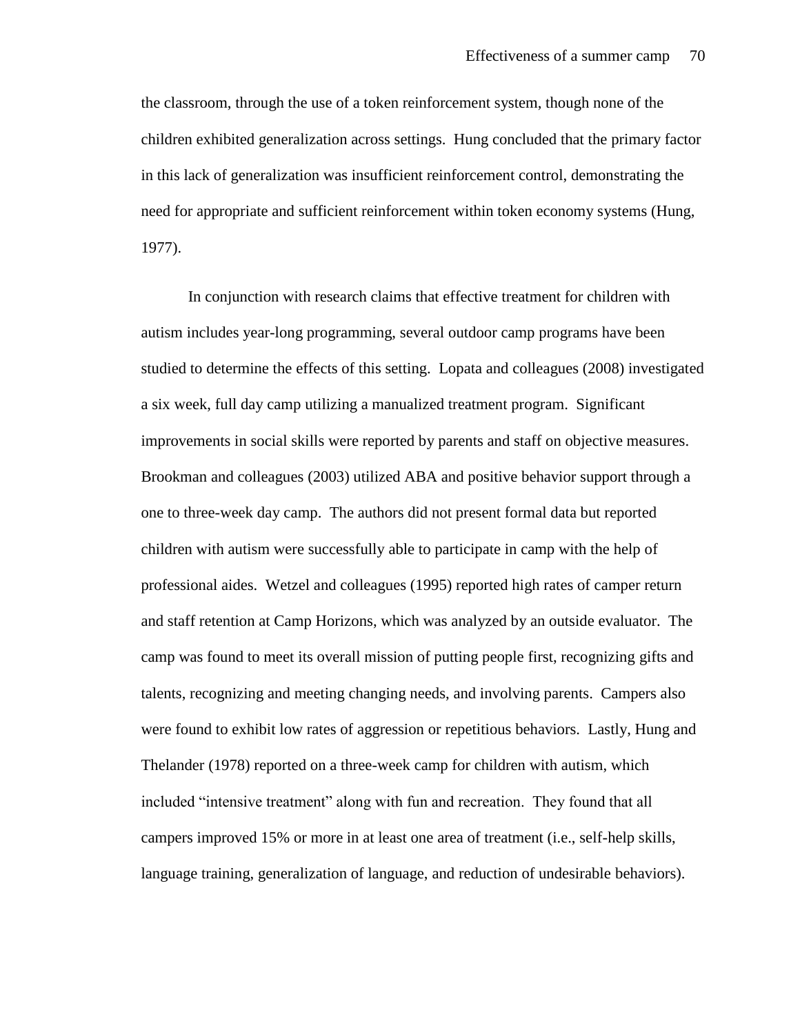the classroom, through the use of a token reinforcement system, though none of the children exhibited generalization across settings. Hung concluded that the primary factor in this lack of generalization was insufficient reinforcement control, demonstrating the need for appropriate and sufficient reinforcement within token economy systems (Hung, 1977).

In conjunction with research claims that effective treatment for children with autism includes year-long programming, several outdoor camp programs have been studied to determine the effects of this setting. Lopata and colleagues (2008) investigated a six week, full day camp utilizing a manualized treatment program. Significant improvements in social skills were reported by parents and staff on objective measures. Brookman and colleagues (2003) utilized ABA and positive behavior support through a one to three-week day camp. The authors did not present formal data but reported children with autism were successfully able to participate in camp with the help of professional aides. Wetzel and colleagues (1995) reported high rates of camper return and staff retention at Camp Horizons, which was analyzed by an outside evaluator. The camp was found to meet its overall mission of putting people first, recognizing gifts and talents, recognizing and meeting changing needs, and involving parents. Campers also were found to exhibit low rates of aggression or repetitious behaviors. Lastly, Hung and Thelander (1978) reported on a three-week camp for children with autism, which included "intensive treatment" along with fun and recreation. They found that all campers improved 15% or more in at least one area of treatment (i.e., self-help skills, language training, generalization of language, and reduction of undesirable behaviors).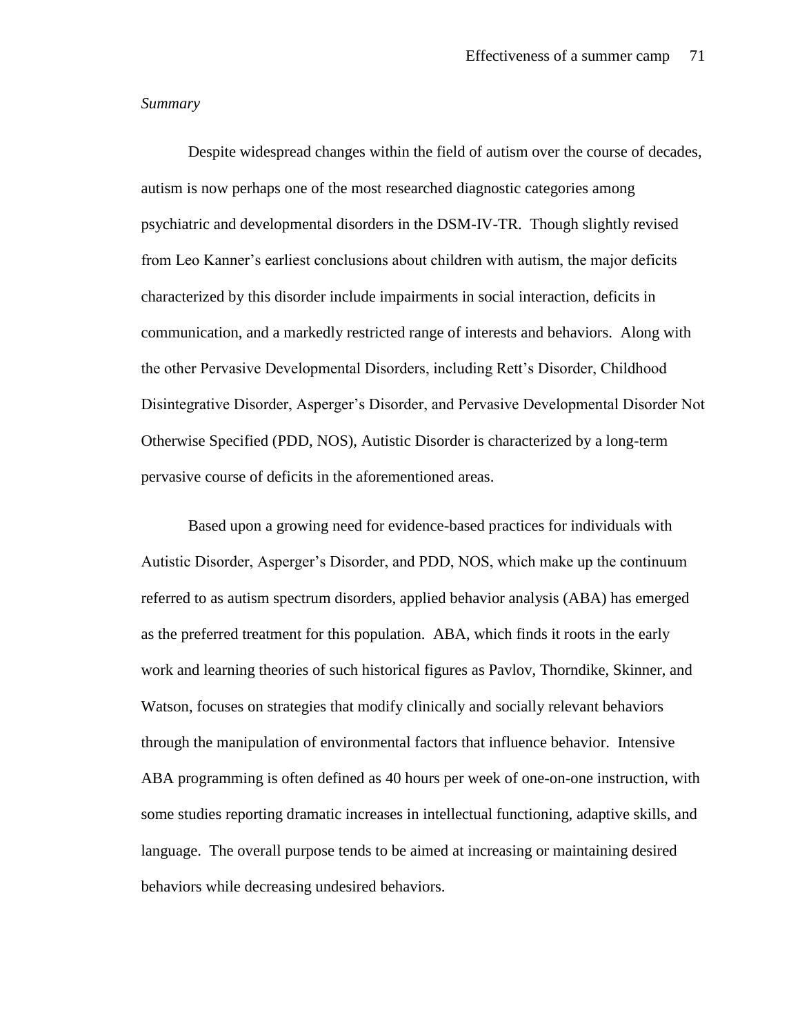# *Summary*

Despite widespread changes within the field of autism over the course of decades, autism is now perhaps one of the most researched diagnostic categories among psychiatric and developmental disorders in the DSM-IV-TR. Though slightly revised from Leo Kanner's earliest conclusions about children with autism, the major deficits characterized by this disorder include impairments in social interaction, deficits in communication, and a markedly restricted range of interests and behaviors. Along with the other Pervasive Developmental Disorders, including Rett's Disorder, Childhood Disintegrative Disorder, Asperger's Disorder, and Pervasive Developmental Disorder Not Otherwise Specified (PDD, NOS), Autistic Disorder is characterized by a long-term pervasive course of deficits in the aforementioned areas.

Based upon a growing need for evidence-based practices for individuals with Autistic Disorder, Asperger's Disorder, and PDD, NOS, which make up the continuum referred to as autism spectrum disorders, applied behavior analysis (ABA) has emerged as the preferred treatment for this population. ABA, which finds it roots in the early work and learning theories of such historical figures as Pavlov, Thorndike, Skinner, and Watson, focuses on strategies that modify clinically and socially relevant behaviors through the manipulation of environmental factors that influence behavior. Intensive ABA programming is often defined as 40 hours per week of one-on-one instruction, with some studies reporting dramatic increases in intellectual functioning, adaptive skills, and language. The overall purpose tends to be aimed at increasing or maintaining desired behaviors while decreasing undesired behaviors.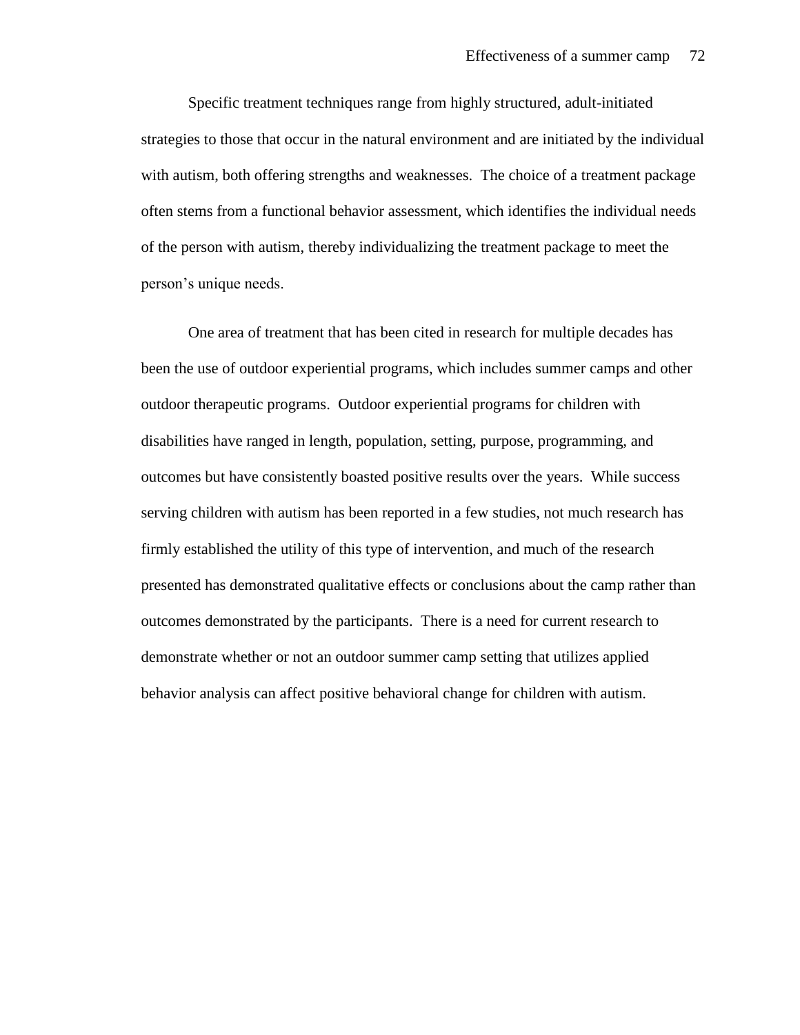Specific treatment techniques range from highly structured, adult-initiated strategies to those that occur in the natural environment and are initiated by the individual with autism, both offering strengths and weaknesses. The choice of a treatment package often stems from a functional behavior assessment, which identifies the individual needs of the person with autism, thereby individualizing the treatment package to meet the person's unique needs.

One area of treatment that has been cited in research for multiple decades has been the use of outdoor experiential programs, which includes summer camps and other outdoor therapeutic programs. Outdoor experiential programs for children with disabilities have ranged in length, population, setting, purpose, programming, and outcomes but have consistently boasted positive results over the years. While success serving children with autism has been reported in a few studies, not much research has firmly established the utility of this type of intervention, and much of the research presented has demonstrated qualitative effects or conclusions about the camp rather than outcomes demonstrated by the participants. There is a need for current research to demonstrate whether or not an outdoor summer camp setting that utilizes applied behavior analysis can affect positive behavioral change for children with autism.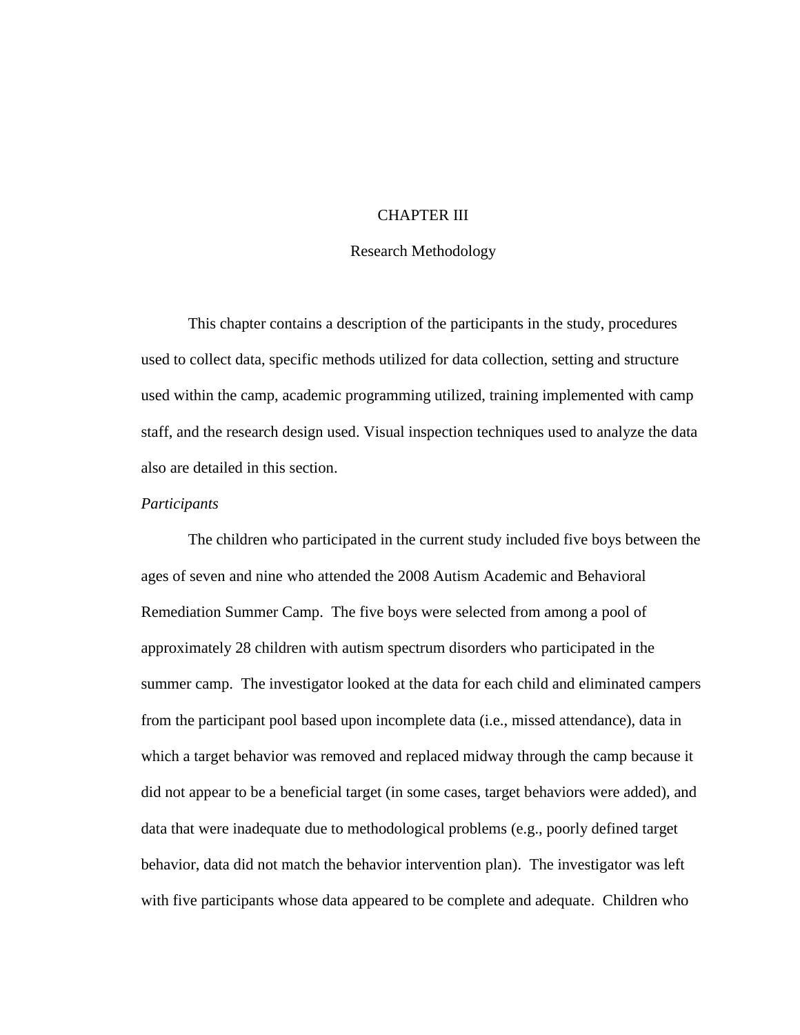# CHAPTER III

### Research Methodology

This chapter contains a description of the participants in the study, procedures used to collect data, specific methods utilized for data collection, setting and structure used within the camp, academic programming utilized, training implemented with camp staff, and the research design used. Visual inspection techniques used to analyze the data also are detailed in this section.

### *Participants*

The children who participated in the current study included five boys between the ages of seven and nine who attended the 2008 Autism Academic and Behavioral Remediation Summer Camp. The five boys were selected from among a pool of approximately 28 children with autism spectrum disorders who participated in the summer camp. The investigator looked at the data for each child and eliminated campers from the participant pool based upon incomplete data (i.e., missed attendance), data in which a target behavior was removed and replaced midway through the camp because it did not appear to be a beneficial target (in some cases, target behaviors were added), and data that were inadequate due to methodological problems (e.g., poorly defined target behavior, data did not match the behavior intervention plan). The investigator was left with five participants whose data appeared to be complete and adequate. Children who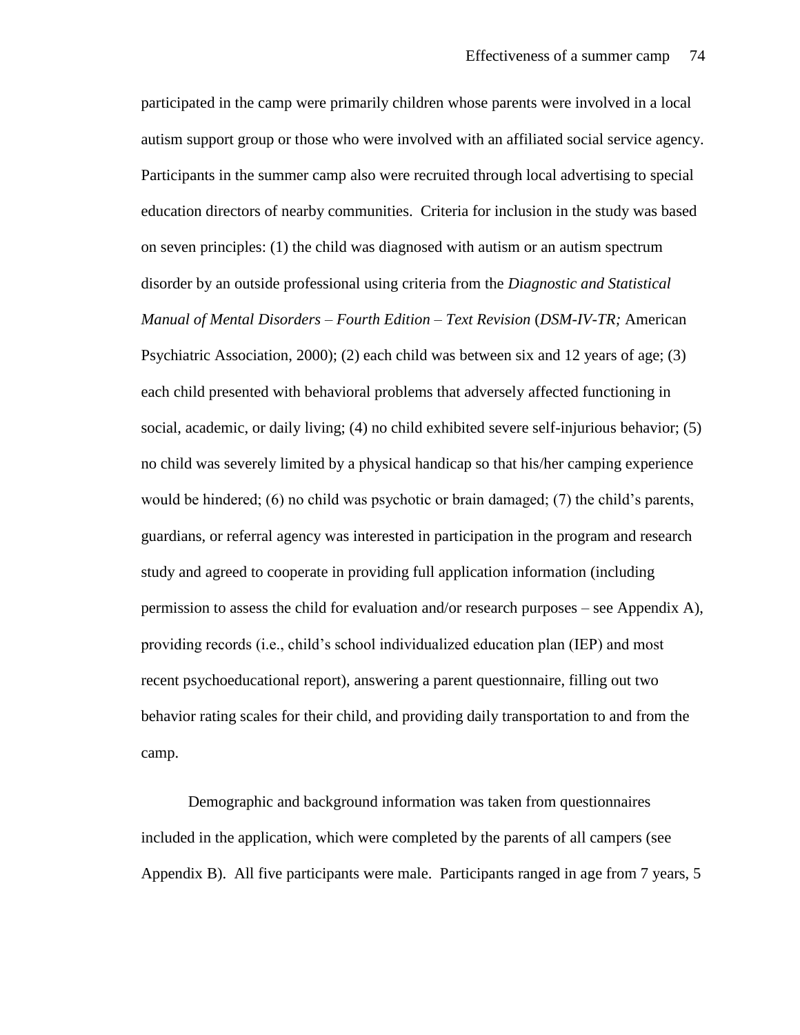participated in the camp were primarily children whose parents were involved in a local autism support group or those who were involved with an affiliated social service agency. Participants in the summer camp also were recruited through local advertising to special education directors of nearby communities. Criteria for inclusion in the study was based on seven principles: (1) the child was diagnosed with autism or an autism spectrum disorder by an outside professional using criteria from the *Diagnostic and Statistical Manual of Mental Disorders – Fourth Edition – Text Revision* (*DSM-IV-TR;* American Psychiatric Association, 2000); (2) each child was between six and 12 years of age; (3) each child presented with behavioral problems that adversely affected functioning in social, academic, or daily living; (4) no child exhibited severe self-injurious behavior; (5) no child was severely limited by a physical handicap so that his/her camping experience would be hindered; (6) no child was psychotic or brain damaged; (7) the child's parents, guardians, or referral agency was interested in participation in the program and research study and agreed to cooperate in providing full application information (including permission to assess the child for evaluation and/or research purposes – see Appendix A), providing records (i.e., child's school individualized education plan (IEP) and most recent psychoeducational report), answering a parent questionnaire, filling out two behavior rating scales for their child, and providing daily transportation to and from the camp.

Demographic and background information was taken from questionnaires included in the application, which were completed by the parents of all campers (see Appendix B). All five participants were male. Participants ranged in age from 7 years, 5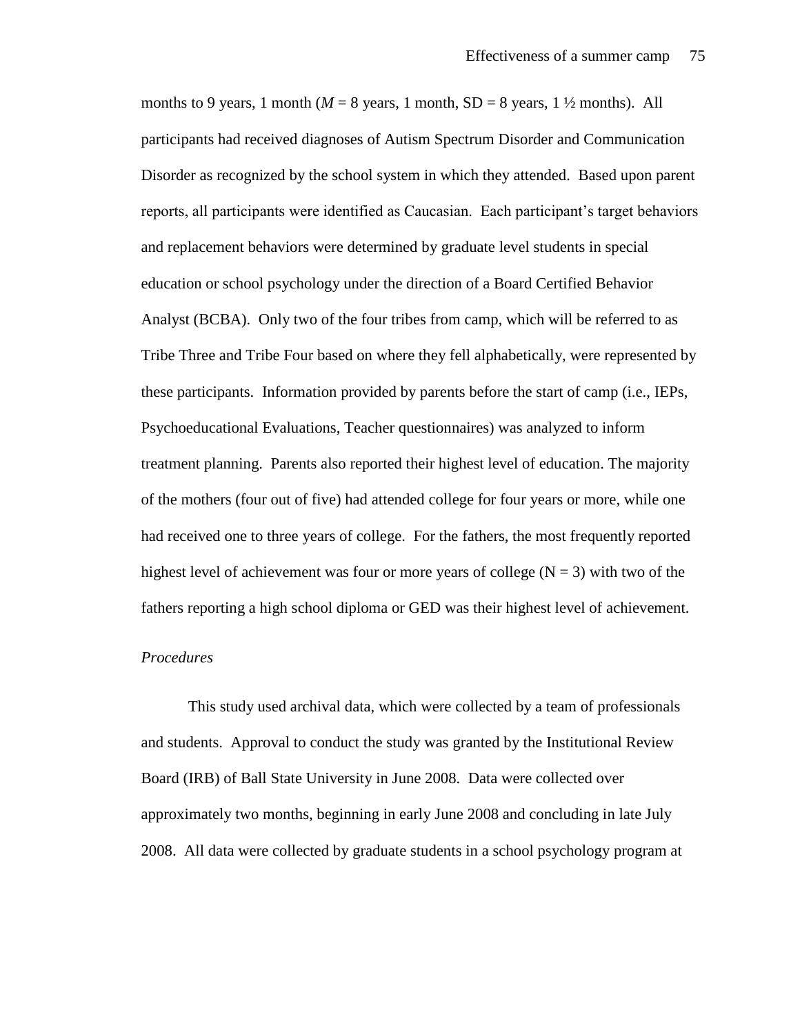months to 9 years, 1 month ( $M = 8$  years, 1 month,  $SD = 8$  years, 1  $\frac{1}{2}$  months). All participants had received diagnoses of Autism Spectrum Disorder and Communication Disorder as recognized by the school system in which they attended. Based upon parent reports, all participants were identified as Caucasian. Each participant's target behaviors and replacement behaviors were determined by graduate level students in special education or school psychology under the direction of a Board Certified Behavior Analyst (BCBA). Only two of the four tribes from camp, which will be referred to as Tribe Three and Tribe Four based on where they fell alphabetically, were represented by these participants. Information provided by parents before the start of camp (i.e., IEPs, Psychoeducational Evaluations, Teacher questionnaires) was analyzed to inform treatment planning. Parents also reported their highest level of education. The majority of the mothers (four out of five) had attended college for four years or more, while one had received one to three years of college. For the fathers, the most frequently reported highest level of achievement was four or more years of college ( $N = 3$ ) with two of the fathers reporting a high school diploma or GED was their highest level of achievement.

#### *Procedures*

This study used archival data, which were collected by a team of professionals and students. Approval to conduct the study was granted by the Institutional Review Board (IRB) of Ball State University in June 2008. Data were collected over approximately two months, beginning in early June 2008 and concluding in late July 2008. All data were collected by graduate students in a school psychology program at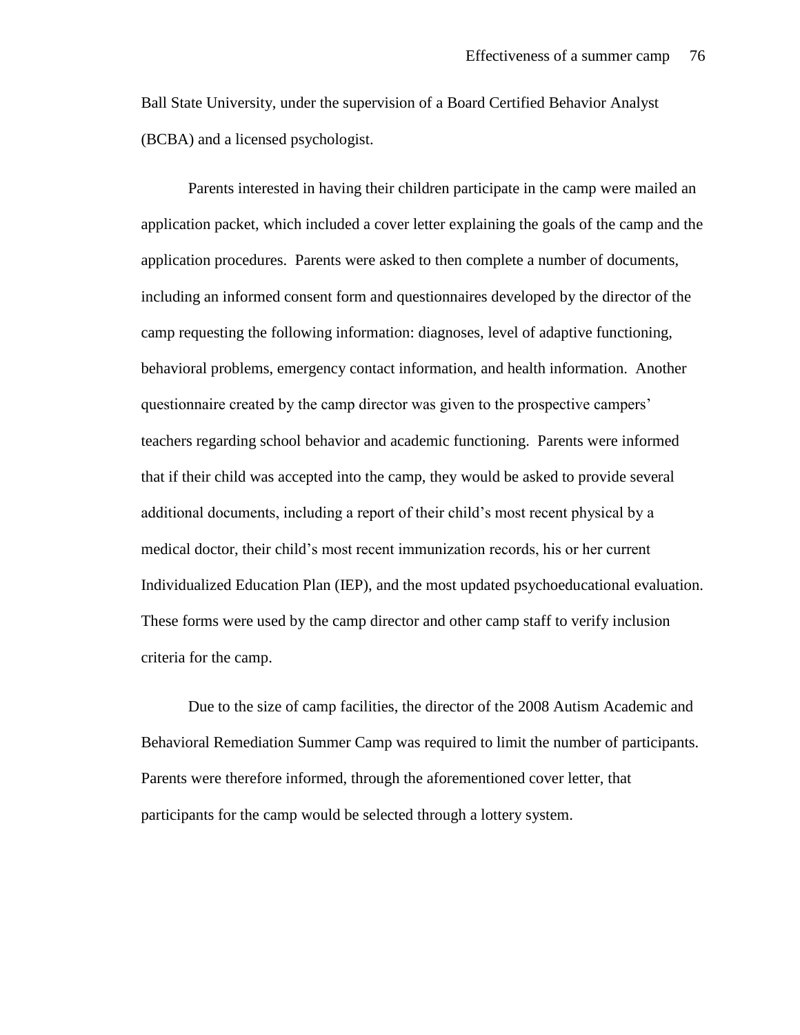Ball State University, under the supervision of a Board Certified Behavior Analyst (BCBA) and a licensed psychologist.

Parents interested in having their children participate in the camp were mailed an application packet, which included a cover letter explaining the goals of the camp and the application procedures. Parents were asked to then complete a number of documents, including an informed consent form and questionnaires developed by the director of the camp requesting the following information: diagnoses, level of adaptive functioning, behavioral problems, emergency contact information, and health information. Another questionnaire created by the camp director was given to the prospective campers' teachers regarding school behavior and academic functioning. Parents were informed that if their child was accepted into the camp, they would be asked to provide several additional documents, including a report of their child's most recent physical by a medical doctor, their child's most recent immunization records, his or her current Individualized Education Plan (IEP), and the most updated psychoeducational evaluation. These forms were used by the camp director and other camp staff to verify inclusion criteria for the camp.

Due to the size of camp facilities, the director of the 2008 Autism Academic and Behavioral Remediation Summer Camp was required to limit the number of participants. Parents were therefore informed, through the aforementioned cover letter, that participants for the camp would be selected through a lottery system.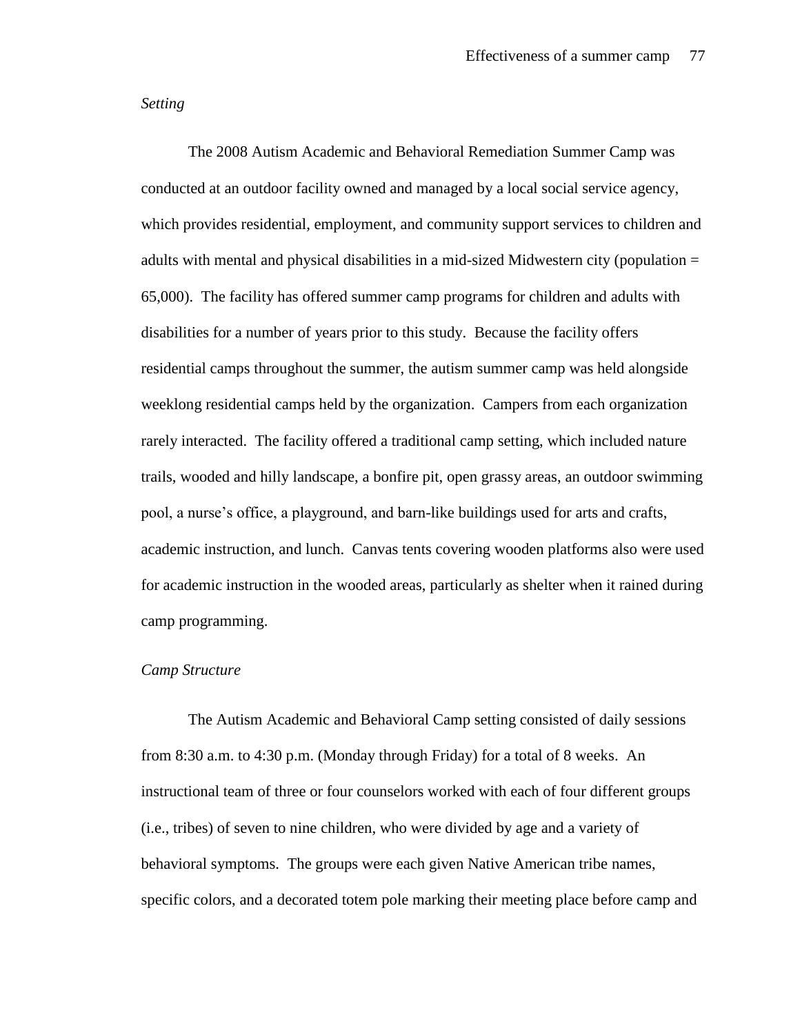# *Setting*

The 2008 Autism Academic and Behavioral Remediation Summer Camp was conducted at an outdoor facility owned and managed by a local social service agency, which provides residential, employment, and community support services to children and adults with mental and physical disabilities in a mid-sized Midwestern city (population = 65,000). The facility has offered summer camp programs for children and adults with disabilities for a number of years prior to this study. Because the facility offers residential camps throughout the summer, the autism summer camp was held alongside weeklong residential camps held by the organization. Campers from each organization rarely interacted. The facility offered a traditional camp setting, which included nature trails, wooded and hilly landscape, a bonfire pit, open grassy areas, an outdoor swimming pool, a nurse's office, a playground, and barn-like buildings used for arts and crafts, academic instruction, and lunch. Canvas tents covering wooden platforms also were used for academic instruction in the wooded areas, particularly as shelter when it rained during camp programming.

# *Camp Structure*

The Autism Academic and Behavioral Camp setting consisted of daily sessions from 8:30 a.m. to 4:30 p.m. (Monday through Friday) for a total of 8 weeks. An instructional team of three or four counselors worked with each of four different groups (i.e., tribes) of seven to nine children, who were divided by age and a variety of behavioral symptoms. The groups were each given Native American tribe names, specific colors, and a decorated totem pole marking their meeting place before camp and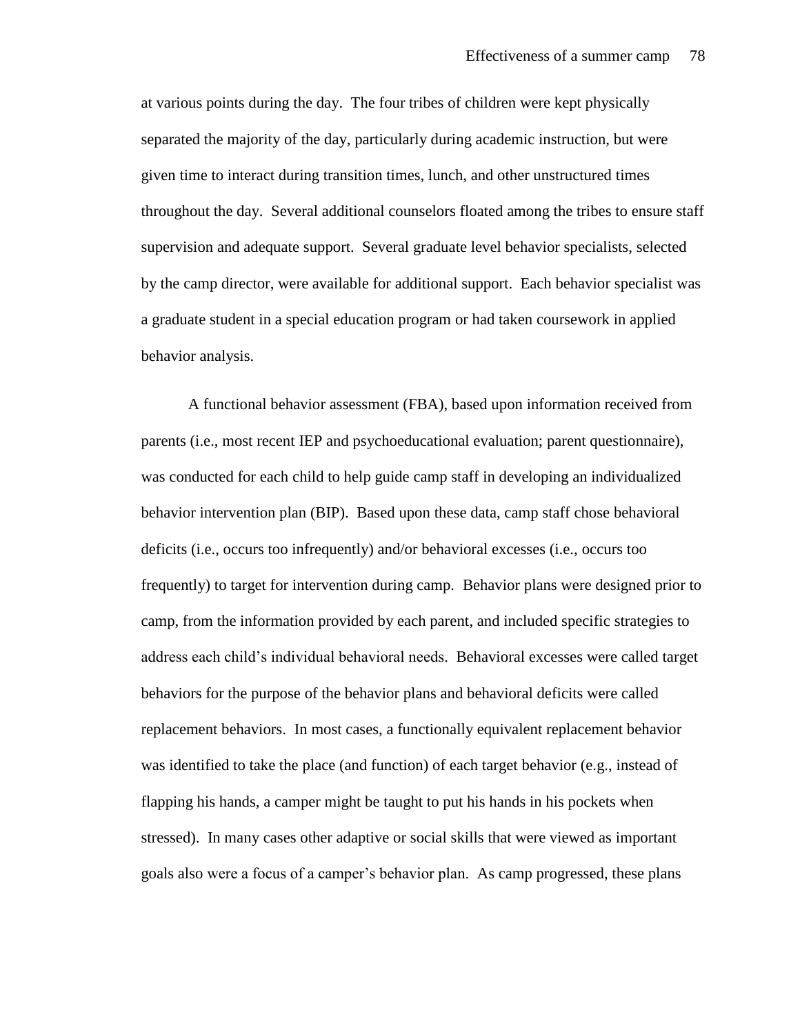at various points during the day. The four tribes of children were kept physically separated the majority of the day, particularly during academic instruction, but were given time to interact during transition times, lunch, and other unstructured times throughout the day. Several additional counselors floated among the tribes to ensure staff supervision and adequate support. Several graduate level behavior specialists, selected by the camp director, were available for additional support. Each behavior specialist was a graduate student in a special education program or had taken coursework in applied behavior analysis.

A functional behavior assessment (FBA), based upon information received from parents (i.e., most recent IEP and psychoeducational evaluation; parent questionnaire), was conducted for each child to help guide camp staff in developing an individualized behavior intervention plan (BIP). Based upon these data, camp staff chose behavioral deficits (i.e., occurs too infrequently) and/or behavioral excesses (i.e., occurs too frequently) to target for intervention during camp. Behavior plans were designed prior to camp, from the information provided by each parent, and included specific strategies to address each child's individual behavioral needs. Behavioral excesses were called target behaviors for the purpose of the behavior plans and behavioral deficits were called replacement behaviors. In most cases, a functionally equivalent replacement behavior was identified to take the place (and function) of each target behavior (e.g., instead of flapping his hands, a camper might be taught to put his hands in his pockets when stressed). In many cases other adaptive or social skills that were viewed as important goals also were a focus of a camper's behavior plan. As camp progressed, these plans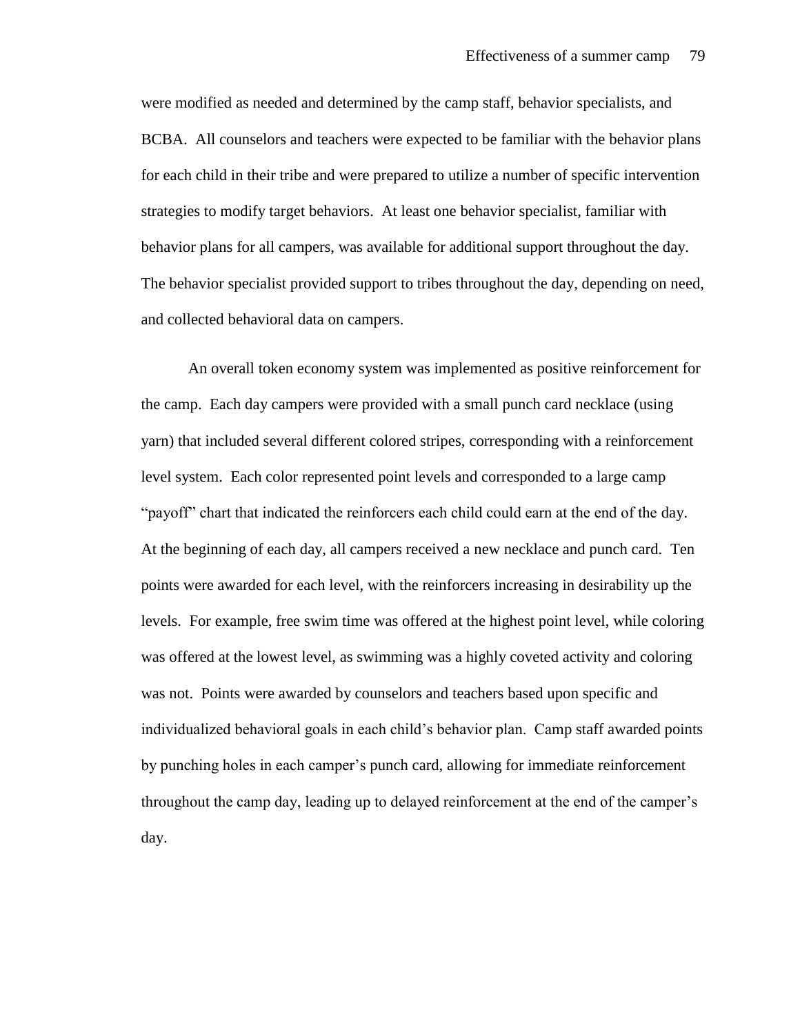were modified as needed and determined by the camp staff, behavior specialists, and BCBA. All counselors and teachers were expected to be familiar with the behavior plans for each child in their tribe and were prepared to utilize a number of specific intervention strategies to modify target behaviors. At least one behavior specialist, familiar with behavior plans for all campers, was available for additional support throughout the day. The behavior specialist provided support to tribes throughout the day, depending on need, and collected behavioral data on campers.

An overall token economy system was implemented as positive reinforcement for the camp. Each day campers were provided with a small punch card necklace (using yarn) that included several different colored stripes, corresponding with a reinforcement level system. Each color represented point levels and corresponded to a large camp "payoff" chart that indicated the reinforcers each child could earn at the end of the day. At the beginning of each day, all campers received a new necklace and punch card. Ten points were awarded for each level, with the reinforcers increasing in desirability up the levels. For example, free swim time was offered at the highest point level, while coloring was offered at the lowest level, as swimming was a highly coveted activity and coloring was not. Points were awarded by counselors and teachers based upon specific and individualized behavioral goals in each child's behavior plan. Camp staff awarded points by punching holes in each camper's punch card, allowing for immediate reinforcement throughout the camp day, leading up to delayed reinforcement at the end of the camper's day.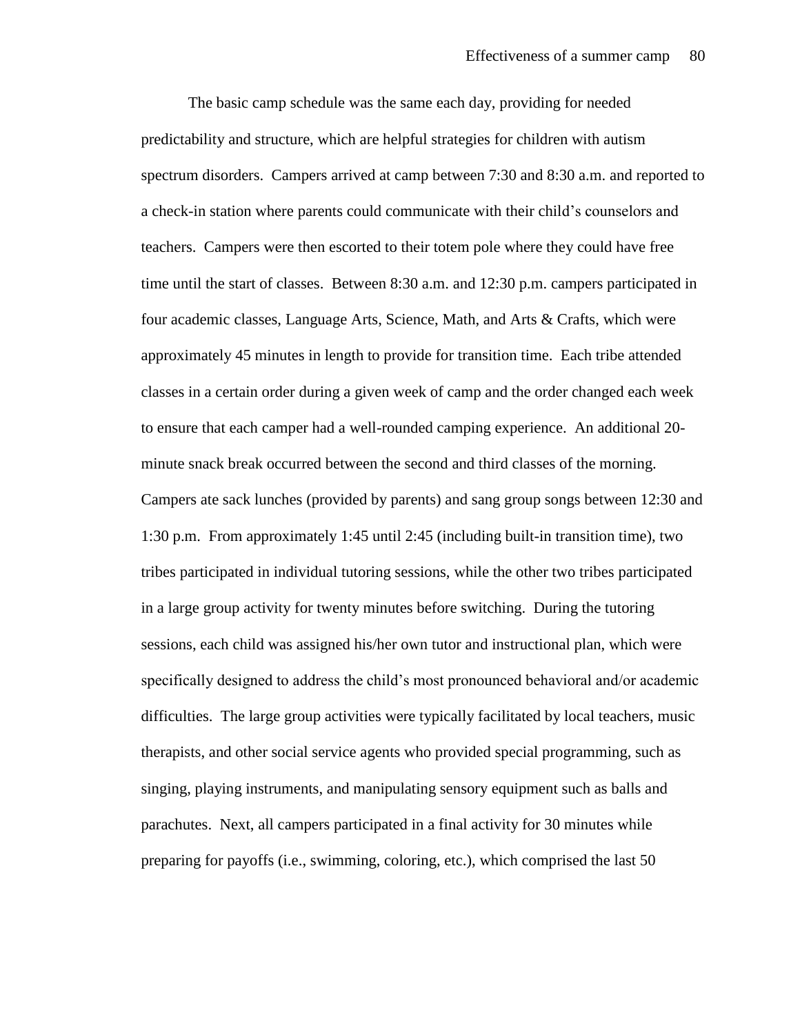The basic camp schedule was the same each day, providing for needed predictability and structure, which are helpful strategies for children with autism spectrum disorders. Campers arrived at camp between 7:30 and 8:30 a.m. and reported to a check-in station where parents could communicate with their child's counselors and teachers. Campers were then escorted to their totem pole where they could have free time until the start of classes. Between 8:30 a.m. and 12:30 p.m. campers participated in four academic classes, Language Arts, Science, Math, and Arts & Crafts, which were approximately 45 minutes in length to provide for transition time. Each tribe attended classes in a certain order during a given week of camp and the order changed each week to ensure that each camper had a well-rounded camping experience. An additional 20 minute snack break occurred between the second and third classes of the morning. Campers ate sack lunches (provided by parents) and sang group songs between 12:30 and 1:30 p.m. From approximately 1:45 until 2:45 (including built-in transition time), two tribes participated in individual tutoring sessions, while the other two tribes participated in a large group activity for twenty minutes before switching. During the tutoring sessions, each child was assigned his/her own tutor and instructional plan, which were specifically designed to address the child's most pronounced behavioral and/or academic difficulties. The large group activities were typically facilitated by local teachers, music therapists, and other social service agents who provided special programming, such as singing, playing instruments, and manipulating sensory equipment such as balls and parachutes. Next, all campers participated in a final activity for 30 minutes while preparing for payoffs (i.e., swimming, coloring, etc.), which comprised the last 50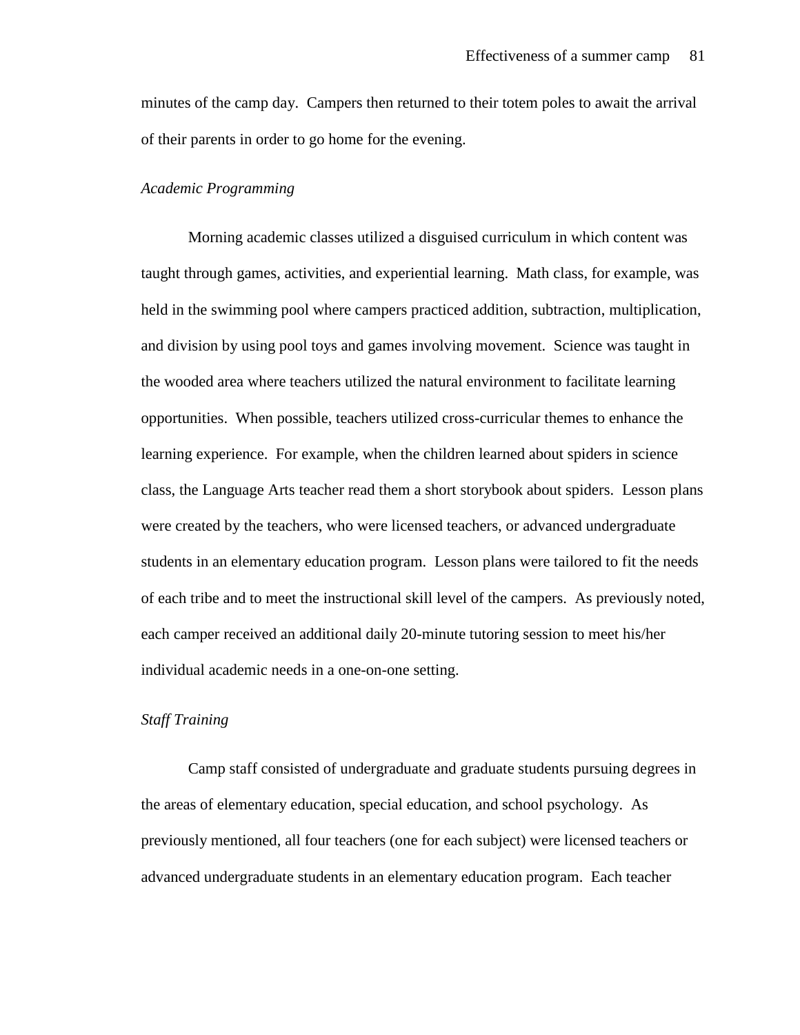minutes of the camp day. Campers then returned to their totem poles to await the arrival of their parents in order to go home for the evening.

### *Academic Programming*

Morning academic classes utilized a disguised curriculum in which content was taught through games, activities, and experiential learning. Math class, for example, was held in the swimming pool where campers practiced addition, subtraction, multiplication, and division by using pool toys and games involving movement. Science was taught in the wooded area where teachers utilized the natural environment to facilitate learning opportunities. When possible, teachers utilized cross-curricular themes to enhance the learning experience. For example, when the children learned about spiders in science class, the Language Arts teacher read them a short storybook about spiders. Lesson plans were created by the teachers, who were licensed teachers, or advanced undergraduate students in an elementary education program. Lesson plans were tailored to fit the needs of each tribe and to meet the instructional skill level of the campers. As previously noted, each camper received an additional daily 20-minute tutoring session to meet his/her individual academic needs in a one-on-one setting.

### *Staff Training*

Camp staff consisted of undergraduate and graduate students pursuing degrees in the areas of elementary education, special education, and school psychology. As previously mentioned, all four teachers (one for each subject) were licensed teachers or advanced undergraduate students in an elementary education program. Each teacher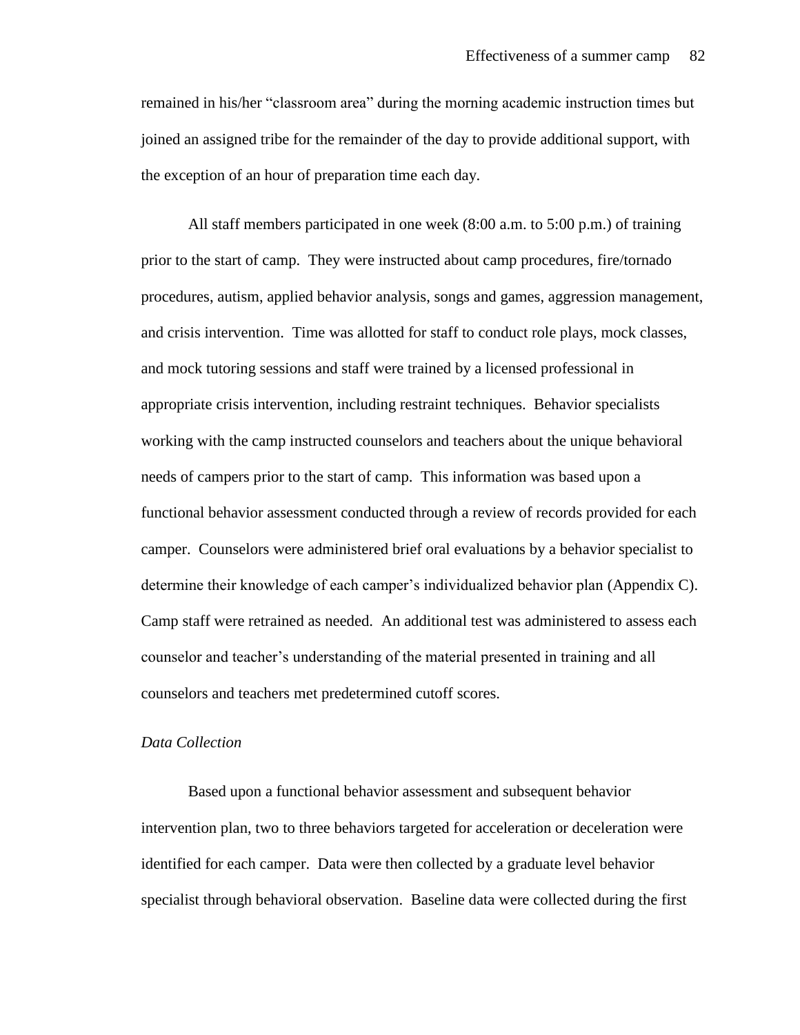remained in his/her "classroom area" during the morning academic instruction times but joined an assigned tribe for the remainder of the day to provide additional support, with the exception of an hour of preparation time each day.

All staff members participated in one week (8:00 a.m. to 5:00 p.m.) of training prior to the start of camp. They were instructed about camp procedures, fire/tornado procedures, autism, applied behavior analysis, songs and games, aggression management, and crisis intervention. Time was allotted for staff to conduct role plays, mock classes, and mock tutoring sessions and staff were trained by a licensed professional in appropriate crisis intervention, including restraint techniques. Behavior specialists working with the camp instructed counselors and teachers about the unique behavioral needs of campers prior to the start of camp. This information was based upon a functional behavior assessment conducted through a review of records provided for each camper. Counselors were administered brief oral evaluations by a behavior specialist to determine their knowledge of each camper's individualized behavior plan (Appendix C). Camp staff were retrained as needed. An additional test was administered to assess each counselor and teacher's understanding of the material presented in training and all counselors and teachers met predetermined cutoff scores.

# *Data Collection*

Based upon a functional behavior assessment and subsequent behavior intervention plan, two to three behaviors targeted for acceleration or deceleration were identified for each camper. Data were then collected by a graduate level behavior specialist through behavioral observation. Baseline data were collected during the first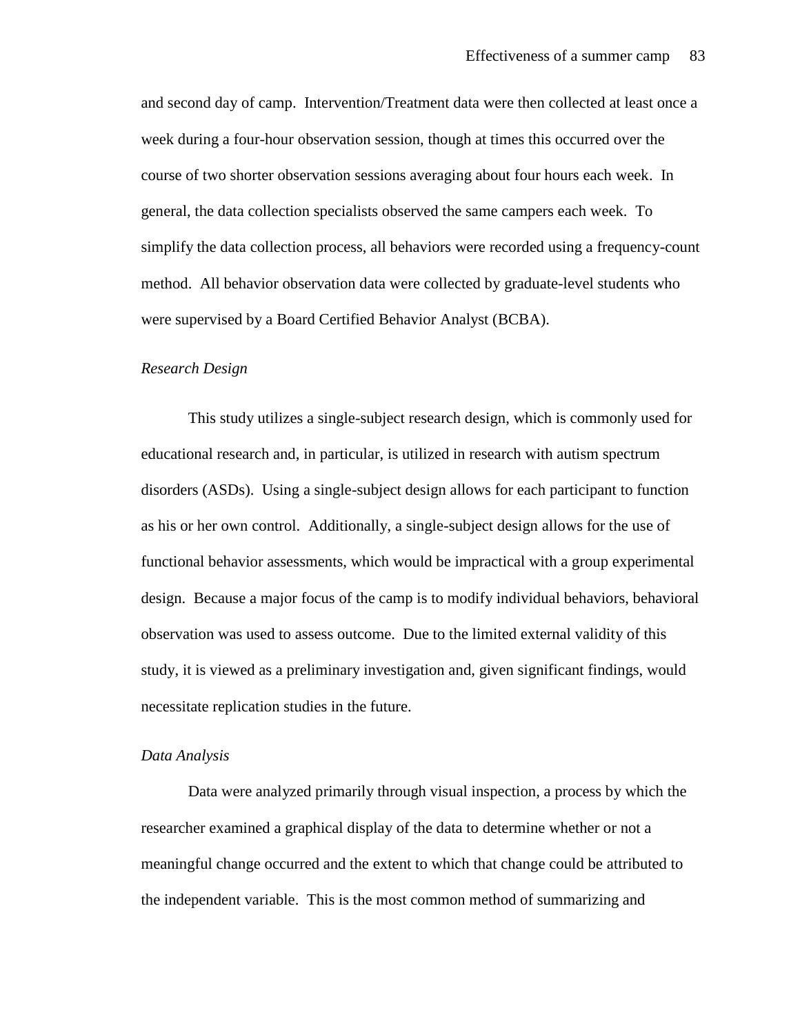and second day of camp. Intervention/Treatment data were then collected at least once a week during a four-hour observation session, though at times this occurred over the course of two shorter observation sessions averaging about four hours each week. In general, the data collection specialists observed the same campers each week. To simplify the data collection process, all behaviors were recorded using a frequency-count method. All behavior observation data were collected by graduate-level students who were supervised by a Board Certified Behavior Analyst (BCBA).

### *Research Design*

This study utilizes a single-subject research design, which is commonly used for educational research and, in particular, is utilized in research with autism spectrum disorders (ASDs). Using a single-subject design allows for each participant to function as his or her own control. Additionally, a single-subject design allows for the use of functional behavior assessments, which would be impractical with a group experimental design. Because a major focus of the camp is to modify individual behaviors, behavioral observation was used to assess outcome. Due to the limited external validity of this study, it is viewed as a preliminary investigation and, given significant findings, would necessitate replication studies in the future.

#### *Data Analysis*

Data were analyzed primarily through visual inspection, a process by which the researcher examined a graphical display of the data to determine whether or not a meaningful change occurred and the extent to which that change could be attributed to the independent variable. This is the most common method of summarizing and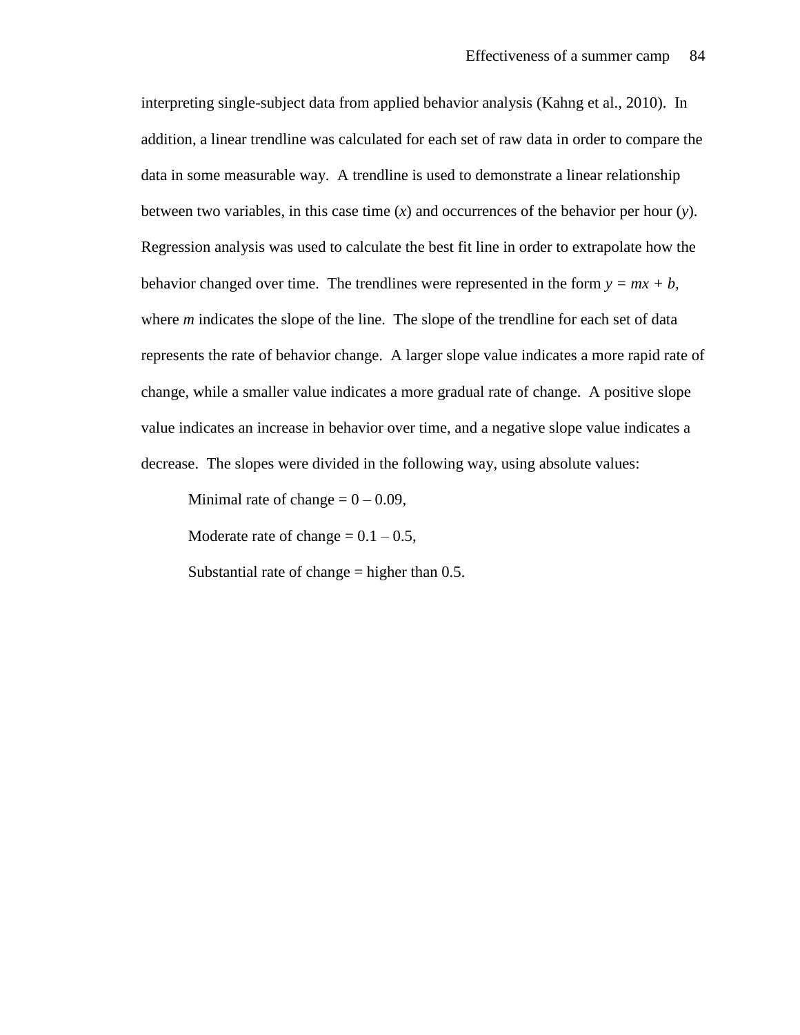interpreting single-subject data from applied behavior analysis (Kahng et al., 2010). In addition, a linear trendline was calculated for each set of raw data in order to compare the data in some measurable way. A trendline is used to demonstrate a linear relationship between two variables, in this case time (*x*) and occurrences of the behavior per hour (*y*). Regression analysis was used to calculate the best fit line in order to extrapolate how the behavior changed over time. The trendlines were represented in the form  $y = mx + b$ , where *m* indicates the slope of the line. The slope of the trendline for each set of data represents the rate of behavior change. A larger slope value indicates a more rapid rate of change, while a smaller value indicates a more gradual rate of change. A positive slope value indicates an increase in behavior over time, and a negative slope value indicates a decrease. The slopes were divided in the following way, using absolute values:

Minimal rate of change  $= 0 - 0.09$ ,

Moderate rate of change  $= 0.1 - 0.5$ ,

Substantial rate of change  $=$  higher than 0.5.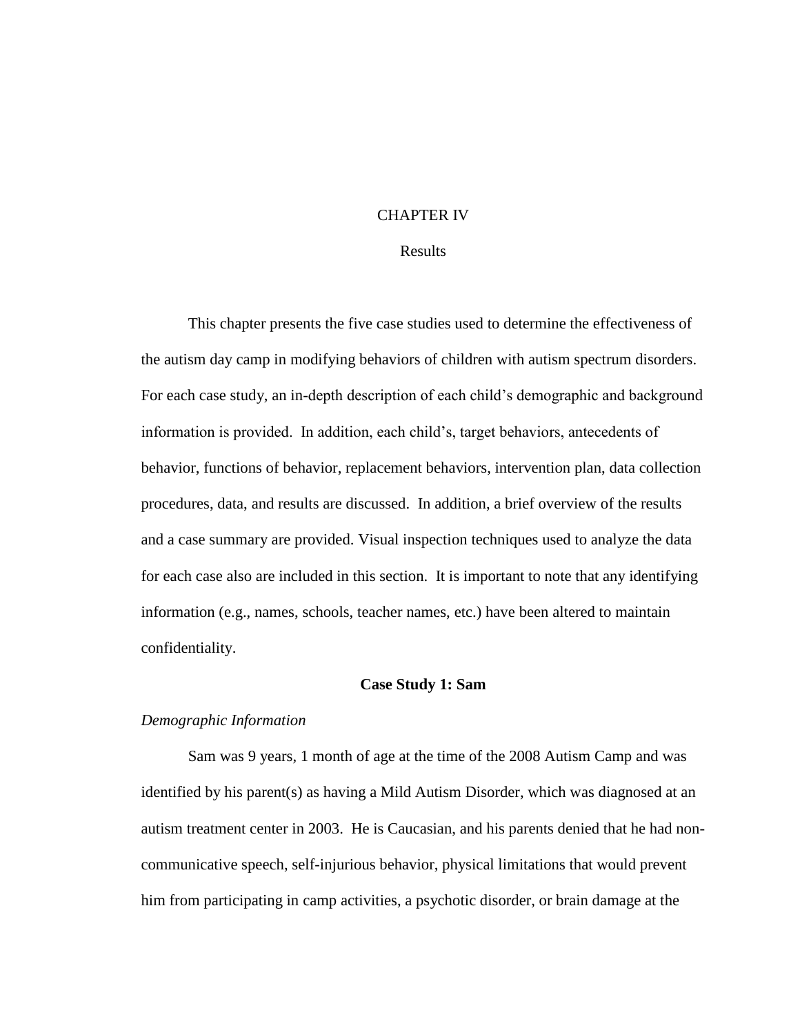# CHAPTER IV

# Results

This chapter presents the five case studies used to determine the effectiveness of the autism day camp in modifying behaviors of children with autism spectrum disorders. For each case study, an in-depth description of each child's demographic and background information is provided. In addition, each child's, target behaviors, antecedents of behavior, functions of behavior, replacement behaviors, intervention plan, data collection procedures, data, and results are discussed. In addition, a brief overview of the results and a case summary are provided. Visual inspection techniques used to analyze the data for each case also are included in this section. It is important to note that any identifying information (e.g., names, schools, teacher names, etc.) have been altered to maintain confidentiality.

#### **Case Study 1: Sam**

#### *Demographic Information*

Sam was 9 years, 1 month of age at the time of the 2008 Autism Camp and was identified by his parent(s) as having a Mild Autism Disorder, which was diagnosed at an autism treatment center in 2003. He is Caucasian, and his parents denied that he had noncommunicative speech, self-injurious behavior, physical limitations that would prevent him from participating in camp activities, a psychotic disorder, or brain damage at the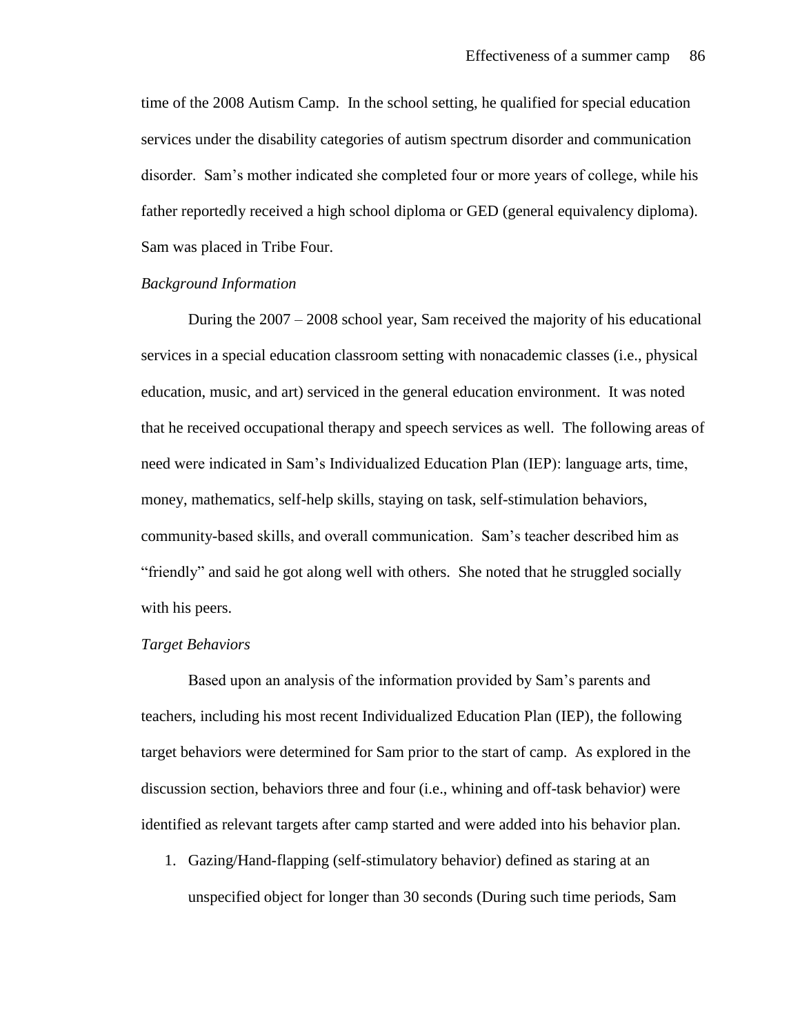time of the 2008 Autism Camp. In the school setting, he qualified for special education services under the disability categories of autism spectrum disorder and communication disorder. Sam's mother indicated she completed four or more years of college, while his father reportedly received a high school diploma or GED (general equivalency diploma). Sam was placed in Tribe Four.

#### *Background Information*

During the 2007 – 2008 school year, Sam received the majority of his educational services in a special education classroom setting with nonacademic classes (i.e., physical education, music, and art) serviced in the general education environment. It was noted that he received occupational therapy and speech services as well. The following areas of need were indicated in Sam's Individualized Education Plan (IEP): language arts, time, money, mathematics, self-help skills, staying on task, self-stimulation behaviors, community-based skills, and overall communication. Sam's teacher described him as "friendly" and said he got along well with others. She noted that he struggled socially with his peers.

#### *Target Behaviors*

Based upon an analysis of the information provided by Sam's parents and teachers, including his most recent Individualized Education Plan (IEP), the following target behaviors were determined for Sam prior to the start of camp. As explored in the discussion section, behaviors three and four (i.e., whining and off-task behavior) were identified as relevant targets after camp started and were added into his behavior plan.

1. Gazing/Hand-flapping (self-stimulatory behavior) defined as staring at an unspecified object for longer than 30 seconds (During such time periods, Sam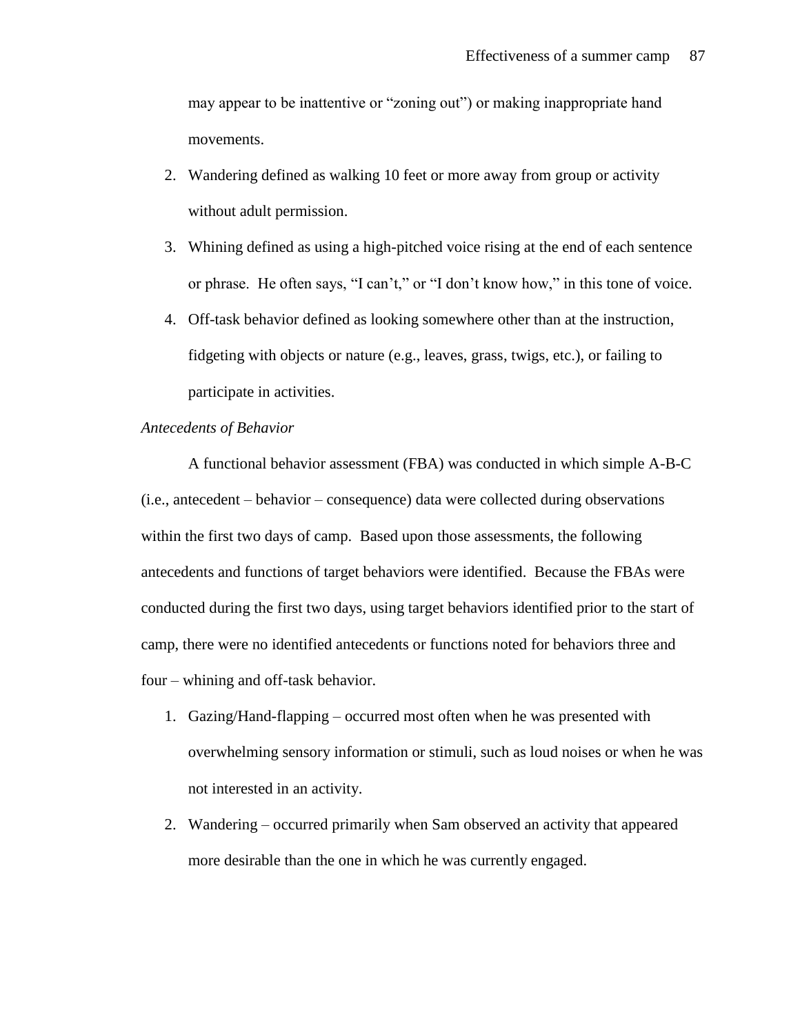may appear to be inattentive or "zoning out") or making inappropriate hand movements.

- 2. Wandering defined as walking 10 feet or more away from group or activity without adult permission.
- 3. Whining defined as using a high-pitched voice rising at the end of each sentence or phrase. He often says, "I can't," or "I don't know how," in this tone of voice.
- 4. Off-task behavior defined as looking somewhere other than at the instruction, fidgeting with objects or nature (e.g., leaves, grass, twigs, etc.), or failing to participate in activities.

# *Antecedents of Behavior*

A functional behavior assessment (FBA) was conducted in which simple A-B-C (i.e., antecedent – behavior – consequence) data were collected during observations within the first two days of camp. Based upon those assessments, the following antecedents and functions of target behaviors were identified. Because the FBAs were conducted during the first two days, using target behaviors identified prior to the start of camp, there were no identified antecedents or functions noted for behaviors three and four – whining and off-task behavior.

- 1. Gazing/Hand-flapping occurred most often when he was presented with overwhelming sensory information or stimuli, such as loud noises or when he was not interested in an activity.
- 2. Wandering occurred primarily when Sam observed an activity that appeared more desirable than the one in which he was currently engaged.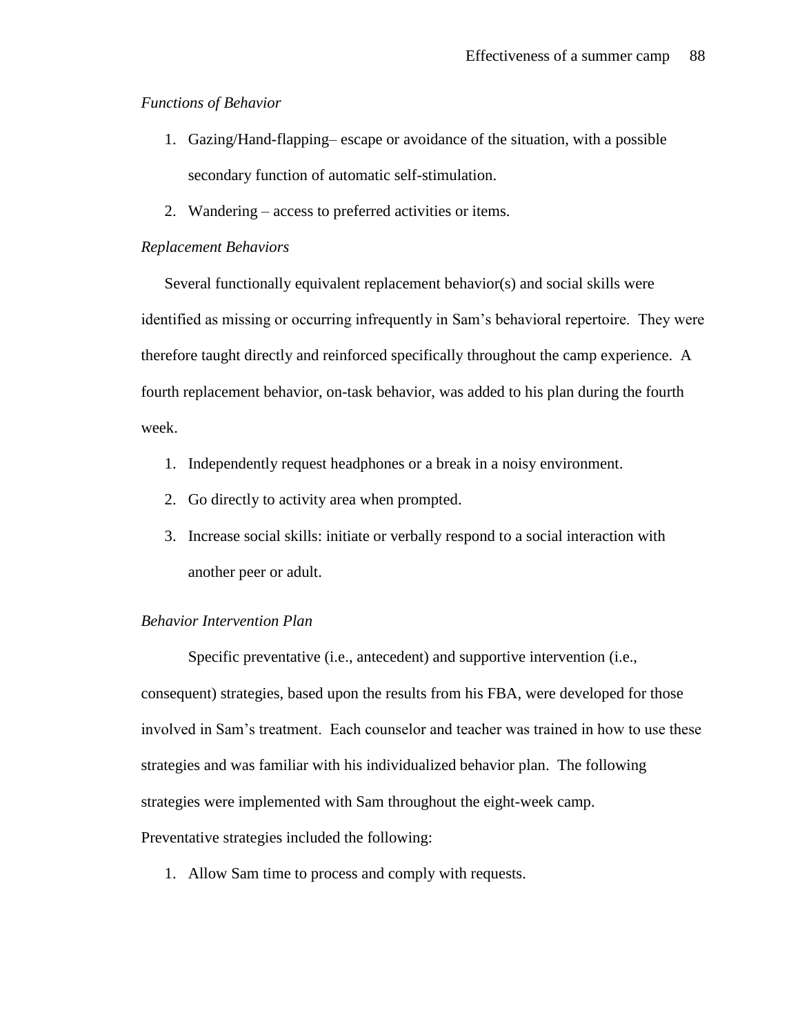# *Functions of Behavior*

- 1. Gazing/Hand-flapping– escape or avoidance of the situation, with a possible secondary function of automatic self-stimulation.
- 2. Wandering access to preferred activities or items.

# *Replacement Behaviors*

Several functionally equivalent replacement behavior(s) and social skills were identified as missing or occurring infrequently in Sam's behavioral repertoire. They were therefore taught directly and reinforced specifically throughout the camp experience. A fourth replacement behavior, on-task behavior, was added to his plan during the fourth week.

- 1. Independently request headphones or a break in a noisy environment.
- 2. Go directly to activity area when prompted.
- 3. Increase social skills: initiate or verbally respond to a social interaction with another peer or adult.

# *Behavior Intervention Plan*

Specific preventative (i.e., antecedent) and supportive intervention (i.e., consequent) strategies, based upon the results from his FBA, were developed for those involved in Sam's treatment. Each counselor and teacher was trained in how to use these strategies and was familiar with his individualized behavior plan. The following strategies were implemented with Sam throughout the eight-week camp.

Preventative strategies included the following:

1. Allow Sam time to process and comply with requests.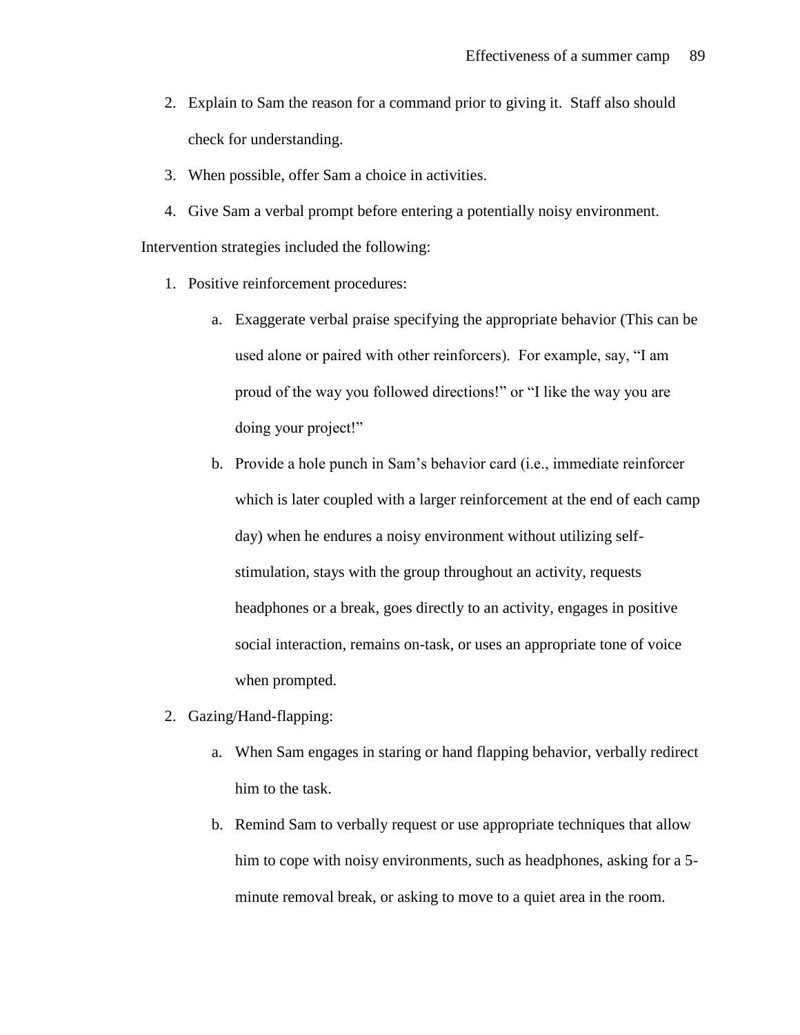- 2. Explain to Sam the reason for a command prior to giving it. Staff also should check for understanding.
- 3. When possible, offer Sam a choice in activities.
- 4. Give Sam a verbal prompt before entering a potentially noisy environment.

Intervention strategies included the following:

- 1. Positive reinforcement procedures:
	- a. Exaggerate verbal praise specifying the appropriate behavior (This can be used alone or paired with other reinforcers). For example, say, "I am proud of the way you followed directions!" or "I like the way you are doing your project!"
	- b. Provide a hole punch in Sam's behavior card (i.e., immediate reinforcer which is later coupled with a larger reinforcement at the end of each camp day) when he endures a noisy environment without utilizing selfstimulation, stays with the group throughout an activity, requests headphones or a break, goes directly to an activity, engages in positive social interaction, remains on-task, or uses an appropriate tone of voice when prompted.
- 2. Gazing/Hand-flapping:
	- a. When Sam engages in staring or hand flapping behavior, verbally redirect him to the task.
	- b. Remind Sam to verbally request or use appropriate techniques that allow him to cope with noisy environments, such as headphones, asking for a 5 minute removal break, or asking to move to a quiet area in the room.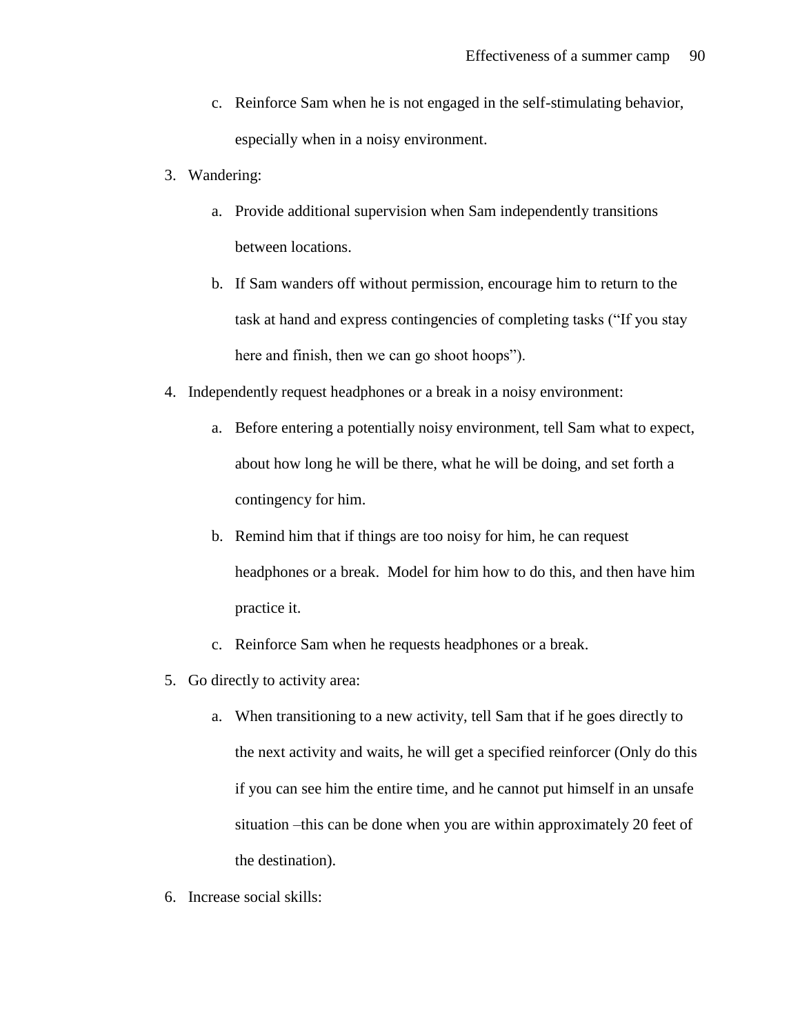- c. Reinforce Sam when he is not engaged in the self-stimulating behavior, especially when in a noisy environment.
- 3. Wandering:
	- a. Provide additional supervision when Sam independently transitions between locations.
	- b. If Sam wanders off without permission, encourage him to return to the task at hand and express contingencies of completing tasks ("If you stay here and finish, then we can go shoot hoops").
- 4. Independently request headphones or a break in a noisy environment:
	- a. Before entering a potentially noisy environment, tell Sam what to expect, about how long he will be there, what he will be doing, and set forth a contingency for him.
	- b. Remind him that if things are too noisy for him, he can request headphones or a break. Model for him how to do this, and then have him practice it.
	- c. Reinforce Sam when he requests headphones or a break.
- 5. Go directly to activity area:
	- a. When transitioning to a new activity, tell Sam that if he goes directly to the next activity and waits, he will get a specified reinforcer (Only do this if you can see him the entire time, and he cannot put himself in an unsafe situation –this can be done when you are within approximately 20 feet of the destination).
- 6. Increase social skills: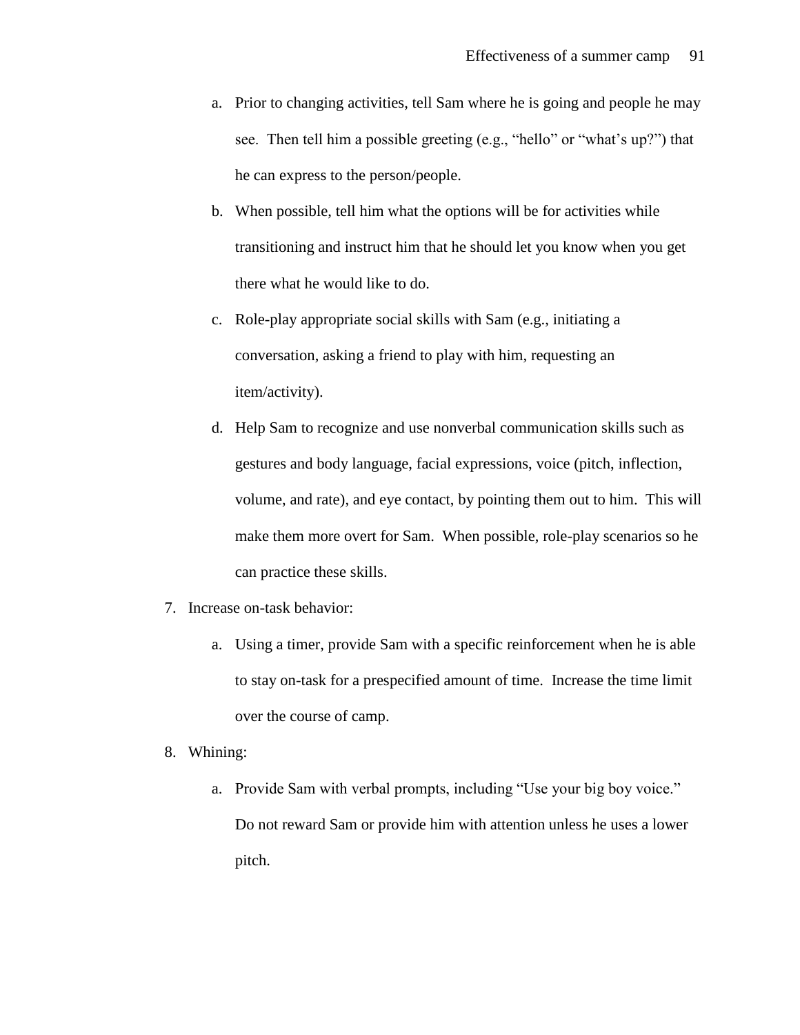- a. Prior to changing activities, tell Sam where he is going and people he may see. Then tell him a possible greeting (e.g., "hello" or "what's up?") that he can express to the person/people.
- b. When possible, tell him what the options will be for activities while transitioning and instruct him that he should let you know when you get there what he would like to do.
- c. Role-play appropriate social skills with Sam (e.g., initiating a conversation, asking a friend to play with him, requesting an item/activity).
- d. Help Sam to recognize and use nonverbal communication skills such as gestures and body language, facial expressions, voice (pitch, inflection, volume, and rate), and eye contact, by pointing them out to him. This will make them more overt for Sam. When possible, role-play scenarios so he can practice these skills.
- 7. Increase on-task behavior:
	- a. Using a timer, provide Sam with a specific reinforcement when he is able to stay on-task for a prespecified amount of time. Increase the time limit over the course of camp.
- 8. Whining:
	- a. Provide Sam with verbal prompts, including "Use your big boy voice." Do not reward Sam or provide him with attention unless he uses a lower pitch.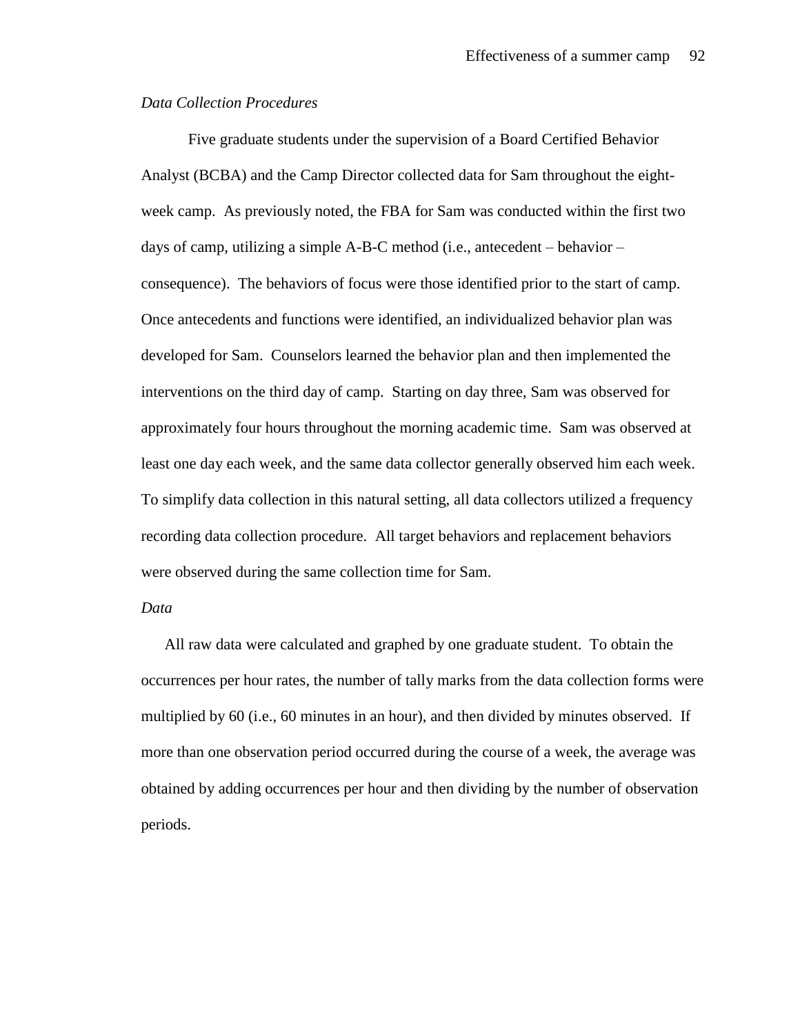## *Data Collection Procedures*

Five graduate students under the supervision of a Board Certified Behavior Analyst (BCBA) and the Camp Director collected data for Sam throughout the eightweek camp. As previously noted, the FBA for Sam was conducted within the first two days of camp, utilizing a simple A-B-C method (i.e., antecedent – behavior – consequence). The behaviors of focus were those identified prior to the start of camp. Once antecedents and functions were identified, an individualized behavior plan was developed for Sam. Counselors learned the behavior plan and then implemented the interventions on the third day of camp. Starting on day three, Sam was observed for approximately four hours throughout the morning academic time. Sam was observed at least one day each week, and the same data collector generally observed him each week. To simplify data collection in this natural setting, all data collectors utilized a frequency recording data collection procedure. All target behaviors and replacement behaviors were observed during the same collection time for Sam.

## *Data*

All raw data were calculated and graphed by one graduate student. To obtain the occurrences per hour rates, the number of tally marks from the data collection forms were multiplied by 60 (i.e., 60 minutes in an hour), and then divided by minutes observed. If more than one observation period occurred during the course of a week, the average was obtained by adding occurrences per hour and then dividing by the number of observation periods.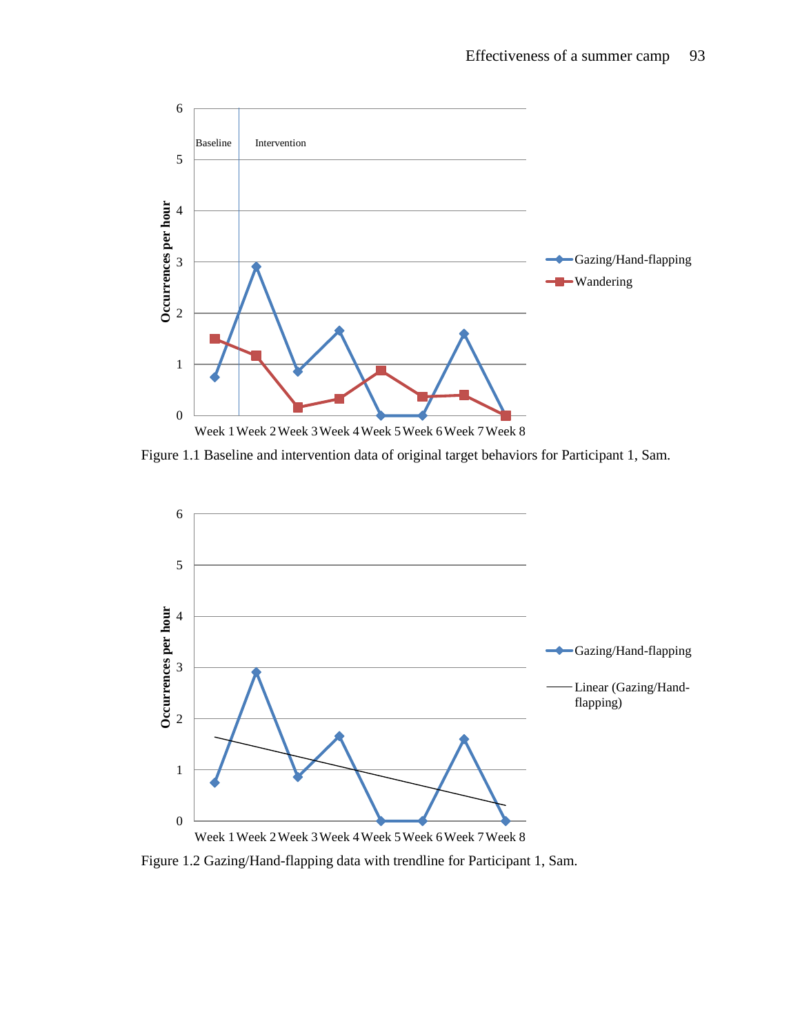

Figure 1.1 Baseline and intervention data of original target behaviors for Participant 1, Sam.



Figure 1.2 Gazing/Hand-flapping data with trendline for Participant 1, Sam.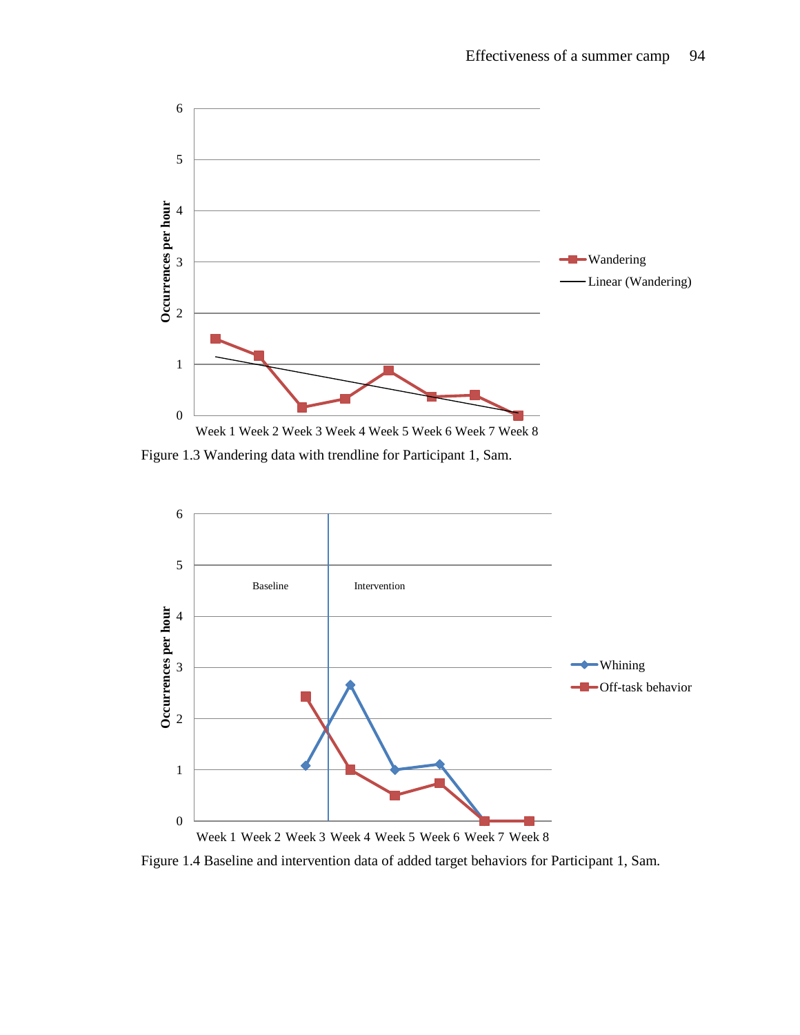

Figure 1.3 Wandering data with trendline for Participant 1, Sam.



Figure 1.4 Baseline and intervention data of added target behaviors for Participant 1, Sam.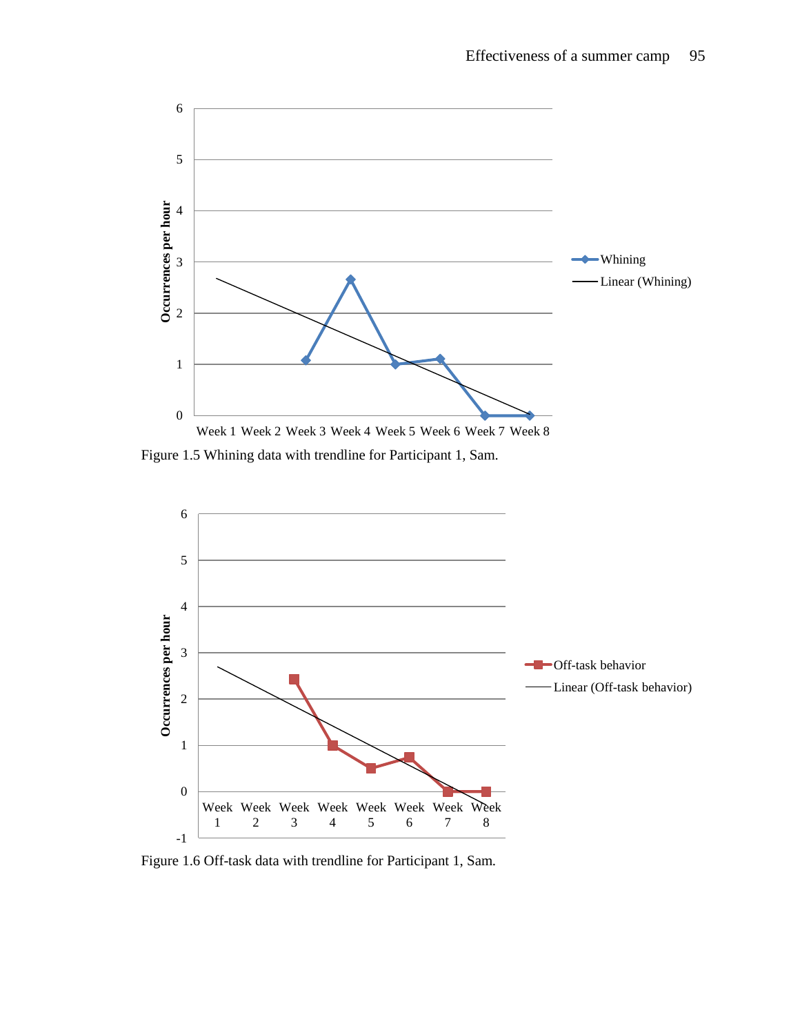

Figure 1.5 Whining data with trendline for Participant 1, Sam.



Figure 1.6 Off-task data with trendline for Participant 1, Sam.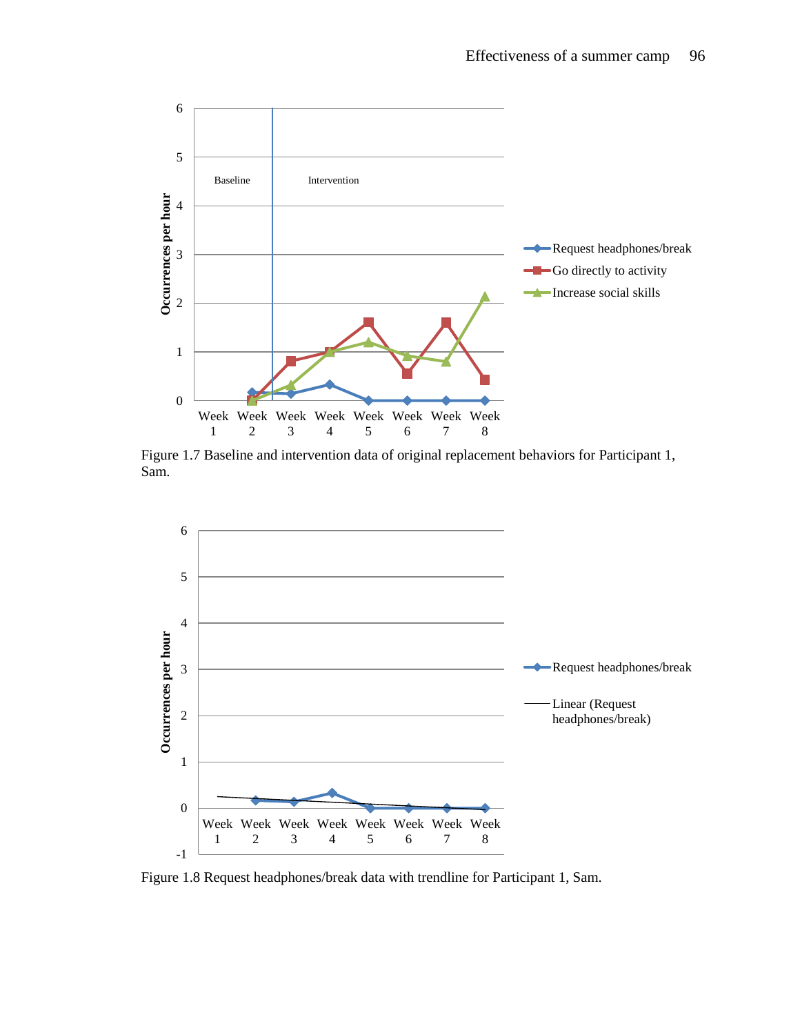

Figure 1.7 Baseline and intervention data of original replacement behaviors for Participant 1, Sam.



Figure 1.8 Request headphones/break data with trendline for Participant 1, Sam.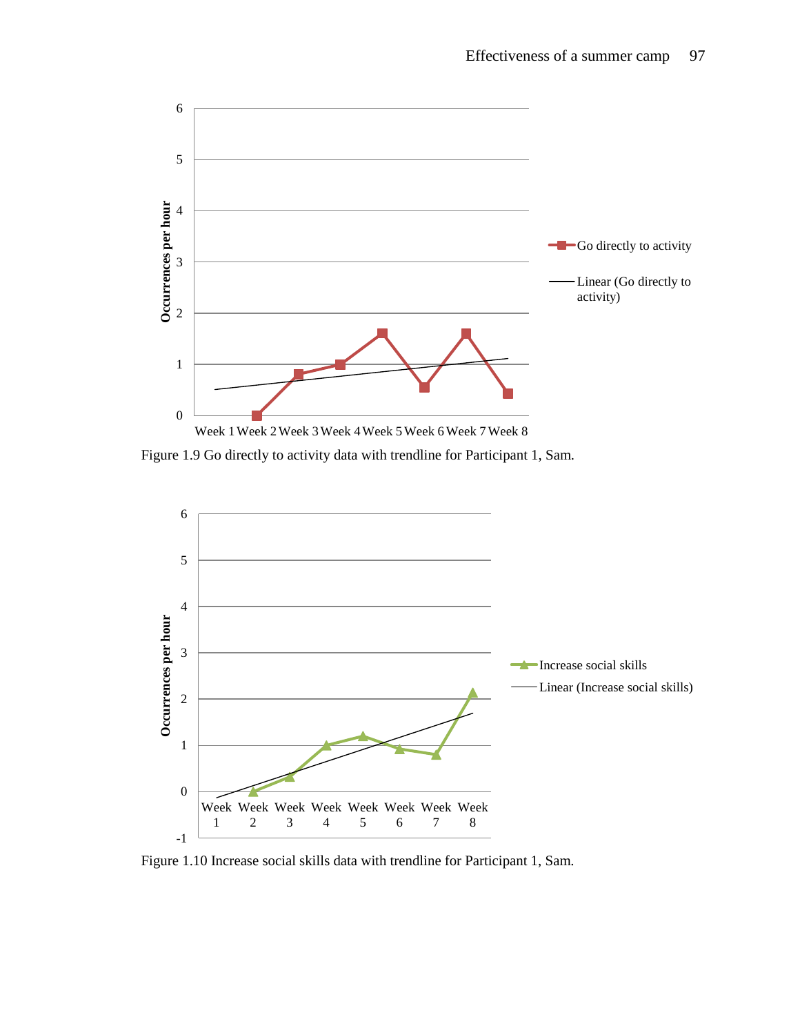

Figure 1.9 Go directly to activity data with trendline for Participant 1, Sam.



Figure 1.10 Increase social skills data with trendline for Participant 1, Sam.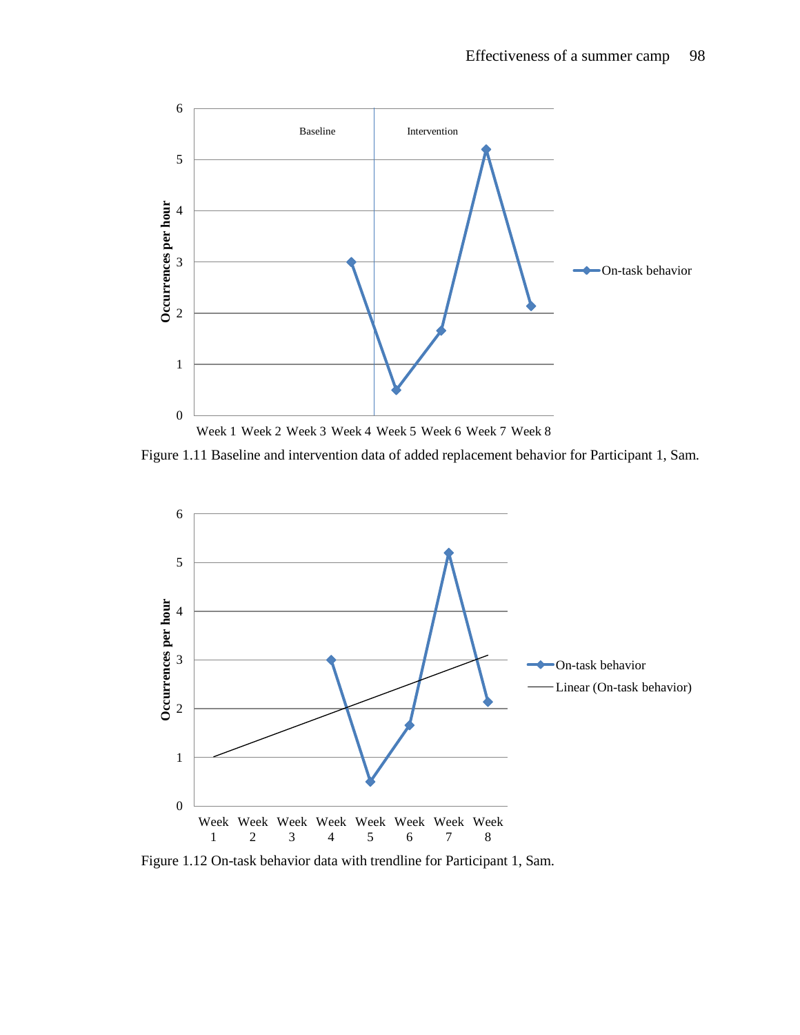

Figure 1.11 Baseline and intervention data of added replacement behavior for Participant 1, Sam.



Figure 1.12 On-task behavior data with trendline for Participant 1, Sam.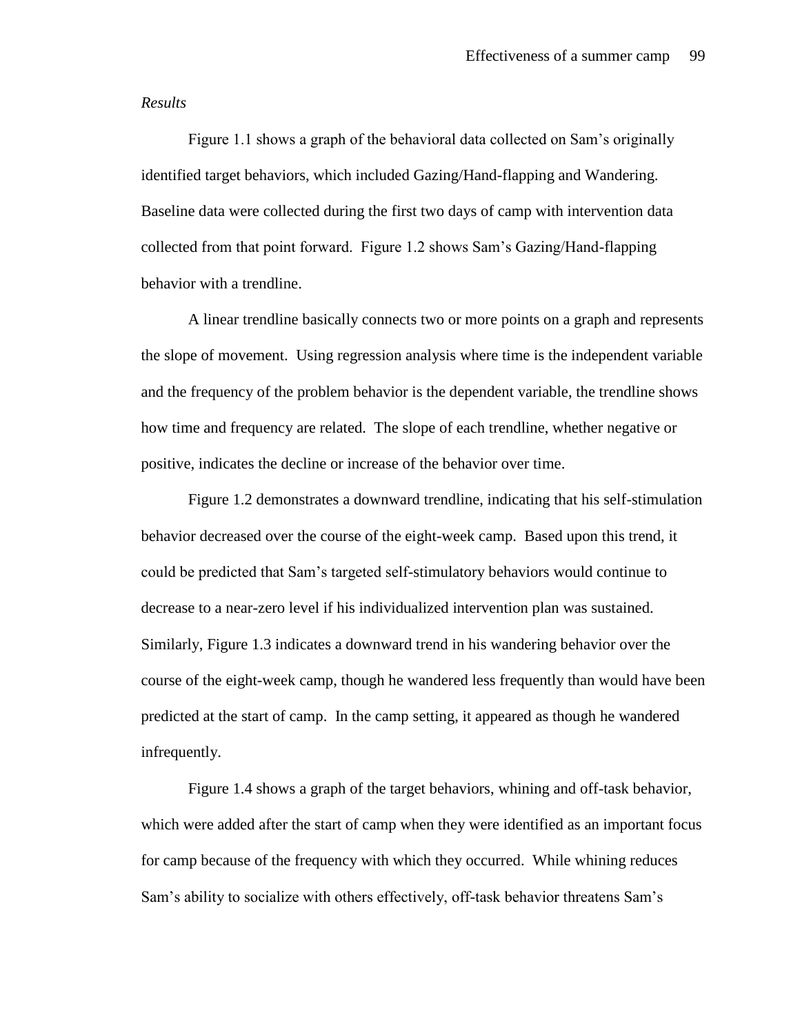#### *Results*

Figure 1.1 shows a graph of the behavioral data collected on Sam's originally identified target behaviors, which included Gazing/Hand-flapping and Wandering. Baseline data were collected during the first two days of camp with intervention data collected from that point forward. Figure 1.2 shows Sam's Gazing/Hand-flapping behavior with a trendline.

A linear trendline basically connects two or more points on a graph and represents the slope of movement. Using regression analysis where time is the independent variable and the frequency of the problem behavior is the dependent variable, the trendline shows how time and frequency are related. The slope of each trendline, whether negative or positive, indicates the decline or increase of the behavior over time.

Figure 1.2 demonstrates a downward trendline, indicating that his self-stimulation behavior decreased over the course of the eight-week camp. Based upon this trend, it could be predicted that Sam's targeted self-stimulatory behaviors would continue to decrease to a near-zero level if his individualized intervention plan was sustained. Similarly, Figure 1.3 indicates a downward trend in his wandering behavior over the course of the eight-week camp, though he wandered less frequently than would have been predicted at the start of camp. In the camp setting, it appeared as though he wandered infrequently.

Figure 1.4 shows a graph of the target behaviors, whining and off-task behavior, which were added after the start of camp when they were identified as an important focus for camp because of the frequency with which they occurred. While whining reduces Sam's ability to socialize with others effectively, off-task behavior threatens Sam's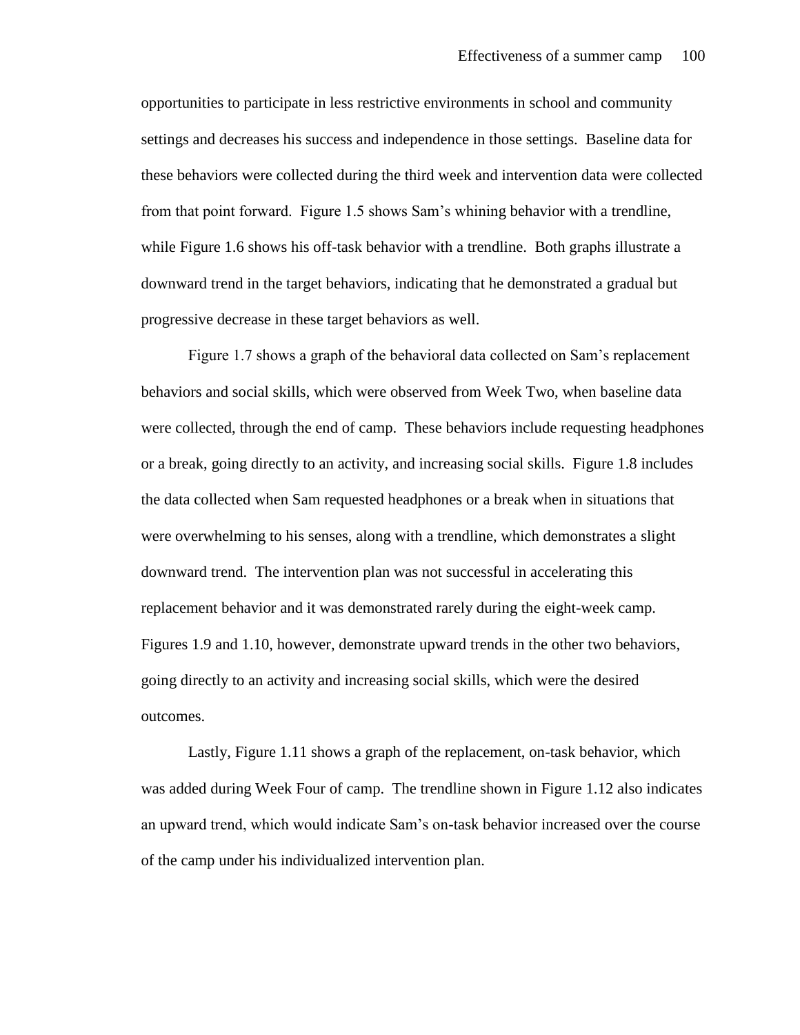opportunities to participate in less restrictive environments in school and community settings and decreases his success and independence in those settings. Baseline data for these behaviors were collected during the third week and intervention data were collected from that point forward. Figure 1.5 shows Sam's whining behavior with a trendline, while Figure 1.6 shows his off-task behavior with a trendline. Both graphs illustrate a downward trend in the target behaviors, indicating that he demonstrated a gradual but progressive decrease in these target behaviors as well.

Figure 1.7 shows a graph of the behavioral data collected on Sam's replacement behaviors and social skills, which were observed from Week Two, when baseline data were collected, through the end of camp. These behaviors include requesting headphones or a break, going directly to an activity, and increasing social skills. Figure 1.8 includes the data collected when Sam requested headphones or a break when in situations that were overwhelming to his senses, along with a trendline, which demonstrates a slight downward trend. The intervention plan was not successful in accelerating this replacement behavior and it was demonstrated rarely during the eight-week camp. Figures 1.9 and 1.10, however, demonstrate upward trends in the other two behaviors, going directly to an activity and increasing social skills, which were the desired outcomes.

Lastly, Figure 1.11 shows a graph of the replacement, on-task behavior, which was added during Week Four of camp. The trendline shown in Figure 1.12 also indicates an upward trend, which would indicate Sam's on-task behavior increased over the course of the camp under his individualized intervention plan.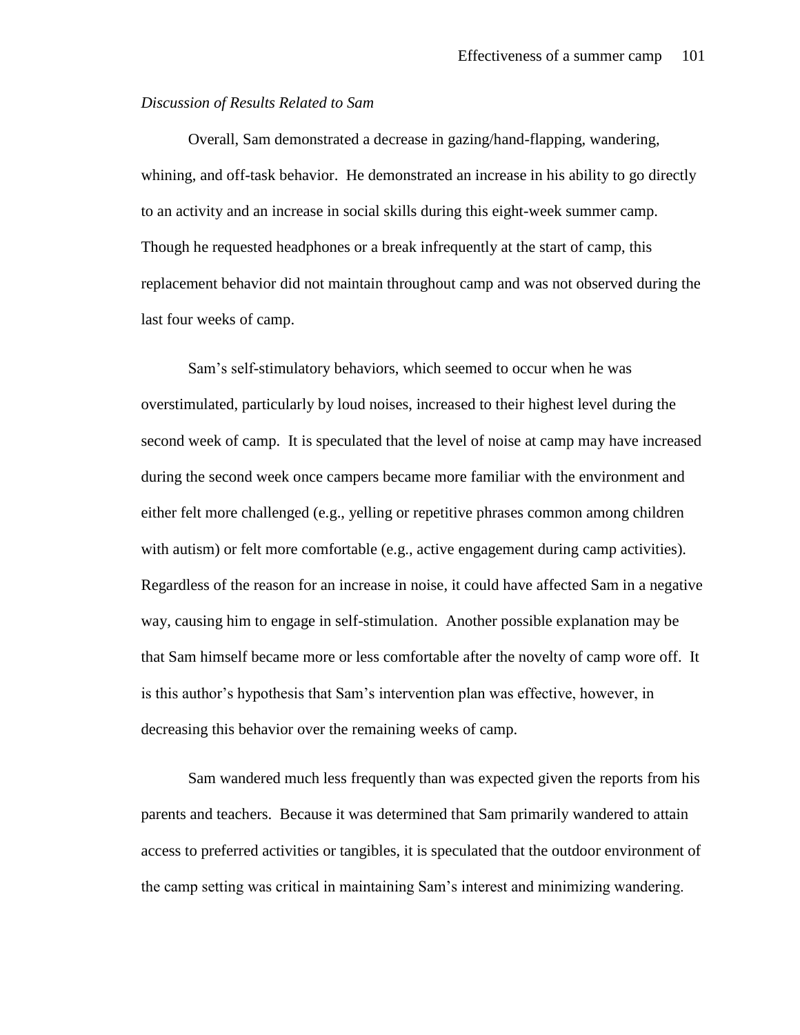# *Discussion of Results Related to Sam*

Overall, Sam demonstrated a decrease in gazing/hand-flapping, wandering, whining, and off-task behavior. He demonstrated an increase in his ability to go directly to an activity and an increase in social skills during this eight-week summer camp. Though he requested headphones or a break infrequently at the start of camp, this replacement behavior did not maintain throughout camp and was not observed during the last four weeks of camp.

Sam's self-stimulatory behaviors, which seemed to occur when he was overstimulated, particularly by loud noises, increased to their highest level during the second week of camp. It is speculated that the level of noise at camp may have increased during the second week once campers became more familiar with the environment and either felt more challenged (e.g., yelling or repetitive phrases common among children with autism) or felt more comfortable (e.g., active engagement during camp activities). Regardless of the reason for an increase in noise, it could have affected Sam in a negative way, causing him to engage in self-stimulation. Another possible explanation may be that Sam himself became more or less comfortable after the novelty of camp wore off. It is this author's hypothesis that Sam's intervention plan was effective, however, in decreasing this behavior over the remaining weeks of camp.

Sam wandered much less frequently than was expected given the reports from his parents and teachers. Because it was determined that Sam primarily wandered to attain access to preferred activities or tangibles, it is speculated that the outdoor environment of the camp setting was critical in maintaining Sam's interest and minimizing wandering.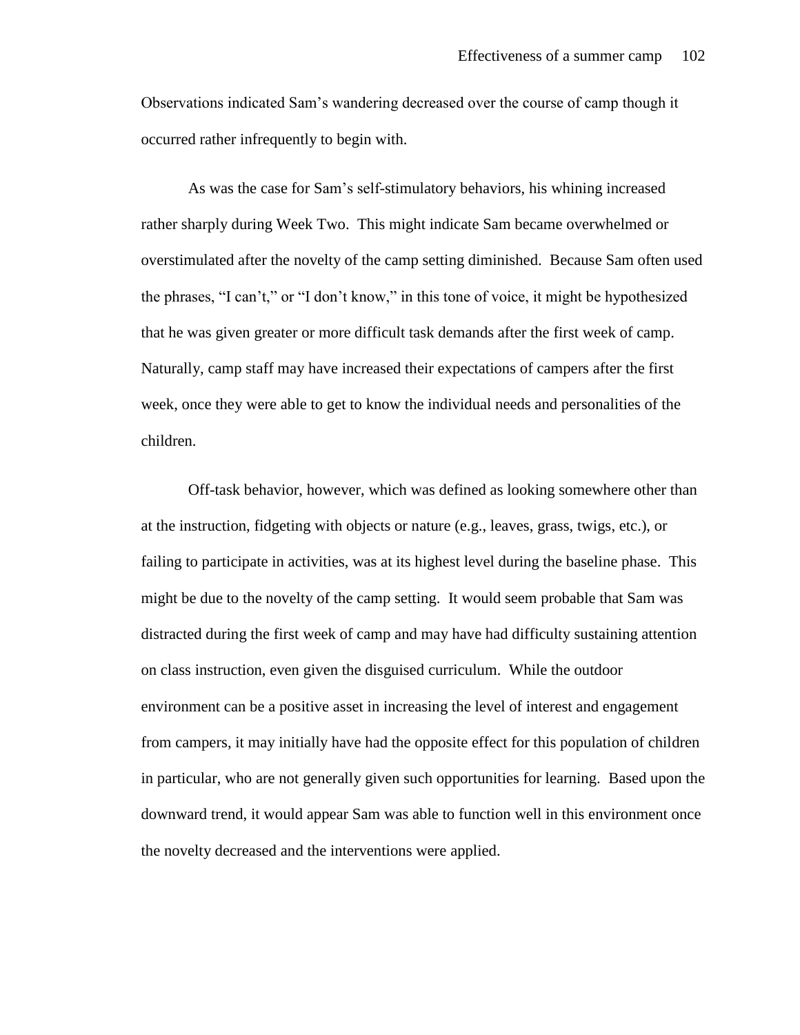Observations indicated Sam's wandering decreased over the course of camp though it occurred rather infrequently to begin with.

As was the case for Sam's self-stimulatory behaviors, his whining increased rather sharply during Week Two. This might indicate Sam became overwhelmed or overstimulated after the novelty of the camp setting diminished. Because Sam often used the phrases, "I can't," or "I don't know," in this tone of voice, it might be hypothesized that he was given greater or more difficult task demands after the first week of camp. Naturally, camp staff may have increased their expectations of campers after the first week, once they were able to get to know the individual needs and personalities of the children.

Off-task behavior, however, which was defined as looking somewhere other than at the instruction, fidgeting with objects or nature (e.g., leaves, grass, twigs, etc.), or failing to participate in activities, was at its highest level during the baseline phase. This might be due to the novelty of the camp setting. It would seem probable that Sam was distracted during the first week of camp and may have had difficulty sustaining attention on class instruction, even given the disguised curriculum. While the outdoor environment can be a positive asset in increasing the level of interest and engagement from campers, it may initially have had the opposite effect for this population of children in particular, who are not generally given such opportunities for learning. Based upon the downward trend, it would appear Sam was able to function well in this environment once the novelty decreased and the interventions were applied.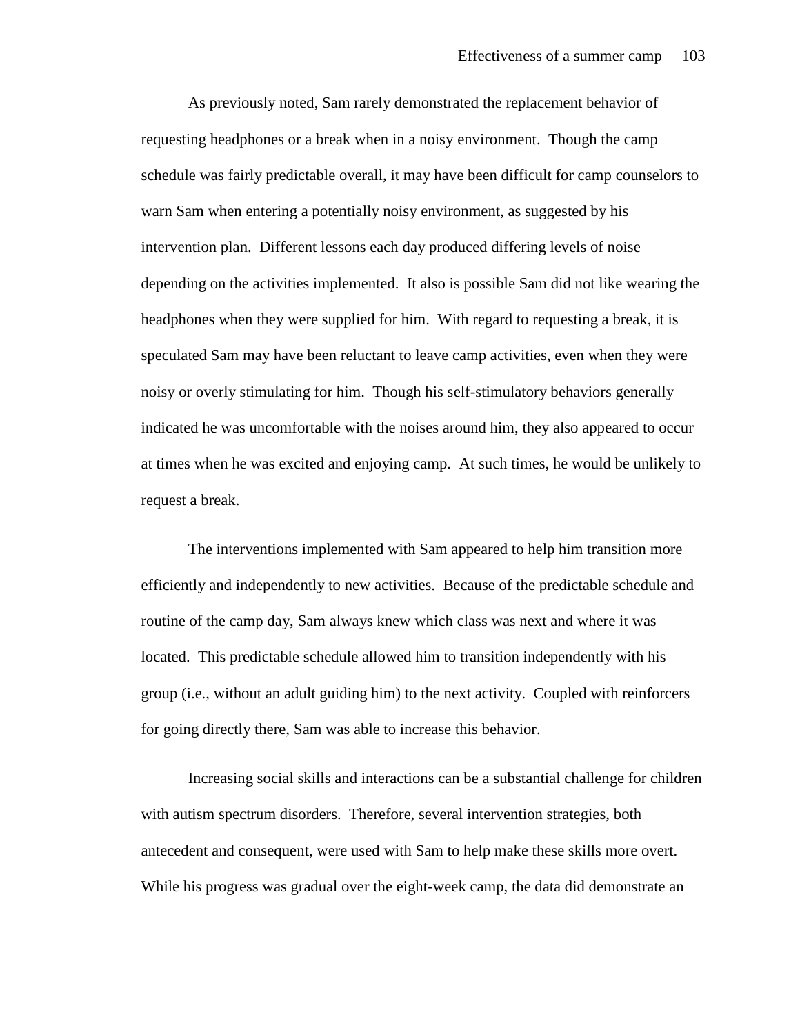As previously noted, Sam rarely demonstrated the replacement behavior of requesting headphones or a break when in a noisy environment. Though the camp schedule was fairly predictable overall, it may have been difficult for camp counselors to warn Sam when entering a potentially noisy environment, as suggested by his intervention plan. Different lessons each day produced differing levels of noise depending on the activities implemented. It also is possible Sam did not like wearing the headphones when they were supplied for him. With regard to requesting a break, it is speculated Sam may have been reluctant to leave camp activities, even when they were noisy or overly stimulating for him. Though his self-stimulatory behaviors generally indicated he was uncomfortable with the noises around him, they also appeared to occur at times when he was excited and enjoying camp. At such times, he would be unlikely to request a break.

The interventions implemented with Sam appeared to help him transition more efficiently and independently to new activities. Because of the predictable schedule and routine of the camp day, Sam always knew which class was next and where it was located. This predictable schedule allowed him to transition independently with his group (i.e., without an adult guiding him) to the next activity. Coupled with reinforcers for going directly there, Sam was able to increase this behavior.

Increasing social skills and interactions can be a substantial challenge for children with autism spectrum disorders. Therefore, several intervention strategies, both antecedent and consequent, were used with Sam to help make these skills more overt. While his progress was gradual over the eight-week camp, the data did demonstrate an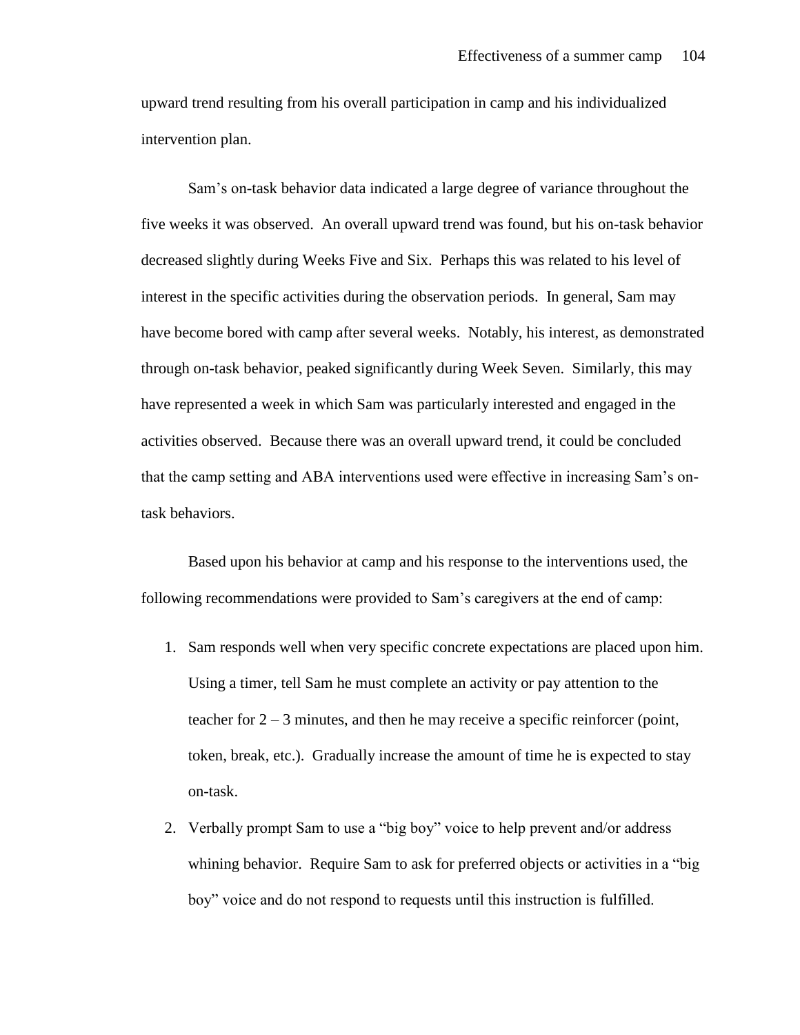upward trend resulting from his overall participation in camp and his individualized intervention plan.

Sam's on-task behavior data indicated a large degree of variance throughout the five weeks it was observed. An overall upward trend was found, but his on-task behavior decreased slightly during Weeks Five and Six. Perhaps this was related to his level of interest in the specific activities during the observation periods. In general, Sam may have become bored with camp after several weeks. Notably, his interest, as demonstrated through on-task behavior, peaked significantly during Week Seven. Similarly, this may have represented a week in which Sam was particularly interested and engaged in the activities observed. Because there was an overall upward trend, it could be concluded that the camp setting and ABA interventions used were effective in increasing Sam's ontask behaviors.

Based upon his behavior at camp and his response to the interventions used, the following recommendations were provided to Sam's caregivers at the end of camp:

- 1. Sam responds well when very specific concrete expectations are placed upon him. Using a timer, tell Sam he must complete an activity or pay attention to the teacher for  $2 - 3$  minutes, and then he may receive a specific reinforcer (point, token, break, etc.). Gradually increase the amount of time he is expected to stay on-task.
- 2. Verbally prompt Sam to use a "big boy" voice to help prevent and/or address whining behavior. Require Sam to ask for preferred objects or activities in a "big boy" voice and do not respond to requests until this instruction is fulfilled.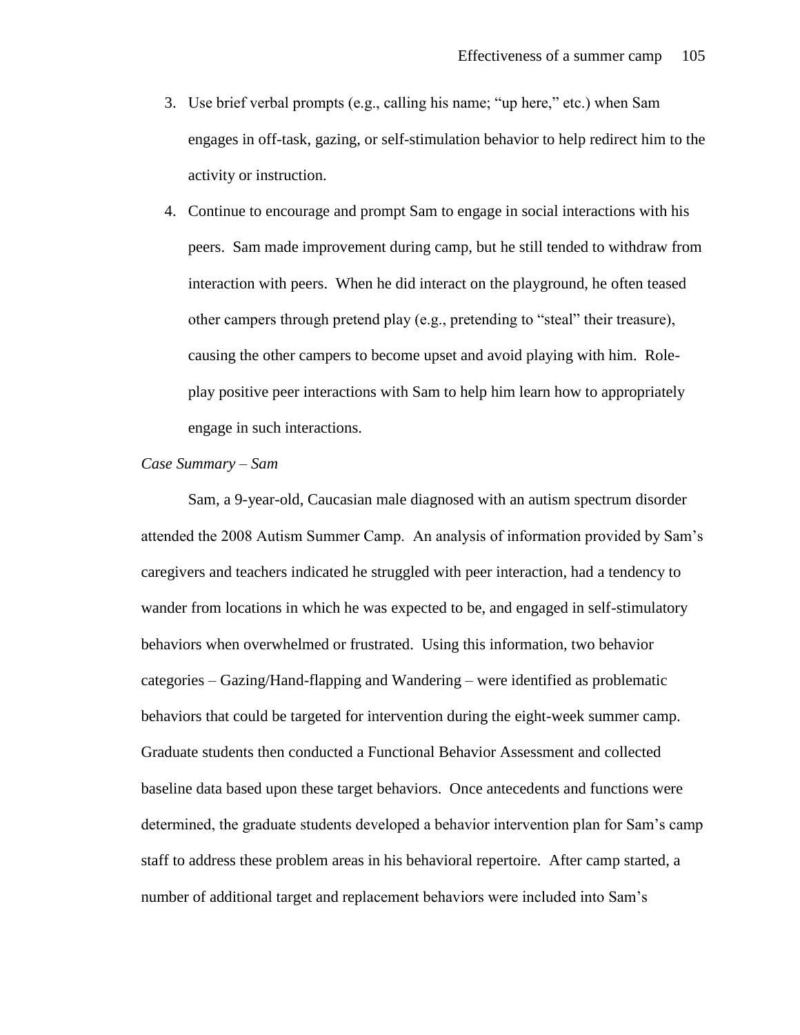- 3. Use brief verbal prompts (e.g., calling his name; "up here," etc.) when Sam engages in off-task, gazing, or self-stimulation behavior to help redirect him to the activity or instruction.
- 4. Continue to encourage and prompt Sam to engage in social interactions with his peers. Sam made improvement during camp, but he still tended to withdraw from interaction with peers. When he did interact on the playground, he often teased other campers through pretend play (e.g., pretending to "steal" their treasure), causing the other campers to become upset and avoid playing with him. Roleplay positive peer interactions with Sam to help him learn how to appropriately engage in such interactions.

# *Case Summary – Sam*

Sam, a 9-year-old, Caucasian male diagnosed with an autism spectrum disorder attended the 2008 Autism Summer Camp. An analysis of information provided by Sam's caregivers and teachers indicated he struggled with peer interaction, had a tendency to wander from locations in which he was expected to be, and engaged in self-stimulatory behaviors when overwhelmed or frustrated. Using this information, two behavior categories – Gazing/Hand-flapping and Wandering – were identified as problematic behaviors that could be targeted for intervention during the eight-week summer camp. Graduate students then conducted a Functional Behavior Assessment and collected baseline data based upon these target behaviors. Once antecedents and functions were determined, the graduate students developed a behavior intervention plan for Sam's camp staff to address these problem areas in his behavioral repertoire. After camp started, a number of additional target and replacement behaviors were included into Sam's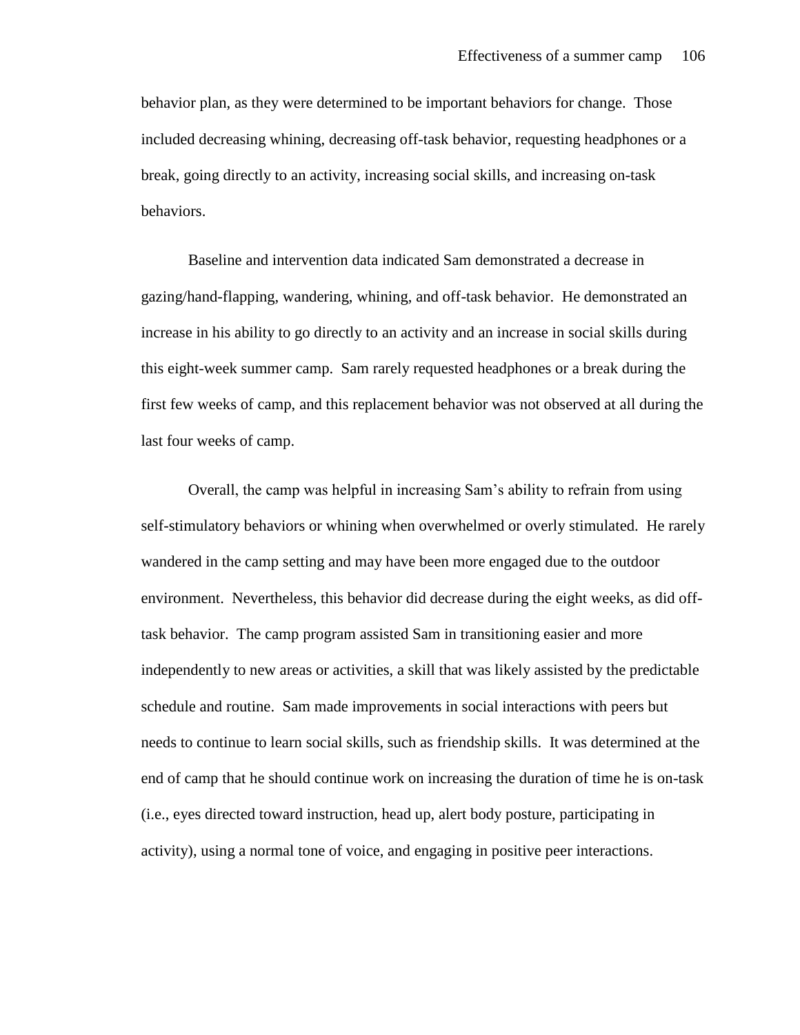behavior plan, as they were determined to be important behaviors for change. Those included decreasing whining, decreasing off-task behavior, requesting headphones or a break, going directly to an activity, increasing social skills, and increasing on-task behaviors.

Baseline and intervention data indicated Sam demonstrated a decrease in gazing/hand-flapping, wandering, whining, and off-task behavior. He demonstrated an increase in his ability to go directly to an activity and an increase in social skills during this eight-week summer camp. Sam rarely requested headphones or a break during the first few weeks of camp, and this replacement behavior was not observed at all during the last four weeks of camp.

Overall, the camp was helpful in increasing Sam's ability to refrain from using self-stimulatory behaviors or whining when overwhelmed or overly stimulated. He rarely wandered in the camp setting and may have been more engaged due to the outdoor environment. Nevertheless, this behavior did decrease during the eight weeks, as did offtask behavior. The camp program assisted Sam in transitioning easier and more independently to new areas or activities, a skill that was likely assisted by the predictable schedule and routine. Sam made improvements in social interactions with peers but needs to continue to learn social skills, such as friendship skills. It was determined at the end of camp that he should continue work on increasing the duration of time he is on-task (i.e., eyes directed toward instruction, head up, alert body posture, participating in activity), using a normal tone of voice, and engaging in positive peer interactions.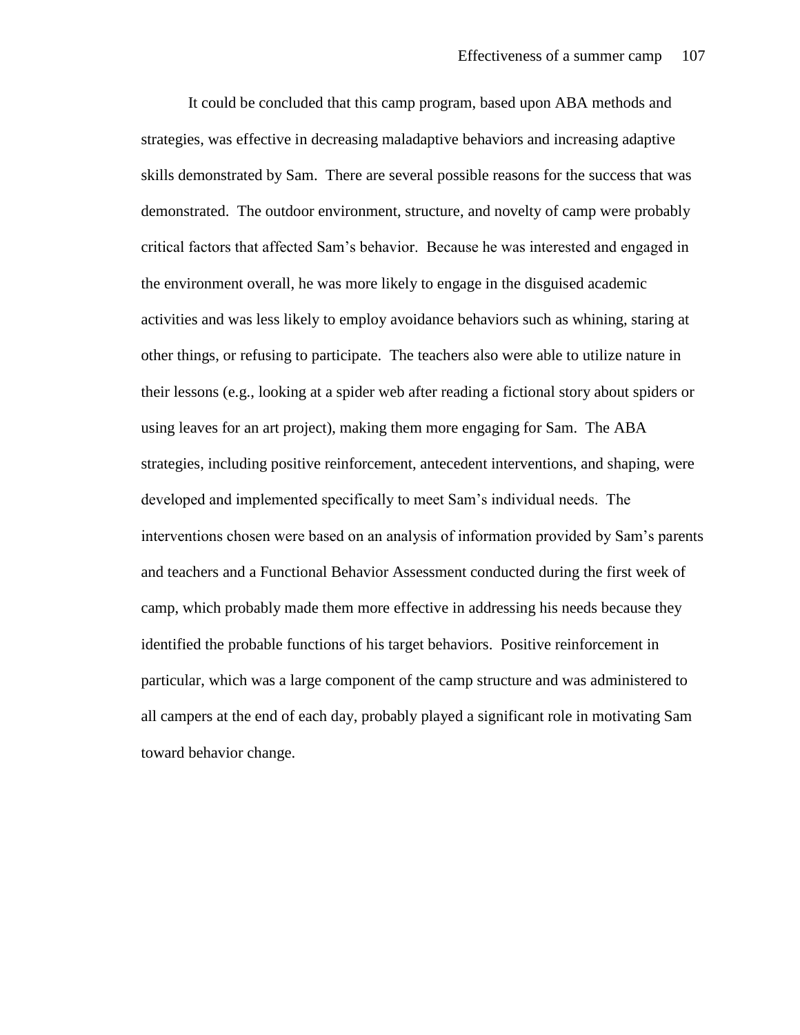It could be concluded that this camp program, based upon ABA methods and strategies, was effective in decreasing maladaptive behaviors and increasing adaptive skills demonstrated by Sam. There are several possible reasons for the success that was demonstrated. The outdoor environment, structure, and novelty of camp were probably critical factors that affected Sam's behavior. Because he was interested and engaged in the environment overall, he was more likely to engage in the disguised academic activities and was less likely to employ avoidance behaviors such as whining, staring at other things, or refusing to participate. The teachers also were able to utilize nature in their lessons (e.g., looking at a spider web after reading a fictional story about spiders or using leaves for an art project), making them more engaging for Sam. The ABA strategies, including positive reinforcement, antecedent interventions, and shaping, were developed and implemented specifically to meet Sam's individual needs. The interventions chosen were based on an analysis of information provided by Sam's parents and teachers and a Functional Behavior Assessment conducted during the first week of camp, which probably made them more effective in addressing his needs because they identified the probable functions of his target behaviors. Positive reinforcement in particular, which was a large component of the camp structure and was administered to all campers at the end of each day, probably played a significant role in motivating Sam toward behavior change.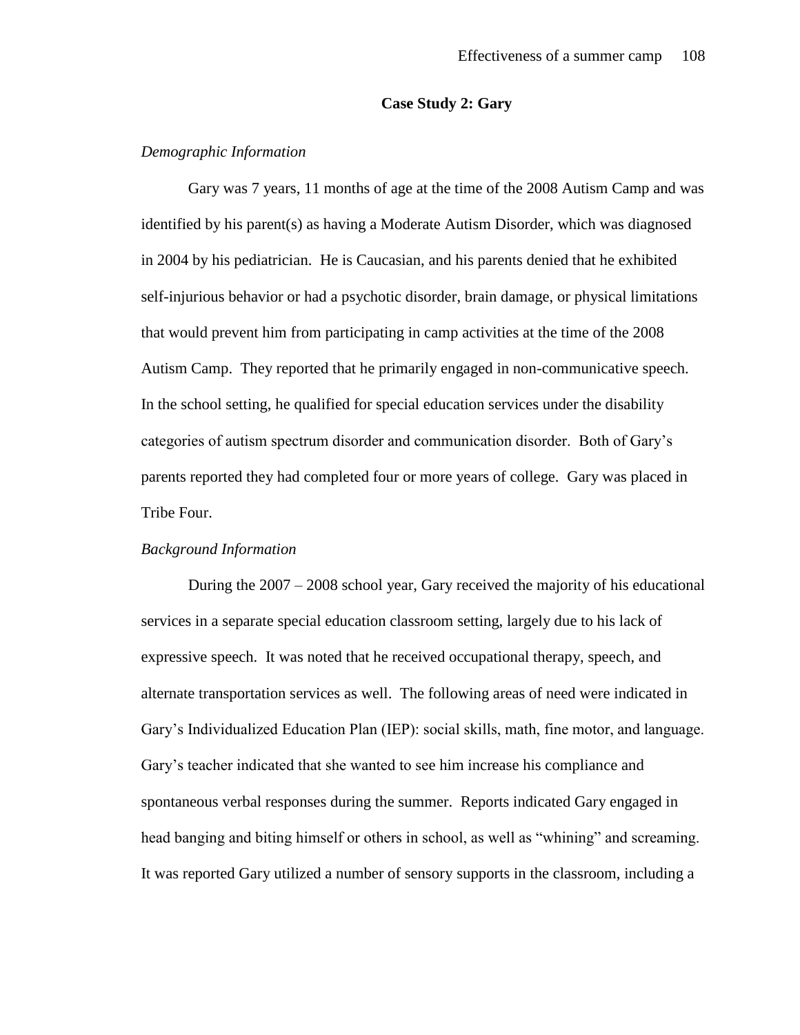# **Case Study 2: Gary**

# *Demographic Information*

Gary was 7 years, 11 months of age at the time of the 2008 Autism Camp and was identified by his parent(s) as having a Moderate Autism Disorder, which was diagnosed in 2004 by his pediatrician. He is Caucasian, and his parents denied that he exhibited self-injurious behavior or had a psychotic disorder, brain damage, or physical limitations that would prevent him from participating in camp activities at the time of the 2008 Autism Camp. They reported that he primarily engaged in non-communicative speech. In the school setting, he qualified for special education services under the disability categories of autism spectrum disorder and communication disorder. Both of Gary's parents reported they had completed four or more years of college. Gary was placed in Tribe Four.

## *Background Information*

During the 2007 – 2008 school year, Gary received the majority of his educational services in a separate special education classroom setting, largely due to his lack of expressive speech. It was noted that he received occupational therapy, speech, and alternate transportation services as well. The following areas of need were indicated in Gary's Individualized Education Plan (IEP): social skills, math, fine motor, and language. Gary's teacher indicated that she wanted to see him increase his compliance and spontaneous verbal responses during the summer. Reports indicated Gary engaged in head banging and biting himself or others in school, as well as "whining" and screaming. It was reported Gary utilized a number of sensory supports in the classroom, including a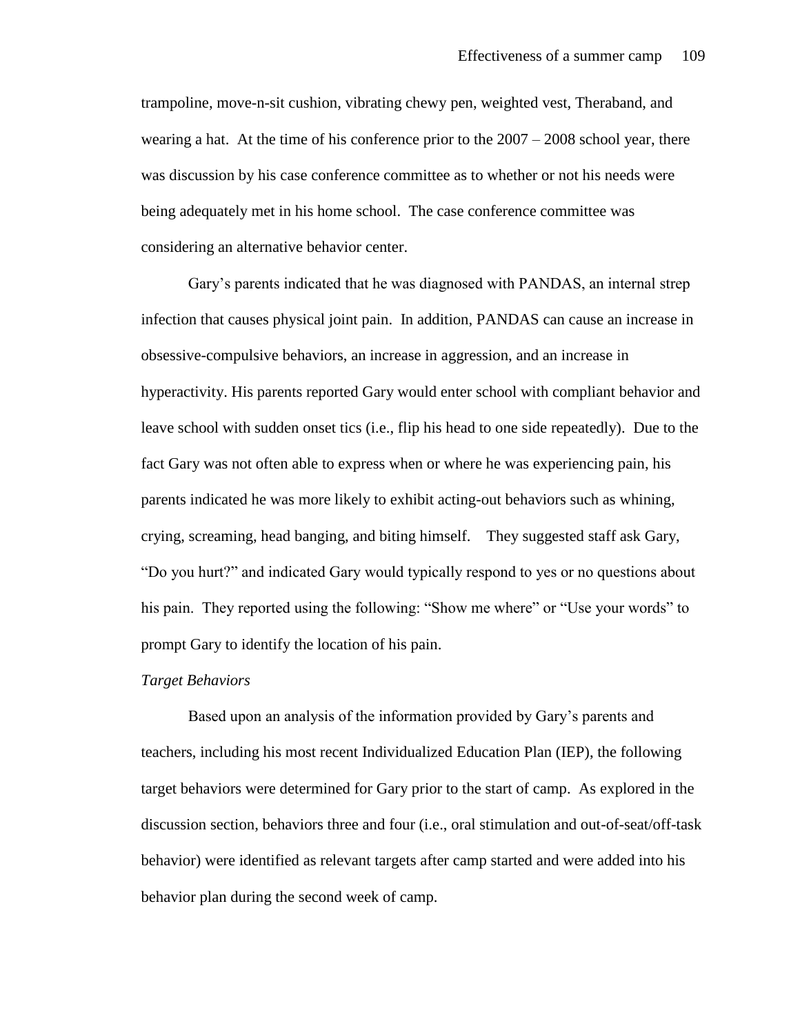trampoline, move-n-sit cushion, vibrating chewy pen, weighted vest, Theraband, and wearing a hat. At the time of his conference prior to the  $2007 - 2008$  school year, there was discussion by his case conference committee as to whether or not his needs were being adequately met in his home school. The case conference committee was considering an alternative behavior center.

Gary's parents indicated that he was diagnosed with PANDAS, an internal strep infection that causes physical joint pain. In addition, PANDAS can cause an increase in obsessive-compulsive behaviors, an increase in aggression, and an increase in hyperactivity. His parents reported Gary would enter school with compliant behavior and leave school with sudden onset tics (i.e., flip his head to one side repeatedly). Due to the fact Gary was not often able to express when or where he was experiencing pain, his parents indicated he was more likely to exhibit acting-out behaviors such as whining, crying, screaming, head banging, and biting himself. They suggested staff ask Gary, "Do you hurt?" and indicated Gary would typically respond to yes or no questions about his pain. They reported using the following: "Show me where" or "Use your words" to prompt Gary to identify the location of his pain.

#### *Target Behaviors*

Based upon an analysis of the information provided by Gary's parents and teachers, including his most recent Individualized Education Plan (IEP), the following target behaviors were determined for Gary prior to the start of camp. As explored in the discussion section, behaviors three and four (i.e., oral stimulation and out-of-seat/off-task behavior) were identified as relevant targets after camp started and were added into his behavior plan during the second week of camp.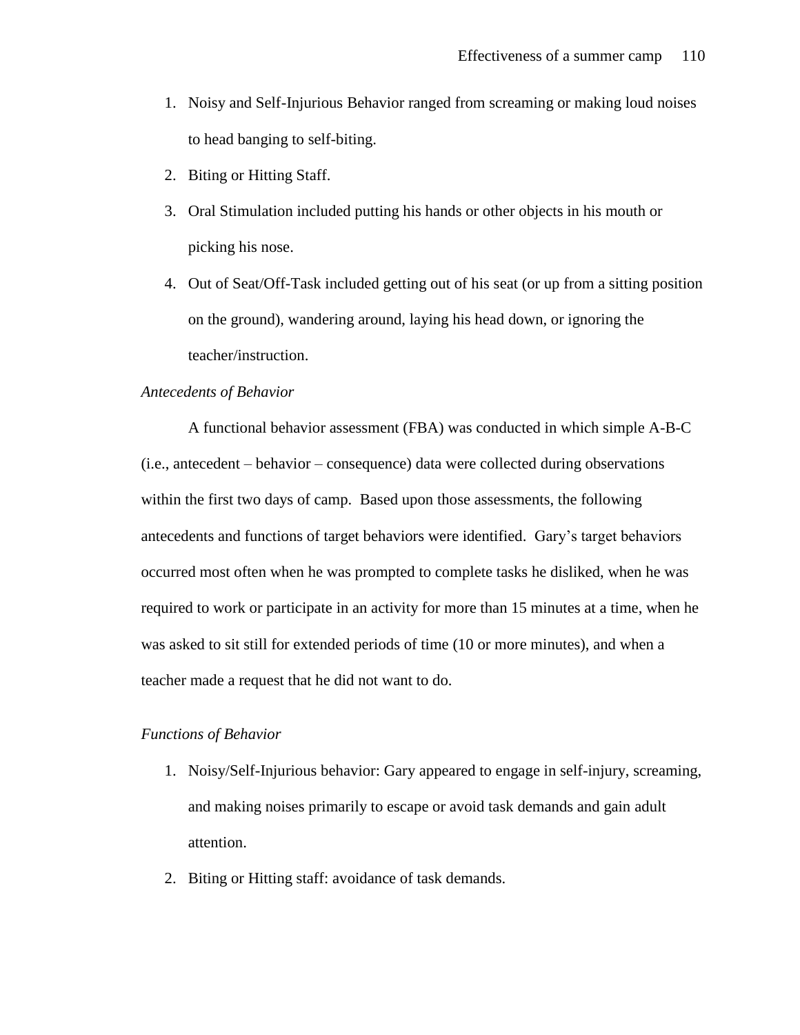- 1. Noisy and Self-Injurious Behavior ranged from screaming or making loud noises to head banging to self-biting.
- 2. Biting or Hitting Staff.
- 3. Oral Stimulation included putting his hands or other objects in his mouth or picking his nose.
- 4. Out of Seat/Off-Task included getting out of his seat (or up from a sitting position on the ground), wandering around, laying his head down, or ignoring the teacher/instruction.

# *Antecedents of Behavior*

A functional behavior assessment (FBA) was conducted in which simple A-B-C (i.e., antecedent – behavior – consequence) data were collected during observations within the first two days of camp. Based upon those assessments, the following antecedents and functions of target behaviors were identified. Gary's target behaviors occurred most often when he was prompted to complete tasks he disliked, when he was required to work or participate in an activity for more than 15 minutes at a time, when he was asked to sit still for extended periods of time (10 or more minutes), and when a teacher made a request that he did not want to do.

# *Functions of Behavior*

- 1. Noisy/Self-Injurious behavior: Gary appeared to engage in self-injury, screaming, and making noises primarily to escape or avoid task demands and gain adult attention.
- 2. Biting or Hitting staff: avoidance of task demands.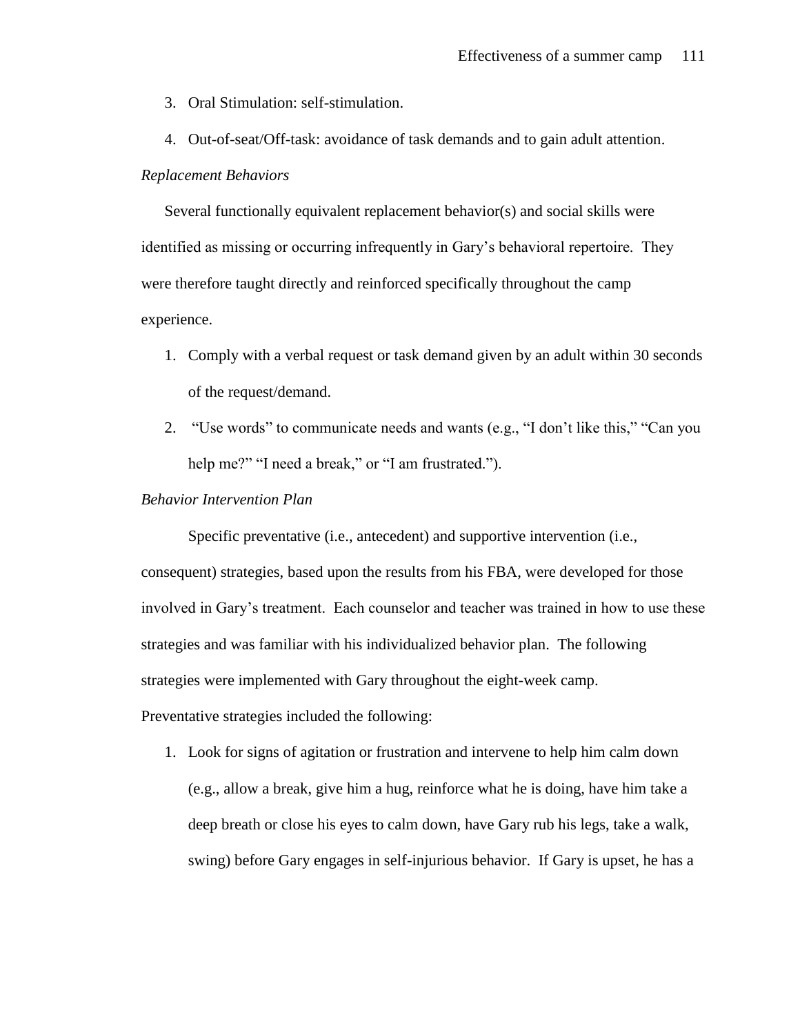- 3. Oral Stimulation: self-stimulation.
- 4. Out-of-seat/Off-task: avoidance of task demands and to gain adult attention.

# *Replacement Behaviors*

Several functionally equivalent replacement behavior(s) and social skills were identified as missing or occurring infrequently in Gary's behavioral repertoire. They were therefore taught directly and reinforced specifically throughout the camp experience.

- 1. Comply with a verbal request or task demand given by an adult within 30 seconds of the request/demand.
- 2. "Use words" to communicate needs and wants (e.g., "I don't like this," "Can you help me?" "I need a break," or "I am frustrated.").

# *Behavior Intervention Plan*

Specific preventative (i.e., antecedent) and supportive intervention (i.e., consequent) strategies, based upon the results from his FBA, were developed for those involved in Gary's treatment. Each counselor and teacher was trained in how to use these strategies and was familiar with his individualized behavior plan. The following strategies were implemented with Gary throughout the eight-week camp.

Preventative strategies included the following:

1. Look for signs of agitation or frustration and intervene to help him calm down (e.g., allow a break, give him a hug, reinforce what he is doing, have him take a deep breath or close his eyes to calm down, have Gary rub his legs, take a walk, swing) before Gary engages in self-injurious behavior. If Gary is upset, he has a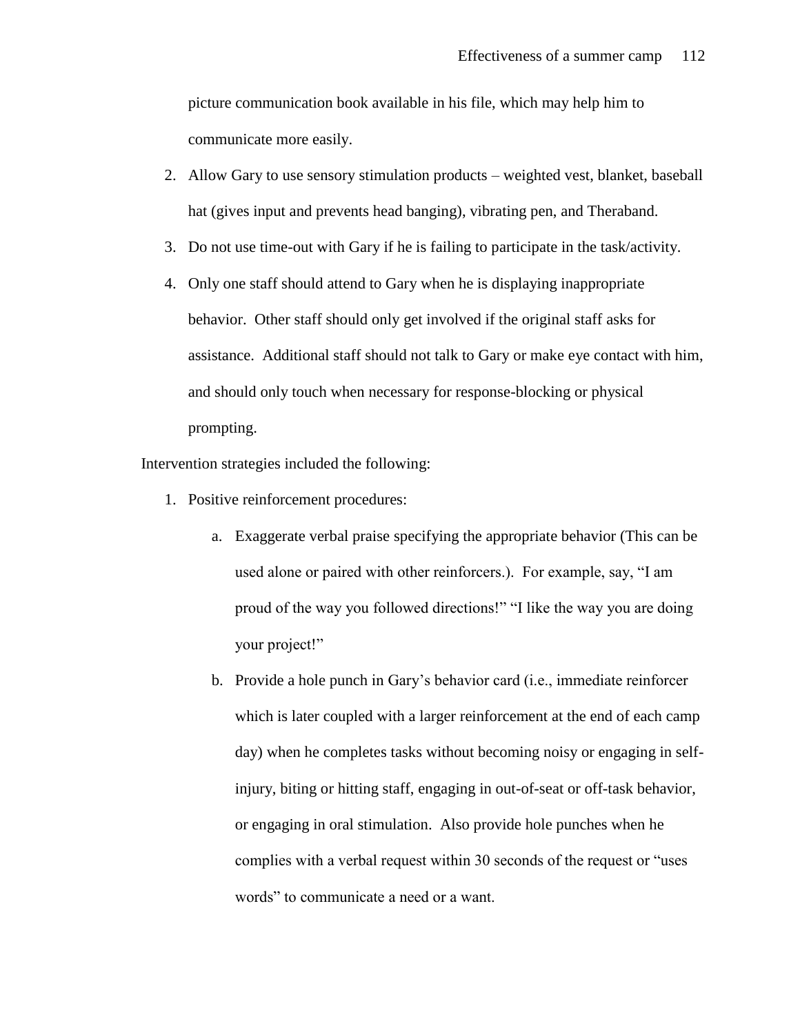picture communication book available in his file, which may help him to communicate more easily.

- 2. Allow Gary to use sensory stimulation products weighted vest, blanket, baseball hat (gives input and prevents head banging), vibrating pen, and Theraband.
- 3. Do not use time-out with Gary if he is failing to participate in the task/activity.
- 4. Only one staff should attend to Gary when he is displaying inappropriate behavior. Other staff should only get involved if the original staff asks for assistance. Additional staff should not talk to Gary or make eye contact with him, and should only touch when necessary for response-blocking or physical prompting.

Intervention strategies included the following:

- 1. Positive reinforcement procedures:
	- a. Exaggerate verbal praise specifying the appropriate behavior (This can be used alone or paired with other reinforcers.). For example, say, "I am proud of the way you followed directions!" "I like the way you are doing your project!"
	- b. Provide a hole punch in Gary's behavior card (i.e., immediate reinforcer which is later coupled with a larger reinforcement at the end of each camp day) when he completes tasks without becoming noisy or engaging in selfinjury, biting or hitting staff, engaging in out-of-seat or off-task behavior, or engaging in oral stimulation. Also provide hole punches when he complies with a verbal request within 30 seconds of the request or "uses words" to communicate a need or a want.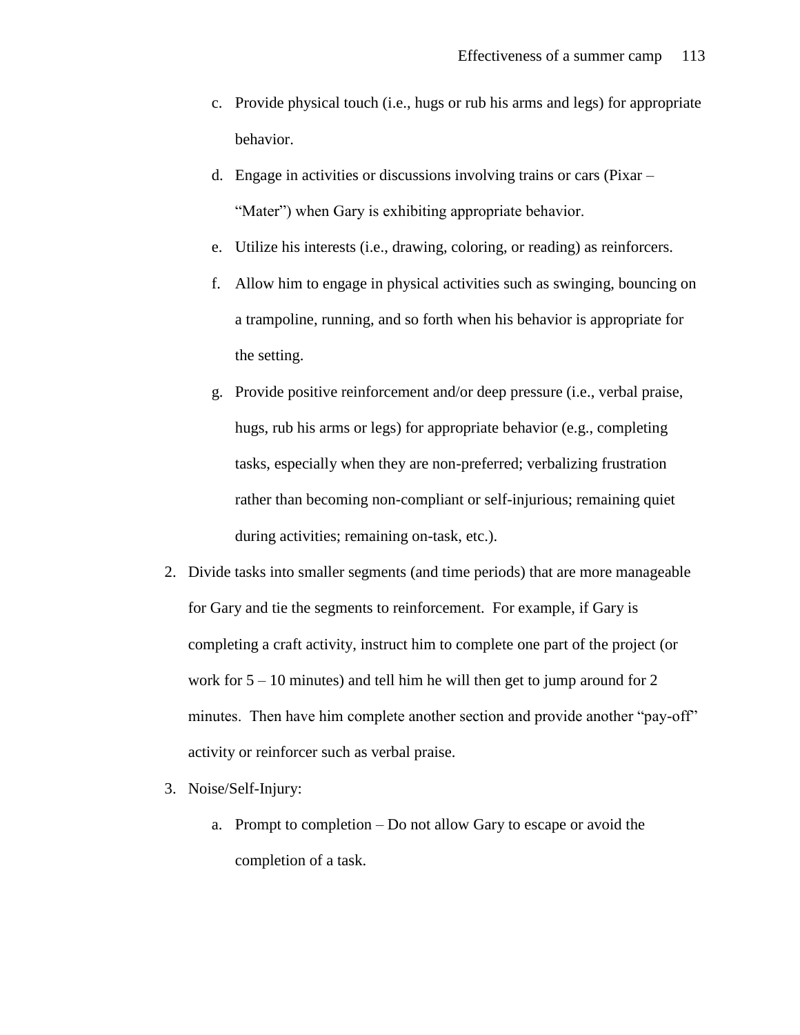- c. Provide physical touch (i.e., hugs or rub his arms and legs) for appropriate behavior.
- d. Engage in activities or discussions involving trains or cars (Pixar "Mater") when Gary is exhibiting appropriate behavior.
- e. Utilize his interests (i.e., drawing, coloring, or reading) as reinforcers.
- f. Allow him to engage in physical activities such as swinging, bouncing on a trampoline, running, and so forth when his behavior is appropriate for the setting.
- g. Provide positive reinforcement and/or deep pressure (i.e., verbal praise, hugs, rub his arms or legs) for appropriate behavior (e.g., completing tasks, especially when they are non-preferred; verbalizing frustration rather than becoming non-compliant or self-injurious; remaining quiet during activities; remaining on-task, etc.).
- 2. Divide tasks into smaller segments (and time periods) that are more manageable for Gary and tie the segments to reinforcement. For example, if Gary is completing a craft activity, instruct him to complete one part of the project (or work for  $5 - 10$  minutes) and tell him he will then get to jump around for 2 minutes. Then have him complete another section and provide another "pay-off" activity or reinforcer such as verbal praise.
- 3. Noise/Self-Injury:
	- a. Prompt to completion Do not allow Gary to escape or avoid the completion of a task.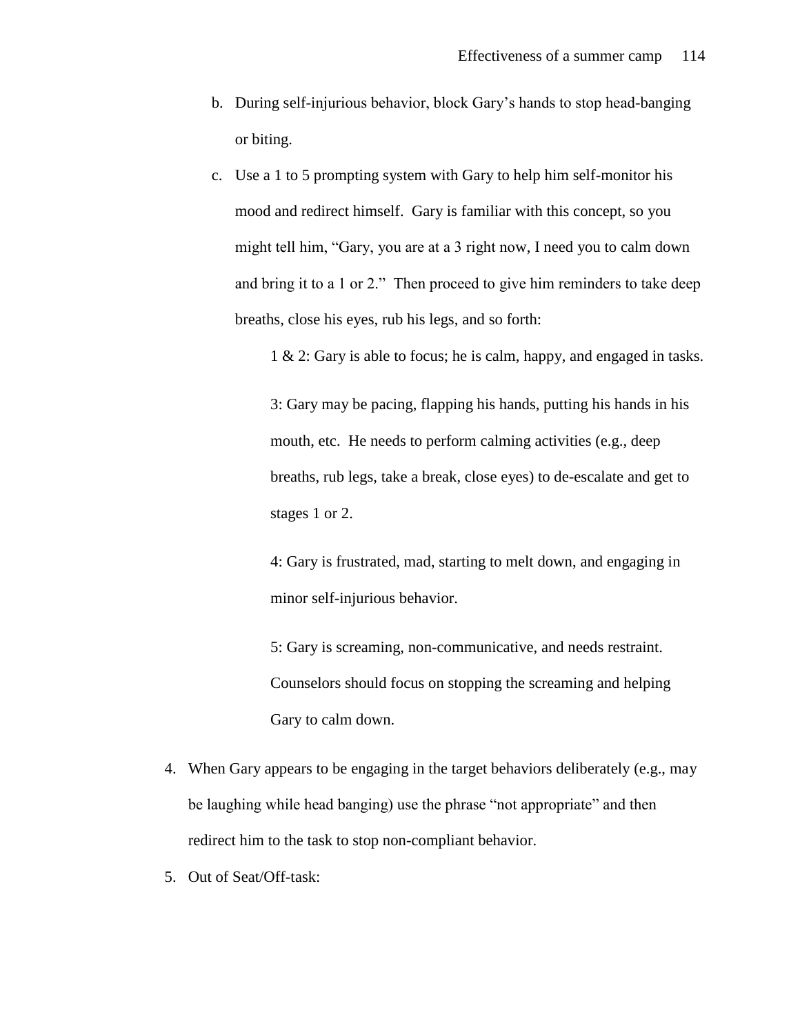- b. During self-injurious behavior, block Gary's hands to stop head-banging or biting.
- c. Use a 1 to 5 prompting system with Gary to help him self-monitor his mood and redirect himself. Gary is familiar with this concept, so you might tell him, "Gary, you are at a 3 right now, I need you to calm down and bring it to a 1 or 2." Then proceed to give him reminders to take deep breaths, close his eyes, rub his legs, and so forth:

1 & 2: Gary is able to focus; he is calm, happy, and engaged in tasks.

3: Gary may be pacing, flapping his hands, putting his hands in his mouth, etc. He needs to perform calming activities (e.g., deep breaths, rub legs, take a break, close eyes) to de-escalate and get to stages 1 or 2.

4: Gary is frustrated, mad, starting to melt down, and engaging in minor self-injurious behavior.

5: Gary is screaming, non-communicative, and needs restraint. Counselors should focus on stopping the screaming and helping Gary to calm down.

- 4. When Gary appears to be engaging in the target behaviors deliberately (e.g., may be laughing while head banging) use the phrase "not appropriate" and then redirect him to the task to stop non-compliant behavior.
- 5. Out of Seat/Off-task: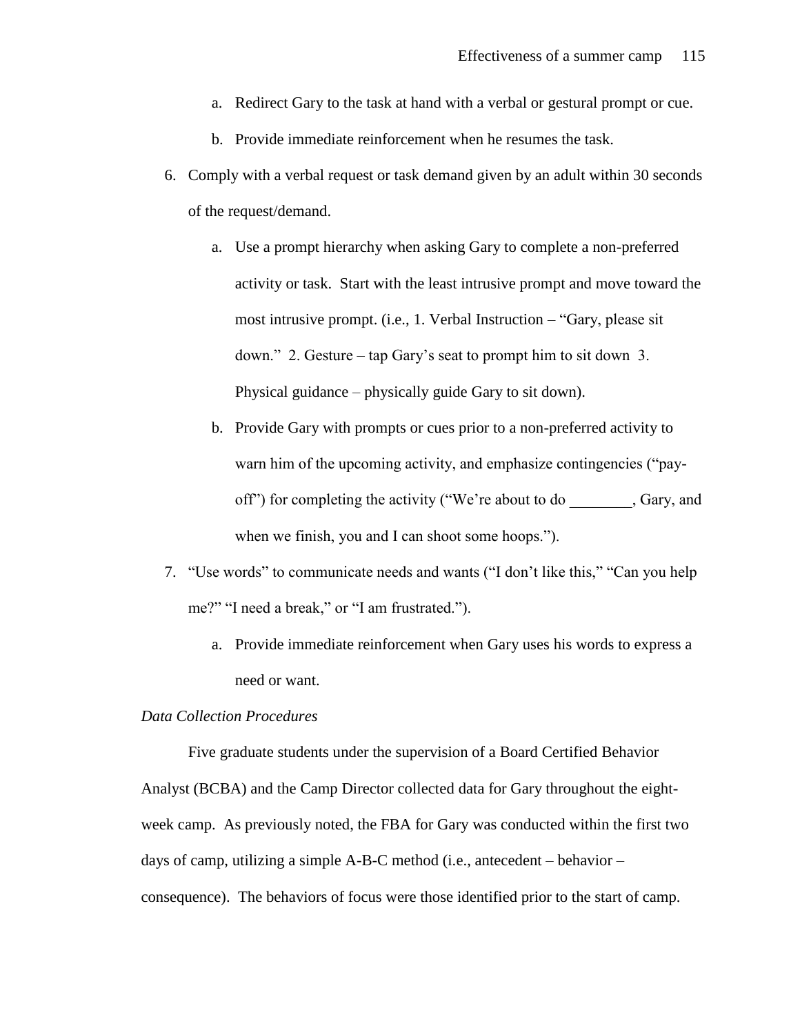- a. Redirect Gary to the task at hand with a verbal or gestural prompt or cue.
- b. Provide immediate reinforcement when he resumes the task.
- 6. Comply with a verbal request or task demand given by an adult within 30 seconds of the request/demand.
	- a. Use a prompt hierarchy when asking Gary to complete a non-preferred activity or task. Start with the least intrusive prompt and move toward the most intrusive prompt. (i.e., 1. Verbal Instruction – "Gary, please sit down." 2. Gesture – tap Gary's seat to prompt him to sit down 3. Physical guidance – physically guide Gary to sit down).
	- b. Provide Gary with prompts or cues prior to a non-preferred activity to warn him of the upcoming activity, and emphasize contingencies ("payoff") for completing the activity ("We're about to do , Gary, and when we finish, you and I can shoot some hoops.").
- 7. "Use words" to communicate needs and wants ("I don't like this," "Can you help me?" "I need a break," or "I am frustrated.").
	- a. Provide immediate reinforcement when Gary uses his words to express a need or want.

# *Data Collection Procedures*

Five graduate students under the supervision of a Board Certified Behavior Analyst (BCBA) and the Camp Director collected data for Gary throughout the eightweek camp. As previously noted, the FBA for Gary was conducted within the first two days of camp, utilizing a simple A-B-C method (i.e., antecedent – behavior – consequence). The behaviors of focus were those identified prior to the start of camp.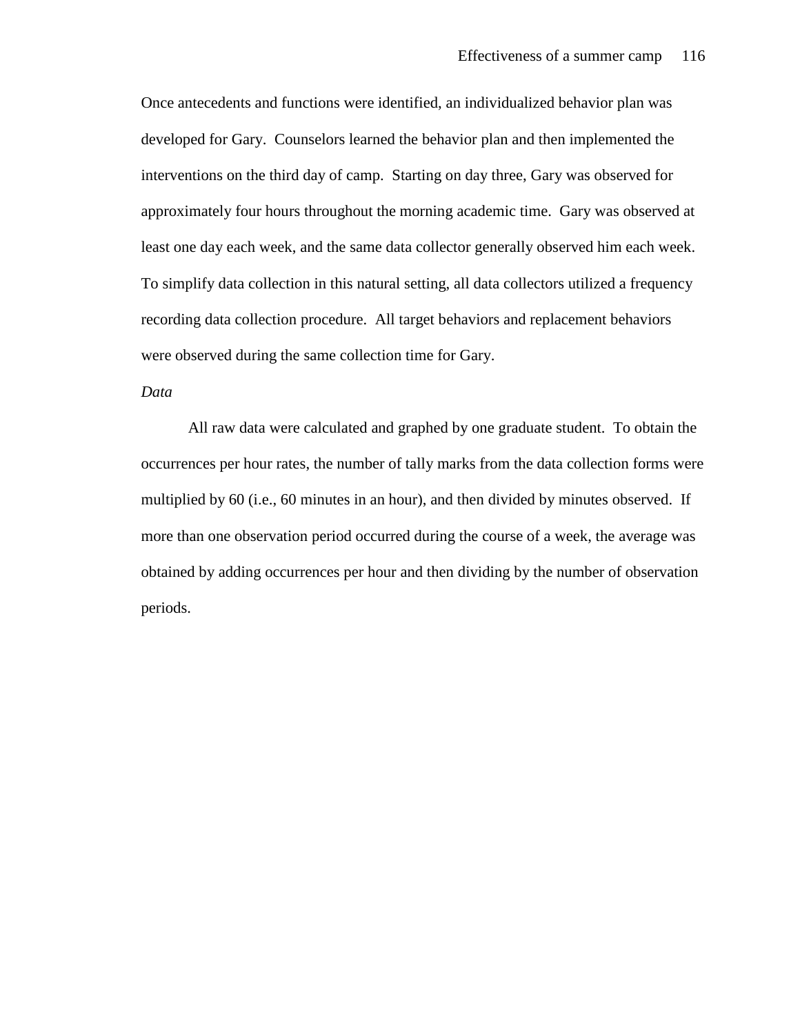Once antecedents and functions were identified, an individualized behavior plan was developed for Gary. Counselors learned the behavior plan and then implemented the interventions on the third day of camp. Starting on day three, Gary was observed for approximately four hours throughout the morning academic time. Gary was observed at least one day each week, and the same data collector generally observed him each week. To simplify data collection in this natural setting, all data collectors utilized a frequency recording data collection procedure. All target behaviors and replacement behaviors were observed during the same collection time for Gary.

# *Data*

All raw data were calculated and graphed by one graduate student. To obtain the occurrences per hour rates, the number of tally marks from the data collection forms were multiplied by 60 (i.e., 60 minutes in an hour), and then divided by minutes observed. If more than one observation period occurred during the course of a week, the average was obtained by adding occurrences per hour and then dividing by the number of observation periods.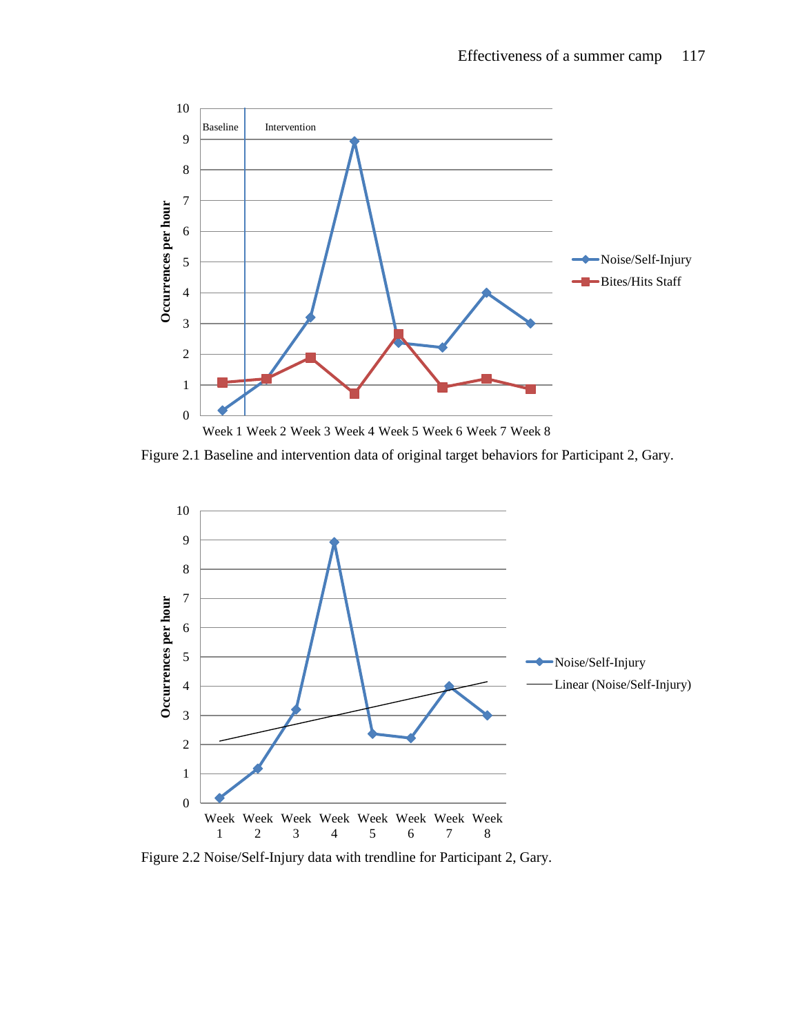

Figure 2.1 Baseline and intervention data of original target behaviors for Participant 2, Gary.



Figure 2.2 Noise/Self-Injury data with trendline for Participant 2, Gary.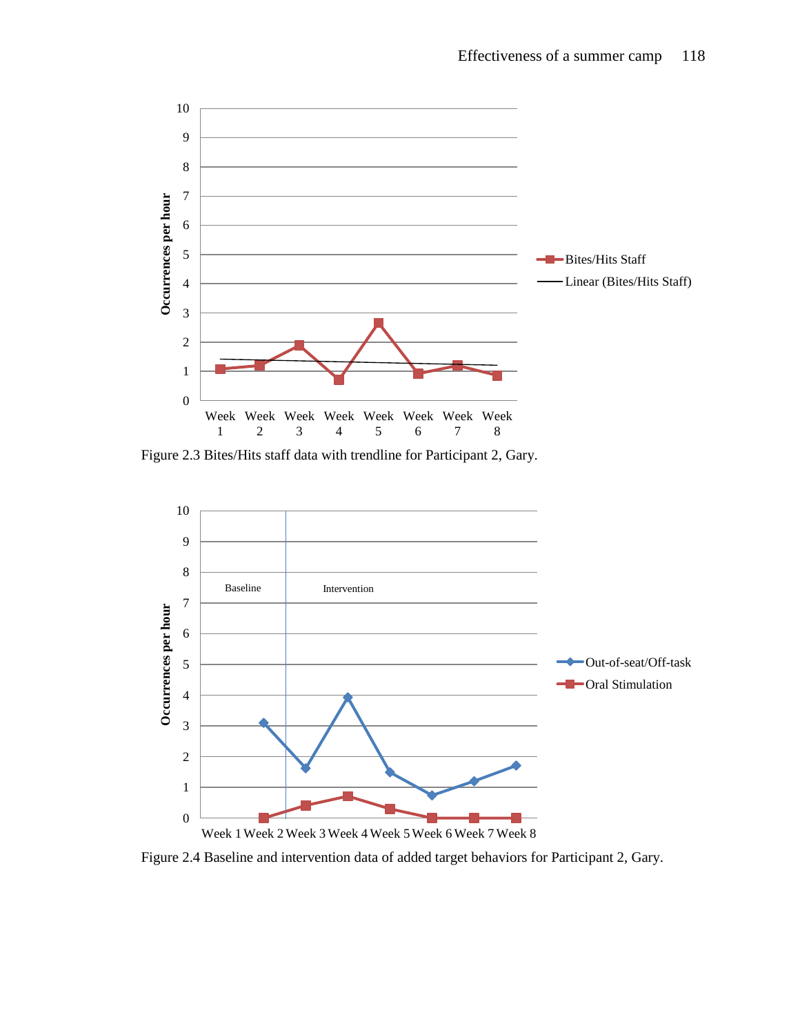

Figure 2.3 Bites/Hits staff data with trendline for Participant 2, Gary.



Figure 2.4 Baseline and intervention data of added target behaviors for Participant 2, Gary.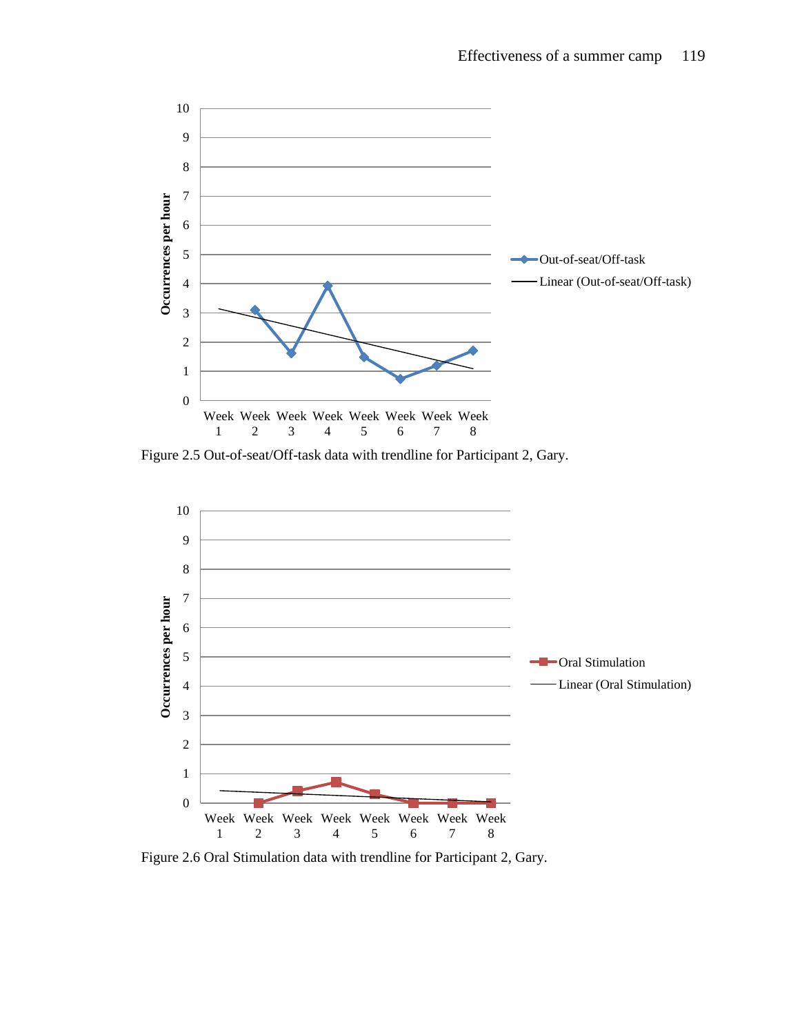

Figure 2.5 Out-of-seat/Off-task data with trendline for Participant 2, Gary.



Figure 2.6 Oral Stimulation data with trendline for Participant 2, Gary.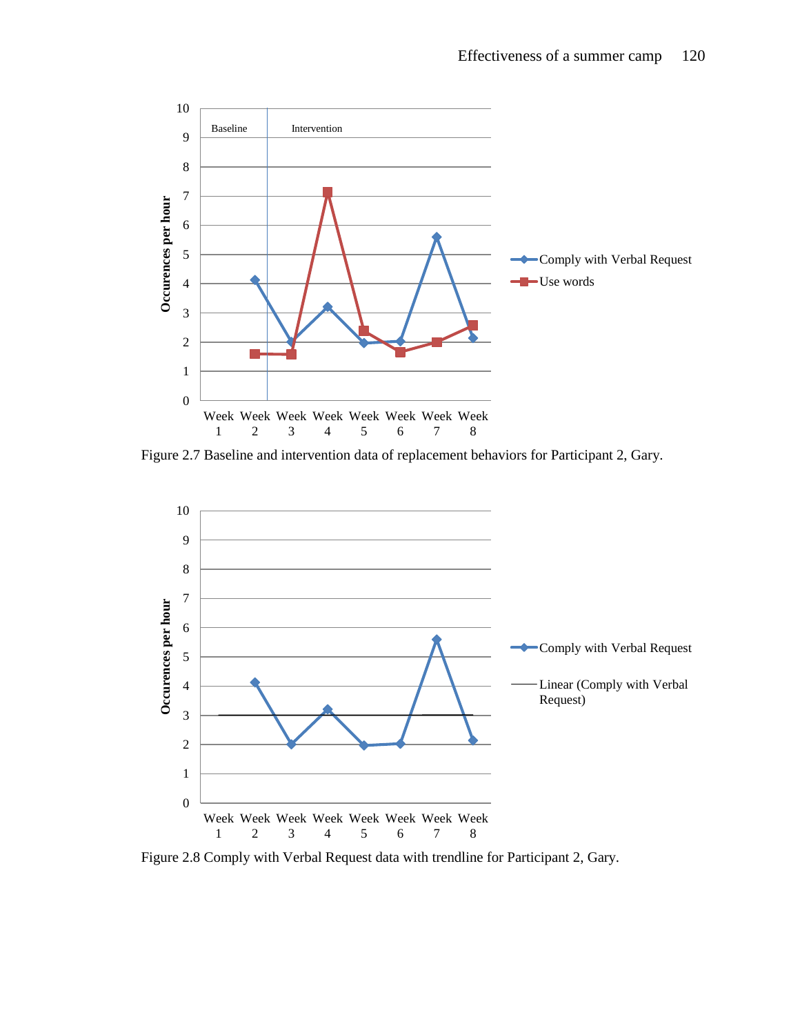

Figure 2.7 Baseline and intervention data of replacement behaviors for Participant 2, Gary.



Figure 2.8 Comply with Verbal Request data with trendline for Participant 2, Gary.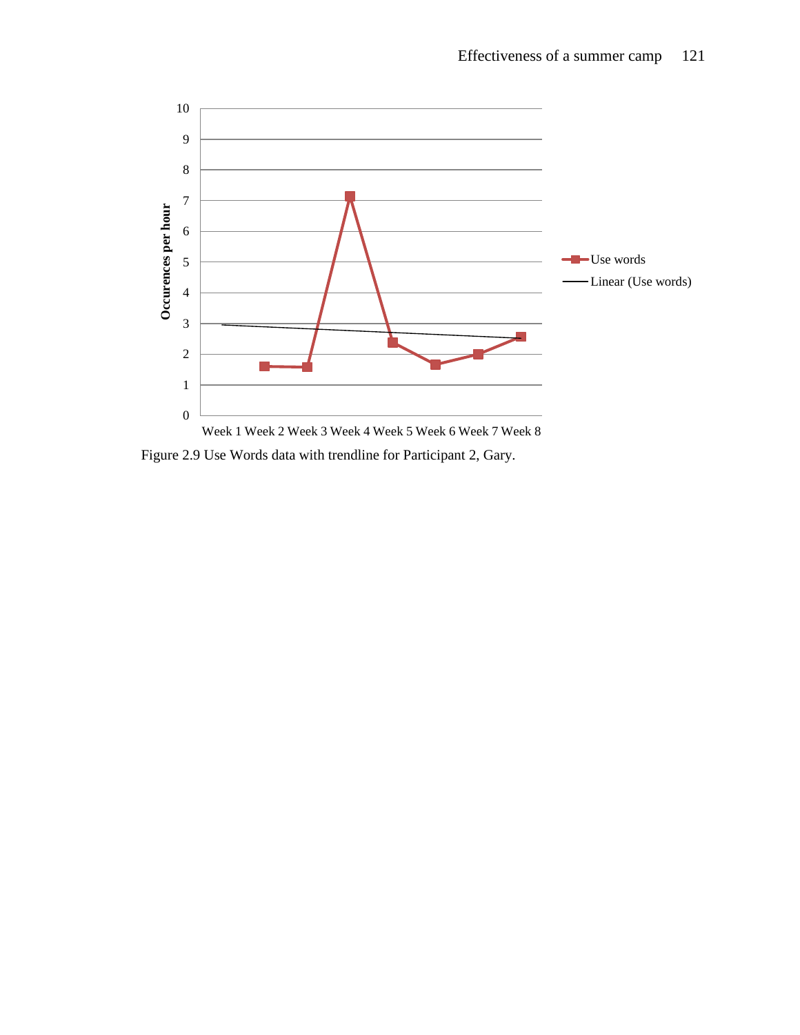

Figure 2.9 Use Words data with trendline for Participant 2, Gary.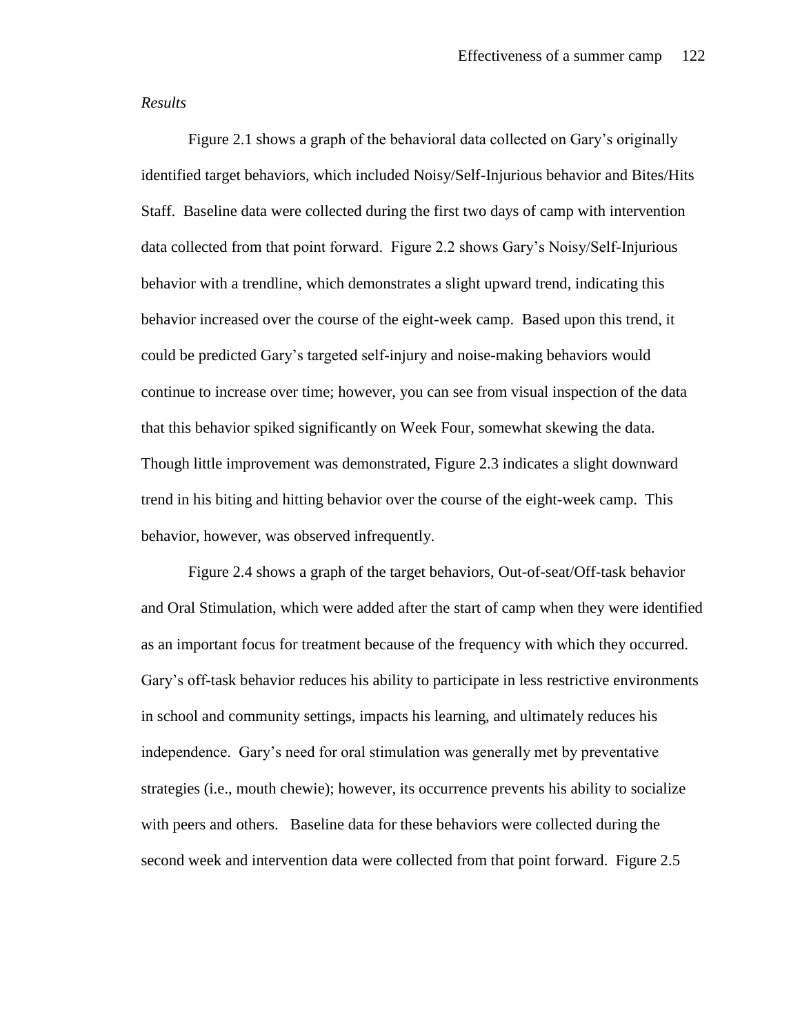## *Results*

Figure 2.1 shows a graph of the behavioral data collected on Gary's originally identified target behaviors, which included Noisy/Self-Injurious behavior and Bites/Hits Staff. Baseline data were collected during the first two days of camp with intervention data collected from that point forward. Figure 2.2 shows Gary's Noisy/Self-Injurious behavior with a trendline, which demonstrates a slight upward trend, indicating this behavior increased over the course of the eight-week camp. Based upon this trend, it could be predicted Gary's targeted self-injury and noise-making behaviors would continue to increase over time; however, you can see from visual inspection of the data that this behavior spiked significantly on Week Four, somewhat skewing the data. Though little improvement was demonstrated, Figure 2.3 indicates a slight downward trend in his biting and hitting behavior over the course of the eight-week camp. This behavior, however, was observed infrequently.

Figure 2.4 shows a graph of the target behaviors, Out-of-seat/Off-task behavior and Oral Stimulation, which were added after the start of camp when they were identified as an important focus for treatment because of the frequency with which they occurred. Gary's off-task behavior reduces his ability to participate in less restrictive environments in school and community settings, impacts his learning, and ultimately reduces his independence. Gary's need for oral stimulation was generally met by preventative strategies (i.e., mouth chewie); however, its occurrence prevents his ability to socialize with peers and others. Baseline data for these behaviors were collected during the second week and intervention data were collected from that point forward. Figure 2.5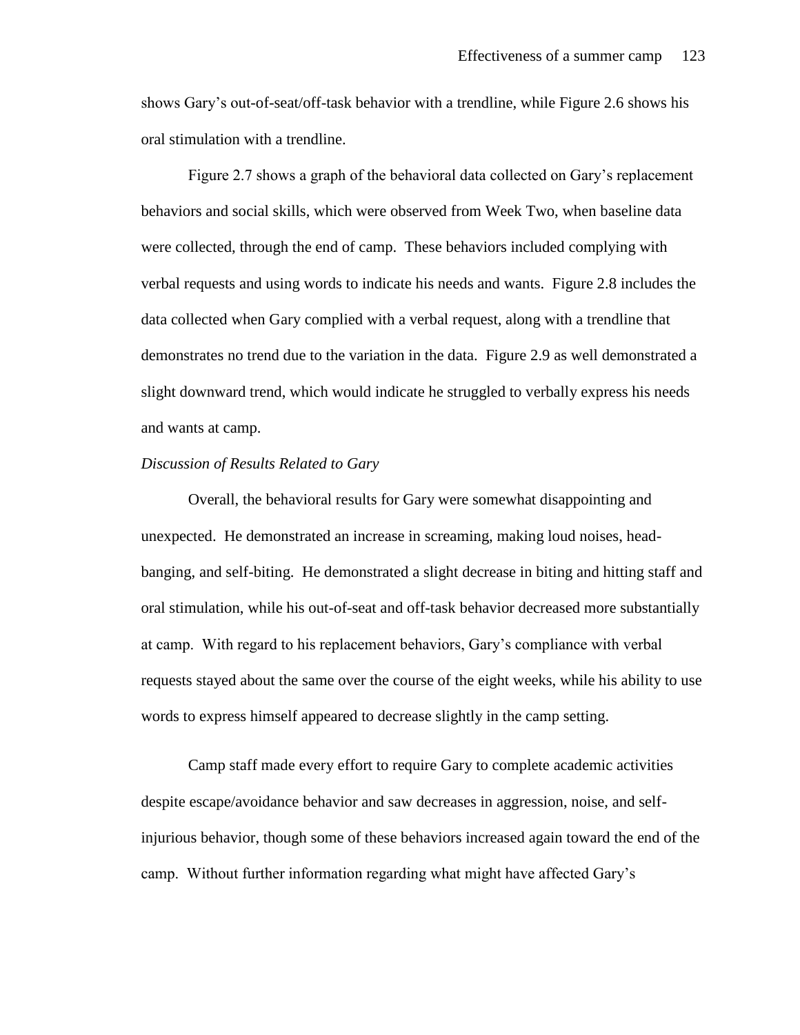shows Gary's out-of-seat/off-task behavior with a trendline, while Figure 2.6 shows his oral stimulation with a trendline.

Figure 2.7 shows a graph of the behavioral data collected on Gary's replacement behaviors and social skills, which were observed from Week Two, when baseline data were collected, through the end of camp. These behaviors included complying with verbal requests and using words to indicate his needs and wants. Figure 2.8 includes the data collected when Gary complied with a verbal request, along with a trendline that demonstrates no trend due to the variation in the data. Figure 2.9 as well demonstrated a slight downward trend, which would indicate he struggled to verbally express his needs and wants at camp.

# *Discussion of Results Related to Gary*

Overall, the behavioral results for Gary were somewhat disappointing and unexpected. He demonstrated an increase in screaming, making loud noises, headbanging, and self-biting. He demonstrated a slight decrease in biting and hitting staff and oral stimulation, while his out-of-seat and off-task behavior decreased more substantially at camp. With regard to his replacement behaviors, Gary's compliance with verbal requests stayed about the same over the course of the eight weeks, while his ability to use words to express himself appeared to decrease slightly in the camp setting.

Camp staff made every effort to require Gary to complete academic activities despite escape/avoidance behavior and saw decreases in aggression, noise, and selfinjurious behavior, though some of these behaviors increased again toward the end of the camp. Without further information regarding what might have affected Gary's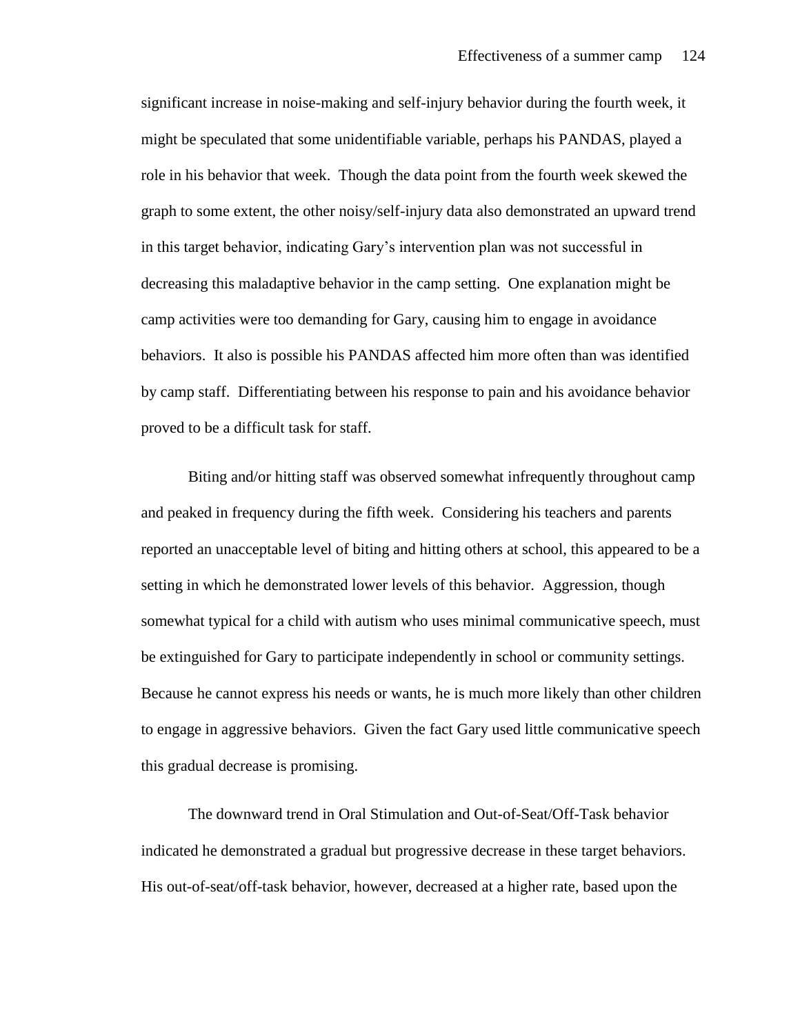significant increase in noise-making and self-injury behavior during the fourth week, it might be speculated that some unidentifiable variable, perhaps his PANDAS, played a role in his behavior that week. Though the data point from the fourth week skewed the graph to some extent, the other noisy/self-injury data also demonstrated an upward trend in this target behavior, indicating Gary's intervention plan was not successful in decreasing this maladaptive behavior in the camp setting. One explanation might be camp activities were too demanding for Gary, causing him to engage in avoidance behaviors. It also is possible his PANDAS affected him more often than was identified by camp staff. Differentiating between his response to pain and his avoidance behavior proved to be a difficult task for staff.

Biting and/or hitting staff was observed somewhat infrequently throughout camp and peaked in frequency during the fifth week. Considering his teachers and parents reported an unacceptable level of biting and hitting others at school, this appeared to be a setting in which he demonstrated lower levels of this behavior. Aggression, though somewhat typical for a child with autism who uses minimal communicative speech, must be extinguished for Gary to participate independently in school or community settings. Because he cannot express his needs or wants, he is much more likely than other children to engage in aggressive behaviors. Given the fact Gary used little communicative speech this gradual decrease is promising.

The downward trend in Oral Stimulation and Out-of-Seat/Off-Task behavior indicated he demonstrated a gradual but progressive decrease in these target behaviors. His out-of-seat/off-task behavior, however, decreased at a higher rate, based upon the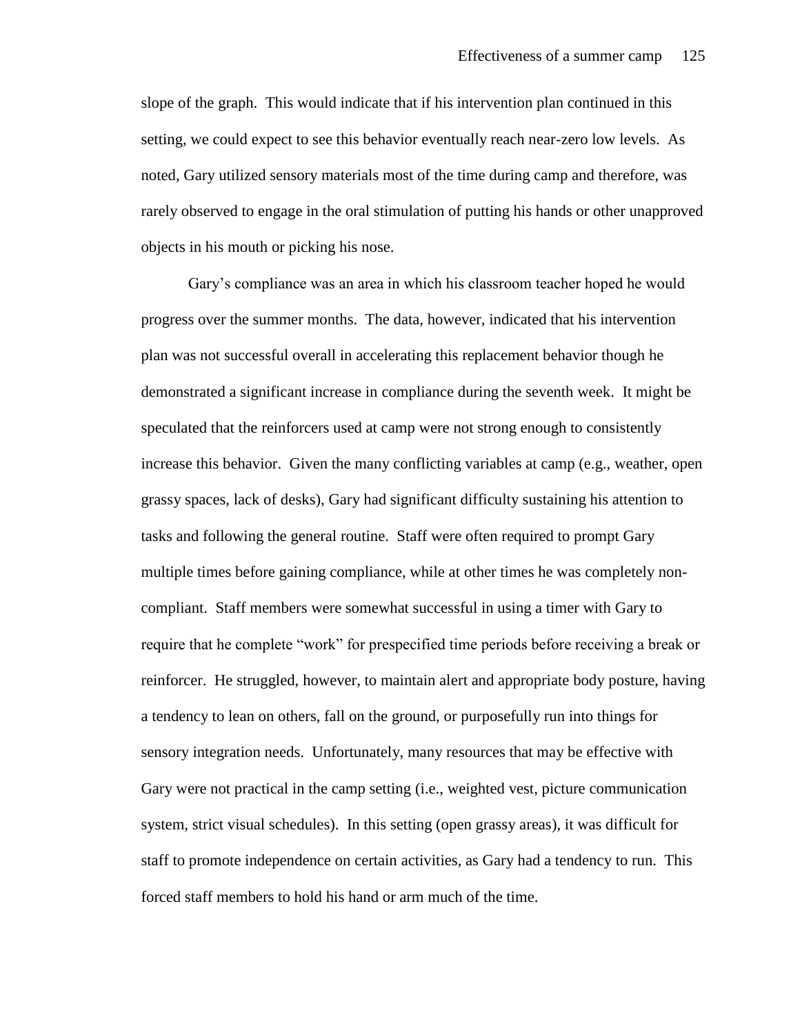slope of the graph. This would indicate that if his intervention plan continued in this setting, we could expect to see this behavior eventually reach near-zero low levels. As noted, Gary utilized sensory materials most of the time during camp and therefore, was rarely observed to engage in the oral stimulation of putting his hands or other unapproved objects in his mouth or picking his nose.

Gary's compliance was an area in which his classroom teacher hoped he would progress over the summer months. The data, however, indicated that his intervention plan was not successful overall in accelerating this replacement behavior though he demonstrated a significant increase in compliance during the seventh week. It might be speculated that the reinforcers used at camp were not strong enough to consistently increase this behavior. Given the many conflicting variables at camp (e.g., weather, open grassy spaces, lack of desks), Gary had significant difficulty sustaining his attention to tasks and following the general routine. Staff were often required to prompt Gary multiple times before gaining compliance, while at other times he was completely noncompliant. Staff members were somewhat successful in using a timer with Gary to require that he complete "work" for prespecified time periods before receiving a break or reinforcer. He struggled, however, to maintain alert and appropriate body posture, having a tendency to lean on others, fall on the ground, or purposefully run into things for sensory integration needs. Unfortunately, many resources that may be effective with Gary were not practical in the camp setting (i.e., weighted vest, picture communication system, strict visual schedules). In this setting (open grassy areas), it was difficult for staff to promote independence on certain activities, as Gary had a tendency to run. This forced staff members to hold his hand or arm much of the time.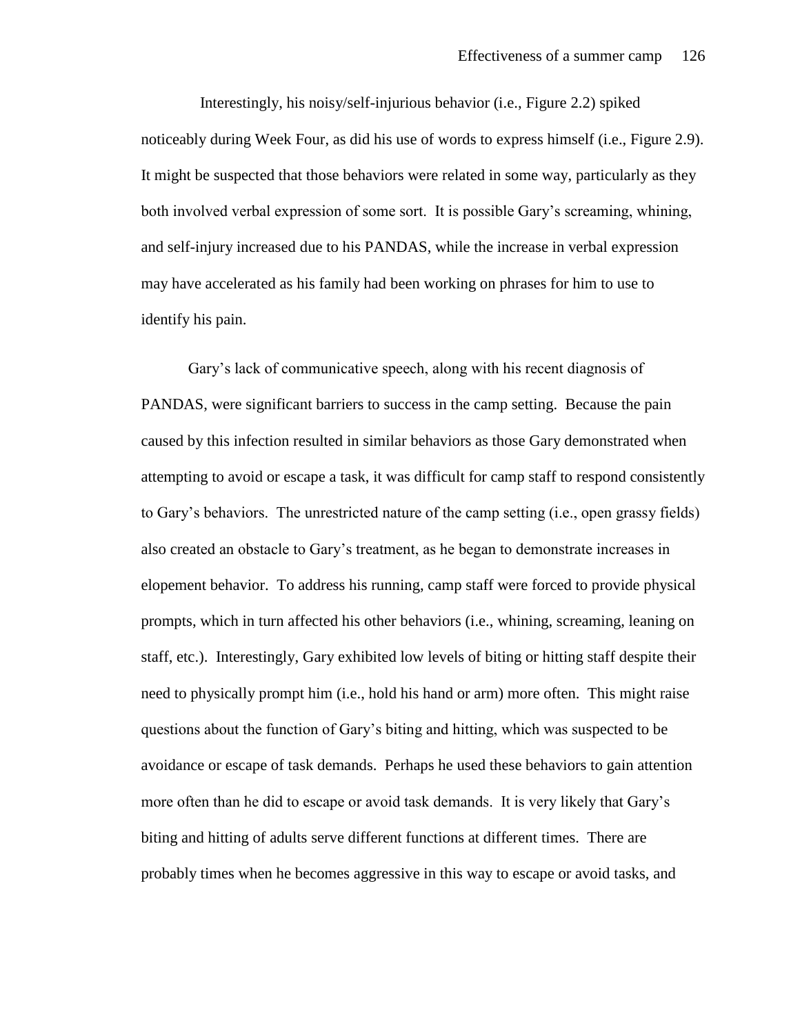Interestingly, his noisy/self-injurious behavior (i.e., Figure 2.2) spiked noticeably during Week Four, as did his use of words to express himself (i.e., Figure 2.9). It might be suspected that those behaviors were related in some way, particularly as they both involved verbal expression of some sort. It is possible Gary's screaming, whining, and self-injury increased due to his PANDAS, while the increase in verbal expression may have accelerated as his family had been working on phrases for him to use to identify his pain.

Gary's lack of communicative speech, along with his recent diagnosis of PANDAS, were significant barriers to success in the camp setting. Because the pain caused by this infection resulted in similar behaviors as those Gary demonstrated when attempting to avoid or escape a task, it was difficult for camp staff to respond consistently to Gary's behaviors. The unrestricted nature of the camp setting (i.e., open grassy fields) also created an obstacle to Gary's treatment, as he began to demonstrate increases in elopement behavior. To address his running, camp staff were forced to provide physical prompts, which in turn affected his other behaviors (i.e., whining, screaming, leaning on staff, etc.). Interestingly, Gary exhibited low levels of biting or hitting staff despite their need to physically prompt him (i.e., hold his hand or arm) more often. This might raise questions about the function of Gary's biting and hitting, which was suspected to be avoidance or escape of task demands. Perhaps he used these behaviors to gain attention more often than he did to escape or avoid task demands. It is very likely that Gary's biting and hitting of adults serve different functions at different times. There are probably times when he becomes aggressive in this way to escape or avoid tasks, and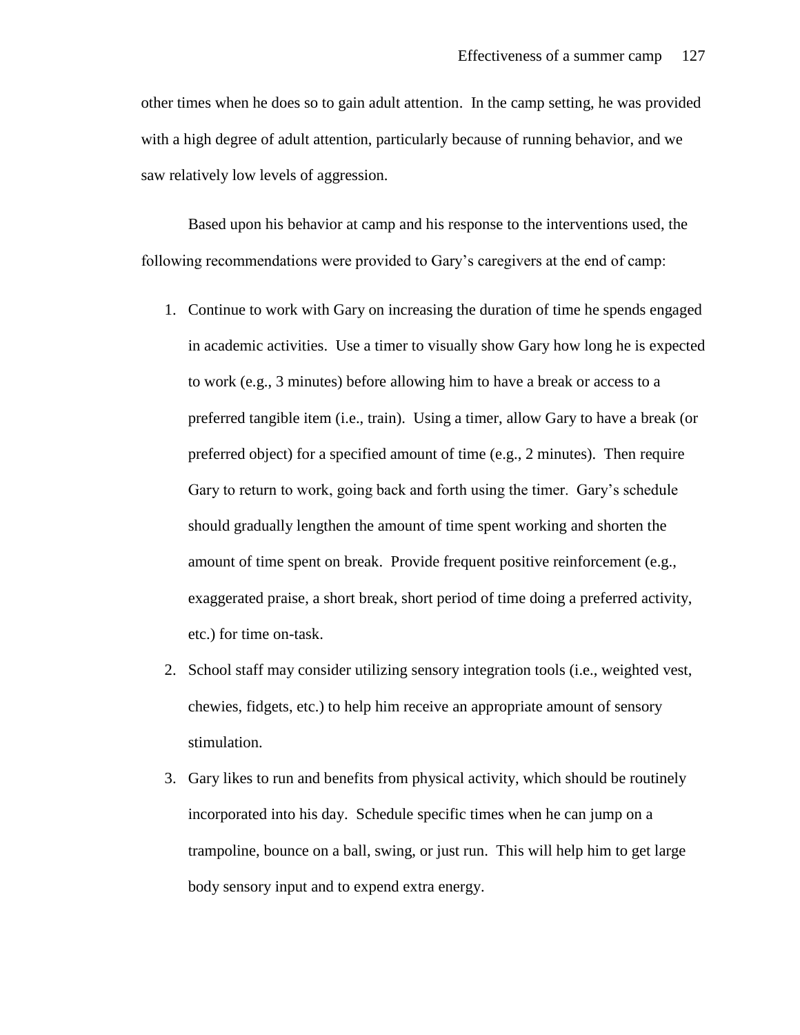other times when he does so to gain adult attention. In the camp setting, he was provided with a high degree of adult attention, particularly because of running behavior, and we saw relatively low levels of aggression.

Based upon his behavior at camp and his response to the interventions used, the following recommendations were provided to Gary's caregivers at the end of camp:

- 1. Continue to work with Gary on increasing the duration of time he spends engaged in academic activities. Use a timer to visually show Gary how long he is expected to work (e.g., 3 minutes) before allowing him to have a break or access to a preferred tangible item (i.e., train). Using a timer, allow Gary to have a break (or preferred object) for a specified amount of time (e.g., 2 minutes). Then require Gary to return to work, going back and forth using the timer. Gary's schedule should gradually lengthen the amount of time spent working and shorten the amount of time spent on break. Provide frequent positive reinforcement (e.g., exaggerated praise, a short break, short period of time doing a preferred activity, etc.) for time on-task.
- 2. School staff may consider utilizing sensory integration tools (i.e., weighted vest, chewies, fidgets, etc.) to help him receive an appropriate amount of sensory stimulation.
- 3. Gary likes to run and benefits from physical activity, which should be routinely incorporated into his day. Schedule specific times when he can jump on a trampoline, bounce on a ball, swing, or just run. This will help him to get large body sensory input and to expend extra energy.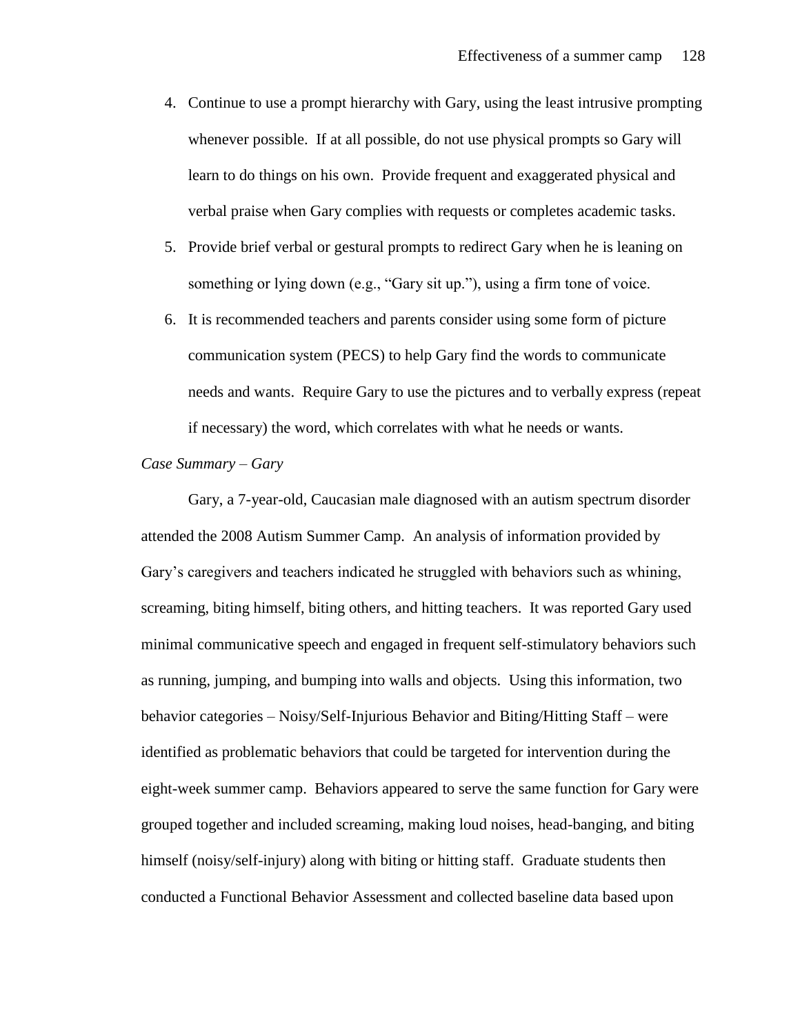- 4. Continue to use a prompt hierarchy with Gary, using the least intrusive prompting whenever possible. If at all possible, do not use physical prompts so Gary will learn to do things on his own. Provide frequent and exaggerated physical and verbal praise when Gary complies with requests or completes academic tasks.
- 5. Provide brief verbal or gestural prompts to redirect Gary when he is leaning on something or lying down (e.g., "Gary sit up."), using a firm tone of voice.
- 6. It is recommended teachers and parents consider using some form of picture communication system (PECS) to help Gary find the words to communicate needs and wants. Require Gary to use the pictures and to verbally express (repeat if necessary) the word, which correlates with what he needs or wants.

### *Case Summary – Gary*

Gary, a 7-year-old, Caucasian male diagnosed with an autism spectrum disorder attended the 2008 Autism Summer Camp. An analysis of information provided by Gary's caregivers and teachers indicated he struggled with behaviors such as whining, screaming, biting himself, biting others, and hitting teachers. It was reported Gary used minimal communicative speech and engaged in frequent self-stimulatory behaviors such as running, jumping, and bumping into walls and objects. Using this information, two behavior categories – Noisy/Self-Injurious Behavior and Biting/Hitting Staff – were identified as problematic behaviors that could be targeted for intervention during the eight-week summer camp. Behaviors appeared to serve the same function for Gary were grouped together and included screaming, making loud noises, head-banging, and biting himself (noisy/self-injury) along with biting or hitting staff. Graduate students then conducted a Functional Behavior Assessment and collected baseline data based upon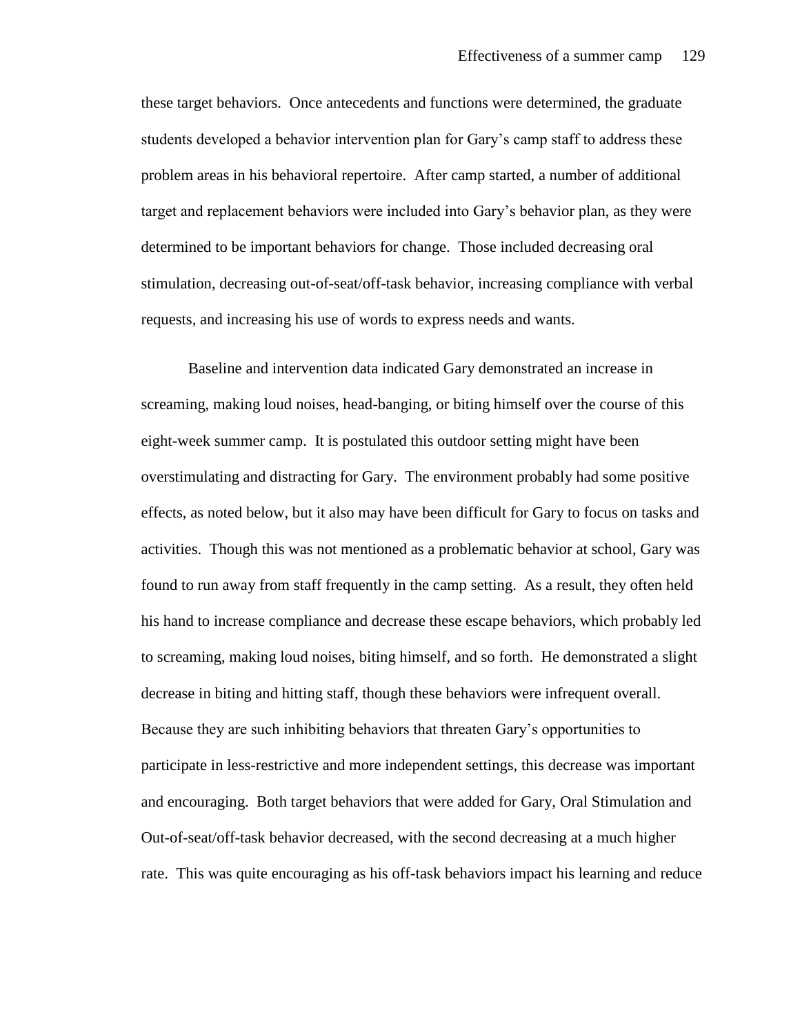these target behaviors. Once antecedents and functions were determined, the graduate students developed a behavior intervention plan for Gary's camp staff to address these problem areas in his behavioral repertoire. After camp started, a number of additional target and replacement behaviors were included into Gary's behavior plan, as they were determined to be important behaviors for change. Those included decreasing oral stimulation, decreasing out-of-seat/off-task behavior, increasing compliance with verbal requests, and increasing his use of words to express needs and wants.

Baseline and intervention data indicated Gary demonstrated an increase in screaming, making loud noises, head-banging, or biting himself over the course of this eight-week summer camp. It is postulated this outdoor setting might have been overstimulating and distracting for Gary. The environment probably had some positive effects, as noted below, but it also may have been difficult for Gary to focus on tasks and activities. Though this was not mentioned as a problematic behavior at school, Gary was found to run away from staff frequently in the camp setting. As a result, they often held his hand to increase compliance and decrease these escape behaviors, which probably led to screaming, making loud noises, biting himself, and so forth. He demonstrated a slight decrease in biting and hitting staff, though these behaviors were infrequent overall. Because they are such inhibiting behaviors that threaten Gary's opportunities to participate in less-restrictive and more independent settings, this decrease was important and encouraging. Both target behaviors that were added for Gary, Oral Stimulation and Out-of-seat/off-task behavior decreased, with the second decreasing at a much higher rate. This was quite encouraging as his off-task behaviors impact his learning and reduce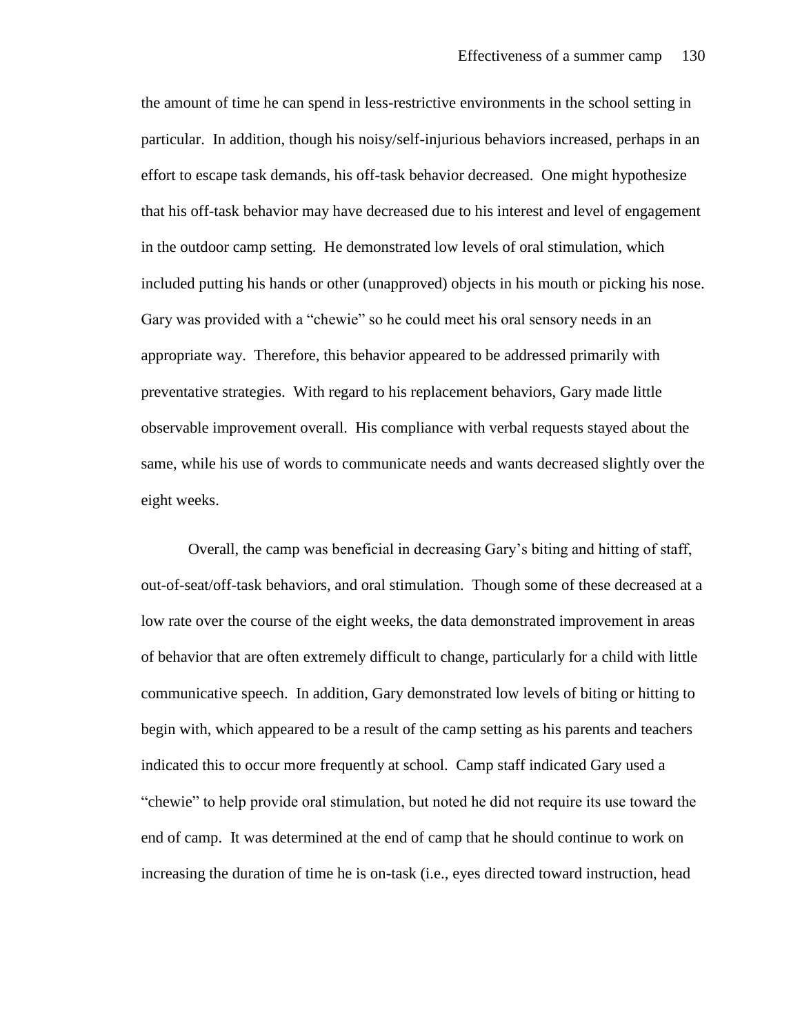the amount of time he can spend in less-restrictive environments in the school setting in particular. In addition, though his noisy/self-injurious behaviors increased, perhaps in an effort to escape task demands, his off-task behavior decreased. One might hypothesize that his off-task behavior may have decreased due to his interest and level of engagement in the outdoor camp setting. He demonstrated low levels of oral stimulation, which included putting his hands or other (unapproved) objects in his mouth or picking his nose. Gary was provided with a "chewie" so he could meet his oral sensory needs in an appropriate way. Therefore, this behavior appeared to be addressed primarily with preventative strategies. With regard to his replacement behaviors, Gary made little observable improvement overall. His compliance with verbal requests stayed about the same, while his use of words to communicate needs and wants decreased slightly over the eight weeks.

Overall, the camp was beneficial in decreasing Gary's biting and hitting of staff, out-of-seat/off-task behaviors, and oral stimulation. Though some of these decreased at a low rate over the course of the eight weeks, the data demonstrated improvement in areas of behavior that are often extremely difficult to change, particularly for a child with little communicative speech. In addition, Gary demonstrated low levels of biting or hitting to begin with, which appeared to be a result of the camp setting as his parents and teachers indicated this to occur more frequently at school. Camp staff indicated Gary used a "chewie" to help provide oral stimulation, but noted he did not require its use toward the end of camp. It was determined at the end of camp that he should continue to work on increasing the duration of time he is on-task (i.e., eyes directed toward instruction, head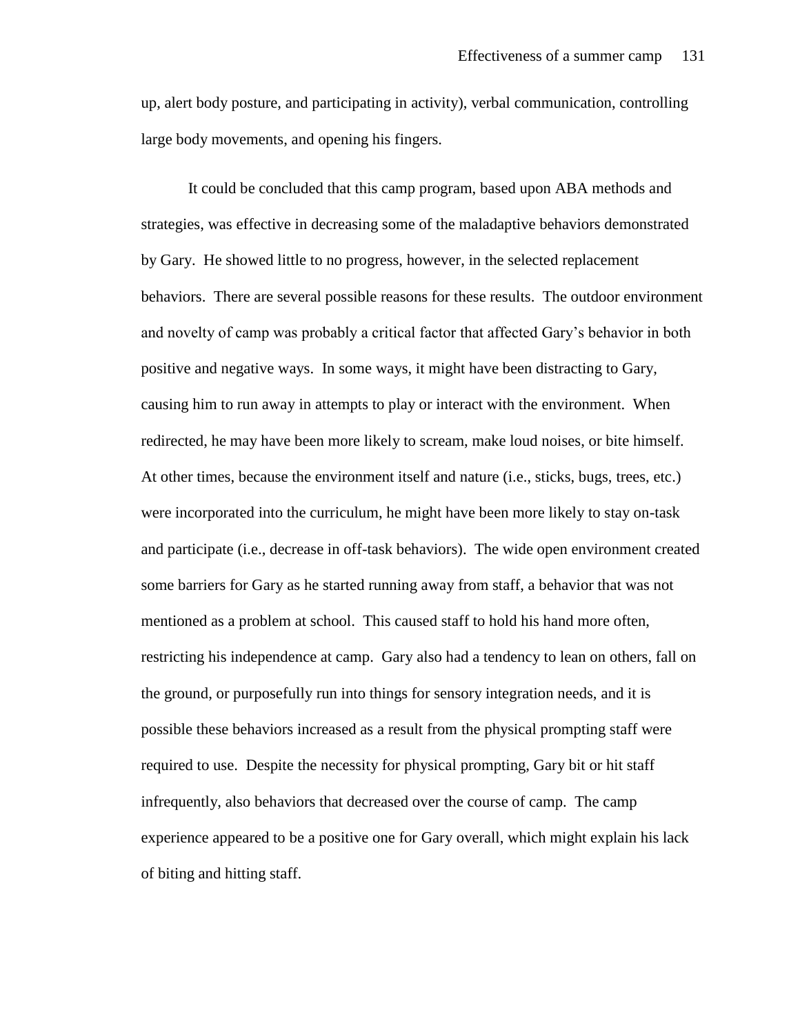up, alert body posture, and participating in activity), verbal communication, controlling large body movements, and opening his fingers.

It could be concluded that this camp program, based upon ABA methods and strategies, was effective in decreasing some of the maladaptive behaviors demonstrated by Gary. He showed little to no progress, however, in the selected replacement behaviors. There are several possible reasons for these results. The outdoor environment and novelty of camp was probably a critical factor that affected Gary's behavior in both positive and negative ways. In some ways, it might have been distracting to Gary, causing him to run away in attempts to play or interact with the environment. When redirected, he may have been more likely to scream, make loud noises, or bite himself. At other times, because the environment itself and nature (i.e., sticks, bugs, trees, etc.) were incorporated into the curriculum, he might have been more likely to stay on-task and participate (i.e., decrease in off-task behaviors). The wide open environment created some barriers for Gary as he started running away from staff, a behavior that was not mentioned as a problem at school. This caused staff to hold his hand more often, restricting his independence at camp. Gary also had a tendency to lean on others, fall on the ground, or purposefully run into things for sensory integration needs, and it is possible these behaviors increased as a result from the physical prompting staff were required to use. Despite the necessity for physical prompting, Gary bit or hit staff infrequently, also behaviors that decreased over the course of camp. The camp experience appeared to be a positive one for Gary overall, which might explain his lack of biting and hitting staff.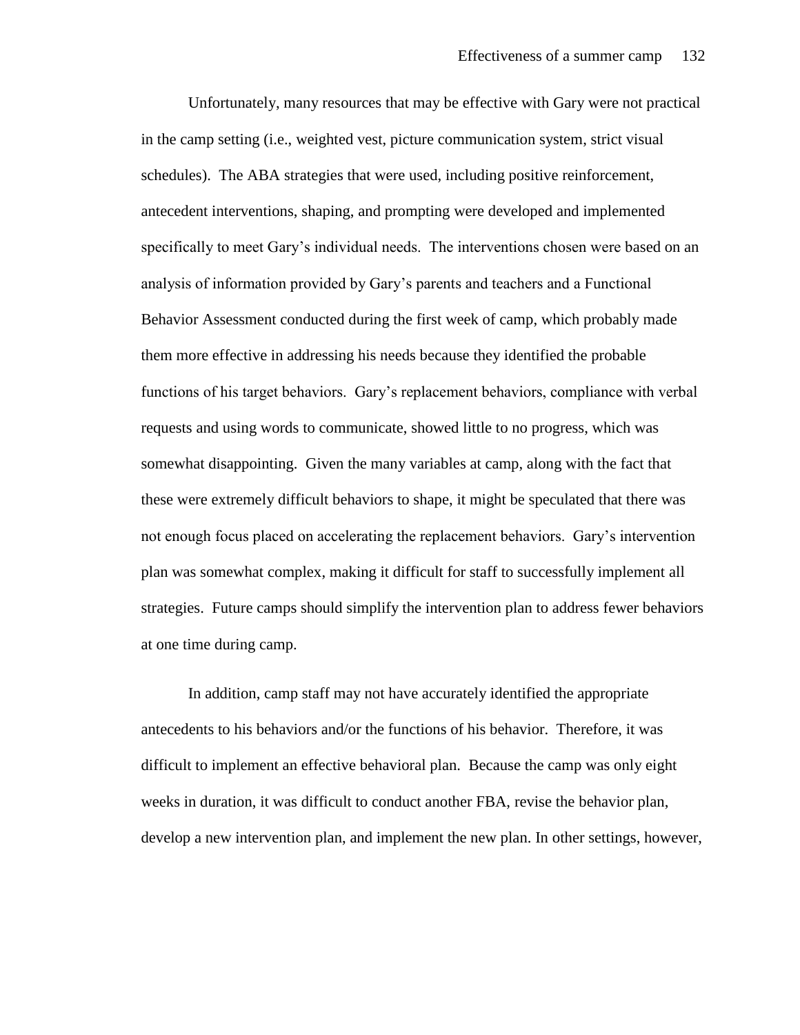Unfortunately, many resources that may be effective with Gary were not practical in the camp setting (i.e., weighted vest, picture communication system, strict visual schedules). The ABA strategies that were used, including positive reinforcement, antecedent interventions, shaping, and prompting were developed and implemented specifically to meet Gary's individual needs. The interventions chosen were based on an analysis of information provided by Gary's parents and teachers and a Functional Behavior Assessment conducted during the first week of camp, which probably made them more effective in addressing his needs because they identified the probable functions of his target behaviors. Gary's replacement behaviors, compliance with verbal requests and using words to communicate, showed little to no progress, which was somewhat disappointing. Given the many variables at camp, along with the fact that these were extremely difficult behaviors to shape, it might be speculated that there was not enough focus placed on accelerating the replacement behaviors. Gary's intervention plan was somewhat complex, making it difficult for staff to successfully implement all strategies. Future camps should simplify the intervention plan to address fewer behaviors at one time during camp.

In addition, camp staff may not have accurately identified the appropriate antecedents to his behaviors and/or the functions of his behavior. Therefore, it was difficult to implement an effective behavioral plan. Because the camp was only eight weeks in duration, it was difficult to conduct another FBA, revise the behavior plan, develop a new intervention plan, and implement the new plan. In other settings, however,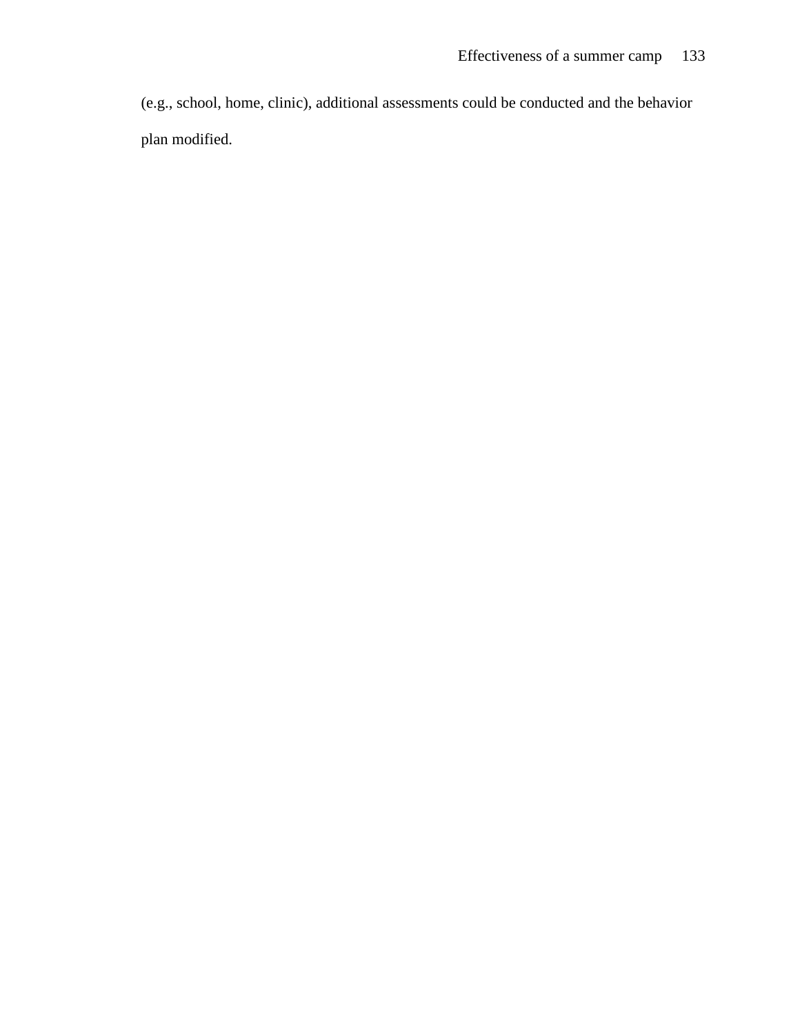(e.g., school, home, clinic), additional assessments could be conducted and the behavior plan modified.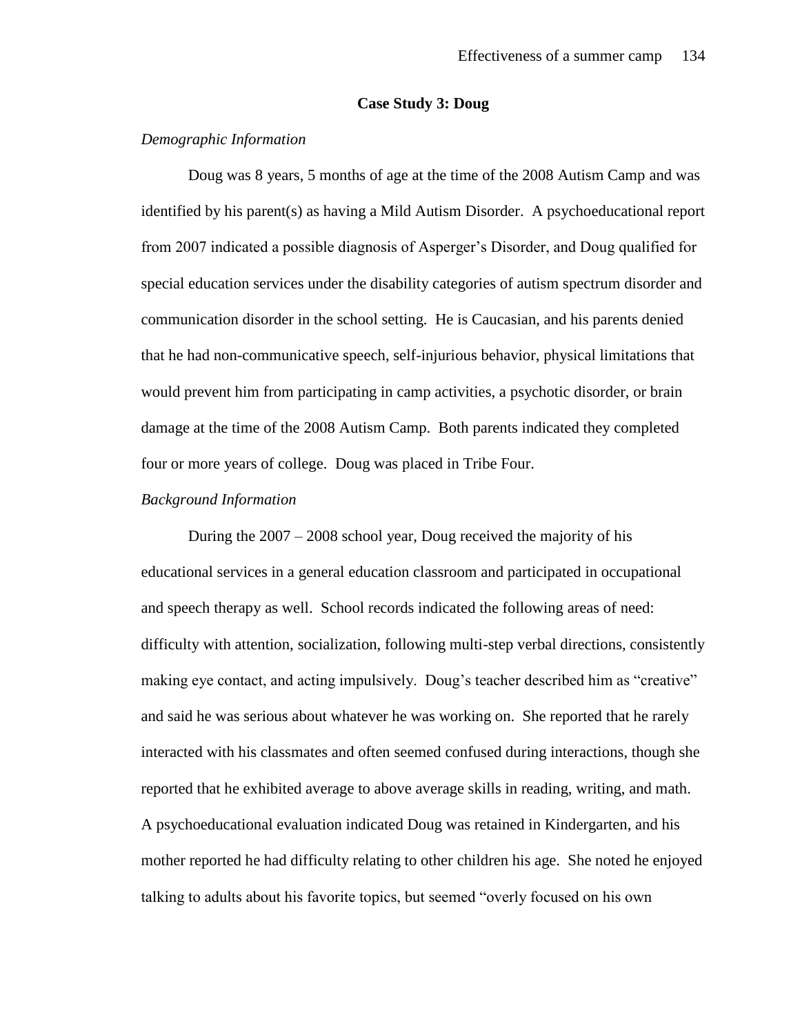#### **Case Study 3: Doug**

### *Demographic Information*

Doug was 8 years, 5 months of age at the time of the 2008 Autism Camp and was identified by his parent(s) as having a Mild Autism Disorder. A psychoeducational report from 2007 indicated a possible diagnosis of Asperger's Disorder, and Doug qualified for special education services under the disability categories of autism spectrum disorder and communication disorder in the school setting. He is Caucasian, and his parents denied that he had non-communicative speech, self-injurious behavior, physical limitations that would prevent him from participating in camp activities, a psychotic disorder, or brain damage at the time of the 2008 Autism Camp. Both parents indicated they completed four or more years of college. Doug was placed in Tribe Four.

# *Background Information*

During the 2007 – 2008 school year, Doug received the majority of his educational services in a general education classroom and participated in occupational and speech therapy as well. School records indicated the following areas of need: difficulty with attention, socialization, following multi-step verbal directions, consistently making eye contact, and acting impulsively. Doug's teacher described him as "creative" and said he was serious about whatever he was working on. She reported that he rarely interacted with his classmates and often seemed confused during interactions, though she reported that he exhibited average to above average skills in reading, writing, and math. A psychoeducational evaluation indicated Doug was retained in Kindergarten, and his mother reported he had difficulty relating to other children his age. She noted he enjoyed talking to adults about his favorite topics, but seemed "overly focused on his own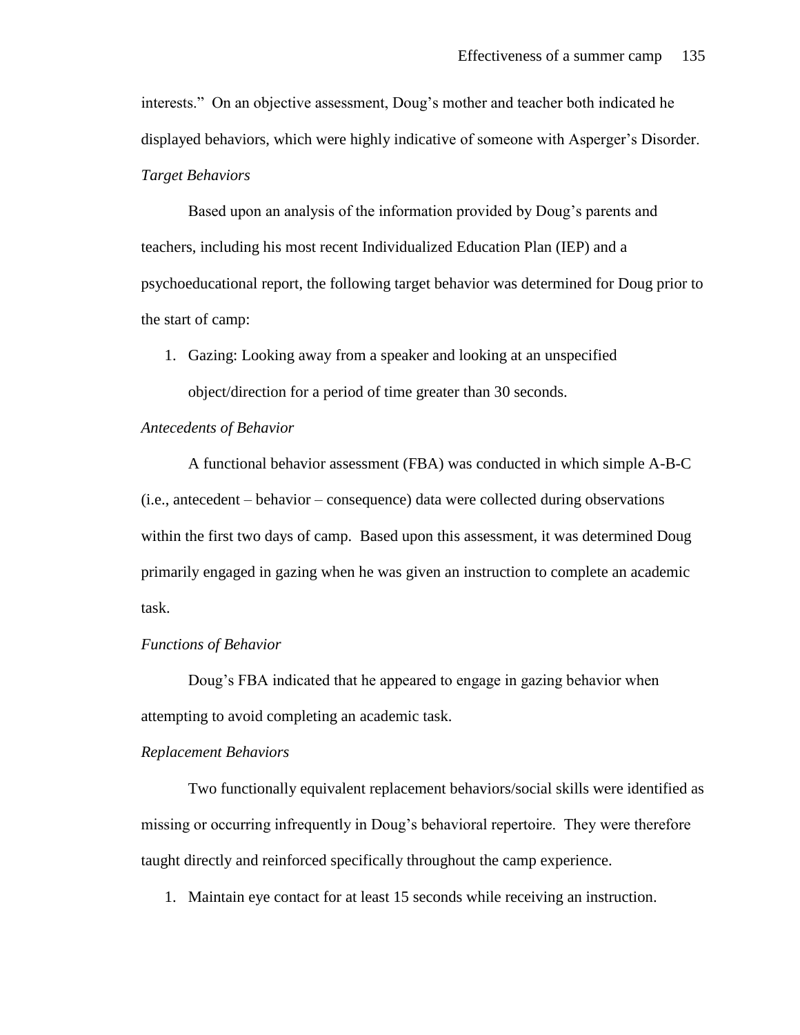interests." On an objective assessment, Doug's mother and teacher both indicated he displayed behaviors, which were highly indicative of someone with Asperger's Disorder. *Target Behaviors*

Based upon an analysis of the information provided by Doug's parents and teachers, including his most recent Individualized Education Plan (IEP) and a psychoeducational report, the following target behavior was determined for Doug prior to the start of camp:

1. Gazing: Looking away from a speaker and looking at an unspecified

object/direction for a period of time greater than 30 seconds.

# *Antecedents of Behavior*

A functional behavior assessment (FBA) was conducted in which simple A-B-C (i.e., antecedent – behavior – consequence) data were collected during observations within the first two days of camp. Based upon this assessment, it was determined Doug primarily engaged in gazing when he was given an instruction to complete an academic task.

# *Functions of Behavior*

Doug's FBA indicated that he appeared to engage in gazing behavior when attempting to avoid completing an academic task.

#### *Replacement Behaviors*

Two functionally equivalent replacement behaviors/social skills were identified as missing or occurring infrequently in Doug's behavioral repertoire. They were therefore taught directly and reinforced specifically throughout the camp experience.

1. Maintain eye contact for at least 15 seconds while receiving an instruction.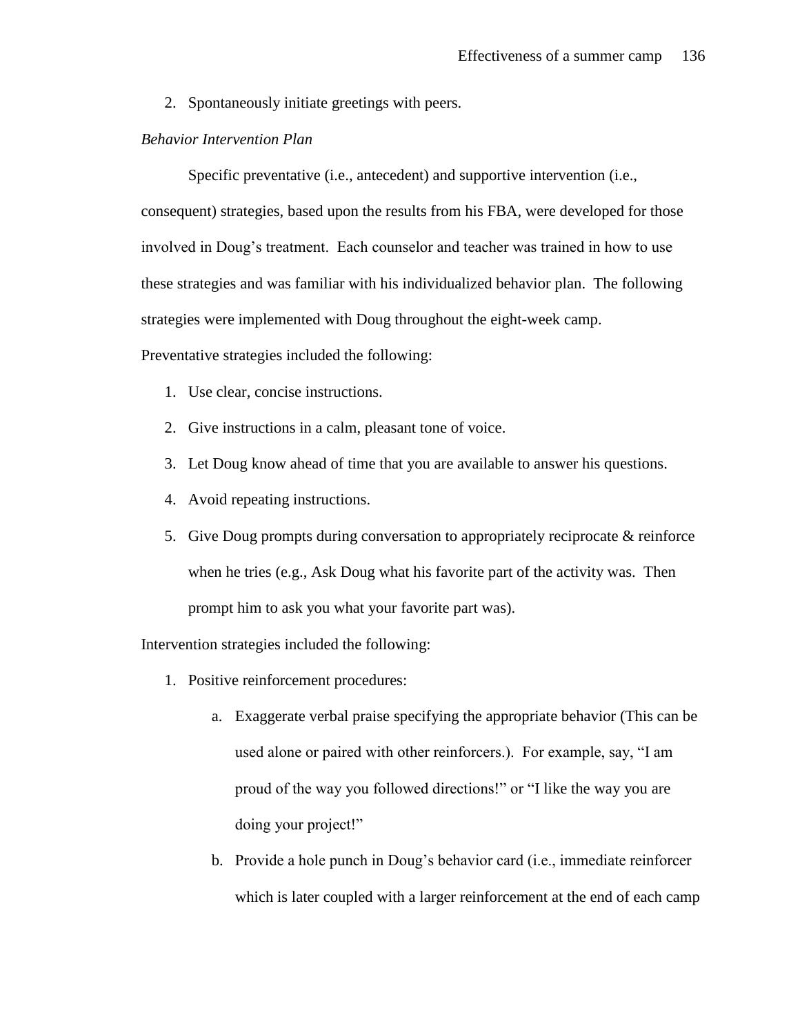2. Spontaneously initiate greetings with peers.

# *Behavior Intervention Plan*

Specific preventative (i.e., antecedent) and supportive intervention (i.e., consequent) strategies, based upon the results from his FBA, were developed for those involved in Doug's treatment. Each counselor and teacher was trained in how to use these strategies and was familiar with his individualized behavior plan. The following strategies were implemented with Doug throughout the eight-week camp.

Preventative strategies included the following:

- 1. Use clear, concise instructions.
- 2. Give instructions in a calm, pleasant tone of voice.
- 3. Let Doug know ahead of time that you are available to answer his questions.
- 4. Avoid repeating instructions.
- 5. Give Doug prompts during conversation to appropriately reciprocate & reinforce when he tries (e.g., Ask Doug what his favorite part of the activity was. Then prompt him to ask you what your favorite part was).

Intervention strategies included the following:

- 1. Positive reinforcement procedures:
	- a. Exaggerate verbal praise specifying the appropriate behavior (This can be used alone or paired with other reinforcers.). For example, say, "I am proud of the way you followed directions!" or "I like the way you are doing your project!"
	- b. Provide a hole punch in Doug's behavior card (i.e., immediate reinforcer which is later coupled with a larger reinforcement at the end of each camp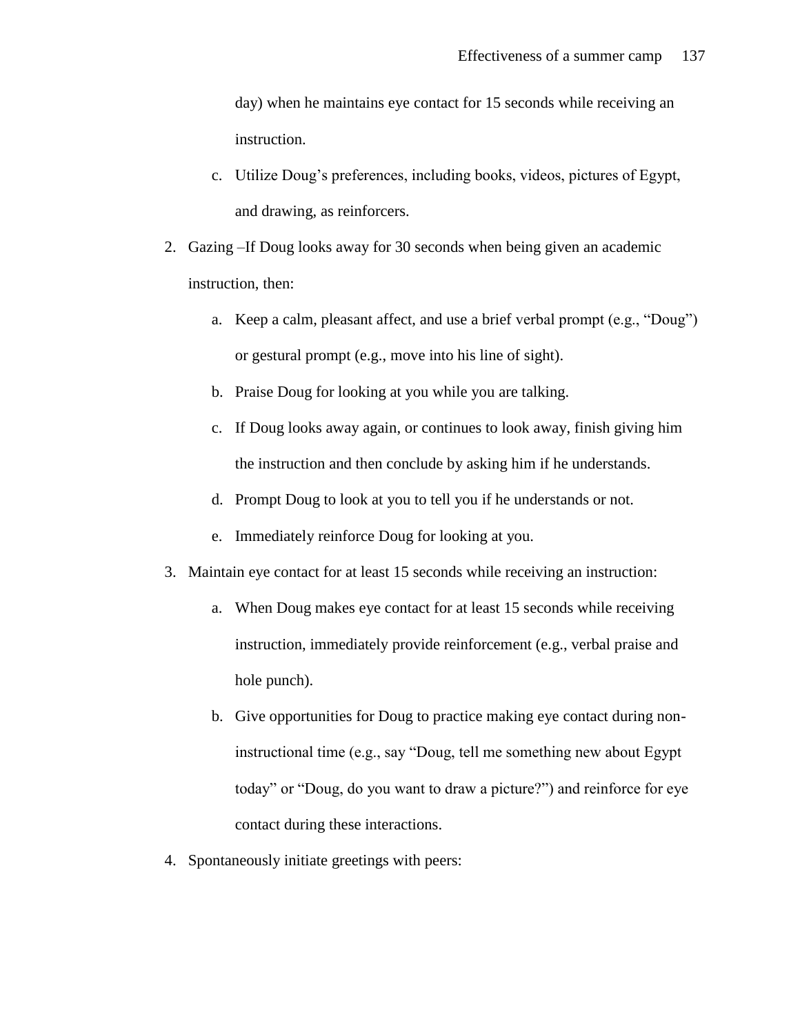day) when he maintains eye contact for 15 seconds while receiving an instruction.

- c. Utilize Doug's preferences, including books, videos, pictures of Egypt, and drawing, as reinforcers.
- 2. Gazing –If Doug looks away for 30 seconds when being given an academic instruction, then:
	- a. Keep a calm, pleasant affect, and use a brief verbal prompt (e.g., "Doug") or gestural prompt (e.g., move into his line of sight).
	- b. Praise Doug for looking at you while you are talking.
	- c. If Doug looks away again, or continues to look away, finish giving him the instruction and then conclude by asking him if he understands.
	- d. Prompt Doug to look at you to tell you if he understands or not.
	- e. Immediately reinforce Doug for looking at you.
- 3. Maintain eye contact for at least 15 seconds while receiving an instruction:
	- a. When Doug makes eye contact for at least 15 seconds while receiving instruction, immediately provide reinforcement (e.g., verbal praise and hole punch).
	- b. Give opportunities for Doug to practice making eye contact during noninstructional time (e.g., say "Doug, tell me something new about Egypt today" or "Doug, do you want to draw a picture?") and reinforce for eye contact during these interactions.
- 4. Spontaneously initiate greetings with peers: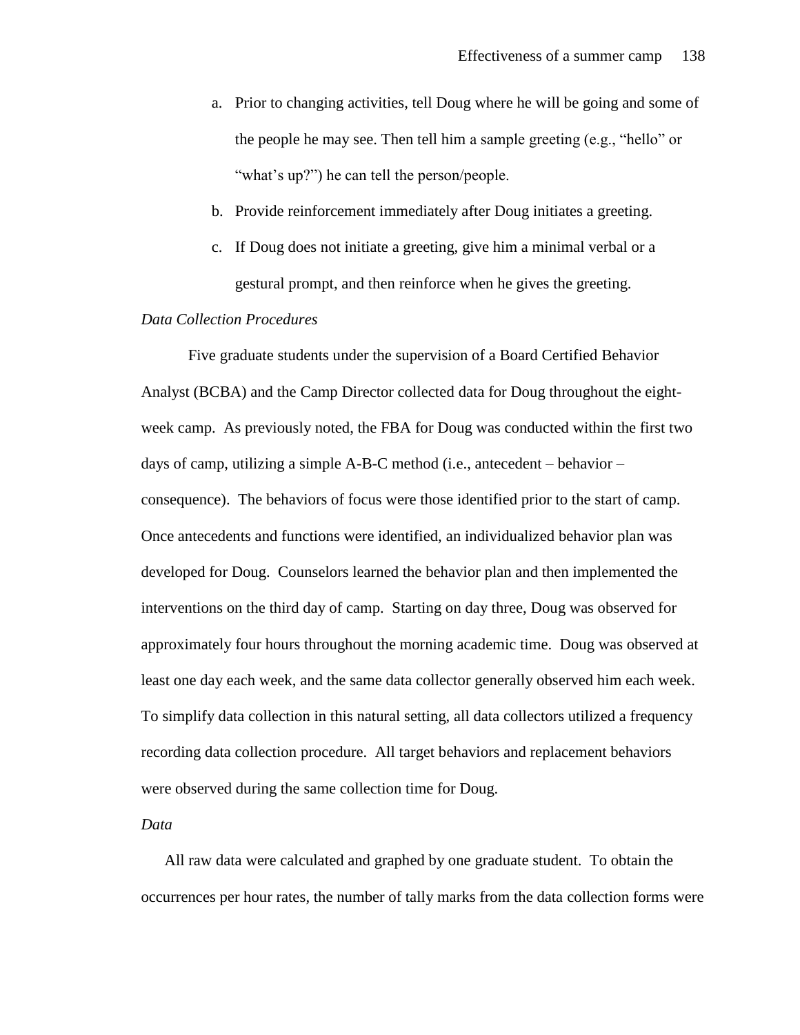- a. Prior to changing activities, tell Doug where he will be going and some of the people he may see. Then tell him a sample greeting (e.g., "hello" or "what's up?") he can tell the person/people.
- b. Provide reinforcement immediately after Doug initiates a greeting.
- c. If Doug does not initiate a greeting, give him a minimal verbal or a gestural prompt, and then reinforce when he gives the greeting.

### *Data Collection Procedures*

Five graduate students under the supervision of a Board Certified Behavior Analyst (BCBA) and the Camp Director collected data for Doug throughout the eightweek camp. As previously noted, the FBA for Doug was conducted within the first two days of camp, utilizing a simple A-B-C method (i.e., antecedent – behavior – consequence). The behaviors of focus were those identified prior to the start of camp. Once antecedents and functions were identified, an individualized behavior plan was developed for Doug. Counselors learned the behavior plan and then implemented the interventions on the third day of camp. Starting on day three, Doug was observed for approximately four hours throughout the morning academic time. Doug was observed at least one day each week, and the same data collector generally observed him each week. To simplify data collection in this natural setting, all data collectors utilized a frequency recording data collection procedure. All target behaviors and replacement behaviors were observed during the same collection time for Doug.

#### *Data*

All raw data were calculated and graphed by one graduate student. To obtain the occurrences per hour rates, the number of tally marks from the data collection forms were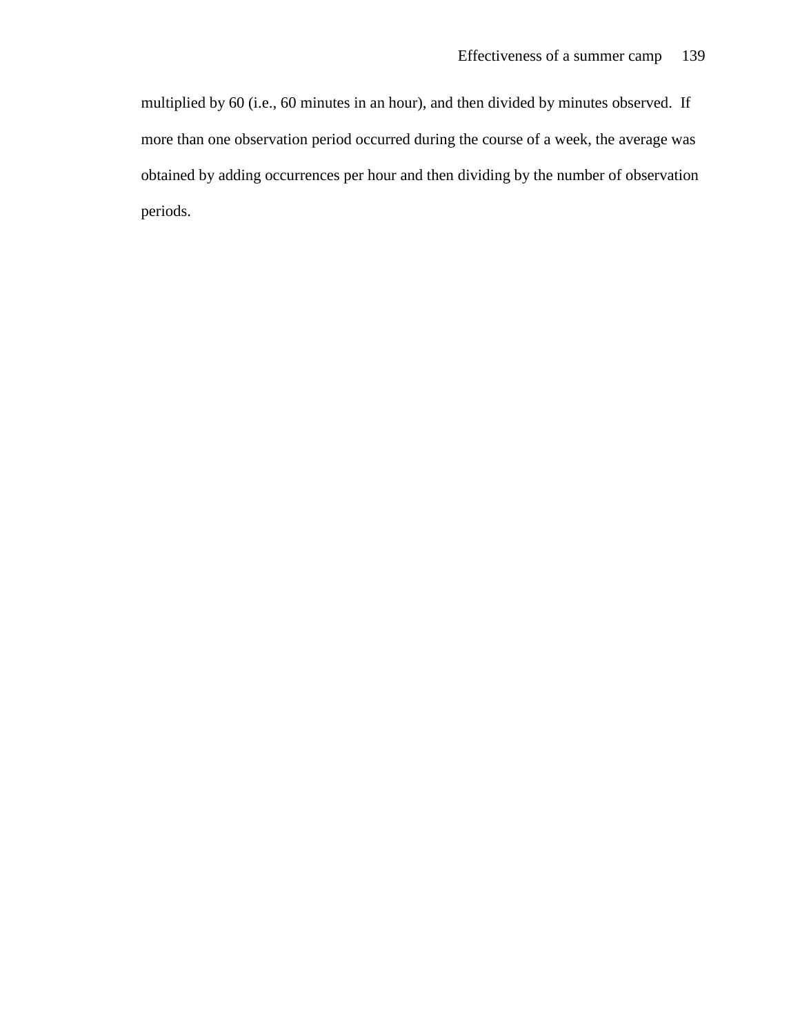multiplied by 60 (i.e., 60 minutes in an hour), and then divided by minutes observed. If more than one observation period occurred during the course of a week, the average was obtained by adding occurrences per hour and then dividing by the number of observation periods.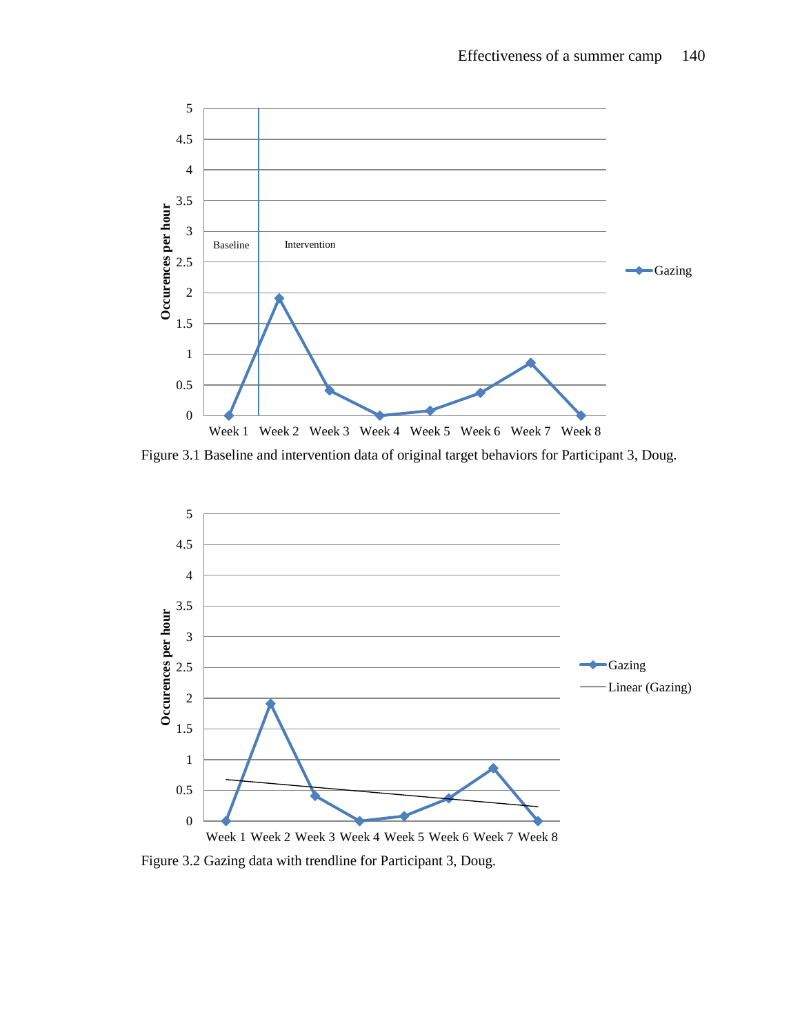

Figure 3.1 Baseline and intervention data of original target behaviors for Participant 3, Doug.



Figure 3.2 Gazing data with trendline for Participant 3, Doug.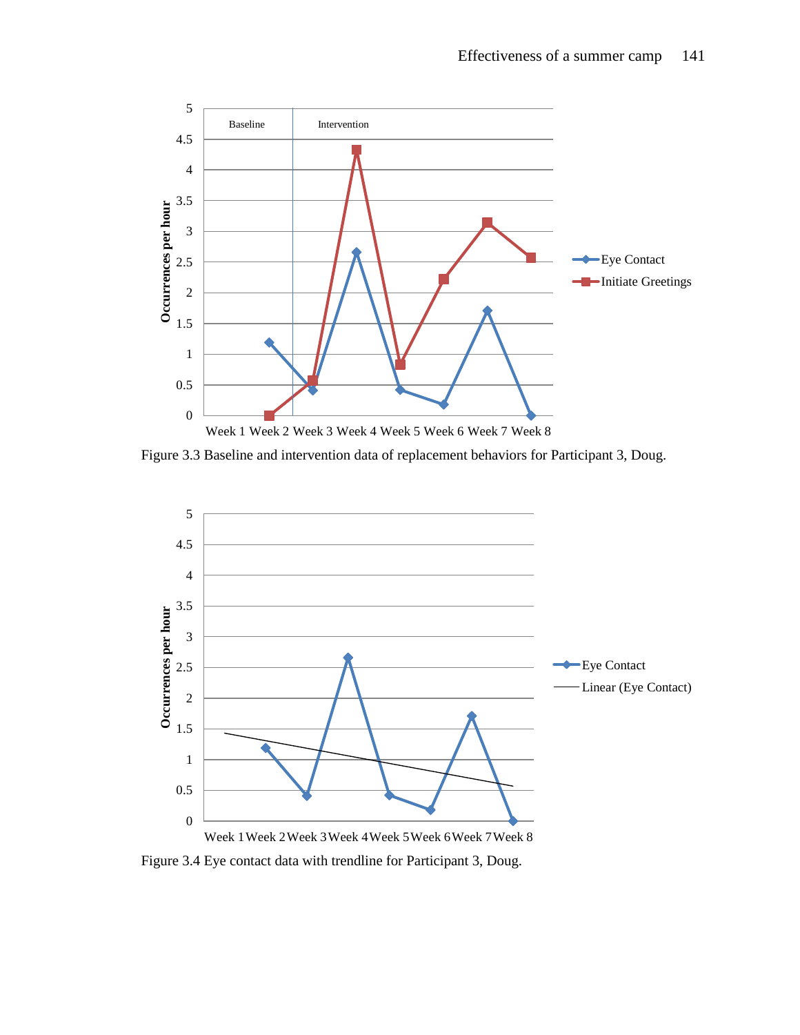

Figure 3.3 Baseline and intervention data of replacement behaviors for Participant 3, Doug.



Figure 3.4 Eye contact data with trendline for Participant 3, Doug.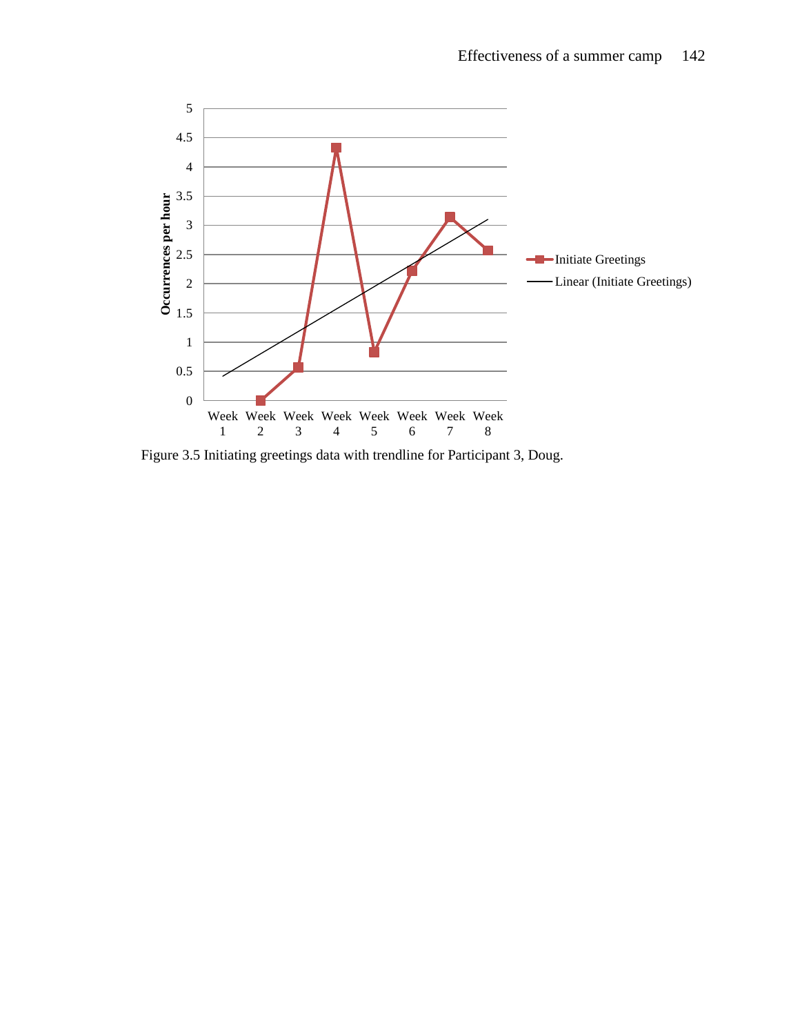

Figure 3.5 Initiating greetings data with trendline for Participant 3, Doug.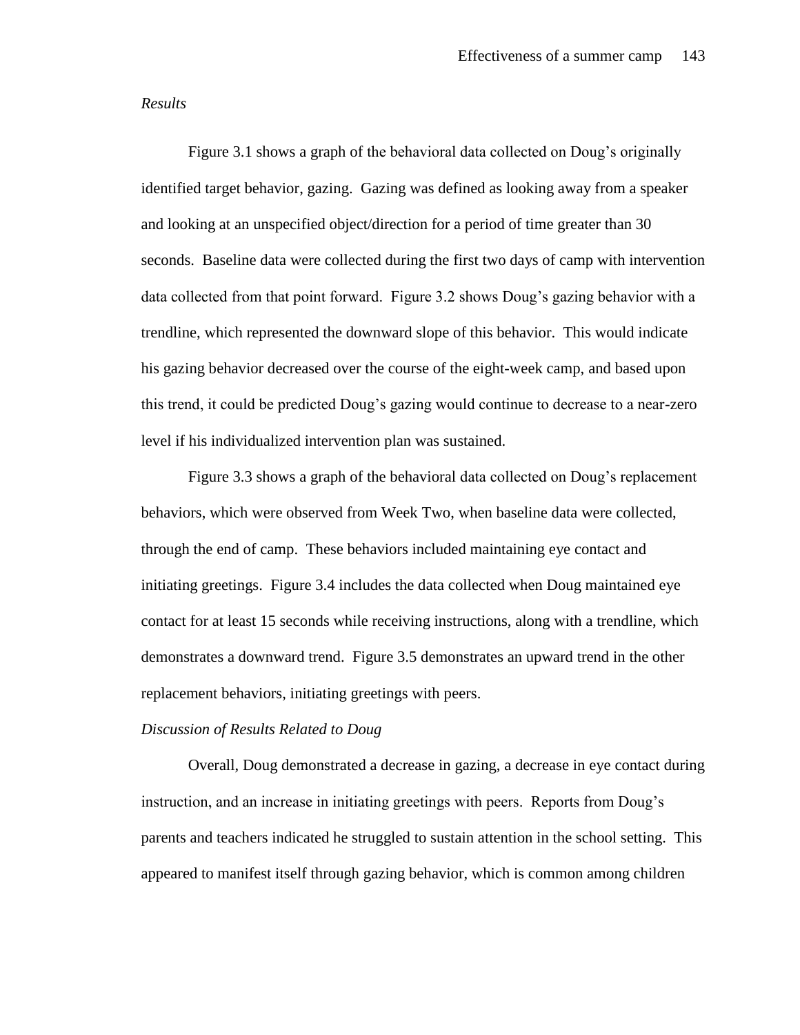### *Results*

Figure 3.1 shows a graph of the behavioral data collected on Doug's originally identified target behavior, gazing. Gazing was defined as looking away from a speaker and looking at an unspecified object/direction for a period of time greater than 30 seconds. Baseline data were collected during the first two days of camp with intervention data collected from that point forward. Figure 3.2 shows Doug's gazing behavior with a trendline, which represented the downward slope of this behavior. This would indicate his gazing behavior decreased over the course of the eight-week camp, and based upon this trend, it could be predicted Doug's gazing would continue to decrease to a near-zero level if his individualized intervention plan was sustained.

Figure 3.3 shows a graph of the behavioral data collected on Doug's replacement behaviors, which were observed from Week Two, when baseline data were collected, through the end of camp. These behaviors included maintaining eye contact and initiating greetings. Figure 3.4 includes the data collected when Doug maintained eye contact for at least 15 seconds while receiving instructions, along with a trendline, which demonstrates a downward trend. Figure 3.5 demonstrates an upward trend in the other replacement behaviors, initiating greetings with peers.

# *Discussion of Results Related to Doug*

Overall, Doug demonstrated a decrease in gazing, a decrease in eye contact during instruction, and an increase in initiating greetings with peers. Reports from Doug's parents and teachers indicated he struggled to sustain attention in the school setting. This appeared to manifest itself through gazing behavior, which is common among children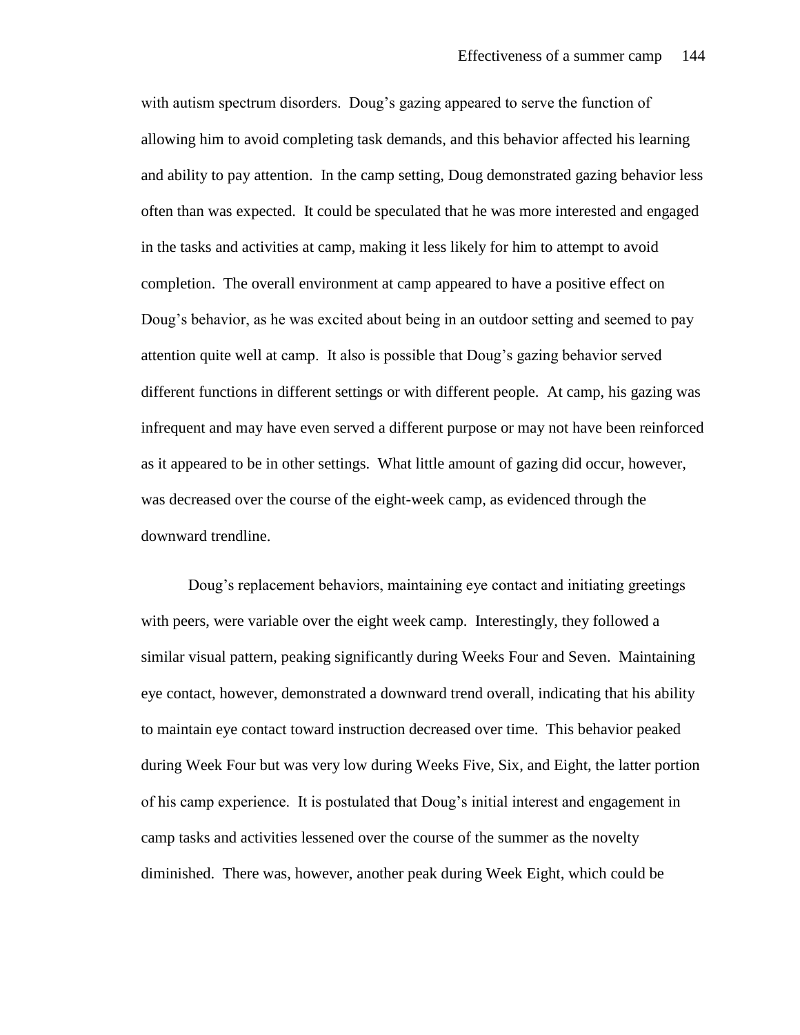with autism spectrum disorders. Doug's gazing appeared to serve the function of allowing him to avoid completing task demands, and this behavior affected his learning and ability to pay attention. In the camp setting, Doug demonstrated gazing behavior less often than was expected. It could be speculated that he was more interested and engaged in the tasks and activities at camp, making it less likely for him to attempt to avoid completion. The overall environment at camp appeared to have a positive effect on Doug's behavior, as he was excited about being in an outdoor setting and seemed to pay attention quite well at camp. It also is possible that Doug's gazing behavior served different functions in different settings or with different people. At camp, his gazing was infrequent and may have even served a different purpose or may not have been reinforced as it appeared to be in other settings. What little amount of gazing did occur, however, was decreased over the course of the eight-week camp, as evidenced through the downward trendline.

Doug's replacement behaviors, maintaining eye contact and initiating greetings with peers, were variable over the eight week camp. Interestingly, they followed a similar visual pattern, peaking significantly during Weeks Four and Seven. Maintaining eye contact, however, demonstrated a downward trend overall, indicating that his ability to maintain eye contact toward instruction decreased over time. This behavior peaked during Week Four but was very low during Weeks Five, Six, and Eight, the latter portion of his camp experience. It is postulated that Doug's initial interest and engagement in camp tasks and activities lessened over the course of the summer as the novelty diminished. There was, however, another peak during Week Eight, which could be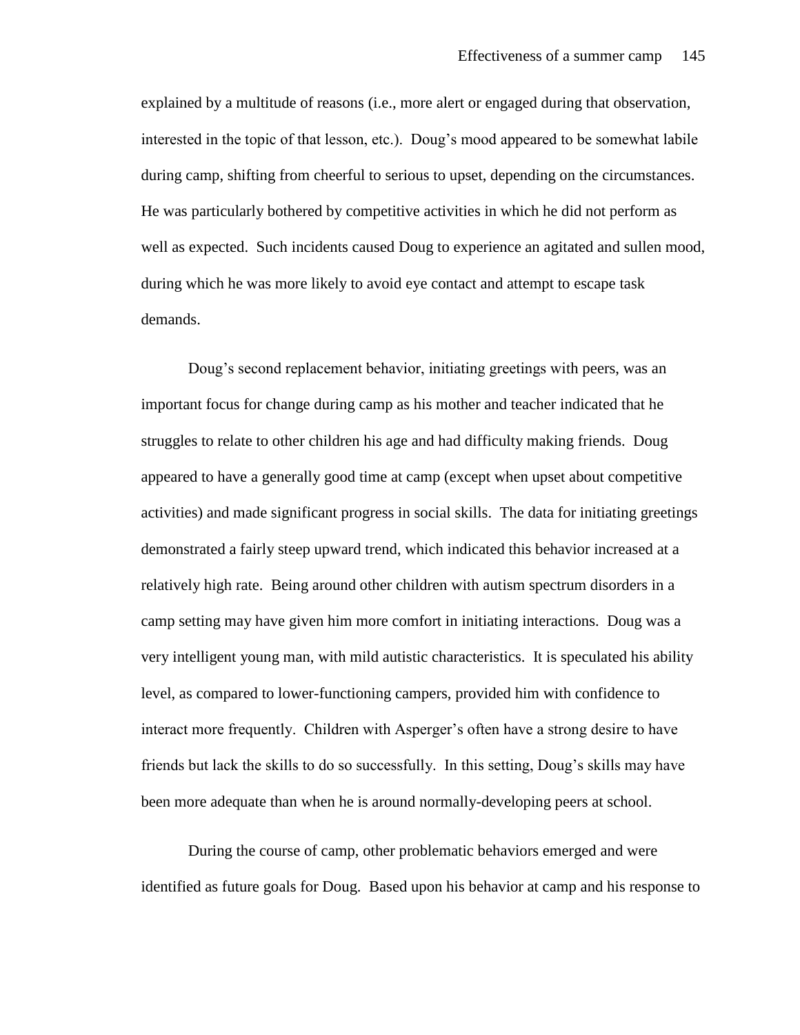explained by a multitude of reasons (i.e., more alert or engaged during that observation, interested in the topic of that lesson, etc.). Doug's mood appeared to be somewhat labile during camp, shifting from cheerful to serious to upset, depending on the circumstances. He was particularly bothered by competitive activities in which he did not perform as well as expected. Such incidents caused Doug to experience an agitated and sullen mood, during which he was more likely to avoid eye contact and attempt to escape task demands.

Doug's second replacement behavior, initiating greetings with peers, was an important focus for change during camp as his mother and teacher indicated that he struggles to relate to other children his age and had difficulty making friends. Doug appeared to have a generally good time at camp (except when upset about competitive activities) and made significant progress in social skills. The data for initiating greetings demonstrated a fairly steep upward trend, which indicated this behavior increased at a relatively high rate. Being around other children with autism spectrum disorders in a camp setting may have given him more comfort in initiating interactions. Doug was a very intelligent young man, with mild autistic characteristics. It is speculated his ability level, as compared to lower-functioning campers, provided him with confidence to interact more frequently. Children with Asperger's often have a strong desire to have friends but lack the skills to do so successfully. In this setting, Doug's skills may have been more adequate than when he is around normally-developing peers at school.

During the course of camp, other problematic behaviors emerged and were identified as future goals for Doug. Based upon his behavior at camp and his response to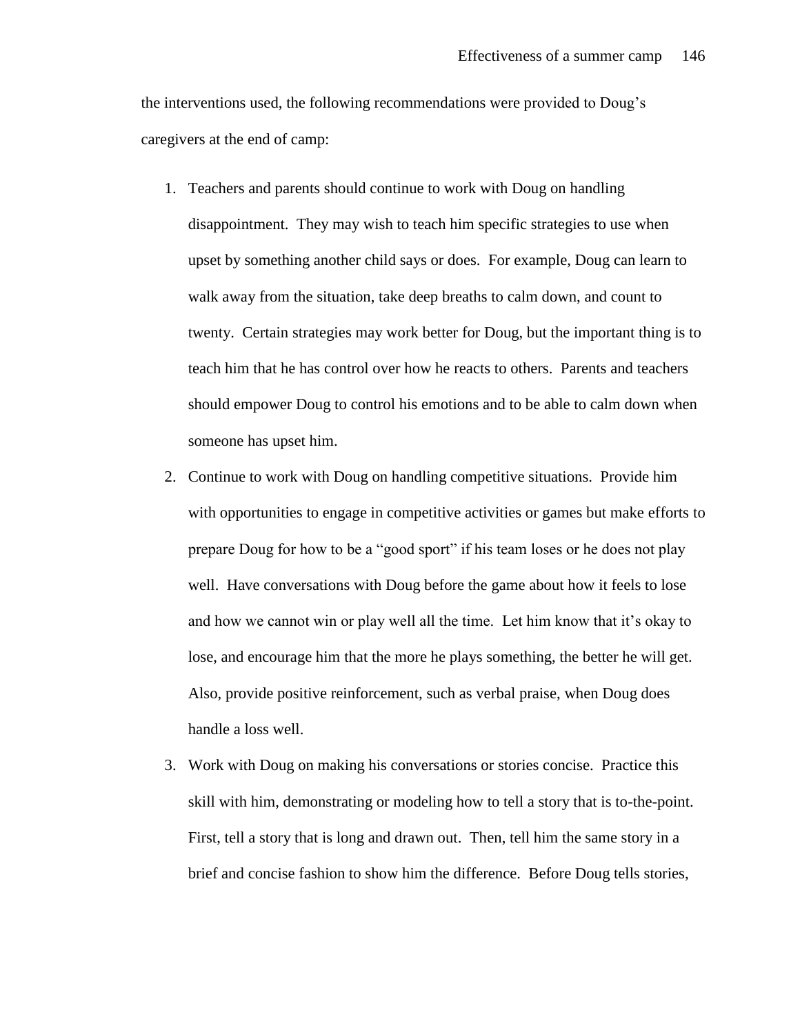the interventions used, the following recommendations were provided to Doug's caregivers at the end of camp:

- 1. Teachers and parents should continue to work with Doug on handling disappointment. They may wish to teach him specific strategies to use when upset by something another child says or does. For example, Doug can learn to walk away from the situation, take deep breaths to calm down, and count to twenty. Certain strategies may work better for Doug, but the important thing is to teach him that he has control over how he reacts to others. Parents and teachers should empower Doug to control his emotions and to be able to calm down when someone has upset him.
- 2. Continue to work with Doug on handling competitive situations. Provide him with opportunities to engage in competitive activities or games but make efforts to prepare Doug for how to be a "good sport" if his team loses or he does not play well. Have conversations with Doug before the game about how it feels to lose and how we cannot win or play well all the time. Let him know that it's okay to lose, and encourage him that the more he plays something, the better he will get. Also, provide positive reinforcement, such as verbal praise, when Doug does handle a loss well.
- 3. Work with Doug on making his conversations or stories concise. Practice this skill with him, demonstrating or modeling how to tell a story that is to-the-point. First, tell a story that is long and drawn out. Then, tell him the same story in a brief and concise fashion to show him the difference. Before Doug tells stories,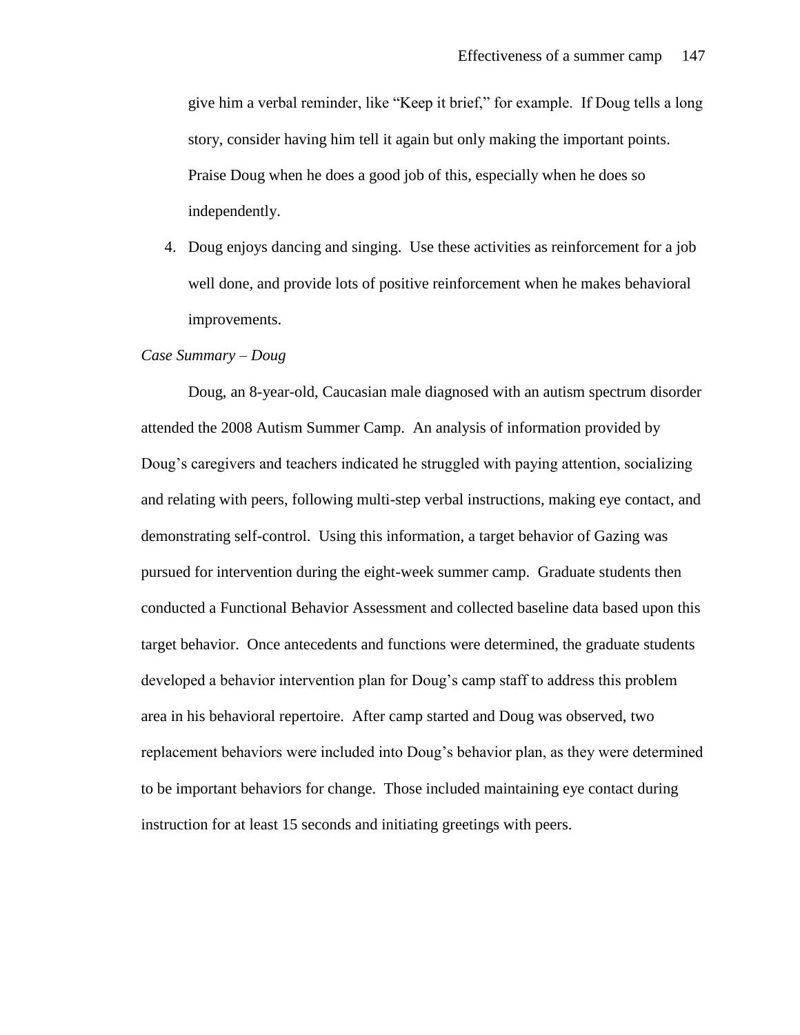give him a verbal reminder, like "Keep it brief," for example. If Doug tells a long story, consider having him tell it again but only making the important points. Praise Doug when he does a good job of this, especially when he does so independently.

4. Doug enjoys dancing and singing. Use these activities as reinforcement for a job well done, and provide lots of positive reinforcement when he makes behavioral improvements.

#### *Case Summary – Doug*

Doug, an 8-year-old, Caucasian male diagnosed with an autism spectrum disorder attended the 2008 Autism Summer Camp. An analysis of information provided by Doug's caregivers and teachers indicated he struggled with paying attention, socializing and relating with peers, following multi-step verbal instructions, making eye contact, and demonstrating self-control. Using this information, a target behavior of Gazing was pursued for intervention during the eight-week summer camp. Graduate students then conducted a Functional Behavior Assessment and collected baseline data based upon this target behavior. Once antecedents and functions were determined, the graduate students developed a behavior intervention plan for Doug's camp staff to address this problem area in his behavioral repertoire. After camp started and Doug was observed, two replacement behaviors were included into Doug's behavior plan, as they were determined to be important behaviors for change. Those included maintaining eye contact during instruction for at least 15 seconds and initiating greetings with peers.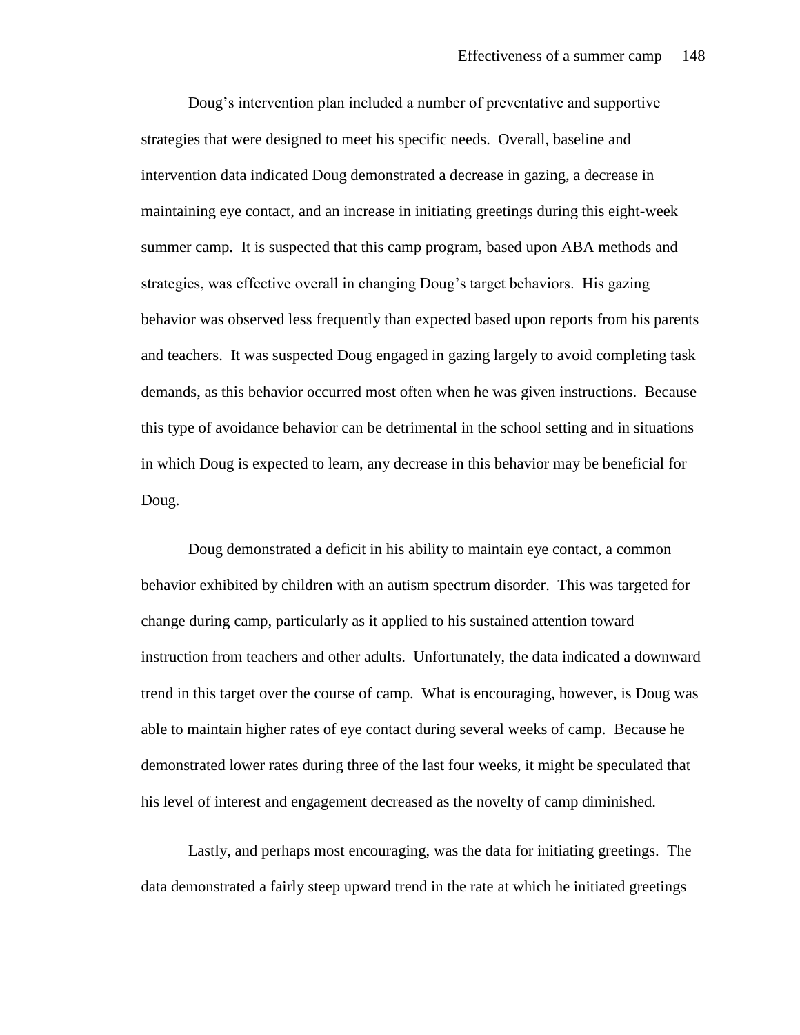Doug's intervention plan included a number of preventative and supportive strategies that were designed to meet his specific needs. Overall, baseline and intervention data indicated Doug demonstrated a decrease in gazing, a decrease in maintaining eye contact, and an increase in initiating greetings during this eight-week summer camp. It is suspected that this camp program, based upon ABA methods and strategies, was effective overall in changing Doug's target behaviors. His gazing behavior was observed less frequently than expected based upon reports from his parents and teachers. It was suspected Doug engaged in gazing largely to avoid completing task demands, as this behavior occurred most often when he was given instructions. Because this type of avoidance behavior can be detrimental in the school setting and in situations in which Doug is expected to learn, any decrease in this behavior may be beneficial for Doug.

Doug demonstrated a deficit in his ability to maintain eye contact, a common behavior exhibited by children with an autism spectrum disorder. This was targeted for change during camp, particularly as it applied to his sustained attention toward instruction from teachers and other adults. Unfortunately, the data indicated a downward trend in this target over the course of camp. What is encouraging, however, is Doug was able to maintain higher rates of eye contact during several weeks of camp. Because he demonstrated lower rates during three of the last four weeks, it might be speculated that his level of interest and engagement decreased as the novelty of camp diminished.

Lastly, and perhaps most encouraging, was the data for initiating greetings. The data demonstrated a fairly steep upward trend in the rate at which he initiated greetings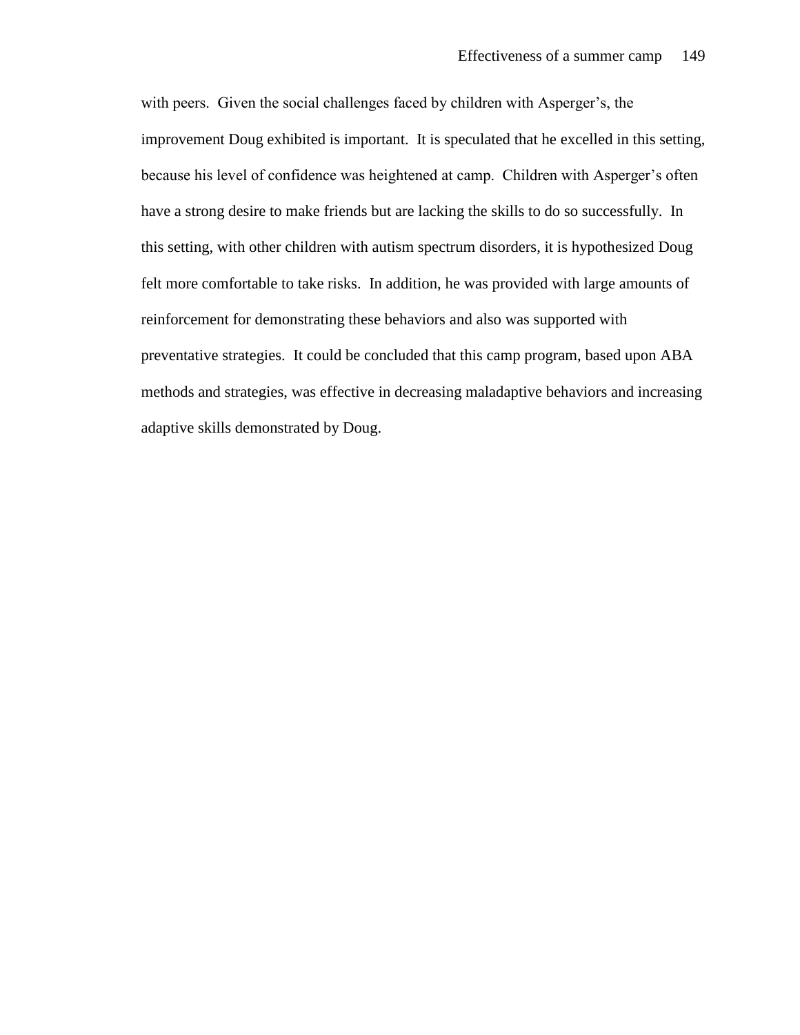with peers. Given the social challenges faced by children with Asperger's, the improvement Doug exhibited is important. It is speculated that he excelled in this setting, because his level of confidence was heightened at camp. Children with Asperger's often have a strong desire to make friends but are lacking the skills to do so successfully. In this setting, with other children with autism spectrum disorders, it is hypothesized Doug felt more comfortable to take risks. In addition, he was provided with large amounts of reinforcement for demonstrating these behaviors and also was supported with preventative strategies. It could be concluded that this camp program, based upon ABA methods and strategies, was effective in decreasing maladaptive behaviors and increasing adaptive skills demonstrated by Doug.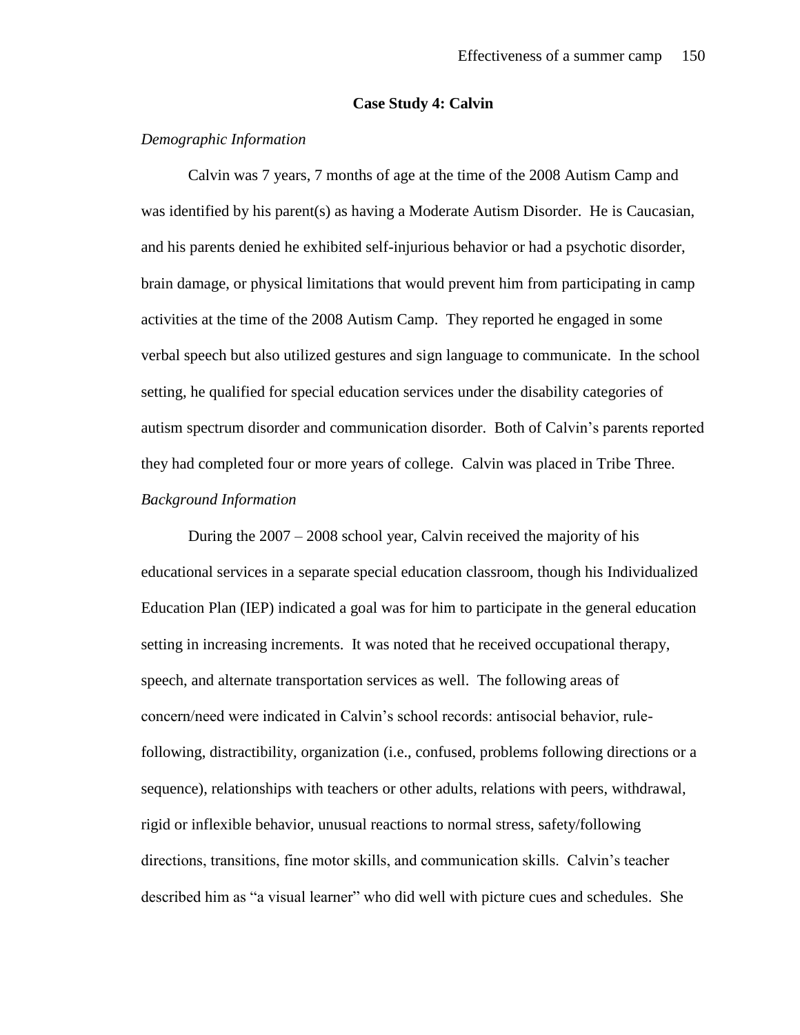#### **Case Study 4: Calvin**

# *Demographic Information*

Calvin was 7 years, 7 months of age at the time of the 2008 Autism Camp and was identified by his parent(s) as having a Moderate Autism Disorder. He is Caucasian, and his parents denied he exhibited self-injurious behavior or had a psychotic disorder, brain damage, or physical limitations that would prevent him from participating in camp activities at the time of the 2008 Autism Camp. They reported he engaged in some verbal speech but also utilized gestures and sign language to communicate. In the school setting, he qualified for special education services under the disability categories of autism spectrum disorder and communication disorder. Both of Calvin's parents reported they had completed four or more years of college. Calvin was placed in Tribe Three. *Background Information*

During the 2007 – 2008 school year, Calvin received the majority of his educational services in a separate special education classroom, though his Individualized Education Plan (IEP) indicated a goal was for him to participate in the general education setting in increasing increments. It was noted that he received occupational therapy, speech, and alternate transportation services as well. The following areas of concern/need were indicated in Calvin's school records: antisocial behavior, rulefollowing, distractibility, organization (i.e., confused, problems following directions or a sequence), relationships with teachers or other adults, relations with peers, withdrawal, rigid or inflexible behavior, unusual reactions to normal stress, safety/following directions, transitions, fine motor skills, and communication skills. Calvin's teacher described him as "a visual learner" who did well with picture cues and schedules. She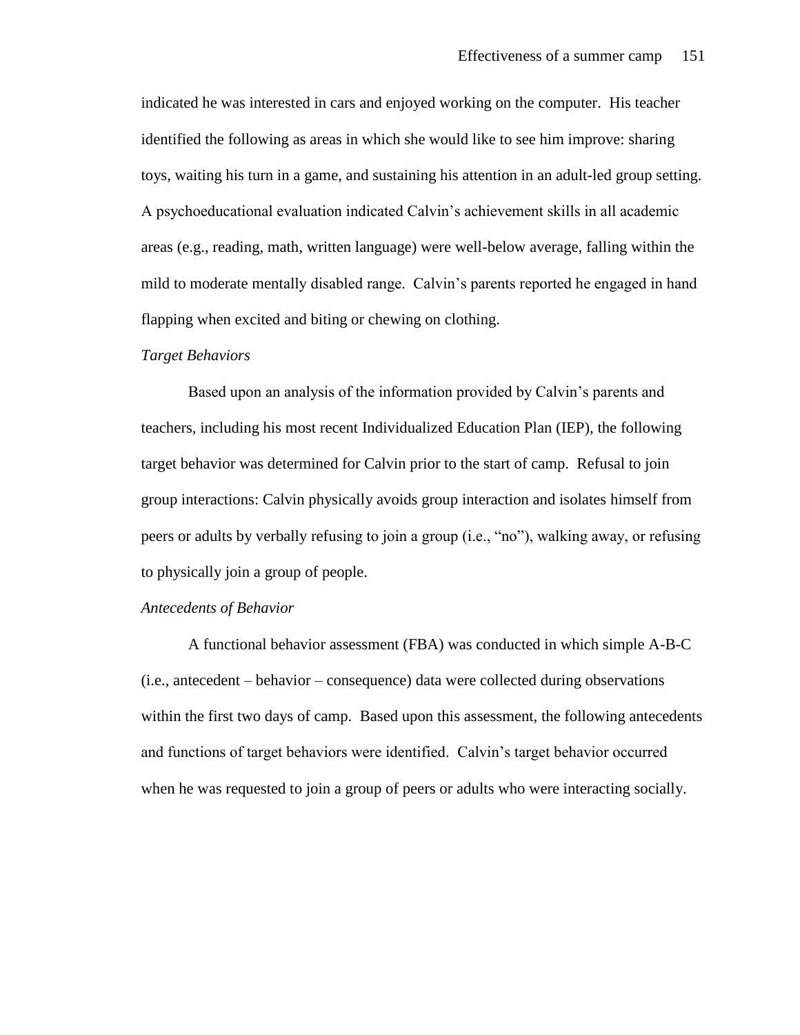indicated he was interested in cars and enjoyed working on the computer. His teacher identified the following as areas in which she would like to see him improve: sharing toys, waiting his turn in a game, and sustaining his attention in an adult-led group setting. A psychoeducational evaluation indicated Calvin's achievement skills in all academic areas (e.g., reading, math, written language) were well-below average, falling within the mild to moderate mentally disabled range. Calvin's parents reported he engaged in hand flapping when excited and biting or chewing on clothing.

#### *Target Behaviors*

Based upon an analysis of the information provided by Calvin's parents and teachers, including his most recent Individualized Education Plan (IEP), the following target behavior was determined for Calvin prior to the start of camp. Refusal to join group interactions: Calvin physically avoids group interaction and isolates himself from peers or adults by verbally refusing to join a group (i.e., "no"), walking away, or refusing to physically join a group of people.

#### *Antecedents of Behavior*

A functional behavior assessment (FBA) was conducted in which simple A-B-C (i.e., antecedent – behavior – consequence) data were collected during observations within the first two days of camp. Based upon this assessment, the following antecedents and functions of target behaviors were identified. Calvin's target behavior occurred when he was requested to join a group of peers or adults who were interacting socially.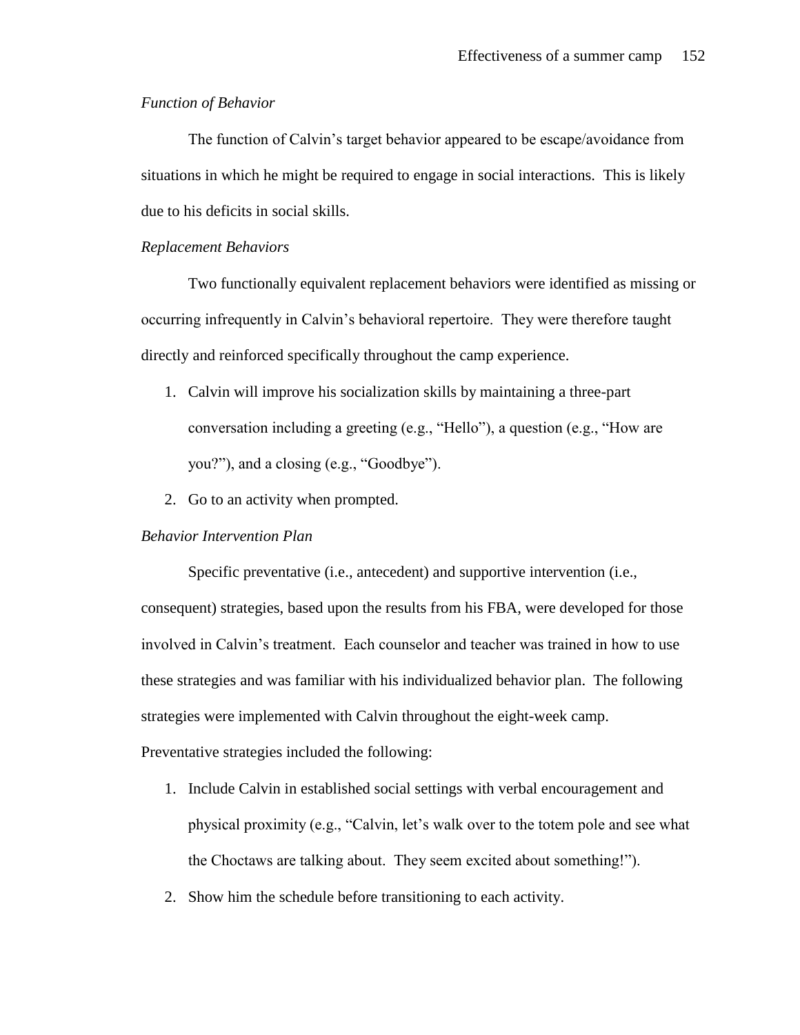# *Function of Behavior*

The function of Calvin's target behavior appeared to be escape/avoidance from situations in which he might be required to engage in social interactions. This is likely due to his deficits in social skills.

### *Replacement Behaviors*

Two functionally equivalent replacement behaviors were identified as missing or occurring infrequently in Calvin's behavioral repertoire. They were therefore taught directly and reinforced specifically throughout the camp experience.

- 1. Calvin will improve his socialization skills by maintaining a three-part conversation including a greeting (e.g., "Hello"), a question (e.g., "How are you?"), and a closing (e.g., "Goodbye").
- 2. Go to an activity when prompted.

# *Behavior Intervention Plan*

Specific preventative (i.e., antecedent) and supportive intervention (i.e., consequent) strategies, based upon the results from his FBA, were developed for those involved in Calvin's treatment. Each counselor and teacher was trained in how to use these strategies and was familiar with his individualized behavior plan. The following strategies were implemented with Calvin throughout the eight-week camp. Preventative strategies included the following:

- 1. Include Calvin in established social settings with verbal encouragement and physical proximity (e.g., "Calvin, let's walk over to the totem pole and see what the Choctaws are talking about. They seem excited about something!").
- 2. Show him the schedule before transitioning to each activity.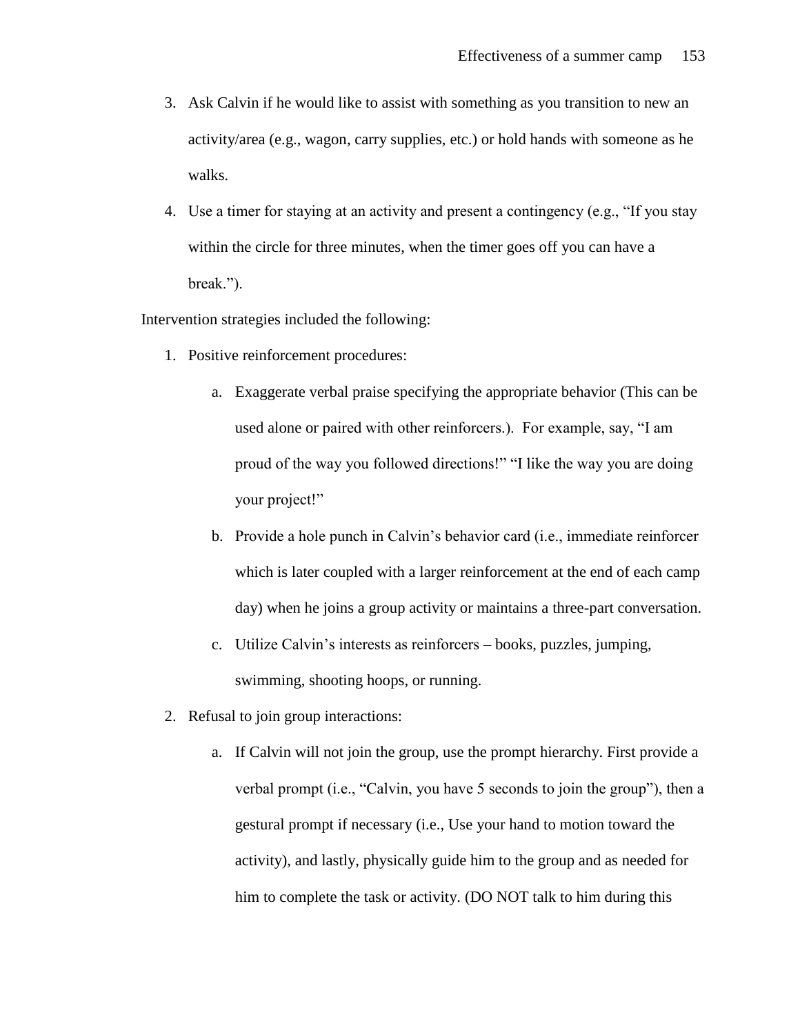- 3. Ask Calvin if he would like to assist with something as you transition to new an activity/area (e.g., wagon, carry supplies, etc.) or hold hands with someone as he walks.
- 4. Use a timer for staying at an activity and present a contingency (e.g., "If you stay within the circle for three minutes, when the timer goes off you can have a break.").

Intervention strategies included the following:

- 1. Positive reinforcement procedures:
	- a. Exaggerate verbal praise specifying the appropriate behavior (This can be used alone or paired with other reinforcers.). For example, say, "I am proud of the way you followed directions!" "I like the way you are doing your project!"
	- b. Provide a hole punch in Calvin's behavior card (i.e., immediate reinforcer which is later coupled with a larger reinforcement at the end of each camp day) when he joins a group activity or maintains a three-part conversation.
	- c. Utilize Calvin's interests as reinforcers books, puzzles, jumping, swimming, shooting hoops, or running.
- 2. Refusal to join group interactions:
	- a. If Calvin will not join the group, use the prompt hierarchy. First provide a verbal prompt (i.e., "Calvin, you have 5 seconds to join the group"), then a gestural prompt if necessary (i.e., Use your hand to motion toward the activity), and lastly, physically guide him to the group and as needed for him to complete the task or activity. (DO NOT talk to him during this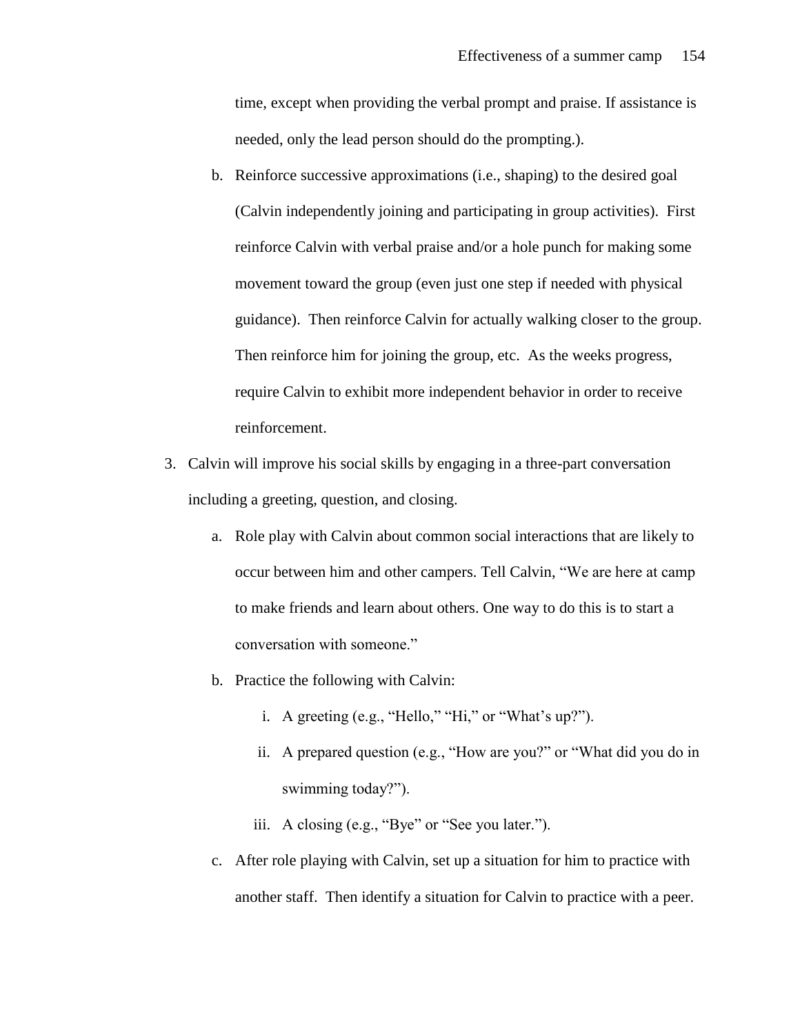time, except when providing the verbal prompt and praise. If assistance is needed, only the lead person should do the prompting.).

- b. Reinforce successive approximations (i.e., shaping) to the desired goal (Calvin independently joining and participating in group activities). First reinforce Calvin with verbal praise and/or a hole punch for making some movement toward the group (even just one step if needed with physical guidance). Then reinforce Calvin for actually walking closer to the group. Then reinforce him for joining the group, etc. As the weeks progress, require Calvin to exhibit more independent behavior in order to receive reinforcement.
- 3. Calvin will improve his social skills by engaging in a three-part conversation including a greeting, question, and closing.
	- a. Role play with Calvin about common social interactions that are likely to occur between him and other campers. Tell Calvin, "We are here at camp to make friends and learn about others. One way to do this is to start a conversation with someone."
	- b. Practice the following with Calvin:
		- i. A greeting (e.g., "Hello," "Hi," or "What's up?").
		- ii. A prepared question (e.g., "How are you?" or "What did you do in swimming today?").
		- iii. A closing (e.g., "Bye" or "See you later.").
	- c. After role playing with Calvin, set up a situation for him to practice with another staff. Then identify a situation for Calvin to practice with a peer.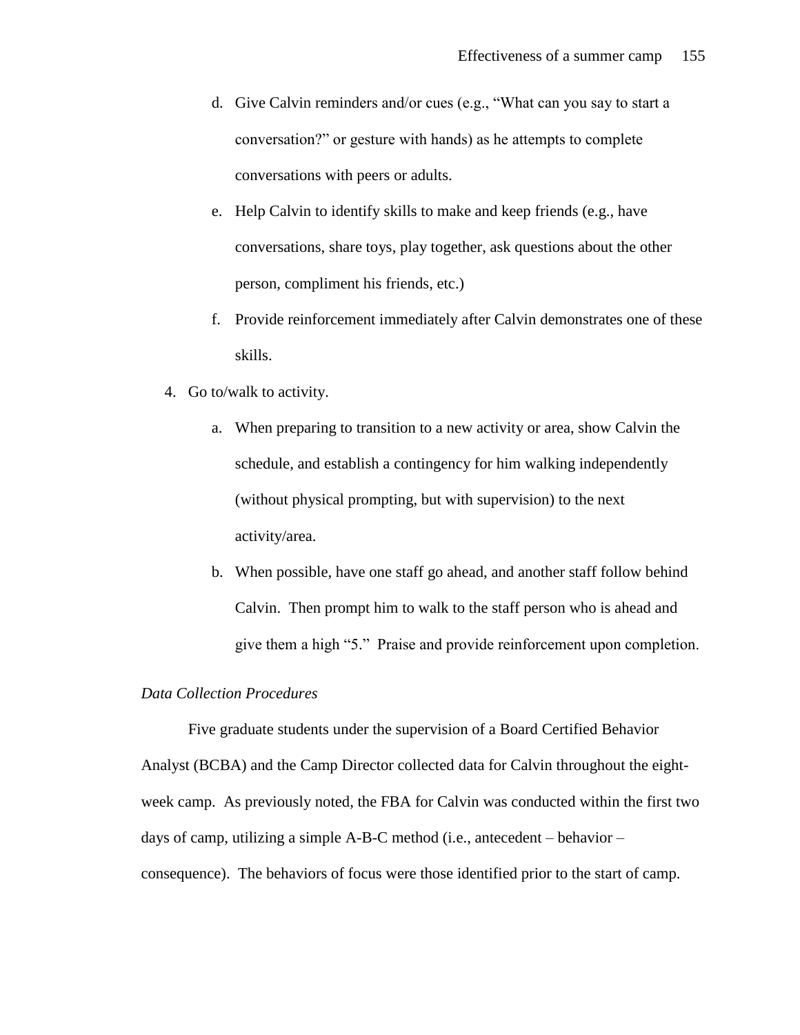- d. Give Calvin reminders and/or cues (e.g., "What can you say to start a conversation?" or gesture with hands) as he attempts to complete conversations with peers or adults.
- e. Help Calvin to identify skills to make and keep friends (e.g., have conversations, share toys, play together, ask questions about the other person, compliment his friends, etc.)
- f. Provide reinforcement immediately after Calvin demonstrates one of these skills.
- 4. Go to/walk to activity.
	- a. When preparing to transition to a new activity or area, show Calvin the schedule, and establish a contingency for him walking independently (without physical prompting, but with supervision) to the next activity/area.
	- b. When possible, have one staff go ahead, and another staff follow behind Calvin. Then prompt him to walk to the staff person who is ahead and give them a high "5." Praise and provide reinforcement upon completion.

# *Data Collection Procedures*

Five graduate students under the supervision of a Board Certified Behavior Analyst (BCBA) and the Camp Director collected data for Calvin throughout the eightweek camp. As previously noted, the FBA for Calvin was conducted within the first two days of camp, utilizing a simple A-B-C method (i.e., antecedent – behavior – consequence). The behaviors of focus were those identified prior to the start of camp.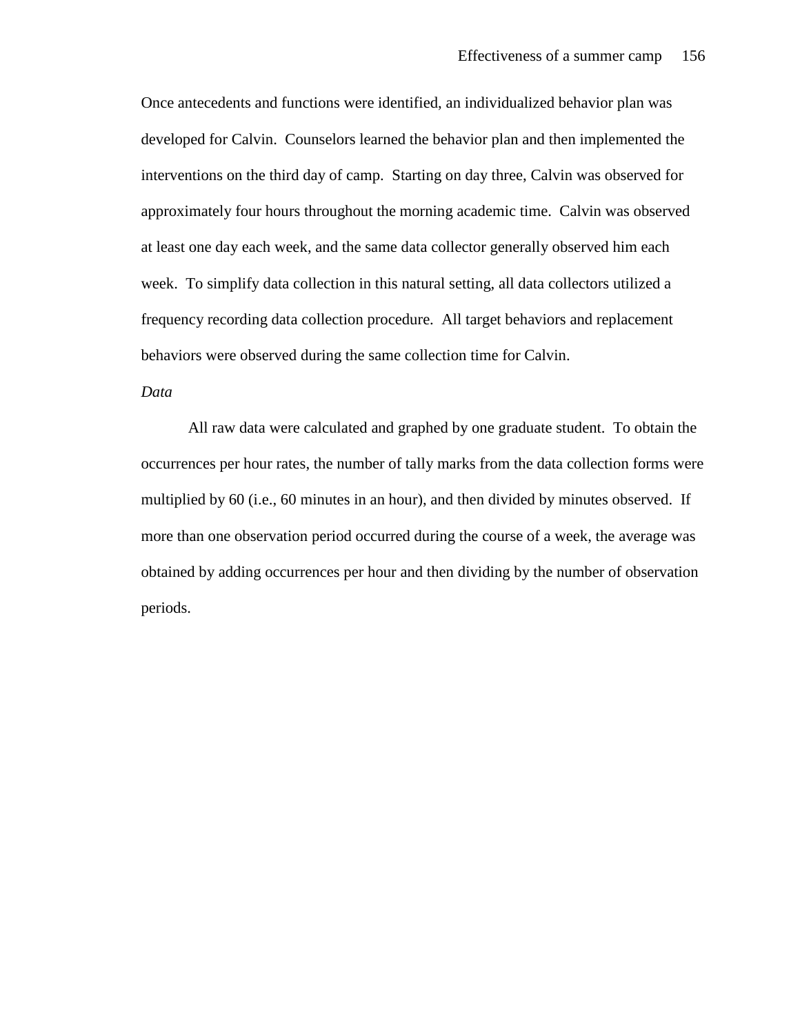Once antecedents and functions were identified, an individualized behavior plan was developed for Calvin. Counselors learned the behavior plan and then implemented the interventions on the third day of camp. Starting on day three, Calvin was observed for approximately four hours throughout the morning academic time. Calvin was observed at least one day each week, and the same data collector generally observed him each week. To simplify data collection in this natural setting, all data collectors utilized a frequency recording data collection procedure. All target behaviors and replacement behaviors were observed during the same collection time for Calvin.

# *Data*

All raw data were calculated and graphed by one graduate student. To obtain the occurrences per hour rates, the number of tally marks from the data collection forms were multiplied by 60 (i.e., 60 minutes in an hour), and then divided by minutes observed. If more than one observation period occurred during the course of a week, the average was obtained by adding occurrences per hour and then dividing by the number of observation periods.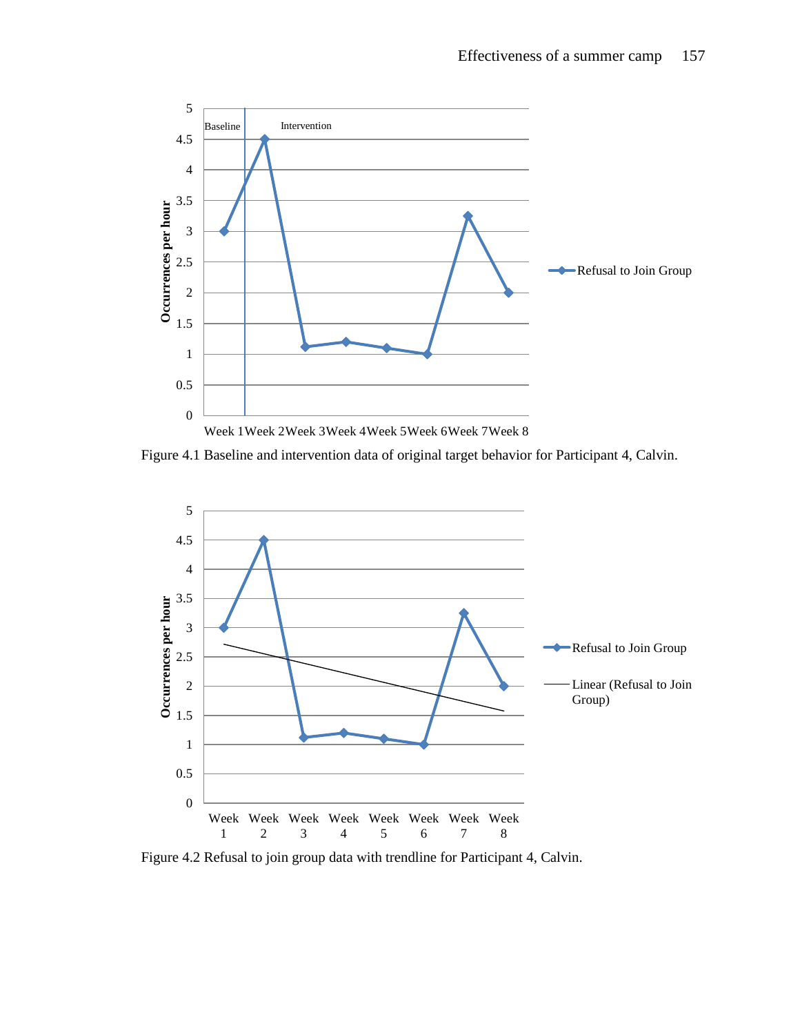

Figure 4.1 Baseline and intervention data of original target behavior for Participant 4, Calvin.



Figure 4.2 Refusal to join group data with trendline for Participant 4, Calvin.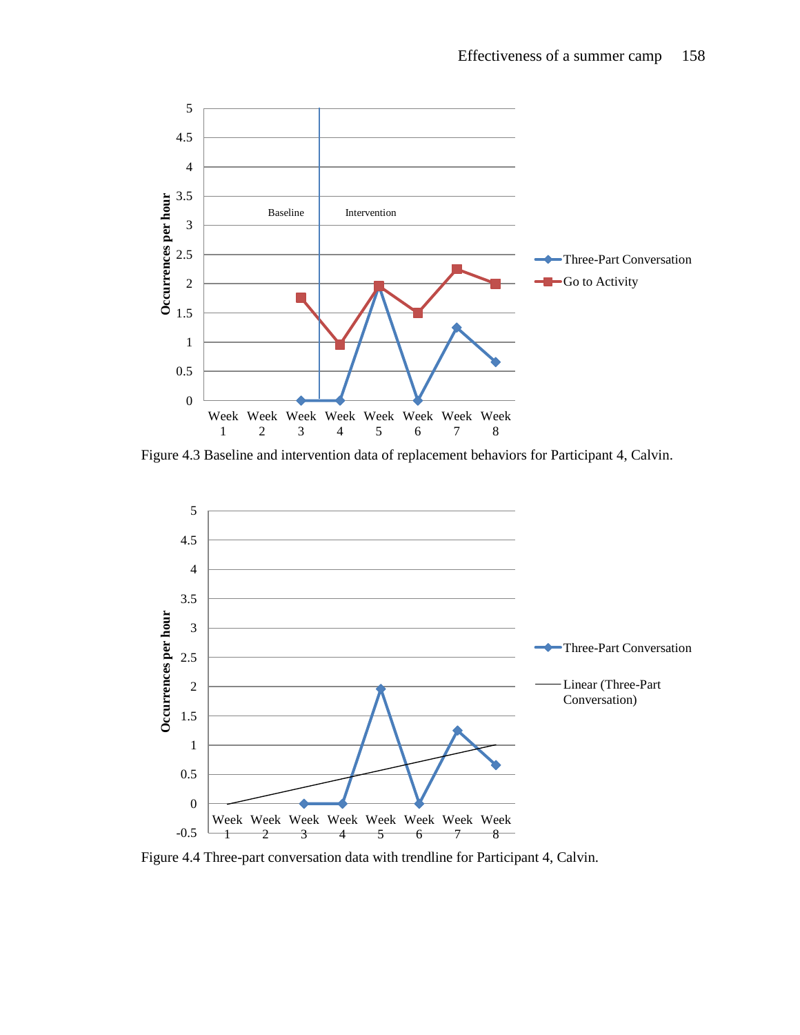

Figure 4.3 Baseline and intervention data of replacement behaviors for Participant 4, Calvin.



Figure 4.4 Three-part conversation data with trendline for Participant 4, Calvin.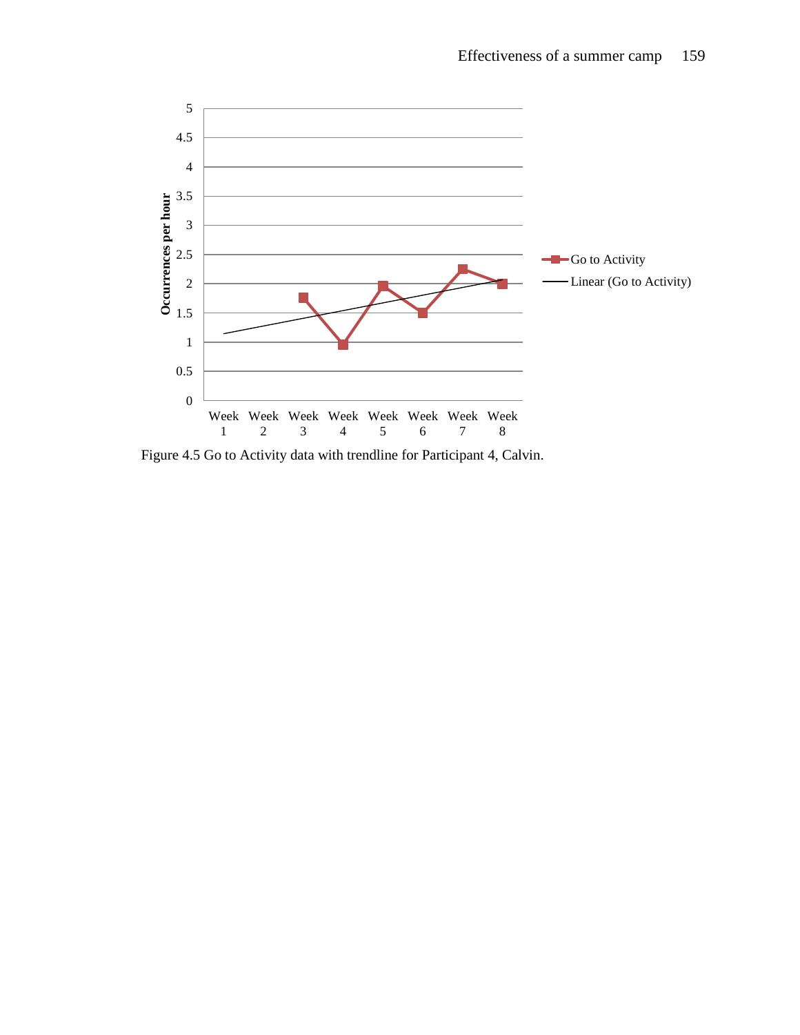

Figure 4.5 Go to Activity data with trendline for Participant 4, Calvin.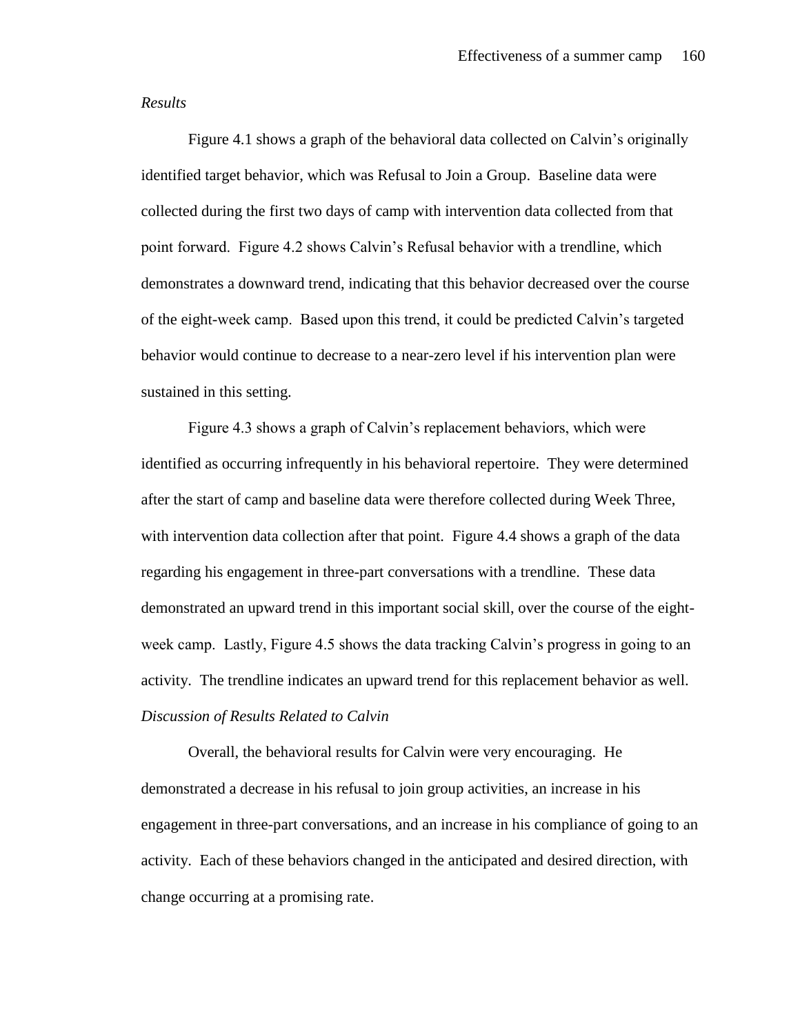#### *Results*

Figure 4.1 shows a graph of the behavioral data collected on Calvin's originally identified target behavior, which was Refusal to Join a Group. Baseline data were collected during the first two days of camp with intervention data collected from that point forward. Figure 4.2 shows Calvin's Refusal behavior with a trendline, which demonstrates a downward trend, indicating that this behavior decreased over the course of the eight-week camp. Based upon this trend, it could be predicted Calvin's targeted behavior would continue to decrease to a near-zero level if his intervention plan were sustained in this setting.

Figure 4.3 shows a graph of Calvin's replacement behaviors, which were identified as occurring infrequently in his behavioral repertoire. They were determined after the start of camp and baseline data were therefore collected during Week Three, with intervention data collection after that point. Figure 4.4 shows a graph of the data regarding his engagement in three-part conversations with a trendline. These data demonstrated an upward trend in this important social skill, over the course of the eightweek camp. Lastly, Figure 4.5 shows the data tracking Calvin's progress in going to an activity. The trendline indicates an upward trend for this replacement behavior as well. *Discussion of Results Related to Calvin*

Overall, the behavioral results for Calvin were very encouraging. He demonstrated a decrease in his refusal to join group activities, an increase in his engagement in three-part conversations, and an increase in his compliance of going to an activity. Each of these behaviors changed in the anticipated and desired direction, with change occurring at a promising rate.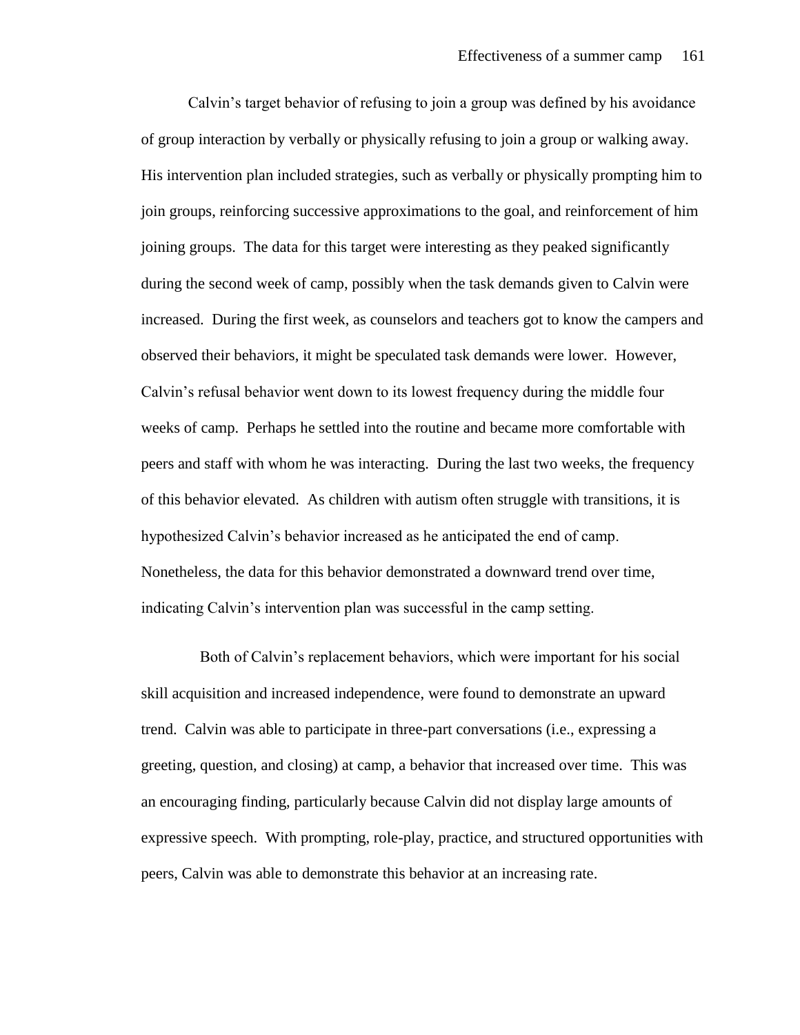Calvin's target behavior of refusing to join a group was defined by his avoidance of group interaction by verbally or physically refusing to join a group or walking away. His intervention plan included strategies, such as verbally or physically prompting him to join groups, reinforcing successive approximations to the goal, and reinforcement of him joining groups. The data for this target were interesting as they peaked significantly during the second week of camp, possibly when the task demands given to Calvin were increased. During the first week, as counselors and teachers got to know the campers and observed their behaviors, it might be speculated task demands were lower. However, Calvin's refusal behavior went down to its lowest frequency during the middle four weeks of camp. Perhaps he settled into the routine and became more comfortable with peers and staff with whom he was interacting. During the last two weeks, the frequency of this behavior elevated. As children with autism often struggle with transitions, it is hypothesized Calvin's behavior increased as he anticipated the end of camp. Nonetheless, the data for this behavior demonstrated a downward trend over time, indicating Calvin's intervention plan was successful in the camp setting.

 Both of Calvin's replacement behaviors, which were important for his social skill acquisition and increased independence, were found to demonstrate an upward trend. Calvin was able to participate in three-part conversations (i.e., expressing a greeting, question, and closing) at camp, a behavior that increased over time. This was an encouraging finding, particularly because Calvin did not display large amounts of expressive speech. With prompting, role-play, practice, and structured opportunities with peers, Calvin was able to demonstrate this behavior at an increasing rate.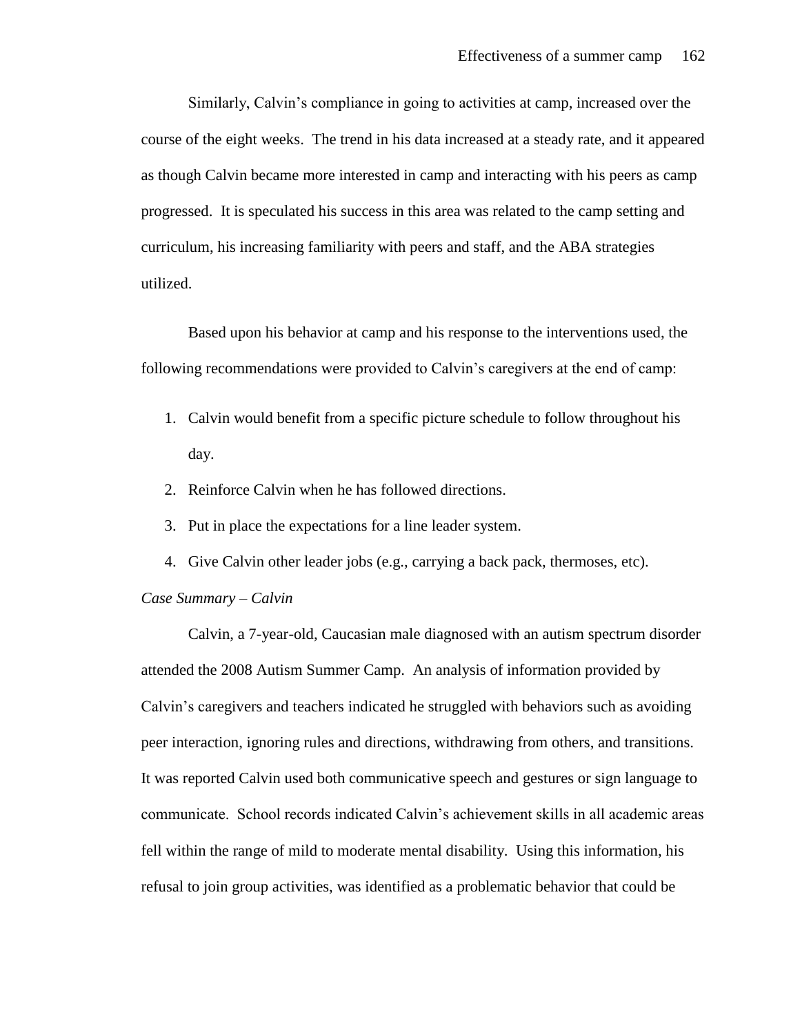Similarly, Calvin's compliance in going to activities at camp, increased over the course of the eight weeks. The trend in his data increased at a steady rate, and it appeared as though Calvin became more interested in camp and interacting with his peers as camp progressed. It is speculated his success in this area was related to the camp setting and curriculum, his increasing familiarity with peers and staff, and the ABA strategies utilized.

Based upon his behavior at camp and his response to the interventions used, the following recommendations were provided to Calvin's caregivers at the end of camp:

- 1. Calvin would benefit from a specific picture schedule to follow throughout his day.
- 2. Reinforce Calvin when he has followed directions.
- 3. Put in place the expectations for a line leader system.
- 4. Give Calvin other leader jobs (e.g., carrying a back pack, thermoses, etc).

#### *Case Summary – Calvin*

Calvin, a 7-year-old, Caucasian male diagnosed with an autism spectrum disorder attended the 2008 Autism Summer Camp. An analysis of information provided by Calvin's caregivers and teachers indicated he struggled with behaviors such as avoiding peer interaction, ignoring rules and directions, withdrawing from others, and transitions. It was reported Calvin used both communicative speech and gestures or sign language to communicate. School records indicated Calvin's achievement skills in all academic areas fell within the range of mild to moderate mental disability. Using this information, his refusal to join group activities, was identified as a problematic behavior that could be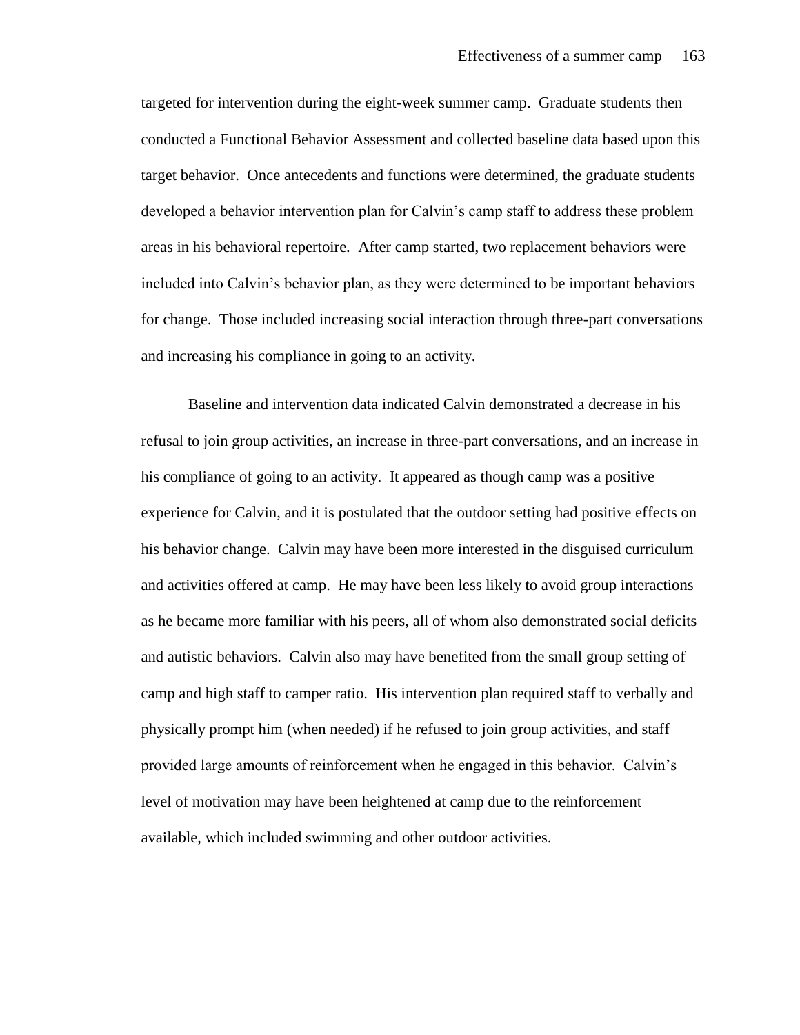targeted for intervention during the eight-week summer camp. Graduate students then conducted a Functional Behavior Assessment and collected baseline data based upon this target behavior. Once antecedents and functions were determined, the graduate students developed a behavior intervention plan for Calvin's camp staff to address these problem areas in his behavioral repertoire. After camp started, two replacement behaviors were included into Calvin's behavior plan, as they were determined to be important behaviors for change. Those included increasing social interaction through three-part conversations and increasing his compliance in going to an activity.

Baseline and intervention data indicated Calvin demonstrated a decrease in his refusal to join group activities, an increase in three-part conversations, and an increase in his compliance of going to an activity. It appeared as though camp was a positive experience for Calvin, and it is postulated that the outdoor setting had positive effects on his behavior change. Calvin may have been more interested in the disguised curriculum and activities offered at camp. He may have been less likely to avoid group interactions as he became more familiar with his peers, all of whom also demonstrated social deficits and autistic behaviors. Calvin also may have benefited from the small group setting of camp and high staff to camper ratio. His intervention plan required staff to verbally and physically prompt him (when needed) if he refused to join group activities, and staff provided large amounts of reinforcement when he engaged in this behavior. Calvin's level of motivation may have been heightened at camp due to the reinforcement available, which included swimming and other outdoor activities.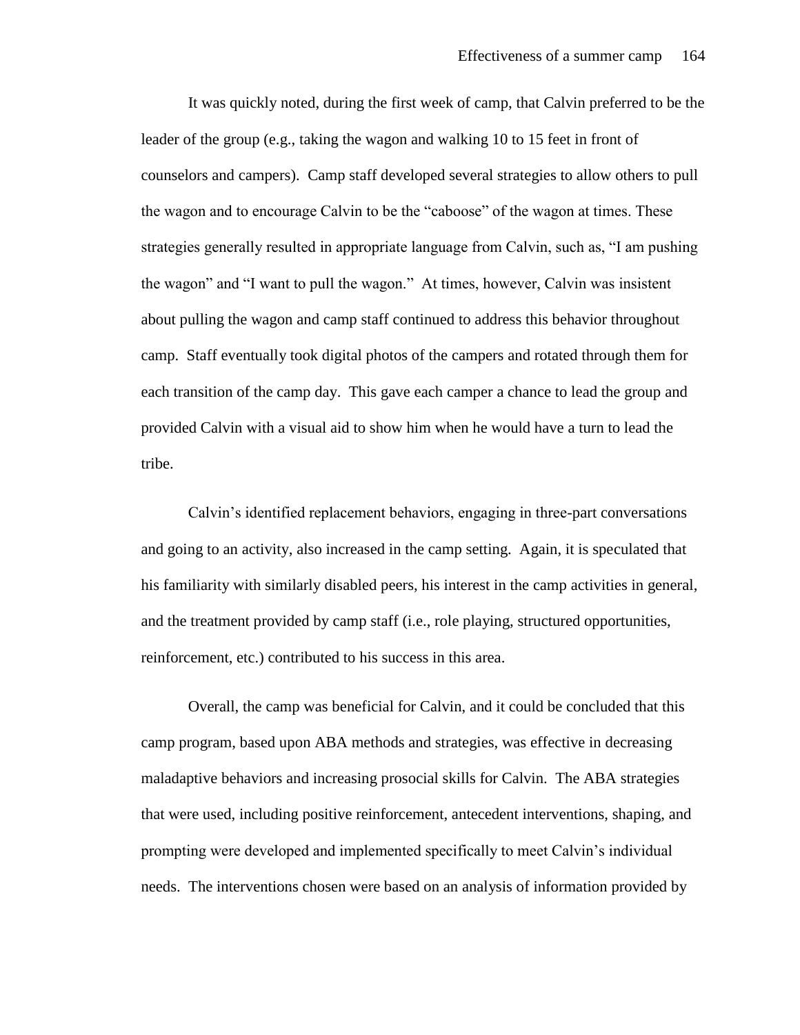It was quickly noted, during the first week of camp, that Calvin preferred to be the leader of the group (e.g., taking the wagon and walking 10 to 15 feet in front of counselors and campers). Camp staff developed several strategies to allow others to pull the wagon and to encourage Calvin to be the "caboose" of the wagon at times. These strategies generally resulted in appropriate language from Calvin, such as, "I am pushing the wagon" and "I want to pull the wagon." At times, however, Calvin was insistent about pulling the wagon and camp staff continued to address this behavior throughout camp. Staff eventually took digital photos of the campers and rotated through them for each transition of the camp day. This gave each camper a chance to lead the group and provided Calvin with a visual aid to show him when he would have a turn to lead the tribe.

Calvin's identified replacement behaviors, engaging in three-part conversations and going to an activity, also increased in the camp setting. Again, it is speculated that his familiarity with similarly disabled peers, his interest in the camp activities in general, and the treatment provided by camp staff (i.e., role playing, structured opportunities, reinforcement, etc.) contributed to his success in this area.

Overall, the camp was beneficial for Calvin, and it could be concluded that this camp program, based upon ABA methods and strategies, was effective in decreasing maladaptive behaviors and increasing prosocial skills for Calvin. The ABA strategies that were used, including positive reinforcement, antecedent interventions, shaping, and prompting were developed and implemented specifically to meet Calvin's individual needs. The interventions chosen were based on an analysis of information provided by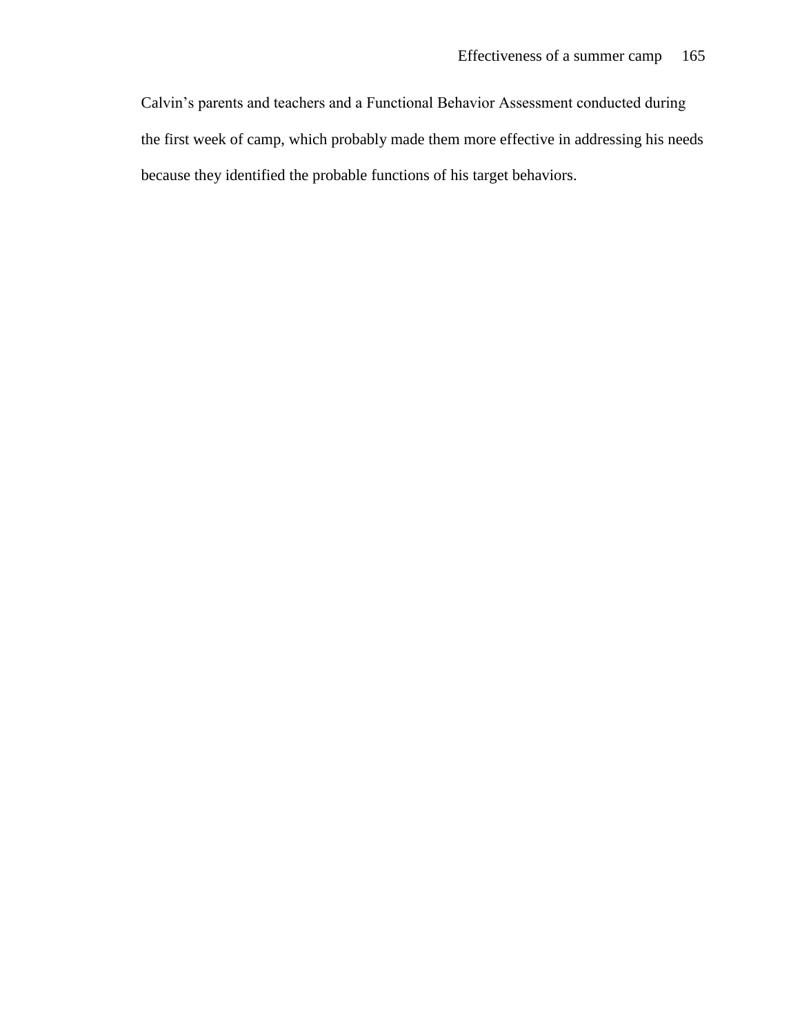Calvin's parents and teachers and a Functional Behavior Assessment conducted during the first week of camp, which probably made them more effective in addressing his needs because they identified the probable functions of his target behaviors.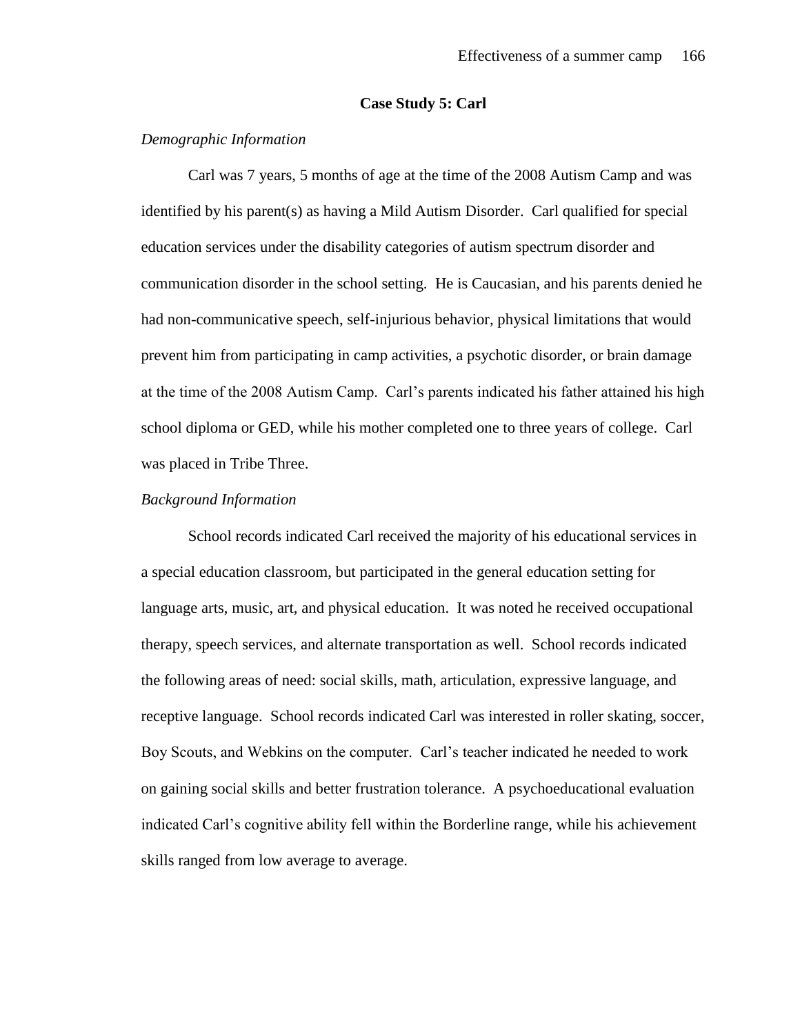### **Case Study 5: Carl**

# *Demographic Information*

Carl was 7 years, 5 months of age at the time of the 2008 Autism Camp and was identified by his parent(s) as having a Mild Autism Disorder. Carl qualified for special education services under the disability categories of autism spectrum disorder and communication disorder in the school setting. He is Caucasian, and his parents denied he had non-communicative speech, self-injurious behavior, physical limitations that would prevent him from participating in camp activities, a psychotic disorder, or brain damage at the time of the 2008 Autism Camp. Carl's parents indicated his father attained his high school diploma or GED, while his mother completed one to three years of college. Carl was placed in Tribe Three.

#### *Background Information*

School records indicated Carl received the majority of his educational services in a special education classroom, but participated in the general education setting for language arts, music, art, and physical education. It was noted he received occupational therapy, speech services, and alternate transportation as well. School records indicated the following areas of need: social skills, math, articulation, expressive language, and receptive language. School records indicated Carl was interested in roller skating, soccer, Boy Scouts, and Webkins on the computer. Carl's teacher indicated he needed to work on gaining social skills and better frustration tolerance. A psychoeducational evaluation indicated Carl's cognitive ability fell within the Borderline range, while his achievement skills ranged from low average to average.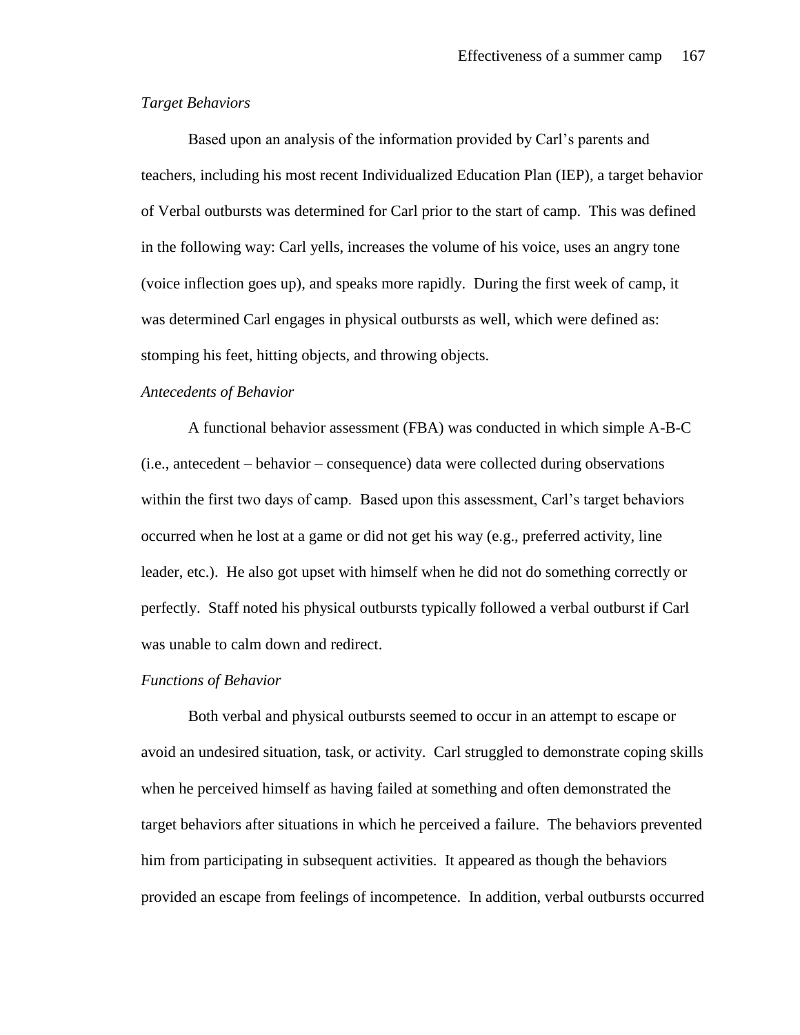# *Target Behaviors*

Based upon an analysis of the information provided by Carl's parents and teachers, including his most recent Individualized Education Plan (IEP), a target behavior of Verbal outbursts was determined for Carl prior to the start of camp. This was defined in the following way: Carl yells, increases the volume of his voice, uses an angry tone (voice inflection goes up), and speaks more rapidly. During the first week of camp, it was determined Carl engages in physical outbursts as well, which were defined as: stomping his feet, hitting objects, and throwing objects.

## *Antecedents of Behavior*

A functional behavior assessment (FBA) was conducted in which simple A-B-C (i.e., antecedent – behavior – consequence) data were collected during observations within the first two days of camp. Based upon this assessment, Carl's target behaviors occurred when he lost at a game or did not get his way (e.g., preferred activity, line leader, etc.). He also got upset with himself when he did not do something correctly or perfectly. Staff noted his physical outbursts typically followed a verbal outburst if Carl was unable to calm down and redirect.

#### *Functions of Behavior*

Both verbal and physical outbursts seemed to occur in an attempt to escape or avoid an undesired situation, task, or activity. Carl struggled to demonstrate coping skills when he perceived himself as having failed at something and often demonstrated the target behaviors after situations in which he perceived a failure. The behaviors prevented him from participating in subsequent activities. It appeared as though the behaviors provided an escape from feelings of incompetence. In addition, verbal outbursts occurred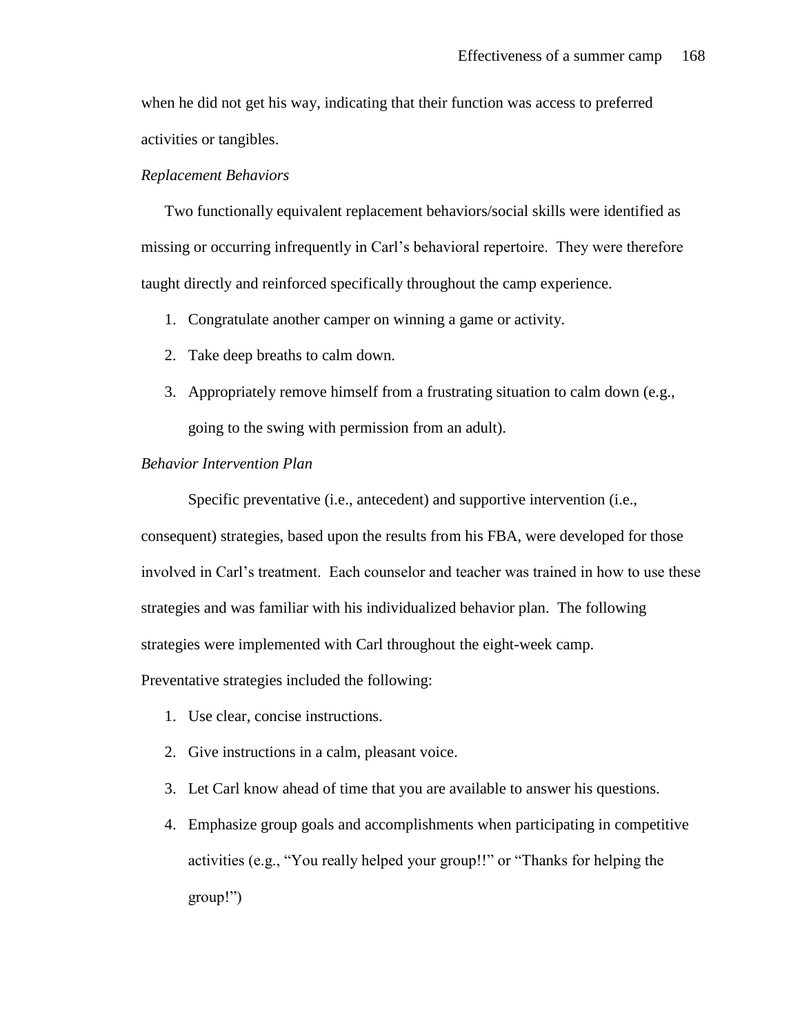when he did not get his way, indicating that their function was access to preferred activities or tangibles.

# *Replacement Behaviors*

Two functionally equivalent replacement behaviors/social skills were identified as missing or occurring infrequently in Carl's behavioral repertoire. They were therefore taught directly and reinforced specifically throughout the camp experience.

- 1. Congratulate another camper on winning a game or activity.
- 2. Take deep breaths to calm down.
- 3. Appropriately remove himself from a frustrating situation to calm down (e.g., going to the swing with permission from an adult).

#### *Behavior Intervention Plan*

Specific preventative (i.e., antecedent) and supportive intervention (i.e.,

consequent) strategies, based upon the results from his FBA, were developed for those involved in Carl's treatment. Each counselor and teacher was trained in how to use these strategies and was familiar with his individualized behavior plan. The following strategies were implemented with Carl throughout the eight-week camp.

Preventative strategies included the following:

- 1. Use clear, concise instructions.
- 2. Give instructions in a calm, pleasant voice.
- 3. Let Carl know ahead of time that you are available to answer his questions.
- 4. Emphasize group goals and accomplishments when participating in competitive activities (e.g., "You really helped your group!!" or "Thanks for helping the group!")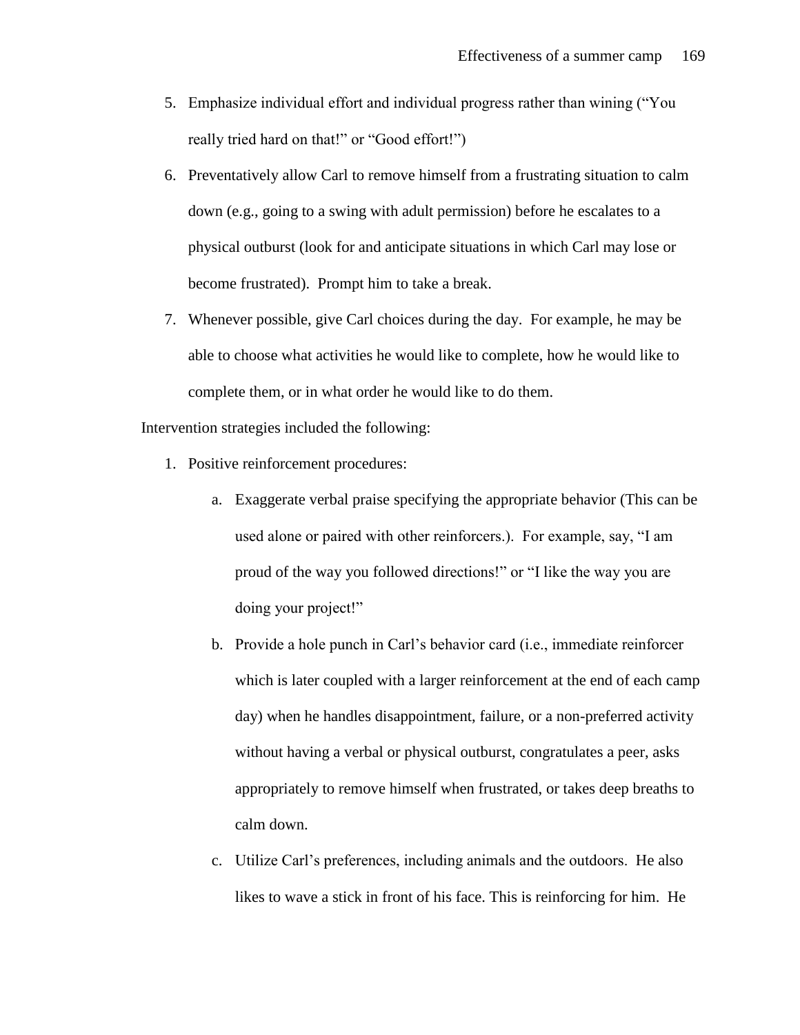- 5. Emphasize individual effort and individual progress rather than wining ("You really tried hard on that!" or "Good effort!")
- 6. Preventatively allow Carl to remove himself from a frustrating situation to calm down (e.g., going to a swing with adult permission) before he escalates to a physical outburst (look for and anticipate situations in which Carl may lose or become frustrated). Prompt him to take a break.
- 7. Whenever possible, give Carl choices during the day. For example, he may be able to choose what activities he would like to complete, how he would like to complete them, or in what order he would like to do them.

Intervention strategies included the following:

- 1. Positive reinforcement procedures:
	- a. Exaggerate verbal praise specifying the appropriate behavior (This can be used alone or paired with other reinforcers.). For example, say, "I am proud of the way you followed directions!" or "I like the way you are doing your project!"
	- b. Provide a hole punch in Carl's behavior card (i.e., immediate reinforcer which is later coupled with a larger reinforcement at the end of each camp day) when he handles disappointment, failure, or a non-preferred activity without having a verbal or physical outburst, congratulates a peer, asks appropriately to remove himself when frustrated, or takes deep breaths to calm down.
	- c. Utilize Carl's preferences, including animals and the outdoors. He also likes to wave a stick in front of his face. This is reinforcing for him. He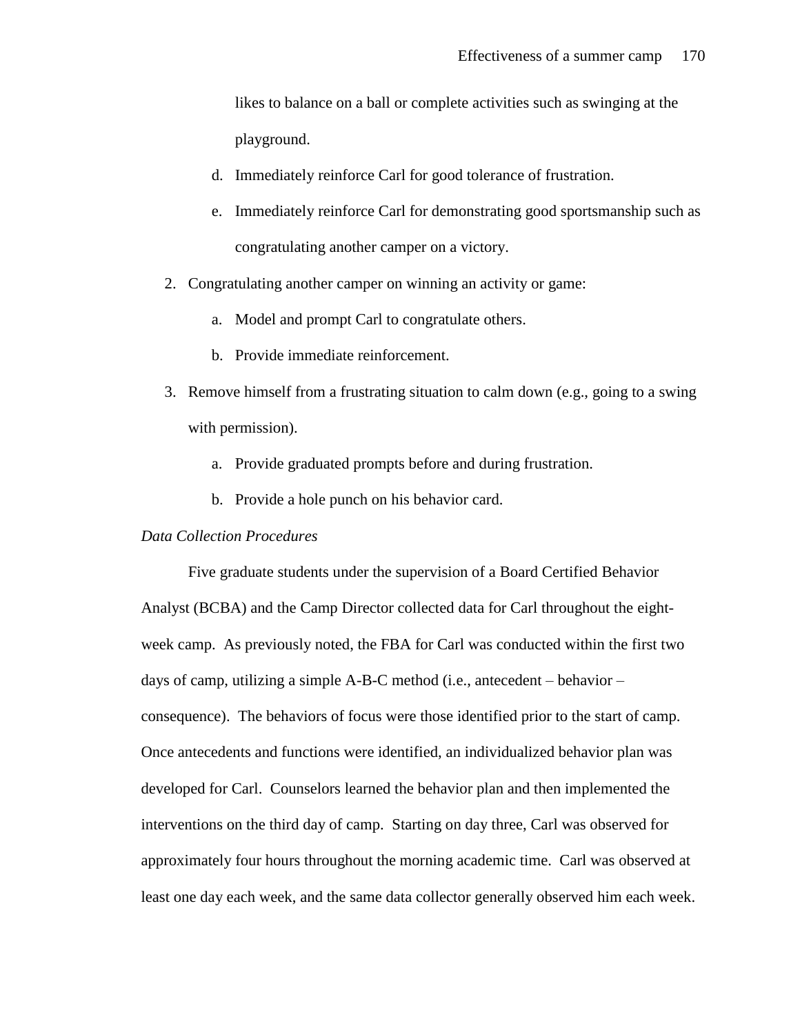likes to balance on a ball or complete activities such as swinging at the playground.

- d. Immediately reinforce Carl for good tolerance of frustration.
- e. Immediately reinforce Carl for demonstrating good sportsmanship such as congratulating another camper on a victory.
- 2. Congratulating another camper on winning an activity or game:
	- a. Model and prompt Carl to congratulate others.
	- b. Provide immediate reinforcement.
- 3. Remove himself from a frustrating situation to calm down (e.g., going to a swing with permission).
	- a. Provide graduated prompts before and during frustration.
	- b. Provide a hole punch on his behavior card.

#### *Data Collection Procedures*

Five graduate students under the supervision of a Board Certified Behavior Analyst (BCBA) and the Camp Director collected data for Carl throughout the eightweek camp. As previously noted, the FBA for Carl was conducted within the first two days of camp, utilizing a simple A-B-C method (i.e., antecedent – behavior – consequence). The behaviors of focus were those identified prior to the start of camp. Once antecedents and functions were identified, an individualized behavior plan was developed for Carl. Counselors learned the behavior plan and then implemented the interventions on the third day of camp. Starting on day three, Carl was observed for approximately four hours throughout the morning academic time. Carl was observed at least one day each week, and the same data collector generally observed him each week.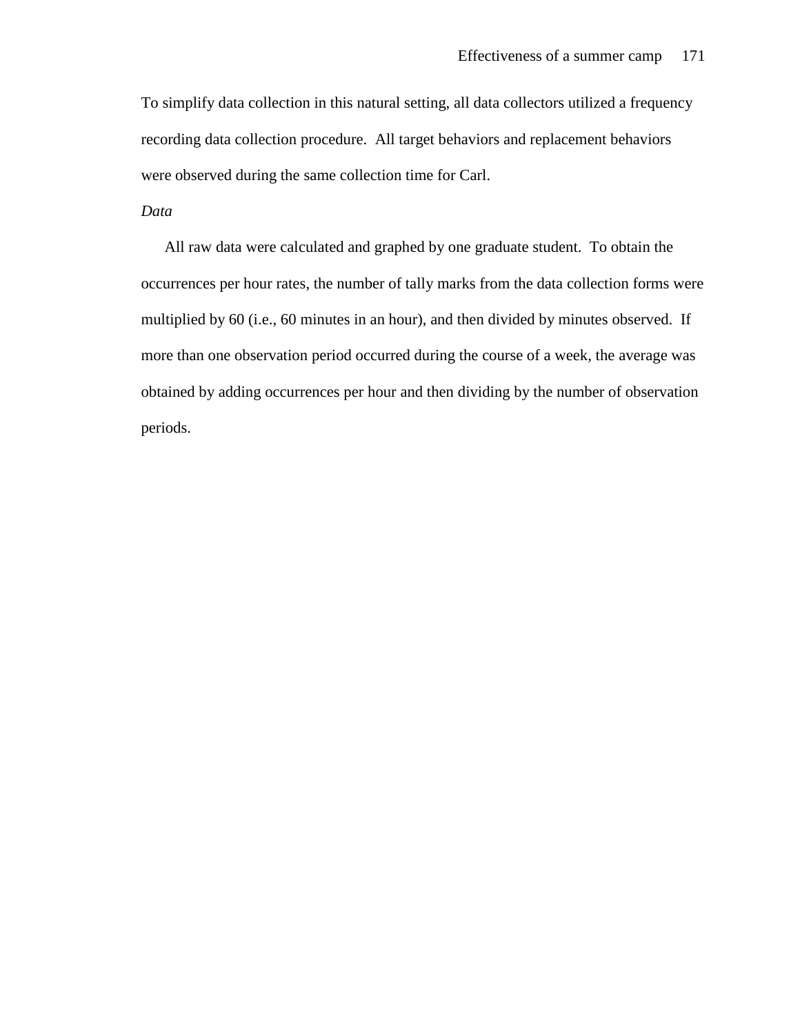To simplify data collection in this natural setting, all data collectors utilized a frequency recording data collection procedure. All target behaviors and replacement behaviors were observed during the same collection time for Carl.

# *Data*

All raw data were calculated and graphed by one graduate student. To obtain the occurrences per hour rates, the number of tally marks from the data collection forms were multiplied by 60 (i.e., 60 minutes in an hour), and then divided by minutes observed. If more than one observation period occurred during the course of a week, the average was obtained by adding occurrences per hour and then dividing by the number of observation periods.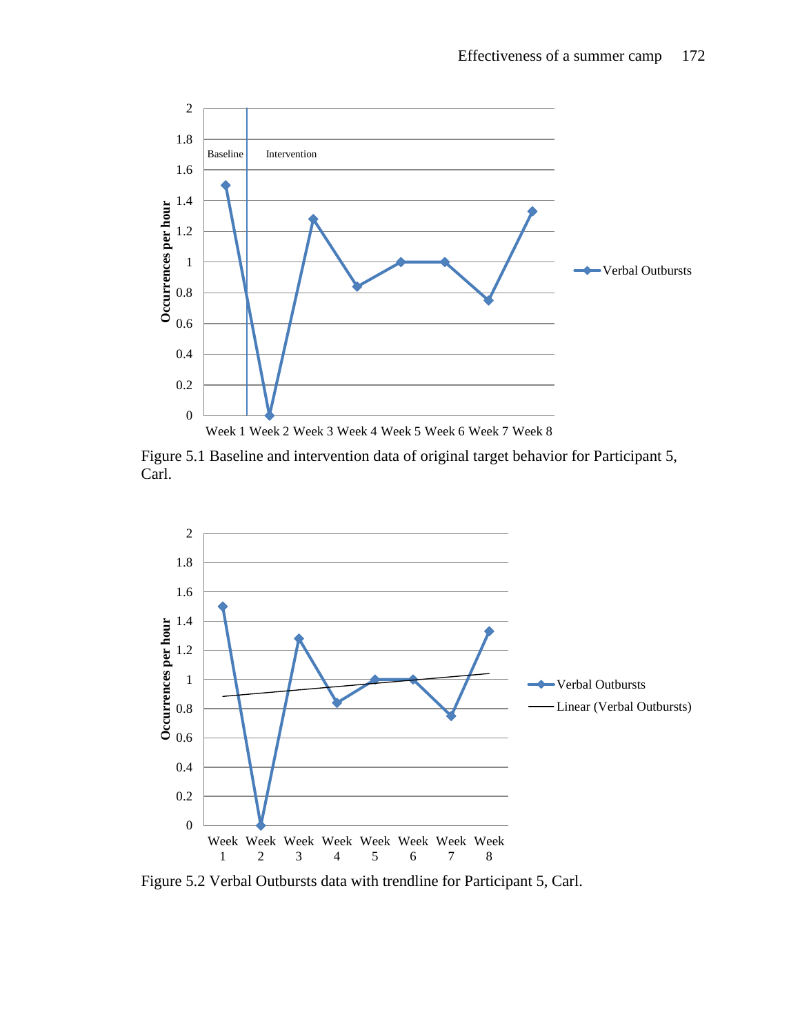

Figure 5.1 Baseline and intervention data of original target behavior for Participant 5, Carl.



Figure 5.2 Verbal Outbursts data with trendline for Participant 5, Carl.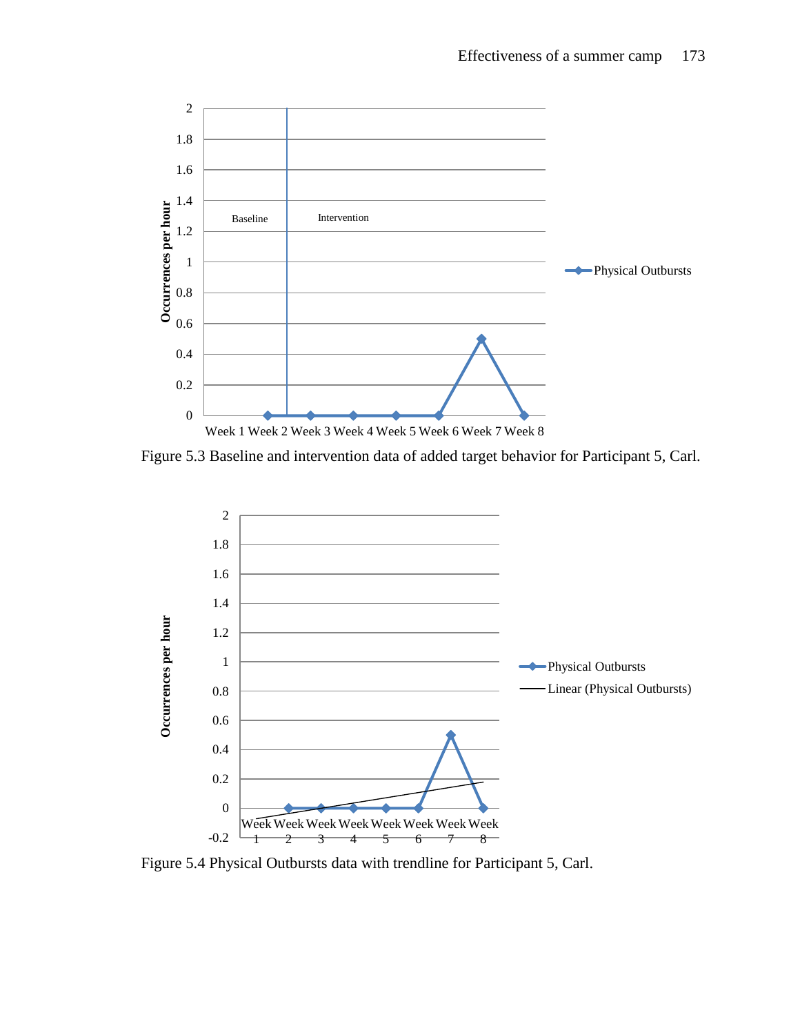

Figure 5.3 Baseline and intervention data of added target behavior for Participant 5, Carl.



Figure 5.4 Physical Outbursts data with trendline for Participant 5, Carl.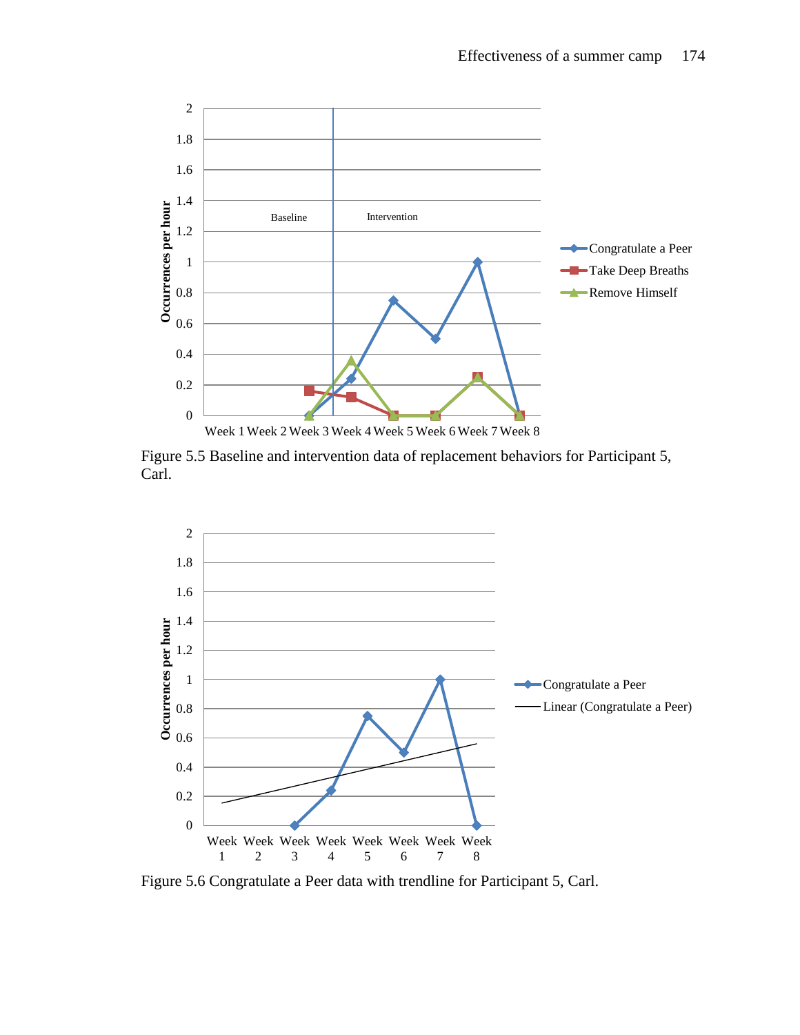

Figure 5.5 Baseline and intervention data of replacement behaviors for Participant 5, Carl.



Figure 5.6 Congratulate a Peer data with trendline for Participant 5, Carl.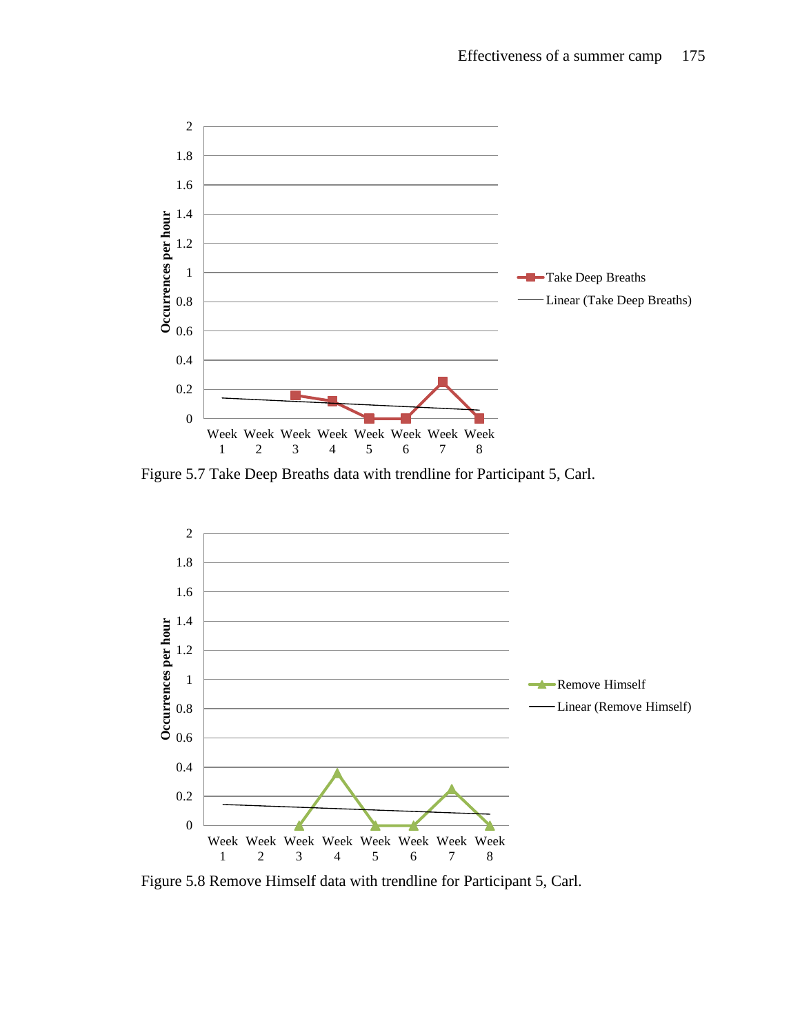

Figure 5.7 Take Deep Breaths data with trendline for Participant 5, Carl.



Figure 5.8 Remove Himself data with trendline for Participant 5, Carl.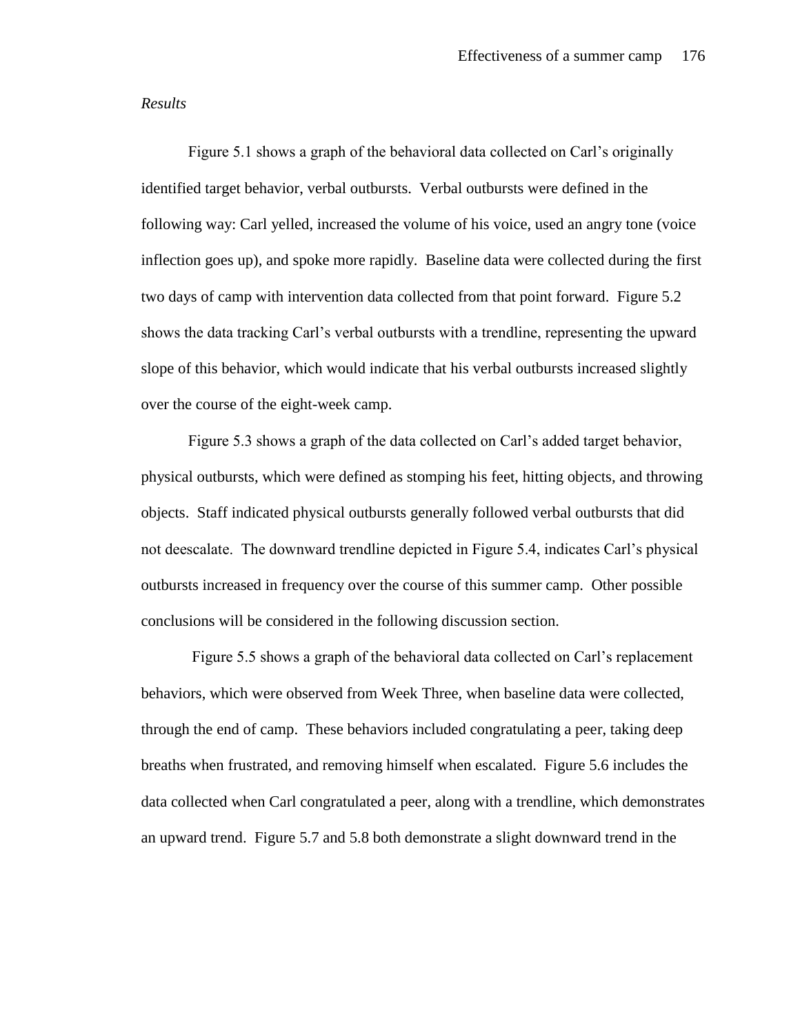#### *Results*

Figure 5.1 shows a graph of the behavioral data collected on Carl's originally identified target behavior, verbal outbursts. Verbal outbursts were defined in the following way: Carl yelled, increased the volume of his voice, used an angry tone (voice inflection goes up), and spoke more rapidly. Baseline data were collected during the first two days of camp with intervention data collected from that point forward. Figure 5.2 shows the data tracking Carl's verbal outbursts with a trendline, representing the upward slope of this behavior, which would indicate that his verbal outbursts increased slightly over the course of the eight-week camp.

Figure 5.3 shows a graph of the data collected on Carl's added target behavior, physical outbursts, which were defined as stomping his feet, hitting objects, and throwing objects. Staff indicated physical outbursts generally followed verbal outbursts that did not deescalate. The downward trendline depicted in Figure 5.4, indicates Carl's physical outbursts increased in frequency over the course of this summer camp. Other possible conclusions will be considered in the following discussion section.

Figure 5.5 shows a graph of the behavioral data collected on Carl's replacement behaviors, which were observed from Week Three, when baseline data were collected, through the end of camp. These behaviors included congratulating a peer, taking deep breaths when frustrated, and removing himself when escalated. Figure 5.6 includes the data collected when Carl congratulated a peer, along with a trendline, which demonstrates an upward trend. Figure 5.7 and 5.8 both demonstrate a slight downward trend in the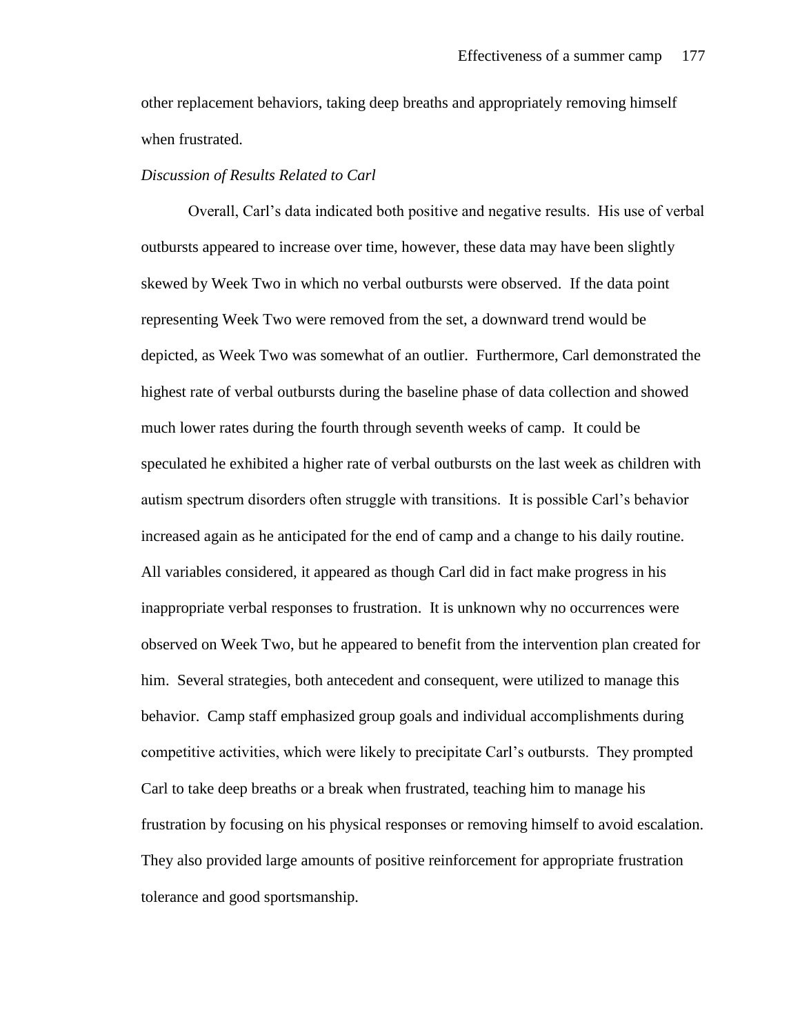other replacement behaviors, taking deep breaths and appropriately removing himself when frustrated.

### *Discussion of Results Related to Carl*

Overall, Carl's data indicated both positive and negative results. His use of verbal outbursts appeared to increase over time, however, these data may have been slightly skewed by Week Two in which no verbal outbursts were observed. If the data point representing Week Two were removed from the set, a downward trend would be depicted, as Week Two was somewhat of an outlier. Furthermore, Carl demonstrated the highest rate of verbal outbursts during the baseline phase of data collection and showed much lower rates during the fourth through seventh weeks of camp. It could be speculated he exhibited a higher rate of verbal outbursts on the last week as children with autism spectrum disorders often struggle with transitions. It is possible Carl's behavior increased again as he anticipated for the end of camp and a change to his daily routine. All variables considered, it appeared as though Carl did in fact make progress in his inappropriate verbal responses to frustration. It is unknown why no occurrences were observed on Week Two, but he appeared to benefit from the intervention plan created for him. Several strategies, both antecedent and consequent, were utilized to manage this behavior. Camp staff emphasized group goals and individual accomplishments during competitive activities, which were likely to precipitate Carl's outbursts. They prompted Carl to take deep breaths or a break when frustrated, teaching him to manage his frustration by focusing on his physical responses or removing himself to avoid escalation. They also provided large amounts of positive reinforcement for appropriate frustration tolerance and good sportsmanship.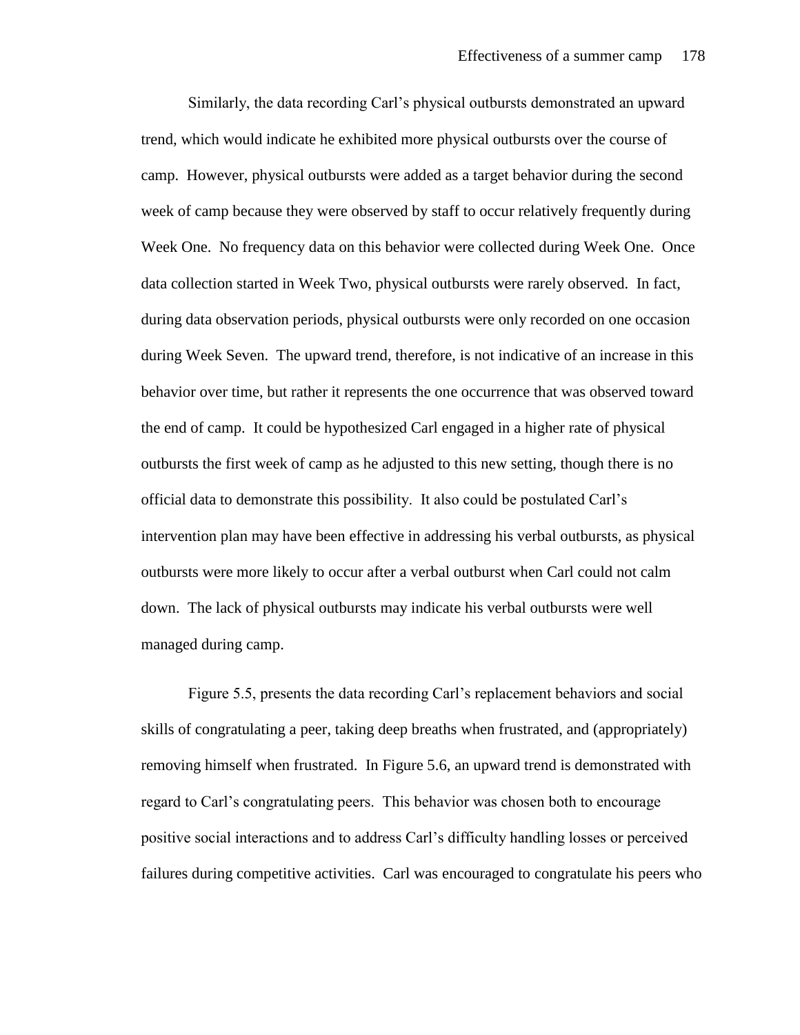Similarly, the data recording Carl's physical outbursts demonstrated an upward trend, which would indicate he exhibited more physical outbursts over the course of camp. However, physical outbursts were added as a target behavior during the second week of camp because they were observed by staff to occur relatively frequently during Week One. No frequency data on this behavior were collected during Week One. Once data collection started in Week Two, physical outbursts were rarely observed. In fact, during data observation periods, physical outbursts were only recorded on one occasion during Week Seven. The upward trend, therefore, is not indicative of an increase in this behavior over time, but rather it represents the one occurrence that was observed toward the end of camp. It could be hypothesized Carl engaged in a higher rate of physical outbursts the first week of camp as he adjusted to this new setting, though there is no official data to demonstrate this possibility. It also could be postulated Carl's intervention plan may have been effective in addressing his verbal outbursts, as physical outbursts were more likely to occur after a verbal outburst when Carl could not calm down. The lack of physical outbursts may indicate his verbal outbursts were well managed during camp.

Figure 5.5, presents the data recording Carl's replacement behaviors and social skills of congratulating a peer, taking deep breaths when frustrated, and (appropriately) removing himself when frustrated. In Figure 5.6, an upward trend is demonstrated with regard to Carl's congratulating peers. This behavior was chosen both to encourage positive social interactions and to address Carl's difficulty handling losses or perceived failures during competitive activities. Carl was encouraged to congratulate his peers who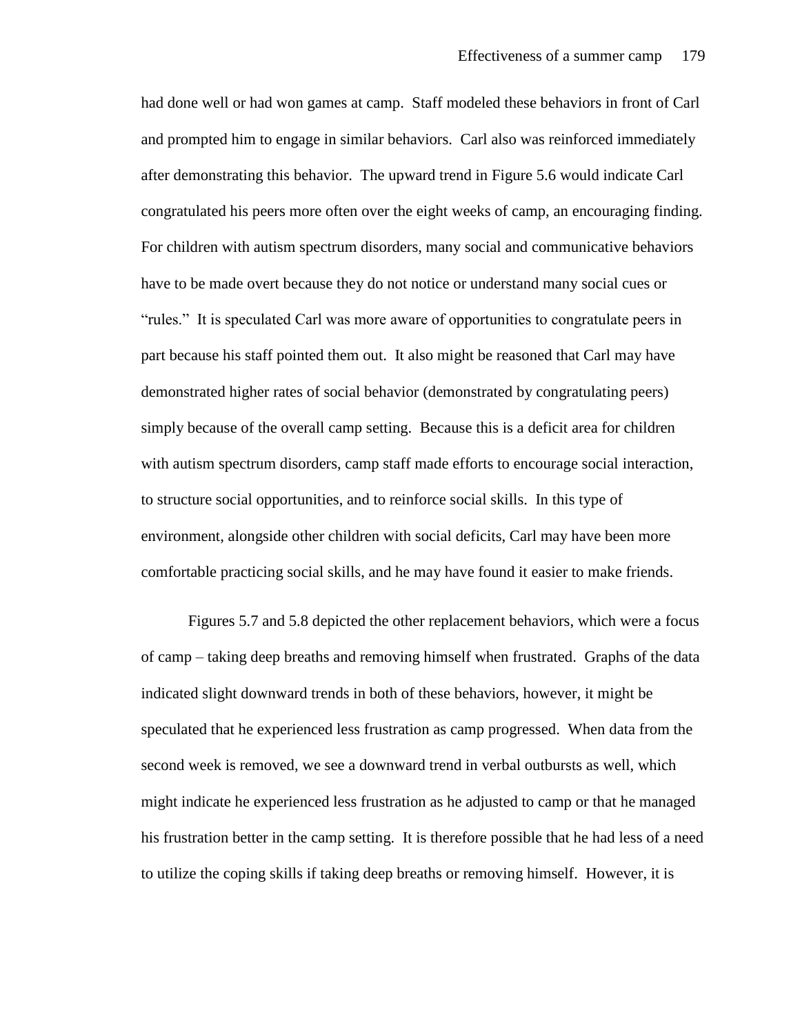had done well or had won games at camp. Staff modeled these behaviors in front of Carl and prompted him to engage in similar behaviors. Carl also was reinforced immediately after demonstrating this behavior. The upward trend in Figure 5.6 would indicate Carl congratulated his peers more often over the eight weeks of camp, an encouraging finding. For children with autism spectrum disorders, many social and communicative behaviors have to be made overt because they do not notice or understand many social cues or "rules." It is speculated Carl was more aware of opportunities to congratulate peers in part because his staff pointed them out. It also might be reasoned that Carl may have demonstrated higher rates of social behavior (demonstrated by congratulating peers) simply because of the overall camp setting. Because this is a deficit area for children with autism spectrum disorders, camp staff made efforts to encourage social interaction, to structure social opportunities, and to reinforce social skills. In this type of environment, alongside other children with social deficits, Carl may have been more comfortable practicing social skills, and he may have found it easier to make friends.

Figures 5.7 and 5.8 depicted the other replacement behaviors, which were a focus of camp – taking deep breaths and removing himself when frustrated. Graphs of the data indicated slight downward trends in both of these behaviors, however, it might be speculated that he experienced less frustration as camp progressed. When data from the second week is removed, we see a downward trend in verbal outbursts as well, which might indicate he experienced less frustration as he adjusted to camp or that he managed his frustration better in the camp setting. It is therefore possible that he had less of a need to utilize the coping skills if taking deep breaths or removing himself. However, it is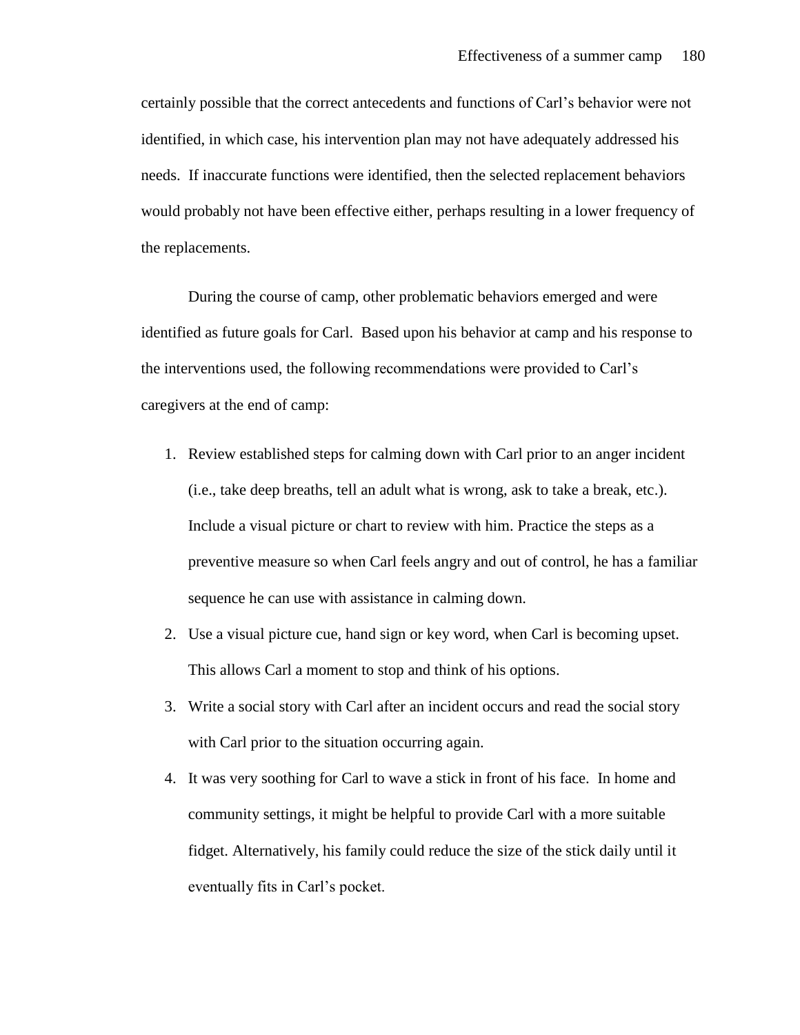certainly possible that the correct antecedents and functions of Carl's behavior were not identified, in which case, his intervention plan may not have adequately addressed his needs. If inaccurate functions were identified, then the selected replacement behaviors would probably not have been effective either, perhaps resulting in a lower frequency of the replacements.

During the course of camp, other problematic behaviors emerged and were identified as future goals for Carl. Based upon his behavior at camp and his response to the interventions used, the following recommendations were provided to Carl's caregivers at the end of camp:

- 1. Review established steps for calming down with Carl prior to an anger incident (i.e., take deep breaths, tell an adult what is wrong, ask to take a break, etc.). Include a visual picture or chart to review with him. Practice the steps as a preventive measure so when Carl feels angry and out of control, he has a familiar sequence he can use with assistance in calming down.
- 2. Use a visual picture cue, hand sign or key word, when Carl is becoming upset. This allows Carl a moment to stop and think of his options.
- 3. Write a social story with Carl after an incident occurs and read the social story with Carl prior to the situation occurring again.
- 4. It was very soothing for Carl to wave a stick in front of his face. In home and community settings, it might be helpful to provide Carl with a more suitable fidget. Alternatively, his family could reduce the size of the stick daily until it eventually fits in Carl's pocket.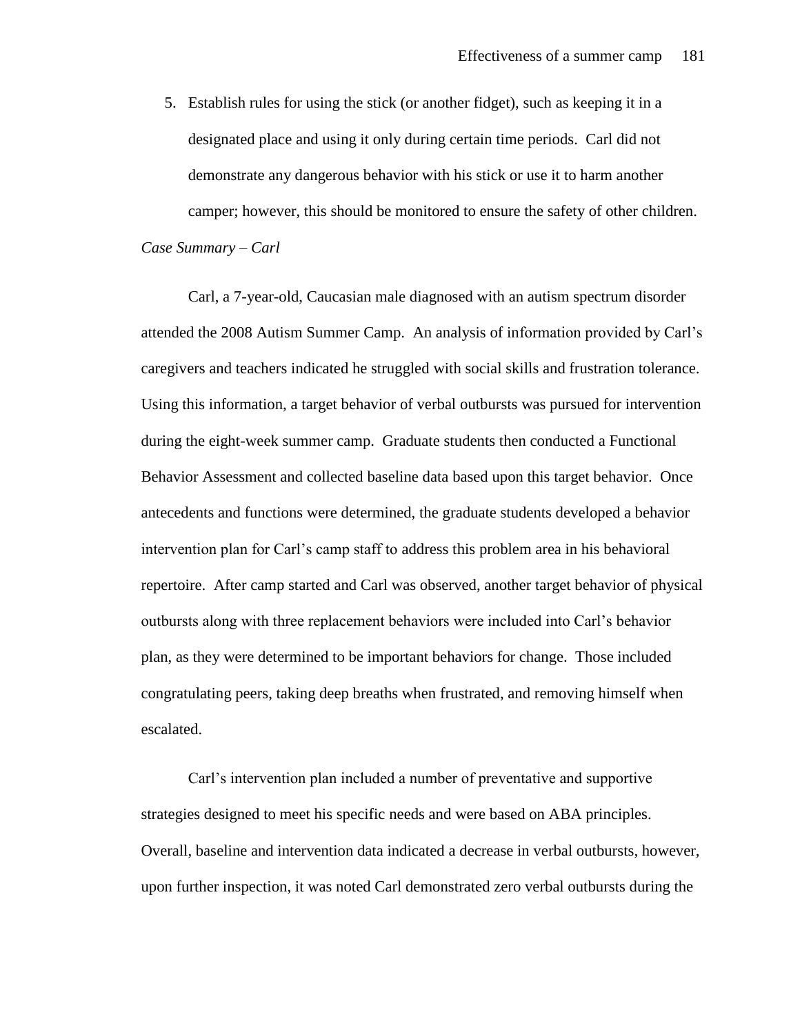5. Establish rules for using the stick (or another fidget), such as keeping it in a designated place and using it only during certain time periods. Carl did not demonstrate any dangerous behavior with his stick or use it to harm another camper; however, this should be monitored to ensure the safety of other children. *Case Summary – Carl* 

Carl, a 7-year-old, Caucasian male diagnosed with an autism spectrum disorder attended the 2008 Autism Summer Camp. An analysis of information provided by Carl's caregivers and teachers indicated he struggled with social skills and frustration tolerance. Using this information, a target behavior of verbal outbursts was pursued for intervention during the eight-week summer camp. Graduate students then conducted a Functional Behavior Assessment and collected baseline data based upon this target behavior. Once antecedents and functions were determined, the graduate students developed a behavior intervention plan for Carl's camp staff to address this problem area in his behavioral repertoire. After camp started and Carl was observed, another target behavior of physical outbursts along with three replacement behaviors were included into Carl's behavior plan, as they were determined to be important behaviors for change. Those included congratulating peers, taking deep breaths when frustrated, and removing himself when escalated.

Carl's intervention plan included a number of preventative and supportive strategies designed to meet his specific needs and were based on ABA principles. Overall, baseline and intervention data indicated a decrease in verbal outbursts, however, upon further inspection, it was noted Carl demonstrated zero verbal outbursts during the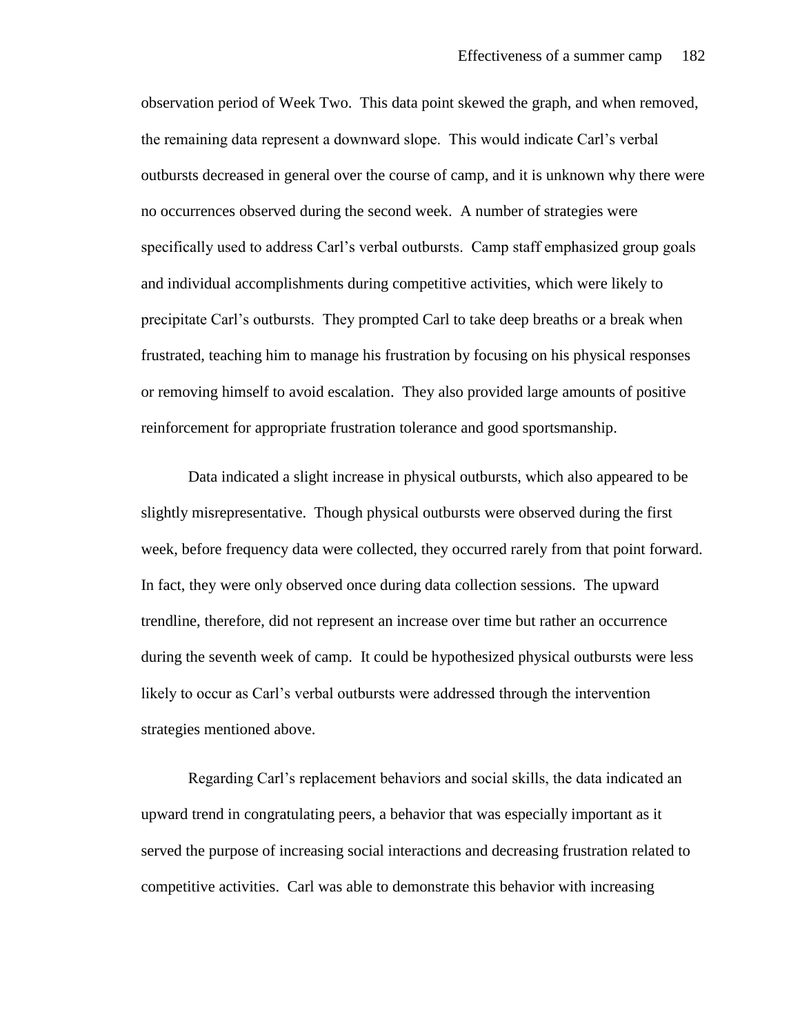observation period of Week Two. This data point skewed the graph, and when removed, the remaining data represent a downward slope. This would indicate Carl's verbal outbursts decreased in general over the course of camp, and it is unknown why there were no occurrences observed during the second week. A number of strategies were specifically used to address Carl's verbal outbursts. Camp staff emphasized group goals and individual accomplishments during competitive activities, which were likely to precipitate Carl's outbursts. They prompted Carl to take deep breaths or a break when frustrated, teaching him to manage his frustration by focusing on his physical responses or removing himself to avoid escalation. They also provided large amounts of positive reinforcement for appropriate frustration tolerance and good sportsmanship.

Data indicated a slight increase in physical outbursts, which also appeared to be slightly misrepresentative. Though physical outbursts were observed during the first week, before frequency data were collected, they occurred rarely from that point forward. In fact, they were only observed once during data collection sessions. The upward trendline, therefore, did not represent an increase over time but rather an occurrence during the seventh week of camp. It could be hypothesized physical outbursts were less likely to occur as Carl's verbal outbursts were addressed through the intervention strategies mentioned above.

Regarding Carl's replacement behaviors and social skills, the data indicated an upward trend in congratulating peers, a behavior that was especially important as it served the purpose of increasing social interactions and decreasing frustration related to competitive activities. Carl was able to demonstrate this behavior with increasing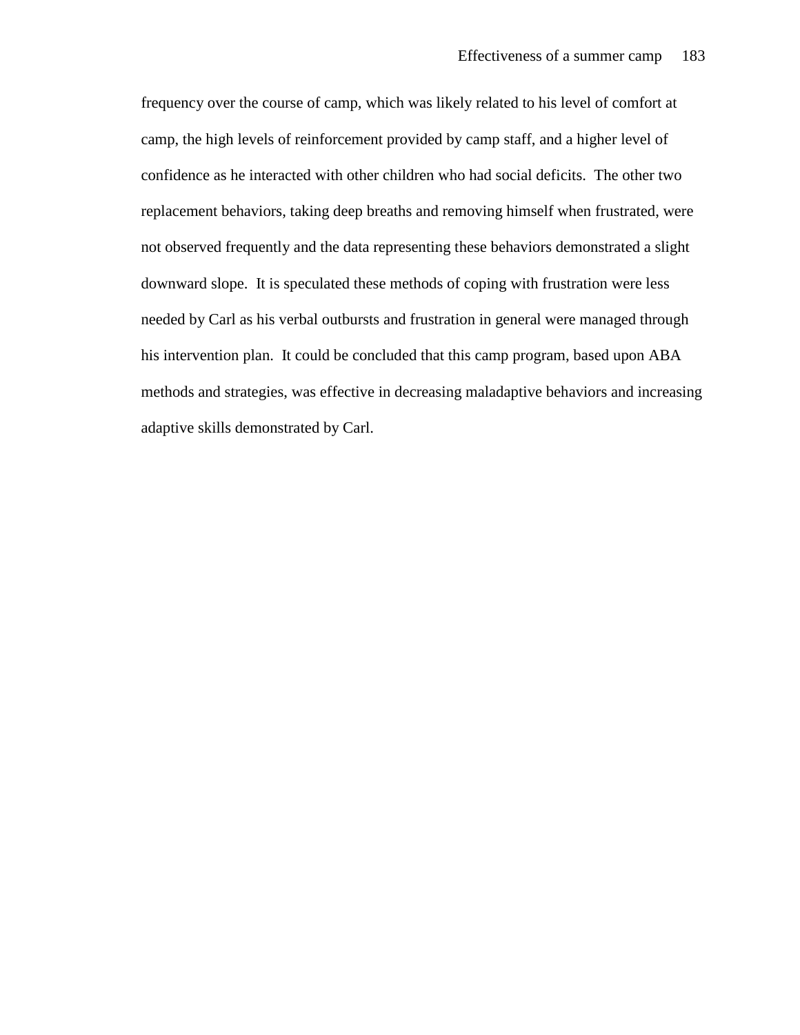frequency over the course of camp, which was likely related to his level of comfort at camp, the high levels of reinforcement provided by camp staff, and a higher level of confidence as he interacted with other children who had social deficits. The other two replacement behaviors, taking deep breaths and removing himself when frustrated, were not observed frequently and the data representing these behaviors demonstrated a slight downward slope. It is speculated these methods of coping with frustration were less needed by Carl as his verbal outbursts and frustration in general were managed through his intervention plan. It could be concluded that this camp program, based upon ABA methods and strategies, was effective in decreasing maladaptive behaviors and increasing adaptive skills demonstrated by Carl.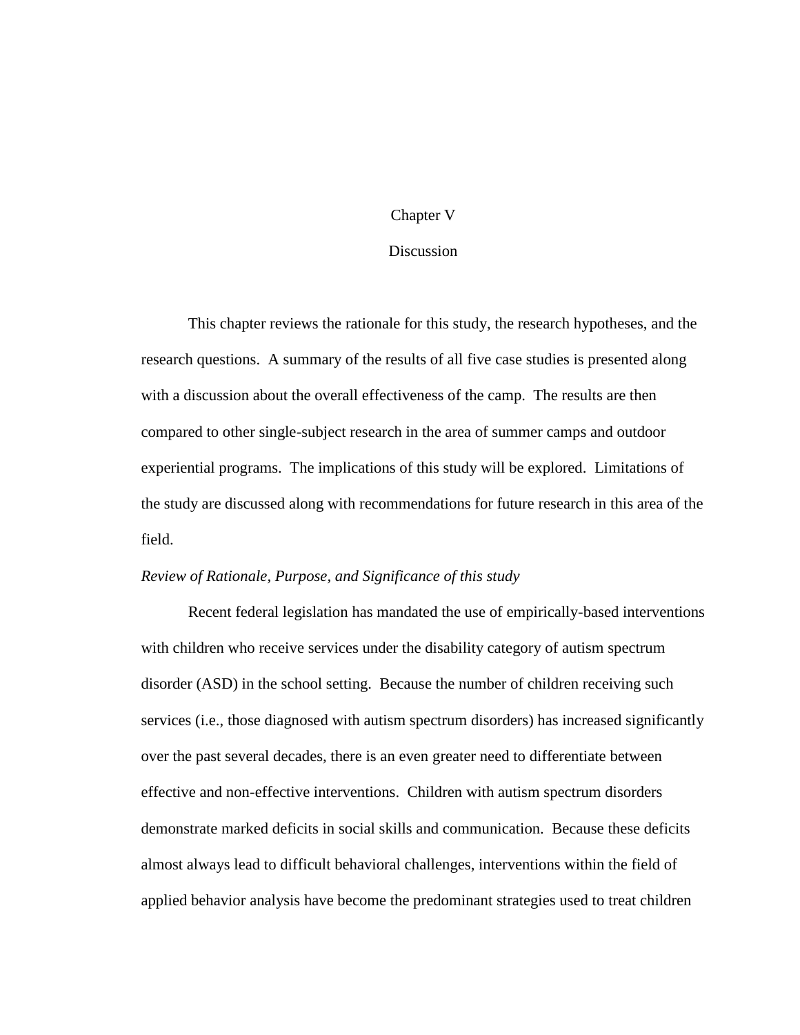## Chapter V

#### **Discussion**

This chapter reviews the rationale for this study, the research hypotheses, and the research questions. A summary of the results of all five case studies is presented along with a discussion about the overall effectiveness of the camp. The results are then compared to other single-subject research in the area of summer camps and outdoor experiential programs. The implications of this study will be explored. Limitations of the study are discussed along with recommendations for future research in this area of the field.

### *Review of Rationale, Purpose, and Significance of this study*

Recent federal legislation has mandated the use of empirically-based interventions with children who receive services under the disability category of autism spectrum disorder (ASD) in the school setting. Because the number of children receiving such services (i.e., those diagnosed with autism spectrum disorders) has increased significantly over the past several decades, there is an even greater need to differentiate between effective and non-effective interventions. Children with autism spectrum disorders demonstrate marked deficits in social skills and communication. Because these deficits almost always lead to difficult behavioral challenges, interventions within the field of applied behavior analysis have become the predominant strategies used to treat children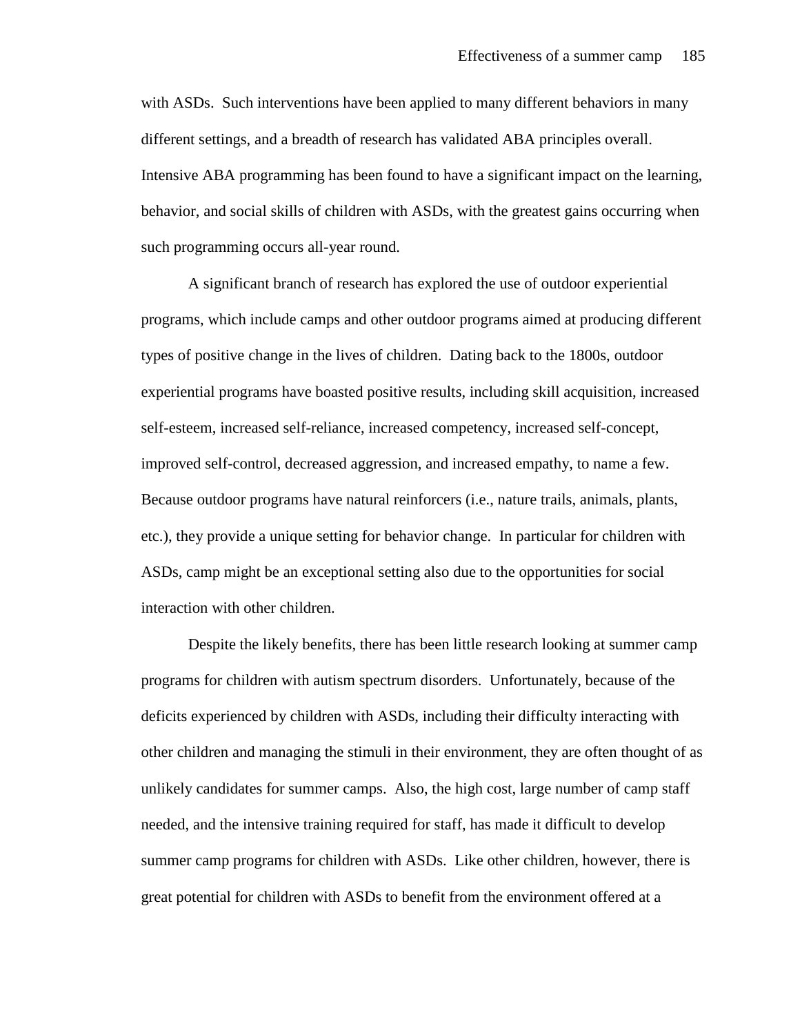with ASDs. Such interventions have been applied to many different behaviors in many different settings, and a breadth of research has validated ABA principles overall. Intensive ABA programming has been found to have a significant impact on the learning, behavior, and social skills of children with ASDs, with the greatest gains occurring when such programming occurs all-year round.

A significant branch of research has explored the use of outdoor experiential programs, which include camps and other outdoor programs aimed at producing different types of positive change in the lives of children. Dating back to the 1800s, outdoor experiential programs have boasted positive results, including skill acquisition, increased self-esteem, increased self-reliance, increased competency, increased self-concept, improved self-control, decreased aggression, and increased empathy, to name a few. Because outdoor programs have natural reinforcers (i.e., nature trails, animals, plants, etc.), they provide a unique setting for behavior change. In particular for children with ASDs, camp might be an exceptional setting also due to the opportunities for social interaction with other children.

Despite the likely benefits, there has been little research looking at summer camp programs for children with autism spectrum disorders. Unfortunately, because of the deficits experienced by children with ASDs, including their difficulty interacting with other children and managing the stimuli in their environment, they are often thought of as unlikely candidates for summer camps. Also, the high cost, large number of camp staff needed, and the intensive training required for staff, has made it difficult to develop summer camp programs for children with ASDs. Like other children, however, there is great potential for children with ASDs to benefit from the environment offered at a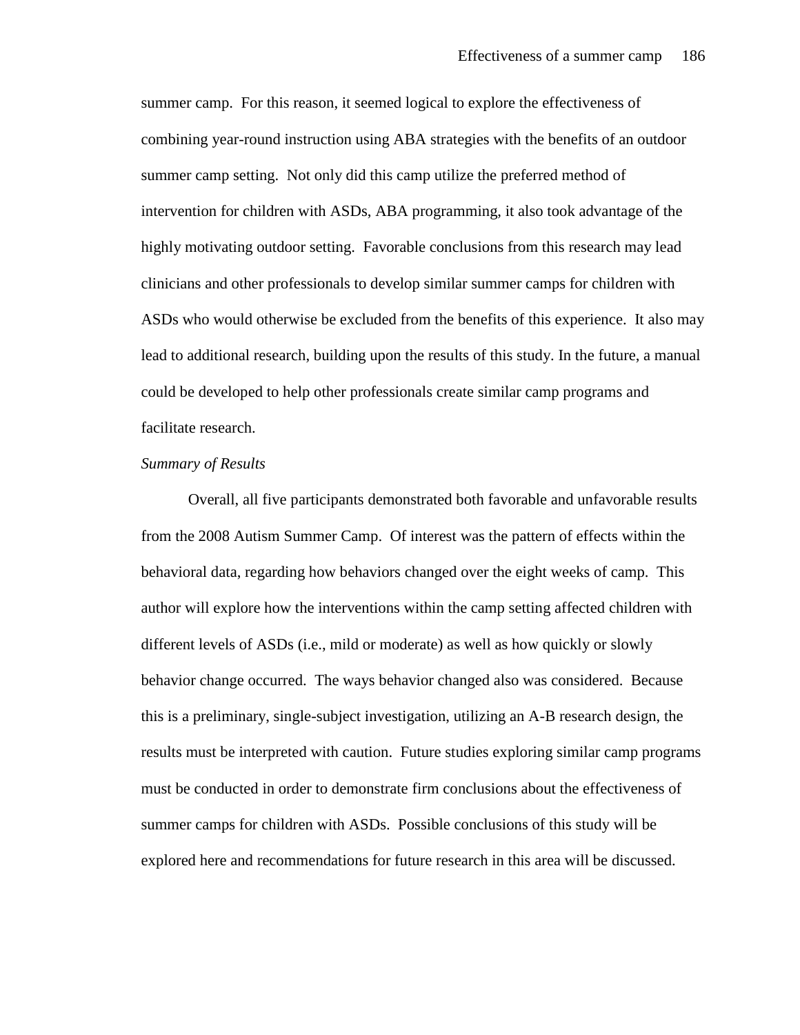summer camp. For this reason, it seemed logical to explore the effectiveness of combining year-round instruction using ABA strategies with the benefits of an outdoor summer camp setting. Not only did this camp utilize the preferred method of intervention for children with ASDs, ABA programming, it also took advantage of the highly motivating outdoor setting. Favorable conclusions from this research may lead clinicians and other professionals to develop similar summer camps for children with ASDs who would otherwise be excluded from the benefits of this experience. It also may lead to additional research, building upon the results of this study. In the future, a manual could be developed to help other professionals create similar camp programs and facilitate research.

#### *Summary of Results*

Overall, all five participants demonstrated both favorable and unfavorable results from the 2008 Autism Summer Camp. Of interest was the pattern of effects within the behavioral data, regarding how behaviors changed over the eight weeks of camp. This author will explore how the interventions within the camp setting affected children with different levels of ASDs (i.e., mild or moderate) as well as how quickly or slowly behavior change occurred. The ways behavior changed also was considered. Because this is a preliminary, single-subject investigation, utilizing an A-B research design, the results must be interpreted with caution. Future studies exploring similar camp programs must be conducted in order to demonstrate firm conclusions about the effectiveness of summer camps for children with ASDs. Possible conclusions of this study will be explored here and recommendations for future research in this area will be discussed.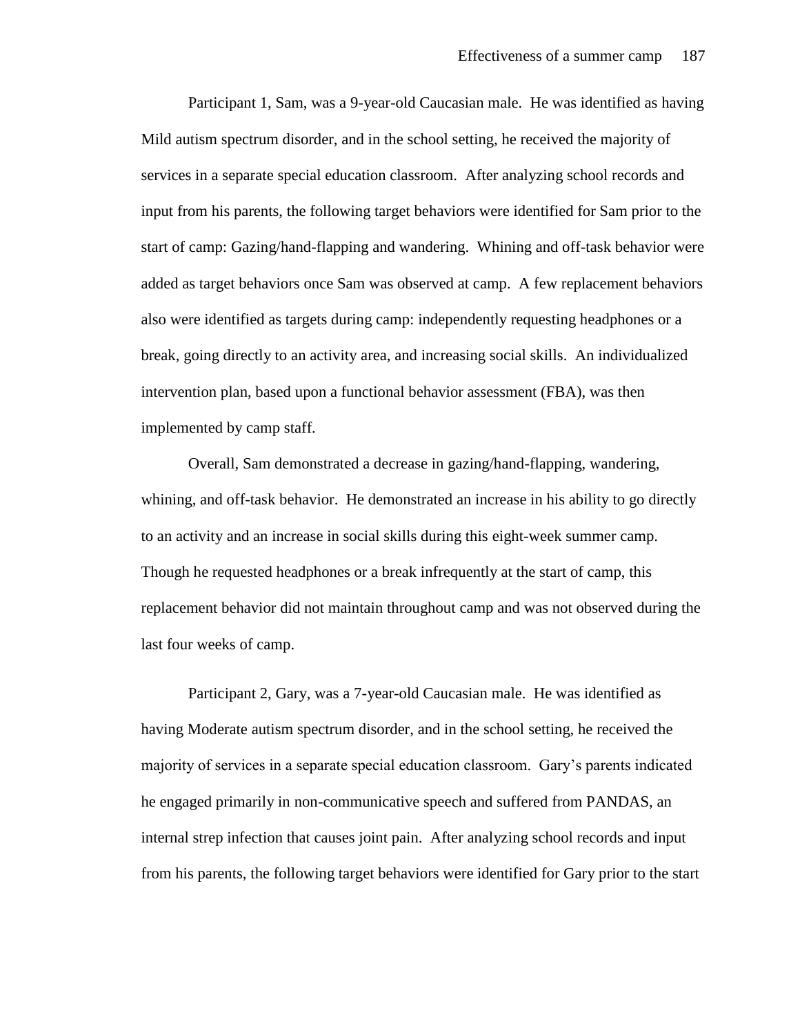Participant 1, Sam, was a 9-year-old Caucasian male. He was identified as having Mild autism spectrum disorder, and in the school setting, he received the majority of services in a separate special education classroom. After analyzing school records and input from his parents, the following target behaviors were identified for Sam prior to the start of camp: Gazing/hand-flapping and wandering. Whining and off-task behavior were added as target behaviors once Sam was observed at camp. A few replacement behaviors also were identified as targets during camp: independently requesting headphones or a break, going directly to an activity area, and increasing social skills. An individualized intervention plan, based upon a functional behavior assessment (FBA), was then implemented by camp staff.

Overall, Sam demonstrated a decrease in gazing/hand-flapping, wandering, whining, and off-task behavior. He demonstrated an increase in his ability to go directly to an activity and an increase in social skills during this eight-week summer camp. Though he requested headphones or a break infrequently at the start of camp, this replacement behavior did not maintain throughout camp and was not observed during the last four weeks of camp.

 Participant 2, Gary, was a 7-year-old Caucasian male. He was identified as having Moderate autism spectrum disorder, and in the school setting, he received the majority of services in a separate special education classroom. Gary's parents indicated he engaged primarily in non-communicative speech and suffered from PANDAS, an internal strep infection that causes joint pain. After analyzing school records and input from his parents, the following target behaviors were identified for Gary prior to the start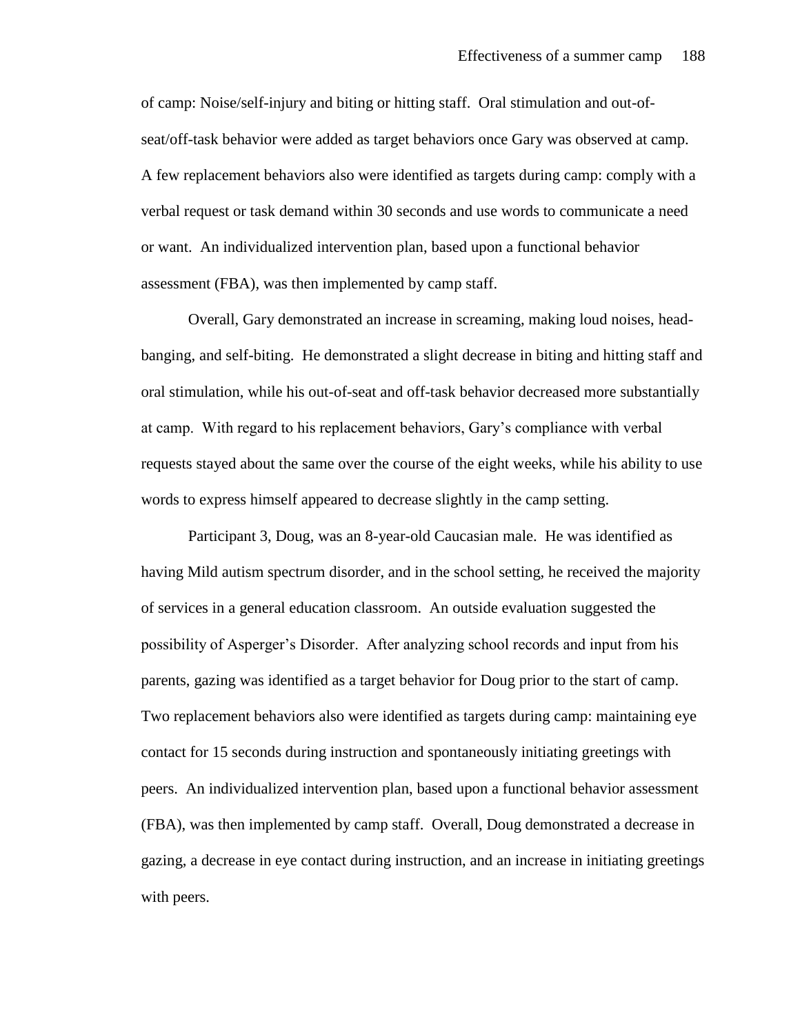of camp: Noise/self-injury and biting or hitting staff. Oral stimulation and out-ofseat/off-task behavior were added as target behaviors once Gary was observed at camp. A few replacement behaviors also were identified as targets during camp: comply with a verbal request or task demand within 30 seconds and use words to communicate a need or want. An individualized intervention plan, based upon a functional behavior assessment (FBA), was then implemented by camp staff.

Overall, Gary demonstrated an increase in screaming, making loud noises, headbanging, and self-biting. He demonstrated a slight decrease in biting and hitting staff and oral stimulation, while his out-of-seat and off-task behavior decreased more substantially at camp. With regard to his replacement behaviors, Gary's compliance with verbal requests stayed about the same over the course of the eight weeks, while his ability to use words to express himself appeared to decrease slightly in the camp setting.

Participant 3, Doug, was an 8-year-old Caucasian male. He was identified as having Mild autism spectrum disorder, and in the school setting, he received the majority of services in a general education classroom. An outside evaluation suggested the possibility of Asperger's Disorder. After analyzing school records and input from his parents, gazing was identified as a target behavior for Doug prior to the start of camp. Two replacement behaviors also were identified as targets during camp: maintaining eye contact for 15 seconds during instruction and spontaneously initiating greetings with peers. An individualized intervention plan, based upon a functional behavior assessment (FBA), was then implemented by camp staff. Overall, Doug demonstrated a decrease in gazing, a decrease in eye contact during instruction, and an increase in initiating greetings with peers.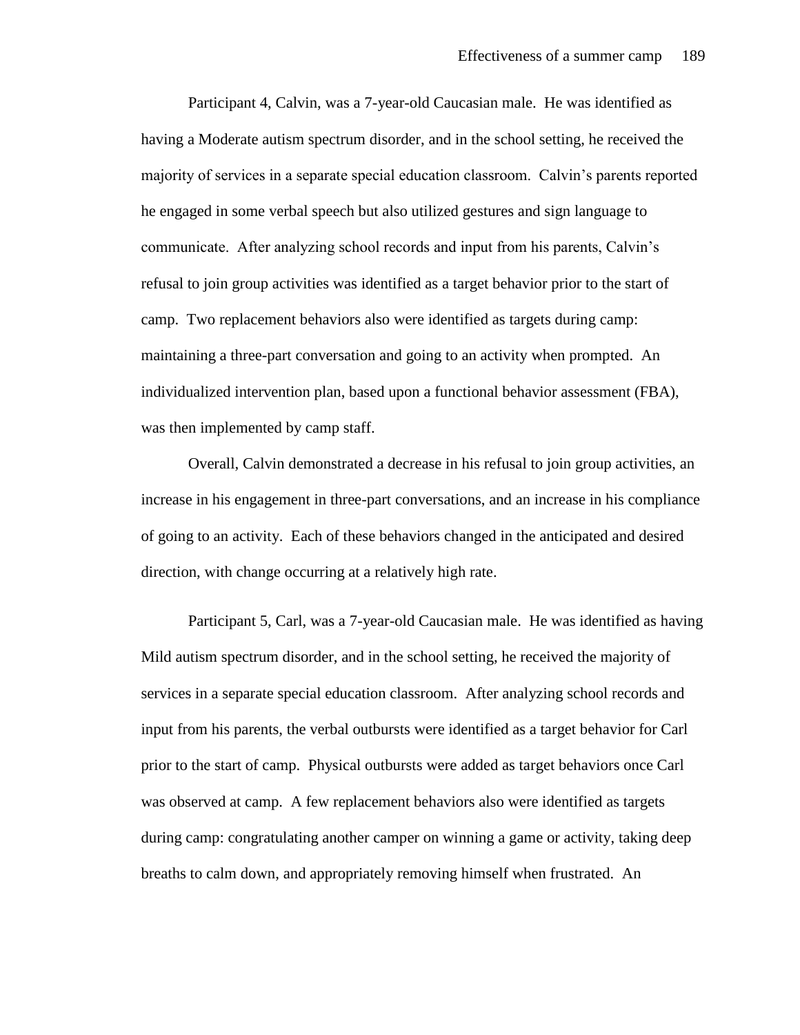Participant 4, Calvin, was a 7-year-old Caucasian male. He was identified as having a Moderate autism spectrum disorder, and in the school setting, he received the majority of services in a separate special education classroom. Calvin's parents reported he engaged in some verbal speech but also utilized gestures and sign language to communicate. After analyzing school records and input from his parents, Calvin's refusal to join group activities was identified as a target behavior prior to the start of camp. Two replacement behaviors also were identified as targets during camp: maintaining a three-part conversation and going to an activity when prompted. An individualized intervention plan, based upon a functional behavior assessment (FBA), was then implemented by camp staff.

Overall, Calvin demonstrated a decrease in his refusal to join group activities, an increase in his engagement in three-part conversations, and an increase in his compliance of going to an activity. Each of these behaviors changed in the anticipated and desired direction, with change occurring at a relatively high rate.

Participant 5, Carl, was a 7-year-old Caucasian male. He was identified as having Mild autism spectrum disorder, and in the school setting, he received the majority of services in a separate special education classroom. After analyzing school records and input from his parents, the verbal outbursts were identified as a target behavior for Carl prior to the start of camp. Physical outbursts were added as target behaviors once Carl was observed at camp. A few replacement behaviors also were identified as targets during camp: congratulating another camper on winning a game or activity, taking deep breaths to calm down, and appropriately removing himself when frustrated. An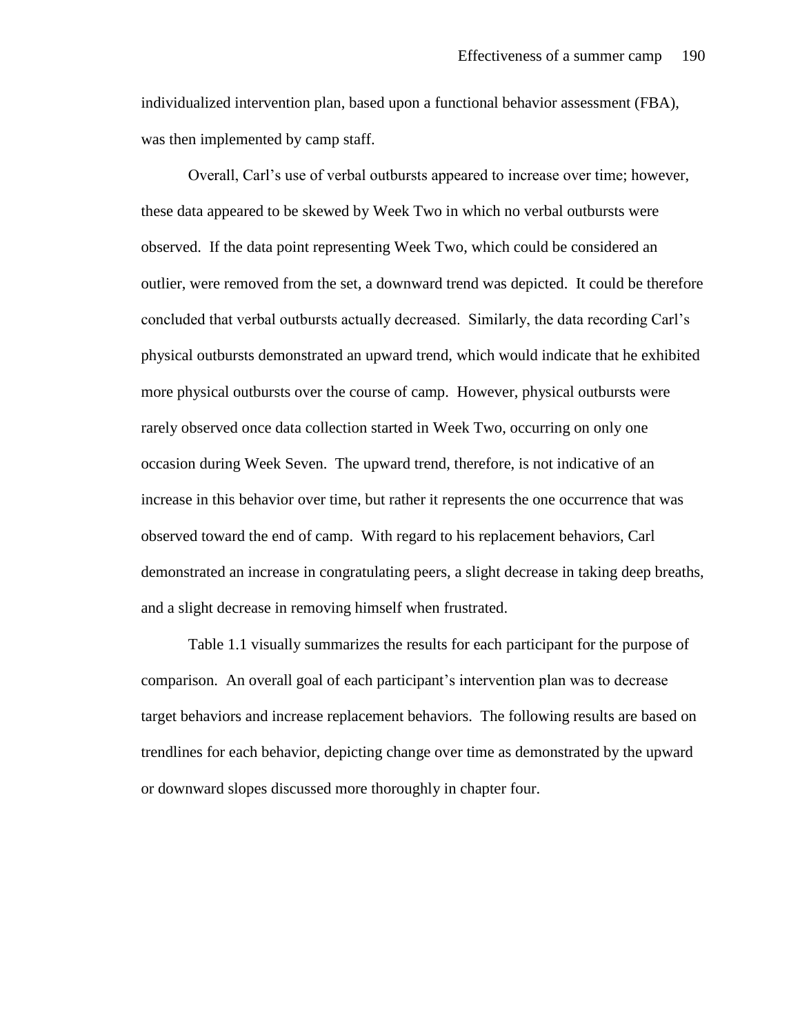individualized intervention plan, based upon a functional behavior assessment (FBA), was then implemented by camp staff.

Overall, Carl's use of verbal outbursts appeared to increase over time; however, these data appeared to be skewed by Week Two in which no verbal outbursts were observed. If the data point representing Week Two, which could be considered an outlier, were removed from the set, a downward trend was depicted. It could be therefore concluded that verbal outbursts actually decreased. Similarly, the data recording Carl's physical outbursts demonstrated an upward trend, which would indicate that he exhibited more physical outbursts over the course of camp. However, physical outbursts were rarely observed once data collection started in Week Two, occurring on only one occasion during Week Seven. The upward trend, therefore, is not indicative of an increase in this behavior over time, but rather it represents the one occurrence that was observed toward the end of camp. With regard to his replacement behaviors, Carl demonstrated an increase in congratulating peers, a slight decrease in taking deep breaths, and a slight decrease in removing himself when frustrated.

Table 1.1 visually summarizes the results for each participant for the purpose of comparison. An overall goal of each participant's intervention plan was to decrease target behaviors and increase replacement behaviors. The following results are based on trendlines for each behavior, depicting change over time as demonstrated by the upward or downward slopes discussed more thoroughly in chapter four.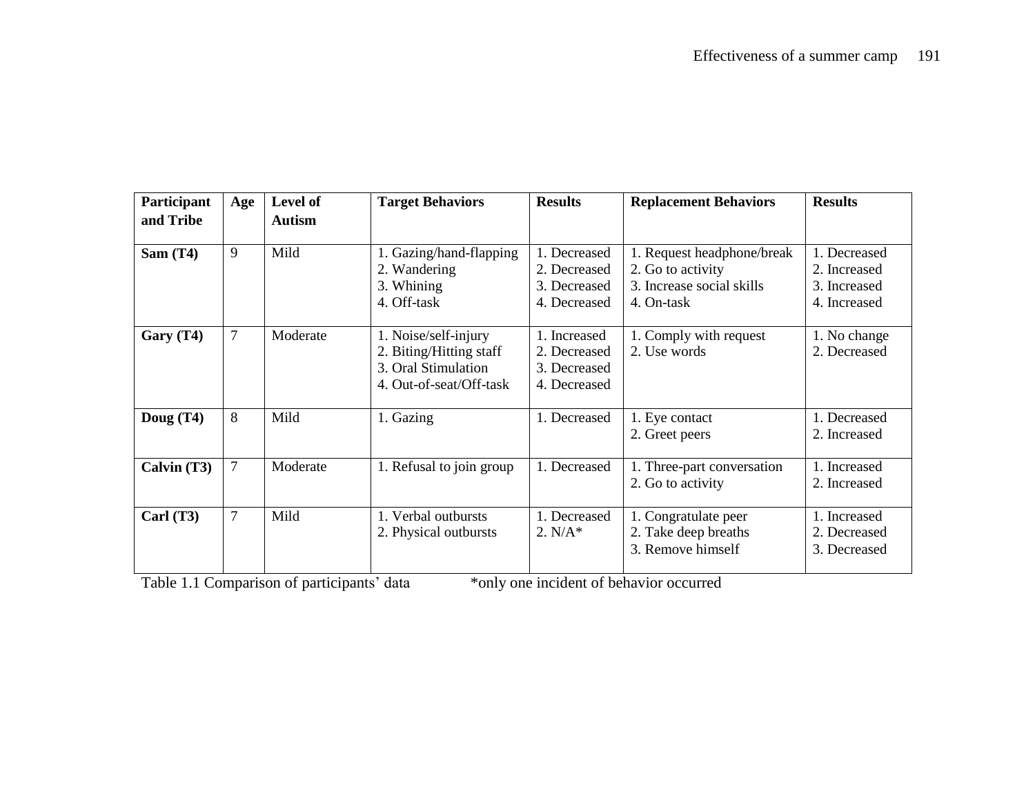| Participant   | Age | <b>Level of</b> | <b>Target Behaviors</b>                                                                           | <b>Results</b>                                               | <b>Replacement Behaviors</b>                                                               | <b>Results</b>                                               |
|---------------|-----|-----------------|---------------------------------------------------------------------------------------------------|--------------------------------------------------------------|--------------------------------------------------------------------------------------------|--------------------------------------------------------------|
| and Tribe     |     | <b>Autism</b>   |                                                                                                   |                                                              |                                                                                            |                                                              |
| Sam (T4)      | 9   | Mild            | 1. Gazing/hand-flapping<br>2. Wandering<br>3. Whining<br>4. Off-task                              | 1. Decreased<br>2. Decreased<br>3. Decreased<br>4. Decreased | 1. Request headphone/break<br>2. Go to activity<br>3. Increase social skills<br>4. On-task | 1. Decreased<br>2. Increased<br>3. Increased<br>4. Increased |
| Gary (T4)     | 7   | Moderate        | 1. Noise/self-injury<br>2. Biting/Hitting staff<br>3. Oral Stimulation<br>4. Out-of-seat/Off-task | 1. Increased<br>2. Decreased<br>3. Decreased<br>4. Decreased | 1. Comply with request<br>2. Use words                                                     | 1. No change<br>2. Decreased                                 |
| Doug $(T4)$   | 8   | Mild            | 1. Gazing                                                                                         | 1. Decreased                                                 | 1. Eye contact<br>2. Greet peers                                                           | 1. Decreased<br>2. Increased                                 |
| Calvin $(T3)$ | 7   | Moderate        | 1. Refusal to join group                                                                          | 1. Decreased                                                 | 1. Three-part conversation<br>2. Go to activity                                            | 1. Increased<br>2. Increased                                 |
| Carl $(T3)$   | 7   | Mild            | 1. Verbal outbursts<br>2. Physical outbursts                                                      | 1. Decreased<br>$2. N/A*$                                    | 1. Congratulate peer<br>2. Take deep breaths<br>3. Remove himself                          | 1. Increased<br>2. Decreased<br>3. Decreased                 |

Table 1.1 Comparison of participants' data \*only one incident of behavior occurred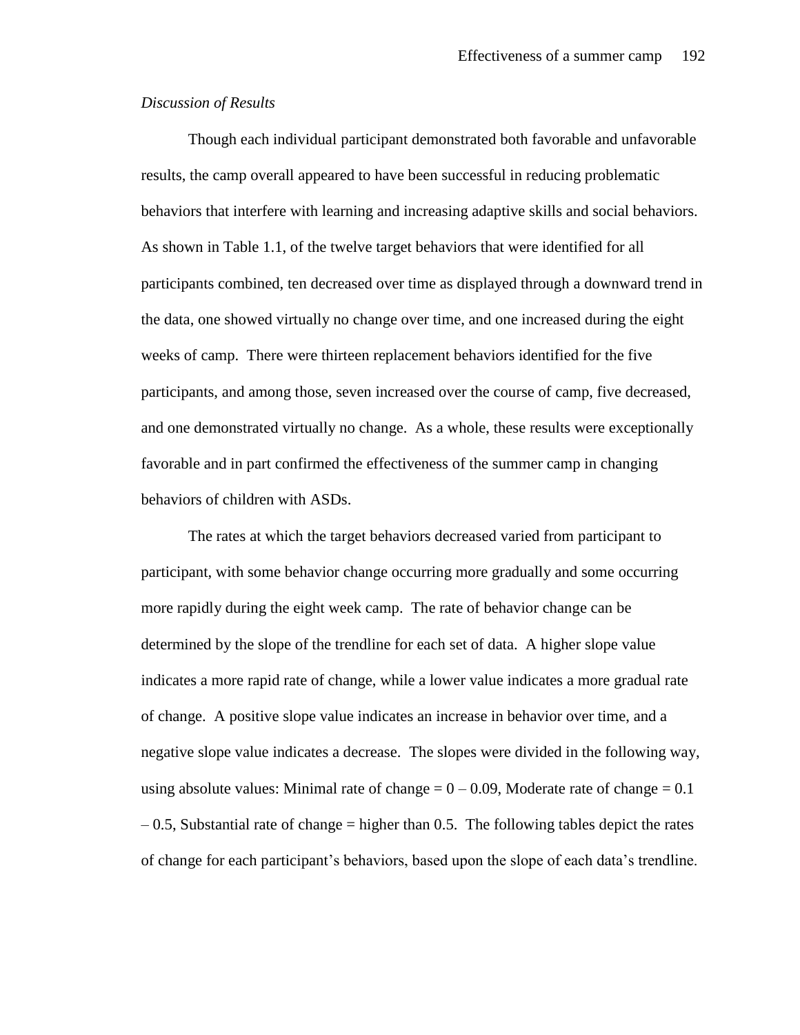### *Discussion of Results*

Though each individual participant demonstrated both favorable and unfavorable results, the camp overall appeared to have been successful in reducing problematic behaviors that interfere with learning and increasing adaptive skills and social behaviors. As shown in Table 1.1, of the twelve target behaviors that were identified for all participants combined, ten decreased over time as displayed through a downward trend in the data, one showed virtually no change over time, and one increased during the eight weeks of camp. There were thirteen replacement behaviors identified for the five participants, and among those, seven increased over the course of camp, five decreased, and one demonstrated virtually no change. As a whole, these results were exceptionally favorable and in part confirmed the effectiveness of the summer camp in changing behaviors of children with ASDs.

The rates at which the target behaviors decreased varied from participant to participant, with some behavior change occurring more gradually and some occurring more rapidly during the eight week camp. The rate of behavior change can be determined by the slope of the trendline for each set of data. A higher slope value indicates a more rapid rate of change, while a lower value indicates a more gradual rate of change. A positive slope value indicates an increase in behavior over time, and a negative slope value indicates a decrease. The slopes were divided in the following way, using absolute values: Minimal rate of change  $= 0 - 0.09$ , Moderate rate of change  $= 0.1$  $-0.5$ , Substantial rate of change  $=$  higher than 0.5. The following tables depict the rates of change for each participant's behaviors, based upon the slope of each data's trendline.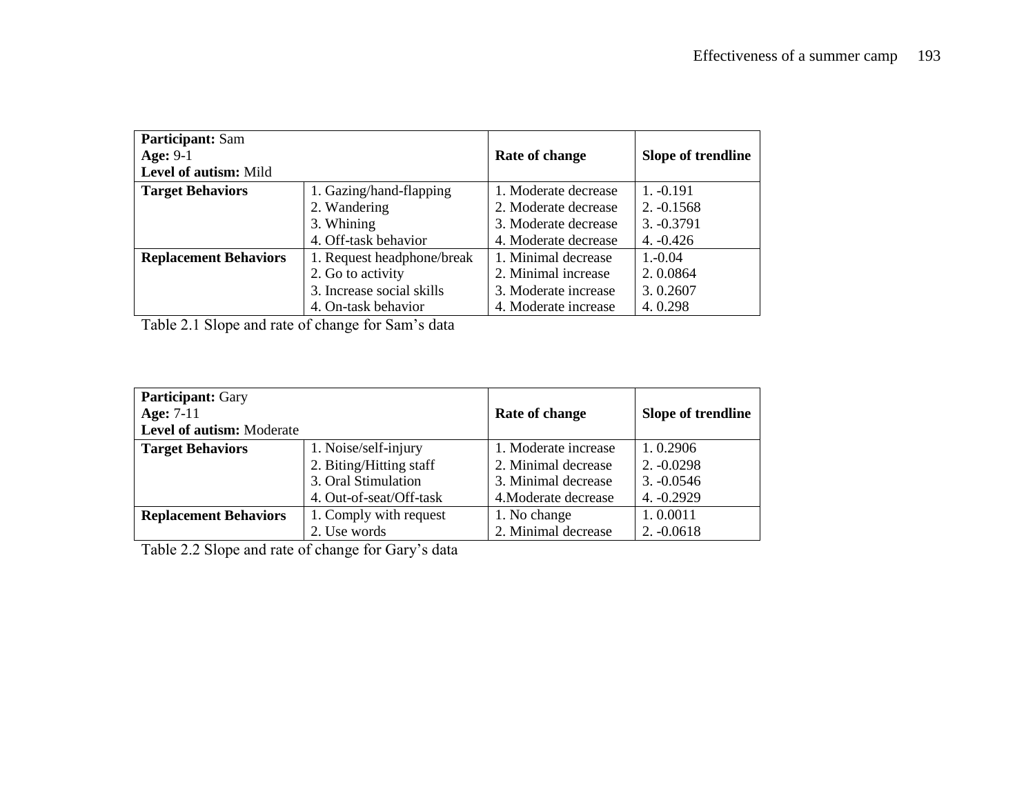| <b>Participant:</b> Sam      |                            |                      |                    |
|------------------------------|----------------------------|----------------------|--------------------|
| Age: $9-1$                   |                            | Rate of change       | Slope of trendline |
| Level of autism: Mild        |                            |                      |                    |
| <b>Target Behaviors</b>      | 1. Gazing/hand-flapping    | 1. Moderate decrease | $1. -0.191$        |
|                              | 2. Wandering               | 2. Moderate decrease | $2. -0.1568$       |
|                              | 3. Whining                 | 3. Moderate decrease | $3. -0.3791$       |
|                              | 4. Off-task behavior       | 4. Moderate decrease | $4. -0.426$        |
| <b>Replacement Behaviors</b> | 1. Request headphone/break | 1. Minimal decrease  | $1.-0.04$          |
|                              | 2. Go to activity          | 2. Minimal increase  | 2.0.0864           |
|                              | 3. Increase social skills  | 3. Moderate increase | 3.0.2607           |
|                              | 4. On-task behavior        | 4. Moderate increase | 4.0.298            |

Table 2.1 Slope and rate of change for Sam's data

| <b>Participant: Gary</b>     |                         |                      |                    |
|------------------------------|-------------------------|----------------------|--------------------|
| Age: $7-11$                  |                         | Rate of change       | Slope of trendline |
| Level of autism: Moderate    |                         |                      |                    |
| <b>Target Behaviors</b>      | 1. Noise/self-injury    | 1. Moderate increase | 1.0.2906           |
|                              | 2. Biting/Hitting staff | 2. Minimal decrease  | $2. -0.0298$       |
|                              | 3. Oral Stimulation     | 3. Minimal decrease  | $3. -0.0546$       |
|                              | 4. Out-of-seat/Off-task | 4. Moderate decrease | $4. -0.2929$       |
| <b>Replacement Behaviors</b> | 1. Comply with request  | 1. No change         | 1.0.0011           |
|                              | 2. Use words            | 2. Minimal decrease  | $2. -0.0618$       |

Table 2.2 Slope and rate of change for Gary's data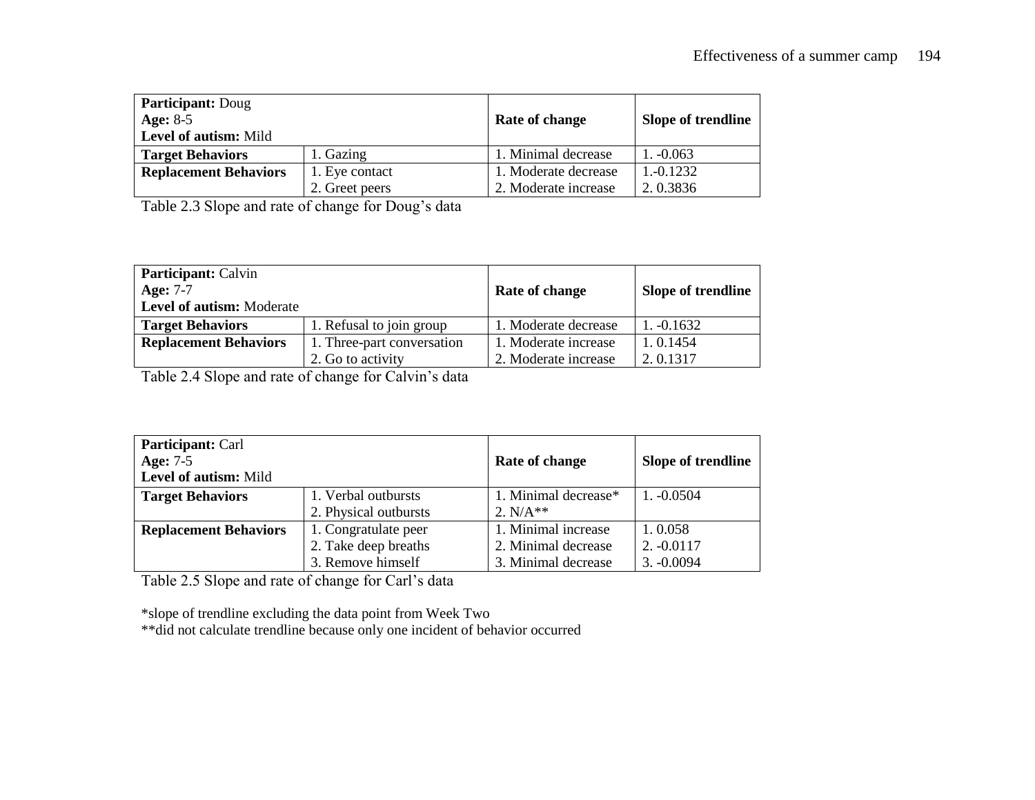| <b>Participant: Doug</b><br>Age: $8-5$<br>Level of autism: Mild |                | Rate of change       | Slope of trendline |
|-----------------------------------------------------------------|----------------|----------------------|--------------------|
| <b>Target Behaviors</b>                                         | 1. Gazing      | 1. Minimal decrease  | $1. -0.063$        |
| <b>Replacement Behaviors</b>                                    | 1. Eye contact | 1. Moderate decrease | $1, -0.1232$       |
|                                                                 | 2. Greet peers | 2. Moderate increase | 2.0.3836           |

Table 2.3 Slope and rate of change for Doug's data

| <b>Participant:</b> Calvin<br>Age: $7-7$<br><b>Level of autism:</b> Moderate |                            | Rate of change       | Slope of trendline |
|------------------------------------------------------------------------------|----------------------------|----------------------|--------------------|
| <b>Target Behaviors</b>                                                      | 1. Refusal to join group   | 1. Moderate decrease | $1. -0.1632$       |
| <b>Replacement Behaviors</b>                                                 | 1. Three-part conversation | 1. Moderate increase | 1.0.1454           |
|                                                                              | 2. Go to activity          | 2. Moderate increase | 2.0.1317           |

Table 2.4 Slope and rate of change for Calvin's data

| <b>Participant: Carl</b>     |                       |                      |                    |
|------------------------------|-----------------------|----------------------|--------------------|
| <b>Age: 7-5</b>              |                       | Rate of change       | Slope of trendline |
| Level of autism: Mild        |                       |                      |                    |
| <b>Target Behaviors</b>      | 1. Verbal outbursts   | 1. Minimal decrease* | $1. -0.0504$       |
|                              | 2. Physical outbursts | 2. $N/A**$           |                    |
| <b>Replacement Behaviors</b> | 1. Congratulate peer  | 1. Minimal increase  | 1.0.058            |
|                              | 2. Take deep breaths  | 2. Minimal decrease  | $2. -0.0117$       |
|                              | 3. Remove himself     | 3. Minimal decrease  | $3. -0.0094$       |

Table 2.5 Slope and rate of change for Carl's data

\*slope of trendline excluding the data point from Week Two

\*\*did not calculate trendline because only one incident of behavior occurred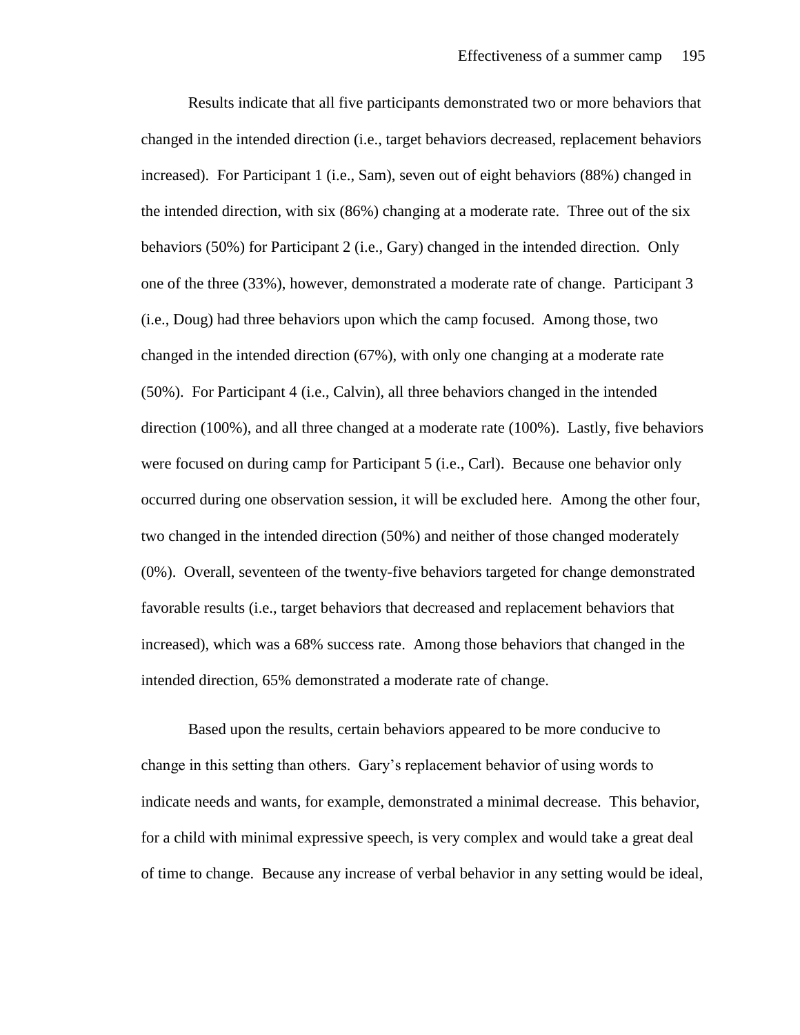Results indicate that all five participants demonstrated two or more behaviors that changed in the intended direction (i.e., target behaviors decreased, replacement behaviors increased). For Participant 1 (i.e., Sam), seven out of eight behaviors (88%) changed in the intended direction, with six (86%) changing at a moderate rate. Three out of the six behaviors (50%) for Participant 2 (i.e., Gary) changed in the intended direction. Only one of the three (33%), however, demonstrated a moderate rate of change. Participant 3 (i.e., Doug) had three behaviors upon which the camp focused. Among those, two changed in the intended direction (67%), with only one changing at a moderate rate (50%). For Participant 4 (i.e., Calvin), all three behaviors changed in the intended direction (100%), and all three changed at a moderate rate (100%). Lastly, five behaviors were focused on during camp for Participant 5 (i.e., Carl). Because one behavior only occurred during one observation session, it will be excluded here. Among the other four, two changed in the intended direction (50%) and neither of those changed moderately (0%). Overall, seventeen of the twenty-five behaviors targeted for change demonstrated favorable results (i.e., target behaviors that decreased and replacement behaviors that increased), which was a 68% success rate. Among those behaviors that changed in the intended direction, 65% demonstrated a moderate rate of change.

Based upon the results, certain behaviors appeared to be more conducive to change in this setting than others. Gary's replacement behavior of using words to indicate needs and wants, for example, demonstrated a minimal decrease. This behavior, for a child with minimal expressive speech, is very complex and would take a great deal of time to change. Because any increase of verbal behavior in any setting would be ideal,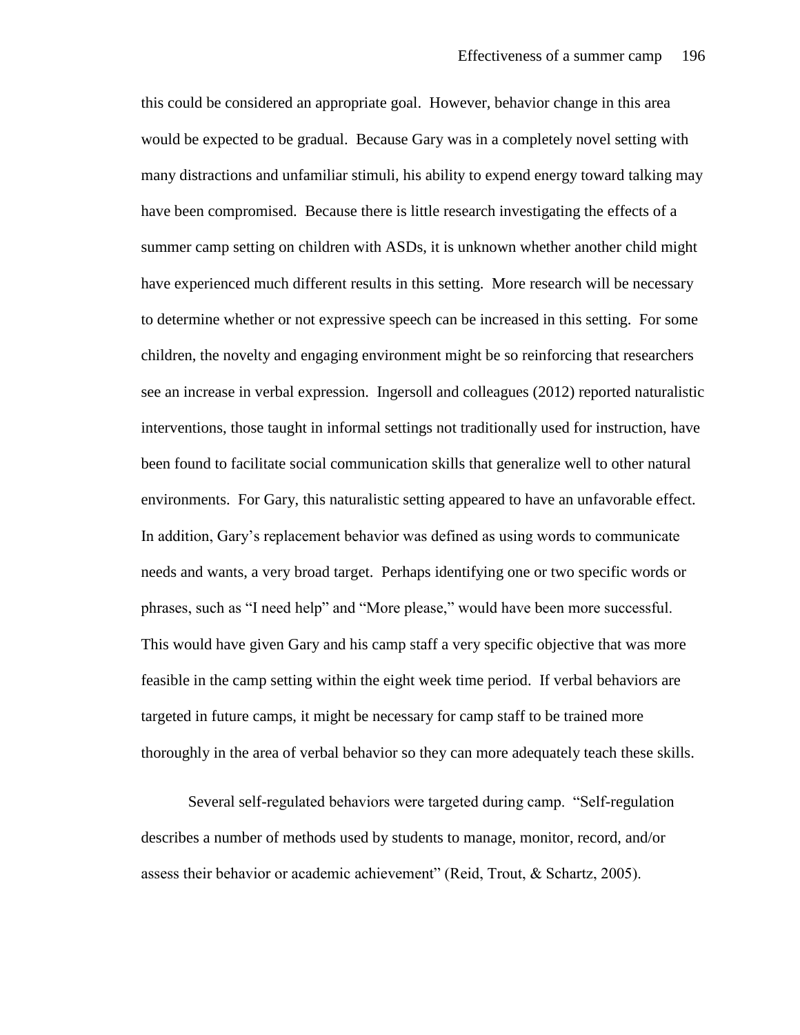this could be considered an appropriate goal. However, behavior change in this area would be expected to be gradual. Because Gary was in a completely novel setting with many distractions and unfamiliar stimuli, his ability to expend energy toward talking may have been compromised. Because there is little research investigating the effects of a summer camp setting on children with ASDs, it is unknown whether another child might have experienced much different results in this setting. More research will be necessary to determine whether or not expressive speech can be increased in this setting. For some children, the novelty and engaging environment might be so reinforcing that researchers see an increase in verbal expression. Ingersoll and colleagues (2012) reported naturalistic interventions, those taught in informal settings not traditionally used for instruction, have been found to facilitate social communication skills that generalize well to other natural environments. For Gary, this naturalistic setting appeared to have an unfavorable effect. In addition, Gary's replacement behavior was defined as using words to communicate needs and wants, a very broad target. Perhaps identifying one or two specific words or phrases, such as "I need help" and "More please," would have been more successful. This would have given Gary and his camp staff a very specific objective that was more feasible in the camp setting within the eight week time period. If verbal behaviors are targeted in future camps, it might be necessary for camp staff to be trained more thoroughly in the area of verbal behavior so they can more adequately teach these skills.

Several self-regulated behaviors were targeted during camp. "Self-regulation describes a number of methods used by students to manage, monitor, record, and/or assess their behavior or academic achievement" (Reid, Trout, & Schartz, 2005).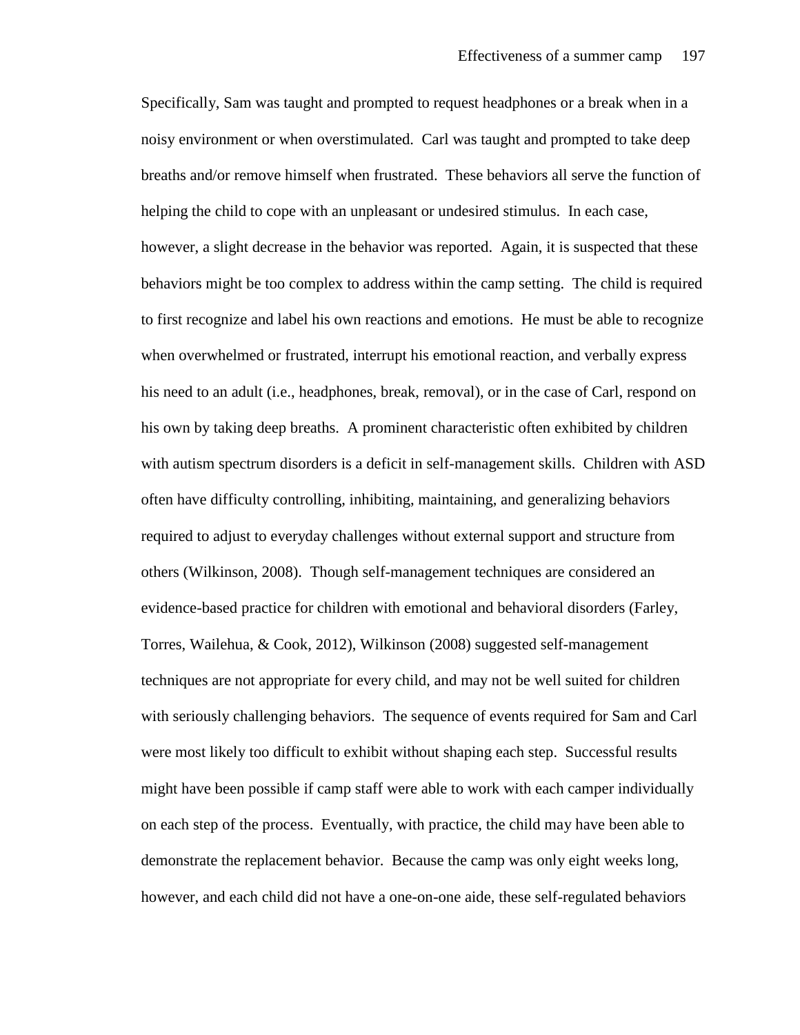Specifically, Sam was taught and prompted to request headphones or a break when in a noisy environment or when overstimulated. Carl was taught and prompted to take deep breaths and/or remove himself when frustrated. These behaviors all serve the function of helping the child to cope with an unpleasant or undesired stimulus. In each case, however, a slight decrease in the behavior was reported. Again, it is suspected that these behaviors might be too complex to address within the camp setting. The child is required to first recognize and label his own reactions and emotions. He must be able to recognize when overwhelmed or frustrated, interrupt his emotional reaction, and verbally express his need to an adult (i.e., headphones, break, removal), or in the case of Carl, respond on his own by taking deep breaths. A prominent characteristic often exhibited by children with autism spectrum disorders is a deficit in self-management skills. Children with ASD often have difficulty controlling, inhibiting, maintaining, and generalizing behaviors required to adjust to everyday challenges without external support and structure from others (Wilkinson, 2008). Though self-management techniques are considered an evidence-based practice for children with emotional and behavioral disorders (Farley, Torres, Wailehua, & Cook, 2012), Wilkinson (2008) suggested self-management techniques are not appropriate for every child, and may not be well suited for children with seriously challenging behaviors. The sequence of events required for Sam and Carl were most likely too difficult to exhibit without shaping each step. Successful results might have been possible if camp staff were able to work with each camper individually on each step of the process. Eventually, with practice, the child may have been able to demonstrate the replacement behavior. Because the camp was only eight weeks long, however, and each child did not have a one-on-one aide, these self-regulated behaviors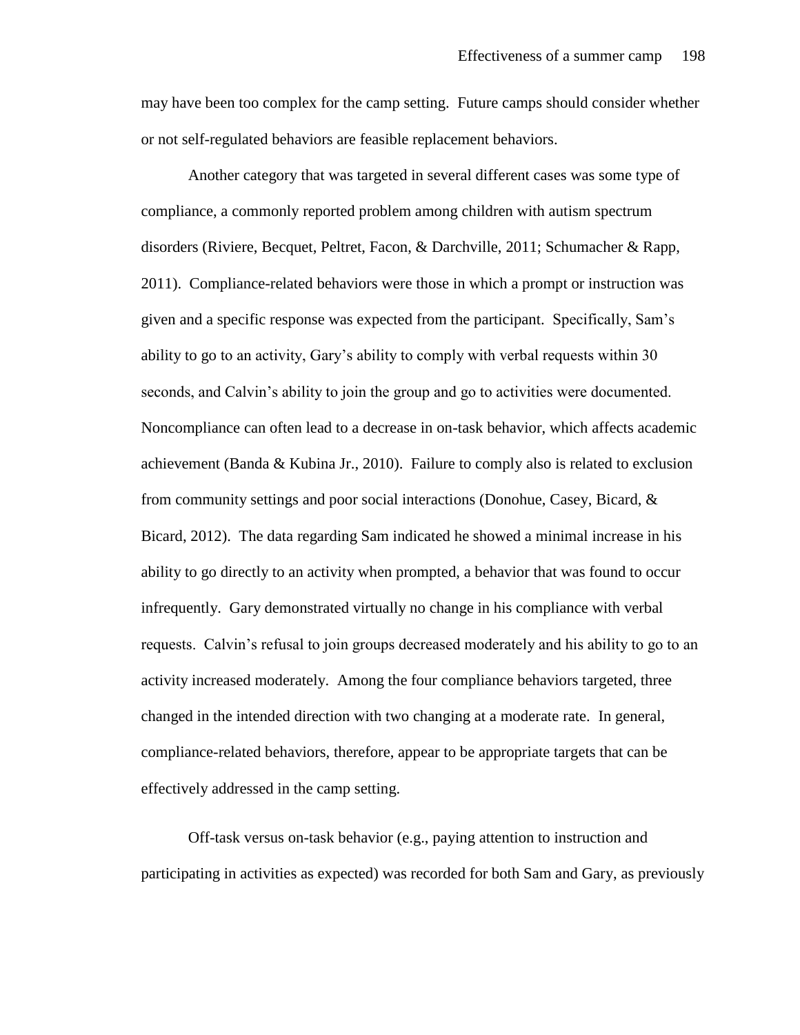may have been too complex for the camp setting. Future camps should consider whether or not self-regulated behaviors are feasible replacement behaviors.

Another category that was targeted in several different cases was some type of compliance, a commonly reported problem among children with autism spectrum disorders (Riviere, Becquet, Peltret, Facon, & Darchville, 2011; Schumacher & Rapp, 2011). Compliance-related behaviors were those in which a prompt or instruction was given and a specific response was expected from the participant. Specifically, Sam's ability to go to an activity, Gary's ability to comply with verbal requests within 30 seconds, and Calvin's ability to join the group and go to activities were documented. Noncompliance can often lead to a decrease in on-task behavior, which affects academic achievement (Banda & Kubina Jr., 2010). Failure to comply also is related to exclusion from community settings and poor social interactions (Donohue, Casey, Bicard, & Bicard, 2012). The data regarding Sam indicated he showed a minimal increase in his ability to go directly to an activity when prompted, a behavior that was found to occur infrequently. Gary demonstrated virtually no change in his compliance with verbal requests. Calvin's refusal to join groups decreased moderately and his ability to go to an activity increased moderately. Among the four compliance behaviors targeted, three changed in the intended direction with two changing at a moderate rate. In general, compliance-related behaviors, therefore, appear to be appropriate targets that can be effectively addressed in the camp setting.

Off-task versus on-task behavior (e.g., paying attention to instruction and participating in activities as expected) was recorded for both Sam and Gary, as previously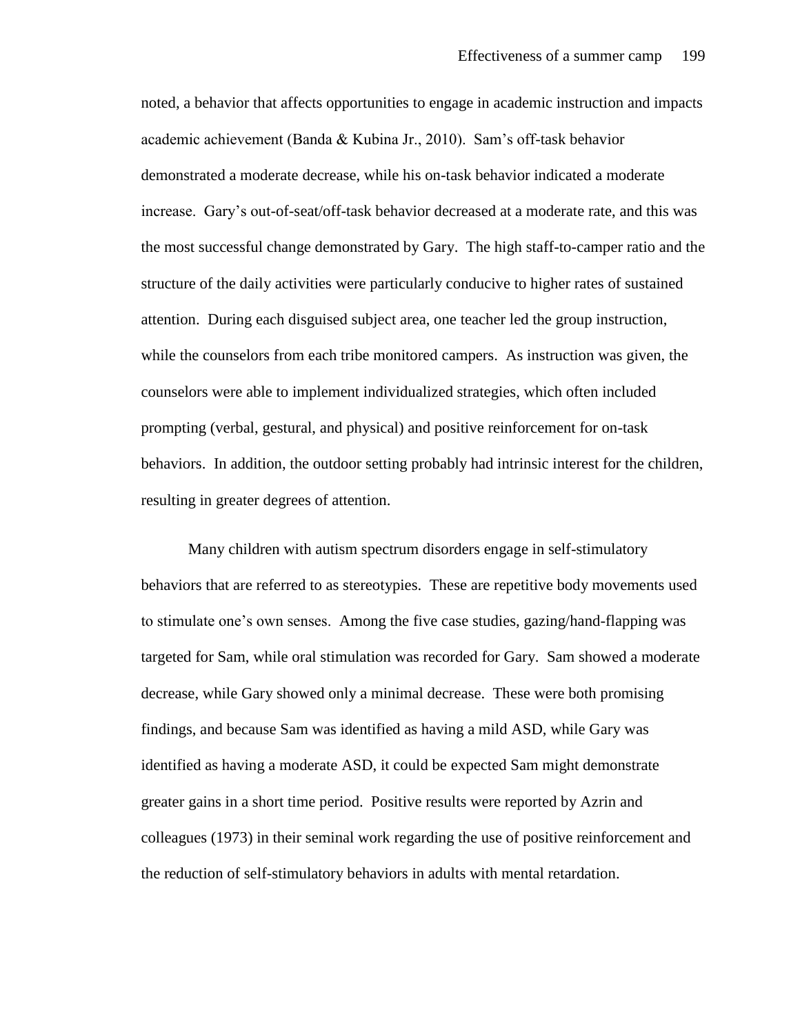noted, a behavior that affects opportunities to engage in academic instruction and impacts academic achievement (Banda & Kubina Jr., 2010). Sam's off-task behavior demonstrated a moderate decrease, while his on-task behavior indicated a moderate increase. Gary's out-of-seat/off-task behavior decreased at a moderate rate, and this was the most successful change demonstrated by Gary. The high staff-to-camper ratio and the structure of the daily activities were particularly conducive to higher rates of sustained attention. During each disguised subject area, one teacher led the group instruction, while the counselors from each tribe monitored campers. As instruction was given, the counselors were able to implement individualized strategies, which often included prompting (verbal, gestural, and physical) and positive reinforcement for on-task behaviors. In addition, the outdoor setting probably had intrinsic interest for the children, resulting in greater degrees of attention.

Many children with autism spectrum disorders engage in self-stimulatory behaviors that are referred to as stereotypies. These are repetitive body movements used to stimulate one's own senses. Among the five case studies, gazing/hand-flapping was targeted for Sam, while oral stimulation was recorded for Gary. Sam showed a moderate decrease, while Gary showed only a minimal decrease. These were both promising findings, and because Sam was identified as having a mild ASD, while Gary was identified as having a moderate ASD, it could be expected Sam might demonstrate greater gains in a short time period. Positive results were reported by Azrin and colleagues (1973) in their seminal work regarding the use of positive reinforcement and the reduction of self-stimulatory behaviors in adults with mental retardation.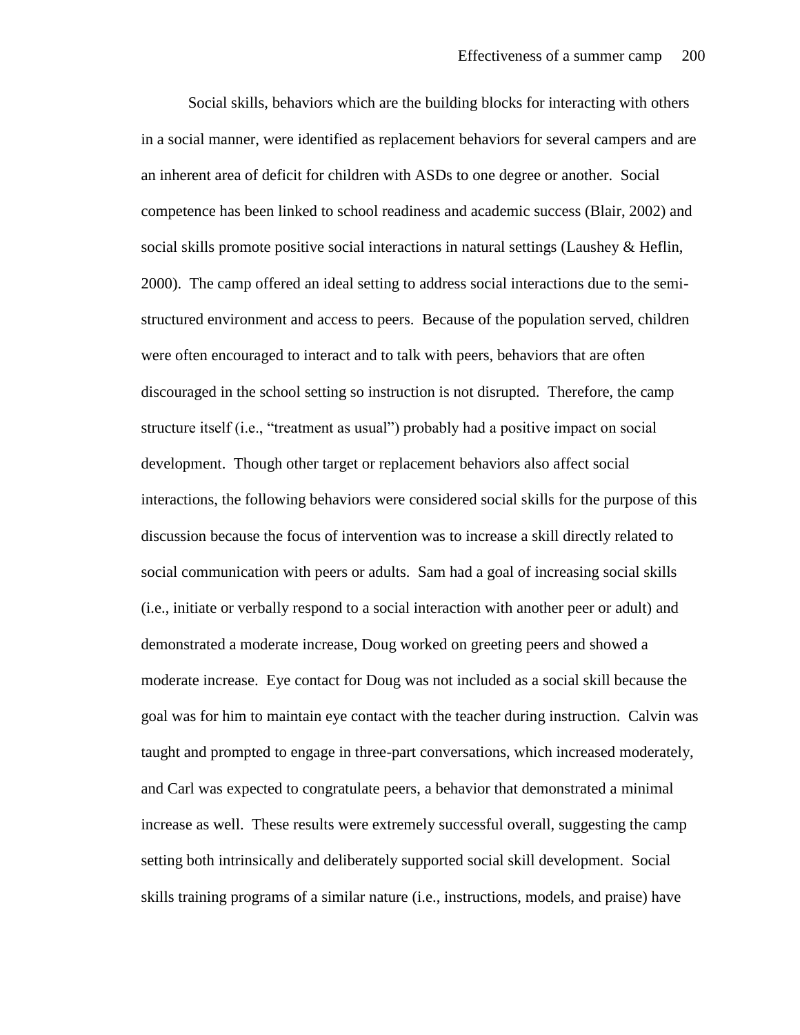Social skills, behaviors which are the building blocks for interacting with others in a social manner, were identified as replacement behaviors for several campers and are an inherent area of deficit for children with ASDs to one degree or another. Social competence has been linked to school readiness and academic success (Blair, 2002) and social skills promote positive social interactions in natural settings (Laushey  $\&$  Heflin, 2000). The camp offered an ideal setting to address social interactions due to the semistructured environment and access to peers. Because of the population served, children were often encouraged to interact and to talk with peers, behaviors that are often discouraged in the school setting so instruction is not disrupted. Therefore, the camp structure itself (i.e., "treatment as usual") probably had a positive impact on social development. Though other target or replacement behaviors also affect social interactions, the following behaviors were considered social skills for the purpose of this discussion because the focus of intervention was to increase a skill directly related to social communication with peers or adults. Sam had a goal of increasing social skills (i.e., initiate or verbally respond to a social interaction with another peer or adult) and demonstrated a moderate increase, Doug worked on greeting peers and showed a moderate increase. Eye contact for Doug was not included as a social skill because the goal was for him to maintain eye contact with the teacher during instruction. Calvin was taught and prompted to engage in three-part conversations, which increased moderately, and Carl was expected to congratulate peers, a behavior that demonstrated a minimal increase as well. These results were extremely successful overall, suggesting the camp setting both intrinsically and deliberately supported social skill development. Social skills training programs of a similar nature (i.e., instructions, models, and praise) have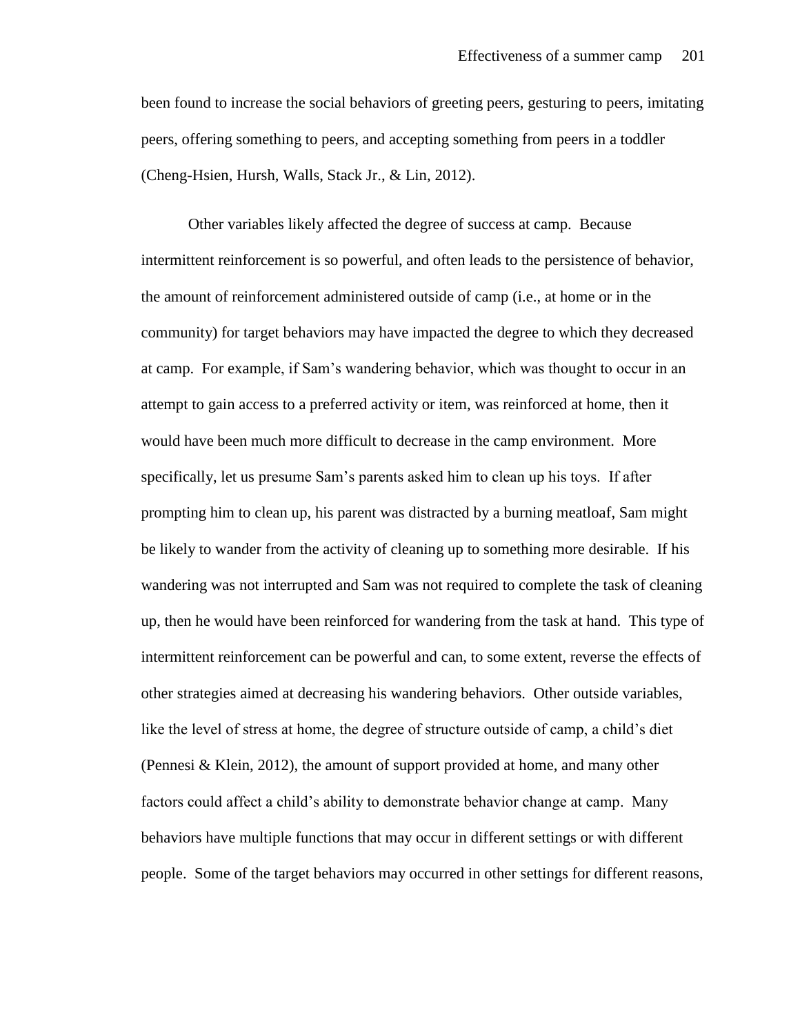been found to increase the social behaviors of greeting peers, gesturing to peers, imitating peers, offering something to peers, and accepting something from peers in a toddler (Cheng-Hsien, Hursh, Walls, Stack Jr., & Lin, 2012).

Other variables likely affected the degree of success at camp. Because intermittent reinforcement is so powerful, and often leads to the persistence of behavior, the amount of reinforcement administered outside of camp (i.e., at home or in the community) for target behaviors may have impacted the degree to which they decreased at camp. For example, if Sam's wandering behavior, which was thought to occur in an attempt to gain access to a preferred activity or item, was reinforced at home, then it would have been much more difficult to decrease in the camp environment. More specifically, let us presume Sam's parents asked him to clean up his toys. If after prompting him to clean up, his parent was distracted by a burning meatloaf, Sam might be likely to wander from the activity of cleaning up to something more desirable. If his wandering was not interrupted and Sam was not required to complete the task of cleaning up, then he would have been reinforced for wandering from the task at hand. This type of intermittent reinforcement can be powerful and can, to some extent, reverse the effects of other strategies aimed at decreasing his wandering behaviors. Other outside variables, like the level of stress at home, the degree of structure outside of camp, a child's diet (Pennesi & Klein, 2012), the amount of support provided at home, and many other factors could affect a child's ability to demonstrate behavior change at camp. Many behaviors have multiple functions that may occur in different settings or with different people. Some of the target behaviors may occurred in other settings for different reasons,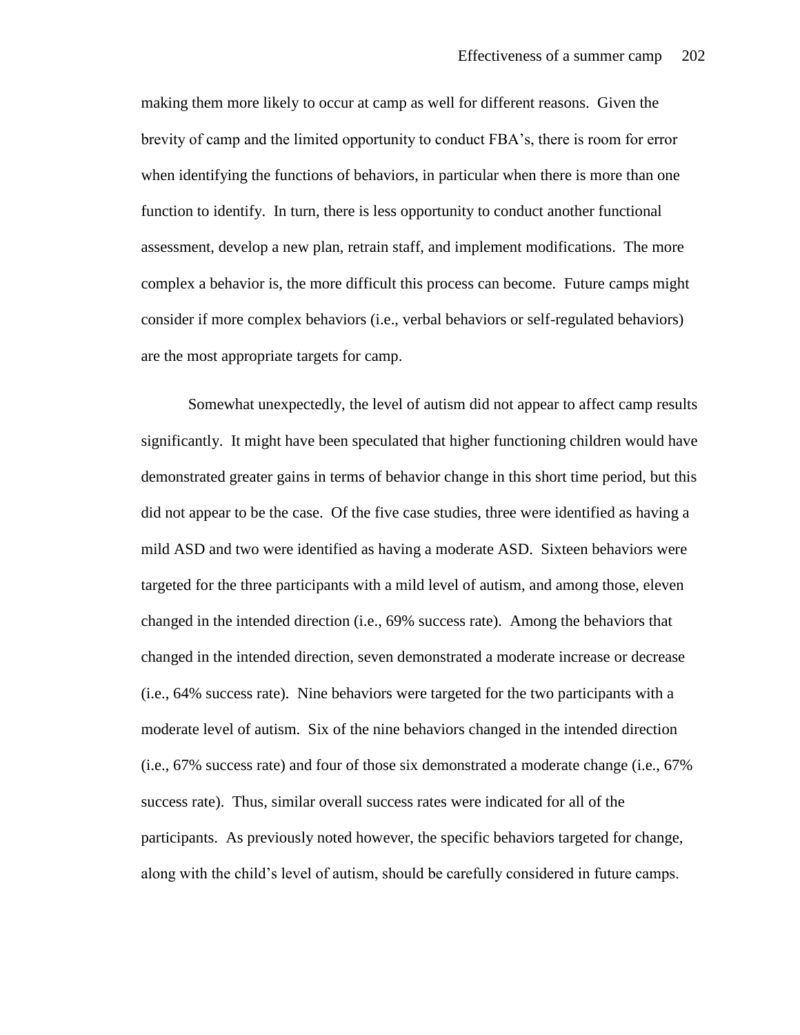making them more likely to occur at camp as well for different reasons. Given the brevity of camp and the limited opportunity to conduct FBA's, there is room for error when identifying the functions of behaviors, in particular when there is more than one function to identify. In turn, there is less opportunity to conduct another functional assessment, develop a new plan, retrain staff, and implement modifications. The more complex a behavior is, the more difficult this process can become. Future camps might consider if more complex behaviors (i.e., verbal behaviors or self-regulated behaviors) are the most appropriate targets for camp.

Somewhat unexpectedly, the level of autism did not appear to affect camp results significantly. It might have been speculated that higher functioning children would have demonstrated greater gains in terms of behavior change in this short time period, but this did not appear to be the case. Of the five case studies, three were identified as having a mild ASD and two were identified as having a moderate ASD. Sixteen behaviors were targeted for the three participants with a mild level of autism, and among those, eleven changed in the intended direction (i.e., 69% success rate). Among the behaviors that changed in the intended direction, seven demonstrated a moderate increase or decrease (i.e., 64% success rate). Nine behaviors were targeted for the two participants with a moderate level of autism. Six of the nine behaviors changed in the intended direction (i.e., 67% success rate) and four of those six demonstrated a moderate change (i.e., 67% success rate). Thus, similar overall success rates were indicated for all of the participants. As previously noted however, the specific behaviors targeted for change, along with the child's level of autism, should be carefully considered in future camps.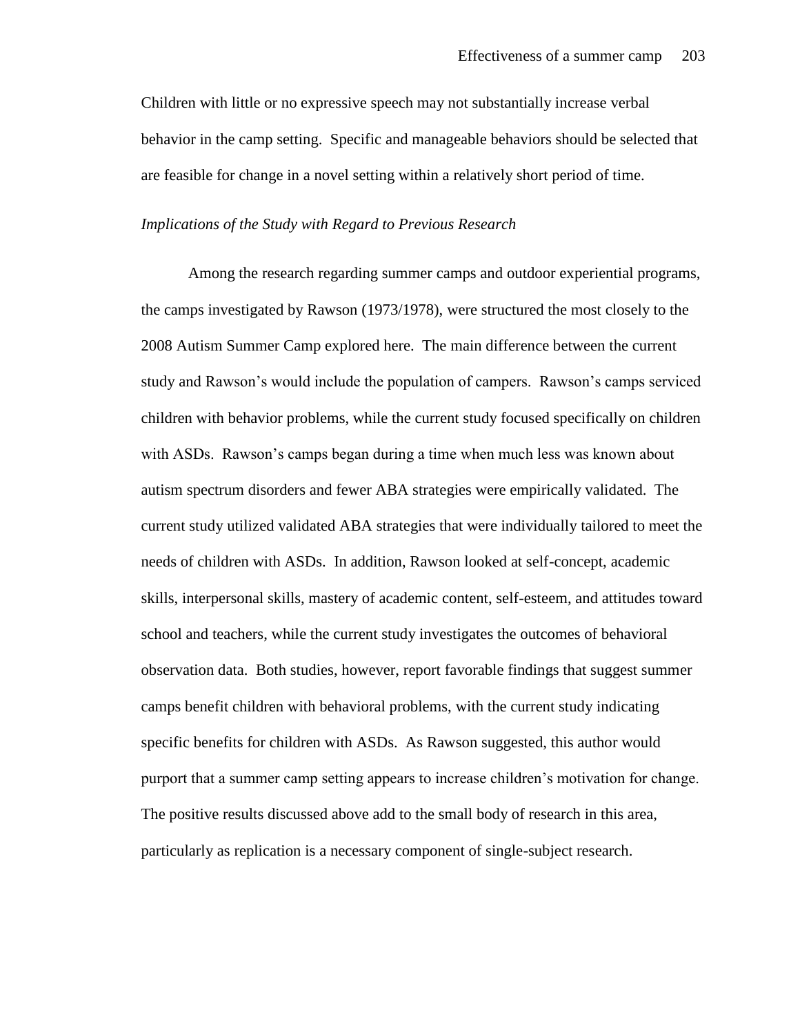Children with little or no expressive speech may not substantially increase verbal behavior in the camp setting. Specific and manageable behaviors should be selected that are feasible for change in a novel setting within a relatively short period of time.

#### *Implications of the Study with Regard to Previous Research*

Among the research regarding summer camps and outdoor experiential programs, the camps investigated by Rawson (1973/1978), were structured the most closely to the 2008 Autism Summer Camp explored here. The main difference between the current study and Rawson's would include the population of campers. Rawson's camps serviced children with behavior problems, while the current study focused specifically on children with ASDs. Rawson's camps began during a time when much less was known about autism spectrum disorders and fewer ABA strategies were empirically validated. The current study utilized validated ABA strategies that were individually tailored to meet the needs of children with ASDs. In addition, Rawson looked at self-concept, academic skills, interpersonal skills, mastery of academic content, self-esteem, and attitudes toward school and teachers, while the current study investigates the outcomes of behavioral observation data. Both studies, however, report favorable findings that suggest summer camps benefit children with behavioral problems, with the current study indicating specific benefits for children with ASDs. As Rawson suggested, this author would purport that a summer camp setting appears to increase children's motivation for change. The positive results discussed above add to the small body of research in this area, particularly as replication is a necessary component of single-subject research.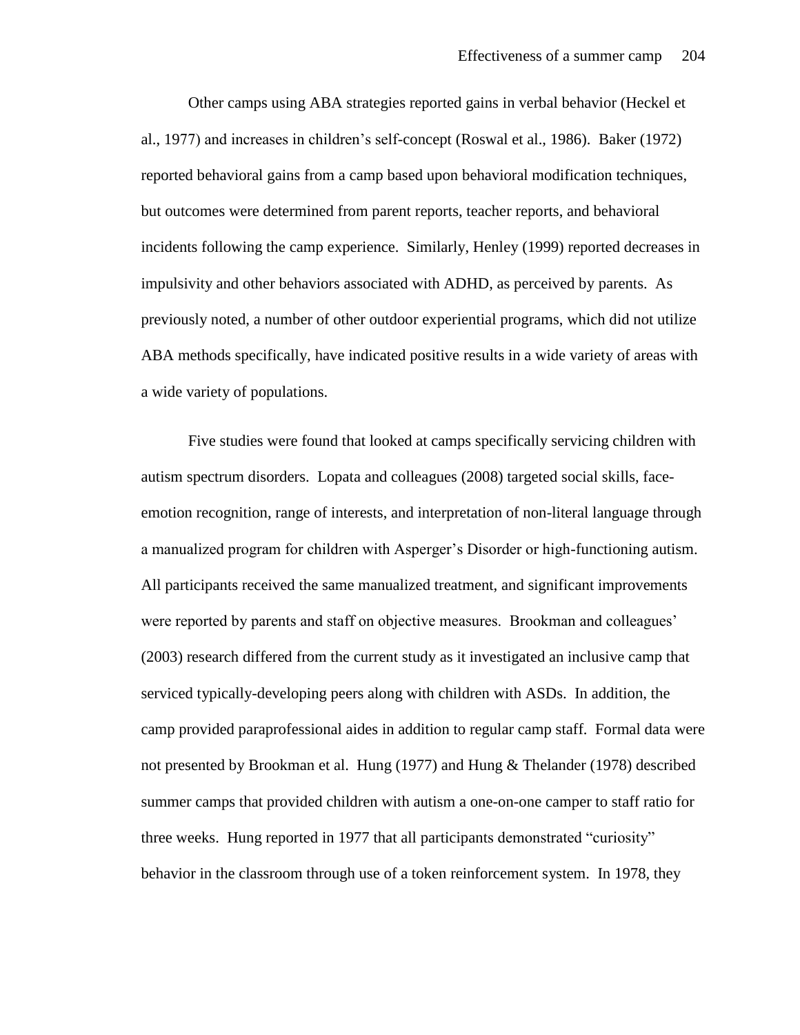Other camps using ABA strategies reported gains in verbal behavior (Heckel et al., 1977) and increases in children's self-concept (Roswal et al., 1986). Baker (1972) reported behavioral gains from a camp based upon behavioral modification techniques, but outcomes were determined from parent reports, teacher reports, and behavioral incidents following the camp experience. Similarly, Henley (1999) reported decreases in impulsivity and other behaviors associated with ADHD, as perceived by parents. As previously noted, a number of other outdoor experiential programs, which did not utilize ABA methods specifically, have indicated positive results in a wide variety of areas with a wide variety of populations.

Five studies were found that looked at camps specifically servicing children with autism spectrum disorders. Lopata and colleagues (2008) targeted social skills, faceemotion recognition, range of interests, and interpretation of non-literal language through a manualized program for children with Asperger's Disorder or high-functioning autism. All participants received the same manualized treatment, and significant improvements were reported by parents and staff on objective measures. Brookman and colleagues' (2003) research differed from the current study as it investigated an inclusive camp that serviced typically-developing peers along with children with ASDs. In addition, the camp provided paraprofessional aides in addition to regular camp staff. Formal data were not presented by Brookman et al. Hung (1977) and Hung & Thelander (1978) described summer camps that provided children with autism a one-on-one camper to staff ratio for three weeks. Hung reported in 1977 that all participants demonstrated "curiosity" behavior in the classroom through use of a token reinforcement system. In 1978, they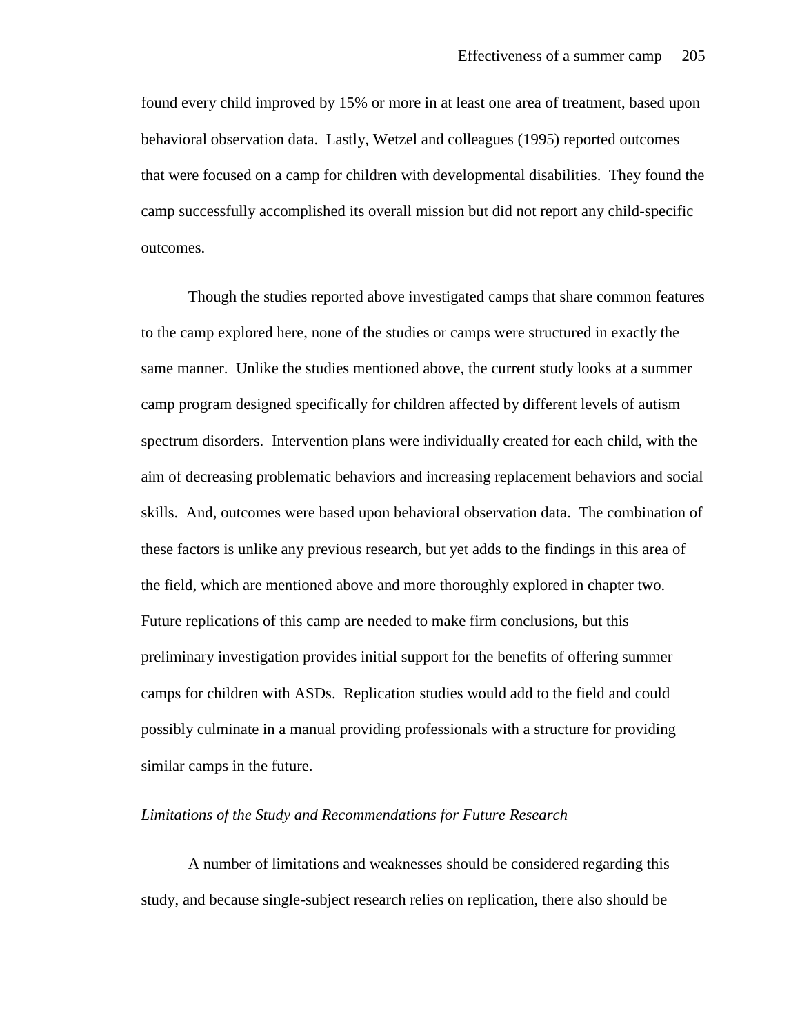found every child improved by 15% or more in at least one area of treatment, based upon behavioral observation data. Lastly, Wetzel and colleagues (1995) reported outcomes that were focused on a camp for children with developmental disabilities. They found the camp successfully accomplished its overall mission but did not report any child-specific outcomes.

Though the studies reported above investigated camps that share common features to the camp explored here, none of the studies or camps were structured in exactly the same manner. Unlike the studies mentioned above, the current study looks at a summer camp program designed specifically for children affected by different levels of autism spectrum disorders. Intervention plans were individually created for each child, with the aim of decreasing problematic behaviors and increasing replacement behaviors and social skills. And, outcomes were based upon behavioral observation data. The combination of these factors is unlike any previous research, but yet adds to the findings in this area of the field, which are mentioned above and more thoroughly explored in chapter two. Future replications of this camp are needed to make firm conclusions, but this preliminary investigation provides initial support for the benefits of offering summer camps for children with ASDs. Replication studies would add to the field and could possibly culminate in a manual providing professionals with a structure for providing similar camps in the future.

#### *Limitations of the Study and Recommendations for Future Research*

A number of limitations and weaknesses should be considered regarding this study, and because single-subject research relies on replication, there also should be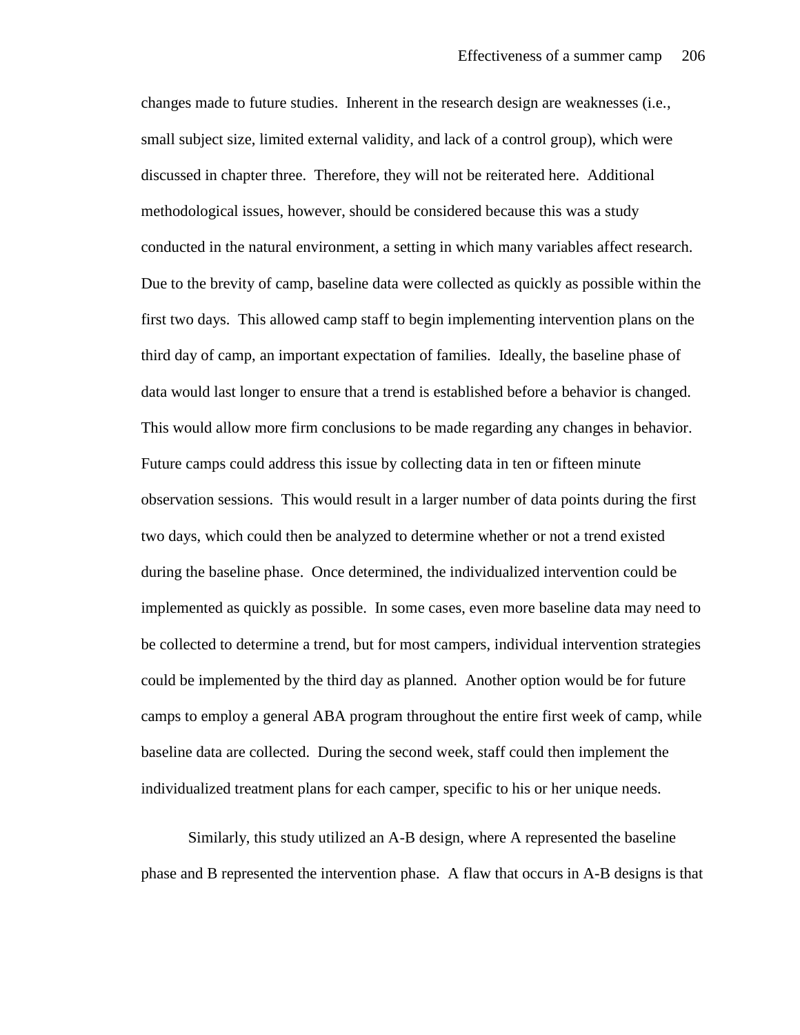changes made to future studies. Inherent in the research design are weaknesses (i.e., small subject size, limited external validity, and lack of a control group), which were discussed in chapter three. Therefore, they will not be reiterated here. Additional methodological issues, however, should be considered because this was a study conducted in the natural environment, a setting in which many variables affect research. Due to the brevity of camp, baseline data were collected as quickly as possible within the first two days. This allowed camp staff to begin implementing intervention plans on the third day of camp, an important expectation of families. Ideally, the baseline phase of data would last longer to ensure that a trend is established before a behavior is changed. This would allow more firm conclusions to be made regarding any changes in behavior. Future camps could address this issue by collecting data in ten or fifteen minute observation sessions. This would result in a larger number of data points during the first two days, which could then be analyzed to determine whether or not a trend existed during the baseline phase. Once determined, the individualized intervention could be implemented as quickly as possible. In some cases, even more baseline data may need to be collected to determine a trend, but for most campers, individual intervention strategies could be implemented by the third day as planned. Another option would be for future camps to employ a general ABA program throughout the entire first week of camp, while baseline data are collected. During the second week, staff could then implement the individualized treatment plans for each camper, specific to his or her unique needs.

Similarly, this study utilized an A-B design, where A represented the baseline phase and B represented the intervention phase. A flaw that occurs in A-B designs is that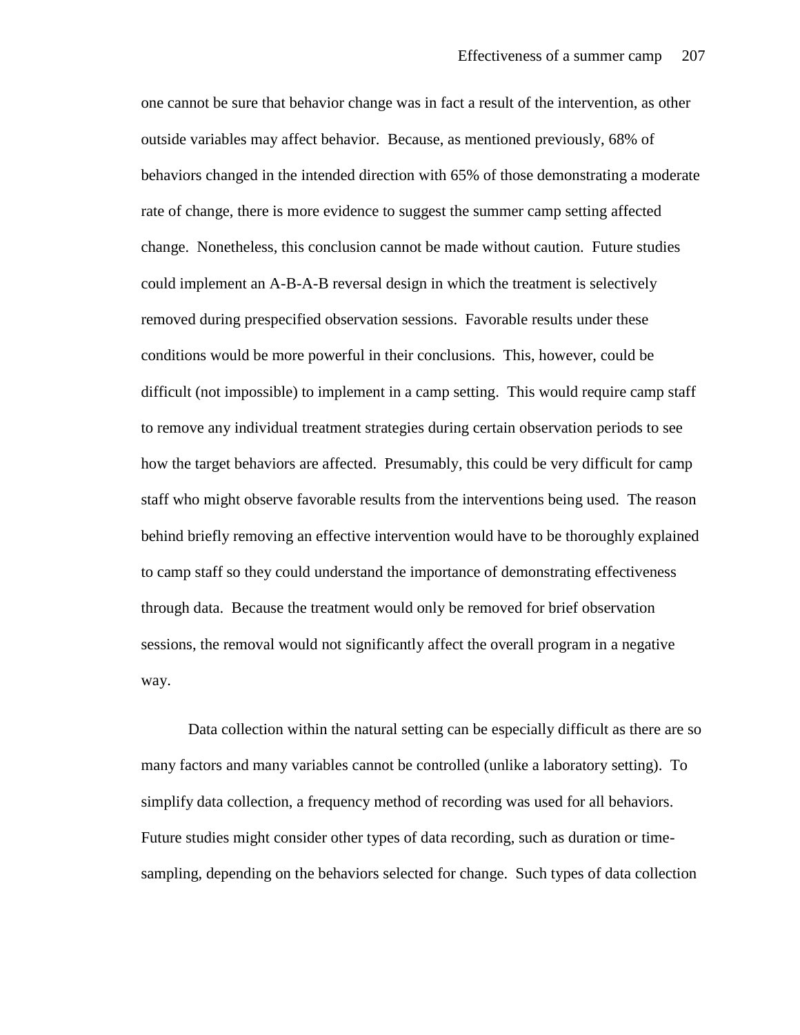one cannot be sure that behavior change was in fact a result of the intervention, as other outside variables may affect behavior. Because, as mentioned previously, 68% of behaviors changed in the intended direction with 65% of those demonstrating a moderate rate of change, there is more evidence to suggest the summer camp setting affected change. Nonetheless, this conclusion cannot be made without caution. Future studies could implement an A-B-A-B reversal design in which the treatment is selectively removed during prespecified observation sessions. Favorable results under these conditions would be more powerful in their conclusions. This, however, could be difficult (not impossible) to implement in a camp setting. This would require camp staff to remove any individual treatment strategies during certain observation periods to see how the target behaviors are affected. Presumably, this could be very difficult for camp staff who might observe favorable results from the interventions being used. The reason behind briefly removing an effective intervention would have to be thoroughly explained to camp staff so they could understand the importance of demonstrating effectiveness through data. Because the treatment would only be removed for brief observation sessions, the removal would not significantly affect the overall program in a negative way.

Data collection within the natural setting can be especially difficult as there are so many factors and many variables cannot be controlled (unlike a laboratory setting). To simplify data collection, a frequency method of recording was used for all behaviors. Future studies might consider other types of data recording, such as duration or timesampling, depending on the behaviors selected for change. Such types of data collection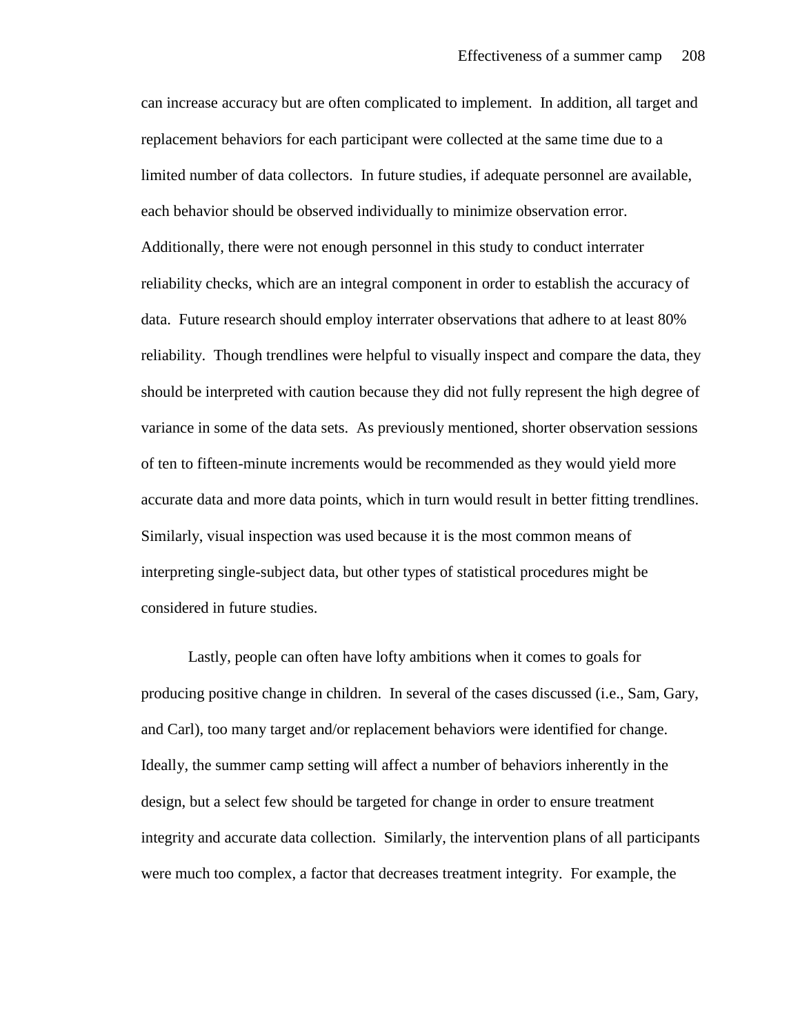can increase accuracy but are often complicated to implement. In addition, all target and replacement behaviors for each participant were collected at the same time due to a limited number of data collectors. In future studies, if adequate personnel are available, each behavior should be observed individually to minimize observation error. Additionally, there were not enough personnel in this study to conduct interrater reliability checks, which are an integral component in order to establish the accuracy of data. Future research should employ interrater observations that adhere to at least 80% reliability. Though trendlines were helpful to visually inspect and compare the data, they should be interpreted with caution because they did not fully represent the high degree of variance in some of the data sets. As previously mentioned, shorter observation sessions of ten to fifteen-minute increments would be recommended as they would yield more accurate data and more data points, which in turn would result in better fitting trendlines. Similarly, visual inspection was used because it is the most common means of interpreting single-subject data, but other types of statistical procedures might be considered in future studies.

Lastly, people can often have lofty ambitions when it comes to goals for producing positive change in children. In several of the cases discussed (i.e., Sam, Gary, and Carl), too many target and/or replacement behaviors were identified for change. Ideally, the summer camp setting will affect a number of behaviors inherently in the design, but a select few should be targeted for change in order to ensure treatment integrity and accurate data collection. Similarly, the intervention plans of all participants were much too complex, a factor that decreases treatment integrity. For example, the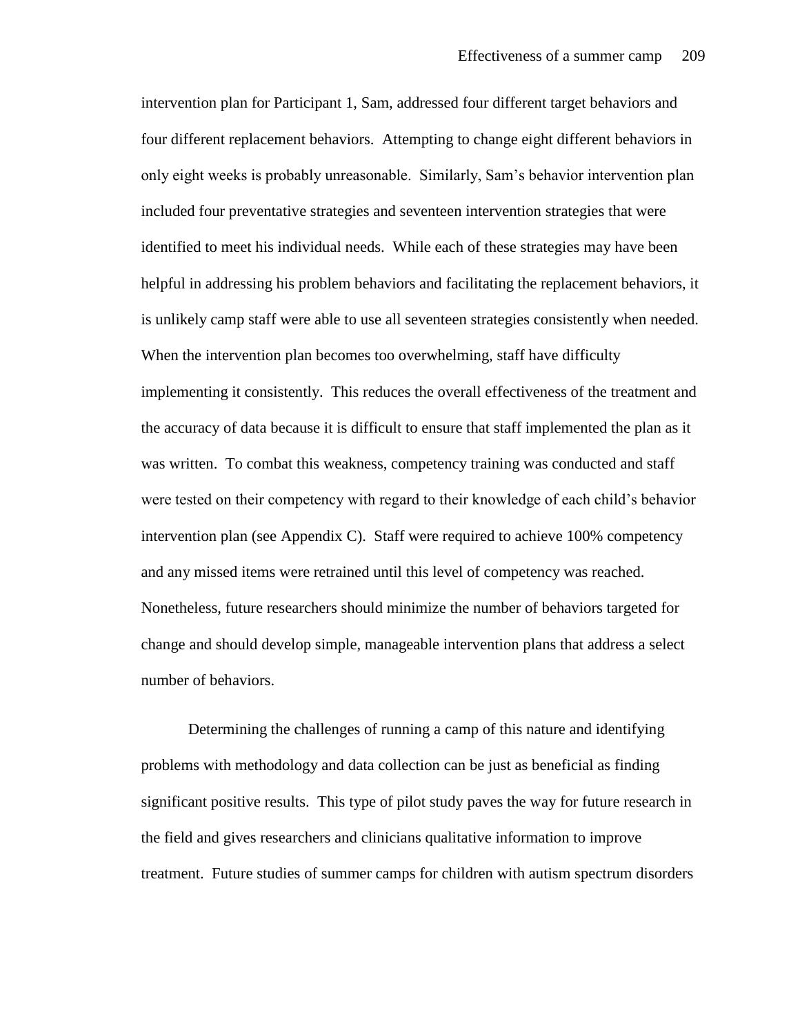intervention plan for Participant 1, Sam, addressed four different target behaviors and four different replacement behaviors. Attempting to change eight different behaviors in only eight weeks is probably unreasonable. Similarly, Sam's behavior intervention plan included four preventative strategies and seventeen intervention strategies that were identified to meet his individual needs. While each of these strategies may have been helpful in addressing his problem behaviors and facilitating the replacement behaviors, it is unlikely camp staff were able to use all seventeen strategies consistently when needed. When the intervention plan becomes too overwhelming, staff have difficulty implementing it consistently. This reduces the overall effectiveness of the treatment and the accuracy of data because it is difficult to ensure that staff implemented the plan as it was written. To combat this weakness, competency training was conducted and staff were tested on their competency with regard to their knowledge of each child's behavior intervention plan (see Appendix C). Staff were required to achieve 100% competency and any missed items were retrained until this level of competency was reached. Nonetheless, future researchers should minimize the number of behaviors targeted for change and should develop simple, manageable intervention plans that address a select number of behaviors.

Determining the challenges of running a camp of this nature and identifying problems with methodology and data collection can be just as beneficial as finding significant positive results. This type of pilot study paves the way for future research in the field and gives researchers and clinicians qualitative information to improve treatment. Future studies of summer camps for children with autism spectrum disorders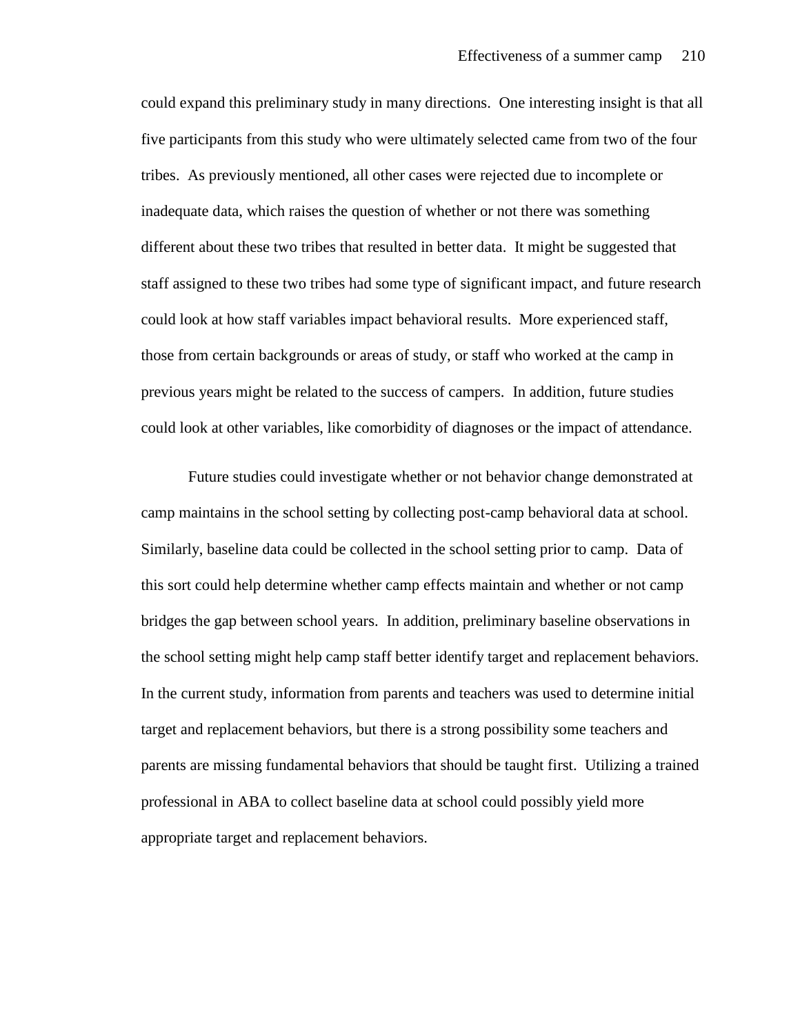could expand this preliminary study in many directions. One interesting insight is that all five participants from this study who were ultimately selected came from two of the four tribes. As previously mentioned, all other cases were rejected due to incomplete or inadequate data, which raises the question of whether or not there was something different about these two tribes that resulted in better data. It might be suggested that staff assigned to these two tribes had some type of significant impact, and future research could look at how staff variables impact behavioral results. More experienced staff, those from certain backgrounds or areas of study, or staff who worked at the camp in previous years might be related to the success of campers. In addition, future studies could look at other variables, like comorbidity of diagnoses or the impact of attendance.

Future studies could investigate whether or not behavior change demonstrated at camp maintains in the school setting by collecting post-camp behavioral data at school. Similarly, baseline data could be collected in the school setting prior to camp. Data of this sort could help determine whether camp effects maintain and whether or not camp bridges the gap between school years. In addition, preliminary baseline observations in the school setting might help camp staff better identify target and replacement behaviors. In the current study, information from parents and teachers was used to determine initial target and replacement behaviors, but there is a strong possibility some teachers and parents are missing fundamental behaviors that should be taught first. Utilizing a trained professional in ABA to collect baseline data at school could possibly yield more appropriate target and replacement behaviors.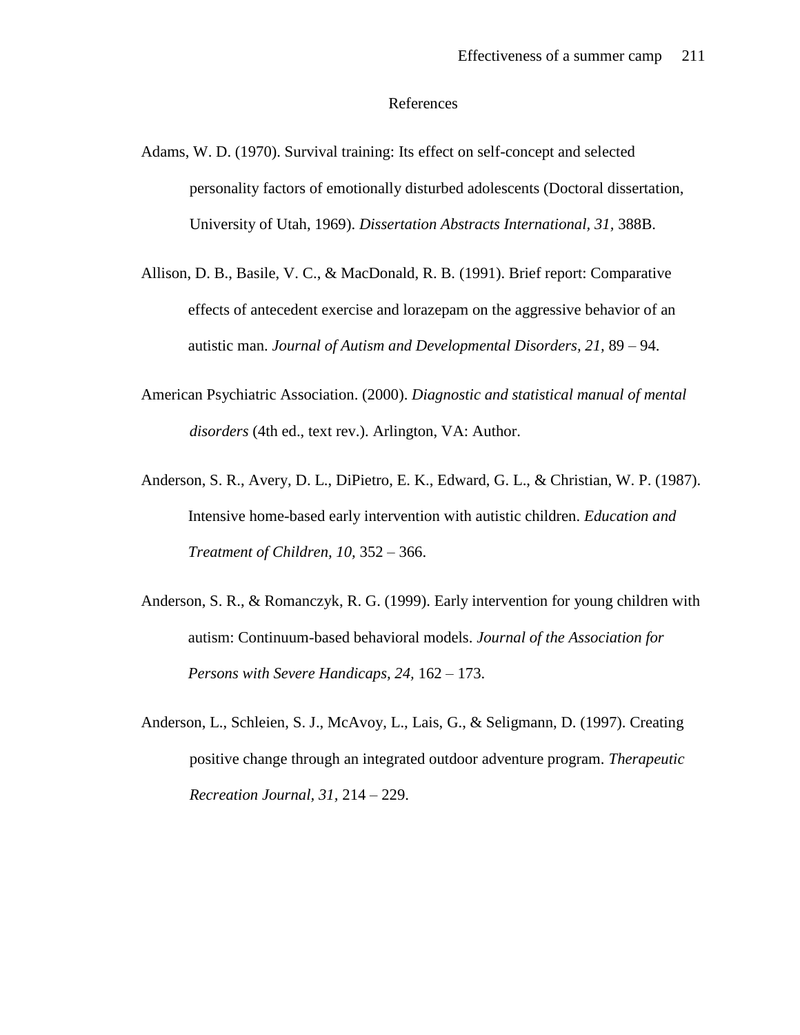#### References

- Adams, W. D. (1970). Survival training: Its effect on self-concept and selected personality factors of emotionally disturbed adolescents (Doctoral dissertation, University of Utah, 1969). *Dissertation Abstracts International, 31,* 388B.
- Allison, D. B., Basile, V. C., & MacDonald, R. B. (1991). Brief report: Comparative effects of antecedent exercise and lorazepam on the aggressive behavior of an autistic man. *Journal of Autism and Developmental Disorders, 21,* 89 – 94.
- American Psychiatric Association. (2000). *Diagnostic and statistical manual of mental disorders* (4th ed., text rev.). Arlington, VA: Author.
- Anderson, S. R., Avery, D. L., DiPietro, E. K., Edward, G. L., & Christian, W. P. (1987). Intensive home-based early intervention with autistic children. *Education and Treatment of Children, 10,* 352 – 366.
- Anderson, S. R., & Romanczyk, R. G. (1999). Early intervention for young children with autism: Continuum-based behavioral models. *Journal of the Association for Persons with Severe Handicaps, 24,* 162 – 173.
- Anderson, L., Schleien, S. J., McAvoy, L., Lais, G., & Seligmann, D. (1997). Creating positive change through an integrated outdoor adventure program. *Therapeutic Recreation Journal, 31,* 214 – 229.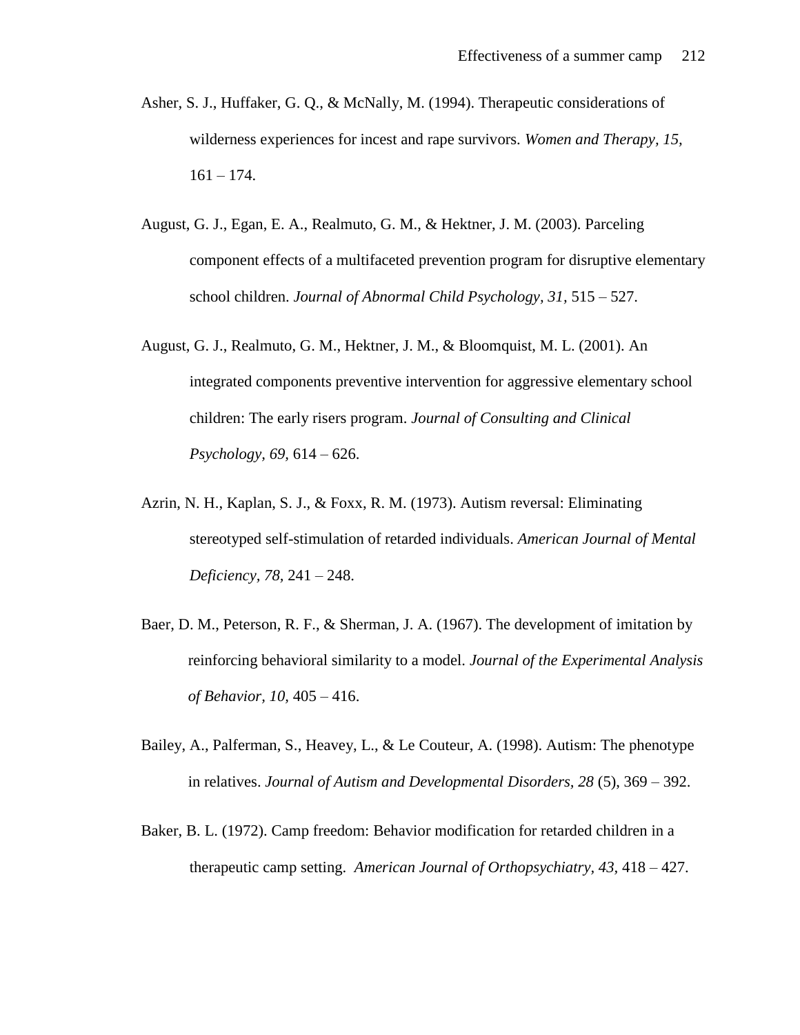- Asher, S. J., Huffaker, G. Q., & McNally, M. (1994). Therapeutic considerations of wilderness experiences for incest and rape survivors. *Women and Therapy, 15,*   $161 - 174.$
- August, G. J., Egan, E. A., Realmuto, G. M., & Hektner, J. M. (2003). Parceling component effects of a multifaceted prevention program for disruptive elementary school children. *Journal of Abnormal Child Psychology, 31,* 515 – 527.
- August, G. J., Realmuto, G. M., Hektner, J. M., & Bloomquist, M. L. (2001). An integrated components preventive intervention for aggressive elementary school children: The early risers program. *Journal of Consulting and Clinical Psychology, 69,* 614 – 626.
- Azrin, N. H., Kaplan, S. J., & Foxx, R. M. (1973). Autism reversal: Eliminating stereotyped self-stimulation of retarded individuals. *American Journal of Mental Deficiency, 78,* 241 – 248.
- Baer, D. M., Peterson, R. F., & Sherman, J. A. (1967). The development of imitation by reinforcing behavioral similarity to a model. *Journal of the Experimental Analysis of Behavior, 10,* 405 – 416.
- Bailey, A., Palferman, S., Heavey, L., & Le Couteur, A. (1998). Autism: The phenotype in relatives. *Journal of Autism and Developmental Disorders, 28* (5), 369 – 392.
- Baker, B. L. (1972). Camp freedom: Behavior modification for retarded children in a therapeutic camp setting. *American Journal of Orthopsychiatry, 43,* 418 – 427.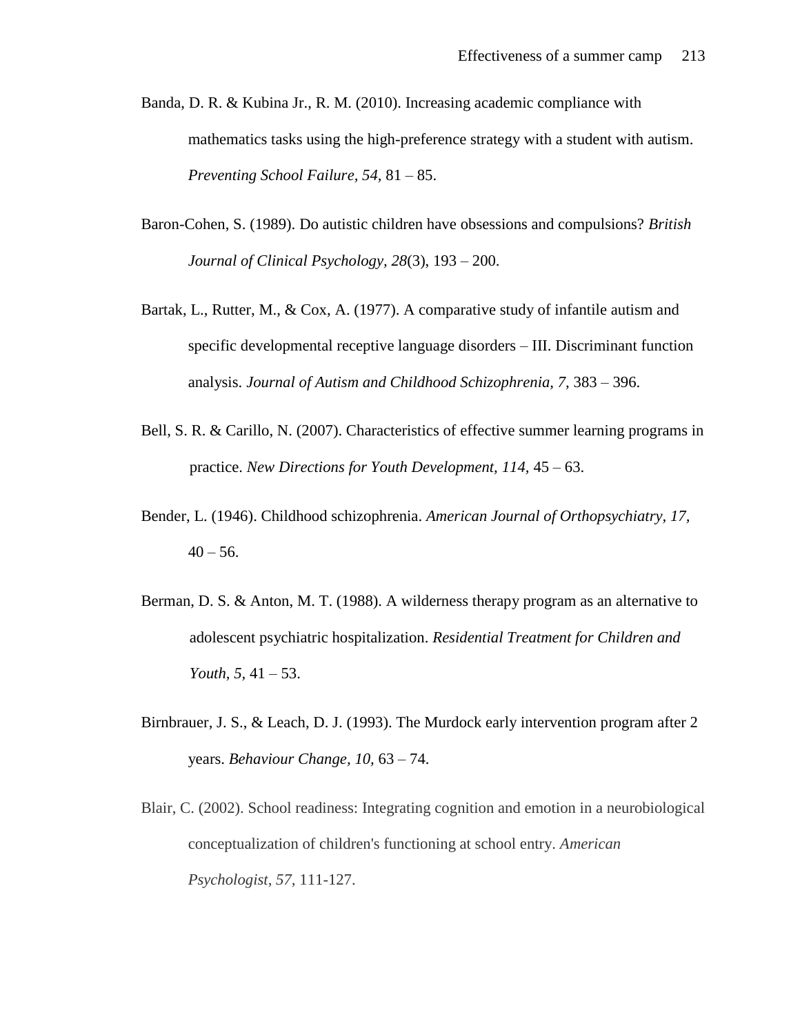- Banda, D. R. & Kubina Jr., R. M. (2010). Increasing academic compliance with mathematics tasks using the high-preference strategy with a student with autism. *Preventing School Failure, 54,* 81 – 85.
- Baron-Cohen, S. (1989). Do autistic children have obsessions and compulsions? *British Journal of Clinical Psychology, 28*(3), 193 – 200.
- Bartak, L., Rutter, M., & Cox, A. (1977). A comparative study of infantile autism and specific developmental receptive language disorders – III. Discriminant function analysis. *Journal of Autism and Childhood Schizophrenia, 7,* 383 – 396.
- Bell, S. R. & Carillo, N. (2007). Characteristics of effective summer learning programs in practice. *New Directions for Youth Development, 114,* 45 – 63.
- Bender, L. (1946). Childhood schizophrenia. *American Journal of Orthopsychiatry, 17,*   $40 - 56$ .
- Berman, D. S. & Anton, M. T. (1988). A wilderness therapy program as an alternative to adolescent psychiatric hospitalization. *Residential Treatment for Children and Youth, 5,* 41 – 53.
- Birnbrauer, J. S., & Leach, D. J. (1993). The Murdock early intervention program after 2 years. *Behaviour Change, 10,* 63 – 74.
- Blair, C. (2002). School readiness: Integrating cognition and emotion in a neurobiological conceptualization of children's functioning at school entry. *American Psychologist, 57,* 111-127.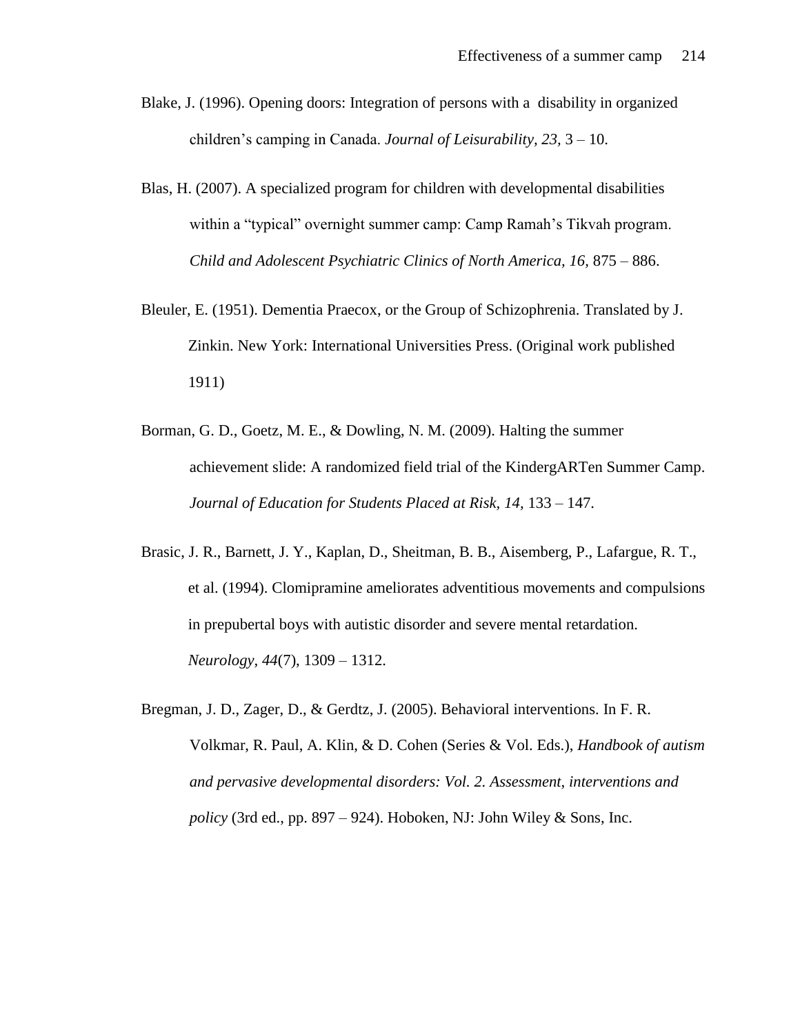- Blake, J. (1996). Opening doors: Integration of persons with a disability in organized children's camping in Canada. *Journal of Leisurability, 23,* 3 – 10.
- Blas, H. (2007). A specialized program for children with developmental disabilities within a "typical" overnight summer camp: Camp Ramah's Tikvah program. *Child and Adolescent Psychiatric Clinics of North America, 16,* 875 – 886.
- Bleuler, E. (1951). Dementia Praecox, or the Group of Schizophrenia. Translated by J. Zinkin. New York: International Universities Press. (Original work published 1911)
- Borman, G. D., Goetz, M. E., & Dowling, N. M. (2009). Halting the summer achievement slide: A randomized field trial of the KindergARTen Summer Camp. Journal of Education for Students Placed at Risk, 14, 133 – 147.
- Brasic, J. R., Barnett, J. Y., Kaplan, D., Sheitman, B. B., Aisemberg, P., Lafargue, R. T., et al. (1994). Clomipramine ameliorates adventitious movements and compulsions in prepubertal boys with autistic disorder and severe mental retardation. *Neurology, 44*(7), 1309 – 1312.
- Bregman, J. D., Zager, D., & Gerdtz, J. (2005). Behavioral interventions. In F. R. Volkmar, R. Paul, A. Klin, & D. Cohen (Series & Vol. Eds.), *Handbook of autism and pervasive developmental disorders: Vol. 2. Assessment, interventions and policy* (3rd ed., pp. 897 – 924). Hoboken, NJ: John Wiley & Sons, Inc.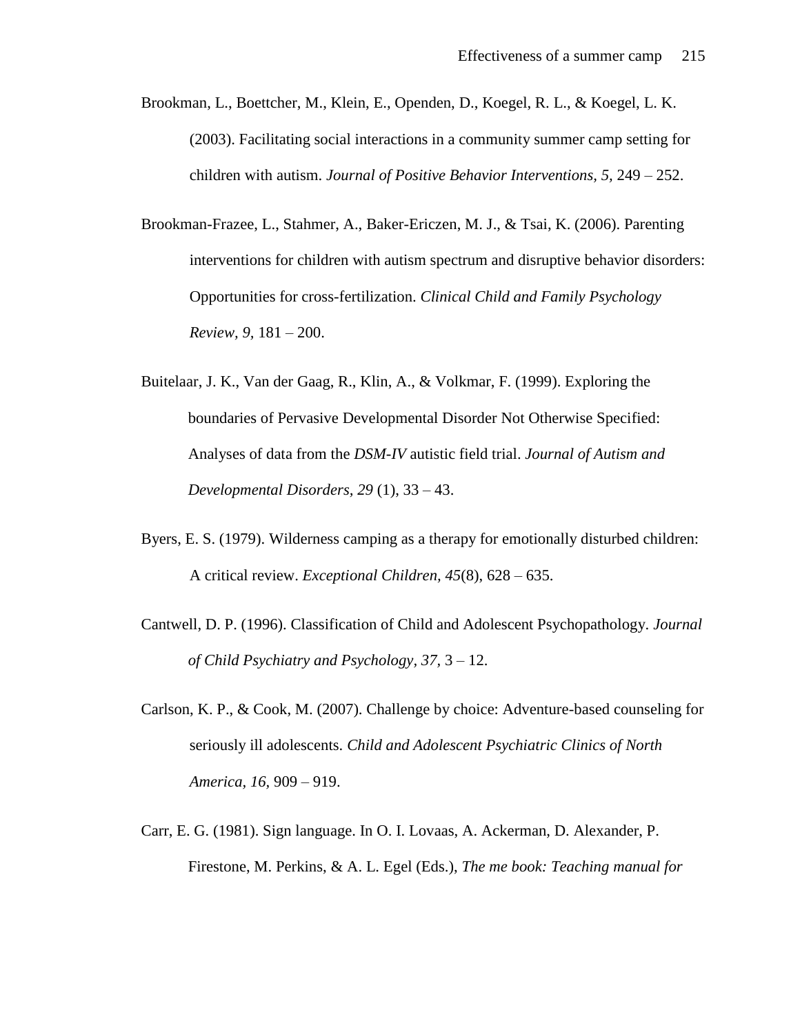- Brookman, L., Boettcher, M., Klein, E., Openden, D., Koegel, R. L., & Koegel, L. K. (2003). Facilitating social interactions in a community summer camp setting for children with autism. *Journal of Positive Behavior Interventions, 5,* 249 – 252.
- Brookman-Frazee, L., Stahmer, A., Baker-Ericzen, M. J., & Tsai, K. (2006). Parenting interventions for children with autism spectrum and disruptive behavior disorders: Opportunities for cross-fertilization. *Clinical Child and Family Psychology Review, 9,* 181 – 200.
- Buitelaar, J. K., Van der Gaag, R., Klin, A., & Volkmar, F. (1999). Exploring the boundaries of Pervasive Developmental Disorder Not Otherwise Specified: Analyses of data from the *DSM-IV* autistic field trial. *Journal of Autism and Developmental Disorders, 29* (1), 33 – 43.
- Byers, E. S. (1979). Wilderness camping as a therapy for emotionally disturbed children: A critical review. *Exceptional Children, 45*(8), 628 – 635.
- Cantwell, D. P. (1996). Classification of Child and Adolescent Psychopathology. *Journal of Child Psychiatry and Psychology, 37,* 3 – 12.
- Carlson, K. P., & Cook, M. (2007). Challenge by choice: Adventure-based counseling for seriously ill adolescents. *Child and Adolescent Psychiatric Clinics of North America, 16,* 909 – 919.
- Carr, E. G. (1981). Sign language. In O. I. Lovaas, A. Ackerman, D. Alexander, P. Firestone, M. Perkins, & A. L. Egel (Eds.), *The me book: Teaching manual for*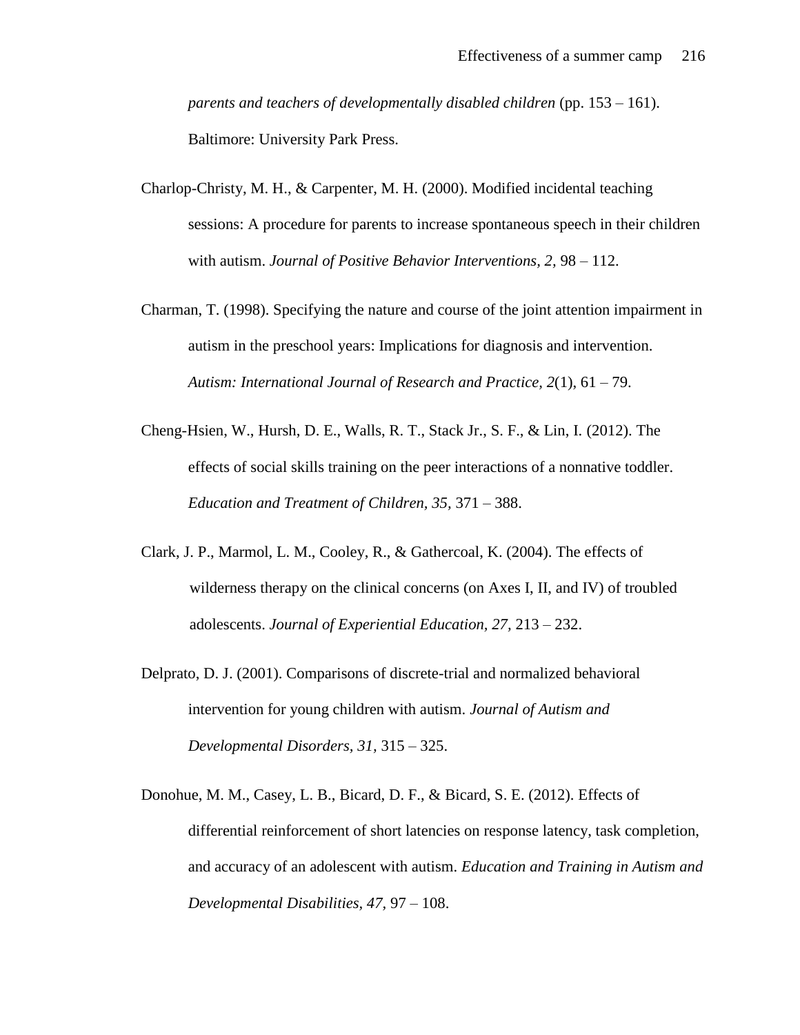*parents and teachers of developmentally disabled children* (pp. 153 – 161). Baltimore: University Park Press.

- Charlop-Christy, M. H., & Carpenter, M. H. (2000). Modified incidental teaching sessions: A procedure for parents to increase spontaneous speech in their children with autism. *Journal of Positive Behavior Interventions, 2,* 98 – 112.
- Charman, T. (1998). Specifying the nature and course of the joint attention impairment in autism in the preschool years: Implications for diagnosis and intervention. *Autism: International Journal of Research and Practice, 2*(1), 61 – 79.
- Cheng-Hsien, W., Hursh, D. E., Walls, R. T., Stack Jr., S. F., & Lin, I. (2012). The effects of social skills training on the peer interactions of a nonnative toddler. *Education and Treatment of Children, 35,* 371 – 388.
- Clark, J. P., Marmol, L. M., Cooley, R., & Gathercoal, K. (2004). The effects of wilderness therapy on the clinical concerns (on Axes I, II, and IV) of troubled adolescents. *Journal of Experiential Education, 27,* 213 – 232.
- Delprato, D. J. (2001). Comparisons of discrete-trial and normalized behavioral intervention for young children with autism. *Journal of Autism and Developmental Disorders, 31,* 315 – 325.
- Donohue, M. M., Casey, L. B., Bicard, D. F., & Bicard, S. E. (2012). Effects of differential reinforcement of short latencies on response latency, task completion, and accuracy of an adolescent with autism. *Education and Training in Autism and Developmental Disabilities, 47,* 97 – 108.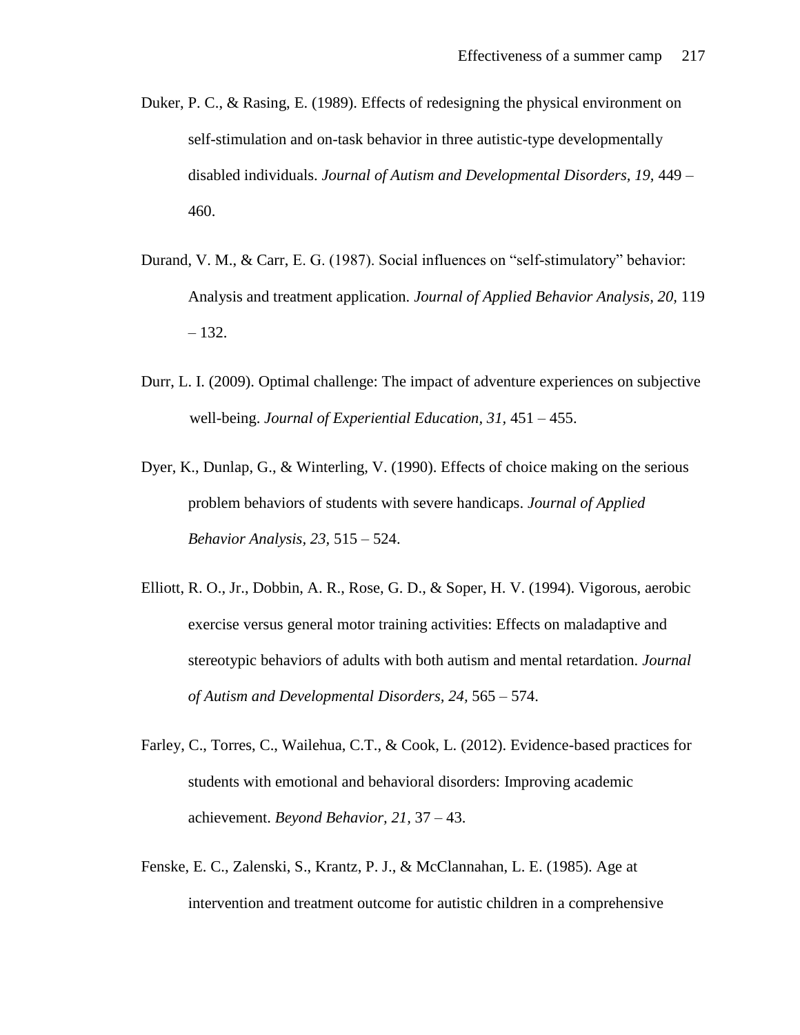- Duker, P. C., & Rasing, E. (1989). Effects of redesigning the physical environment on self-stimulation and on-task behavior in three autistic-type developmentally disabled individuals. *Journal of Autism and Developmental Disorders, 19,* 449 – 460.
- Durand, V. M., & Carr, E. G. (1987). Social influences on "self-stimulatory" behavior: Analysis and treatment application. *Journal of Applied Behavior Analysis, 20,* 119 – 132.
- Durr, L. I. (2009). Optimal challenge: The impact of adventure experiences on subjective well-being. *Journal of Experiential Education, 31,* 451 – 455.
- Dyer, K., Dunlap, G., & Winterling, V. (1990). Effects of choice making on the serious problem behaviors of students with severe handicaps. *Journal of Applied Behavior Analysis, 23,* 515 – 524.
- Elliott, R. O., Jr., Dobbin, A. R., Rose, G. D., & Soper, H. V. (1994). Vigorous, aerobic exercise versus general motor training activities: Effects on maladaptive and stereotypic behaviors of adults with both autism and mental retardation. *Journal of Autism and Developmental Disorders, 24,* 565 – 574.
- Farley, C., Torres, C., Wailehua, C.T., & Cook, L. (2012). Evidence-based practices for students with emotional and behavioral disorders: Improving academic achievement. *Beyond Behavior, 21,* 37 – 43.
- Fenske, E. C., Zalenski, S., Krantz, P. J., & McClannahan, L. E. (1985). Age at intervention and treatment outcome for autistic children in a comprehensive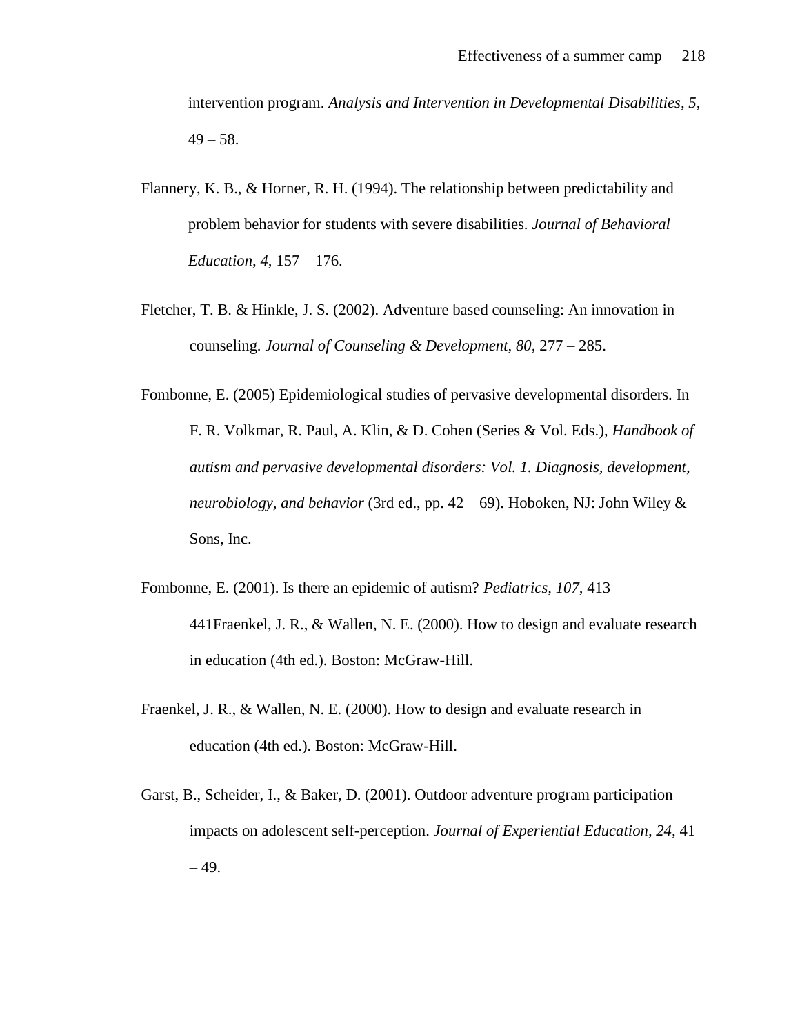intervention program. *Analysis and Intervention in Developmental Disabilities, 5,*   $49 - 58$ .

- Flannery, K. B., & Horner, R. H. (1994). The relationship between predictability and problem behavior for students with severe disabilities. *Journal of Behavioral Education, 4,* 157 – 176.
- Fletcher, T. B. & Hinkle, J. S. (2002). Adventure based counseling: An innovation in counseling. *Journal of Counseling & Development, 80,* 277 – 285.
- Fombonne, E. (2005) Epidemiological studies of pervasive developmental disorders. In F. R. Volkmar, R. Paul, A. Klin, & D. Cohen (Series & Vol. Eds.), *Handbook of autism and pervasive developmental disorders: Vol. 1. Diagnosis, development, neurobiology, and behavior* (3rd ed., pp. 42 – 69). Hoboken, NJ: John Wiley & Sons, Inc.
- Fombonne, E. (2001). Is there an epidemic of autism? *Pediatrics, 107,* 413 441Fraenkel, J. R., & Wallen, N. E. (2000). How to design and evaluate research in education (4th ed.). Boston: McGraw-Hill.
- Fraenkel, J. R., & Wallen, N. E. (2000). How to design and evaluate research in education (4th ed.). Boston: McGraw-Hill.
- Garst, B., Scheider, I., & Baker, D. (2001). Outdoor adventure program participation impacts on adolescent self-perception. *Journal of Experiential Education, 24,* 41  $-49.$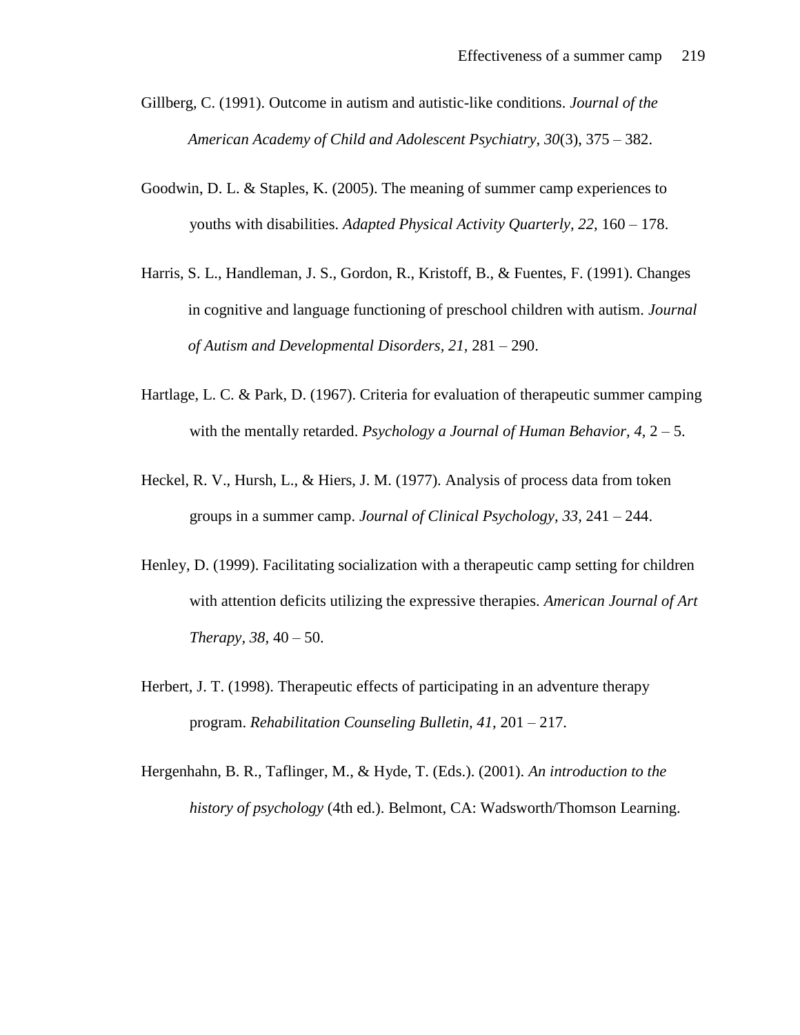- Gillberg, C. (1991). Outcome in autism and autistic-like conditions. *Journal of the American Academy of Child and Adolescent Psychiatry, 30*(3), 375 – 382.
- Goodwin, D. L. & Staples, K. (2005). The meaning of summer camp experiences to youths with disabilities. *Adapted Physical Activity Quarterly, 22,* 160 – 178.
- Harris, S. L., Handleman, J. S., Gordon, R., Kristoff, B., & Fuentes, F. (1991). Changes in cognitive and language functioning of preschool children with autism. *Journal of Autism and Developmental Disorders, 21,* 281 – 290.
- Hartlage, L. C. & Park, D. (1967). Criteria for evaluation of therapeutic summer camping with the mentally retarded. *Psychology a Journal of Human Behavior*, 4, 2 – 5.
- Heckel, R. V., Hursh, L., & Hiers, J. M. (1977). Analysis of process data from token groups in a summer camp. *Journal of Clinical Psychology, 33,* 241 – 244.
- Henley, D. (1999). Facilitating socialization with a therapeutic camp setting for children with attention deficits utilizing the expressive therapies. *American Journal of Art Therapy, 38,* 40 – 50.
- Herbert, J. T. (1998). Therapeutic effects of participating in an adventure therapy program. *Rehabilitation Counseling Bulletin, 41,* 201 – 217.
- Hergenhahn, B. R., Taflinger, M., & Hyde, T. (Eds.). (2001). *An introduction to the history of psychology* (4th ed.). Belmont, CA: Wadsworth/Thomson Learning.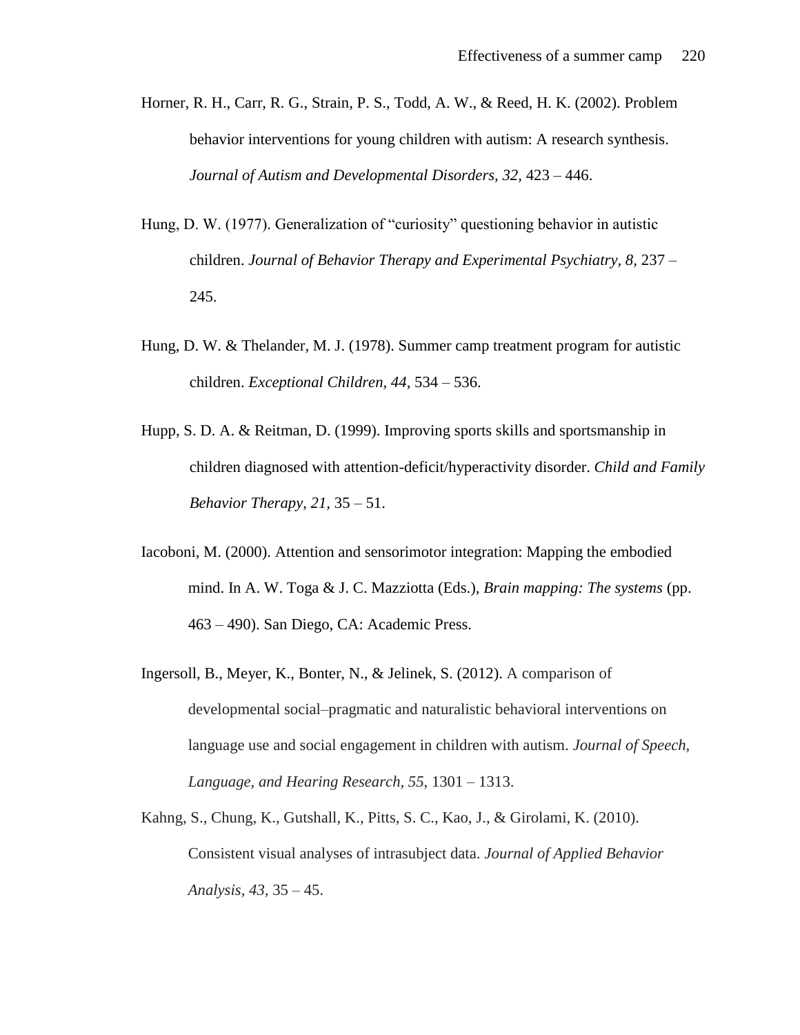- Horner, R. H., Carr, R. G., Strain, P. S., Todd, A. W., & Reed, H. K. (2002). Problem behavior interventions for young children with autism: A research synthesis. *Journal of Autism and Developmental Disorders, 32,* 423 – 446.
- Hung, D. W. (1977). Generalization of "curiosity" questioning behavior in autistic children. *Journal of Behavior Therapy and Experimental Psychiatry, 8, 237 –* 245.
- Hung, D. W. & Thelander, M. J. (1978). Summer camp treatment program for autistic children. *Exceptional Children, 44,* 534 – 536.
- Hupp, S. D. A. & Reitman, D. (1999). Improving sports skills and sportsmanship in children diagnosed with attention-deficit/hyperactivity disorder. *Child and Family Behavior Therapy, 21,* 35 – 51.
- Iacoboni, M. (2000). Attention and sensorimotor integration: Mapping the embodied mind. In A. W. Toga & J. C. Mazziotta (Eds.), *Brain mapping: The systems* (pp. 463 – 490). San Diego, CA: Academic Press.
- Ingersoll, B., Meyer, K., Bonter, N., & Jelinek, S. (2012). A comparison of developmental social*–*pragmatic and naturalistic behavioral interventions on language use and social engagement in children with autism. *Journal of Speech, Language, and Hearing Research, 55*, 1301 – 1313.
- Kahng, S., Chung, K., Gutshall, K., Pitts, S. C., Kao, J., & Girolami, K. (2010). Consistent visual analyses of intrasubject data. *Journal of Applied Behavior Analysis, 43,* 35 – 45.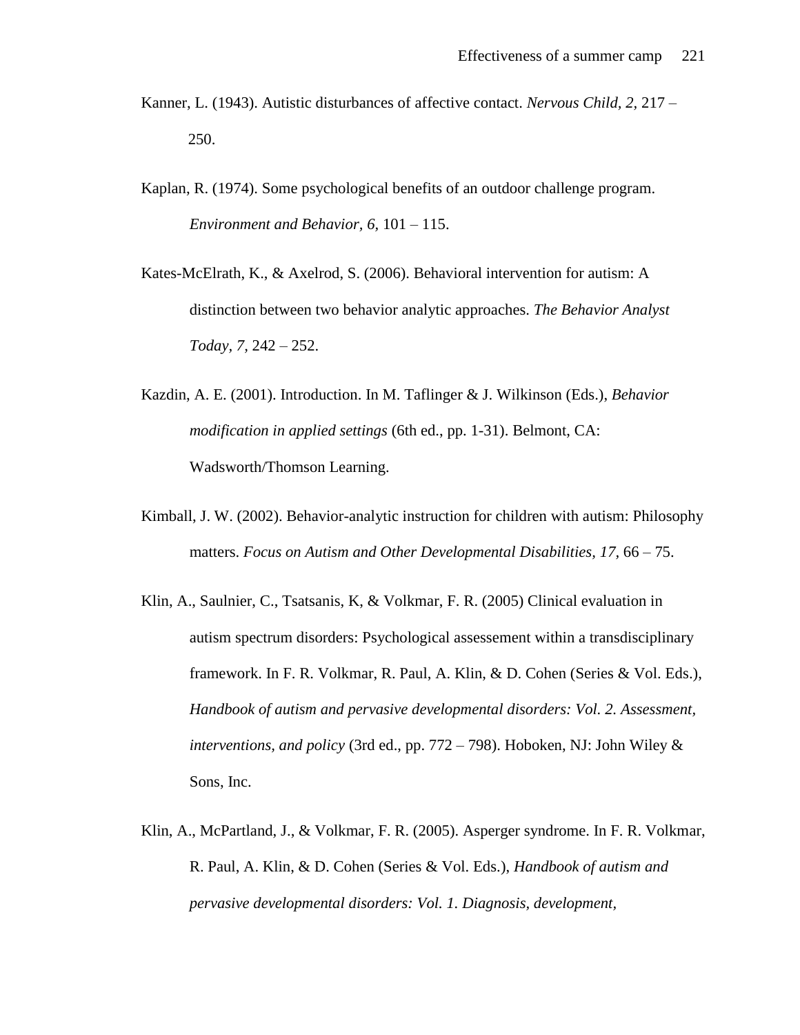- Kanner, L. (1943). Autistic disturbances of affective contact. *Nervous Child, 2,* 217 250.
- Kaplan, R. (1974). Some psychological benefits of an outdoor challenge program. *Environment and Behavior, 6,* 101 – 115.
- Kates-McElrath, K., & Axelrod, S. (2006). Behavioral intervention for autism: A distinction between two behavior analytic approaches. *The Behavior Analyst Today, 7,* 242 – 252.
- Kazdin, A. E. (2001). Introduction. In M. Taflinger & J. Wilkinson (Eds.), *Behavior modification in applied settings* (6th ed., pp. 1-31). Belmont, CA: Wadsworth/Thomson Learning.
- Kimball, J. W. (2002). Behavior-analytic instruction for children with autism: Philosophy matters. *Focus on Autism and Other Developmental Disabilities, 17,* 66 – 75.
- Klin, A., Saulnier, C., Tsatsanis, K, & Volkmar, F. R. (2005) Clinical evaluation in autism spectrum disorders: Psychological assessement within a transdisciplinary framework. In F. R. Volkmar, R. Paul, A. Klin, & D. Cohen (Series & Vol. Eds.), *Handbook of autism and pervasive developmental disorders: Vol. 2. Assessment, interventions, and policy* (3rd ed., pp. 772 – 798). Hoboken, NJ: John Wiley & Sons, Inc.
- Klin, A., McPartland, J., & Volkmar, F. R. (2005). Asperger syndrome. In F. R. Volkmar, R. Paul, A. Klin, & D. Cohen (Series & Vol. Eds.), *Handbook of autism and pervasive developmental disorders: Vol. 1. Diagnosis, development,*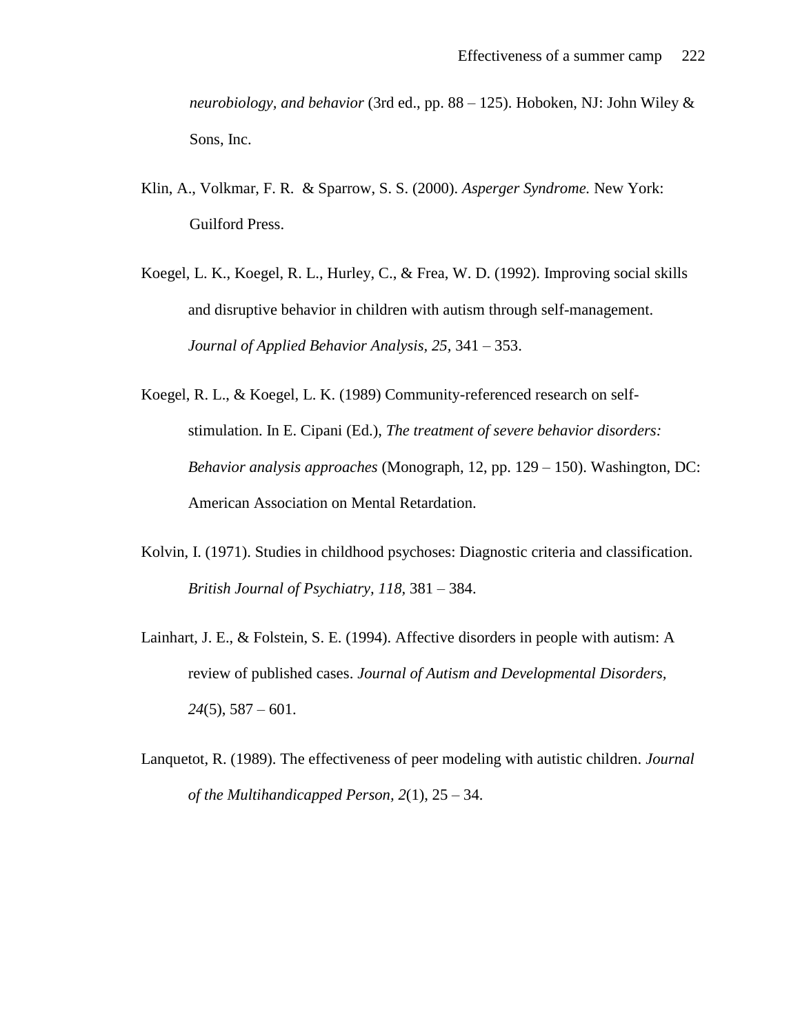*neurobiology, and behavior* (3rd ed., pp. 88 – 125). Hoboken, NJ: John Wiley & Sons, Inc.

- Klin, A., Volkmar, F. R. & Sparrow, S. S. (2000). *Asperger Syndrome.* New York: Guilford Press.
- Koegel, L. K., Koegel, R. L., Hurley, C., & Frea, W. D. (1992). Improving social skills and disruptive behavior in children with autism through self-management. *Journal of Applied Behavior Analysis, 25,* 341 – 353.
- Koegel, R. L., & Koegel, L. K. (1989) Community-referenced research on selfstimulation. In E. Cipani (Ed.), *The treatment of severe behavior disorders: Behavior analysis approaches* (Monograph, 12, pp. 129 – 150). Washington, DC: American Association on Mental Retardation.
- Kolvin, I. (1971). Studies in childhood psychoses: Diagnostic criteria and classification. *British Journal of Psychiatry, 118,* 381 – 384.
- Lainhart, J. E., & Folstein, S. E. (1994). Affective disorders in people with autism: A review of published cases. *Journal of Autism and Developmental Disorders, 24*(5), 587 – 601.
- Lanquetot, R. (1989). The effectiveness of peer modeling with autistic children. *Journal of the Multihandicapped Person, 2*(1), 25 – 34.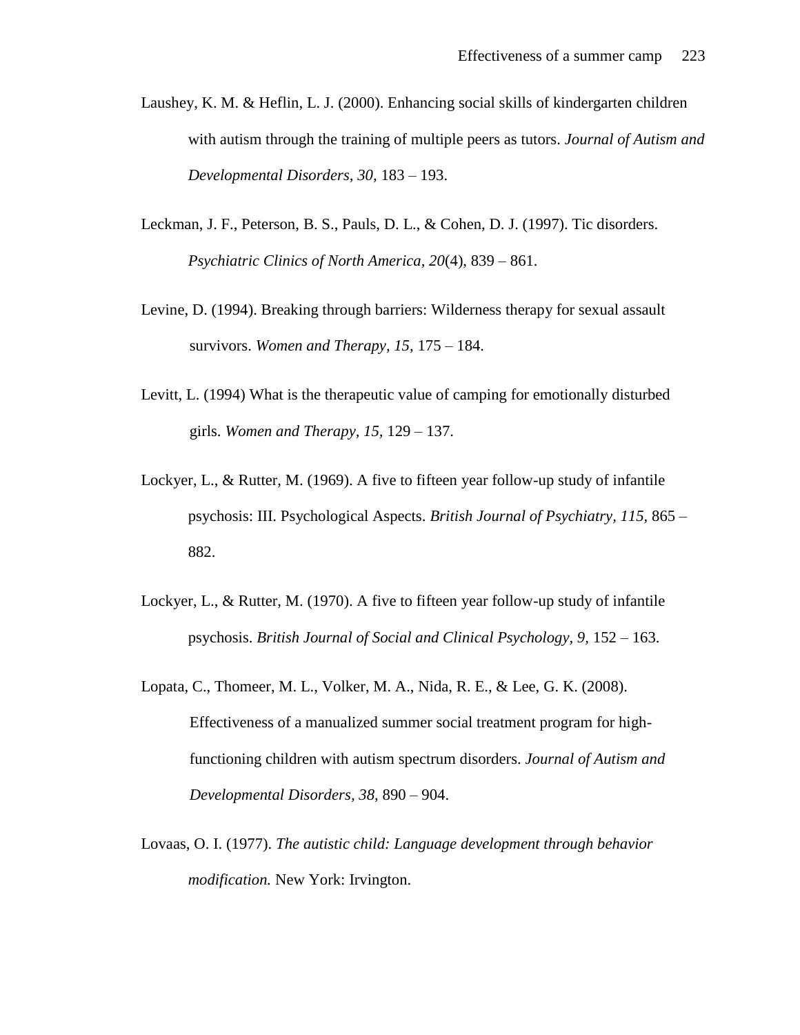- Laushey, K. M. & Heflin, L. J. (2000). Enhancing social skills of kindergarten children with autism through the training of multiple peers as tutors. *Journal of Autism and Developmental Disorders, 30,* 183 – 193.
- Leckman, J. F., Peterson, B. S., Pauls, D. L., & Cohen, D. J. (1997). Tic disorders. *Psychiatric Clinics of North America, 20*(4), 839 – 861.
- Levine, D. (1994). Breaking through barriers: Wilderness therapy for sexual assault survivors. *Women and Therapy, 15,* 175 – 184.
- Levitt, L. (1994) What is the therapeutic value of camping for emotionally disturbed girls. *Women and Therapy, 15,* 129 – 137.
- Lockyer, L., & Rutter, M. (1969). A five to fifteen year follow-up study of infantile psychosis: III. Psychological Aspects. *British Journal of Psychiatry, 115,* 865 – 882.
- Lockyer, L., & Rutter, M. (1970). A five to fifteen year follow-up study of infantile psychosis. *British Journal of Social and Clinical Psychology, 9,* 152 – 163.
- Lopata, C., Thomeer, M. L., Volker, M. A., Nida, R. E., & Lee, G. K. (2008). Effectiveness of a manualized summer social treatment program for highfunctioning children with autism spectrum disorders. *Journal of Autism and Developmental Disorders, 38,* 890 – 904.
- Lovaas, O. I. (1977). *The autistic child: Language development through behavior modification.* New York: Irvington.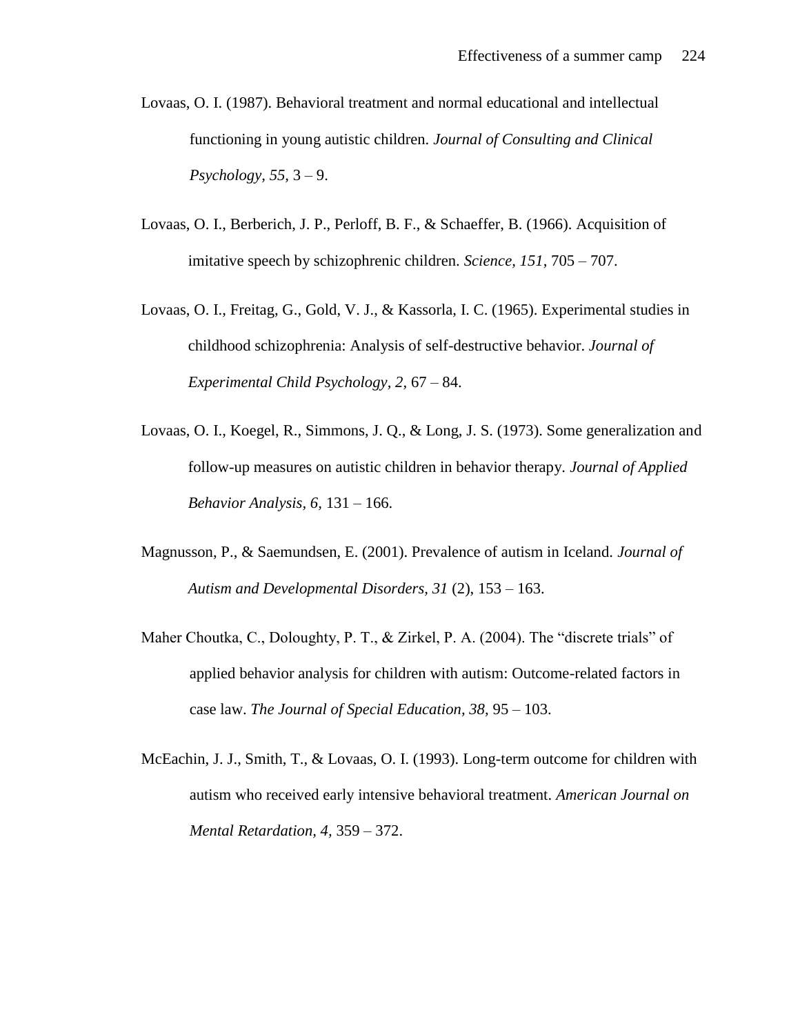- Lovaas, O. I. (1987). Behavioral treatment and normal educational and intellectual functioning in young autistic children. *Journal of Consulting and Clinical Psychology, 55,* 3 – 9.
- Lovaas, O. I., Berberich, J. P., Perloff, B. F., & Schaeffer, B. (1966). Acquisition of imitative speech by schizophrenic children. *Science, 151,* 705 – 707.
- Lovaas, O. I., Freitag, G., Gold, V. J., & Kassorla, I. C. (1965). Experimental studies in childhood schizophrenia: Analysis of self-destructive behavior. *Journal of Experimental Child Psychology, 2,* 67 – 84.
- Lovaas, O. I., Koegel, R., Simmons, J. Q., & Long, J. S. (1973). Some generalization and follow-up measures on autistic children in behavior therapy. *Journal of Applied Behavior Analysis, 6,* 131 – 166.
- Magnusson, P., & Saemundsen, E. (2001). Prevalence of autism in Iceland. *Journal of Autism and Developmental Disorders, 31* (2), 153 – 163.
- Maher Choutka, C., Doloughty, P. T., & Zirkel, P. A. (2004). The "discrete trials" of applied behavior analysis for children with autism: Outcome-related factors in case law. *The Journal of Special Education, 38,* 95 – 103.
- McEachin, J. J., Smith, T., & Lovaas, O. I. (1993). Long-term outcome for children with autism who received early intensive behavioral treatment. *American Journal on Mental Retardation, 4,* 359 – 372.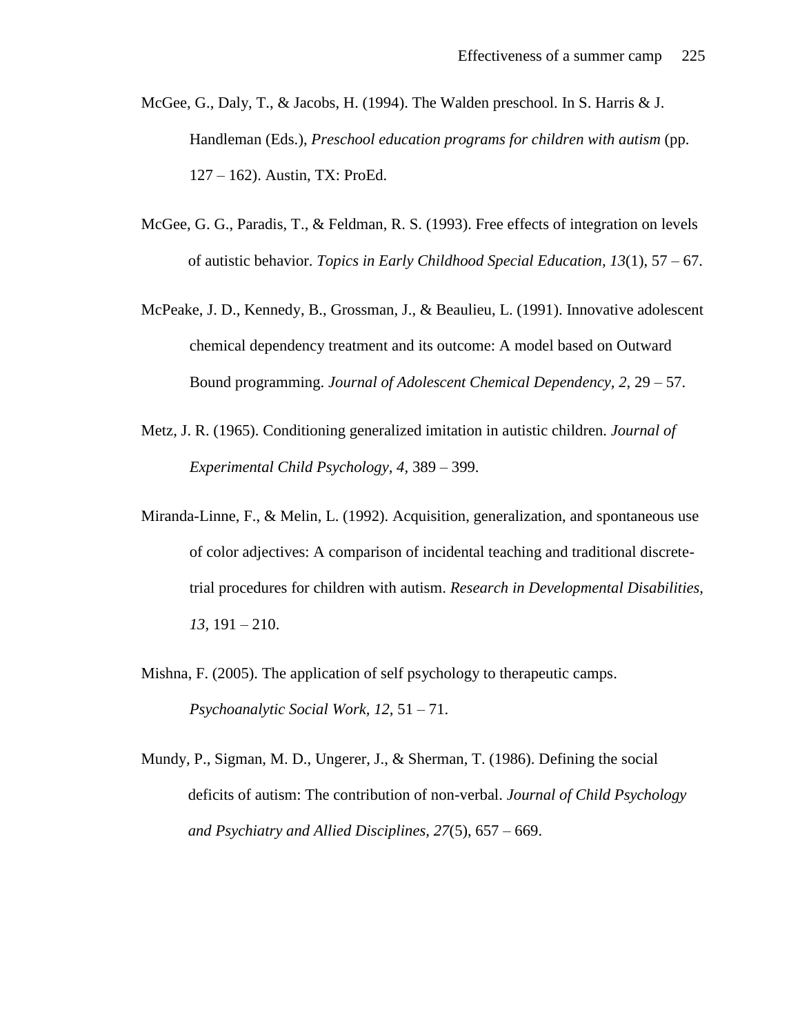- McGee, G., Daly, T., & Jacobs, H. (1994). The Walden preschool. In S. Harris & J. Handleman (Eds.), *Preschool education programs for children with autism* (pp. 127 – 162). Austin, TX: ProEd.
- McGee, G. G., Paradis, T., & Feldman, R. S. (1993). Free effects of integration on levels of autistic behavior. *Topics in Early Childhood Special Education, 13*(1), 57 – 67.
- McPeake, J. D., Kennedy, B., Grossman, J., & Beaulieu, L. (1991). Innovative adolescent chemical dependency treatment and its outcome: A model based on Outward Bound programming. *Journal of Adolescent Chemical Dependency, 2,* 29 – 57.
- Metz, J. R. (1965). Conditioning generalized imitation in autistic children. *Journal of Experimental Child Psychology, 4,* 389 – 399.
- Miranda-Linne, F., & Melin, L. (1992). Acquisition, generalization, and spontaneous use of color adjectives: A comparison of incidental teaching and traditional discretetrial procedures for children with autism. *Research in Developmental Disabilities, 13,* 191 – 210.
- Mishna, F. (2005). The application of self psychology to therapeutic camps. *Psychoanalytic Social Work, 12,* 51 – 71.
- Mundy, P., Sigman, M. D., Ungerer, J., & Sherman, T. (1986). Defining the social deficits of autism: The contribution of non-verbal. *Journal of Child Psychology and Psychiatry and Allied Disciplines, 27*(5), 657 – 669.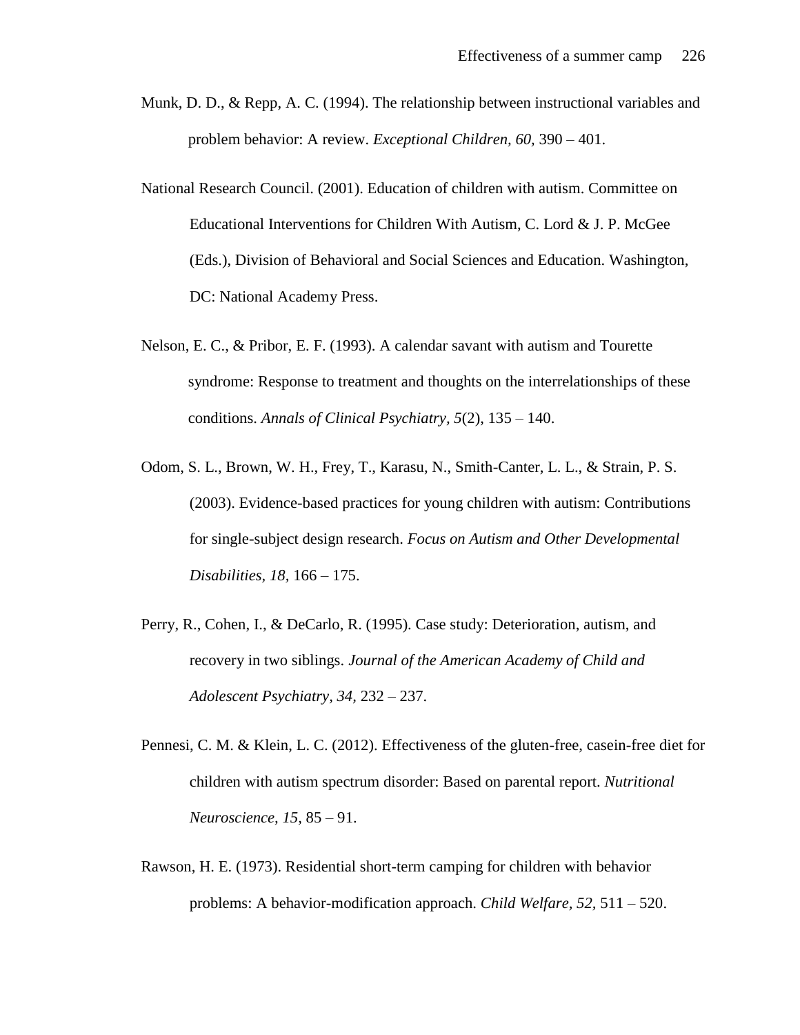- Munk, D. D., & Repp, A. C. (1994). The relationship between instructional variables and problem behavior: A review. *Exceptional Children, 60,* 390 – 401.
- National Research Council. (2001). Education of children with autism. Committee on Educational Interventions for Children With Autism, C. Lord & J. P. McGee (Eds.), Division of Behavioral and Social Sciences and Education. Washington, DC: National Academy Press.
- Nelson, E. C., & Pribor, E. F. (1993). A calendar savant with autism and Tourette syndrome: Response to treatment and thoughts on the interrelationships of these conditions. *Annals of Clinical Psychiatry, 5*(2), 135 – 140.
- Odom, S. L., Brown, W. H., Frey, T., Karasu, N., Smith-Canter, L. L., & Strain, P. S. (2003). Evidence-based practices for young children with autism: Contributions for single-subject design research. *Focus on Autism and Other Developmental Disabilities, 18,* 166 – 175.
- Perry, R., Cohen, I., & DeCarlo, R. (1995). Case study: Deterioration, autism, and recovery in two siblings. *Journal of the American Academy of Child and Adolescent Psychiatry, 34,* 232 – 237.
- Pennesi, C. M. & Klein, L. C. (2012). Effectiveness of the gluten-free, casein-free diet for children with autism spectrum disorder: Based on parental report. *Nutritional Neuroscience, 15,* 85 – 91.
- Rawson, H. E. (1973). Residential short-term camping for children with behavior problems: A behavior-modification approach. *Child Welfare, 52,* 511 – 520.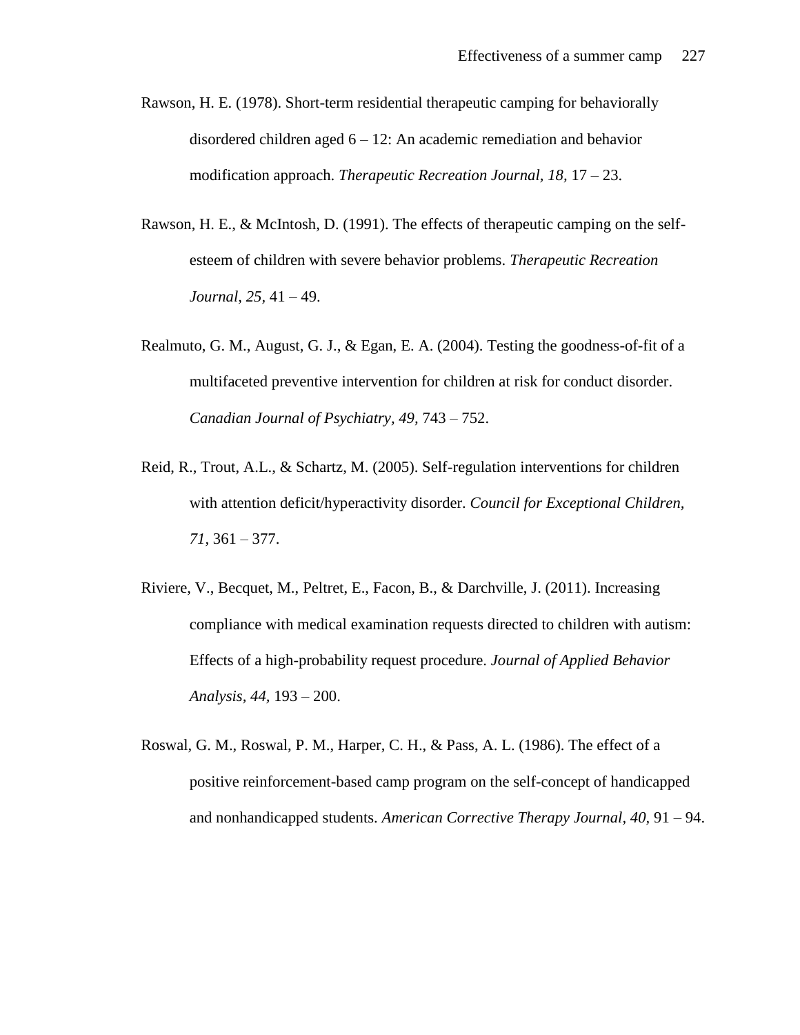- Rawson, H. E. (1978). Short-term residential therapeutic camping for behaviorally disordered children aged  $6 - 12$ : An academic remediation and behavior modification approach. *Therapeutic Recreation Journal, 18,* 17 – 23.
- Rawson, H. E., & McIntosh, D. (1991). The effects of therapeutic camping on the selfesteem of children with severe behavior problems. *Therapeutic Recreation Journal, 25,* 41 – 49.
- Realmuto, G. M., August, G. J., & Egan, E. A. (2004). Testing the goodness-of-fit of a multifaceted preventive intervention for children at risk for conduct disorder. *Canadian Journal of Psychiatry, 49,* 743 – 752.
- Reid, R., Trout, A.L., & Schartz, M. (2005). Self-regulation interventions for children with attention deficit/hyperactivity disorder. *Council for Exceptional Children, 71,* 361 – 377.
- Riviere, V., Becquet, M., Peltret, E., Facon, B., & Darchville, J. (2011). Increasing compliance with medical examination requests directed to children with autism: Effects of a high-probability request procedure. *Journal of Applied Behavior Analysis, 44,* 193 – 200.
- Roswal, G. M., Roswal, P. M., Harper, C. H., & Pass, A. L. (1986). The effect of a positive reinforcement-based camp program on the self-concept of handicapped and nonhandicapped students. *American Corrective Therapy Journal, 40,* 91 – 94.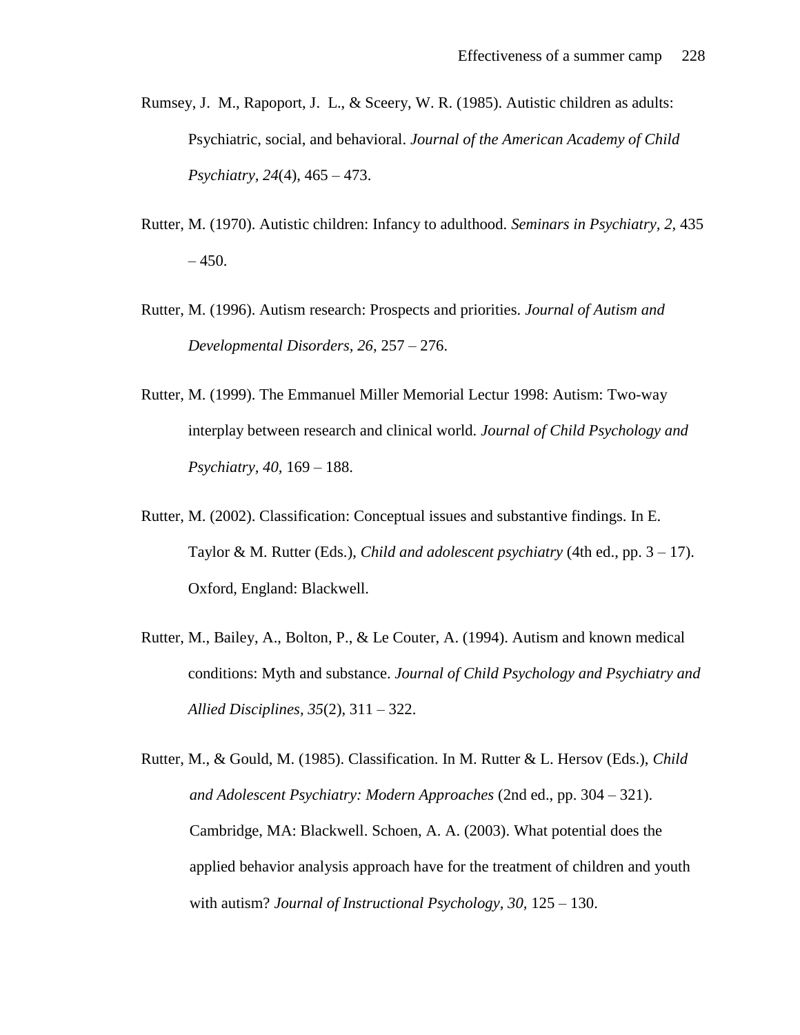- Rumsey, J. M., Rapoport, J. L., & Sceery, W. R. (1985). Autistic children as adults: Psychiatric, social, and behavioral. *Journal of the American Academy of Child Psychiatry, 24*(4), 465 – 473.
- Rutter, M. (1970). Autistic children: Infancy to adulthood. *Seminars in Psychiatry, 2,* 435  $-450.$
- Rutter, M. (1996). Autism research: Prospects and priorities. *Journal of Autism and Developmental Disorders, 26,* 257 – 276.
- Rutter, M. (1999). The Emmanuel Miller Memorial Lectur 1998: Autism: Two-way interplay between research and clinical world. *Journal of Child Psychology and Psychiatry, 40,* 169 – 188.
- Rutter, M. (2002). Classification: Conceptual issues and substantive findings. In E. Taylor & M. Rutter (Eds.), *Child and adolescent psychiatry* (4th ed., pp. 3 – 17). Oxford, England: Blackwell.
- Rutter, M., Bailey, A., Bolton, P., & Le Couter, A. (1994). Autism and known medical conditions: Myth and substance. *Journal of Child Psychology and Psychiatry and Allied Disciplines, 35*(2), 311 – 322.

Rutter, M., & Gould, M. (1985). Classification. In M. Rutter & L. Hersov (Eds.), *Child and Adolescent Psychiatry: Modern Approaches* (2nd ed., pp. 304 – 321). Cambridge, MA: Blackwell. Schoen, A. A. (2003). What potential does the applied behavior analysis approach have for the treatment of children and youth with autism? *Journal of Instructional Psychology, 30,* 125 – 130.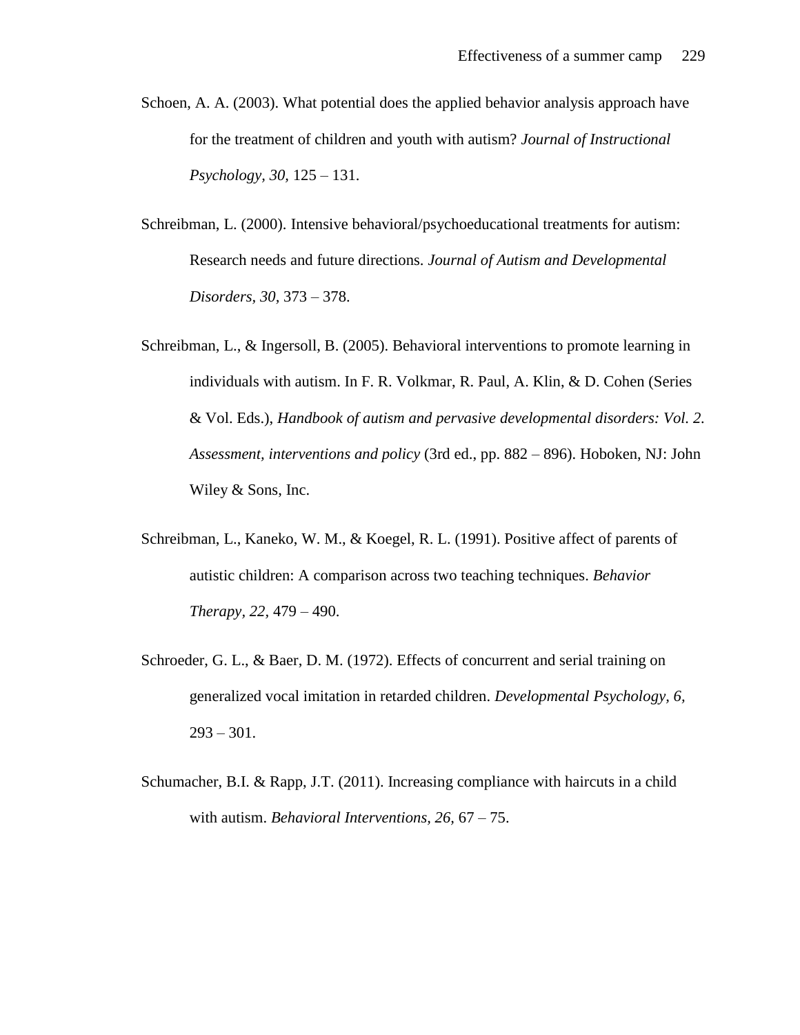- Schoen, A. A. (2003). What potential does the applied behavior analysis approach have for the treatment of children and youth with autism? *Journal of Instructional Psychology, 30,* 125 – 131.
- Schreibman, L. (2000). Intensive behavioral/psychoeducational treatments for autism: Research needs and future directions. *Journal of Autism and Developmental Disorders, 30,* 373 – 378.
- Schreibman, L., & Ingersoll, B. (2005). Behavioral interventions to promote learning in individuals with autism. In F. R. Volkmar, R. Paul, A. Klin, & D. Cohen (Series & Vol. Eds.), *Handbook of autism and pervasive developmental disorders: Vol. 2. Assessment, interventions and policy* (3rd ed., pp. 882 – 896). Hoboken, NJ: John Wiley & Sons, Inc.
- Schreibman, L., Kaneko, W. M., & Koegel, R. L. (1991). Positive affect of parents of autistic children: A comparison across two teaching techniques. *Behavior Therapy, 22,* 479 – 490.
- Schroeder, G. L., & Baer, D. M. (1972). Effects of concurrent and serial training on generalized vocal imitation in retarded children. *Developmental Psychology, 6,*   $293 - 301$ .
- Schumacher, B.I. & Rapp, J.T. (2011). Increasing compliance with haircuts in a child with autism. *Behavioral Interventions, 26,* 67 – 75.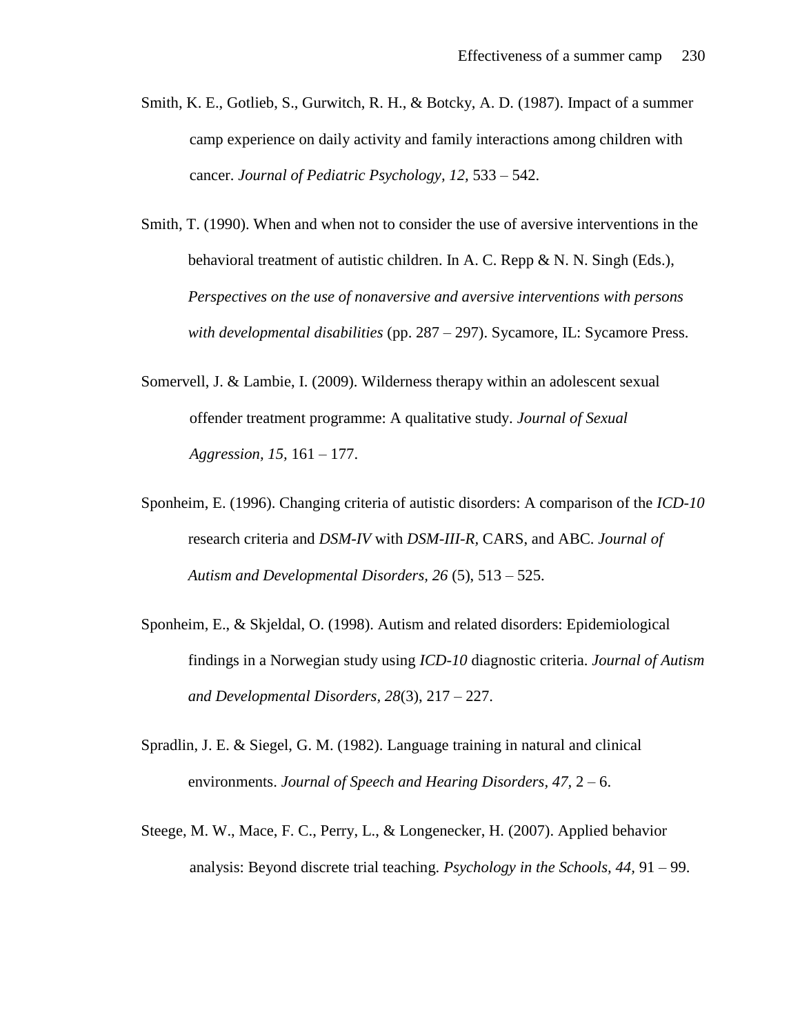- Smith, K. E., Gotlieb, S., Gurwitch, R. H., & Botcky, A. D. (1987). Impact of a summer camp experience on daily activity and family interactions among children with cancer. *Journal of Pediatric Psychology, 12,* 533 – 542.
- Smith, T. (1990). When and when not to consider the use of aversive interventions in the behavioral treatment of autistic children. In A. C. Repp & N. N. Singh (Eds.), *Perspectives on the use of nonaversive and aversive interventions with persons with developmental disabilities* (pp. 287 – 297). Sycamore, IL: Sycamore Press.
- Somervell, J. & Lambie, I. (2009). Wilderness therapy within an adolescent sexual offender treatment programme: A qualitative study. *Journal of Sexual Aggression, 15,* 161 – 177.
- Sponheim, E. (1996). Changing criteria of autistic disorders: A comparison of the *ICD-10*  research criteria and *DSM-IV* with *DSM-III-R,* CARS, and ABC. *Journal of Autism and Developmental Disorders, 26* (5), 513 – 525.
- Sponheim, E., & Skjeldal, O. (1998). Autism and related disorders: Epidemiological findings in a Norwegian study using *ICD-10* diagnostic criteria. *Journal of Autism and Developmental Disorders, 28*(3), 217 – 227.
- Spradlin, J. E. & Siegel, G. M. (1982). Language training in natural and clinical environments. *Journal of Speech and Hearing Disorders, 47,* 2 – 6.
- Steege, M. W., Mace, F. C., Perry, L., & Longenecker, H. (2007). Applied behavior analysis: Beyond discrete trial teaching. *Psychology in the Schools, 44,* 91 – 99.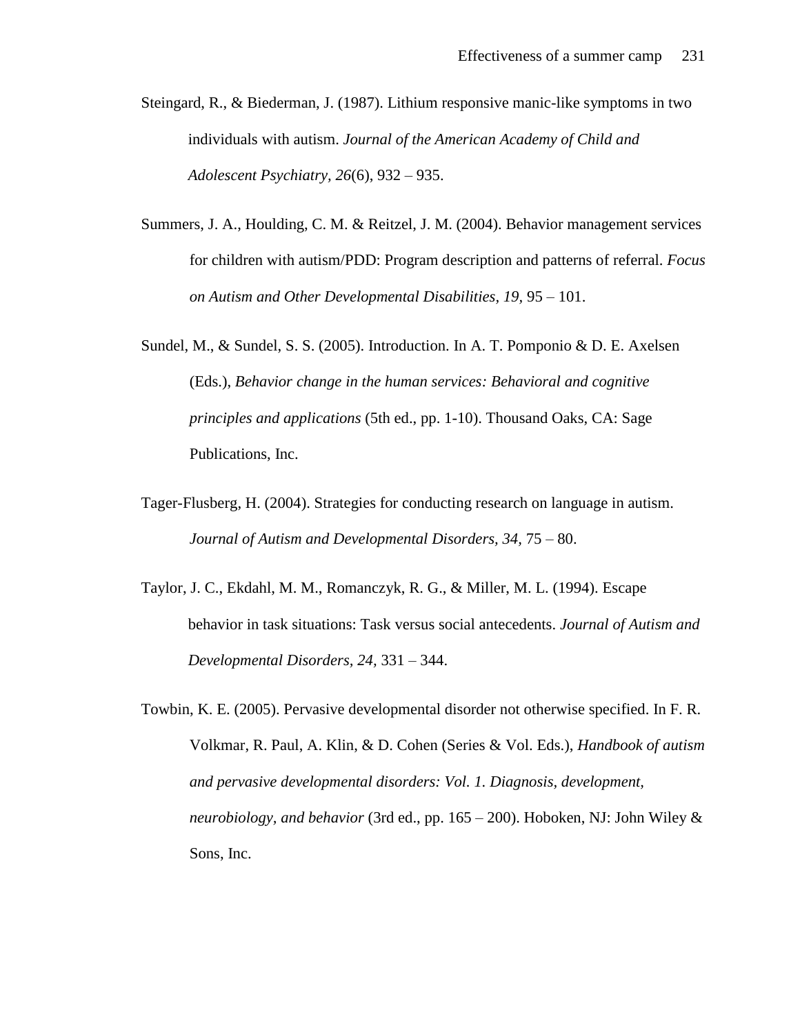- Steingard, R., & Biederman, J. (1987). Lithium responsive manic-like symptoms in two individuals with autism. *Journal of the American Academy of Child and Adolescent Psychiatry, 26*(6), 932 – 935.
- Summers, J. A., Houlding, C. M. & Reitzel, J. M. (2004). Behavior management services for children with autism/PDD: Program description and patterns of referral. *Focus on Autism and Other Developmental Disabilities, 19,* 95 – 101.
- Sundel, M., & Sundel, S. S. (2005). Introduction. In A. T. Pomponio & D. E. Axelsen (Eds.), *Behavior change in the human services: Behavioral and cognitive principles and applications* (5th ed., pp. 1-10). Thousand Oaks, CA: Sage Publications, Inc.
- Tager-Flusberg, H. (2004). Strategies for conducting research on language in autism. *Journal of Autism and Developmental Disorders, 34,* 75 – 80.
- Taylor, J. C., Ekdahl, M. M., Romanczyk, R. G., & Miller, M. L. (1994). Escape behavior in task situations: Task versus social antecedents. *Journal of Autism and Developmental Disorders, 24,* 331 – 344.
- Towbin, K. E. (2005). Pervasive developmental disorder not otherwise specified. In F. R. Volkmar, R. Paul, A. Klin, & D. Cohen (Series & Vol. Eds.), *Handbook of autism and pervasive developmental disorders: Vol. 1. Diagnosis, development, neurobiology, and behavior* (3rd ed., pp. 165 – 200). Hoboken, NJ: John Wiley & Sons, Inc.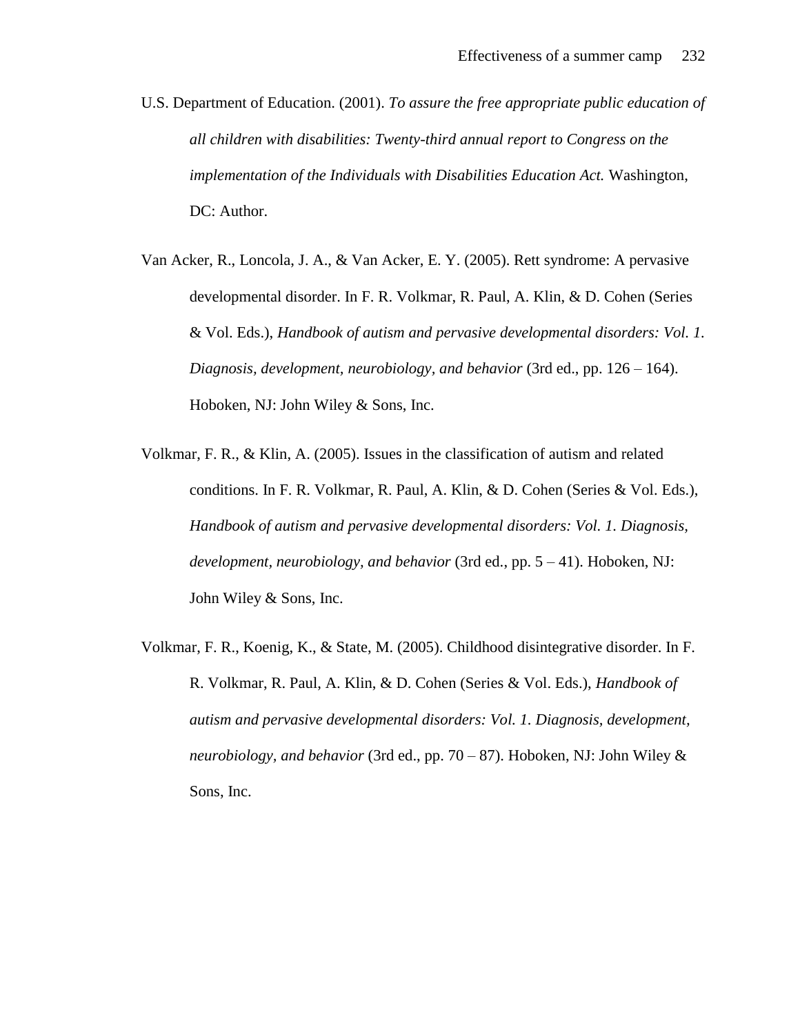- U.S. Department of Education. (2001). *To assure the free appropriate public education of all children with disabilities: Twenty-third annual report to Congress on the implementation of the Individuals with Disabilities Education Act.* Washington, DC: Author.
- Van Acker, R., Loncola, J. A., & Van Acker, E. Y. (2005). Rett syndrome: A pervasive developmental disorder. In F. R. Volkmar, R. Paul, A. Klin, & D. Cohen (Series & Vol. Eds.), *Handbook of autism and pervasive developmental disorders: Vol. 1. Diagnosis, development, neurobiology, and behavior* (3rd ed., pp. 126 – 164). Hoboken, NJ: John Wiley & Sons, Inc.
- Volkmar, F. R., & Klin, A. (2005). Issues in the classification of autism and related conditions. In F. R. Volkmar, R. Paul, A. Klin, & D. Cohen (Series & Vol. Eds.), *Handbook of autism and pervasive developmental disorders: Vol. 1. Diagnosis, development, neurobiology, and behavior* (3rd ed., pp. 5 – 41). Hoboken, NJ: John Wiley & Sons, Inc.
- Volkmar, F. R., Koenig, K., & State, M. (2005). Childhood disintegrative disorder. In F. R. Volkmar, R. Paul, A. Klin, & D. Cohen (Series & Vol. Eds.), *Handbook of autism and pervasive developmental disorders: Vol. 1. Diagnosis, development, neurobiology, and behavior* (3rd ed., pp. 70 – 87). Hoboken, NJ: John Wiley & Sons, Inc.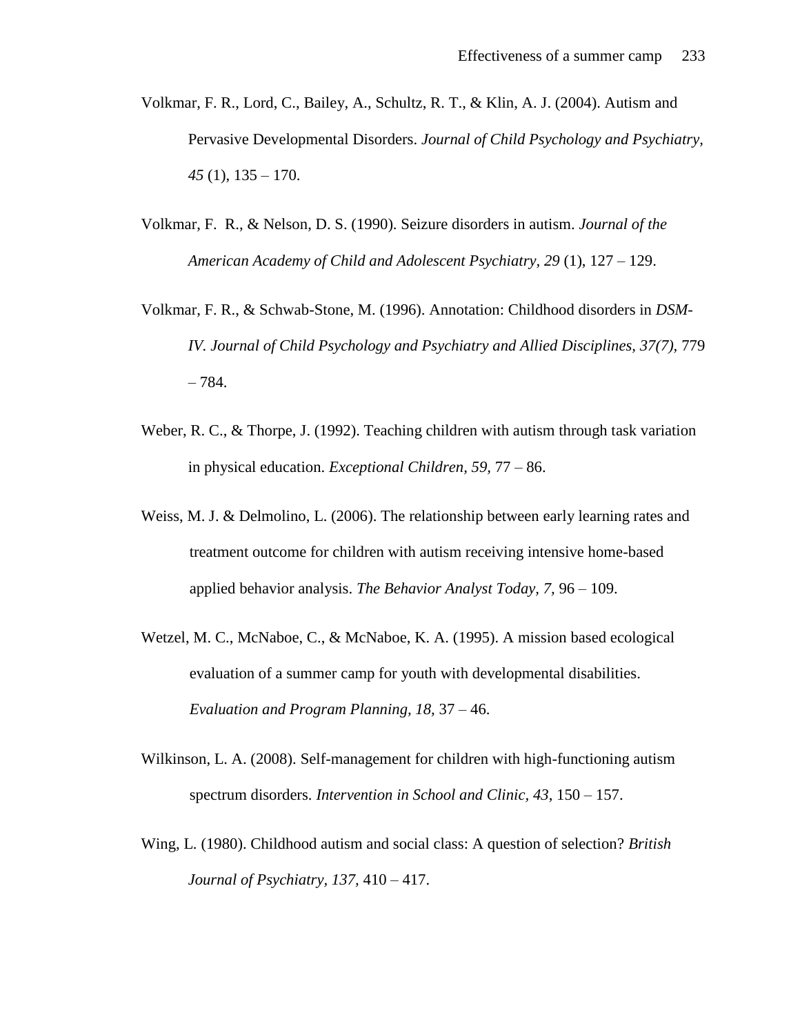- Volkmar, F. R., Lord, C., Bailey, A., Schultz, R. T., & Klin, A. J. (2004). Autism and Pervasive Developmental Disorders. *Journal of Child Psychology and Psychiatry, 45* (1), 135 – 170.
- Volkmar, F. R., & Nelson, D. S. (1990). Seizure disorders in autism. *Journal of the American Academy of Child and Adolescent Psychiatry, 29* (1), 127 – 129.
- Volkmar, F. R., & Schwab-Stone, M. (1996). Annotation: Childhood disorders in *DSM-IV. Journal of Child Psychology and Psychiatry and Allied Disciplines, 37(7), 779* – 784.
- Weber, R. C., & Thorpe, J. (1992). Teaching children with autism through task variation in physical education. *Exceptional Children, 59,* 77 – 86.
- Weiss, M. J. & Delmolino, L. (2006). The relationship between early learning rates and treatment outcome for children with autism receiving intensive home-based applied behavior analysis. *The Behavior Analyst Today, 7,* 96 – 109.
- Wetzel, M. C., McNaboe, C., & McNaboe, K. A. (1995). A mission based ecological evaluation of a summer camp for youth with developmental disabilities. *Evaluation and Program Planning, 18,* 37 – 46.
- Wilkinson, L. A. (2008). Self-management for children with high-functioning autism spectrum disorders. *Intervention in School and Clinic, 43*, 150 – 157.
- Wing, L. (1980). Childhood autism and social class: A question of selection? *British Journal of Psychiatry, 137,* 410 – 417.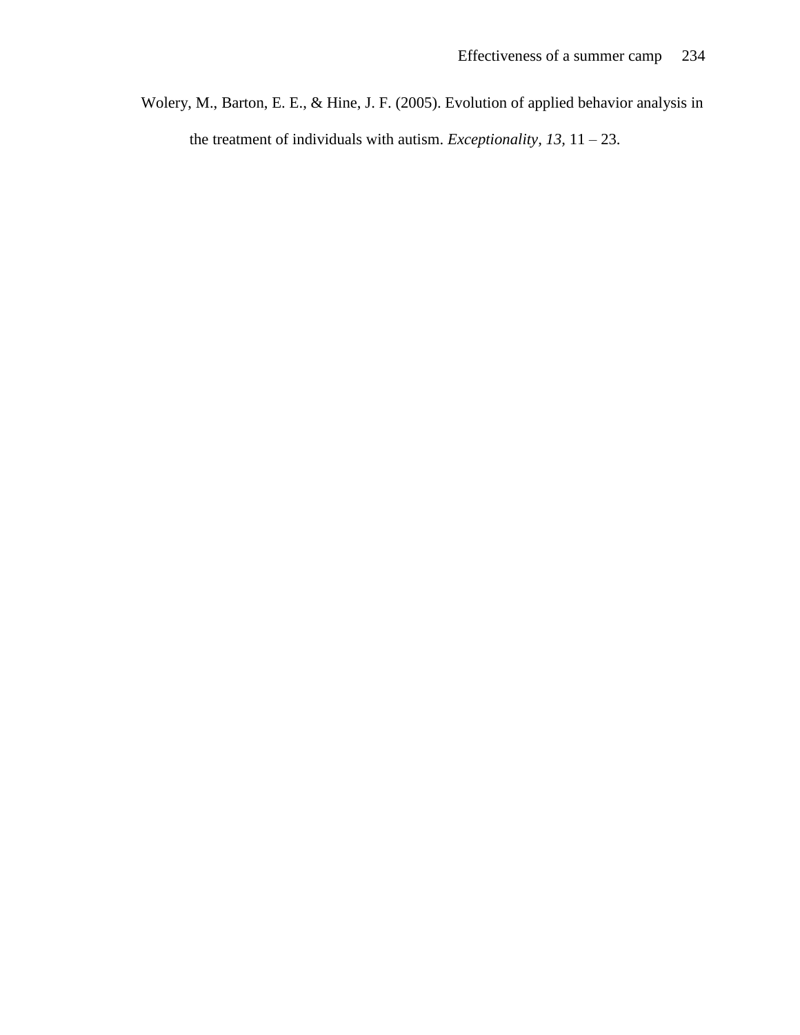Wolery, M., Barton, E. E., & Hine, J. F. (2005). Evolution of applied behavior analysis in the treatment of individuals with autism. *Exceptionality, 13,* 11 – 23.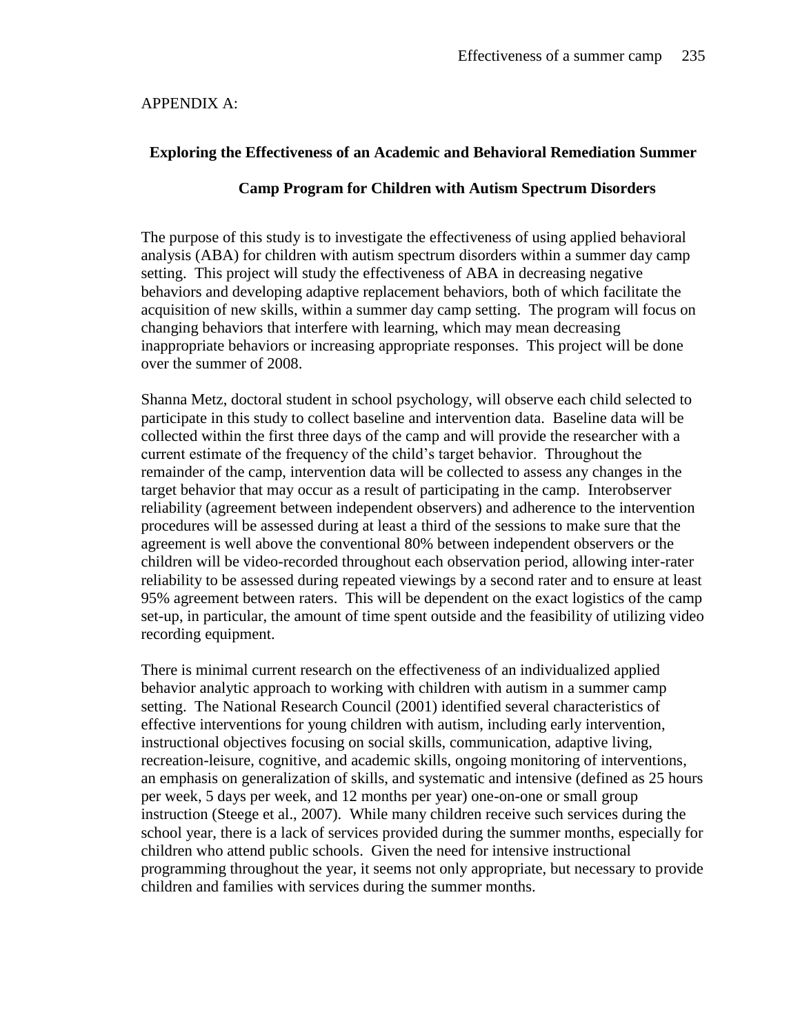APPENDIX A:

## **Exploring the Effectiveness of an Academic and Behavioral Remediation Summer**

## **Camp Program for Children with Autism Spectrum Disorders**

The purpose of this study is to investigate the effectiveness of using applied behavioral analysis (ABA) for children with autism spectrum disorders within a summer day camp setting. This project will study the effectiveness of ABA in decreasing negative behaviors and developing adaptive replacement behaviors, both of which facilitate the acquisition of new skills, within a summer day camp setting. The program will focus on changing behaviors that interfere with learning, which may mean decreasing inappropriate behaviors or increasing appropriate responses. This project will be done over the summer of 2008.

Shanna Metz, doctoral student in school psychology, will observe each child selected to participate in this study to collect baseline and intervention data. Baseline data will be collected within the first three days of the camp and will provide the researcher with a current estimate of the frequency of the child's target behavior. Throughout the remainder of the camp, intervention data will be collected to assess any changes in the target behavior that may occur as a result of participating in the camp. Interobserver reliability (agreement between independent observers) and adherence to the intervention procedures will be assessed during at least a third of the sessions to make sure that the agreement is well above the conventional 80% between independent observers or the children will be video-recorded throughout each observation period, allowing inter-rater reliability to be assessed during repeated viewings by a second rater and to ensure at least 95% agreement between raters. This will be dependent on the exact logistics of the camp set-up, in particular, the amount of time spent outside and the feasibility of utilizing video recording equipment.

There is minimal current research on the effectiveness of an individualized applied behavior analytic approach to working with children with autism in a summer camp setting. The National Research Council (2001) identified several characteristics of effective interventions for young children with autism, including early intervention, instructional objectives focusing on social skills, communication, adaptive living, recreation-leisure, cognitive, and academic skills, ongoing monitoring of interventions, an emphasis on generalization of skills, and systematic and intensive (defined as 25 hours per week, 5 days per week, and 12 months per year) one-on-one or small group instruction (Steege et al., 2007). While many children receive such services during the school year, there is a lack of services provided during the summer months, especially for children who attend public schools. Given the need for intensive instructional programming throughout the year, it seems not only appropriate, but necessary to provide children and families with services during the summer months.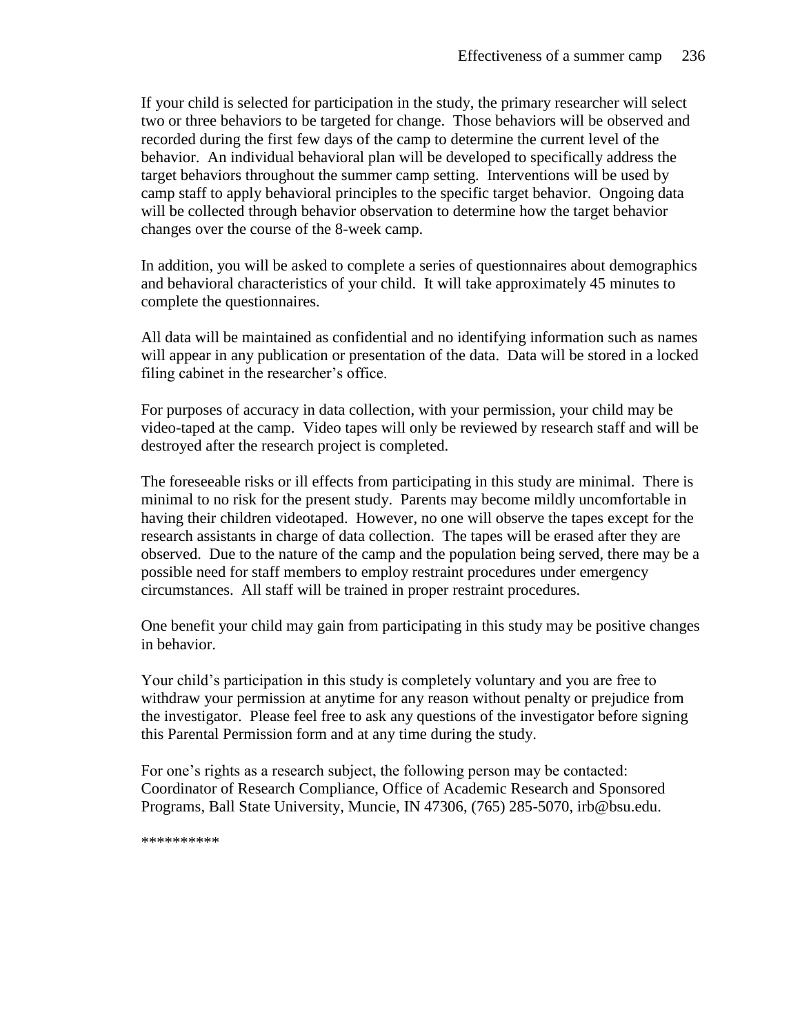If your child is selected for participation in the study, the primary researcher will select two or three behaviors to be targeted for change. Those behaviors will be observed and recorded during the first few days of the camp to determine the current level of the behavior. An individual behavioral plan will be developed to specifically address the target behaviors throughout the summer camp setting. Interventions will be used by camp staff to apply behavioral principles to the specific target behavior. Ongoing data will be collected through behavior observation to determine how the target behavior changes over the course of the 8-week camp.

In addition, you will be asked to complete a series of questionnaires about demographics and behavioral characteristics of your child. It will take approximately 45 minutes to complete the questionnaires.

All data will be maintained as confidential and no identifying information such as names will appear in any publication or presentation of the data. Data will be stored in a locked filing cabinet in the researcher's office.

For purposes of accuracy in data collection, with your permission, your child may be video-taped at the camp. Video tapes will only be reviewed by research staff and will be destroyed after the research project is completed.

The foreseeable risks or ill effects from participating in this study are minimal. There is minimal to no risk for the present study. Parents may become mildly uncomfortable in having their children videotaped. However, no one will observe the tapes except for the research assistants in charge of data collection. The tapes will be erased after they are observed. Due to the nature of the camp and the population being served, there may be a possible need for staff members to employ restraint procedures under emergency circumstances. All staff will be trained in proper restraint procedures.

One benefit your child may gain from participating in this study may be positive changes in behavior.

Your child's participation in this study is completely voluntary and you are free to withdraw your permission at anytime for any reason without penalty or prejudice from the investigator. Please feel free to ask any questions of the investigator before signing this Parental Permission form and at any time during the study.

For one's rights as a research subject, the following person may be contacted: Coordinator of Research Compliance, Office of Academic Research and Sponsored Programs, Ball State University, Muncie, IN 47306, (765) 285-5070, irb@bsu.edu.

\*\*\*\*\*\*\*\*\*\*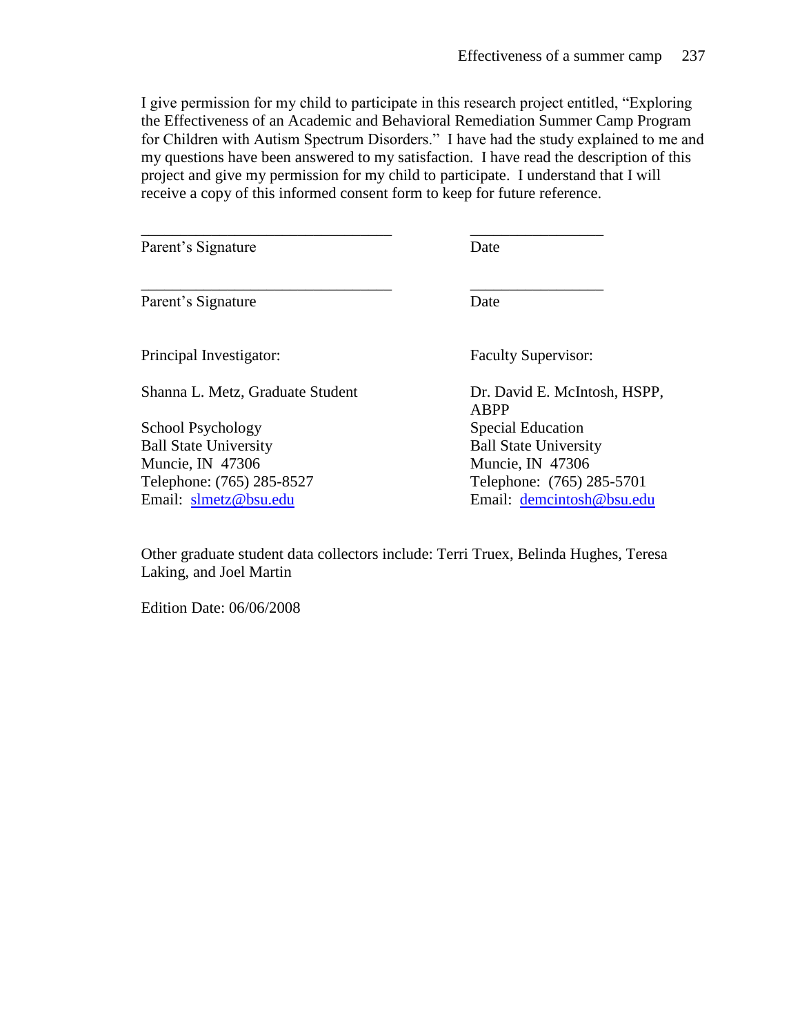I give permission for my child to participate in this research project entitled, "Exploring the Effectiveness of an Academic and Behavioral Remediation Summer Camp Program for Children with Autism Spectrum Disorders." I have had the study explained to me and my questions have been answered to my satisfaction. I have read the description of this project and give my permission for my child to participate. I understand that I will receive a copy of this informed consent form to keep for future reference.

\_\_\_\_\_\_\_\_\_\_\_\_\_\_\_\_\_\_\_\_\_\_\_\_\_\_\_\_\_\_\_\_ \_\_\_\_\_\_\_\_\_\_\_\_\_\_\_\_\_

\_\_\_\_\_\_\_\_\_\_\_\_\_\_\_\_\_\_\_\_\_\_\_\_\_\_\_\_\_\_\_\_ \_\_\_\_\_\_\_\_\_\_\_\_\_\_\_\_\_

Parent's Signature Date

Parent's Signature Date

Principal Investigator: Faculty Supervisor:

Shanna L. Metz, Graduate Student Dr. David E. McIntosh, HSPP,

School Psychology Special Education Ball State University Ball State University Muncie, IN 47306 Muncie, IN 47306

ABPP Telephone: (765) 285-8527 Telephone: (765) 285-5701 Email: [slmetz@bsu.edu](mailto:slmetz@bsu.edu) Email: [demcintosh@bsu.edu](mailto:demcintosh@bsu.edu)

Other graduate student data collectors include: Terri Truex, Belinda Hughes, Teresa Laking, and Joel Martin

Edition Date: 06/06/2008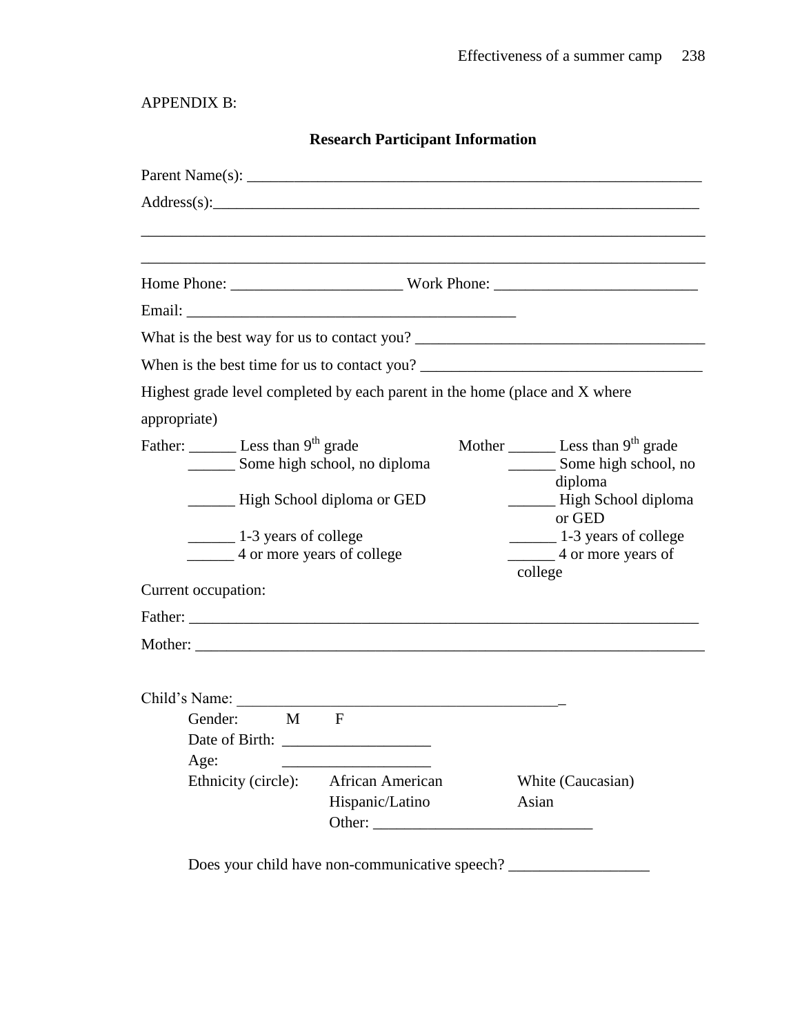APPENDIX B:

| <b>Research Participant Information</b>                                                                         |                                                 |                                                                                                                          |  |
|-----------------------------------------------------------------------------------------------------------------|-------------------------------------------------|--------------------------------------------------------------------------------------------------------------------------|--|
|                                                                                                                 |                                                 |                                                                                                                          |  |
| Address(s):                                                                                                     |                                                 |                                                                                                                          |  |
|                                                                                                                 |                                                 |                                                                                                                          |  |
|                                                                                                                 |                                                 |                                                                                                                          |  |
|                                                                                                                 |                                                 |                                                                                                                          |  |
|                                                                                                                 |                                                 |                                                                                                                          |  |
|                                                                                                                 |                                                 | When is the best time for us to contact you?                                                                             |  |
|                                                                                                                 |                                                 | Highest grade level completed by each parent in the home (place and X where                                              |  |
| appropriate)                                                                                                    |                                                 |                                                                                                                          |  |
| Father: Less than 9 <sup>th</sup> grade<br>_________ Some high school, no diploma<br>High School diploma or GED |                                                 | Mother $\_\_\_\_\$ Less than 9 <sup>th</sup> grade<br>_________ Some high school, no<br>diploma<br>- High School diploma |  |
| $\frac{1}{3}$ years of college<br>4 or more years of college                                                    |                                                 | or GED<br>1-3 years of college<br>4 or more years of<br>college                                                          |  |
| Current occupation:                                                                                             |                                                 |                                                                                                                          |  |
|                                                                                                                 |                                                 |                                                                                                                          |  |
|                                                                                                                 |                                                 |                                                                                                                          |  |
| Child's Name:<br>Gender:<br>M<br>Age:<br>Ethnicity (circle):                                                    | F<br><b>African American</b><br>Hispanic/Latino | White (Caucasian)<br>Asian                                                                                               |  |

Does your child have non-communicative speech? \_\_\_\_\_\_\_\_\_\_\_\_\_\_\_\_\_\_\_\_\_\_\_\_\_\_\_\_\_\_\_\_\_\_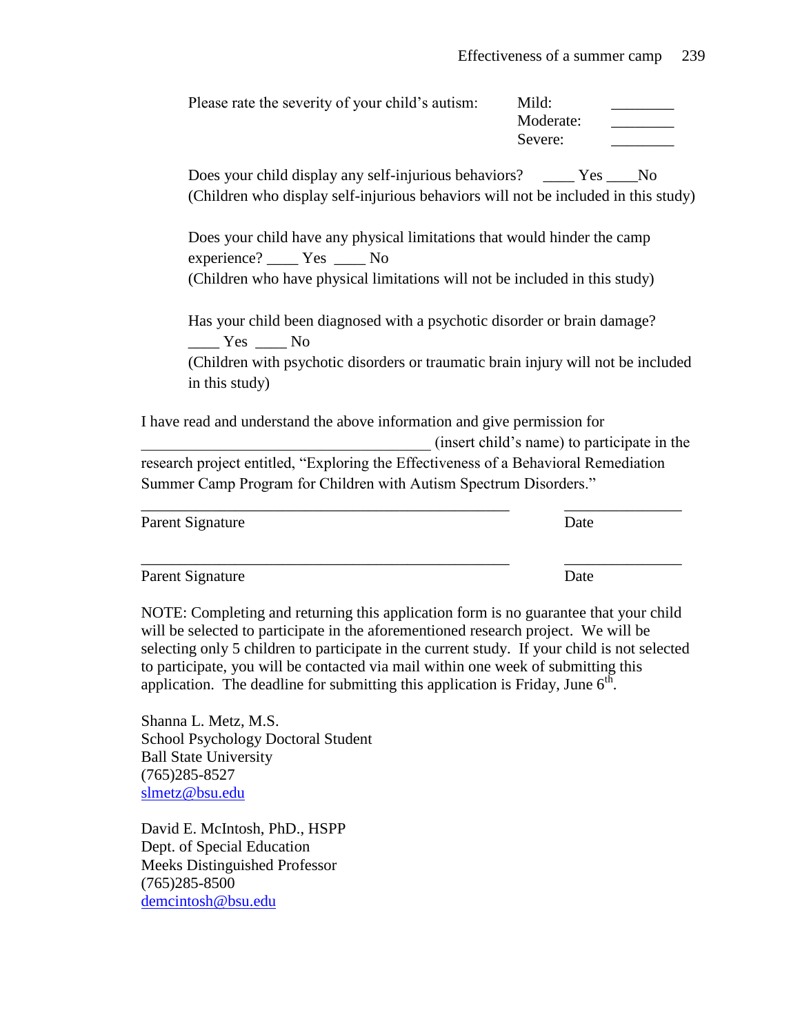| Please rate the severity of your child's autism:                                                                                                                                                                                                                                                                                                                                                                                                     | Mild:<br>Moderate:<br>Severe:               |  |
|------------------------------------------------------------------------------------------------------------------------------------------------------------------------------------------------------------------------------------------------------------------------------------------------------------------------------------------------------------------------------------------------------------------------------------------------------|---------------------------------------------|--|
| Does your child display any self-injurious behaviors? _____ Yes ____No<br>(Children who display self-injurious behaviors will not be included in this study)                                                                                                                                                                                                                                                                                         |                                             |  |
| Does your child have any physical limitations that would hinder the camp<br>experience? ______ Yes _____ No<br>(Children who have physical limitations will not be included in this study)                                                                                                                                                                                                                                                           |                                             |  |
| Has your child been diagnosed with a psychotic disorder or brain damage?<br>$Yes$ No<br>(Children with psychotic disorders or traumatic brain injury will not be included<br>in this study)                                                                                                                                                                                                                                                          |                                             |  |
| I have read and understand the above information and give permission for                                                                                                                                                                                                                                                                                                                                                                             | (insert child's name) to participate in the |  |
| research project entitled, "Exploring the Effectiveness of a Behavioral Remediation<br>Summer Camp Program for Children with Autism Spectrum Disorders."                                                                                                                                                                                                                                                                                             |                                             |  |
| Parent Signature                                                                                                                                                                                                                                                                                                                                                                                                                                     | Date                                        |  |
| Parent Signature                                                                                                                                                                                                                                                                                                                                                                                                                                     | Date                                        |  |
| NOTE: Completing and returning this application form is no guarantee that your child<br>will be selected to participate in the aforementioned research project. We will be<br>selecting only 5 children to participate in the current study. If your child is not selected<br>to participate, you will be contacted via mail within one week of submitting this<br>application. The deadline for submitting this application is Friday, June $6th$ . |                                             |  |
| Shanna L. Metz, M.S.<br>School Devehology Doctoral Student                                                                                                                                                                                                                                                                                                                                                                                           |                                             |  |

School Psychology Doctoral Student Ball State University (765)285-8527 [slmetz@bsu.edu](mailto:slmetz@bsu.edu)

David E. McIntosh, PhD., HSPP Dept. of Special Education Meeks Distinguished Professor  $(765)285-8500$ [demcintosh@bsu.edu](mailto:demcintosh@bsu.edu)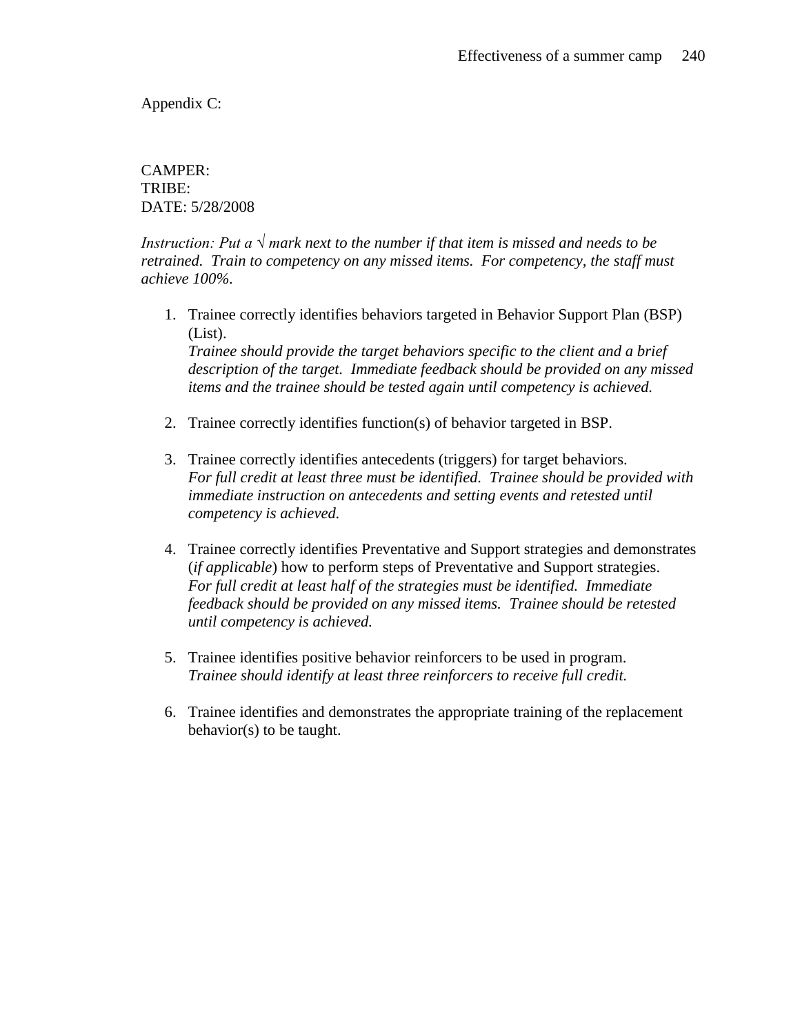Appendix C:

CAMPER: TRIBE: DATE: 5/28/2008

*Instruction: Put a*  $\sqrt{m}$  *mark next to the number if that item is missed and needs to be retrained. Train to competency on any missed items. For competency, the staff must achieve 100%.*

1. Trainee correctly identifies behaviors targeted in Behavior Support Plan (BSP) (List).

*Trainee should provide the target behaviors specific to the client and a brief description of the target. Immediate feedback should be provided on any missed items and the trainee should be tested again until competency is achieved.*

- 2. Trainee correctly identifies function(s) of behavior targeted in BSP.
- 3. Trainee correctly identifies antecedents (triggers) for target behaviors. *For full credit at least three must be identified. Trainee should be provided with immediate instruction on antecedents and setting events and retested until competency is achieved.*
- 4. Trainee correctly identifies Preventative and Support strategies and demonstrates (*if applicable*) how to perform steps of Preventative and Support strategies. *For full credit at least half of the strategies must be identified. Immediate feedback should be provided on any missed items. Trainee should be retested until competency is achieved.*
- 5. Trainee identifies positive behavior reinforcers to be used in program. *Trainee should identify at least three reinforcers to receive full credit.*
- 6. Trainee identifies and demonstrates the appropriate training of the replacement behavior(s) to be taught.